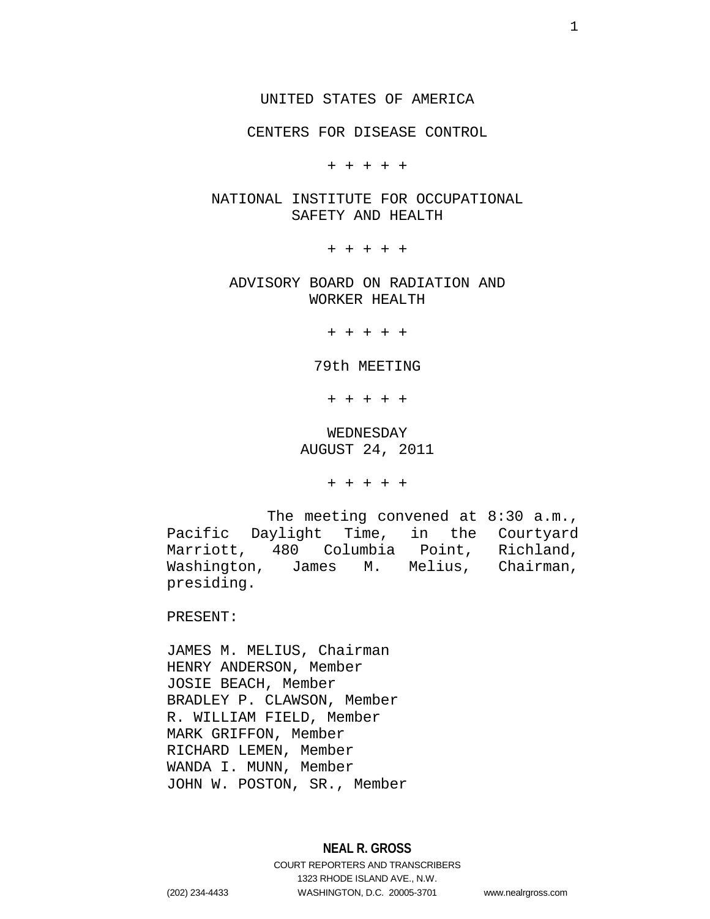CENTERS FOR DISEASE CONTROL

+ + + + +

# NATIONAL INSTITUTE FOR OCCUPATIONAL SAFETY AND HEALTH

+ + + + +

ADVISORY BOARD ON RADIATION AND WORKER HEALTH

+ + + + +

79th MEETING

+ + + + +

WEDNESDAY AUGUST 24, 2011

+ + + + +

The meeting convened at 8:30 a.m., Pacific Daylight Time, in the Courtyard Marriott, 480 Columbia Point, Richland, Washington, James M. Melius, Chairman, presiding.

PRESENT:

JAMES M. MELIUS, Chairman HENRY ANDERSON, Member JOSIE BEACH, Member BRADLEY P. CLAWSON, Member R. WILLIAM FIELD, Member MARK GRIFFON, Member RICHARD LEMEN, Member WANDA I. MUNN, Member JOHN W. POSTON, SR., Member

1323 RHODE ISLAND AVE., N.W.

(202) 234-4433 WASHINGTON, D.C. 20005-3701 www.nealrgross.com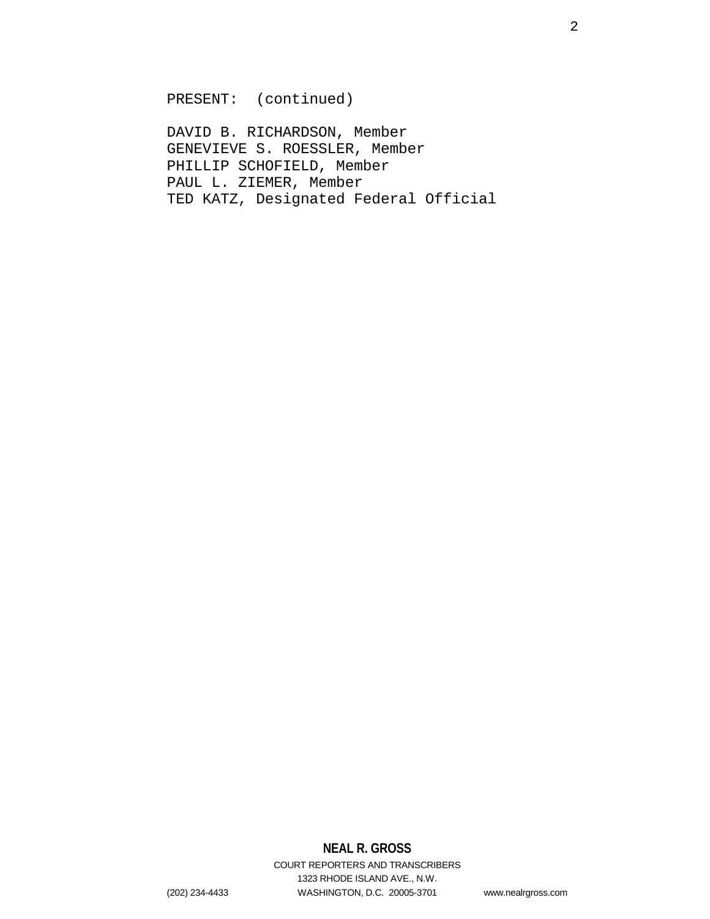PRESENT: (continued)

DAVID B. RICHARDSON, Member GENEVIEVE S. ROESSLER, Member PHILLIP SCHOFIELD, Member PAUL L. ZIEMER, Member TED KATZ, Designated Federal Official

# **NEAL R. GROSS**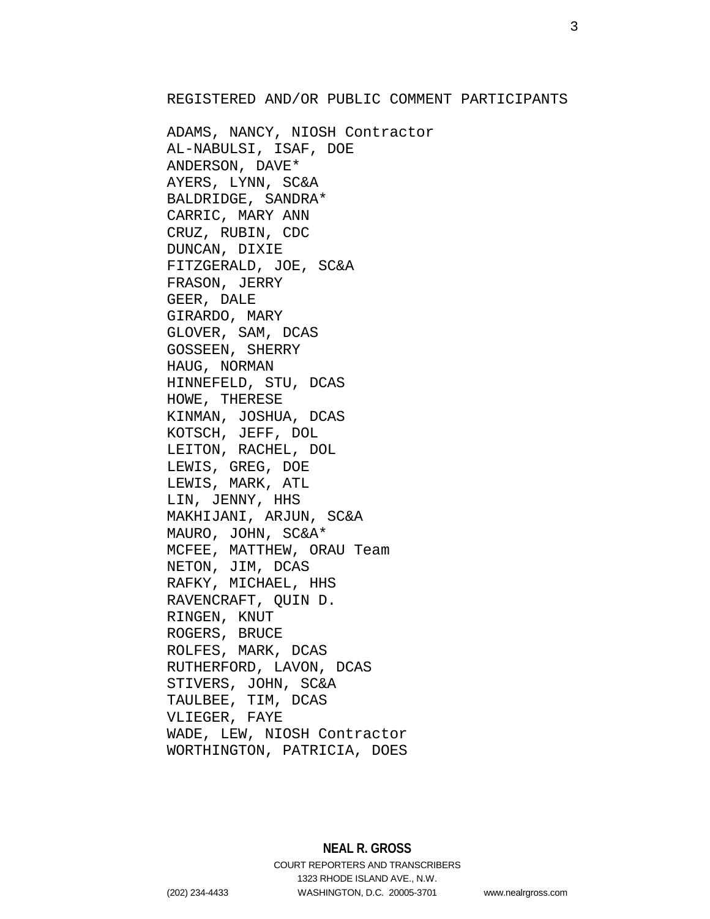# REGISTERED AND/OR PUBLIC COMMENT PARTICIPANTS

ADAMS, NANCY, NIOSH Contractor AL-NABULSI, ISAF, DOE ANDERSON, DAVE\* AYERS, LYNN, SC&A BALDRIDGE, SANDRA\* CARRIC, MARY ANN CRUZ, RUBIN, CDC DUNCAN, DIXIE FITZGERALD, JOE, SC&A FRASON, JERRY GEER, DALE GIRARDO, MARY GLOVER, SAM, DCAS GOSSEEN, SHERRY HAUG, NORMAN HINNEFELD, STU, DCAS HOWE, THERESE KINMAN, JOSHUA, DCAS KOTSCH, JEFF, DOL LEITON, RACHEL, DOL LEWIS, GREG, DOE LEWIS, MARK, ATL LIN, JENNY, HHS MAKHIJANI, ARJUN, SC&A MAURO, JOHN, SC&A\* MCFEE, MATTHEW, ORAU Team NETON, JIM, DCAS RAFKY, MICHAEL, HHS RAVENCRAFT, QUIN D. RINGEN, KNUT ROGERS, BRUCE ROLFES, MARK, DCAS RUTHERFORD, LAVON, DCAS STIVERS, JOHN, SC&A TAULBEE, TIM, DCAS VLIEGER, FAYE WADE, LEW, NIOSH Contractor WORTHINGTON, PATRICIA, DOES

(202) 234-4433 WASHINGTON, D.C. 20005-3701 www.nealrgross.com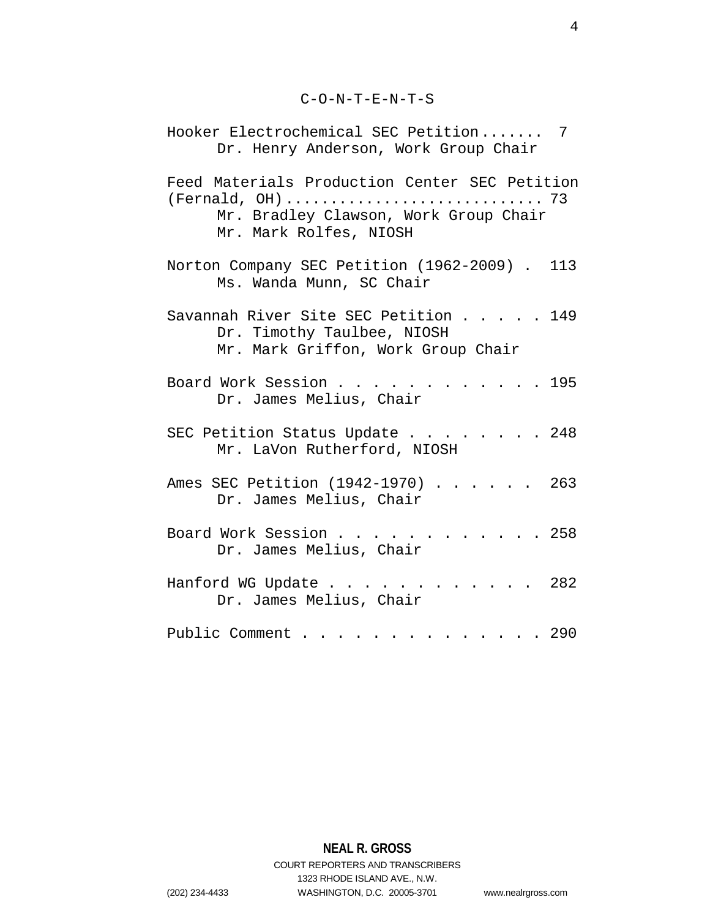C-O-N-T-E-N-T-S

| Hooker Electrochemical SEC Petition 7<br>Dr. Henry Anderson, Work Group Chair                                    |
|------------------------------------------------------------------------------------------------------------------|
| Feed Materials Production Center SEC Petition<br>Mr. Bradley Clawson, Work Group Chair<br>Mr. Mark Rolfes, NIOSH |
| Norton Company SEC Petition (1962-2009). 113<br>Ms. Wanda Munn, SC Chair                                         |
| Savannah River Site SEC Petition 149<br>Dr. Timothy Taulbee, NIOSH<br>Mr. Mark Griffon, Work Group Chair         |
| Board Work Session<br>. 195<br>Dr. James Melius, Chair                                                           |
| SEC Petition Status Update 248<br>Mr. LaVon Rutherford, NIOSH                                                    |
| Ames SEC Petition (1942-1970) 263<br>Dr. James Melius, Chair                                                     |
| Board Work Session 258<br>Dr. James Melius, Chair                                                                |
| Hanford WG Update 282<br>Dr. James Melius, Chair                                                                 |
| Public Comment 290                                                                                               |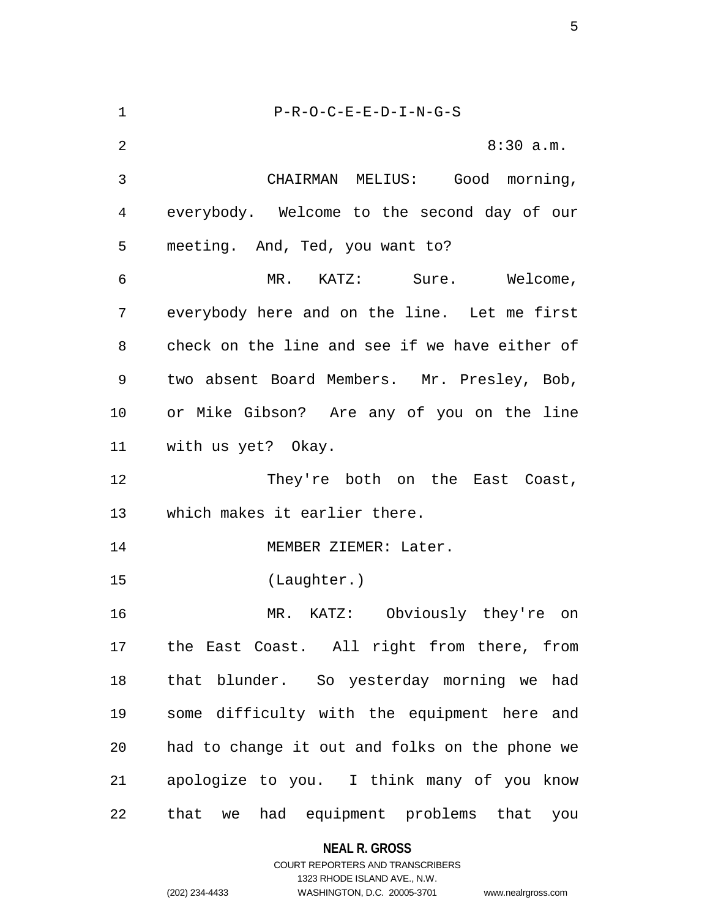| 1  | P-R-O-C-E-E-D-I-N-G-S                          |
|----|------------------------------------------------|
| 2  | 8:30 a.m.                                      |
| 3  | CHAIRMAN MELIUS: Good morning,                 |
| 4  | everybody. Welcome to the second day of our    |
| 5  | meeting. And, Ted, you want to?                |
| 6  | MR. KATZ: Sure. Welcome,                       |
| 7  | everybody here and on the line. Let me first   |
| 8  | check on the line and see if we have either of |
| 9  | two absent Board Members. Mr. Presley, Bob,    |
| 10 | or Mike Gibson? Are any of you on the line     |
| 11 | with us yet? Okay.                             |
| 12 | They're both on the East Coast,                |
| 13 | which makes it earlier there.                  |
| 14 | MEMBER ZIEMER: Later.                          |
| 15 | (Laughter.)                                    |
| 16 | MR. KATZ: Obviously they're on                 |
| 17 | the East Coast. All right from there, from     |
| 18 | that blunder. So yesterday morning we had      |
| 19 | some difficulty with the equipment here and    |
| 20 | had to change it out and folks on the phone we |
| 21 | apologize to you. I think many of you know     |
| 22 | that we had equipment problems that you        |

# **NEAL R. GROSS**

# COURT REPORTERS AND TRANSCRIBERS 1323 RHODE ISLAND AVE., N.W. (202) 234-4433 WASHINGTON, D.C. 20005-3701 www.nealrgross.com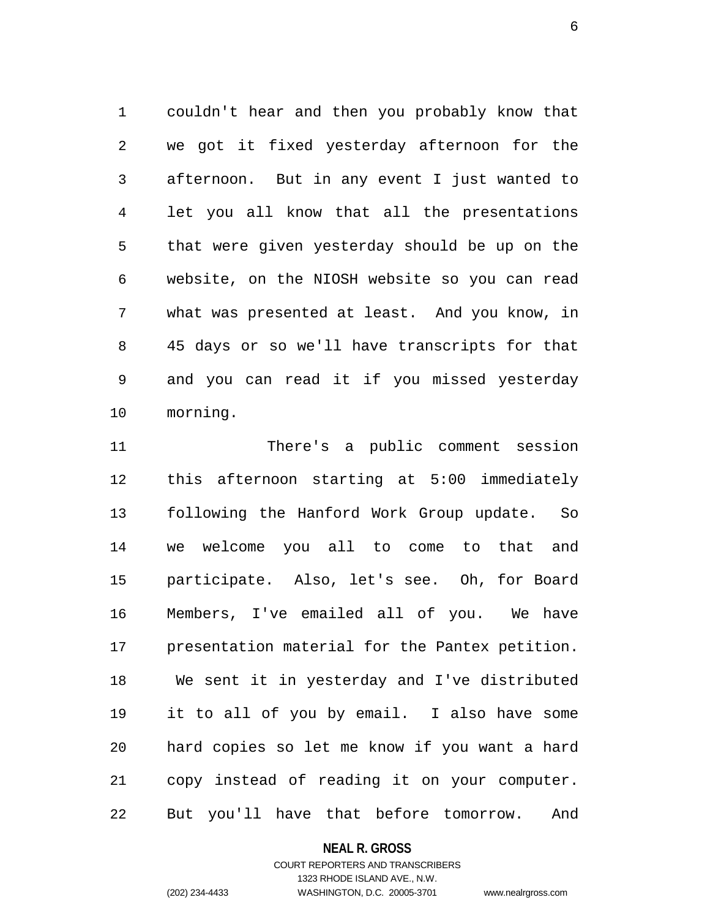1 couldn't hear and then you probably know that 2 we got it fixed yesterday afternoon for the 3 afternoon. But in any event I just wanted to 4 let you all know that all the presentations 5 that were given yesterday should be up on the 6 website, on the NIOSH website so you can read 7 what was presented at least. And you know, in 8 45 days or so we'll have transcripts for that 9 and you can read it if you missed yesterday 10 morning.

11 There's a public comment session 12 this afternoon starting at 5:00 immediately 13 following the Hanford Work Group update. So 14 we welcome you all to come to that and 15 participate. Also, let's see. Oh, for Board 16 Members, I've emailed all of you. We have 17 presentation material for the Pantex petition. 18 We sent it in yesterday and I've distributed 19 it to all of you by email. I also have some 20 hard copies so let me know if you want a hard 21 copy instead of reading it on your computer. 22 But you'll have that before tomorrow. And

#### **NEAL R. GROSS**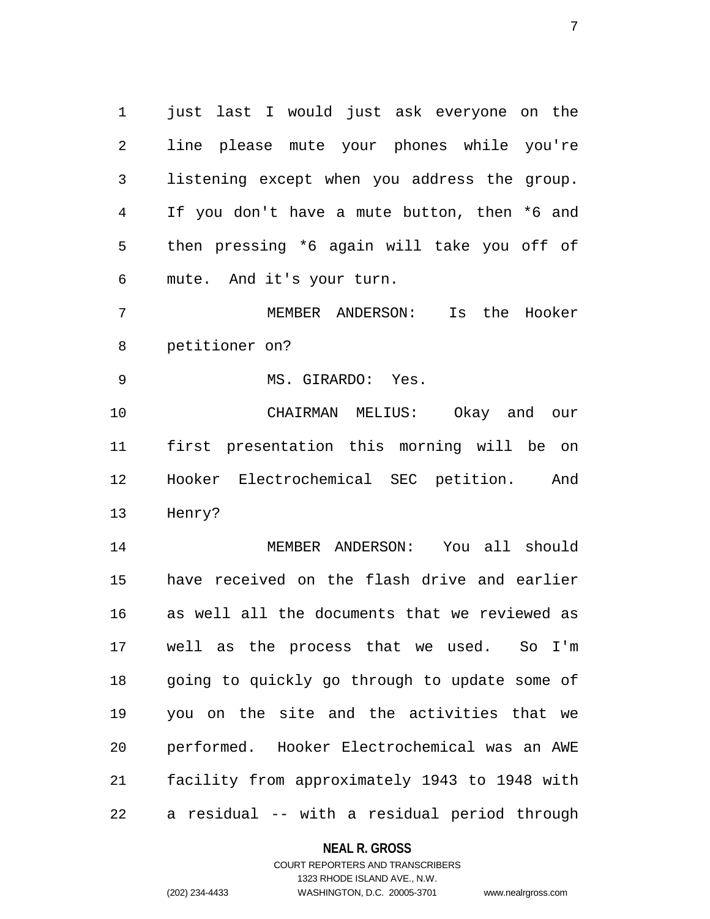1 just last I would just ask everyone on the 2 line please mute your phones while you're 3 listening except when you address the group. 4 If you don't have a mute button, then \*6 and 5 then pressing \*6 again will take you off of 6 mute. And it's your turn.

7 MEMBER ANDERSON: Is the Hooker 8 petitioner on?

9 MS. GIRARDO: Yes.

10 CHAIRMAN MELIUS: Okay and our 11 first presentation this morning will be on 12 Hooker Electrochemical SEC petition. And 13 Henry?

14 MEMBER ANDERSON: You all should 15 have received on the flash drive and earlier 16 as well all the documents that we reviewed as 17 well as the process that we used. So I'm 18 going to quickly go through to update some of 19 you on the site and the activities that we 20 performed. Hooker Electrochemical was an AWE 21 facility from approximately 1943 to 1948 with 22 a residual -- with a residual period through

**NEAL R. GROSS**

# COURT REPORTERS AND TRANSCRIBERS 1323 RHODE ISLAND AVE., N.W. (202) 234-4433 WASHINGTON, D.C. 20005-3701 www.nealrgross.com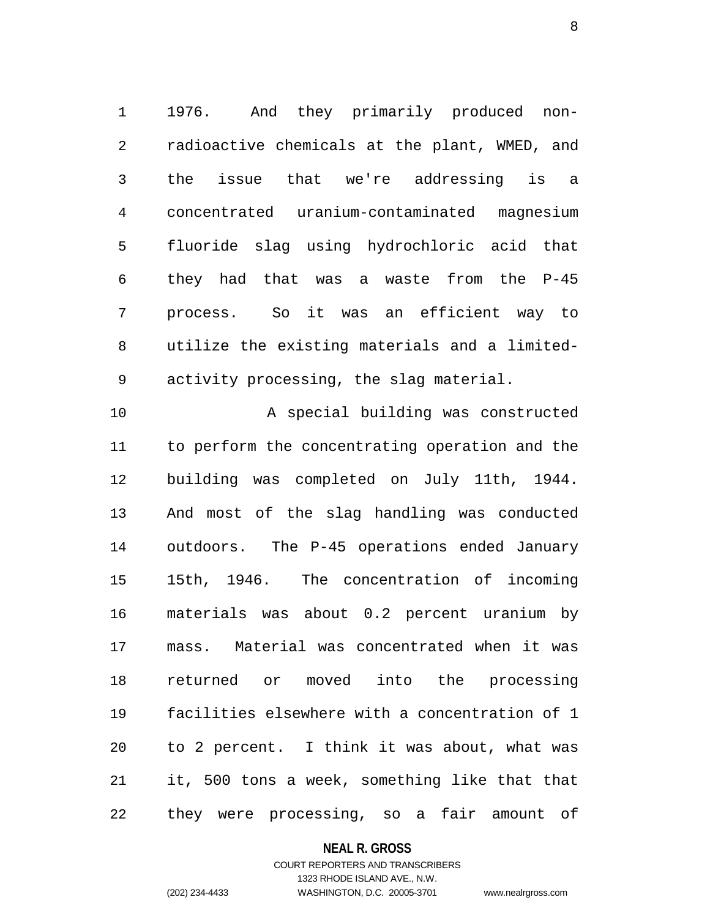1 1976. And they primarily produced non-2 radioactive chemicals at the plant, WMED, and 3 the issue that we're addressing is a 4 concentrated uranium-contaminated magnesium 5 fluoride slag using hydrochloric acid that 6 they had that was a waste from the P-45 7 process. So it was an efficient way to 8 utilize the existing materials and a limited-9 activity processing, the slag material.

10 A special building was constructed 11 to perform the concentrating operation and the 12 building was completed on July 11th, 1944. 13 And most of the slag handling was conducted 14 outdoors. The P-45 operations ended January 15 15th, 1946. The concentration of incoming 16 materials was about 0.2 percent uranium by 17 mass. Material was concentrated when it was 18 returned or moved into the processing 19 facilities elsewhere with a concentration of 1 20 to 2 percent. I think it was about, what was 21 it, 500 tons a week, something like that that 22 they were processing, so a fair amount of

### **NEAL R. GROSS**

# COURT REPORTERS AND TRANSCRIBERS 1323 RHODE ISLAND AVE., N.W. (202) 234-4433 WASHINGTON, D.C. 20005-3701 www.nealrgross.com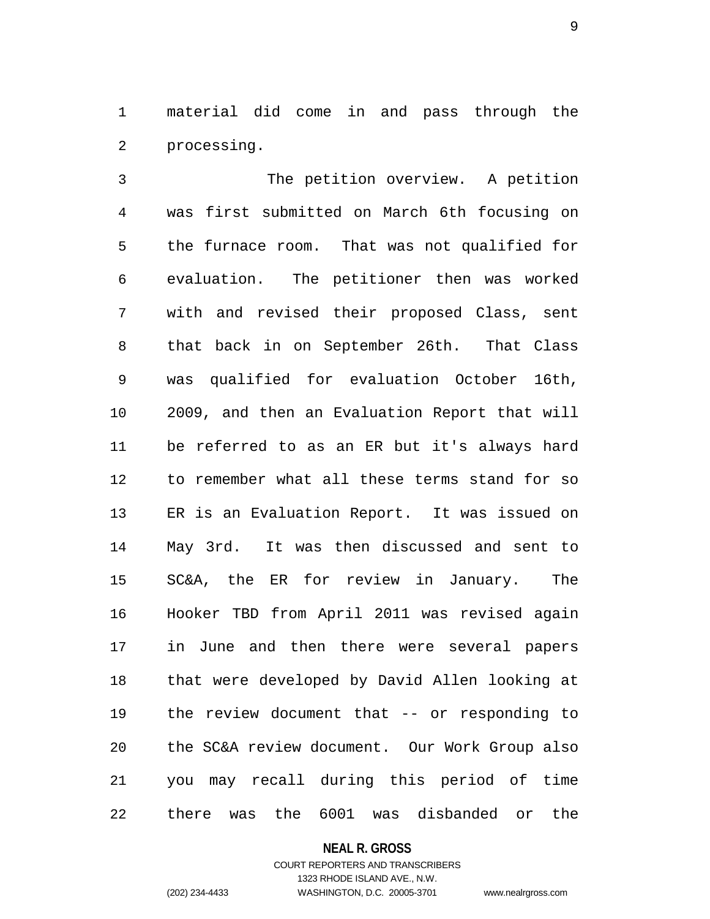1 material did come in and pass through the 2 processing.

3 The petition overview. A petition 4 was first submitted on March 6th focusing on 5 the furnace room. That was not qualified for 6 evaluation. The petitioner then was worked 7 with and revised their proposed Class, sent 8 that back in on September 26th. That Class 9 was qualified for evaluation October 16th, 10 2009, and then an Evaluation Report that will 11 be referred to as an ER but it's always hard 12 to remember what all these terms stand for so 13 ER is an Evaluation Report. It was issued on 14 May 3rd. It was then discussed and sent to 15 SC&A, the ER for review in January. The 16 Hooker TBD from April 2011 was revised again 17 in June and then there were several papers 18 that were developed by David Allen looking at 19 the review document that -- or responding to 20 the SC&A review document. Our Work Group also 21 you may recall during this period of time 22 there was the 6001 was disbanded or the

#### **NEAL R. GROSS**

# COURT REPORTERS AND TRANSCRIBERS 1323 RHODE ISLAND AVE., N.W. (202) 234-4433 WASHINGTON, D.C. 20005-3701 www.nealrgross.com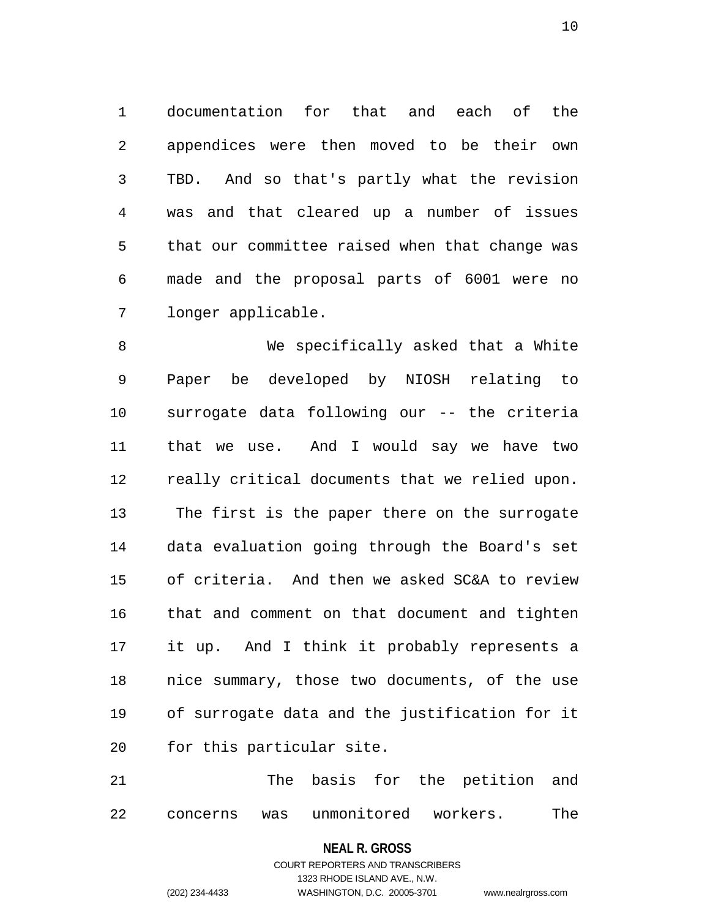1 documentation for that and each of the 2 appendices were then moved to be their own 3 TBD. And so that's partly what the revision 4 was and that cleared up a number of issues 5 that our committee raised when that change was 6 made and the proposal parts of 6001 were no 7 longer applicable.

8 We specifically asked that a White 9 Paper be developed by NIOSH relating to 10 surrogate data following our -- the criteria 11 that we use. And I would say we have two 12 really critical documents that we relied upon. 13 The first is the paper there on the surrogate 14 data evaluation going through the Board's set 15 of criteria. And then we asked SC&A to review 16 that and comment on that document and tighten 17 it up. And I think it probably represents a 18 nice summary, those two documents, of the use 19 of surrogate data and the justification for it 20 for this particular site.

21 The basis for the petition and 22 concerns was unmonitored workers. The

#### **NEAL R. GROSS**

COURT REPORTERS AND TRANSCRIBERS 1323 RHODE ISLAND AVE., N.W. (202) 234-4433 WASHINGTON, D.C. 20005-3701 www.nealrgross.com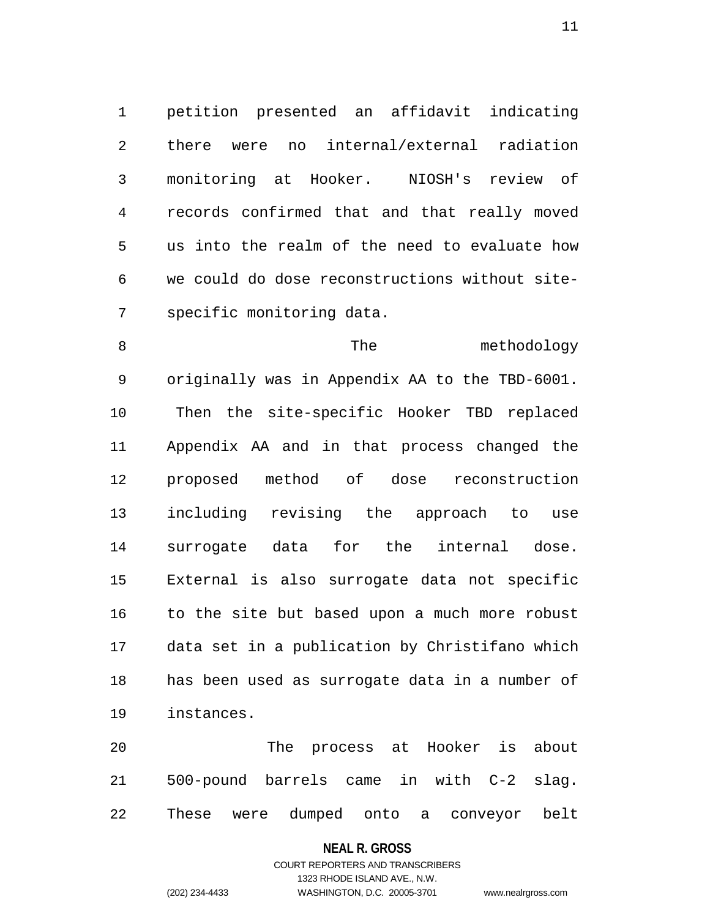1 petition presented an affidavit indicating 2 there were no internal/external radiation 3 monitoring at Hooker. NIOSH's review of 4 records confirmed that and that really moved 5 us into the realm of the need to evaluate how 6 we could do dose reconstructions without site-7 specific monitoring data.

8 The methodology 9 originally was in Appendix AA to the TBD-6001. 10 Then the site-specific Hooker TBD replaced 11 Appendix AA and in that process changed the 12 proposed method of dose reconstruction 13 including revising the approach to use 14 surrogate data for the internal dose. 15 External is also surrogate data not specific 16 to the site but based upon a much more robust 17 data set in a publication by Christifano which 18 has been used as surrogate data in a number of 19 instances.

20 The process at Hooker is about 21 500-pound barrels came in with C-2 slag. 22 These were dumped onto a conveyor belt

### **NEAL R. GROSS**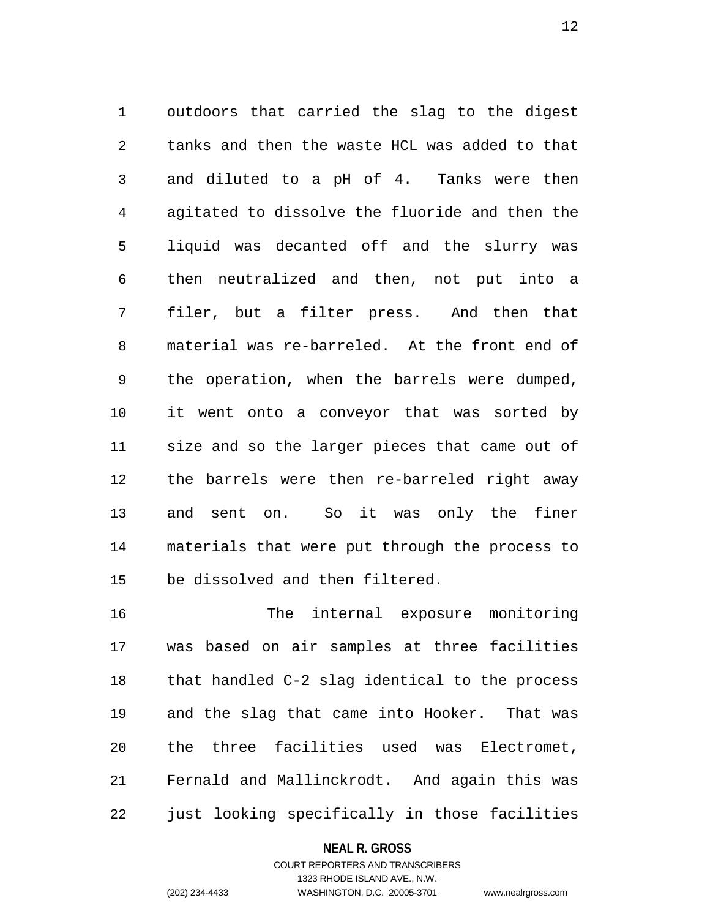1 outdoors that carried the slag to the digest 2 tanks and then the waste HCL was added to that 3 and diluted to a pH of 4. Tanks were then 4 agitated to dissolve the fluoride and then the 5 liquid was decanted off and the slurry was 6 then neutralized and then, not put into a 7 filer, but a filter press. And then that 8 material was re-barreled. At the front end of 9 the operation, when the barrels were dumped, 10 it went onto a conveyor that was sorted by 11 size and so the larger pieces that came out of 12 the barrels were then re-barreled right away 13 and sent on. So it was only the finer 14 materials that were put through the process to 15 be dissolved and then filtered.

16 The internal exposure monitoring 17 was based on air samples at three facilities 18 that handled C-2 slag identical to the process 19 and the slag that came into Hooker. That was 20 the three facilities used was Electromet, 21 Fernald and Mallinckrodt. And again this was 22 just looking specifically in those facilities

### **NEAL R. GROSS**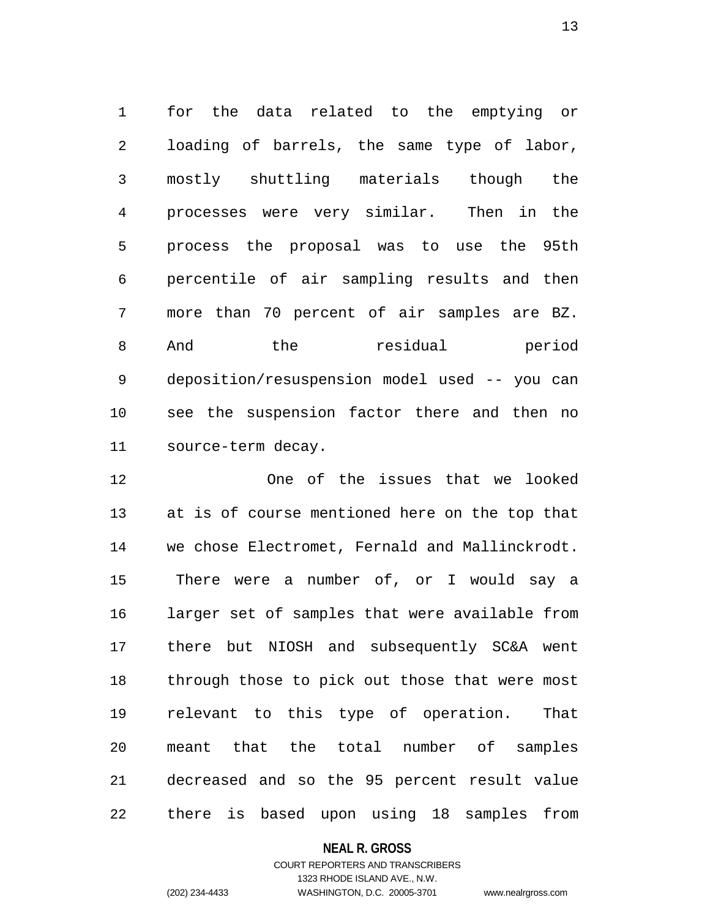1 for the data related to the emptying or 2 loading of barrels, the same type of labor, 3 mostly shuttling materials though the 4 processes were very similar. Then in the 5 process the proposal was to use the 95th 6 percentile of air sampling results and then 7 more than 70 percent of air samples are BZ. 8 And the residual period 9 deposition/resuspension model used -- you can 10 see the suspension factor there and then no 11 source-term decay.

12 One of the issues that we looked 13 at is of course mentioned here on the top that 14 we chose Electromet, Fernald and Mallinckrodt. 15 There were a number of, or I would say a 16 larger set of samples that were available from 17 there but NIOSH and subsequently SC&A went 18 through those to pick out those that were most 19 relevant to this type of operation. That 20 meant that the total number of samples 21 decreased and so the 95 percent result value 22 there is based upon using 18 samples from

### **NEAL R. GROSS**

# COURT REPORTERS AND TRANSCRIBERS 1323 RHODE ISLAND AVE., N.W. (202) 234-4433 WASHINGTON, D.C. 20005-3701 www.nealrgross.com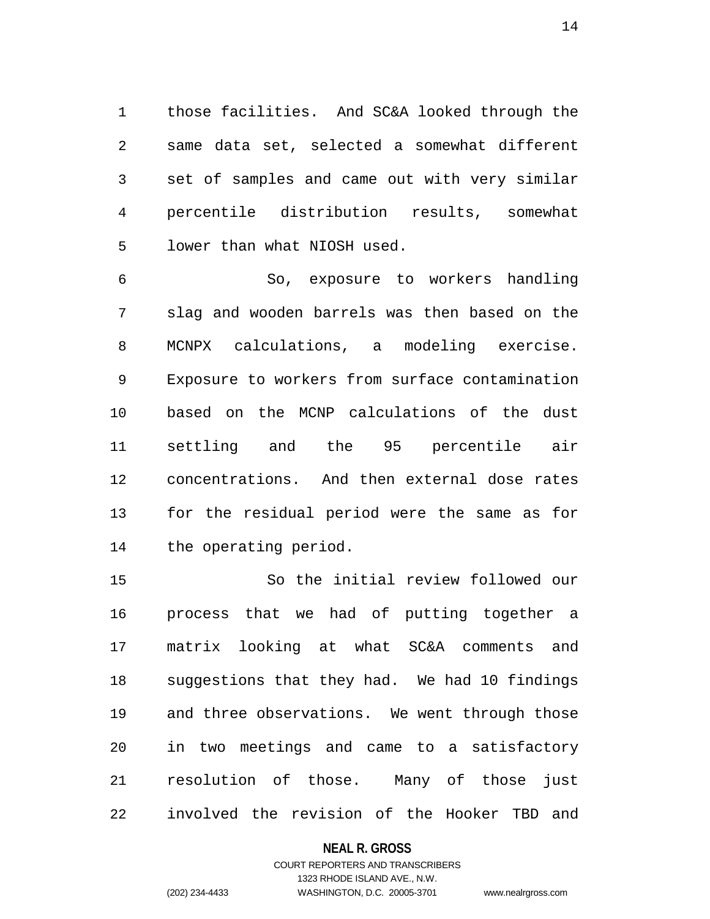1 those facilities. And SC&A looked through the 2 same data set, selected a somewhat different 3 set of samples and came out with very similar 4 percentile distribution results, somewhat 5 lower than what NIOSH used.

6 So, exposure to workers handling 7 slag and wooden barrels was then based on the 8 MCNPX calculations, a modeling exercise. 9 Exposure to workers from surface contamination 10 based on the MCNP calculations of the dust 11 settling and the 95 percentile air 12 concentrations. And then external dose rates 13 for the residual period were the same as for 14 the operating period.

15 So the initial review followed our 16 process that we had of putting together a 17 matrix looking at what SC&A comments and 18 suggestions that they had. We had 10 findings 19 and three observations. We went through those 20 in two meetings and came to a satisfactory 21 resolution of those. Many of those just 22 involved the revision of the Hooker TBD and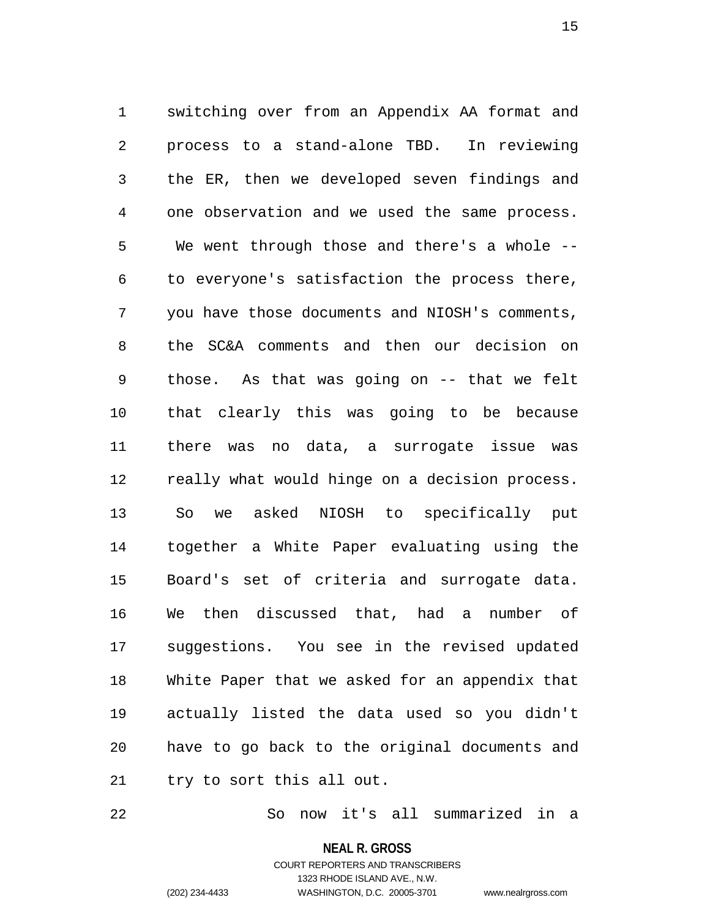1 switching over from an Appendix AA format and 2 process to a stand-alone TBD. In reviewing 3 the ER, then we developed seven findings and 4 one observation and we used the same process. 5 We went through those and there's a whole -- 6 to everyone's satisfaction the process there, 7 you have those documents and NIOSH's comments, 8 the SC&A comments and then our decision on 9 those. As that was going on -- that we felt 10 that clearly this was going to be because 11 there was no data, a surrogate issue was 12 really what would hinge on a decision process. 13 So we asked NIOSH to specifically put 14 together a White Paper evaluating using the 15 Board's set of criteria and surrogate data. 16 We then discussed that, had a number of 17 suggestions. You see in the revised updated 18 White Paper that we asked for an appendix that 19 actually listed the data used so you didn't 20 have to go back to the original documents and 21 try to sort this all out.

22 So now it's all summarized in a

**NEAL R. GROSS**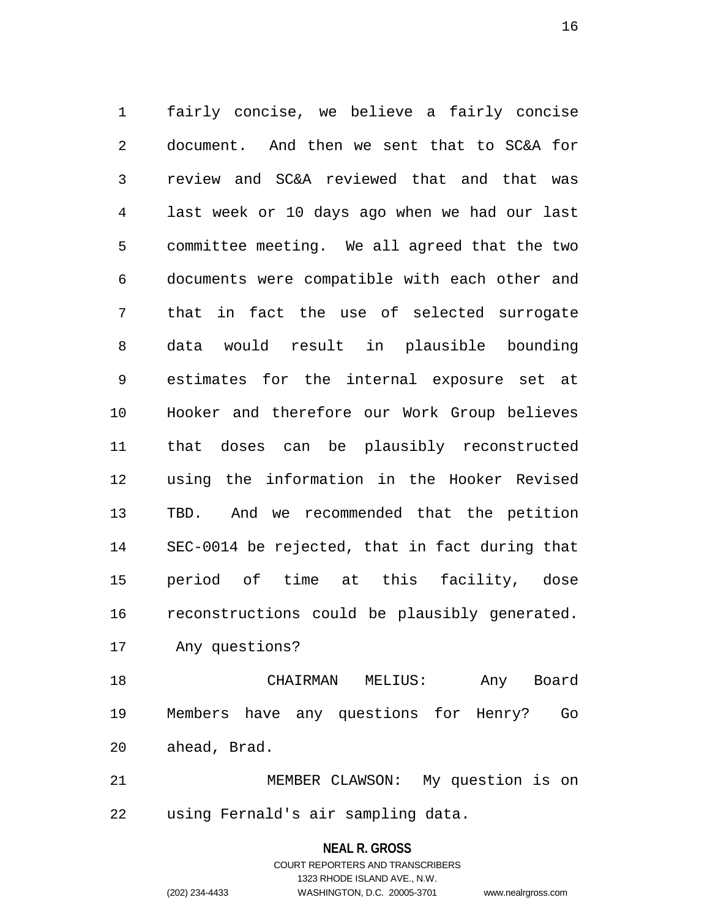1 fairly concise, we believe a fairly concise 2 document. And then we sent that to SC&A for 3 review and SC&A reviewed that and that was 4 last week or 10 days ago when we had our last 5 committee meeting. We all agreed that the two 6 documents were compatible with each other and 7 that in fact the use of selected surrogate 8 data would result in plausible bounding 9 estimates for the internal exposure set at 10 Hooker and therefore our Work Group believes 11 that doses can be plausibly reconstructed 12 using the information in the Hooker Revised 13 TBD. And we recommended that the petition 14 SEC-0014 be rejected, that in fact during that 15 period of time at this facility, dose 16 reconstructions could be plausibly generated. 17 Any questions?

18 CHAIRMAN MELIUS: Any Board 19 Members have any questions for Henry? Go 20 ahead, Brad.

21 MEMBER CLAWSON: My question is on 22 using Fernald's air sampling data.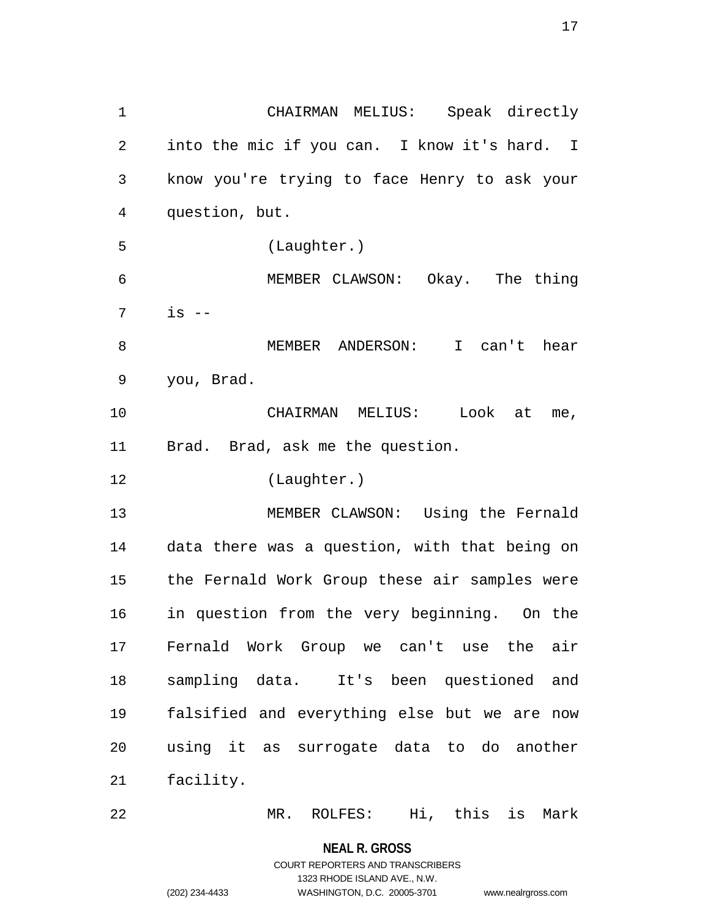1 CHAIRMAN MELIUS: Speak directly 2 into the mic if you can. I know it's hard. I 3 know you're trying to face Henry to ask your 4 question, but. 5 (Laughter.) 6 MEMBER CLAWSON: Okay. The thing  $7 \frac{\text{is} -}{}$ 8 MEMBER ANDERSON: I can't hear 9 you, Brad. 10 CHAIRMAN MELIUS: Look at me, 11 Brad. Brad, ask me the question. 12 (Laughter.) 13 MEMBER CLAWSON: Using the Fernald 14 data there was a question, with that being on 15 the Fernald Work Group these air samples were 16 in question from the very beginning. On the 17 Fernald Work Group we can't use the air 18 sampling data. It's been questioned and 19 falsified and everything else but we are now 20 using it as surrogate data to do another 21 facility. 22 MR. ROLFES: Hi, this is Mark

> **NEAL R. GROSS** COURT REPORTERS AND TRANSCRIBERS

> > 1323 RHODE ISLAND AVE., N.W.

(202) 234-4433 WASHINGTON, D.C. 20005-3701 www.nealrgross.com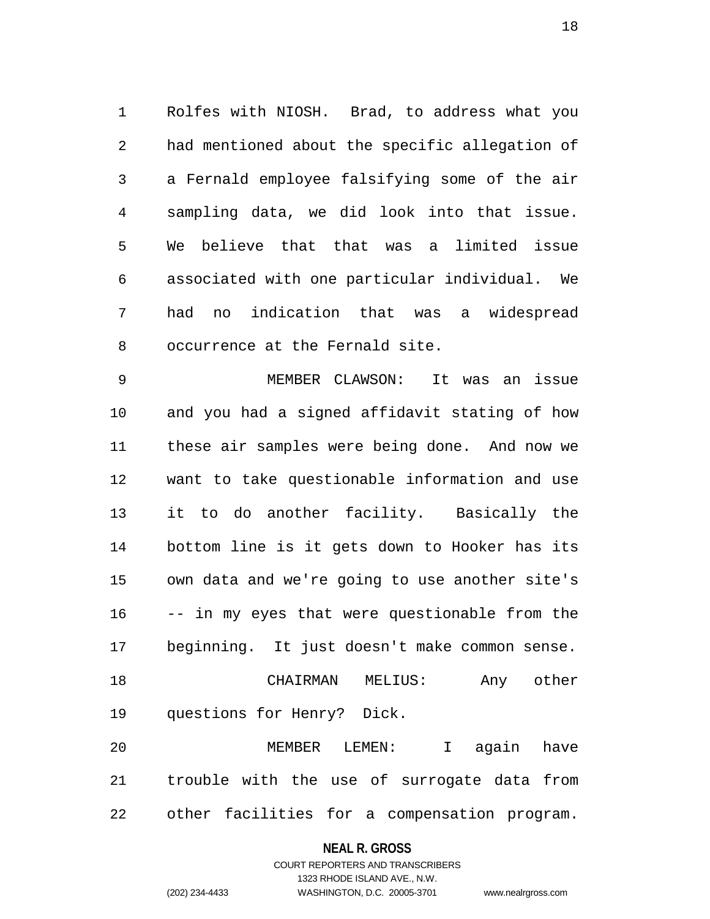1 Rolfes with NIOSH. Brad, to address what you 2 had mentioned about the specific allegation of 3 a Fernald employee falsifying some of the air 4 sampling data, we did look into that issue. 5 We believe that that was a limited issue 6 associated with one particular individual. We 7 had no indication that was a widespread 8 occurrence at the Fernald site.

9 MEMBER CLAWSON: It was an issue 10 and you had a signed affidavit stating of how 11 these air samples were being done. And now we 12 want to take questionable information and use 13 it to do another facility. Basically the 14 bottom line is it gets down to Hooker has its 15 own data and we're going to use another site's 16 -- in my eyes that were questionable from the 17 beginning. It just doesn't make common sense. 18 CHAIRMAN MELIUS: Any other 19 questions for Henry? Dick. 20 MEMBER LEMEN: I again have

21 trouble with the use of surrogate data from 22 other facilities for a compensation program.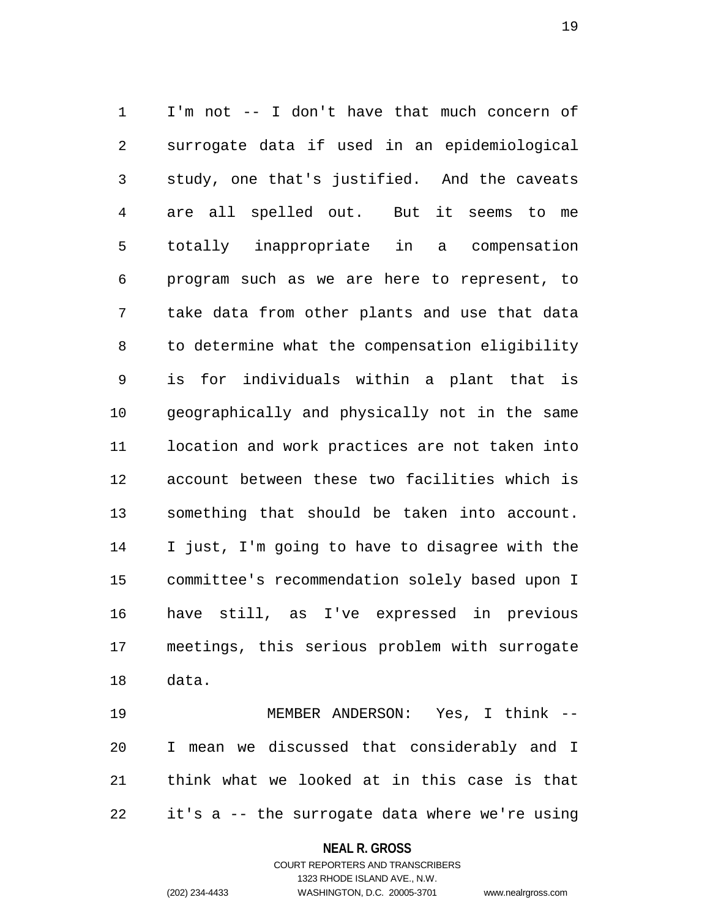1 I'm not -- I don't have that much concern of 2 surrogate data if used in an epidemiological 3 study, one that's justified. And the caveats 4 are all spelled out. But it seems to me 5 totally inappropriate in a compensation 6 program such as we are here to represent, to 7 take data from other plants and use that data 8 to determine what the compensation eligibility 9 is for individuals within a plant that is 10 geographically and physically not in the same 11 location and work practices are not taken into 12 account between these two facilities which is 13 something that should be taken into account. 14 I just, I'm going to have to disagree with the 15 committee's recommendation solely based upon I 16 have still, as I've expressed in previous 17 meetings, this serious problem with surrogate 18 data.

19 MEMBER ANDERSON: Yes, I think -- 20 I mean we discussed that considerably and I 21 think what we looked at in this case is that 22 it's a -- the surrogate data where we're using

### **NEAL R. GROSS**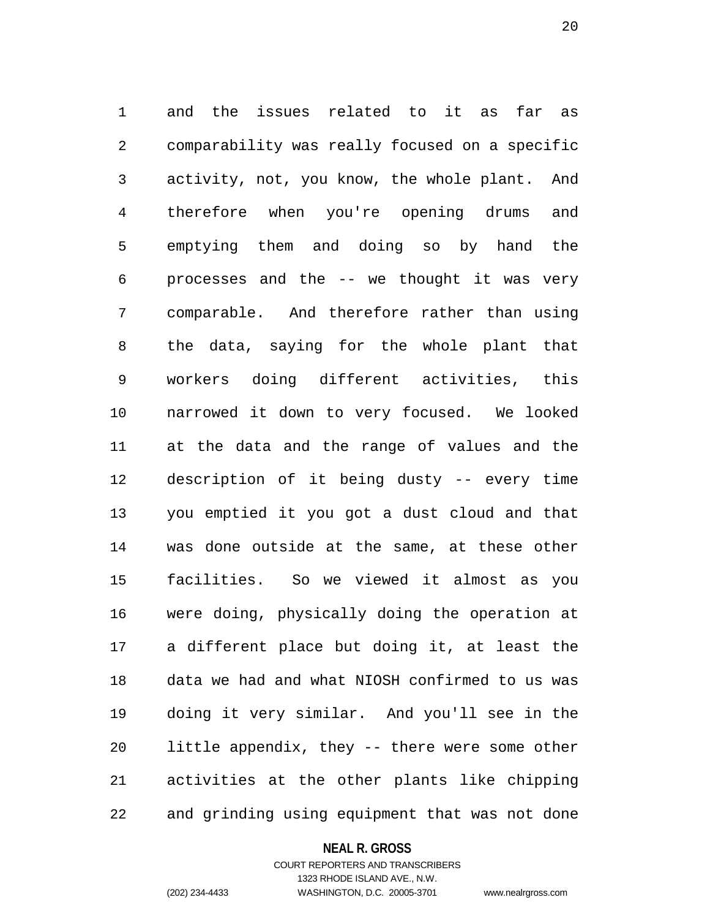1 and the issues related to it as far as 2 comparability was really focused on a specific 3 activity, not, you know, the whole plant. And 4 therefore when you're opening drums and 5 emptying them and doing so by hand the 6 processes and the -- we thought it was very 7 comparable. And therefore rather than using 8 the data, saying for the whole plant that 9 workers doing different activities, this 10 narrowed it down to very focused. We looked 11 at the data and the range of values and the 12 description of it being dusty -- every time 13 you emptied it you got a dust cloud and that 14 was done outside at the same, at these other 15 facilities. So we viewed it almost as you 16 were doing, physically doing the operation at 17 a different place but doing it, at least the 18 data we had and what NIOSH confirmed to us was 19 doing it very similar. And you'll see in the 20 little appendix, they -- there were some other 21 activities at the other plants like chipping 22 and grinding using equipment that was not done

### **NEAL R. GROSS**

# COURT REPORTERS AND TRANSCRIBERS 1323 RHODE ISLAND AVE., N.W. (202) 234-4433 WASHINGTON, D.C. 20005-3701 www.nealrgross.com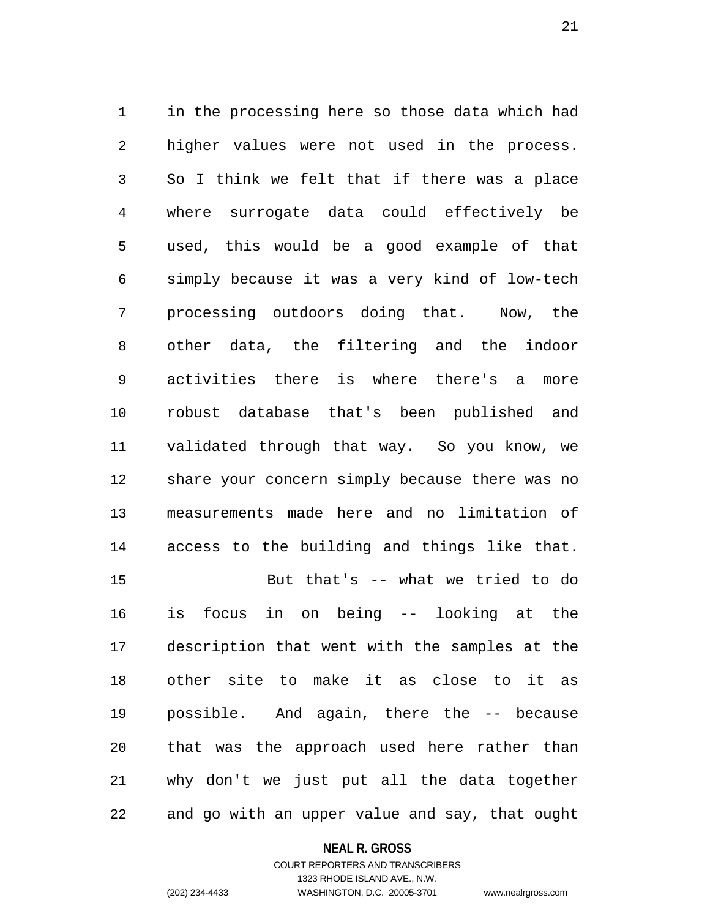1 in the processing here so those data which had 2 higher values were not used in the process. 3 So I think we felt that if there was a place 4 where surrogate data could effectively be 5 used, this would be a good example of that 6 simply because it was a very kind of low-tech 7 processing outdoors doing that. Now, the 8 other data, the filtering and the indoor 9 activities there is where there's a more 10 robust database that's been published and 11 validated through that way. So you know, we 12 share your concern simply because there was no 13 measurements made here and no limitation of 14 access to the building and things like that. 15 But that's -- what we tried to do 16 is focus in on being -- looking at the 17 description that went with the samples at the 18 other site to make it as close to it as 19 possible. And again, there the -- because 20 that was the approach used here rather than 21 why don't we just put all the data together 22 and go with an upper value and say, that ought

#### **NEAL R. GROSS**

# COURT REPORTERS AND TRANSCRIBERS 1323 RHODE ISLAND AVE., N.W. (202) 234-4433 WASHINGTON, D.C. 20005-3701 www.nealrgross.com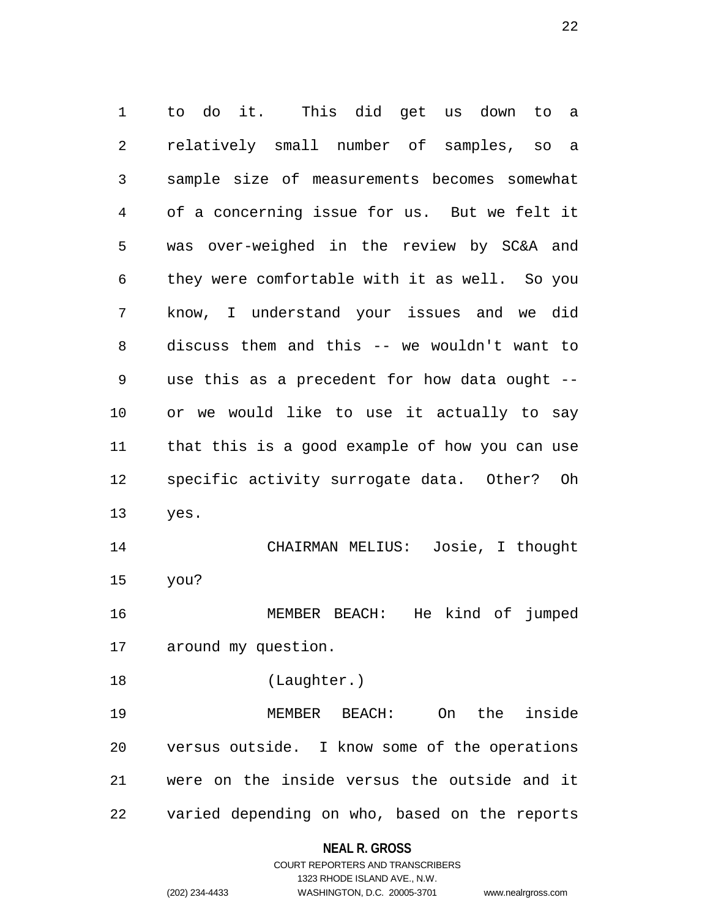1 to do it. This did get us down to a 2 relatively small number of samples, so a 3 sample size of measurements becomes somewhat 4 of a concerning issue for us. But we felt it 5 was over-weighed in the review by SC&A and 6 they were comfortable with it as well. So you 7 know, I understand your issues and we did 8 discuss them and this -- we wouldn't want to 9 use this as a precedent for how data ought -- 10 or we would like to use it actually to say 11 that this is a good example of how you can use 12 specific activity surrogate data. Other? Oh 13 yes. 14 CHAIRMAN MELIUS: Josie, I thought 15 you? 16 MEMBER BEACH: He kind of jumped 17 around my question. 18 (Laughter.) 19 MEMBER BEACH: On the inside 20 versus outside. I know some of the operations 21 were on the inside versus the outside and it 22 varied depending on who, based on the reports

**NEAL R. GROSS**

COURT REPORTERS AND TRANSCRIBERS 1323 RHODE ISLAND AVE., N.W. (202) 234-4433 WASHINGTON, D.C. 20005-3701 www.nealrgross.com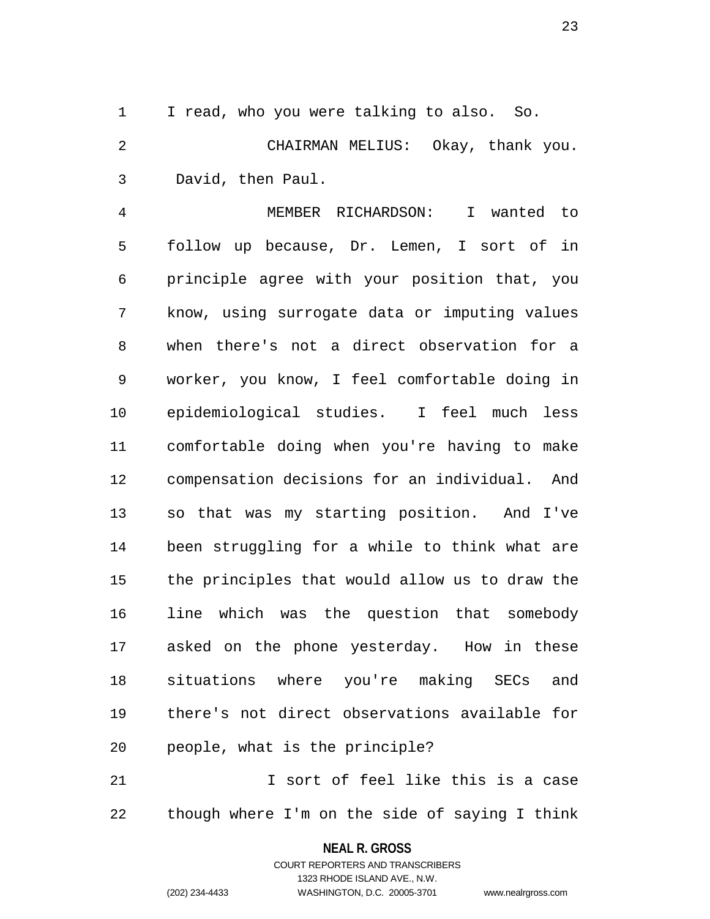1 I read, who you were talking to also. So.

2 CHAIRMAN MELIUS: Okay, thank you. 3 David, then Paul.

4 MEMBER RICHARDSON: I wanted to 5 follow up because, Dr. Lemen, I sort of in 6 principle agree with your position that, you 7 know, using surrogate data or imputing values 8 when there's not a direct observation for a 9 worker, you know, I feel comfortable doing in 10 epidemiological studies. I feel much less 11 comfortable doing when you're having to make 12 compensation decisions for an individual. And 13 so that was my starting position. And I've 14 been struggling for a while to think what are 15 the principles that would allow us to draw the 16 line which was the question that somebody 17 asked on the phone yesterday. How in these 18 situations where you're making SECs and 19 there's not direct observations available for 20 people, what is the principle?

21 I sort of feel like this is a case 22 though where I'm on the side of saying I think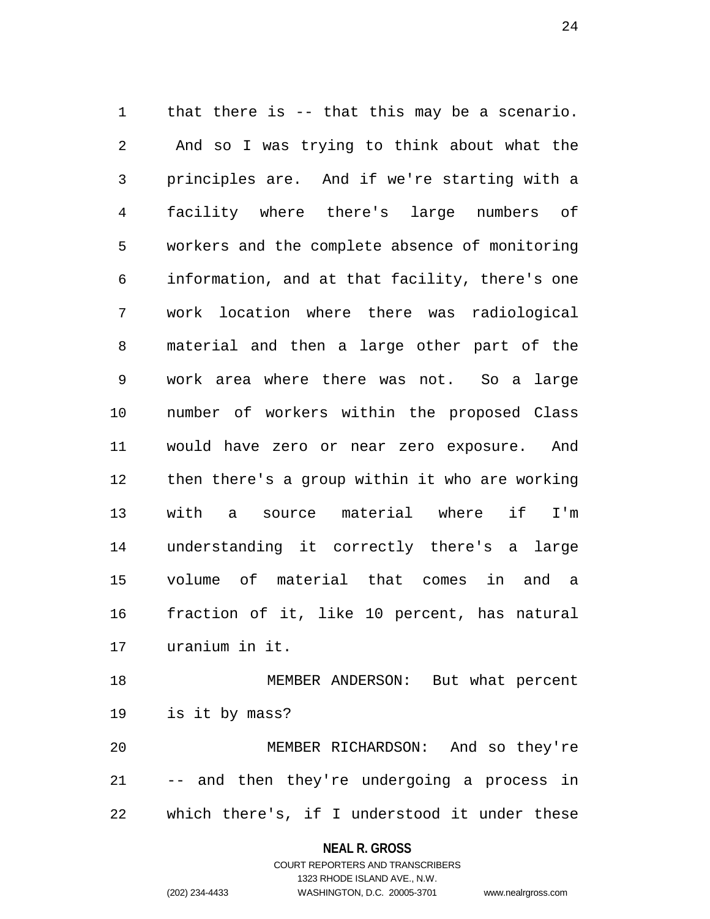1 that there is -- that this may be a scenario. 2 And so I was trying to think about what the 3 principles are. And if we're starting with a 4 facility where there's large numbers of 5 workers and the complete absence of monitoring 6 information, and at that facility, there's one 7 work location where there was radiological 8 material and then a large other part of the 9 work area where there was not. So a large 10 number of workers within the proposed Class 11 would have zero or near zero exposure. And 12 then there's a group within it who are working 13 with a source material where if I'm 14 understanding it correctly there's a large 15 volume of material that comes in and a 16 fraction of it, like 10 percent, has natural 17 uranium in it.

18 MEMBER ANDERSON: But what percent 19 is it by mass? 20 MEMBER RICHARDSON: And so they're

21 -- and then they're undergoing a process in 22 which there's, if I understood it under these

### **NEAL R. GROSS**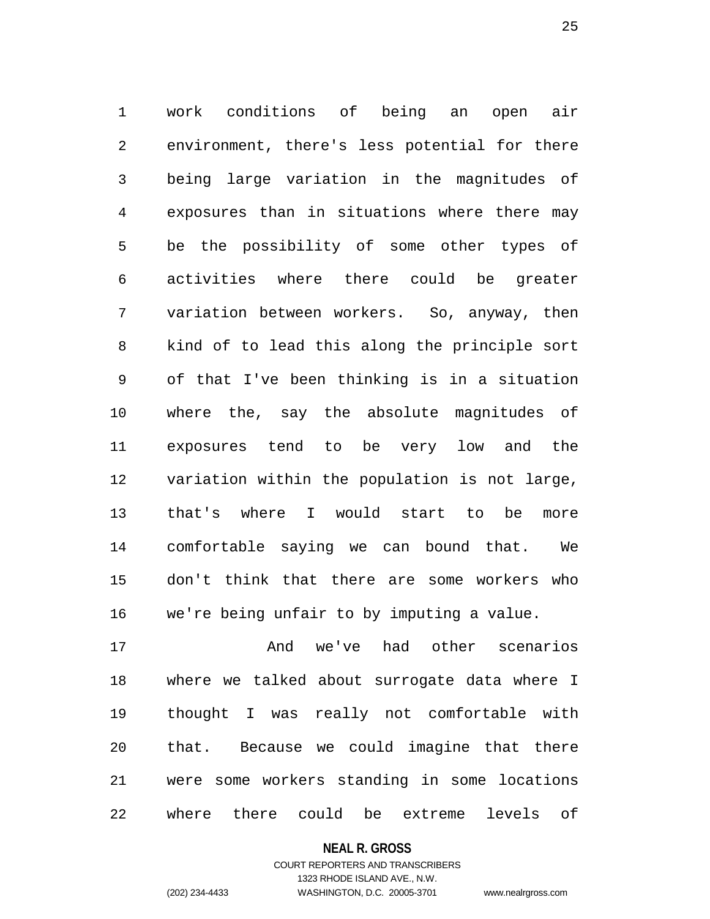1 work conditions of being an open air 2 environment, there's less potential for there 3 being large variation in the magnitudes of 4 exposures than in situations where there may 5 be the possibility of some other types of 6 activities where there could be greater 7 variation between workers. So, anyway, then 8 kind of to lead this along the principle sort 9 of that I've been thinking is in a situation 10 where the, say the absolute magnitudes of 11 exposures tend to be very low and the 12 variation within the population is not large, 13 that's where I would start to be more 14 comfortable saying we can bound that. We 15 don't think that there are some workers who 16 we're being unfair to by imputing a value.

17 And we've had other scenarios 18 where we talked about surrogate data where I 19 thought I was really not comfortable with 20 that. Because we could imagine that there 21 were some workers standing in some locations 22 where there could be extreme levels of

**NEAL R. GROSS**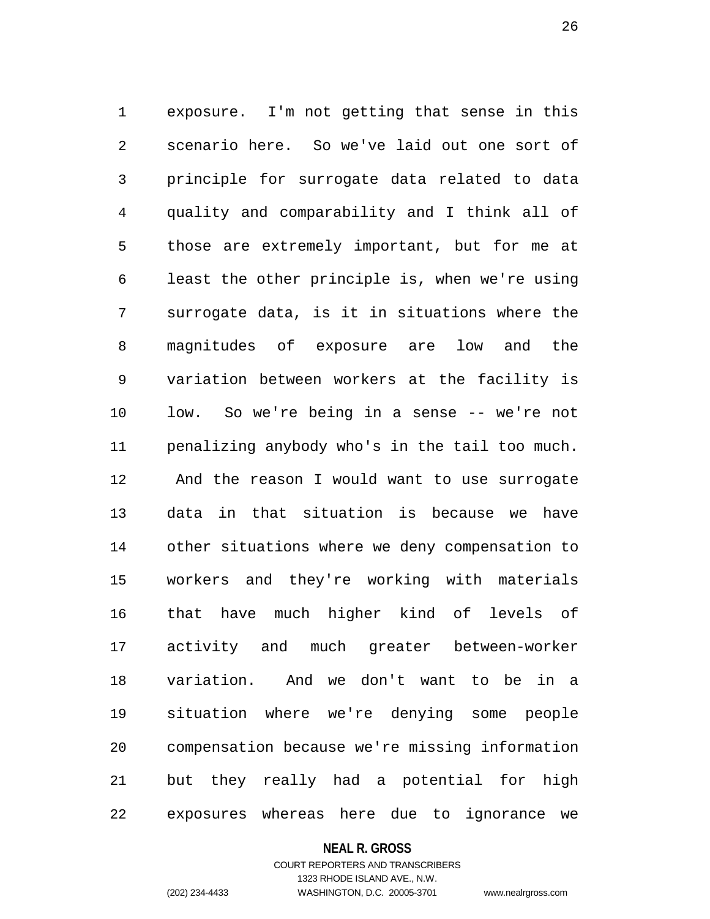1 exposure. I'm not getting that sense in this 2 scenario here. So we've laid out one sort of 3 principle for surrogate data related to data 4 quality and comparability and I think all of 5 those are extremely important, but for me at 6 least the other principle is, when we're using 7 surrogate data, is it in situations where the 8 magnitudes of exposure are low and the 9 variation between workers at the facility is 10 low. So we're being in a sense -- we're not 11 penalizing anybody who's in the tail too much. 12 And the reason I would want to use surrogate 13 data in that situation is because we have 14 other situations where we deny compensation to 15 workers and they're working with materials 16 that have much higher kind of levels of 17 activity and much greater between-worker 18 variation. And we don't want to be in a 19 situation where we're denying some people 20 compensation because we're missing information 21 but they really had a potential for high 22 exposures whereas here due to ignorance we

#### **NEAL R. GROSS**

# COURT REPORTERS AND TRANSCRIBERS 1323 RHODE ISLAND AVE., N.W. (202) 234-4433 WASHINGTON, D.C. 20005-3701 www.nealrgross.com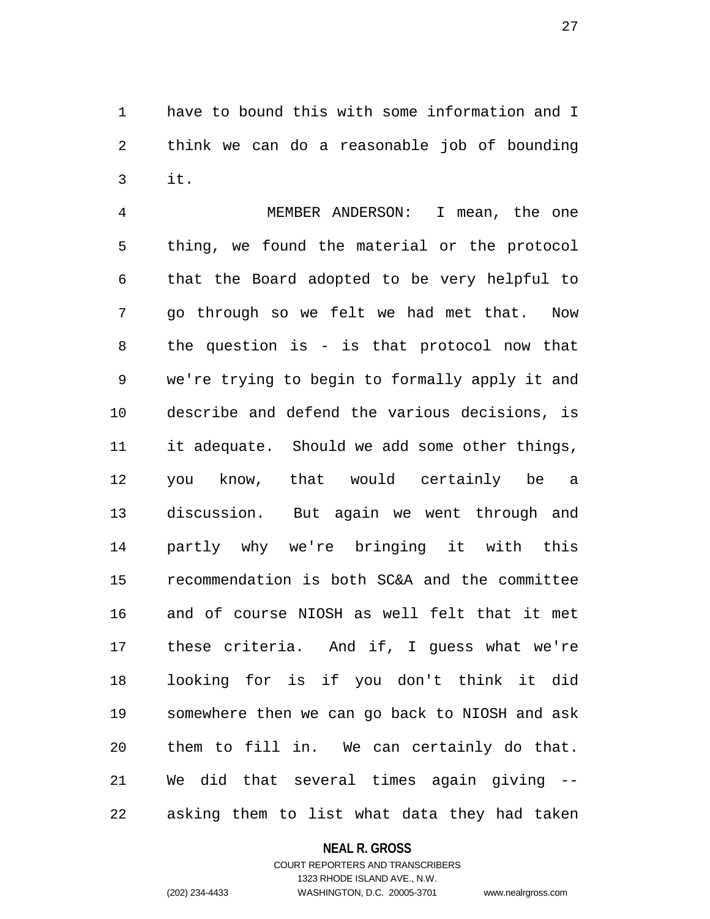1 have to bound this with some information and I 2 think we can do a reasonable job of bounding 3 it.

4 MEMBER ANDERSON: I mean, the one 5 thing, we found the material or the protocol 6 that the Board adopted to be very helpful to 7 go through so we felt we had met that. Now 8 the question is - is that protocol now that 9 we're trying to begin to formally apply it and 10 describe and defend the various decisions, is 11 it adequate. Should we add some other things, 12 you know, that would certainly be a 13 discussion. But again we went through and 14 partly why we're bringing it with this 15 recommendation is both SC&A and the committee 16 and of course NIOSH as well felt that it met 17 these criteria. And if, I guess what we're 18 looking for is if you don't think it did 19 somewhere then we can go back to NIOSH and ask 20 them to fill in. We can certainly do that. 21 We did that several times again giving -- 22 asking them to list what data they had taken

### **NEAL R. GROSS**

# COURT REPORTERS AND TRANSCRIBERS 1323 RHODE ISLAND AVE., N.W. (202) 234-4433 WASHINGTON, D.C. 20005-3701 www.nealrgross.com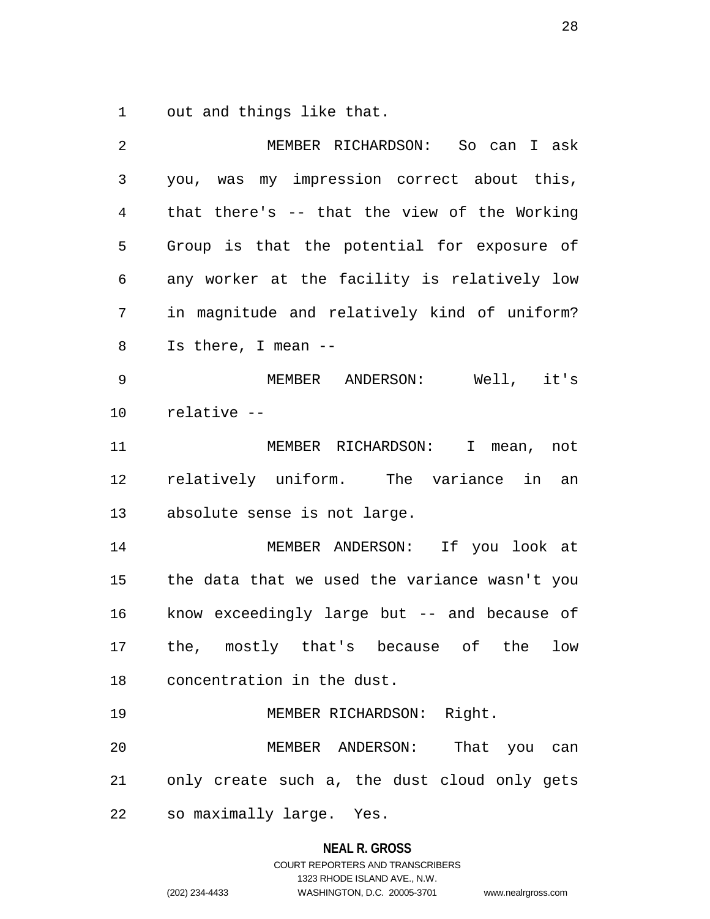1 out and things like that.

| 2              | MEMBER RICHARDSON: So can I ask               |
|----------------|-----------------------------------------------|
| $\mathfrak{Z}$ | you, was my impression correct about this,    |
| $\overline{4}$ | that there's -- that the view of the Working  |
| 5              | Group is that the potential for exposure of   |
| 6              | any worker at the facility is relatively low  |
| 7              | in magnitude and relatively kind of uniform?  |
| 8              | Is there, I mean --                           |
| 9              | MEMBER ANDERSON: Well, it's                   |
| 10             | relative --                                   |
| 11             | MEMBER RICHARDSON: I mean, not                |
| 12             | relatively uniform. The variance in an        |
| 13             | absolute sense is not large.                  |
| 14             | MEMBER ANDERSON: If you look at               |
| 15             | the data that we used the variance wasn't you |
| 16             | know exceedingly large but -- and because of  |
| 17             | the, mostly that's because of the low         |
| 18             | concentration in the dust.                    |
| 19             | MEMBER RICHARDSON: Right.                     |
| 20             | That you can<br>MEMBER ANDERSON:              |
| 21             | only create such a, the dust cloud only gets  |
| 22             | so maximally large. Yes.                      |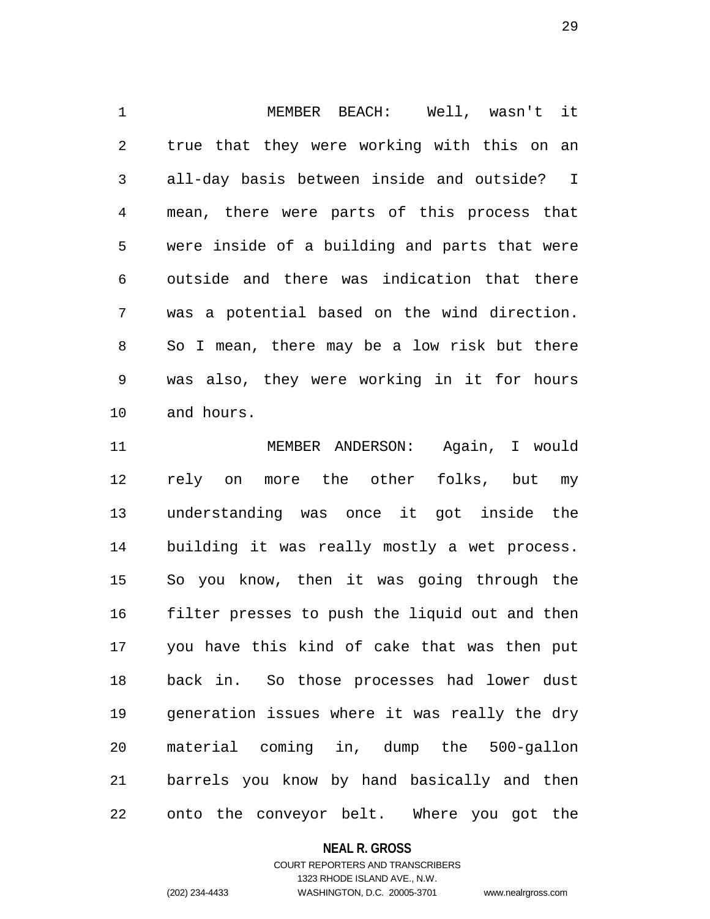1 MEMBER BEACH: Well, wasn't it 2 true that they were working with this on an 3 all-day basis between inside and outside? I 4 mean, there were parts of this process that 5 were inside of a building and parts that were 6 outside and there was indication that there 7 was a potential based on the wind direction. 8 So I mean, there may be a low risk but there 9 was also, they were working in it for hours 10 and hours.

11 MEMBER ANDERSON: Again, I would 12 rely on more the other folks, but my 13 understanding was once it got inside the 14 building it was really mostly a wet process. 15 So you know, then it was going through the 16 filter presses to push the liquid out and then 17 you have this kind of cake that was then put 18 back in. So those processes had lower dust 19 generation issues where it was really the dry 20 material coming in, dump the 500-gallon 21 barrels you know by hand basically and then 22 onto the conveyor belt. Where you got the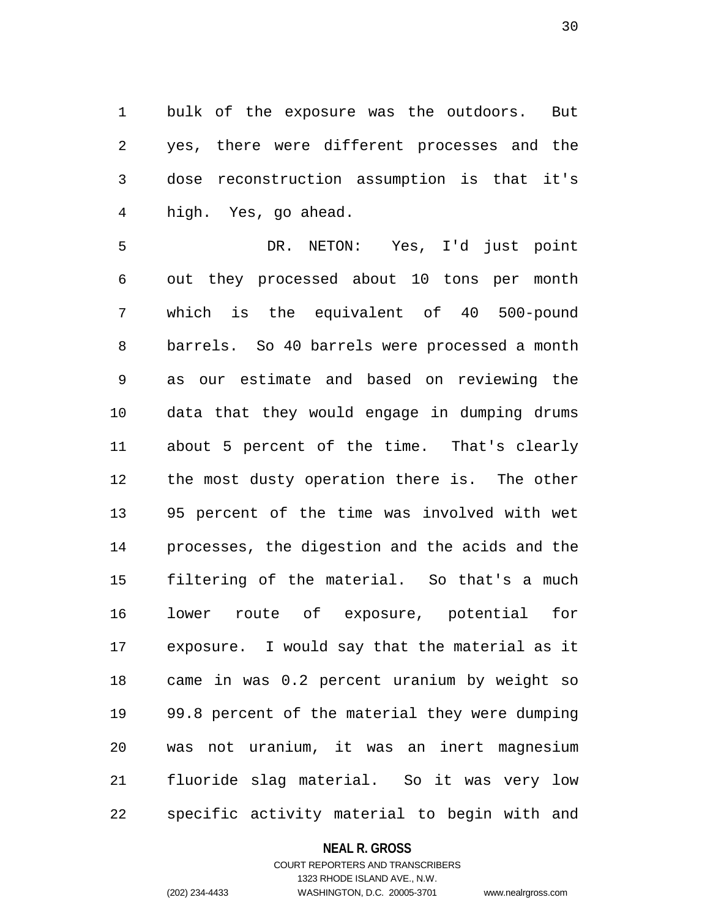1 bulk of the exposure was the outdoors. But 2 yes, there were different processes and the 3 dose reconstruction assumption is that it's 4 high. Yes, go ahead.

5 DR. NETON: Yes, I'd just point 6 out they processed about 10 tons per month 7 which is the equivalent of 40 500-pound 8 barrels. So 40 barrels were processed a month 9 as our estimate and based on reviewing the 10 data that they would engage in dumping drums 11 about 5 percent of the time. That's clearly 12 the most dusty operation there is. The other 13 95 percent of the time was involved with wet 14 processes, the digestion and the acids and the 15 filtering of the material. So that's a much 16 lower route of exposure, potential for 17 exposure. I would say that the material as it 18 came in was 0.2 percent uranium by weight so 19 99.8 percent of the material they were dumping 20 was not uranium, it was an inert magnesium 21 fluoride slag material. So it was very low 22 specific activity material to begin with and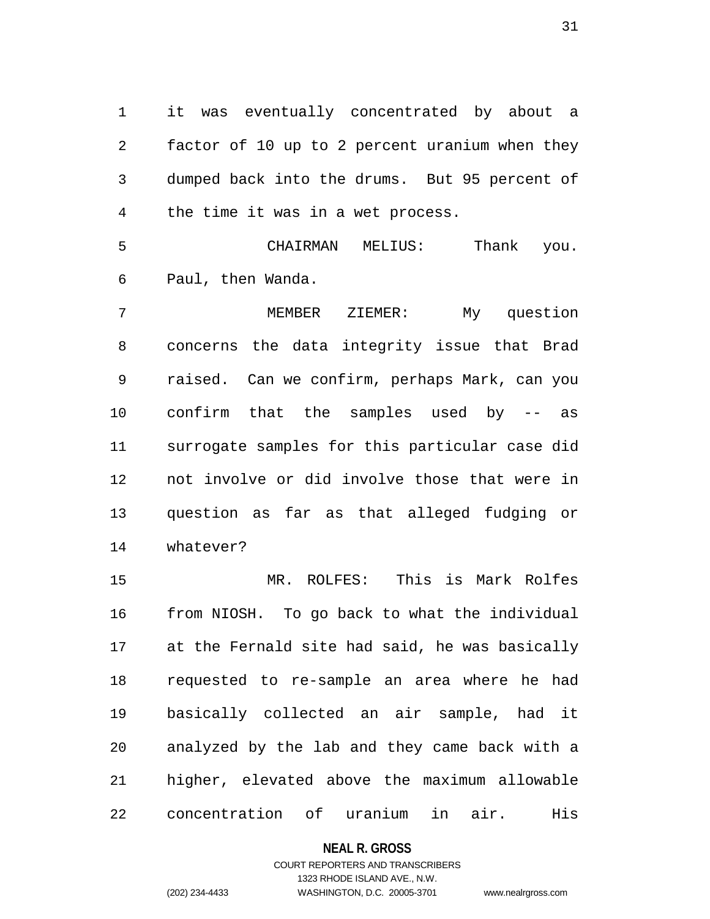1 it was eventually concentrated by about a 2 factor of 10 up to 2 percent uranium when they 3 dumped back into the drums. But 95 percent of 4 the time it was in a wet process.

5 CHAIRMAN MELIUS: Thank you. 6 Paul, then Wanda.

7 MEMBER ZIEMER: My question 8 concerns the data integrity issue that Brad 9 raised. Can we confirm, perhaps Mark, can you 10 confirm that the samples used by -- as 11 surrogate samples for this particular case did 12 not involve or did involve those that were in 13 question as far as that alleged fudging or 14 whatever?

15 MR. ROLFES: This is Mark Rolfes 16 from NIOSH. To go back to what the individual 17 at the Fernald site had said, he was basically 18 requested to re-sample an area where he had 19 basically collected an air sample, had it 20 analyzed by the lab and they came back with a 21 higher, elevated above the maximum allowable 22 concentration of uranium in air. His

### **NEAL R. GROSS**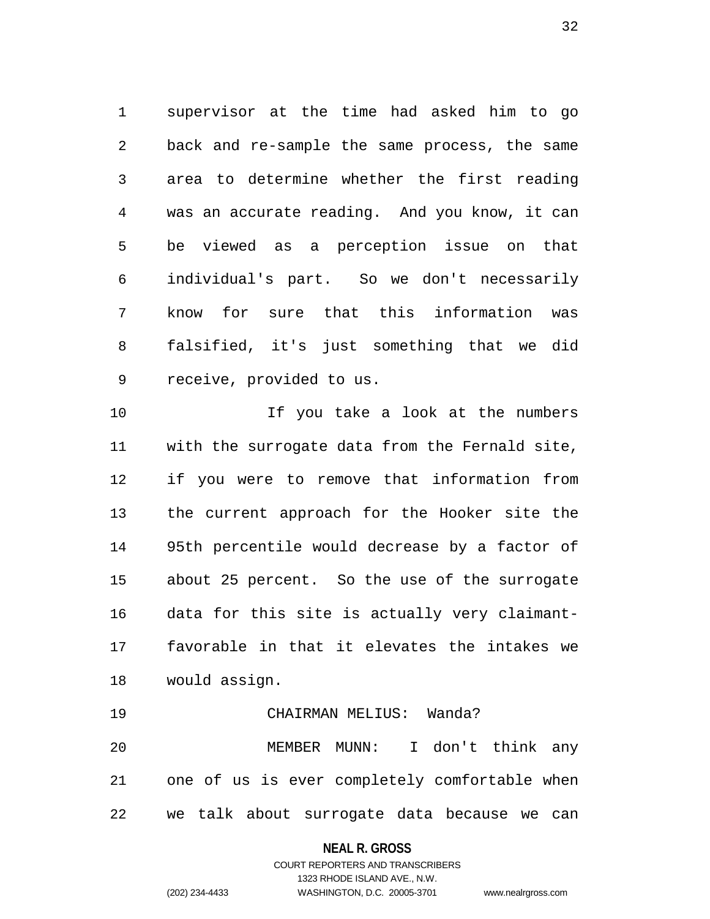1 supervisor at the time had asked him to go 2 back and re-sample the same process, the same 3 area to determine whether the first reading 4 was an accurate reading. And you know, it can 5 be viewed as a perception issue on that 6 individual's part. So we don't necessarily 7 know for sure that this information was 8 falsified, it's just something that we did 9 receive, provided to us.

10 If you take a look at the numbers 11 with the surrogate data from the Fernald site, 12 if you were to remove that information from 13 the current approach for the Hooker site the 14 95th percentile would decrease by a factor of 15 about 25 percent. So the use of the surrogate 16 data for this site is actually very claimant-17 favorable in that it elevates the intakes we 18 would assign.

19 CHAIRMAN MELIUS: Wanda? 20 MEMBER MUNN: I don't think any 21 one of us is ever completely comfortable when 22 we talk about surrogate data because we can

# **NEAL R. GROSS**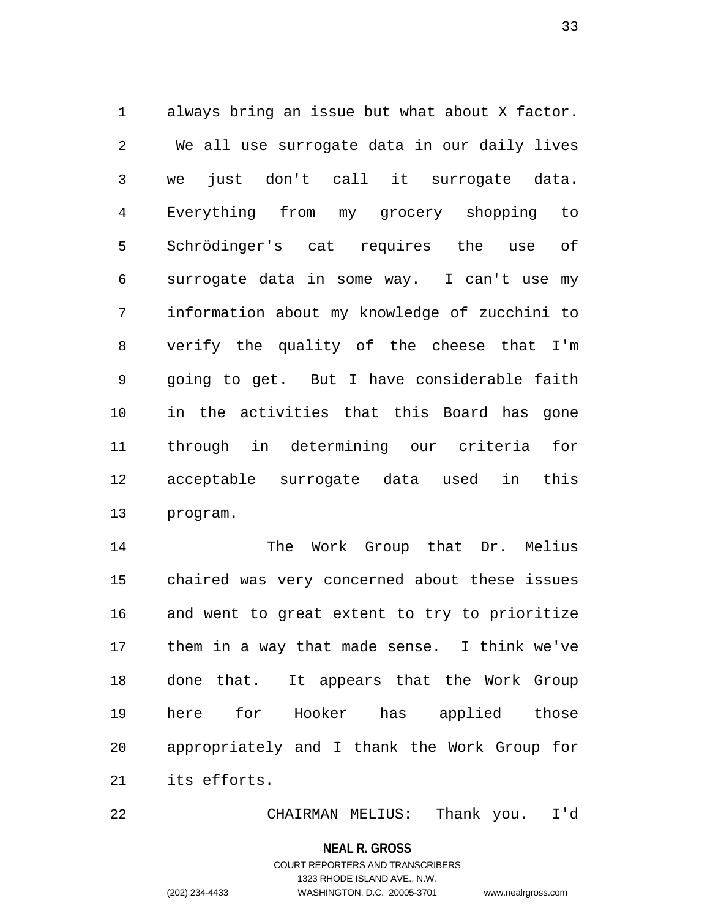1 always bring an issue but what about X factor. 2 We all use surrogate data in our daily lives 3 we just don't call it surrogate data. 4 Everything from my grocery shopping to 5 Schrödinger's cat requires the use of 6 surrogate data in some way. I can't use my 7 information about my knowledge of zucchini to 8 verify the quality of the cheese that I'm 9 going to get. But I have considerable faith 10 in the activities that this Board has gone 11 through in determining our criteria for 12 acceptable surrogate data used in this 13 program.

14 The Work Group that Dr. Melius 15 chaired was very concerned about these issues 16 and went to great extent to try to prioritize 17 them in a way that made sense. I think we've 18 done that. It appears that the Work Group 19 here for Hooker has applied those 20 appropriately and I thank the Work Group for 21 its efforts.

22 CHAIRMAN MELIUS: Thank you. I'd

**NEAL R. GROSS**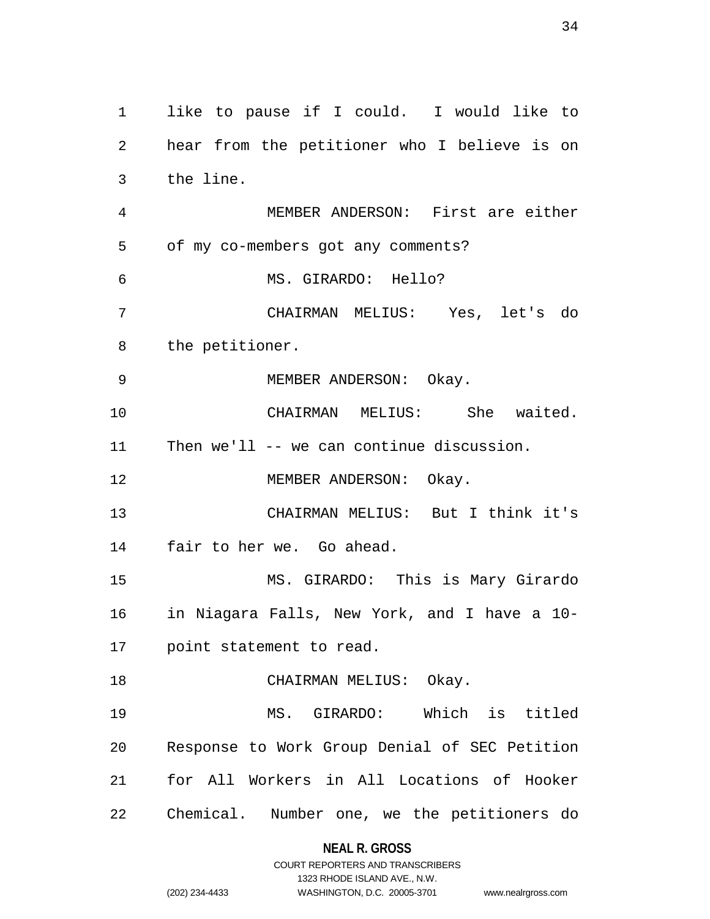1 like to pause if I could. I would like to 2 hear from the petitioner who I believe is on 3 the line. 4 MEMBER ANDERSON: First are either 5 of my co-members got any comments? 6 MS. GIRARDO: Hello? 7 CHAIRMAN MELIUS: Yes, let's do 8 the petitioner. 9 MEMBER ANDERSON: Okay. 10 CHAIRMAN MELIUS: She waited. 11 Then we'll -- we can continue discussion. 12 MEMBER ANDERSON: Okay. 13 CHAIRMAN MELIUS: But I think it's 14 fair to her we. Go ahead. 15 MS. GIRARDO: This is Mary Girardo 16 in Niagara Falls, New York, and I have a 10- 17 point statement to read. 18 CHAIRMAN MELIUS: Okay. 19 MS. GIRARDO: Which is titled 20 Response to Work Group Denial of SEC Petition 21 for All Workers in All Locations of Hooker 22 Chemical. Number one, we the petitioners do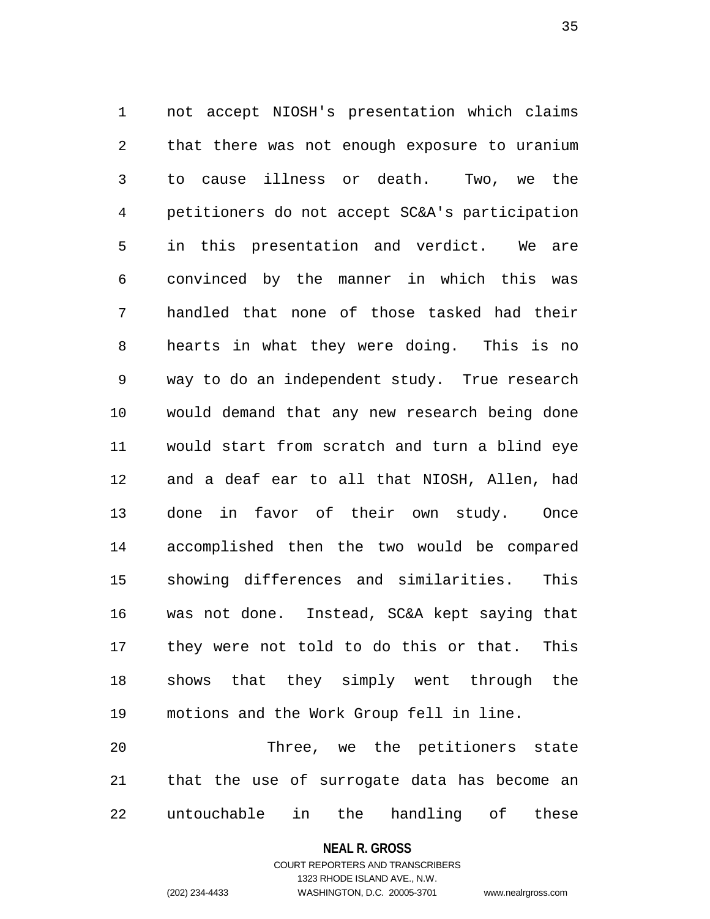1 not accept NIOSH's presentation which claims 2 that there was not enough exposure to uranium 3 to cause illness or death. Two, we the 4 petitioners do not accept SC&A's participation 5 in this presentation and verdict. We are 6 convinced by the manner in which this was 7 handled that none of those tasked had their 8 hearts in what they were doing. This is no 9 way to do an independent study. True research 10 would demand that any new research being done 11 would start from scratch and turn a blind eye 12 and a deaf ear to all that NIOSH, Allen, had 13 done in favor of their own study. Once 14 accomplished then the two would be compared 15 showing differences and similarities. This 16 was not done. Instead, SC&A kept saying that 17 they were not told to do this or that. This 18 shows that they simply went through the 19 motions and the Work Group fell in line.

20 Three, we the petitioners state 21 that the use of surrogate data has become an 22 untouchable in the handling of these

**NEAL R. GROSS**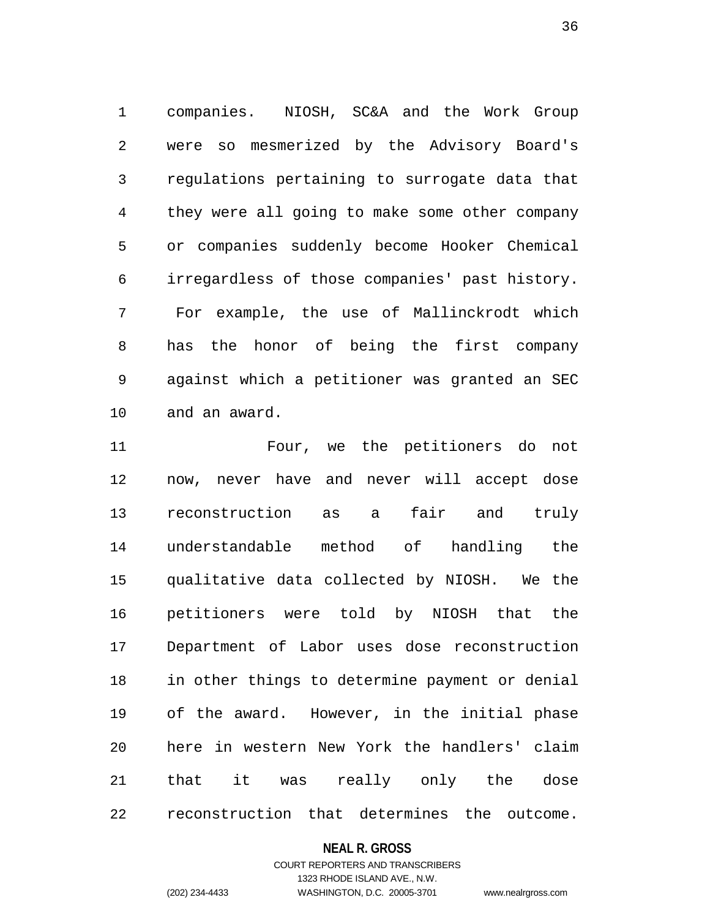1 companies. NIOSH, SC&A and the Work Group 2 were so mesmerized by the Advisory Board's 3 regulations pertaining to surrogate data that 4 they were all going to make some other company 5 or companies suddenly become Hooker Chemical 6 irregardless of those companies' past history. 7 For example, the use of Mallinckrodt which 8 has the honor of being the first company 9 against which a petitioner was granted an SEC 10 and an award.

11 Four, we the petitioners do not 12 now, never have and never will accept dose 13 reconstruction as a fair and truly 14 understandable method of handling the 15 qualitative data collected by NIOSH. We the 16 petitioners were told by NIOSH that the 17 Department of Labor uses dose reconstruction 18 in other things to determine payment or denial 19 of the award. However, in the initial phase 20 here in western New York the handlers' claim 21 that it was really only the dose 22 reconstruction that determines the outcome.

### **NEAL R. GROSS**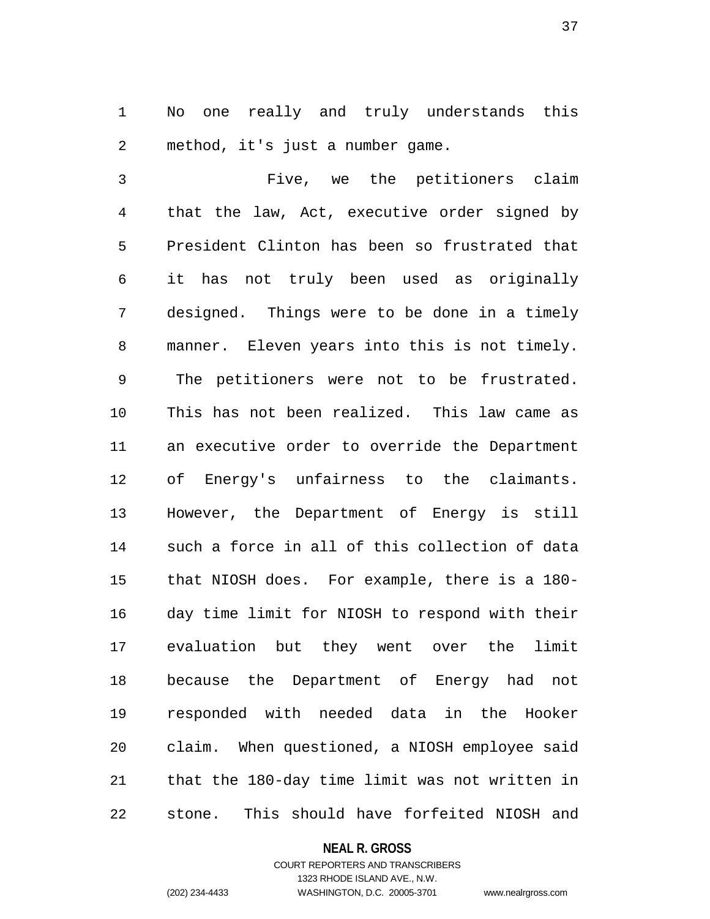1 No one really and truly understands this 2 method, it's just a number game.

3 Five, we the petitioners claim 4 that the law, Act, executive order signed by 5 President Clinton has been so frustrated that 6 it has not truly been used as originally 7 designed. Things were to be done in a timely 8 manner. Eleven years into this is not timely. 9 The petitioners were not to be frustrated. 10 This has not been realized. This law came as 11 an executive order to override the Department 12 of Energy's unfairness to the claimants. 13 However, the Department of Energy is still 14 such a force in all of this collection of data 15 that NIOSH does. For example, there is a 180- 16 day time limit for NIOSH to respond with their 17 evaluation but they went over the limit 18 because the Department of Energy had not 19 responded with needed data in the Hooker 20 claim. When questioned, a NIOSH employee said 21 that the 180-day time limit was not written in 22 stone. This should have forfeited NIOSH and

### **NEAL R. GROSS**

## COURT REPORTERS AND TRANSCRIBERS 1323 RHODE ISLAND AVE., N.W. (202) 234-4433 WASHINGTON, D.C. 20005-3701 www.nealrgross.com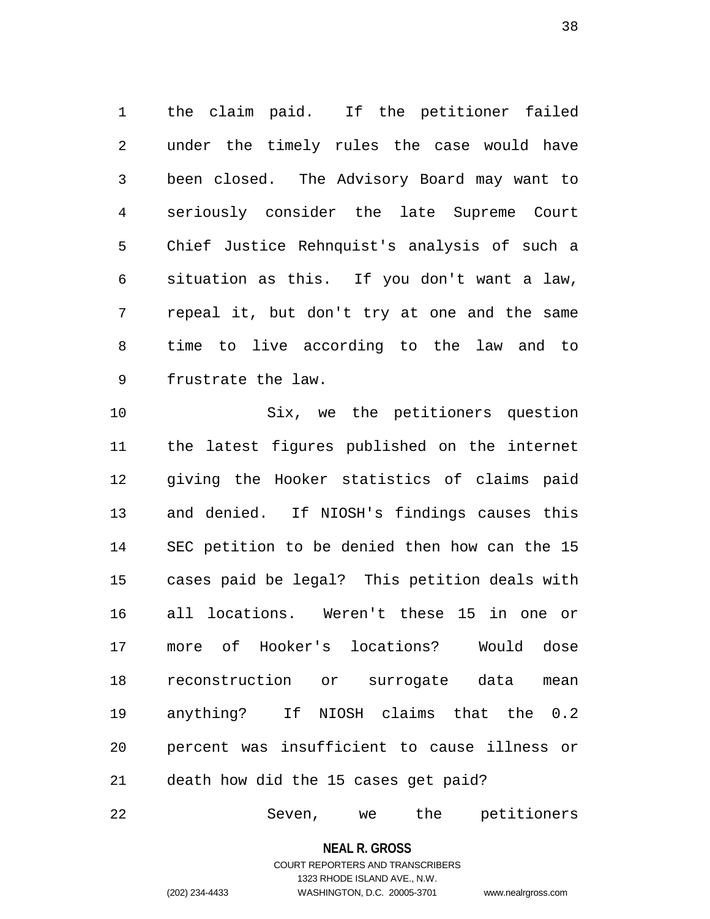1 the claim paid. If the petitioner failed 2 under the timely rules the case would have 3 been closed. The Advisory Board may want to 4 seriously consider the late Supreme Court 5 Chief Justice Rehnquist's analysis of such a 6 situation as this. If you don't want a law, 7 repeal it, but don't try at one and the same 8 time to live according to the law and to 9 frustrate the law.

10 Six, we the petitioners question 11 the latest figures published on the internet 12 giving the Hooker statistics of claims paid 13 and denied. If NIOSH's findings causes this 14 SEC petition to be denied then how can the 15 15 cases paid be legal? This petition deals with 16 all locations. Weren't these 15 in one or 17 more of Hooker's locations? Would dose 18 reconstruction or surrogate data mean 19 anything? If NIOSH claims that the 0.2 20 percent was insufficient to cause illness or 21 death how did the 15 cases get paid?

22 Seven, we the petitioners

**NEAL R. GROSS**

COURT REPORTERS AND TRANSCRIBERS 1323 RHODE ISLAND AVE., N.W. (202) 234-4433 WASHINGTON, D.C. 20005-3701 www.nealrgross.com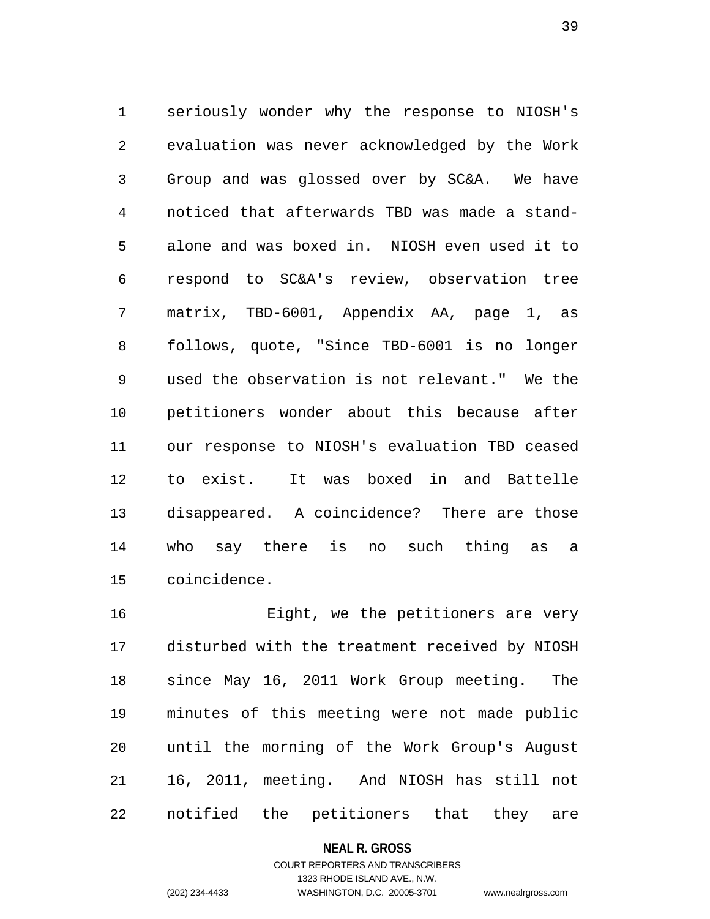1 seriously wonder why the response to NIOSH's 2 evaluation was never acknowledged by the Work 3 Group and was glossed over by SC&A. We have 4 noticed that afterwards TBD was made a stand-5 alone and was boxed in. NIOSH even used it to 6 respond to SC&A's review, observation tree 7 matrix, TBD-6001, Appendix AA, page 1, as 8 follows, quote, "Since TBD-6001 is no longer 9 used the observation is not relevant." We the 10 petitioners wonder about this because after 11 our response to NIOSH's evaluation TBD ceased 12 to exist. It was boxed in and Battelle 13 disappeared. A coincidence? There are those 14 who say there is no such thing as a 15 coincidence.

16 Eight, we the petitioners are very 17 disturbed with the treatment received by NIOSH 18 since May 16, 2011 Work Group meeting. The 19 minutes of this meeting were not made public 20 until the morning of the Work Group's August 21 16, 2011, meeting. And NIOSH has still not 22 notified the petitioners that they are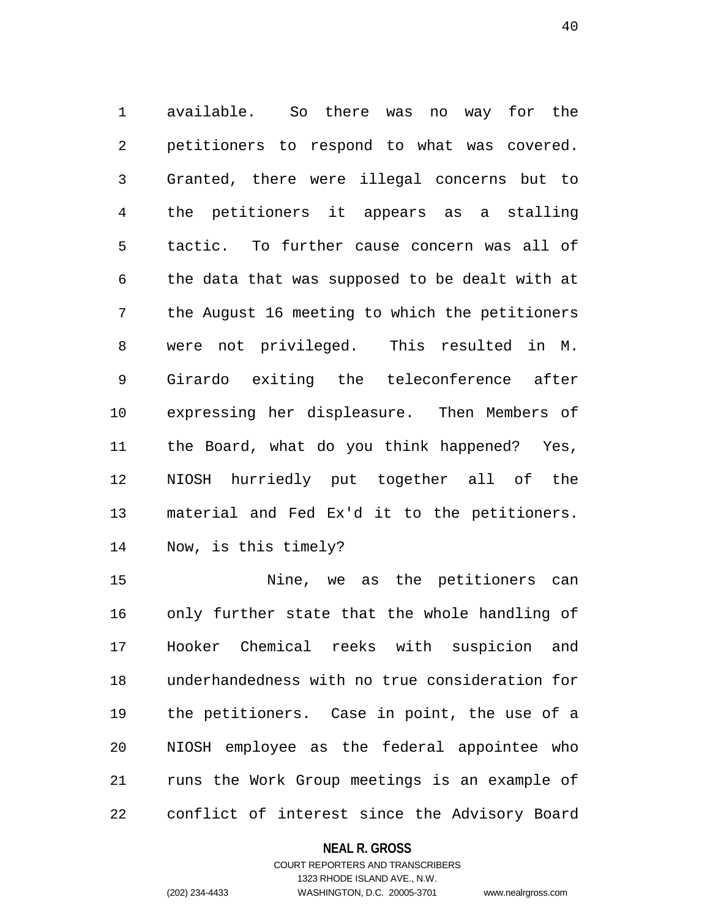1 available. So there was no way for the 2 petitioners to respond to what was covered. 3 Granted, there were illegal concerns but to 4 the petitioners it appears as a stalling 5 tactic. To further cause concern was all of 6 the data that was supposed to be dealt with at 7 the August 16 meeting to which the petitioners 8 were not privileged. This resulted in M. 9 Girardo exiting the teleconference after 10 expressing her displeasure. Then Members of 11 the Board, what do you think happened? Yes, 12 NIOSH hurriedly put together all of the 13 material and Fed Ex'd it to the petitioners. 14 Now, is this timely?

15 Nine, we as the petitioners can 16 only further state that the whole handling of 17 Hooker Chemical reeks with suspicion and 18 underhandedness with no true consideration for 19 the petitioners. Case in point, the use of a 20 NIOSH employee as the federal appointee who 21 runs the Work Group meetings is an example of 22 conflict of interest since the Advisory Board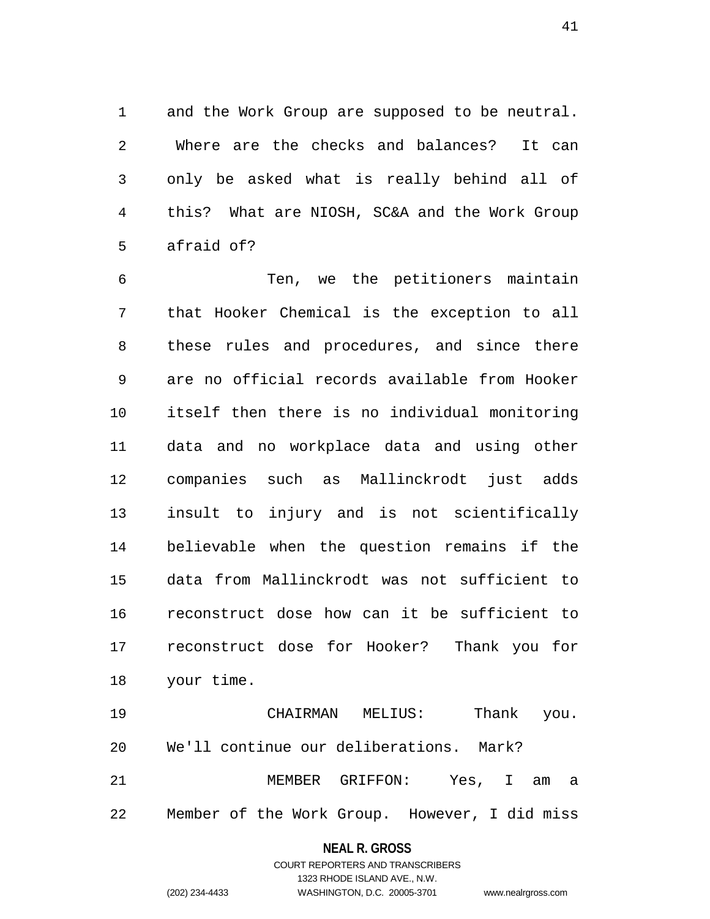1 and the Work Group are supposed to be neutral. 2 Where are the checks and balances? It can 3 only be asked what is really behind all of 4 this? What are NIOSH, SC&A and the Work Group 5 afraid of?

6 Ten, we the petitioners maintain 7 that Hooker Chemical is the exception to all 8 these rules and procedures, and since there 9 are no official records available from Hooker 10 itself then there is no individual monitoring 11 data and no workplace data and using other 12 companies such as Mallinckrodt just adds 13 insult to injury and is not scientifically 14 believable when the question remains if the 15 data from Mallinckrodt was not sufficient to 16 reconstruct dose how can it be sufficient to 17 reconstruct dose for Hooker? Thank you for 18 your time.

19 CHAIRMAN MELIUS: Thank you. 20 We'll continue our deliberations. Mark? 21 MEMBER GRIFFON: Yes, I am a 22 Member of the Work Group. However, I did miss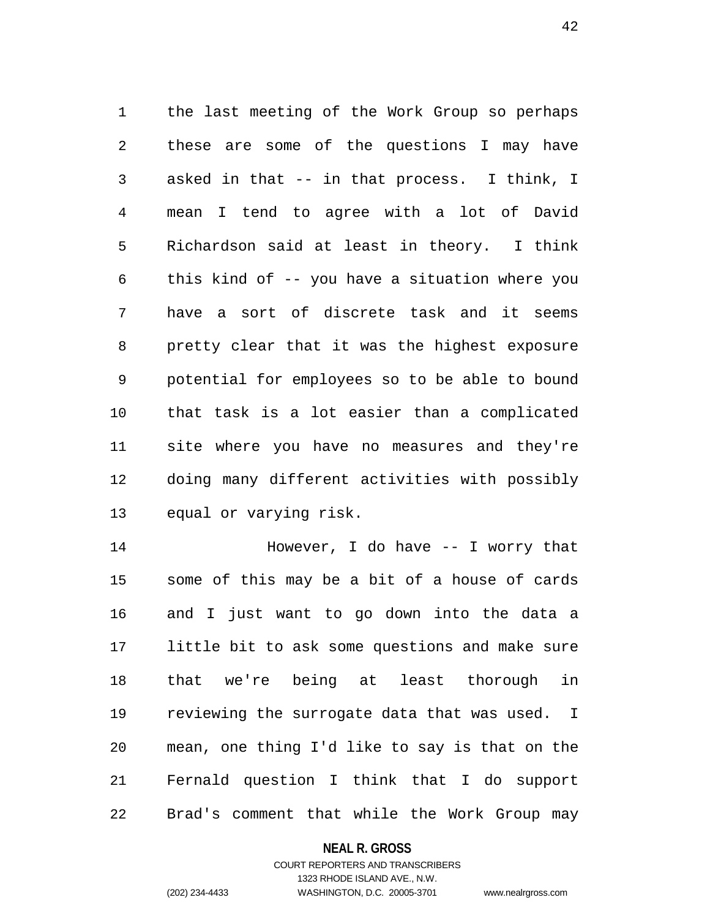1 the last meeting of the Work Group so perhaps 2 these are some of the questions I may have 3 asked in that -- in that process. I think, I 4 mean I tend to agree with a lot of David 5 Richardson said at least in theory. I think 6 this kind of -- you have a situation where you 7 have a sort of discrete task and it seems 8 pretty clear that it was the highest exposure 9 potential for employees so to be able to bound 10 that task is a lot easier than a complicated 11 site where you have no measures and they're 12 doing many different activities with possibly 13 equal or varying risk.

14 However, I do have -- I worry that 15 some of this may be a bit of a house of cards 16 and I just want to go down into the data a 17 little bit to ask some questions and make sure 18 that we're being at least thorough in 19 reviewing the surrogate data that was used. I 20 mean, one thing I'd like to say is that on the 21 Fernald question I think that I do support 22 Brad's comment that while the Work Group may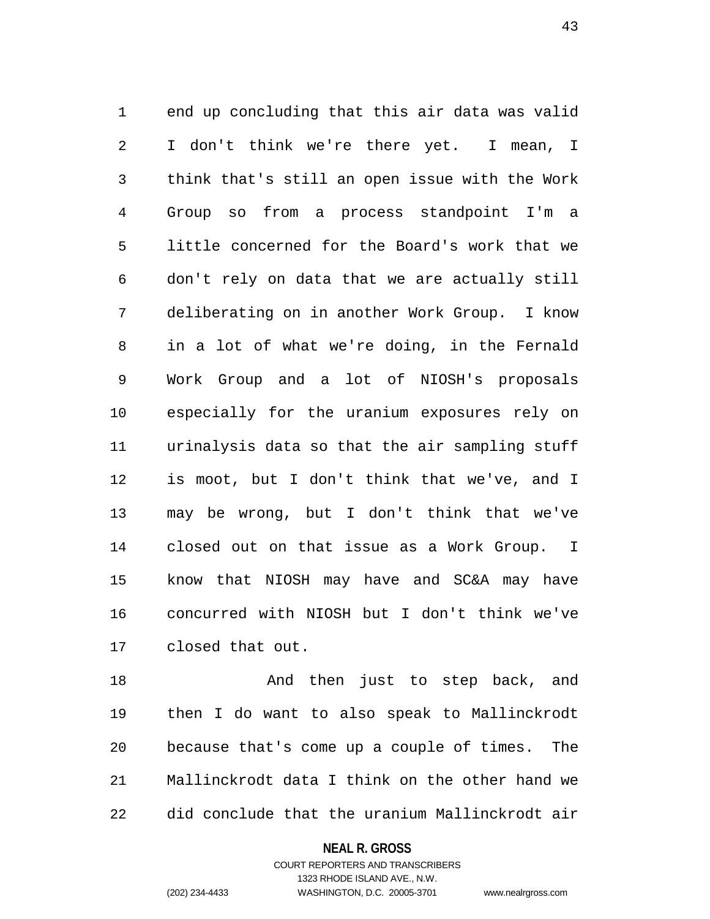1 end up concluding that this air data was valid 2 I don't think we're there yet. I mean, I 3 think that's still an open issue with the Work 4 Group so from a process standpoint I'm a 5 little concerned for the Board's work that we 6 don't rely on data that we are actually still 7 deliberating on in another Work Group. I know 8 in a lot of what we're doing, in the Fernald 9 Work Group and a lot of NIOSH's proposals 10 especially for the uranium exposures rely on 11 urinalysis data so that the air sampling stuff 12 is moot, but I don't think that we've, and I 13 may be wrong, but I don't think that we've 14 closed out on that issue as a Work Group. I 15 know that NIOSH may have and SC&A may have 16 concurred with NIOSH but I don't think we've 17 closed that out.

18 And then just to step back, and 19 then I do want to also speak to Mallinckrodt 20 because that's come up a couple of times. The 21 Mallinckrodt data I think on the other hand we 22 did conclude that the uranium Mallinckrodt air

**NEAL R. GROSS**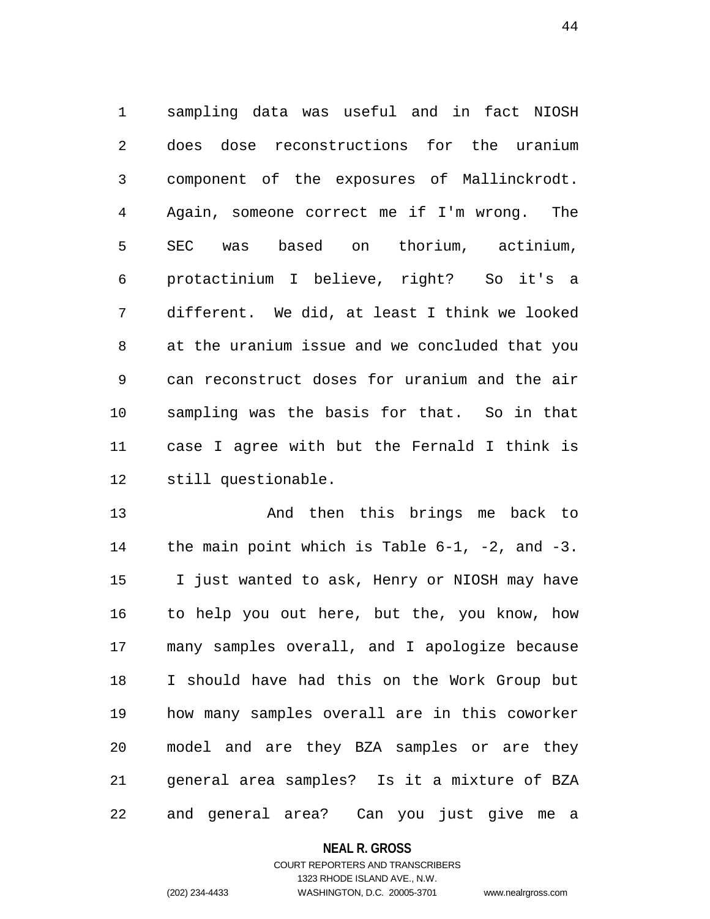1 sampling data was useful and in fact NIOSH 2 does dose reconstructions for the uranium 3 component of the exposures of Mallinckrodt. 4 Again, someone correct me if I'm wrong. The 5 SEC was based on thorium, actinium, 6 protactinium I believe, right? So it's a 7 different. We did, at least I think we looked 8 at the uranium issue and we concluded that you 9 can reconstruct doses for uranium and the air 10 sampling was the basis for that. So in that 11 case I agree with but the Fernald I think is 12 still questionable.

13 And then this brings me back to 14 the main point which is Table 6-1, -2, and -3. 15 I just wanted to ask, Henry or NIOSH may have 16 to help you out here, but the, you know, how 17 many samples overall, and I apologize because 18 I should have had this on the Work Group but 19 how many samples overall are in this coworker 20 model and are they BZA samples or are they 21 general area samples? Is it a mixture of BZA 22 and general area? Can you just give me a

## **NEAL R. GROSS**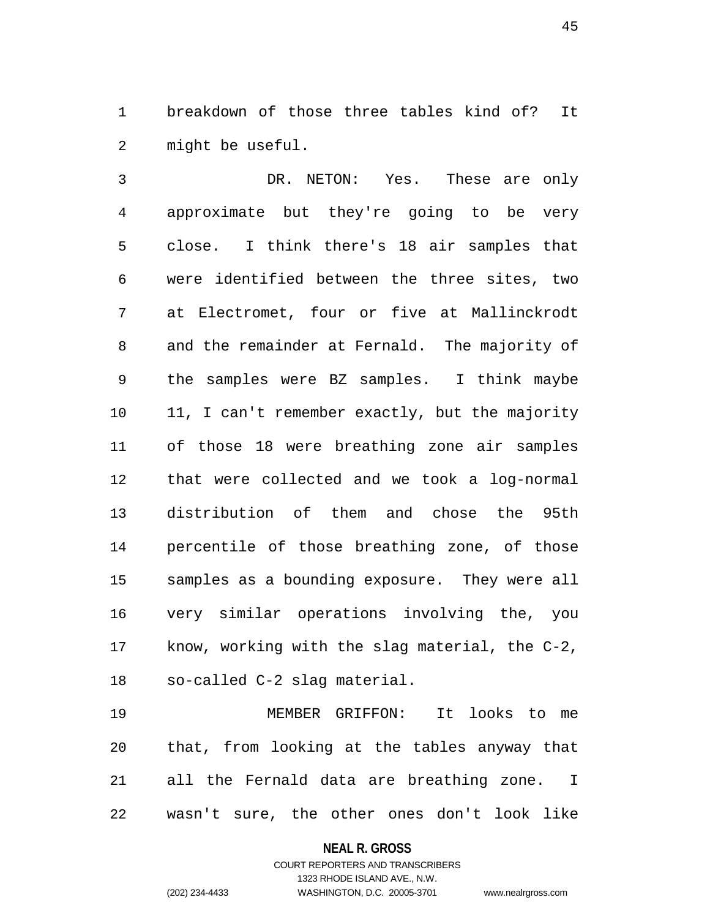1 breakdown of those three tables kind of? It 2 might be useful.

3 DR. NETON: Yes. These are only 4 approximate but they're going to be very 5 close. I think there's 18 air samples that 6 were identified between the three sites, two 7 at Electromet, four or five at Mallinckrodt 8 and the remainder at Fernald. The majority of 9 the samples were BZ samples. I think maybe 10 11, I can't remember exactly, but the majority 11 of those 18 were breathing zone air samples 12 that were collected and we took a log-normal 13 distribution of them and chose the 95th 14 percentile of those breathing zone, of those 15 samples as a bounding exposure. They were all 16 very similar operations involving the, you 17 know, working with the slag material, the C-2, 18 so-called C-2 slag material.

19 MEMBER GRIFFON: It looks to me 20 that, from looking at the tables anyway that 21 all the Fernald data are breathing zone. I 22 wasn't sure, the other ones don't look like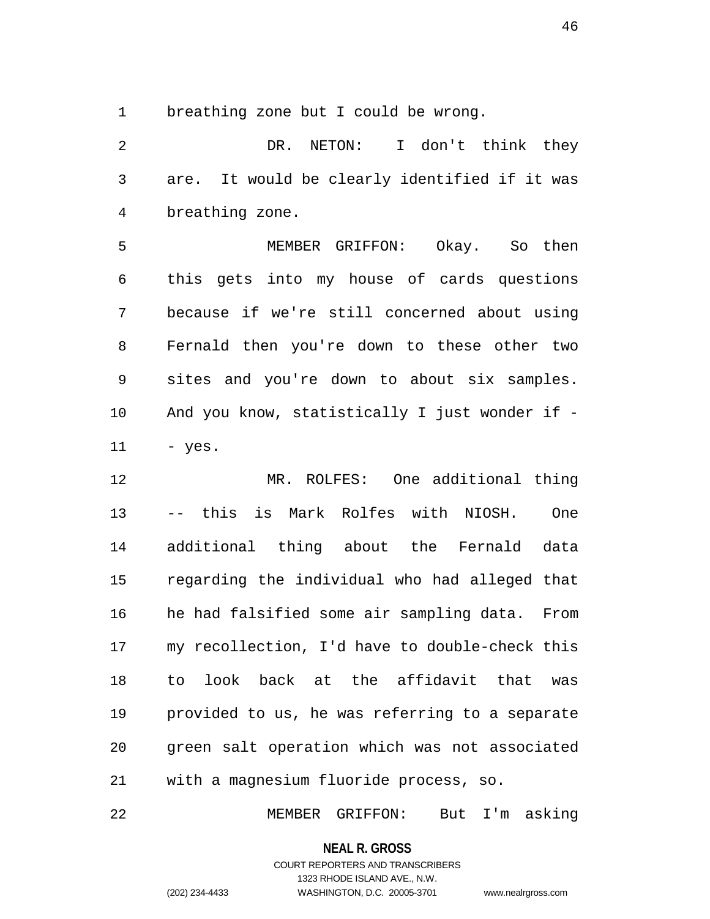1 breathing zone but I could be wrong.

2 DR. NETON: I don't think they 3 are. It would be clearly identified if it was 4 breathing zone.

5 MEMBER GRIFFON: Okay. So then 6 this gets into my house of cards questions 7 because if we're still concerned about using 8 Fernald then you're down to these other two 9 sites and you're down to about six samples. 10 And you know, statistically I just wonder if - 11 - yes.

12 MR. ROLFES: One additional thing 13 -- this is Mark Rolfes with NIOSH. One 14 additional thing about the Fernald data 15 regarding the individual who had alleged that 16 he had falsified some air sampling data. From 17 my recollection, I'd have to double-check this 18 to look back at the affidavit that was 19 provided to us, he was referring to a separate 20 green salt operation which was not associated 21 with a magnesium fluoride process, so.

22 MEMBER GRIFFON: But I'm asking

**NEAL R. GROSS**

## COURT REPORTERS AND TRANSCRIBERS 1323 RHODE ISLAND AVE., N.W. (202) 234-4433 WASHINGTON, D.C. 20005-3701 www.nealrgross.com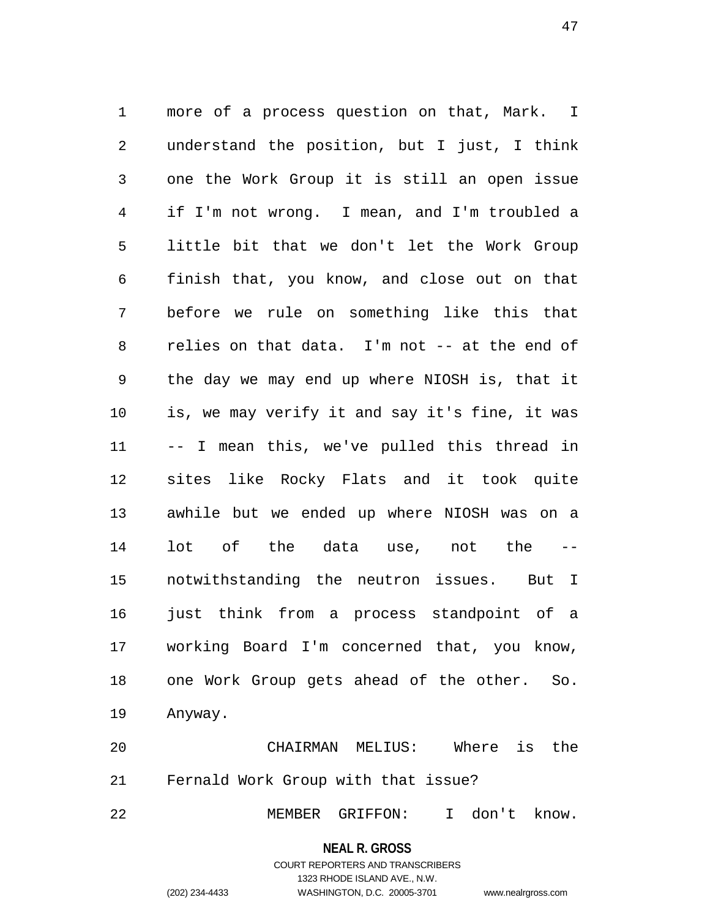1 more of a process question on that, Mark. I 2 understand the position, but I just, I think 3 one the Work Group it is still an open issue 4 if I'm not wrong. I mean, and I'm troubled a 5 little bit that we don't let the Work Group 6 finish that, you know, and close out on that 7 before we rule on something like this that 8 relies on that data. I'm not -- at the end of 9 the day we may end up where NIOSH is, that it 10 is, we may verify it and say it's fine, it was 11 -- I mean this, we've pulled this thread in 12 sites like Rocky Flats and it took quite 13 awhile but we ended up where NIOSH was on a 14 lot of the data use, not the -- 15 notwithstanding the neutron issues. But I 16 just think from a process standpoint of a 17 working Board I'm concerned that, you know, 18 one Work Group gets ahead of the other. So. 19 Anyway.

20 CHAIRMAN MELIUS: Where is the 21 Fernald Work Group with that issue?

22 MEMBER GRIFFON: I don't know.

**NEAL R. GROSS**

## COURT REPORTERS AND TRANSCRIBERS 1323 RHODE ISLAND AVE., N.W. (202) 234-4433 WASHINGTON, D.C. 20005-3701 www.nealrgross.com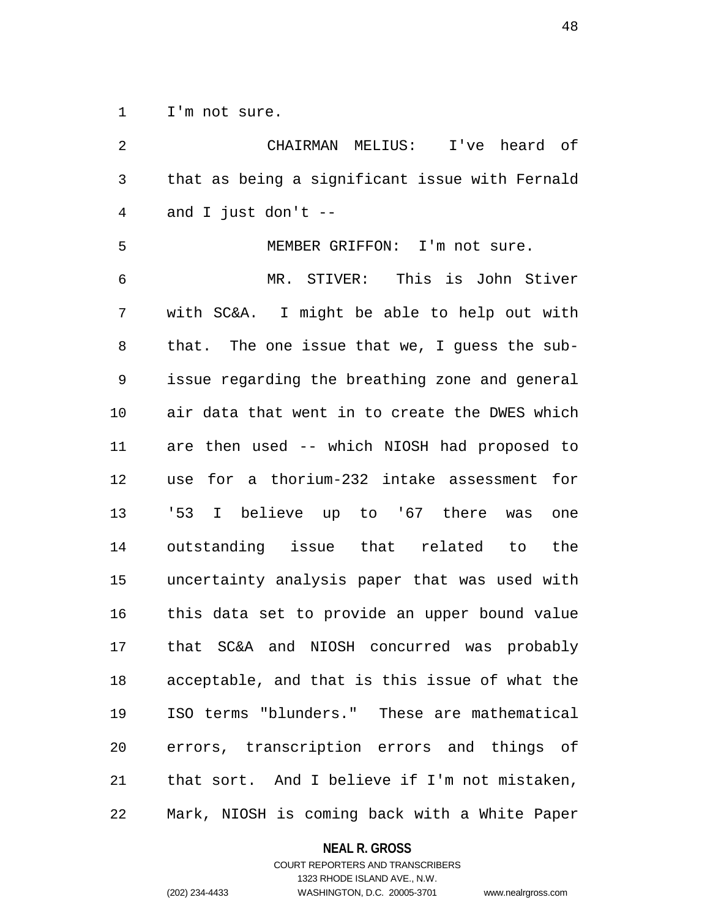1 I'm not sure.

2 CHAIRMAN MELIUS: I've heard of 3 that as being a significant issue with Fernald 4 and I just don't -- 5 MEMBER GRIFFON: I'm not sure. 6 MR. STIVER: This is John Stiver 7 with SC&A. I might be able to help out with 8 that. The one issue that we, I guess the sub-9 issue regarding the breathing zone and general 10 air data that went in to create the DWES which 11 are then used -- which NIOSH had proposed to 12 use for a thorium-232 intake assessment for 13 '53 I believe up to '67 there was one 14 outstanding issue that related to the 15 uncertainty analysis paper that was used with 16 this data set to provide an upper bound value 17 that SC&A and NIOSH concurred was probably 18 acceptable, and that is this issue of what the 19 ISO terms "blunders." These are mathematical 20 errors, transcription errors and things of 21 that sort. And I believe if I'm not mistaken, 22 Mark, NIOSH is coming back with a White Paper

#### **NEAL R. GROSS**

COURT REPORTERS AND TRANSCRIBERS 1323 RHODE ISLAND AVE., N.W. (202) 234-4433 WASHINGTON, D.C. 20005-3701 www.nealrgross.com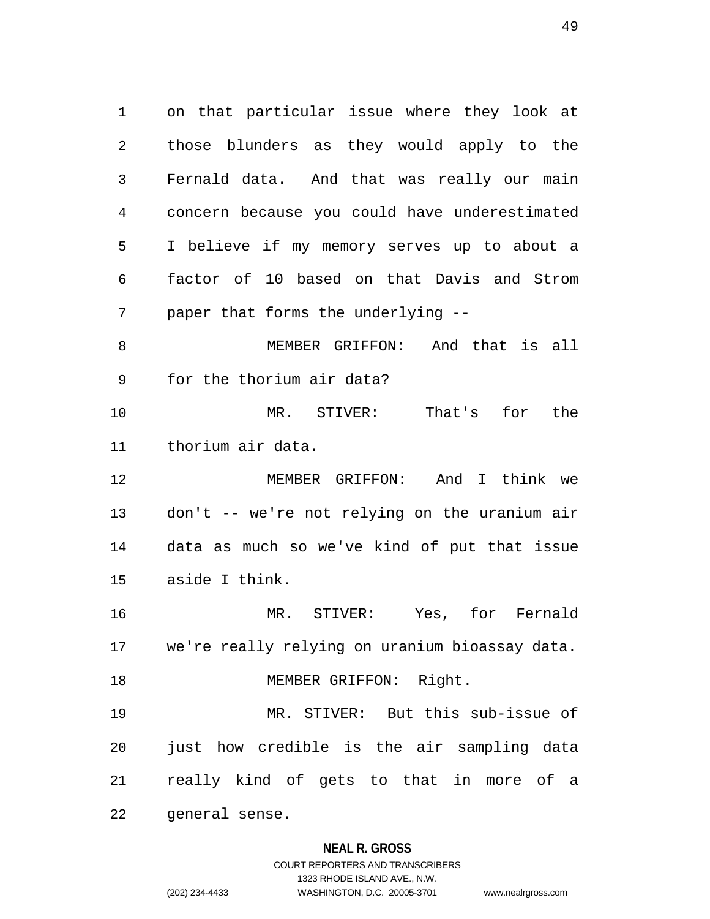1 on that particular issue where they look at 2 those blunders as they would apply to the 3 Fernald data. And that was really our main 4 concern because you could have underestimated 5 I believe if my memory serves up to about a 6 factor of 10 based on that Davis and Strom 7 paper that forms the underlying -- 8 MEMBER GRIFFON: And that is all 9 for the thorium air data? 10 MR. STIVER: That's for the 11 thorium air data. 12 MEMBER GRIFFON: And I think we 13 don't -- we're not relying on the uranium air 14 data as much so we've kind of put that issue 15 aside I think. 16 MR. STIVER: Yes, for Fernald 17 we're really relying on uranium bioassay data. 18 MEMBER GRIFFON: Right. 19 MR. STIVER: But this sub-issue of 20 just how credible is the air sampling data 21 really kind of gets to that in more of a 22 general sense.

## **NEAL R. GROSS**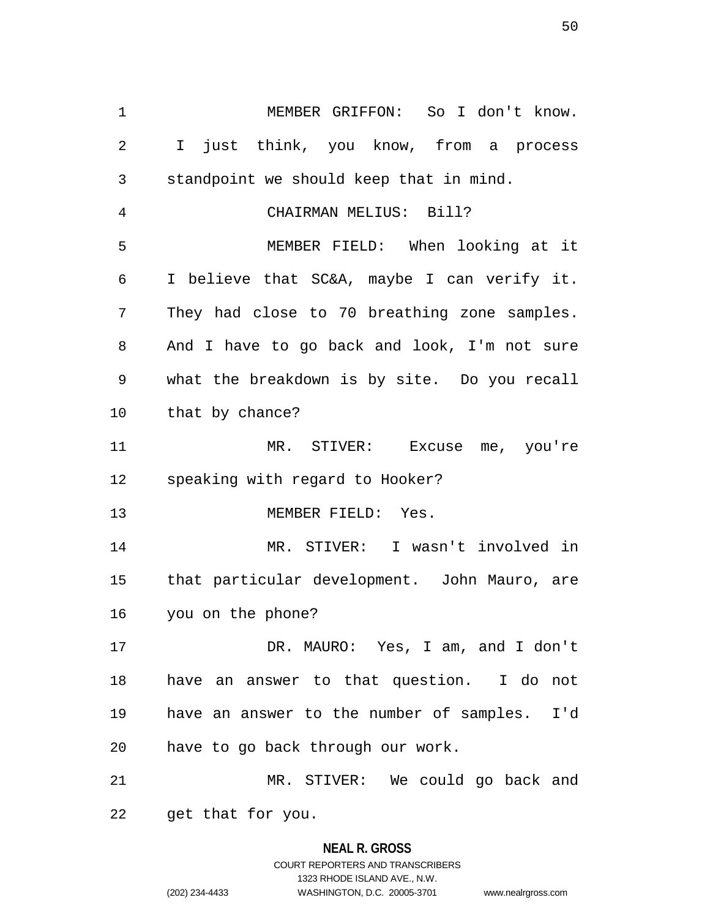1 MEMBER GRIFFON: So I don't know. 2 I just think, you know, from a process 3 standpoint we should keep that in mind. 4 CHAIRMAN MELIUS: Bill? 5 MEMBER FIELD: When looking at it 6 I believe that SC&A, maybe I can verify it. 7 They had close to 70 breathing zone samples. 8 And I have to go back and look, I'm not sure 9 what the breakdown is by site. Do you recall 10 that by chance? 11 MR. STIVER: Excuse me, you're 12 speaking with regard to Hooker? 13 MEMBER FIELD: Yes. 14 MR. STIVER: I wasn't involved in 15 that particular development. John Mauro, are 16 you on the phone? 17 DR. MAURO: Yes, I am, and I don't 18 have an answer to that question. I do not 19 have an answer to the number of samples. I'd 20 have to go back through our work. 21 MR. STIVER: We could go back and 22 get that for you.

# **NEAL R. GROSS** COURT REPORTERS AND TRANSCRIBERS 1323 RHODE ISLAND AVE., N.W. (202) 234-4433 WASHINGTON, D.C. 20005-3701 www.nealrgross.com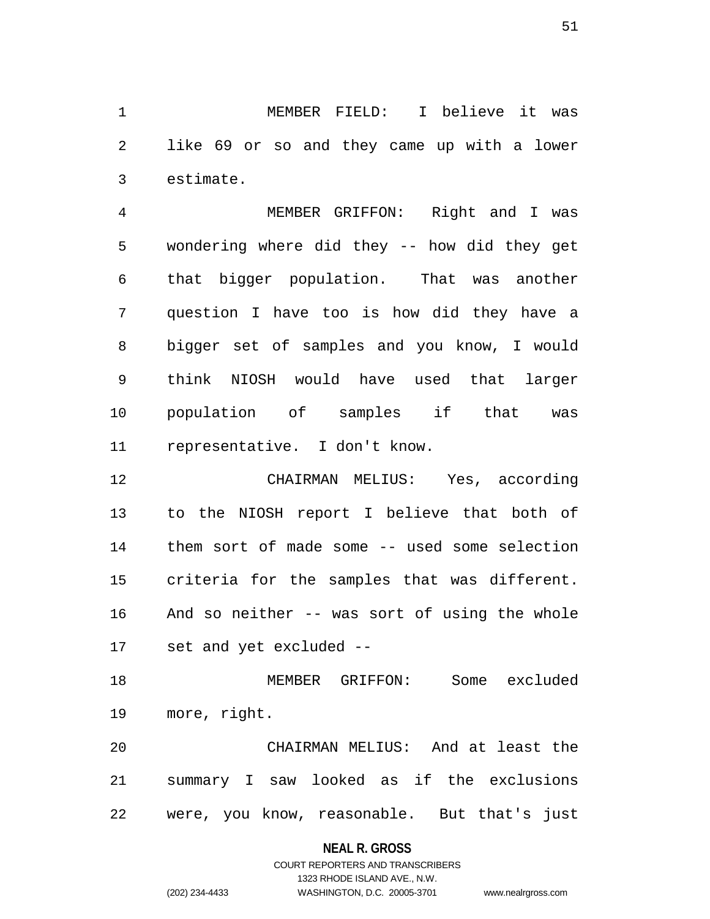1 MEMBER FIELD: I believe it was 2 like 69 or so and they came up with a lower 3 estimate.

4 MEMBER GRIFFON: Right and I was 5 wondering where did they -- how did they get 6 that bigger population. That was another 7 question I have too is how did they have a 8 bigger set of samples and you know, I would 9 think NIOSH would have used that larger 10 population of samples if that was 11 representative. I don't know.

12 CHAIRMAN MELIUS: Yes, according 13 to the NIOSH report I believe that both of 14 them sort of made some -- used some selection 15 criteria for the samples that was different. 16 And so neither -- was sort of using the whole 17 set and yet excluded --

18 MEMBER GRIFFON: Some excluded 19 more, right.

20 CHAIRMAN MELIUS: And at least the 21 summary I saw looked as if the exclusions 22 were, you know, reasonable. But that's just

## **NEAL R. GROSS**

## COURT REPORTERS AND TRANSCRIBERS 1323 RHODE ISLAND AVE., N.W. (202) 234-4433 WASHINGTON, D.C. 20005-3701 www.nealrgross.com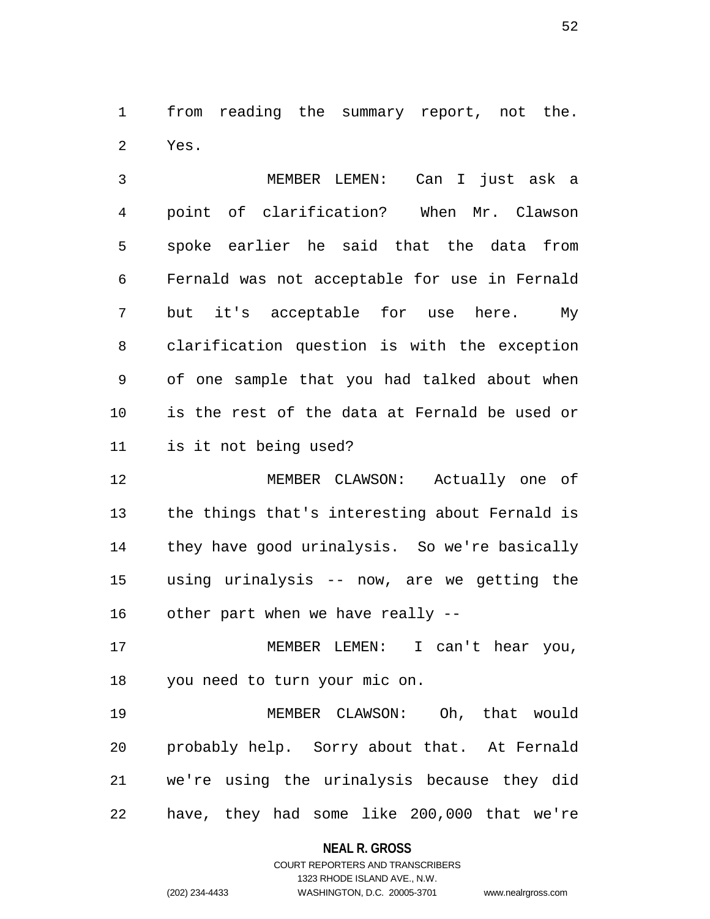1 from reading the summary report, not the. 2 Yes.

3 MEMBER LEMEN: Can I just ask a 4 point of clarification? When Mr. Clawson 5 spoke earlier he said that the data from 6 Fernald was not acceptable for use in Fernald 7 but it's acceptable for use here. My 8 clarification question is with the exception 9 of one sample that you had talked about when 10 is the rest of the data at Fernald be used or 11 is it not being used?

12 MEMBER CLAWSON: Actually one of 13 the things that's interesting about Fernald is 14 they have good urinalysis. So we're basically 15 using urinalysis -- now, are we getting the 16 other part when we have really --

17 MEMBER LEMEN: I can't hear you, 18 you need to turn your mic on.

19 MEMBER CLAWSON: Oh, that would 20 probably help. Sorry about that. At Fernald 21 we're using the urinalysis because they did 22 have, they had some like 200,000 that we're

## **NEAL R. GROSS**

## COURT REPORTERS AND TRANSCRIBERS 1323 RHODE ISLAND AVE., N.W. (202) 234-4433 WASHINGTON, D.C. 20005-3701 www.nealrgross.com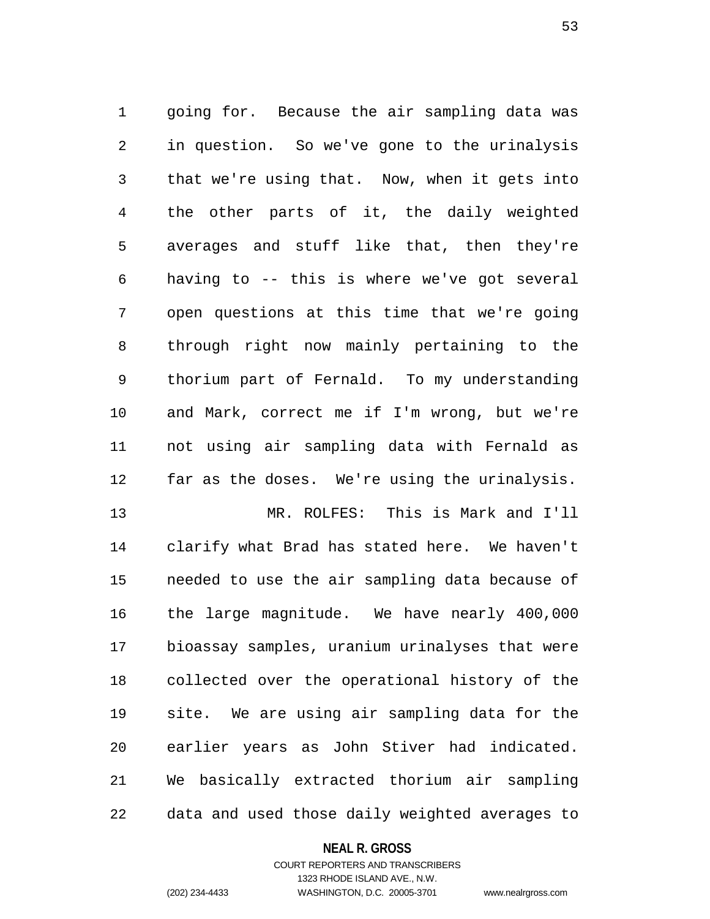1 going for. Because the air sampling data was 2 in question. So we've gone to the urinalysis 3 that we're using that. Now, when it gets into 4 the other parts of it, the daily weighted 5 averages and stuff like that, then they're 6 having to -- this is where we've got several 7 open questions at this time that we're going 8 through right now mainly pertaining to the 9 thorium part of Fernald. To my understanding 10 and Mark, correct me if I'm wrong, but we're 11 not using air sampling data with Fernald as 12 far as the doses. We're using the urinalysis.

13 MR. ROLFES: This is Mark and I'll 14 clarify what Brad has stated here. We haven't 15 needed to use the air sampling data because of 16 the large magnitude. We have nearly 400,000 17 bioassay samples, uranium urinalyses that were 18 collected over the operational history of the 19 site. We are using air sampling data for the 20 earlier years as John Stiver had indicated. 21 We basically extracted thorium air sampling 22 data and used those daily weighted averages to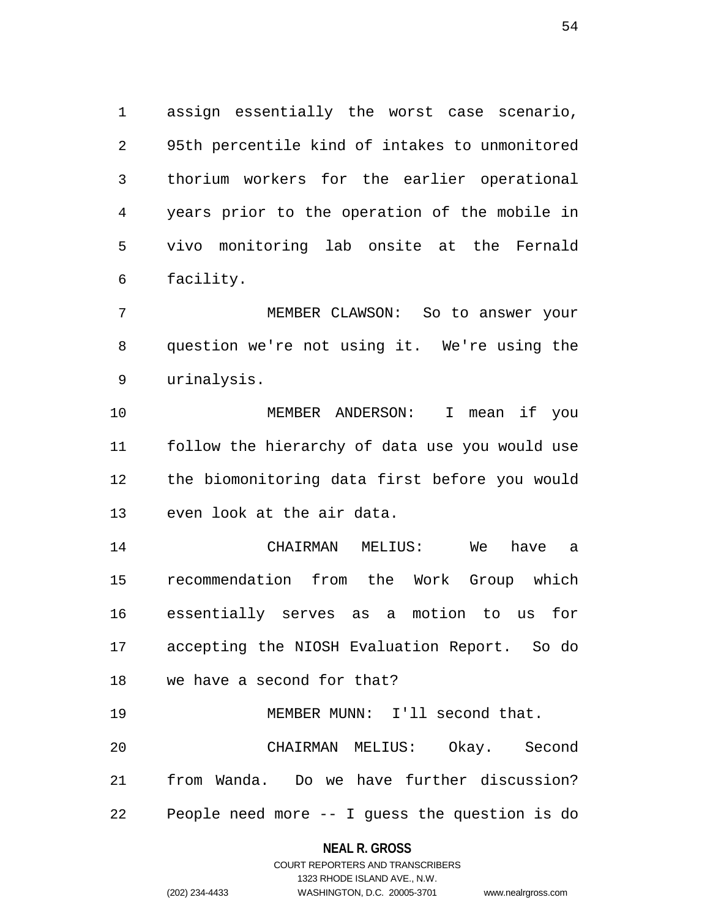1 assign essentially the worst case scenario, 2 95th percentile kind of intakes to unmonitored 3 thorium workers for the earlier operational 4 years prior to the operation of the mobile in 5 vivo monitoring lab onsite at the Fernald 6 facility.

7 MEMBER CLAWSON: So to answer your 8 question we're not using it. We're using the 9 urinalysis.

10 MEMBER ANDERSON: I mean if you 11 follow the hierarchy of data use you would use 12 the biomonitoring data first before you would 13 even look at the air data.

14 CHAIRMAN MELIUS: We have a 15 recommendation from the Work Group which 16 essentially serves as a motion to us for 17 accepting the NIOSH Evaluation Report. So do 18 we have a second for that?

19 MEMBER MUNN: I'll second that. 20 CHAIRMAN MELIUS: Okay. Second 21 from Wanda. Do we have further discussion? 22 People need more -- I guess the question is do

## **NEAL R. GROSS**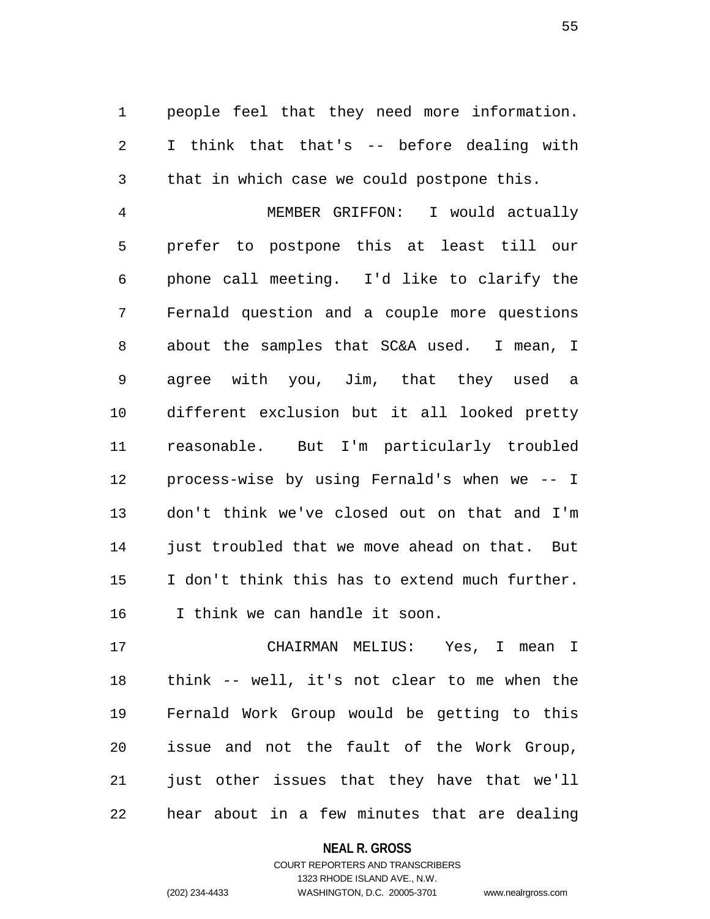1 people feel that they need more information. 2 I think that that's -- before dealing with 3 that in which case we could postpone this.

4 MEMBER GRIFFON: I would actually 5 prefer to postpone this at least till our 6 phone call meeting. I'd like to clarify the 7 Fernald question and a couple more questions 8 about the samples that SC&A used. I mean, I 9 agree with you, Jim, that they used a 10 different exclusion but it all looked pretty 11 reasonable. But I'm particularly troubled 12 process-wise by using Fernald's when we -- I 13 don't think we've closed out on that and I'm 14 just troubled that we move ahead on that. But 15 I don't think this has to extend much further. 16 I think we can handle it soon.

17 CHAIRMAN MELIUS: Yes, I mean I 18 think -- well, it's not clear to me when the 19 Fernald Work Group would be getting to this 20 issue and not the fault of the Work Group, 21 just other issues that they have that we'll 22 hear about in a few minutes that are dealing

> **NEAL R. GROSS** COURT REPORTERS AND TRANSCRIBERS

1323 RHODE ISLAND AVE., N.W. (202) 234-4433 WASHINGTON, D.C. 20005-3701 www.nealrgross.com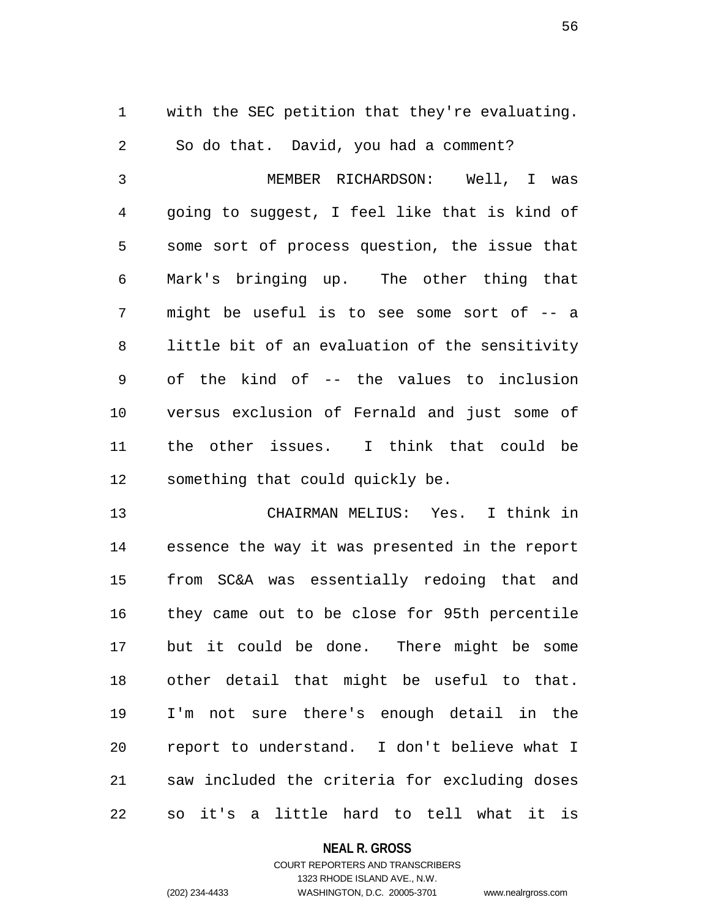1 with the SEC petition that they're evaluating.

2 So do that. David, you had a comment?

3 MEMBER RICHARDSON: Well, I was 4 going to suggest, I feel like that is kind of 5 some sort of process question, the issue that 6 Mark's bringing up. The other thing that 7 might be useful is to see some sort of -- a 8 little bit of an evaluation of the sensitivity 9 of the kind of -- the values to inclusion 10 versus exclusion of Fernald and just some of 11 the other issues. I think that could be 12 something that could quickly be.

13 CHAIRMAN MELIUS: Yes. I think in 14 essence the way it was presented in the report 15 from SC&A was essentially redoing that and 16 they came out to be close for 95th percentile 17 but it could be done. There might be some 18 other detail that might be useful to that. 19 I'm not sure there's enough detail in the 20 report to understand. I don't believe what I 21 saw included the criteria for excluding doses 22 so it's a little hard to tell what it is

## **NEAL R. GROSS**

## COURT REPORTERS AND TRANSCRIBERS 1323 RHODE ISLAND AVE., N.W. (202) 234-4433 WASHINGTON, D.C. 20005-3701 www.nealrgross.com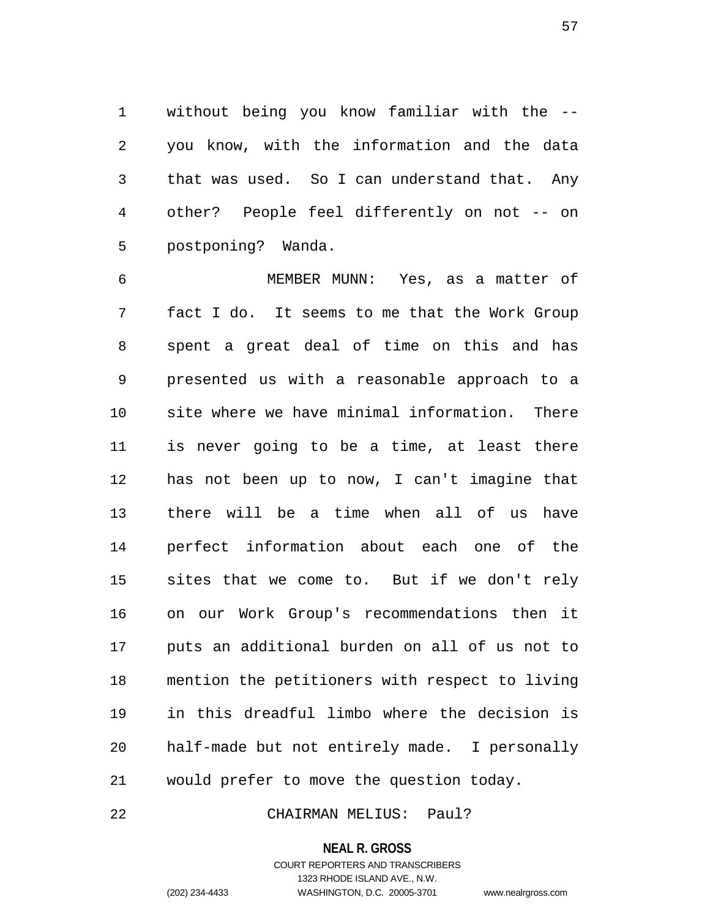1 without being you know familiar with the -- 2 you know, with the information and the data 3 that was used. So I can understand that. Any 4 other? People feel differently on not -- on 5 postponing? Wanda.

6 MEMBER MUNN: Yes, as a matter of 7 fact I do. It seems to me that the Work Group 8 spent a great deal of time on this and has 9 presented us with a reasonable approach to a 10 site where we have minimal information. There 11 is never going to be a time, at least there 12 has not been up to now, I can't imagine that 13 there will be a time when all of us have 14 perfect information about each one of the 15 sites that we come to. But if we don't rely 16 on our Work Group's recommendations then it 17 puts an additional burden on all of us not to 18 mention the petitioners with respect to living 19 in this dreadful limbo where the decision is 20 half-made but not entirely made. I personally 21 would prefer to move the question today.

22 CHAIRMAN MELIUS: Paul?

#### **NEAL R. GROSS**

COURT REPORTERS AND TRANSCRIBERS 1323 RHODE ISLAND AVE., N.W. (202) 234-4433 WASHINGTON, D.C. 20005-3701 www.nealrgross.com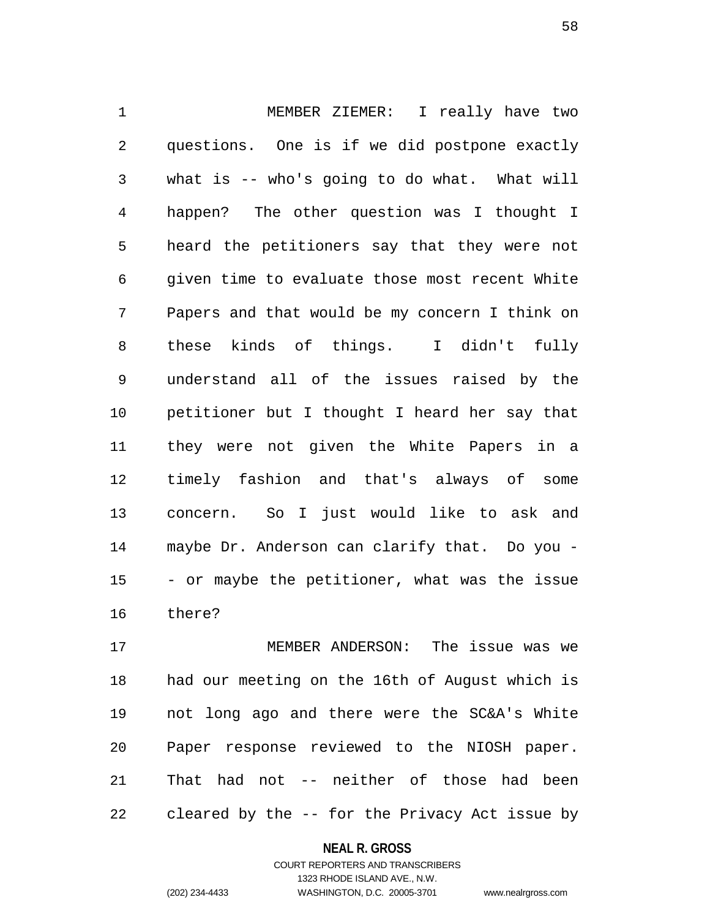1 MEMBER ZIEMER: I really have two 2 questions. One is if we did postpone exactly 3 what is -- who's going to do what. What will 4 happen? The other question was I thought I 5 heard the petitioners say that they were not 6 given time to evaluate those most recent White 7 Papers and that would be my concern I think on 8 these kinds of things. I didn't fully 9 understand all of the issues raised by the 10 petitioner but I thought I heard her say that 11 they were not given the White Papers in a 12 timely fashion and that's always of some 13 concern. So I just would like to ask and 14 maybe Dr. Anderson can clarify that. Do you - 15 - or maybe the petitioner, what was the issue 16 there?

17 MEMBER ANDERSON: The issue was we 18 had our meeting on the 16th of August which is 19 not long ago and there were the SC&A's White 20 Paper response reviewed to the NIOSH paper. 21 That had not -- neither of those had been 22 cleared by the -- for the Privacy Act issue by

#### **NEAL R. GROSS**

COURT REPORTERS AND TRANSCRIBERS 1323 RHODE ISLAND AVE., N.W. (202) 234-4433 WASHINGTON, D.C. 20005-3701 www.nealrgross.com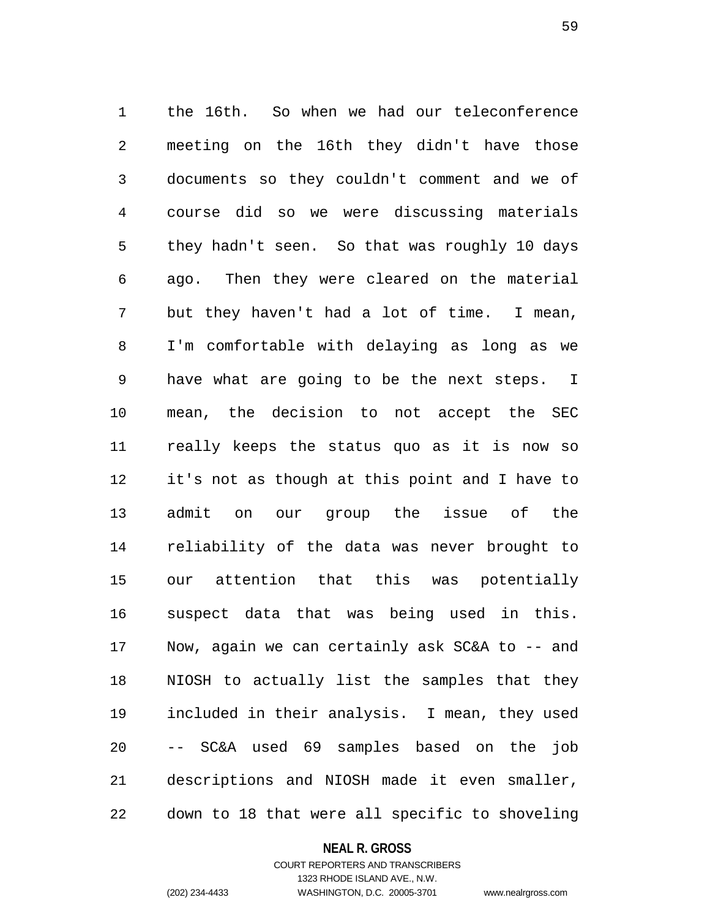1 the 16th. So when we had our teleconference 2 meeting on the 16th they didn't have those 3 documents so they couldn't comment and we of 4 course did so we were discussing materials 5 they hadn't seen. So that was roughly 10 days 6 ago. Then they were cleared on the material 7 but they haven't had a lot of time. I mean, 8 I'm comfortable with delaying as long as we 9 have what are going to be the next steps. I 10 mean, the decision to not accept the SEC 11 really keeps the status quo as it is now so 12 it's not as though at this point and I have to 13 admit on our group the issue of the 14 reliability of the data was never brought to 15 our attention that this was potentially 16 suspect data that was being used in this. 17 Now, again we can certainly ask SC&A to -- and 18 NIOSH to actually list the samples that they 19 included in their analysis. I mean, they used 20 -- SC&A used 69 samples based on the job 21 descriptions and NIOSH made it even smaller, 22 down to 18 that were all specific to shoveling

#### **NEAL R. GROSS**

COURT REPORTERS AND TRANSCRIBERS 1323 RHODE ISLAND AVE., N.W. (202) 234-4433 WASHINGTON, D.C. 20005-3701 www.nealrgross.com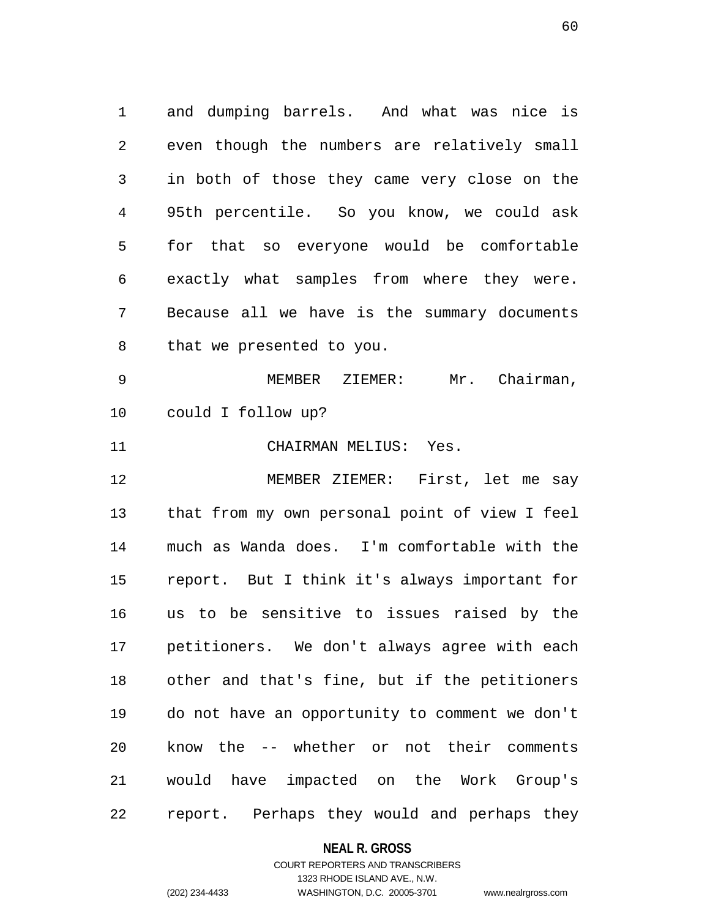1 and dumping barrels. And what was nice is 2 even though the numbers are relatively small 3 in both of those they came very close on the 4 95th percentile. So you know, we could ask 5 for that so everyone would be comfortable 6 exactly what samples from where they were. 7 Because all we have is the summary documents 8 that we presented to you. 9 MEMBER ZIEMER: Mr. Chairman, 10 could I follow up? 11 CHAIRMAN MELIUS: Yes. 12 MEMBER ZIEMER: First, let me say 13 that from my own personal point of view I feel 14 much as Wanda does. I'm comfortable with the 15 report. But I think it's always important for 16 us to be sensitive to issues raised by the 17 petitioners. We don't always agree with each 18 other and that's fine, but if the petitioners 19 do not have an opportunity to comment we don't 20 know the -- whether or not their comments

21 would have impacted on the Work Group's 22 report. Perhaps they would and perhaps they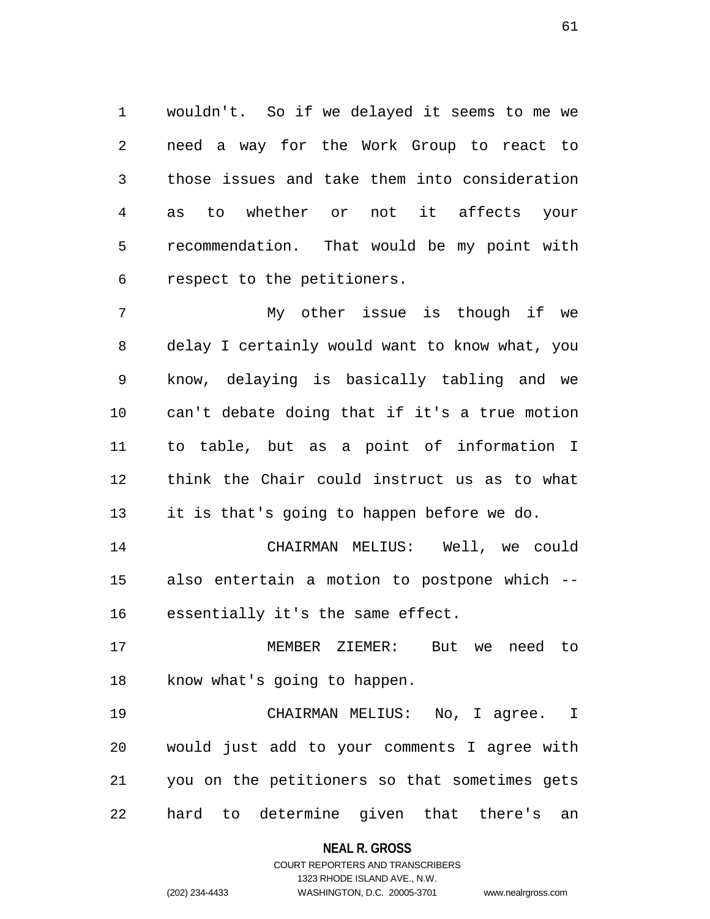1 wouldn't. So if we delayed it seems to me we 2 need a way for the Work Group to react to 3 those issues and take them into consideration 4 as to whether or not it affects your 5 recommendation. That would be my point with 6 respect to the petitioners.

7 My other issue is though if we 8 delay I certainly would want to know what, you 9 know, delaying is basically tabling and we 10 can't debate doing that if it's a true motion 11 to table, but as a point of information I 12 think the Chair could instruct us as to what 13 it is that's going to happen before we do.

14 CHAIRMAN MELIUS: Well, we could 15 also entertain a motion to postpone which -- 16 essentially it's the same effect.

17 MEMBER ZIEMER: But we need to 18 know what's going to happen.

19 CHAIRMAN MELIUS: No, I agree. I 20 would just add to your comments I agree with 21 you on the petitioners so that sometimes gets 22 hard to determine given that there's an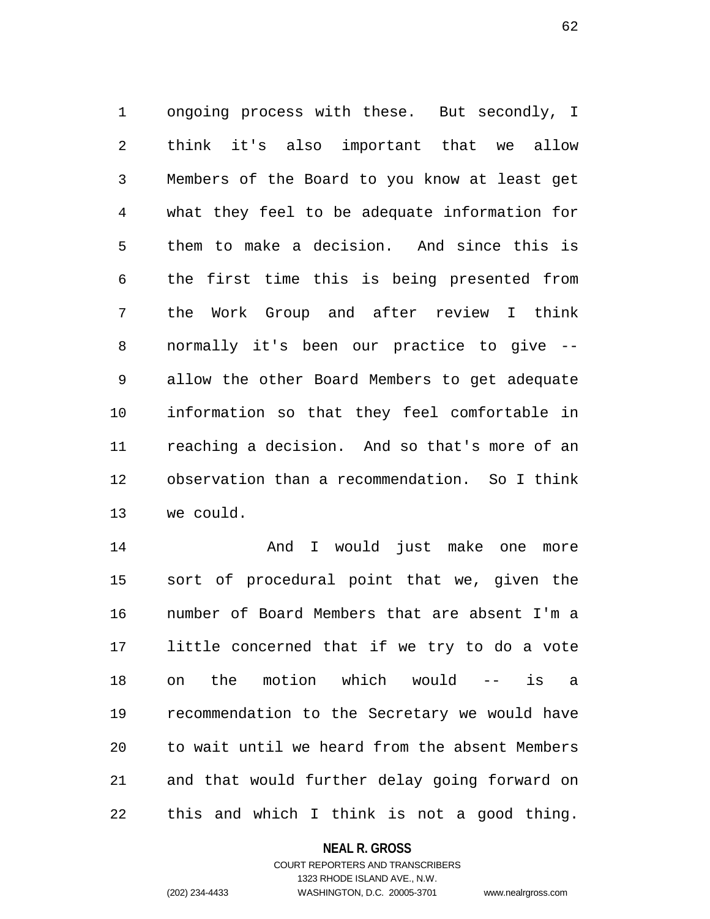1 ongoing process with these. But secondly, I 2 think it's also important that we allow 3 Members of the Board to you know at least get 4 what they feel to be adequate information for 5 them to make a decision. And since this is 6 the first time this is being presented from 7 the Work Group and after review I think 8 normally it's been our practice to give -- 9 allow the other Board Members to get adequate 10 information so that they feel comfortable in 11 reaching a decision. And so that's more of an 12 observation than a recommendation. So I think 13 we could.

14 And I would just make one more 15 sort of procedural point that we, given the 16 number of Board Members that are absent I'm a 17 little concerned that if we try to do a vote 18 on the motion which would -- is a 19 recommendation to the Secretary we would have 20 to wait until we heard from the absent Members 21 and that would further delay going forward on 22 this and which I think is not a good thing.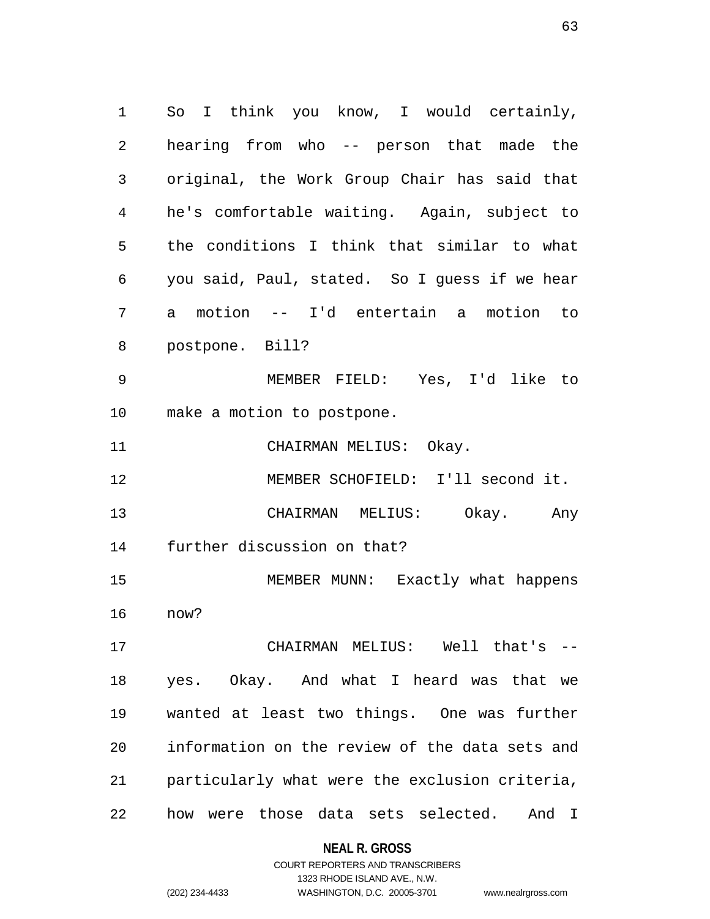1 So I think you know, I would certainly, 2 hearing from who -- person that made the 3 original, the Work Group Chair has said that 4 he's comfortable waiting. Again, subject to 5 the conditions I think that similar to what 6 you said, Paul, stated. So I guess if we hear 7 a motion -- I'd entertain a motion to 8 postpone. Bill? 9 MEMBER FIELD: Yes, I'd like to 10 make a motion to postpone. 11 CHAIRMAN MELIUS: Okay. 12 MEMBER SCHOFIELD: I'll second it. 13 CHAIRMAN MELIUS: Okay. Any 14 further discussion on that? 15 MEMBER MUNN: Exactly what happens 16 now? 17 CHAIRMAN MELIUS: Well that's -- 18 yes. Okay. And what I heard was that we 19 wanted at least two things. One was further 20 information on the review of the data sets and 21 particularly what were the exclusion criteria, 22 how were those data sets selected. And I

> **NEAL R. GROSS** COURT REPORTERS AND TRANSCRIBERS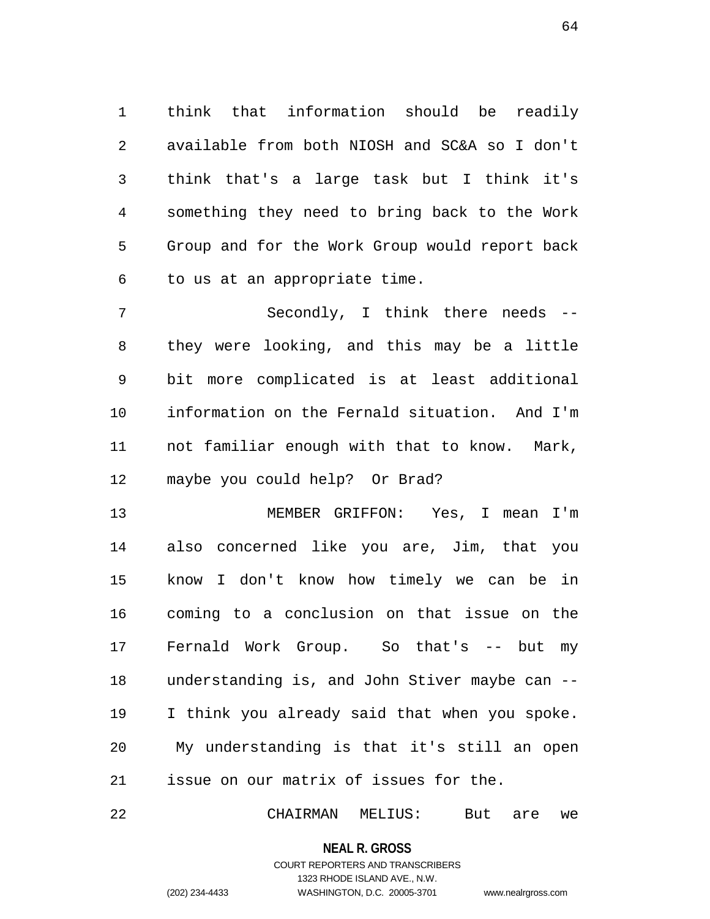1 think that information should be readily 2 available from both NIOSH and SC&A so I don't 3 think that's a large task but I think it's 4 something they need to bring back to the Work 5 Group and for the Work Group would report back 6 to us at an appropriate time.

7 Secondly, I think there needs -- 8 they were looking, and this may be a little 9 bit more complicated is at least additional 10 information on the Fernald situation. And I'm 11 not familiar enough with that to know. Mark, 12 maybe you could help? Or Brad?

13 MEMBER GRIFFON: Yes, I mean I'm 14 also concerned like you are, Jim, that you 15 know I don't know how timely we can be in 16 coming to a conclusion on that issue on the 17 Fernald Work Group. So that's -- but my 18 understanding is, and John Stiver maybe can -- 19 I think you already said that when you spoke. 20 My understanding is that it's still an open 21 issue on our matrix of issues for the.

22 CHAIRMAN MELIUS: But are we

**NEAL R. GROSS**

COURT REPORTERS AND TRANSCRIBERS 1323 RHODE ISLAND AVE., N.W. (202) 234-4433 WASHINGTON, D.C. 20005-3701 www.nealrgross.com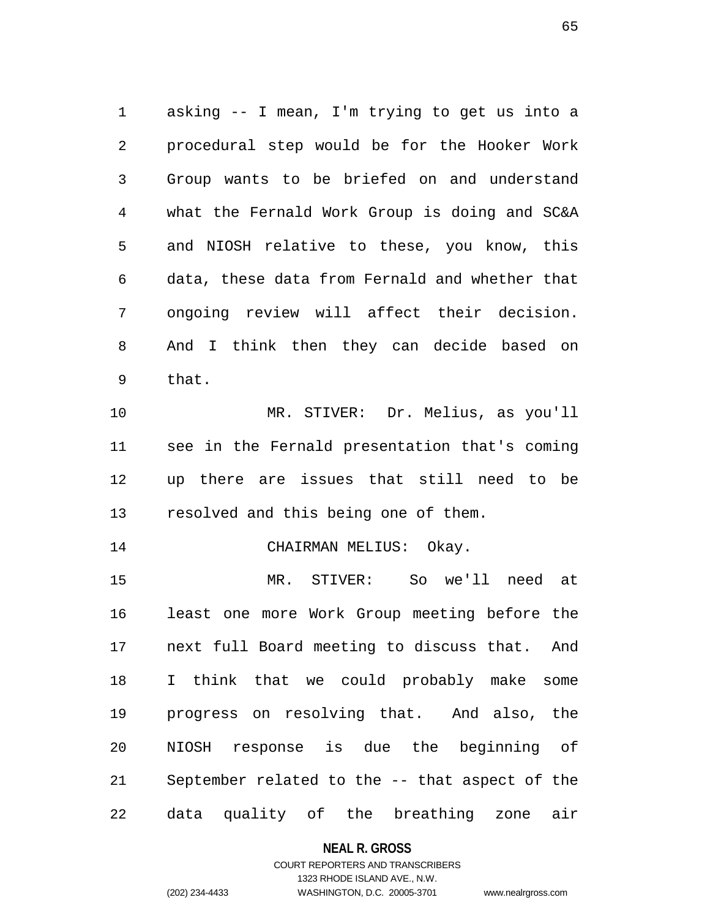1 asking -- I mean, I'm trying to get us into a 2 procedural step would be for the Hooker Work 3 Group wants to be briefed on and understand 4 what the Fernald Work Group is doing and SC&A 5 and NIOSH relative to these, you know, this 6 data, these data from Fernald and whether that 7 ongoing review will affect their decision. 8 And I think then they can decide based on 9 that.

10 MR. STIVER: Dr. Melius, as you'll 11 see in the Fernald presentation that's coming 12 up there are issues that still need to be 13 resolved and this being one of them.

14 CHAIRMAN MELIUS: Okay.

15 MR. STIVER: So we'll need at 16 least one more Work Group meeting before the 17 next full Board meeting to discuss that. And 18 I think that we could probably make some 19 progress on resolving that. And also, the 20 NIOSH response is due the beginning of 21 September related to the -- that aspect of the 22 data quality of the breathing zone air

## **NEAL R. GROSS**

## COURT REPORTERS AND TRANSCRIBERS 1323 RHODE ISLAND AVE., N.W. (202) 234-4433 WASHINGTON, D.C. 20005-3701 www.nealrgross.com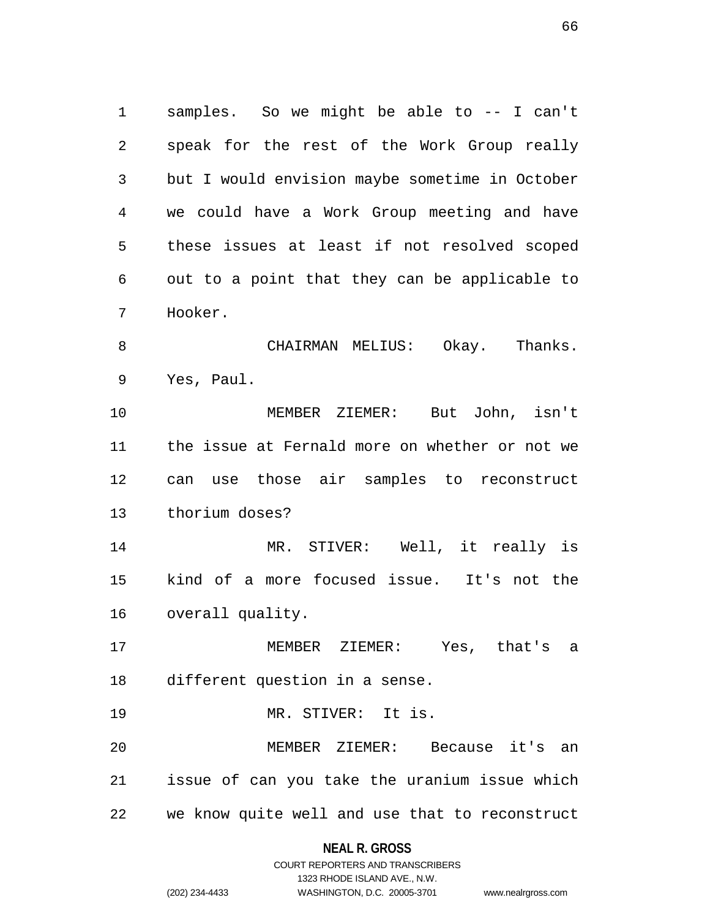1 samples. So we might be able to -- I can't 2 speak for the rest of the Work Group really 3 but I would envision maybe sometime in October 4 we could have a Work Group meeting and have 5 these issues at least if not resolved scoped 6 out to a point that they can be applicable to 7 Hooker. 8 CHAIRMAN MELIUS: Okay. Thanks.

9 Yes, Paul.

10 MEMBER ZIEMER: But John, isn't 11 the issue at Fernald more on whether or not we 12 can use those air samples to reconstruct 13 thorium doses?

14 MR. STIVER: Well, it really is 15 kind of a more focused issue. It's not the 16 overall quality.

17 MEMBER ZIEMER: Yes, that's a 18 different question in a sense.

19 MR. STIVER: It is.

20 MEMBER ZIEMER: Because it's an 21 issue of can you take the uranium issue which 22 we know quite well and use that to reconstruct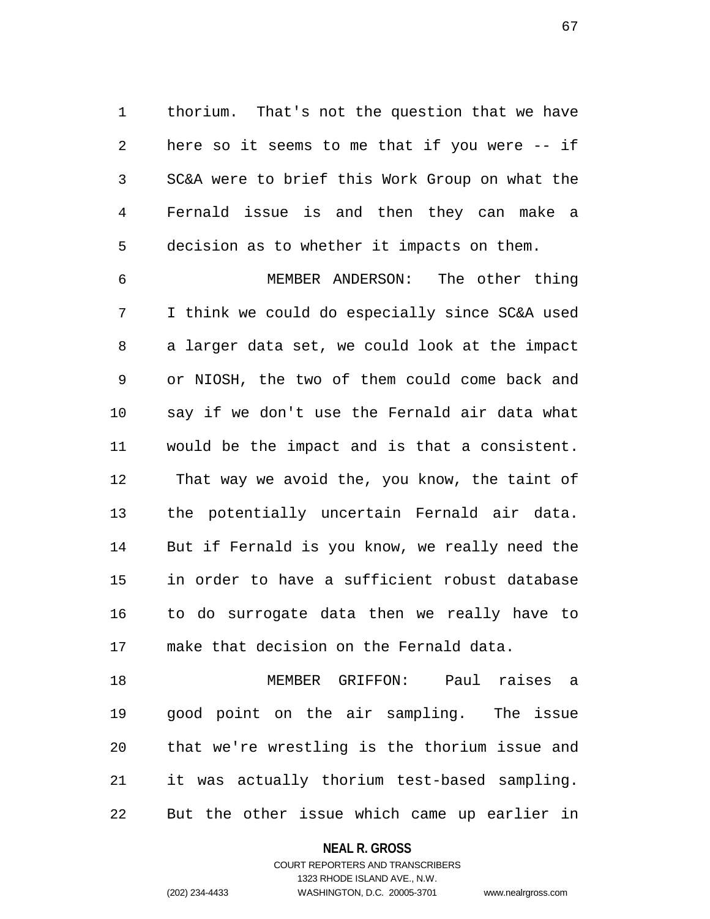1 thorium. That's not the question that we have 2 here so it seems to me that if you were -- if 3 SC&A were to brief this Work Group on what the 4 Fernald issue is and then they can make a 5 decision as to whether it impacts on them.

6 MEMBER ANDERSON: The other thing 7 I think we could do especially since SC&A used 8 a larger data set, we could look at the impact 9 or NIOSH, the two of them could come back and 10 say if we don't use the Fernald air data what 11 would be the impact and is that a consistent. 12 That way we avoid the, you know, the taint of 13 the potentially uncertain Fernald air data. 14 But if Fernald is you know, we really need the 15 in order to have a sufficient robust database 16 to do surrogate data then we really have to 17 make that decision on the Fernald data.

18 MEMBER GRIFFON: Paul raises a 19 good point on the air sampling. The issue 20 that we're wrestling is the thorium issue and 21 it was actually thorium test-based sampling. 22 But the other issue which came up earlier in

### **NEAL R. GROSS**

## COURT REPORTERS AND TRANSCRIBERS 1323 RHODE ISLAND AVE., N.W. (202) 234-4433 WASHINGTON, D.C. 20005-3701 www.nealrgross.com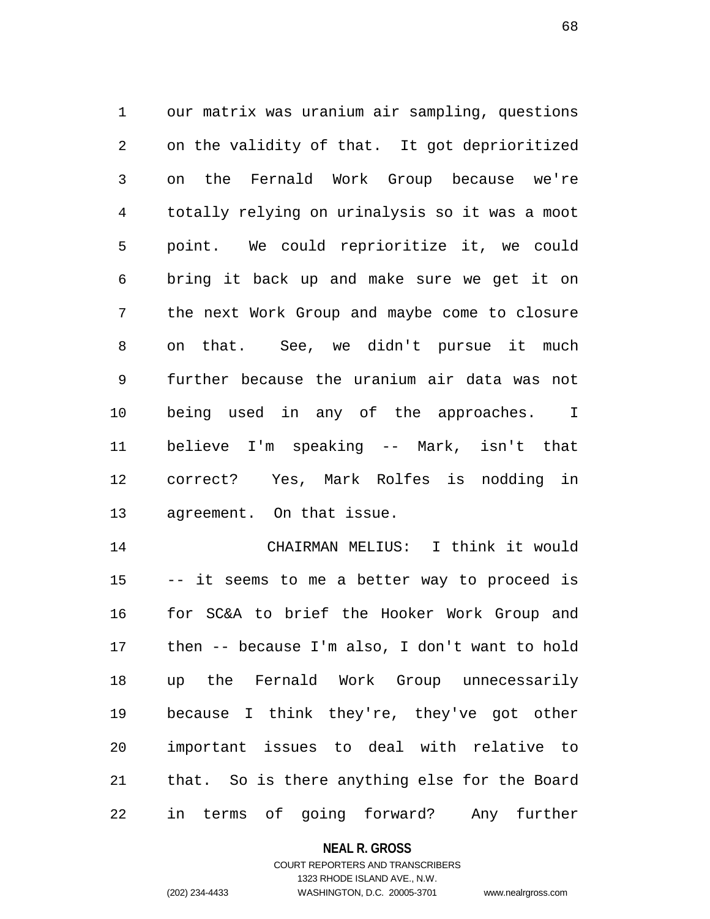1 our matrix was uranium air sampling, questions 2 on the validity of that. It got deprioritized 3 on the Fernald Work Group because we're 4 totally relying on urinalysis so it was a moot 5 point. We could reprioritize it, we could 6 bring it back up and make sure we get it on 7 the next Work Group and maybe come to closure 8 on that. See, we didn't pursue it much 9 further because the uranium air data was not 10 being used in any of the approaches. I 11 believe I'm speaking -- Mark, isn't that 12 correct? Yes, Mark Rolfes is nodding in 13 agreement. On that issue.

14 CHAIRMAN MELIUS: I think it would 15 -- it seems to me a better way to proceed is 16 for SC&A to brief the Hooker Work Group and 17 then -- because I'm also, I don't want to hold 18 up the Fernald Work Group unnecessarily 19 because I think they're, they've got other 20 important issues to deal with relative to 21 that. So is there anything else for the Board 22 in terms of going forward? Any further

## **NEAL R. GROSS**

## COURT REPORTERS AND TRANSCRIBERS 1323 RHODE ISLAND AVE., N.W. (202) 234-4433 WASHINGTON, D.C. 20005-3701 www.nealrgross.com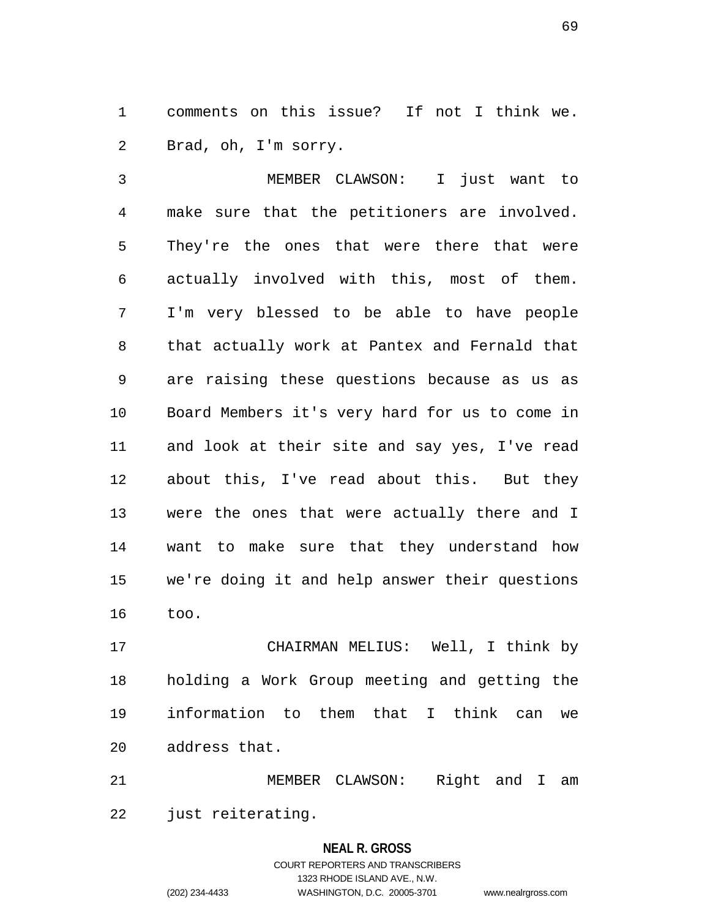1 comments on this issue? If not I think we. 2 Brad, oh, I'm sorry.

3 MEMBER CLAWSON: I just want to 4 make sure that the petitioners are involved. 5 They're the ones that were there that were 6 actually involved with this, most of them. 7 I'm very blessed to be able to have people 8 that actually work at Pantex and Fernald that 9 are raising these questions because as us as 10 Board Members it's very hard for us to come in 11 and look at their site and say yes, I've read 12 about this, I've read about this. But they 13 were the ones that were actually there and I 14 want to make sure that they understand how 15 we're doing it and help answer their questions 16 too.

17 CHAIRMAN MELIUS: Well, I think by 18 holding a Work Group meeting and getting the 19 information to them that I think can we 20 address that.

21 MEMBER CLAWSON: Right and I am 22 just reiterating.

# **NEAL R. GROSS** COURT REPORTERS AND TRANSCRIBERS 1323 RHODE ISLAND AVE., N.W. (202) 234-4433 WASHINGTON, D.C. 20005-3701 www.nealrgross.com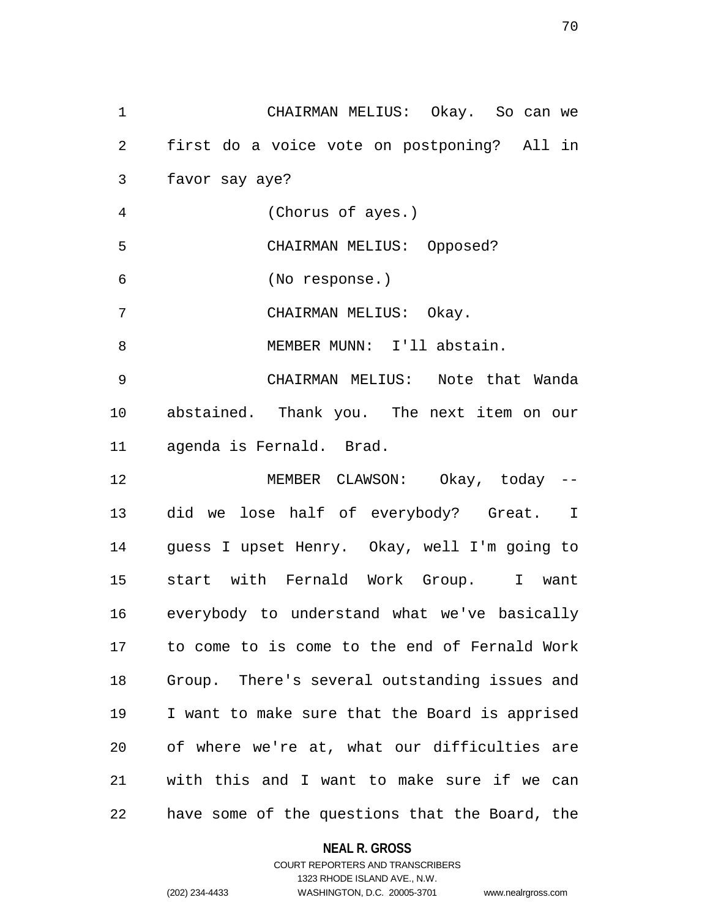1 CHAIRMAN MELIUS: Okay. So can we 2 first do a voice vote on postponing? All in 3 favor say aye? 4 (Chorus of ayes.) 5 CHAIRMAN MELIUS: Opposed? 6 (No response.) 7 CHAIRMAN MELIUS: Okay. 8 MEMBER MUNN: I'll abstain. 9 CHAIRMAN MELIUS: Note that Wanda 10 abstained. Thank you. The next item on our 11 agenda is Fernald. Brad. 12 MEMBER CLAWSON: Okay, today -- 13 did we lose half of everybody? Great. I 14 guess I upset Henry. Okay, well I'm going to 15 start with Fernald Work Group. I want 16 everybody to understand what we've basically 17 to come to is come to the end of Fernald Work 18 Group. There's several outstanding issues and 19 I want to make sure that the Board is apprised 20 of where we're at, what our difficulties are 21 with this and I want to make sure if we can 22 have some of the questions that the Board, the

### **NEAL R. GROSS**

## COURT REPORTERS AND TRANSCRIBERS 1323 RHODE ISLAND AVE., N.W. (202) 234-4433 WASHINGTON, D.C. 20005-3701 www.nealrgross.com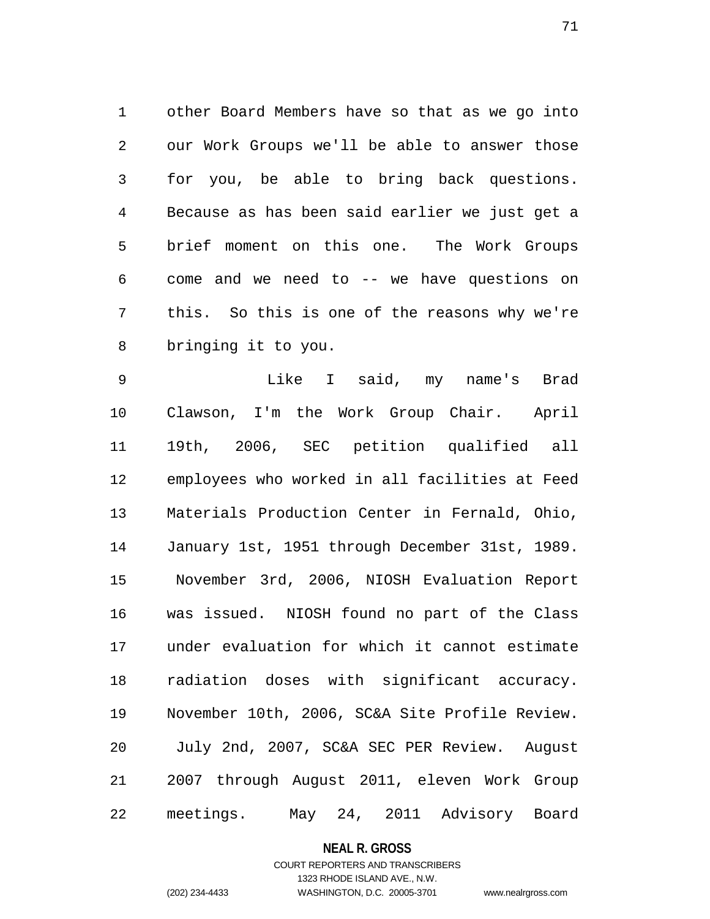1 other Board Members have so that as we go into 2 our Work Groups we'll be able to answer those 3 for you, be able to bring back questions. 4 Because as has been said earlier we just get a 5 brief moment on this one. The Work Groups 6 come and we need to -- we have questions on 7 this. So this is one of the reasons why we're 8 bringing it to you.

9 Like I said, my name's Brad 10 Clawson, I'm the Work Group Chair. April 11 19th, 2006, SEC petition qualified all 12 employees who worked in all facilities at Feed 13 Materials Production Center in Fernald, Ohio, 14 January 1st, 1951 through December 31st, 1989. 15 November 3rd, 2006, NIOSH Evaluation Report 16 was issued. NIOSH found no part of the Class 17 under evaluation for which it cannot estimate 18 radiation doses with significant accuracy. 19 November 10th, 2006, SC&A Site Profile Review. 20 July 2nd, 2007, SC&A SEC PER Review. August 21 2007 through August 2011, eleven Work Group 22 meetings. May 24, 2011 Advisory Board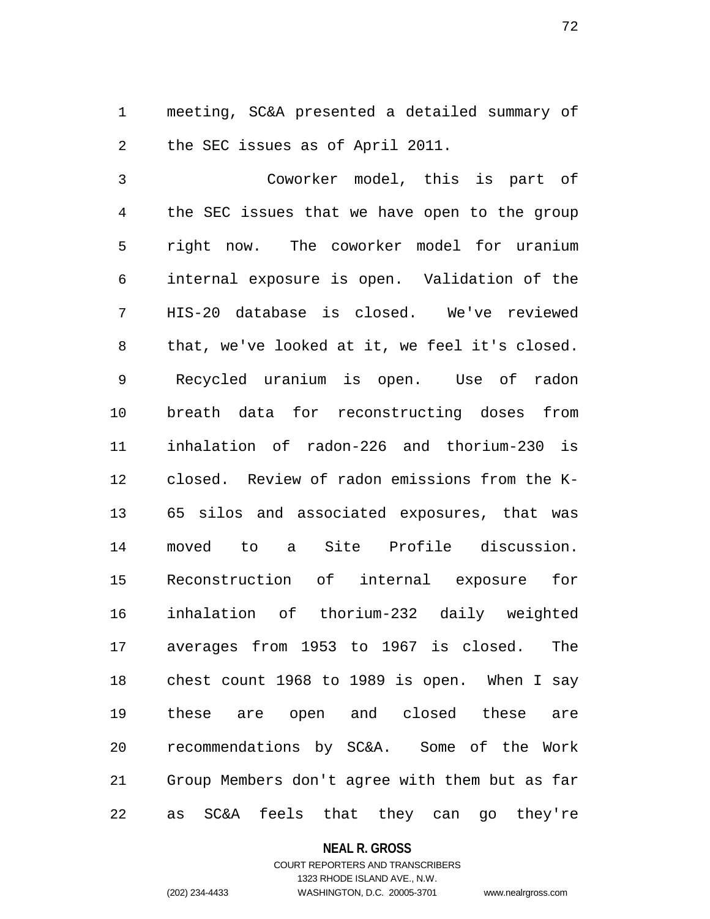1 meeting, SC&A presented a detailed summary of 2 the SEC issues as of April 2011.

3 Coworker model, this is part of 4 the SEC issues that we have open to the group 5 right now. The coworker model for uranium 6 internal exposure is open. Validation of the 7 HIS-20 database is closed. We've reviewed 8 that, we've looked at it, we feel it's closed. 9 Recycled uranium is open. Use of radon 10 breath data for reconstructing doses from 11 inhalation of radon-226 and thorium-230 is 12 closed. Review of radon emissions from the K-13 65 silos and associated exposures, that was 14 moved to a Site Profile discussion. 15 Reconstruction of internal exposure for 16 inhalation of thorium-232 daily weighted 17 averages from 1953 to 1967 is closed. The 18 chest count 1968 to 1989 is open. When I say 19 these are open and closed these are 20 recommendations by SC&A. Some of the Work 21 Group Members don't agree with them but as far 22 as SC&A feels that they can go they're

**NEAL R. GROSS**

## COURT REPORTERS AND TRANSCRIBERS 1323 RHODE ISLAND AVE., N.W. (202) 234-4433 WASHINGTON, D.C. 20005-3701 www.nealrgross.com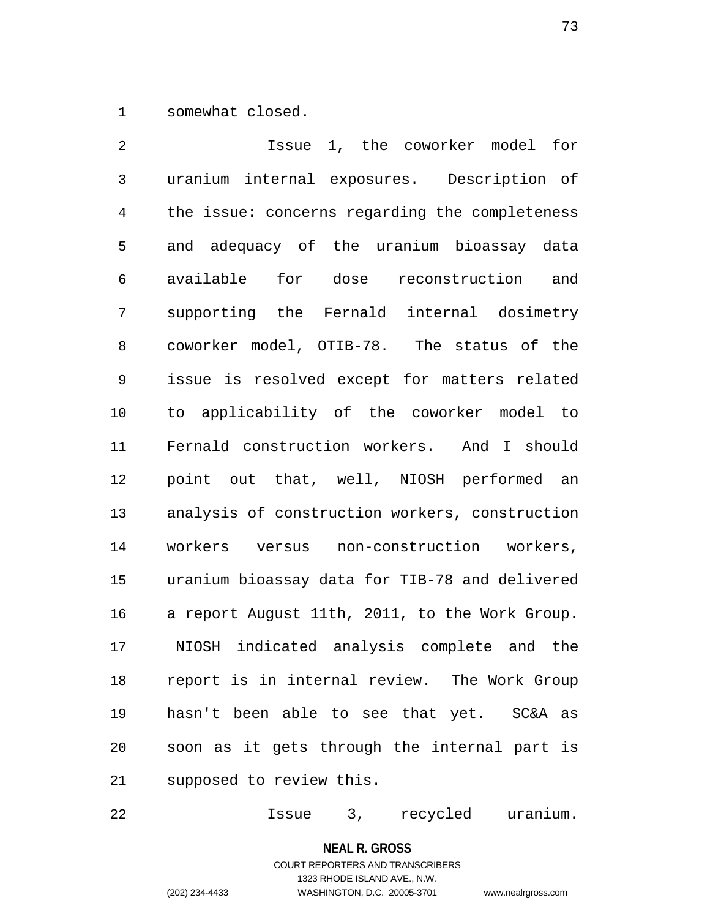1 somewhat closed.

2 Issue 1, the coworker model for 3 uranium internal exposures. Description of 4 the issue: concerns regarding the completeness 5 and adequacy of the uranium bioassay data 6 available for dose reconstruction and 7 supporting the Fernald internal dosimetry 8 coworker model, OTIB-78. The status of the 9 issue is resolved except for matters related 10 to applicability of the coworker model to 11 Fernald construction workers. And I should 12 point out that, well, NIOSH performed an 13 analysis of construction workers, construction 14 workers versus non-construction workers, 15 uranium bioassay data for TIB-78 and delivered 16 a report August 11th, 2011, to the Work Group. 17 NIOSH indicated analysis complete and the 18 report is in internal review. The Work Group 19 hasn't been able to see that yet. SC&A as 20 soon as it gets through the internal part is 21 supposed to review this.

22 Issue 3, recycled uranium.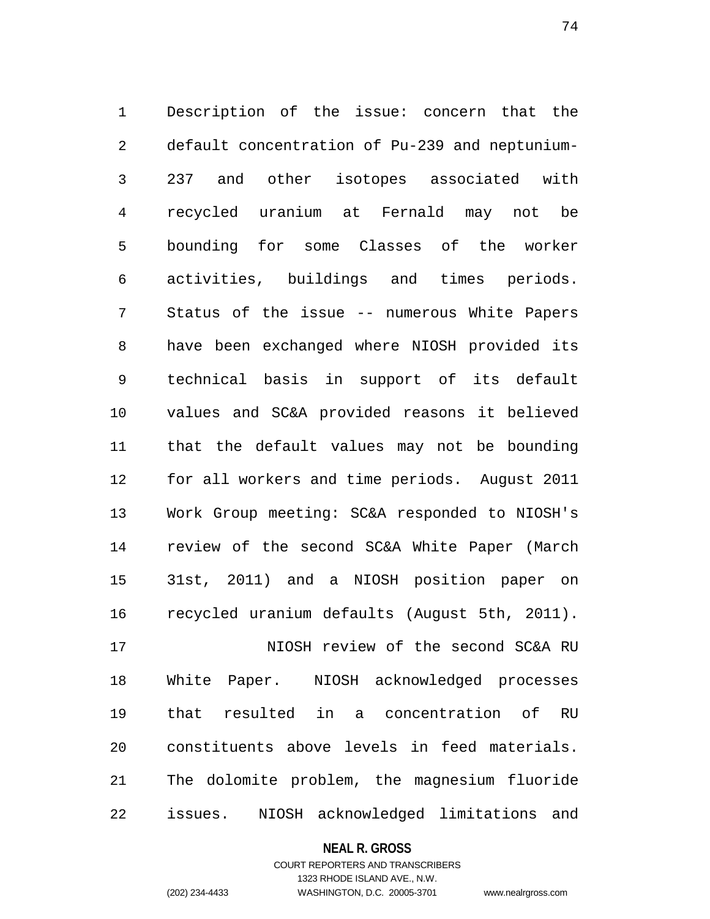1 Description of the issue: concern that the 2 default concentration of Pu-239 and neptunium-3 237 and other isotopes associated with 4 recycled uranium at Fernald may not be 5 bounding for some Classes of the worker 6 activities, buildings and times periods. 7 Status of the issue -- numerous White Papers 8 have been exchanged where NIOSH provided its 9 technical basis in support of its default 10 values and SC&A provided reasons it believed 11 that the default values may not be bounding 12 for all workers and time periods. August 2011 13 Work Group meeting: SC&A responded to NIOSH's 14 review of the second SC&A White Paper (March 15 31st, 2011) and a NIOSH position paper on 16 recycled uranium defaults (August 5th, 2011). 17 NIOSH review of the second SC&A RU 18 White Paper. NIOSH acknowledged processes 19 that resulted in a concentration of RU 20 constituents above levels in feed materials.

21 The dolomite problem, the magnesium fluoride 22 issues. NIOSH acknowledged limitations and

## **NEAL R. GROSS**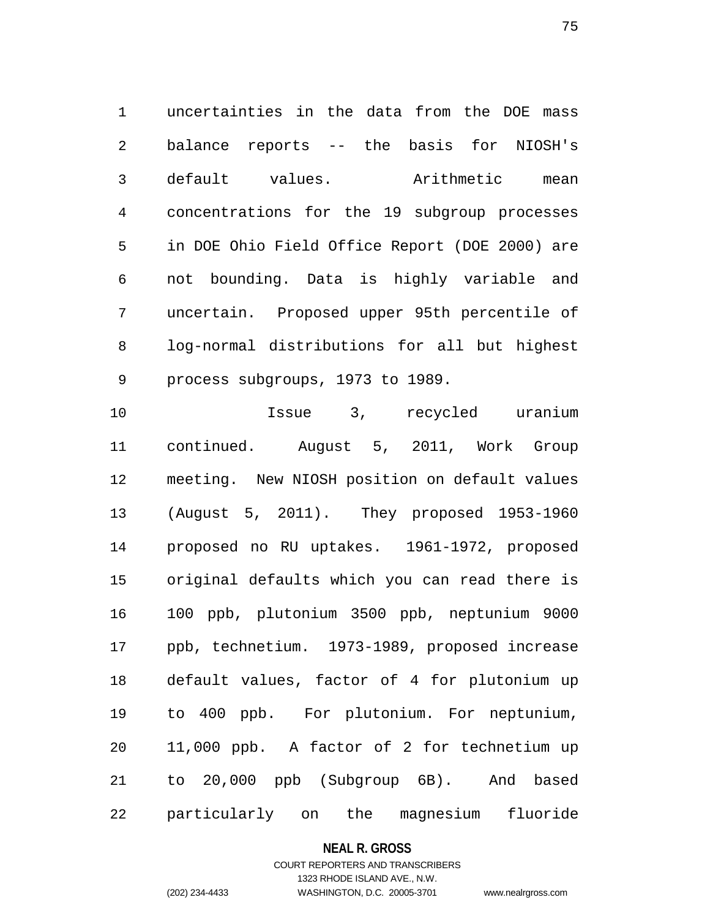1 uncertainties in the data from the DOE mass 2 balance reports -- the basis for NIOSH's 3 default values. Arithmetic mean 4 concentrations for the 19 subgroup processes 5 in DOE Ohio Field Office Report (DOE 2000) are 6 not bounding. Data is highly variable and 7 uncertain. Proposed upper 95th percentile of 8 log-normal distributions for all but highest 9 process subgroups, 1973 to 1989.

10 Issue 3, recycled uranium 11 continued. August 5, 2011, Work Group 12 meeting. New NIOSH position on default values 13 (August 5, 2011). They proposed 1953-1960 14 proposed no RU uptakes. 1961-1972, proposed 15 original defaults which you can read there is 16 100 ppb, plutonium 3500 ppb, neptunium 9000 17 ppb, technetium. 1973-1989, proposed increase 18 default values, factor of 4 for plutonium up 19 to 400 ppb. For plutonium. For neptunium, 20 11,000 ppb. A factor of 2 for technetium up 21 to 20,000 ppb (Subgroup 6B). And based 22 particularly on the magnesium fluoride

**NEAL R. GROSS**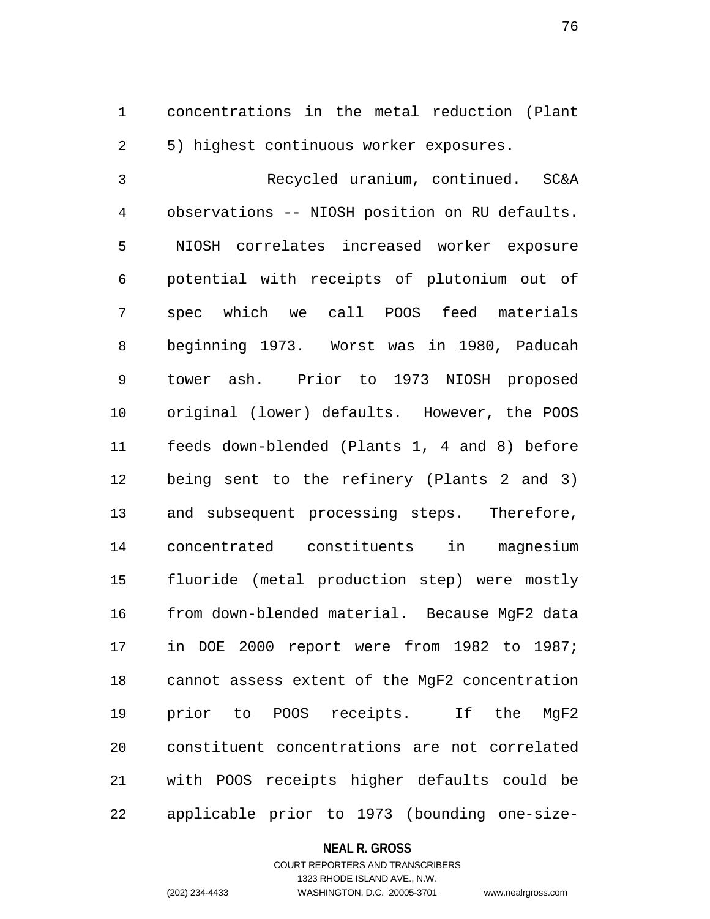1 concentrations in the metal reduction (Plant 2 5) highest continuous worker exposures.

3 Recycled uranium, continued. SC&A 4 observations -- NIOSH position on RU defaults. 5 NIOSH correlates increased worker exposure 6 potential with receipts of plutonium out of 7 spec which we call POOS feed materials 8 beginning 1973. Worst was in 1980, Paducah 9 tower ash. Prior to 1973 NIOSH proposed 10 original (lower) defaults. However, the POOS 11 feeds down-blended (Plants 1, 4 and 8) before 12 being sent to the refinery (Plants 2 and 3) 13 and subsequent processing steps. Therefore, 14 concentrated constituents in magnesium 15 fluoride (metal production step) were mostly 16 from down-blended material. Because MgF2 data 17 in DOE 2000 report were from 1982 to 1987; 18 cannot assess extent of the MgF2 concentration 19 prior to POOS receipts. If the MgF2 20 constituent concentrations are not correlated 21 with POOS receipts higher defaults could be 22 applicable prior to 1973 (bounding one-size-

#### **NEAL R. GROSS**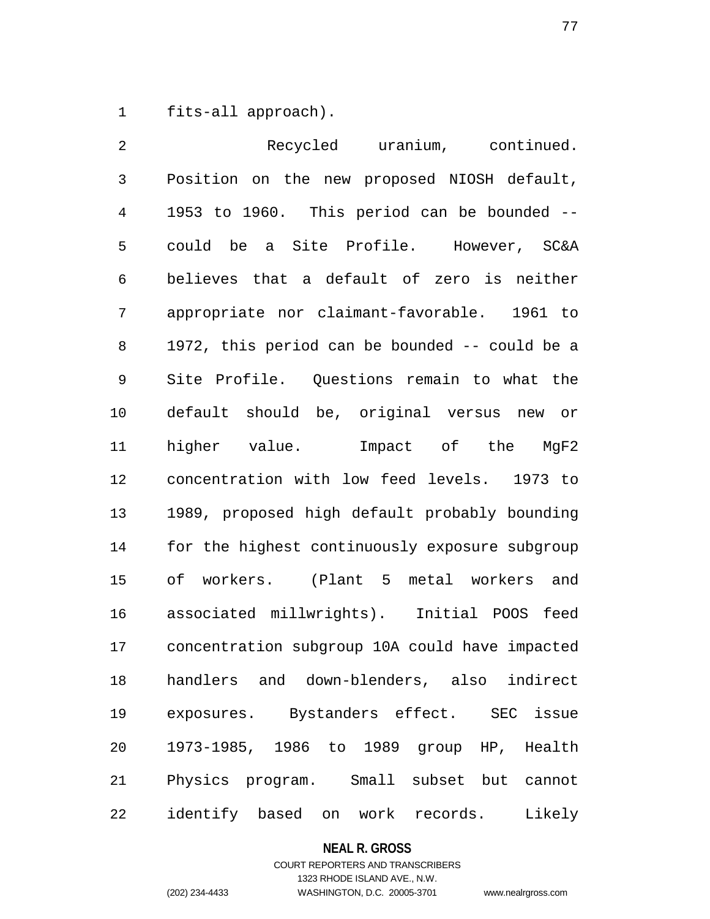1 fits-all approach).

2 Recycled uranium, continued. 3 Position on the new proposed NIOSH default, 4 1953 to 1960. This period can be bounded -- 5 could be a Site Profile. However, SC&A 6 believes that a default of zero is neither 7 appropriate nor claimant-favorable. 1961 to 8 1972, this period can be bounded -- could be a 9 Site Profile. Questions remain to what the 10 default should be, original versus new or 11 higher value. Impact of the MgF2 12 concentration with low feed levels. 1973 to 13 1989, proposed high default probably bounding 14 for the highest continuously exposure subgroup 15 of workers. (Plant 5 metal workers and 16 associated millwrights). Initial POOS feed 17 concentration subgroup 10A could have impacted 18 handlers and down-blenders, also indirect 19 exposures. Bystanders effect. SEC issue 20 1973-1985, 1986 to 1989 group HP, Health 21 Physics program. Small subset but cannot 22 identify based on work records. Likely

#### **NEAL R. GROSS**

# COURT REPORTERS AND TRANSCRIBERS 1323 RHODE ISLAND AVE., N.W. (202) 234-4433 WASHINGTON, D.C. 20005-3701 www.nealrgross.com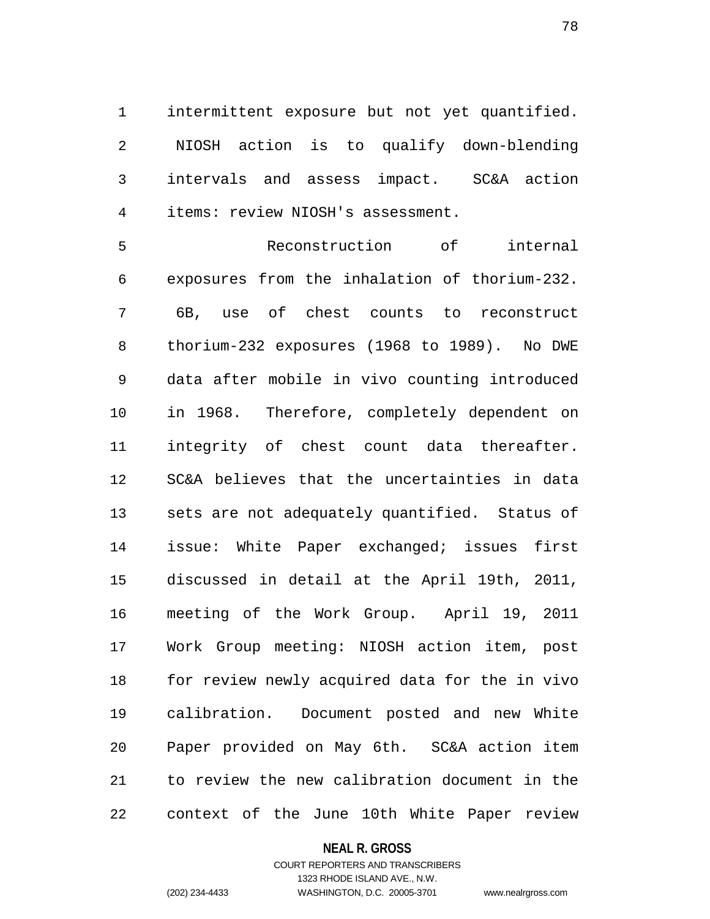1 intermittent exposure but not yet quantified. 2 NIOSH action is to qualify down-blending 3 intervals and assess impact. SC&A action 4 items: review NIOSH's assessment.

5 Reconstruction of internal 6 exposures from the inhalation of thorium-232. 7 6B, use of chest counts to reconstruct 8 thorium-232 exposures (1968 to 1989). No DWE 9 data after mobile in vivo counting introduced 10 in 1968. Therefore, completely dependent on 11 integrity of chest count data thereafter. 12 SC&A believes that the uncertainties in data 13 sets are not adequately quantified. Status of 14 issue: White Paper exchanged; issues first 15 discussed in detail at the April 19th, 2011, 16 meeting of the Work Group. April 19, 2011 17 Work Group meeting: NIOSH action item, post 18 for review newly acquired data for the in vivo 19 calibration. Document posted and new White 20 Paper provided on May 6th. SC&A action item 21 to review the new calibration document in the 22 context of the June 10th White Paper review

#### **NEAL R. GROSS**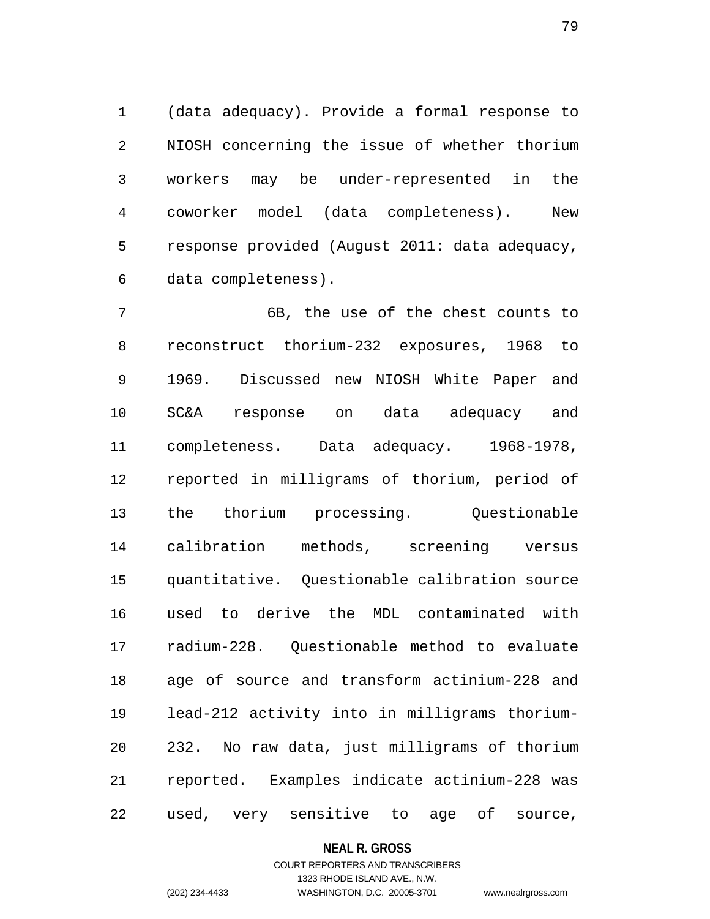1 (data adequacy). Provide a formal response to 2 NIOSH concerning the issue of whether thorium 3 workers may be under-represented in the 4 coworker model (data completeness). New 5 response provided (August 2011: data adequacy, 6 data completeness).

7 6B, the use of the chest counts to 8 reconstruct thorium-232 exposures, 1968 to 9 1969. Discussed new NIOSH White Paper and 10 SC&A response on data adequacy and 11 completeness. Data adequacy. 1968-1978, 12 reported in milligrams of thorium, period of 13 the thorium processing. Questionable 14 calibration methods, screening versus 15 quantitative. Questionable calibration source 16 used to derive the MDL contaminated with 17 radium-228. Questionable method to evaluate 18 age of source and transform actinium-228 and 19 lead-212 activity into in milligrams thorium-20 232. No raw data, just milligrams of thorium 21 reported. Examples indicate actinium-228 was 22 used, very sensitive to age of source,

#### **NEAL R. GROSS**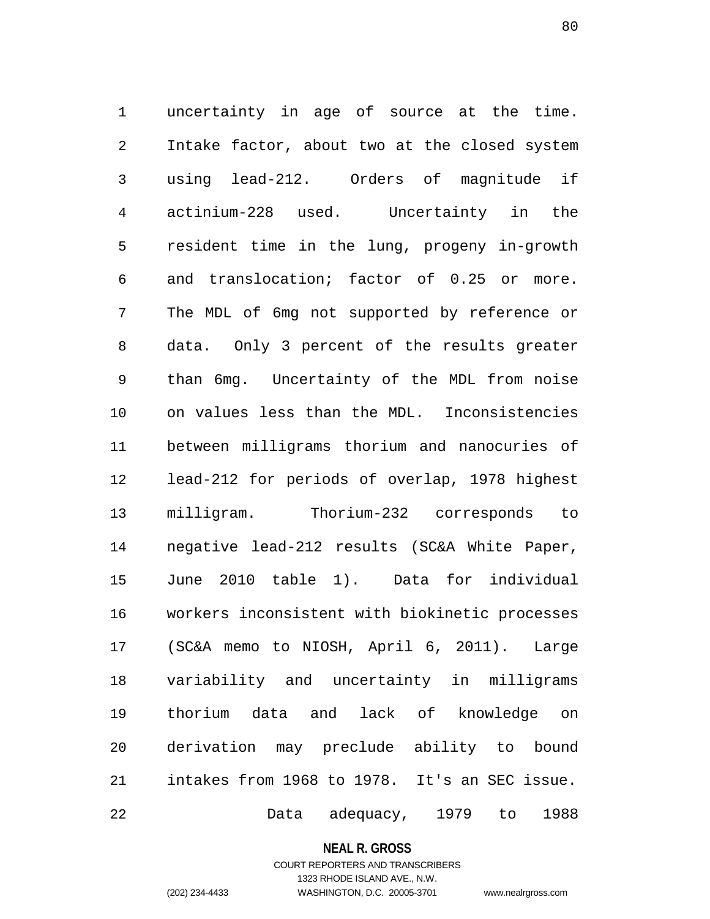1 uncertainty in age of source at the time. 2 Intake factor, about two at the closed system 3 using lead-212. Orders of magnitude if 4 actinium-228 used. Uncertainty in the 5 resident time in the lung, progeny in-growth 6 and translocation; factor of 0.25 or more. 7 The MDL of 6mg not supported by reference or 8 data. Only 3 percent of the results greater 9 than 6mg. Uncertainty of the MDL from noise 10 on values less than the MDL. Inconsistencies 11 between milligrams thorium and nanocuries of 12 lead-212 for periods of overlap, 1978 highest 13 milligram. Thorium-232 corresponds to 14 negative lead-212 results (SC&A White Paper, 15 June 2010 table 1). Data for individual 16 workers inconsistent with biokinetic processes 17 (SC&A memo to NIOSH, April 6, 2011). Large 18 variability and uncertainty in milligrams 19 thorium data and lack of knowledge on 20 derivation may preclude ability to bound 21 intakes from 1968 to 1978. It's an SEC issue. 22 Data adequacy, 1979 to 1988

**NEAL R. GROSS**

# COURT REPORTERS AND TRANSCRIBERS 1323 RHODE ISLAND AVE., N.W. (202) 234-4433 WASHINGTON, D.C. 20005-3701 www.nealrgross.com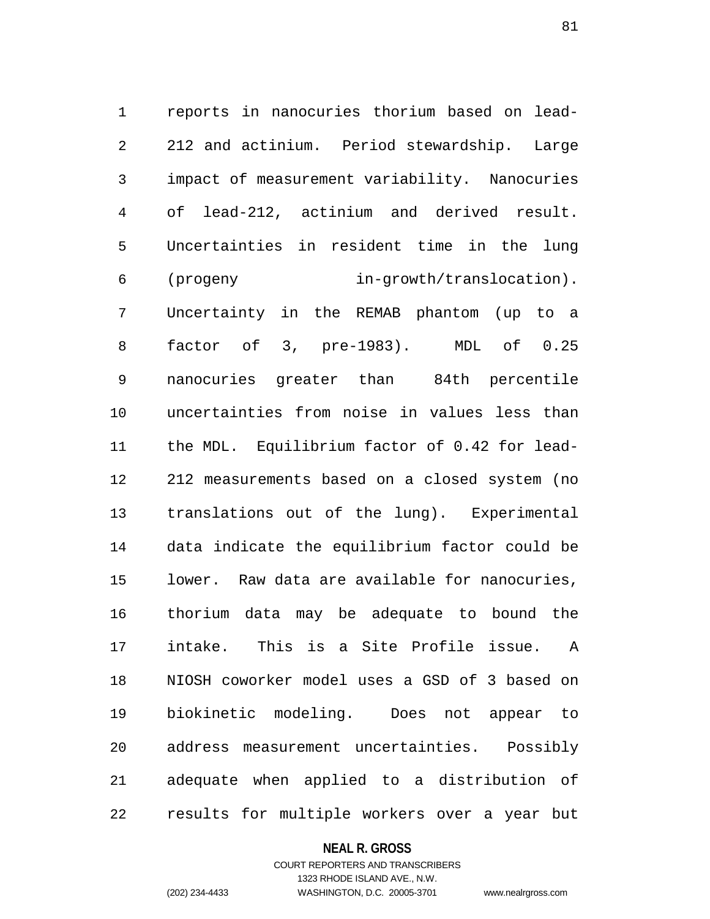1 reports in nanocuries thorium based on lead-2 212 and actinium. Period stewardship. Large 3 impact of measurement variability. Nanocuries 4 of lead-212, actinium and derived result. 5 Uncertainties in resident time in the lung 6 (progeny in-growth/translocation). 7 Uncertainty in the REMAB phantom (up to a 8 factor of 3, pre-1983). MDL of 0.25 9 nanocuries greater than 84th percentile 10 uncertainties from noise in values less than 11 the MDL. Equilibrium factor of 0.42 for lead-12 212 measurements based on a closed system (no 13 translations out of the lung). Experimental 14 data indicate the equilibrium factor could be 15 lower. Raw data are available for nanocuries, 16 thorium data may be adequate to bound the 17 intake. This is a Site Profile issue. A 18 NIOSH coworker model uses a GSD of 3 based on 19 biokinetic modeling. Does not appear to 20 address measurement uncertainties. Possibly 21 adequate when applied to a distribution of 22 results for multiple workers over a year but

#### **NEAL R. GROSS**

# COURT REPORTERS AND TRANSCRIBERS 1323 RHODE ISLAND AVE., N.W. (202) 234-4433 WASHINGTON, D.C. 20005-3701 www.nealrgross.com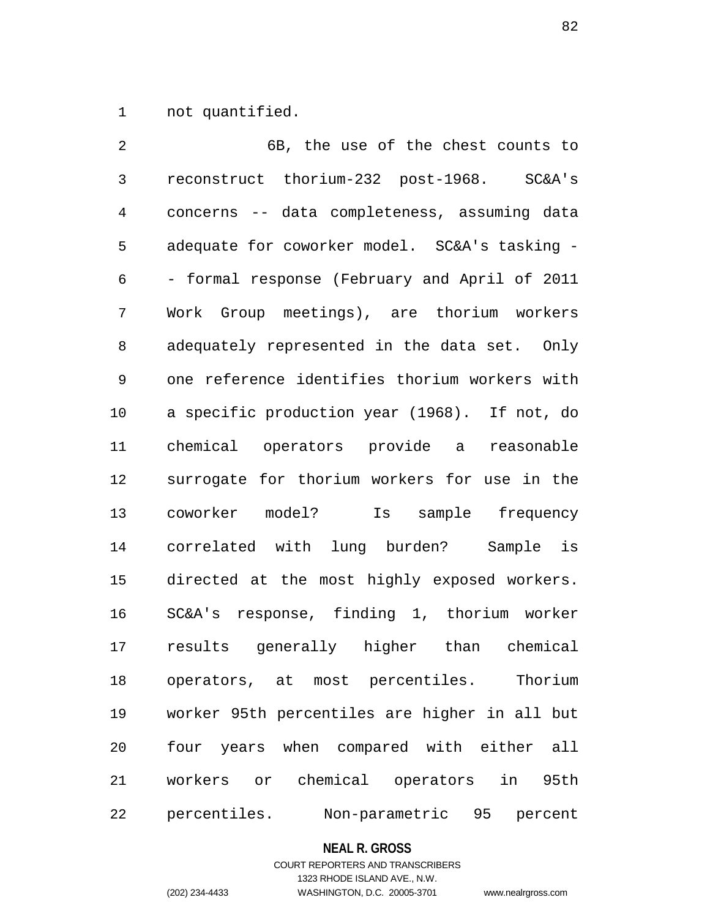1 not quantified.

2 6B, the use of the chest counts to 3 reconstruct thorium-232 post-1968. SC&A's 4 concerns -- data completeness, assuming data 5 adequate for coworker model. SC&A's tasking - 6 - formal response (February and April of 2011 7 Work Group meetings), are thorium workers 8 adequately represented in the data set. Only 9 one reference identifies thorium workers with 10 a specific production year (1968). If not, do 11 chemical operators provide a reasonable 12 surrogate for thorium workers for use in the 13 coworker model? Is sample frequency 14 correlated with lung burden? Sample is 15 directed at the most highly exposed workers. 16 SC&A's response, finding 1, thorium worker 17 results generally higher than chemical 18 operators, at most percentiles. Thorium 19 worker 95th percentiles are higher in all but 20 four years when compared with either all 21 workers or chemical operators in 95th 22 percentiles. Non-parametric 95 percent

## **NEAL R. GROSS**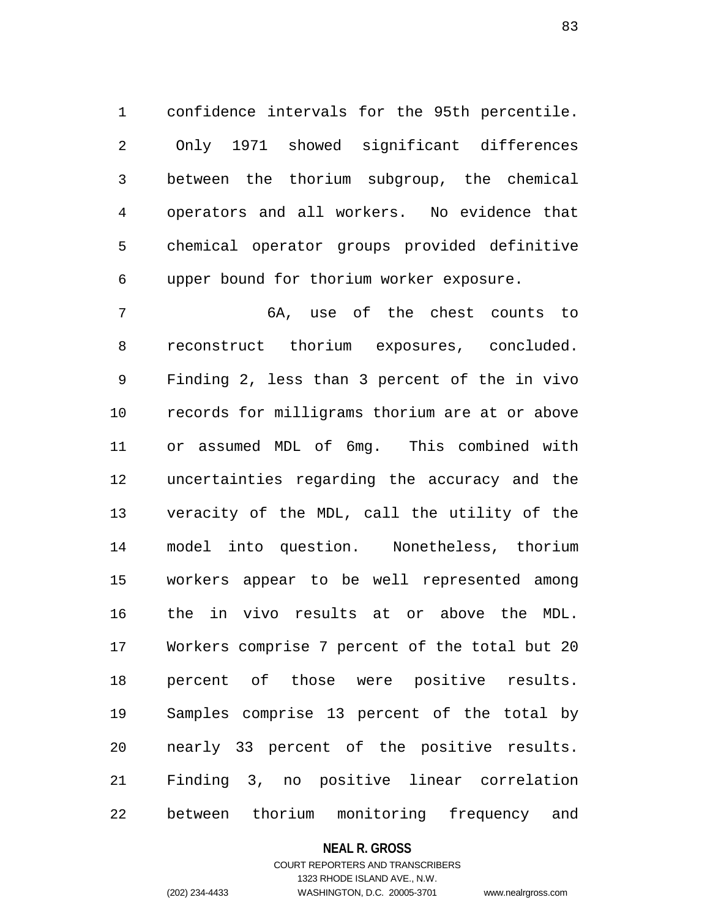1 confidence intervals for the 95th percentile. 2 Only 1971 showed significant differences 3 between the thorium subgroup, the chemical 4 operators and all workers. No evidence that 5 chemical operator groups provided definitive 6 upper bound for thorium worker exposure.

7 6A, use of the chest counts to 8 reconstruct thorium exposures, concluded. 9 Finding 2, less than 3 percent of the in vivo 10 records for milligrams thorium are at or above 11 or assumed MDL of 6mg. This combined with 12 uncertainties regarding the accuracy and the 13 veracity of the MDL, call the utility of the 14 model into question. Nonetheless, thorium 15 workers appear to be well represented among 16 the in vivo results at or above the MDL. 17 Workers comprise 7 percent of the total but 20 18 percent of those were positive results. 19 Samples comprise 13 percent of the total by 20 nearly 33 percent of the positive results. 21 Finding 3, no positive linear correlation 22 between thorium monitoring frequency and

## **NEAL R. GROSS**

# COURT REPORTERS AND TRANSCRIBERS 1323 RHODE ISLAND AVE., N.W. (202) 234-4433 WASHINGTON, D.C. 20005-3701 www.nealrgross.com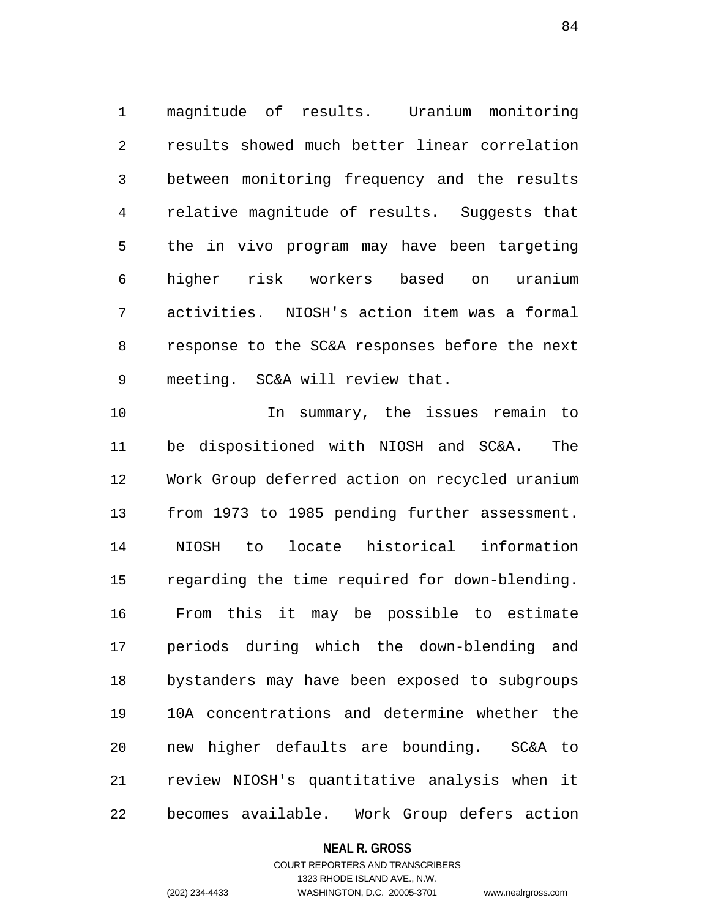1 magnitude of results. Uranium monitoring 2 results showed much better linear correlation 3 between monitoring frequency and the results 4 relative magnitude of results. Suggests that 5 the in vivo program may have been targeting 6 higher risk workers based on uranium 7 activities. NIOSH's action item was a formal 8 response to the SC&A responses before the next 9 meeting. SC&A will review that.

10 In summary, the issues remain to 11 be dispositioned with NIOSH and SC&A. The 12 Work Group deferred action on recycled uranium 13 from 1973 to 1985 pending further assessment. 14 NIOSH to locate historical information 15 regarding the time required for down-blending. 16 From this it may be possible to estimate 17 periods during which the down-blending and 18 bystanders may have been exposed to subgroups 19 10A concentrations and determine whether the 20 new higher defaults are bounding. SC&A to 21 review NIOSH's quantitative analysis when it 22 becomes available. Work Group defers action

#### **NEAL R. GROSS**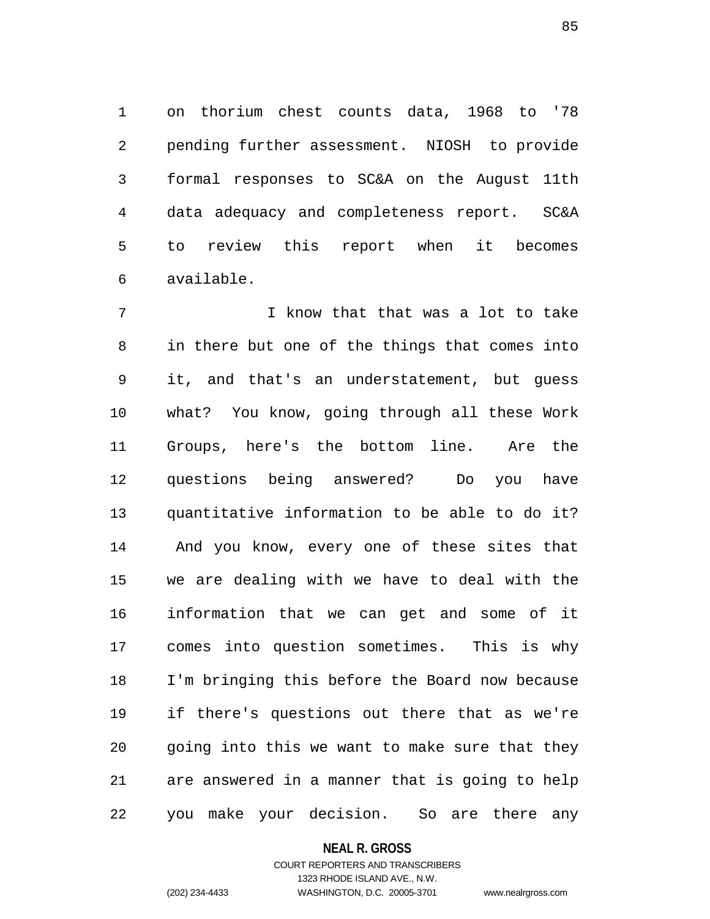1 on thorium chest counts data, 1968 to '78 2 pending further assessment. NIOSH to provide 3 formal responses to SC&A on the August 11th 4 data adequacy and completeness report. SC&A 5 to review this report when it becomes 6 available.

7 I know that that was a lot to take 8 in there but one of the things that comes into 9 it, and that's an understatement, but guess 10 what? You know, going through all these Work 11 Groups, here's the bottom line. Are the 12 questions being answered? Do you have 13 quantitative information to be able to do it? 14 And you know, every one of these sites that 15 we are dealing with we have to deal with the 16 information that we can get and some of it 17 comes into question sometimes. This is why 18 I'm bringing this before the Board now because 19 if there's questions out there that as we're 20 going into this we want to make sure that they 21 are answered in a manner that is going to help 22 you make your decision. So are there any

#### **NEAL R. GROSS**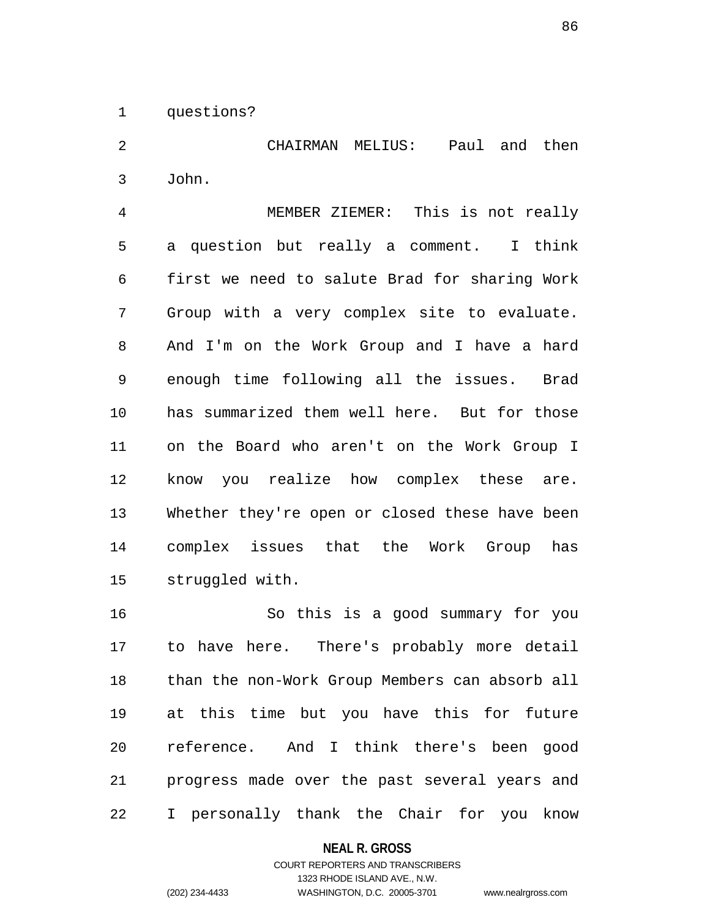1 questions?

2 CHAIRMAN MELIUS: Paul and then 3 John.

4 MEMBER ZIEMER: This is not really 5 a question but really a comment. I think 6 first we need to salute Brad for sharing Work 7 Group with a very complex site to evaluate. 8 And I'm on the Work Group and I have a hard 9 enough time following all the issues. Brad 10 has summarized them well here. But for those 11 on the Board who aren't on the Work Group I 12 know you realize how complex these are. 13 Whether they're open or closed these have been 14 complex issues that the Work Group has 15 struggled with.

16 So this is a good summary for you 17 to have here. There's probably more detail 18 than the non-Work Group Members can absorb all 19 at this time but you have this for future 20 reference. And I think there's been good 21 progress made over the past several years and 22 I personally thank the Chair for you know

**NEAL R. GROSS**

COURT REPORTERS AND TRANSCRIBERS 1323 RHODE ISLAND AVE., N.W. (202) 234-4433 WASHINGTON, D.C. 20005-3701 www.nealrgross.com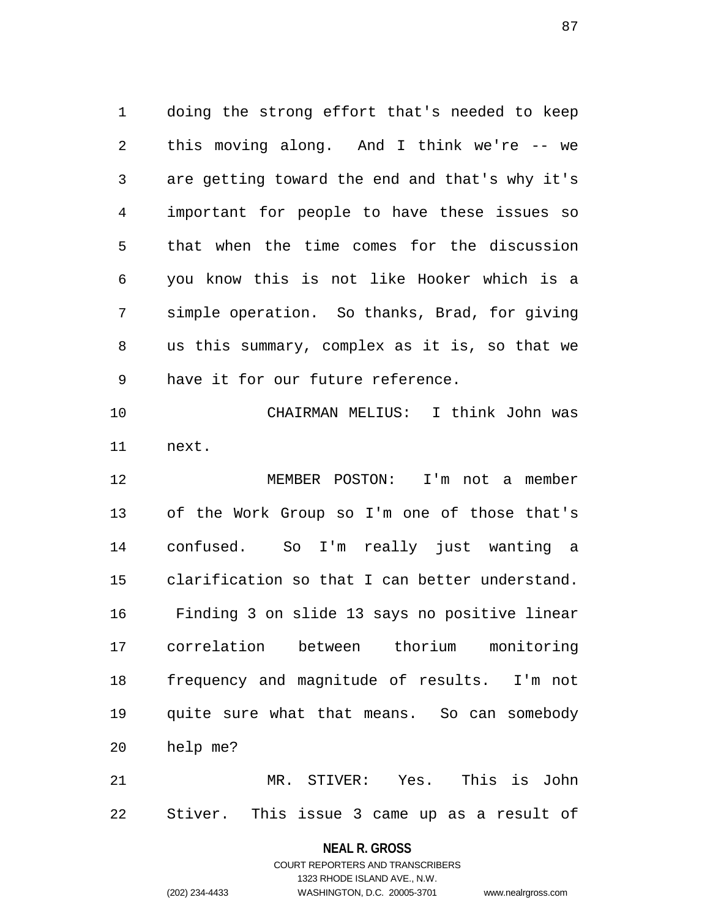1 doing the strong effort that's needed to keep 2 this moving along. And I think we're -- we 3 are getting toward the end and that's why it's 4 important for people to have these issues so 5 that when the time comes for the discussion 6 you know this is not like Hooker which is a 7 simple operation. So thanks, Brad, for giving 8 us this summary, complex as it is, so that we 9 have it for our future reference.

10 CHAIRMAN MELIUS: I think John was 11 next.

12 MEMBER POSTON: I'm not a member 13 of the Work Group so I'm one of those that's 14 confused. So I'm really just wanting a 15 clarification so that I can better understand. 16 Finding 3 on slide 13 says no positive linear 17 correlation between thorium monitoring 18 frequency and magnitude of results. I'm not 19 quite sure what that means. So can somebody 20 help me?

21 MR. STIVER: Yes. This is John 22 Stiver. This issue 3 came up as a result of

#### **NEAL R. GROSS**

COURT REPORTERS AND TRANSCRIBERS 1323 RHODE ISLAND AVE., N.W. (202) 234-4433 WASHINGTON, D.C. 20005-3701 www.nealrgross.com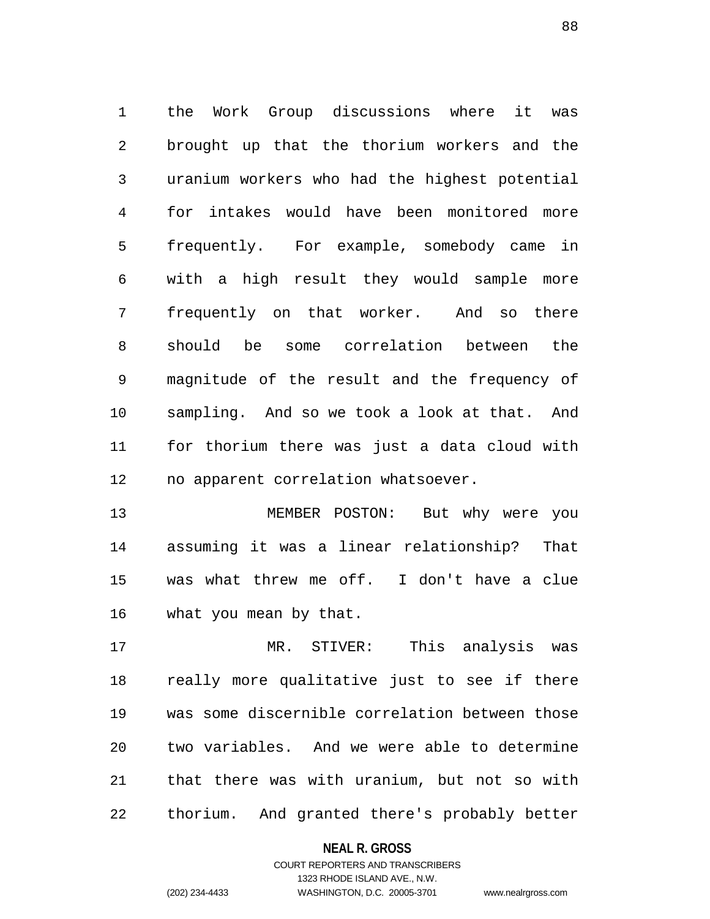1 the Work Group discussions where it was 2 brought up that the thorium workers and the 3 uranium workers who had the highest potential 4 for intakes would have been monitored more 5 frequently. For example, somebody came in 6 with a high result they would sample more 7 frequently on that worker. And so there 8 should be some correlation between the 9 magnitude of the result and the frequency of 10 sampling. And so we took a look at that. And 11 for thorium there was just a data cloud with 12 no apparent correlation whatsoever.

13 MEMBER POSTON: But why were you 14 assuming it was a linear relationship? That 15 was what threw me off. I don't have a clue 16 what you mean by that.

17 MR. STIVER: This analysis was 18 really more qualitative just to see if there 19 was some discernible correlation between those 20 two variables. And we were able to determine 21 that there was with uranium, but not so with 22 thorium. And granted there's probably better

## **NEAL R. GROSS**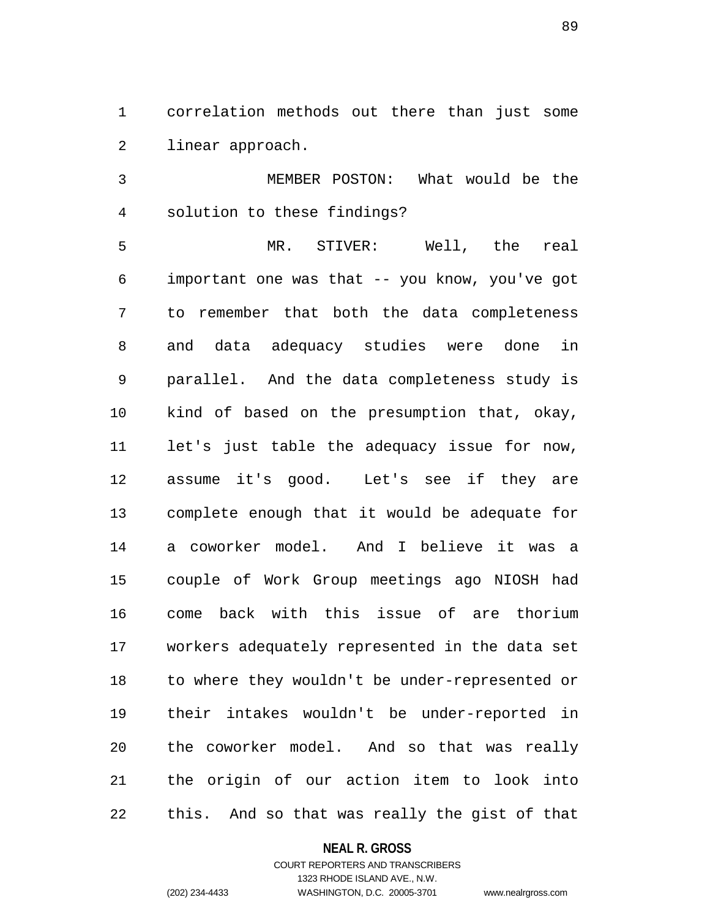1 correlation methods out there than just some 2 linear approach.

3 MEMBER POSTON: What would be the 4 solution to these findings?

5 MR. STIVER: Well, the real 6 important one was that -- you know, you've got 7 to remember that both the data completeness 8 and data adequacy studies were done in 9 parallel. And the data completeness study is 10 kind of based on the presumption that, okay, 11 let's just table the adequacy issue for now, 12 assume it's good. Let's see if they are 13 complete enough that it would be adequate for 14 a coworker model. And I believe it was a 15 couple of Work Group meetings ago NIOSH had 16 come back with this issue of are thorium 17 workers adequately represented in the data set 18 to where they wouldn't be under-represented or 19 their intakes wouldn't be under-reported in 20 the coworker model. And so that was really 21 the origin of our action item to look into 22 this. And so that was really the gist of that

### **NEAL R. GROSS**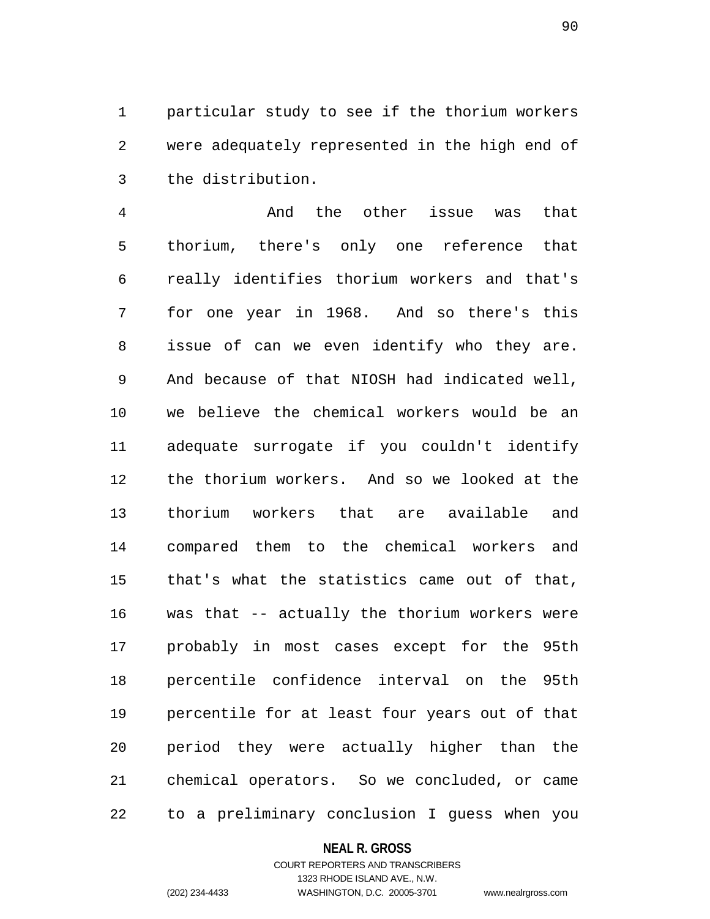1 particular study to see if the thorium workers 2 were adequately represented in the high end of 3 the distribution.

4 And the other issue was that 5 thorium, there's only one reference that 6 really identifies thorium workers and that's 7 for one year in 1968. And so there's this 8 issue of can we even identify who they are. 9 And because of that NIOSH had indicated well, 10 we believe the chemical workers would be an 11 adequate surrogate if you couldn't identify 12 the thorium workers. And so we looked at the 13 thorium workers that are available and 14 compared them to the chemical workers and 15 that's what the statistics came out of that, 16 was that -- actually the thorium workers were 17 probably in most cases except for the 95th 18 percentile confidence interval on the 95th 19 percentile for at least four years out of that 20 period they were actually higher than the 21 chemical operators. So we concluded, or came 22 to a preliminary conclusion I guess when you

#### **NEAL R. GROSS**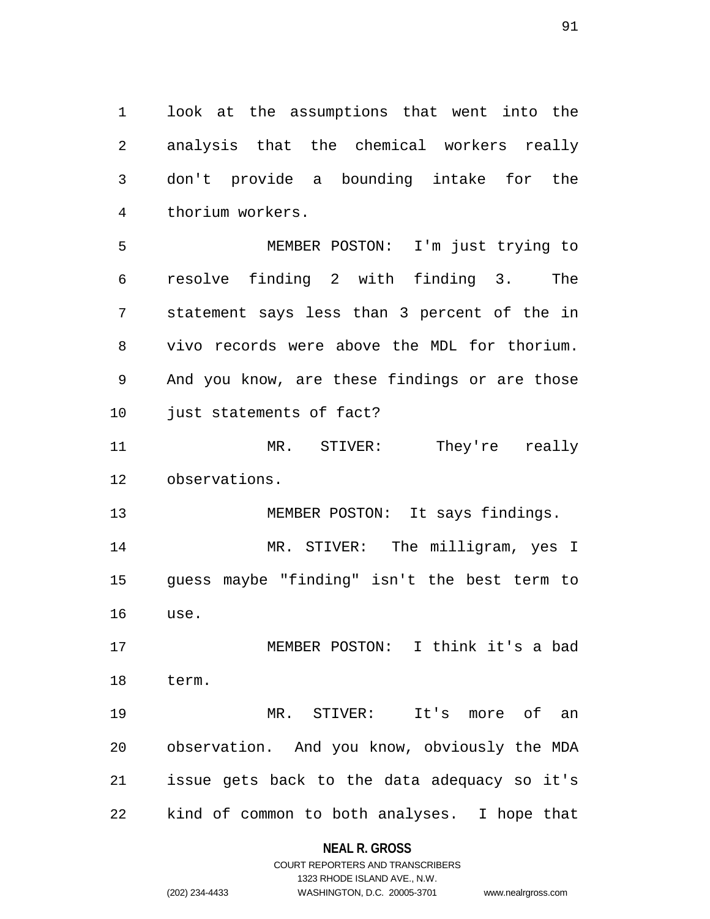1 look at the assumptions that went into the 2 analysis that the chemical workers really 3 don't provide a bounding intake for the 4 thorium workers.

5 MEMBER POSTON: I'm just trying to 6 resolve finding 2 with finding 3. The 7 statement says less than 3 percent of the in 8 vivo records were above the MDL for thorium. 9 And you know, are these findings or are those 10 just statements of fact?

11 MR. STIVER: They're really 12 observations.

13 MEMBER POSTON: It says findings. 14 MR. STIVER: The milligram, yes I 15 guess maybe "finding" isn't the best term to 16 use.

17 MEMBER POSTON: I think it's a bad 18 term.

19 MR. STIVER: It's more of an 20 observation. And you know, obviously the MDA 21 issue gets back to the data adequacy so it's 22 kind of common to both analyses. I hope that

**NEAL R. GROSS**

COURT REPORTERS AND TRANSCRIBERS 1323 RHODE ISLAND AVE., N.W. (202) 234-4433 WASHINGTON, D.C. 20005-3701 www.nealrgross.com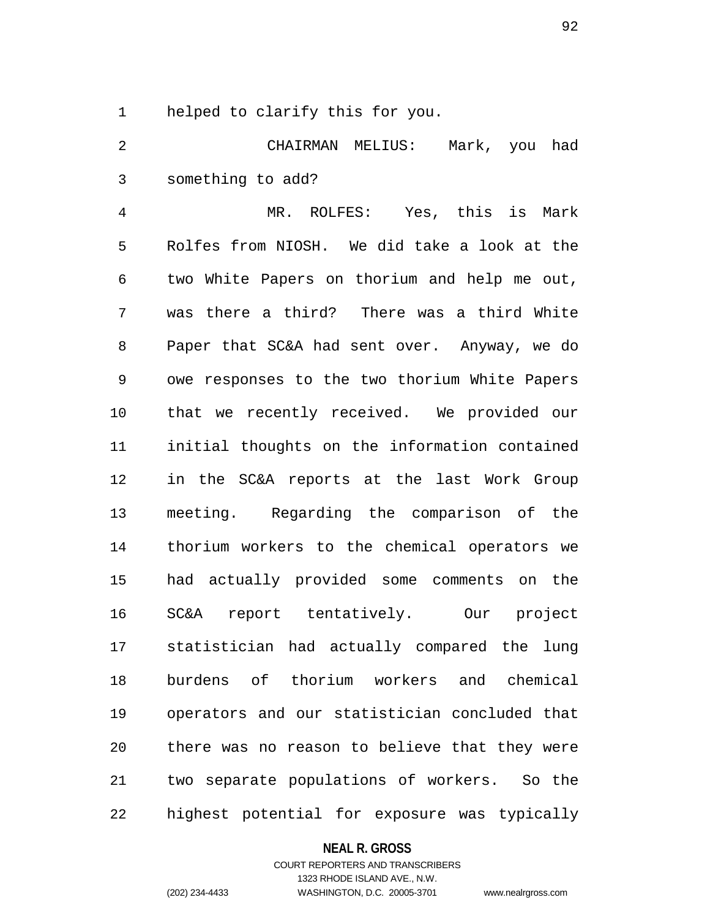1 helped to clarify this for you.

2 CHAIRMAN MELIUS: Mark, you had 3 something to add?

4 MR. ROLFES: Yes, this is Mark 5 Rolfes from NIOSH. We did take a look at the 6 two White Papers on thorium and help me out, 7 was there a third? There was a third White 8 Paper that SC&A had sent over. Anyway, we do 9 owe responses to the two thorium White Papers 10 that we recently received. We provided our 11 initial thoughts on the information contained 12 in the SC&A reports at the last Work Group 13 meeting. Regarding the comparison of the 14 thorium workers to the chemical operators we 15 had actually provided some comments on the 16 SC&A report tentatively. Our project 17 statistician had actually compared the lung 18 burdens of thorium workers and chemical 19 operators and our statistician concluded that 20 there was no reason to believe that they were 21 two separate populations of workers. So the 22 highest potential for exposure was typically

#### **NEAL R. GROSS**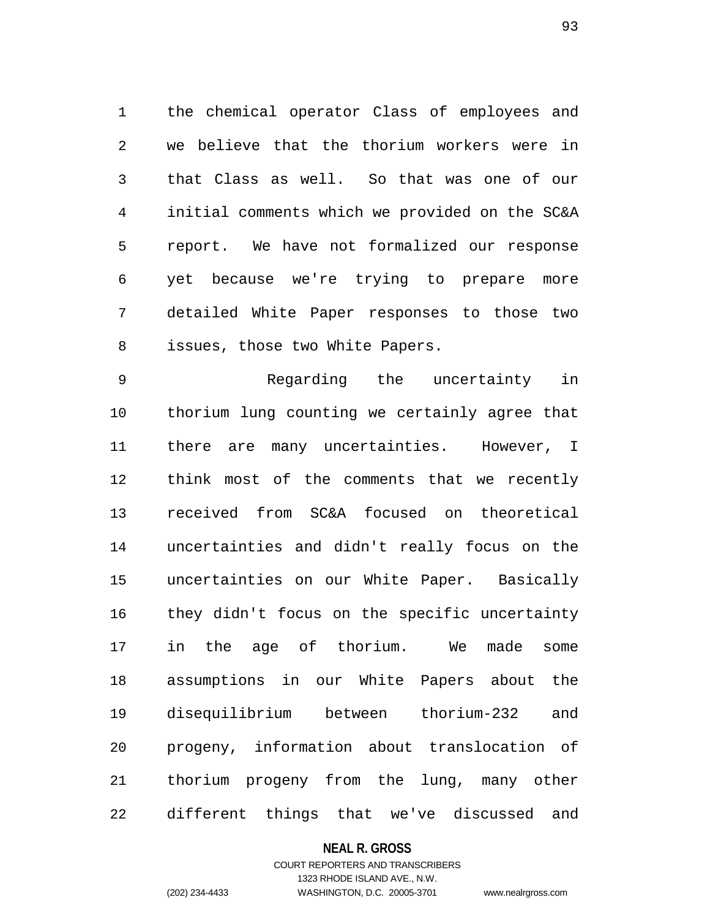1 the chemical operator Class of employees and 2 we believe that the thorium workers were in 3 that Class as well. So that was one of our 4 initial comments which we provided on the SC&A 5 report. We have not formalized our response 6 yet because we're trying to prepare more 7 detailed White Paper responses to those two 8 issues, those two White Papers.

9 Regarding the uncertainty in 10 thorium lung counting we certainly agree that 11 there are many uncertainties. However, I 12 think most of the comments that we recently 13 received from SC&A focused on theoretical 14 uncertainties and didn't really focus on the 15 uncertainties on our White Paper. Basically 16 they didn't focus on the specific uncertainty 17 in the age of thorium. We made some 18 assumptions in our White Papers about the 19 disequilibrium between thorium-232 and 20 progeny, information about translocation of 21 thorium progeny from the lung, many other 22 different things that we've discussed and

## **NEAL R. GROSS**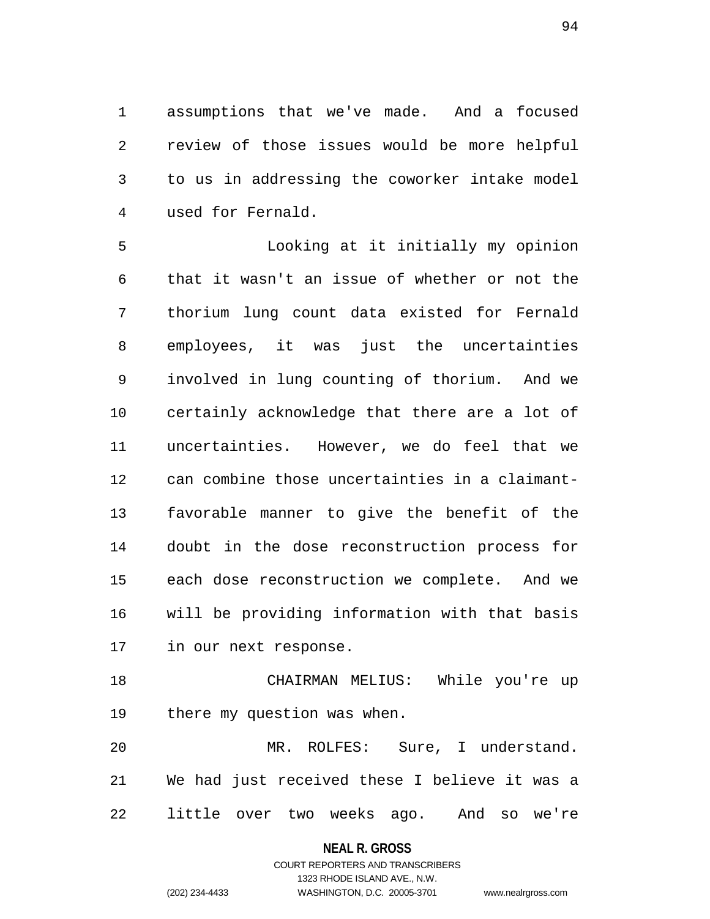1 assumptions that we've made. And a focused 2 review of those issues would be more helpful 3 to us in addressing the coworker intake model 4 used for Fernald.

5 Looking at it initially my opinion 6 that it wasn't an issue of whether or not the 7 thorium lung count data existed for Fernald 8 employees, it was just the uncertainties 9 involved in lung counting of thorium. And we 10 certainly acknowledge that there are a lot of 11 uncertainties. However, we do feel that we 12 can combine those uncertainties in a claimant-13 favorable manner to give the benefit of the 14 doubt in the dose reconstruction process for 15 each dose reconstruction we complete. And we 16 will be providing information with that basis 17 in our next response.

18 CHAIRMAN MELIUS: While you're up 19 there my question was when.

20 MR. ROLFES: Sure, I understand. 21 We had just received these I believe it was a 22 little over two weeks ago. And so we're

## **NEAL R. GROSS**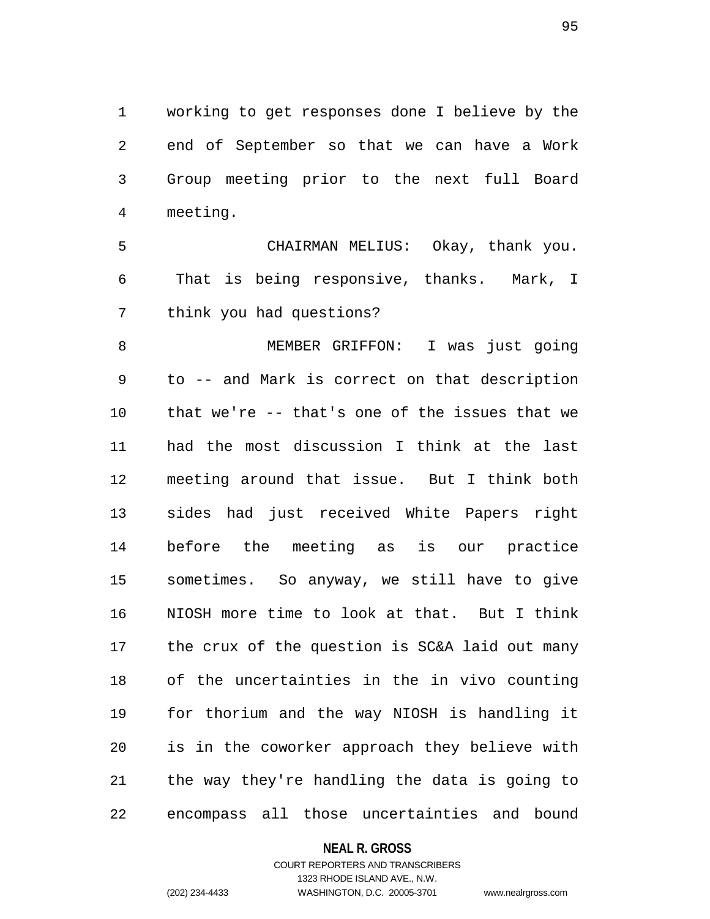1 working to get responses done I believe by the 2 end of September so that we can have a Work 3 Group meeting prior to the next full Board 4 meeting.

5 CHAIRMAN MELIUS: Okay, thank you. 6 That is being responsive, thanks. Mark, I 7 think you had questions?

8 MEMBER GRIFFON: I was just going 9 to -- and Mark is correct on that description 10 that we're -- that's one of the issues that we 11 had the most discussion I think at the last 12 meeting around that issue. But I think both 13 sides had just received White Papers right 14 before the meeting as is our practice 15 sometimes. So anyway, we still have to give 16 NIOSH more time to look at that. But I think 17 the crux of the question is SC&A laid out many 18 of the uncertainties in the in vivo counting 19 for thorium and the way NIOSH is handling it 20 is in the coworker approach they believe with 21 the way they're handling the data is going to 22 encompass all those uncertainties and bound

## **NEAL R. GROSS**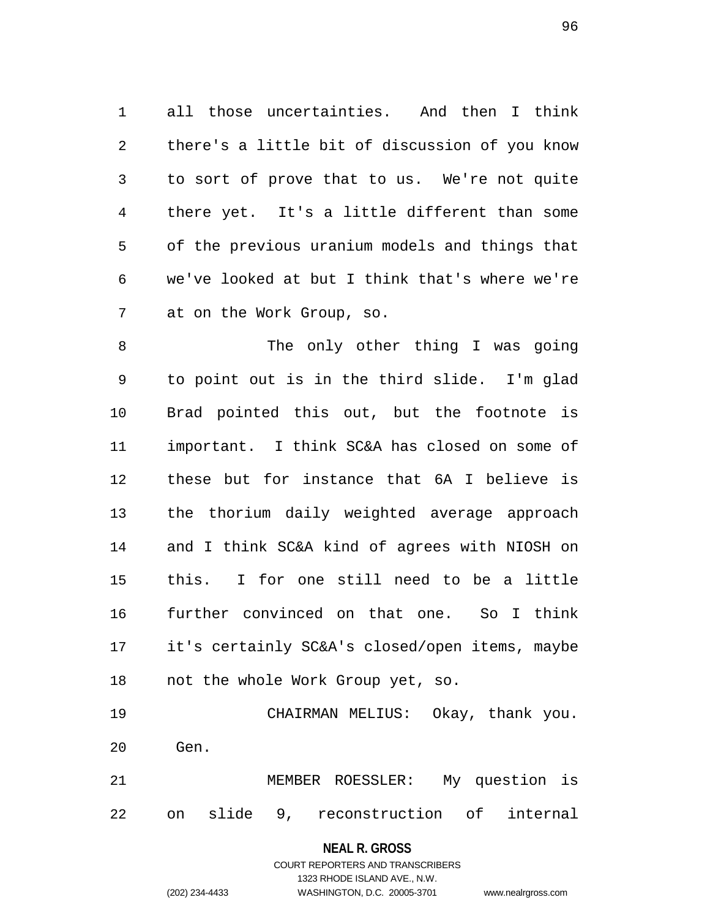1 all those uncertainties. And then I think 2 there's a little bit of discussion of you know 3 to sort of prove that to us. We're not quite 4 there yet. It's a little different than some 5 of the previous uranium models and things that 6 we've looked at but I think that's where we're 7 at on the Work Group, so.

8 The only other thing I was going 9 to point out is in the third slide. I'm glad 10 Brad pointed this out, but the footnote is 11 important. I think SC&A has closed on some of 12 these but for instance that 6A I believe is 13 the thorium daily weighted average approach 14 and I think SC&A kind of agrees with NIOSH on 15 this. I for one still need to be a little 16 further convinced on that one. So I think 17 it's certainly SC&A's closed/open items, maybe 18 not the whole Work Group yet, so.

19 CHAIRMAN MELIUS: Okay, thank you. 20 Gen.

21 MEMBER ROESSLER: My question is 22 on slide 9, reconstruction of internal

**NEAL R. GROSS**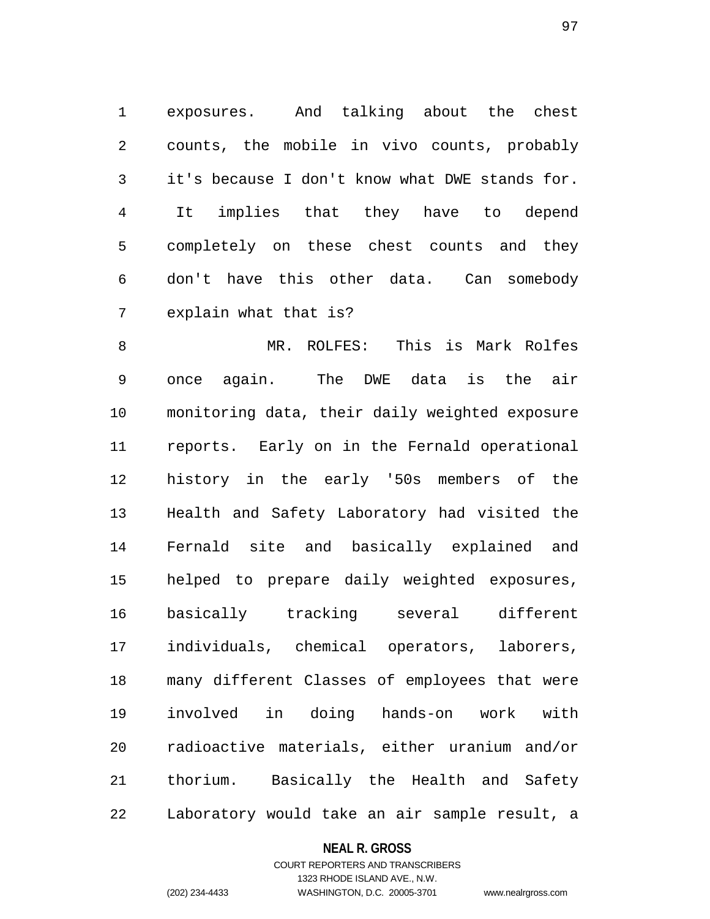1 exposures. And talking about the chest 2 counts, the mobile in vivo counts, probably 3 it's because I don't know what DWE stands for. 4 It implies that they have to depend 5 completely on these chest counts and they 6 don't have this other data. Can somebody 7 explain what that is?

8 MR. ROLFES: This is Mark Rolfes 9 once again. The DWE data is the air 10 monitoring data, their daily weighted exposure 11 reports. Early on in the Fernald operational 12 history in the early '50s members of the 13 Health and Safety Laboratory had visited the 14 Fernald site and basically explained and 15 helped to prepare daily weighted exposures, 16 basically tracking several different 17 individuals, chemical operators, laborers, 18 many different Classes of employees that were 19 involved in doing hands-on work with 20 radioactive materials, either uranium and/or 21 thorium. Basically the Health and Safety 22 Laboratory would take an air sample result, a

## **NEAL R. GROSS**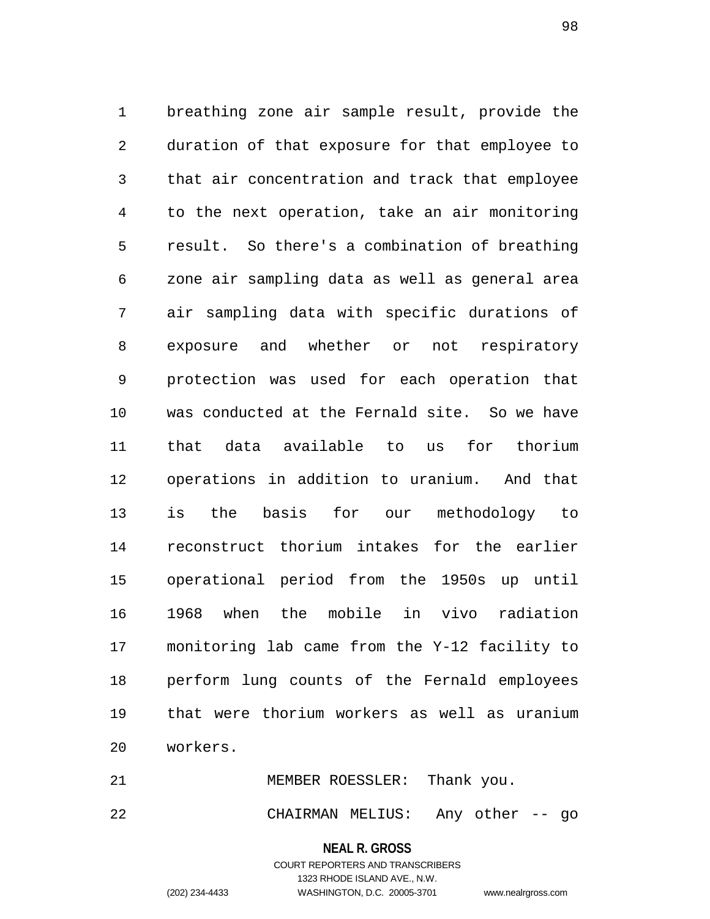1 breathing zone air sample result, provide the 2 duration of that exposure for that employee to 3 that air concentration and track that employee 4 to the next operation, take an air monitoring 5 result. So there's a combination of breathing 6 zone air sampling data as well as general area 7 air sampling data with specific durations of 8 exposure and whether or not respiratory 9 protection was used for each operation that 10 was conducted at the Fernald site. So we have 11 that data available to us for thorium 12 operations in addition to uranium. And that 13 is the basis for our methodology to 14 reconstruct thorium intakes for the earlier 15 operational period from the 1950s up until 16 1968 when the mobile in vivo radiation 17 monitoring lab came from the Y-12 facility to 18 perform lung counts of the Fernald employees 19 that were thorium workers as well as uranium 20 workers.

21 MEMBER ROESSLER: Thank you. 22 CHAIRMAN MELIUS: Any other -- go

> **NEAL R. GROSS** COURT REPORTERS AND TRANSCRIBERS

> > 1323 RHODE ISLAND AVE., N.W.

(202) 234-4433 WASHINGTON, D.C. 20005-3701 www.nealrgross.com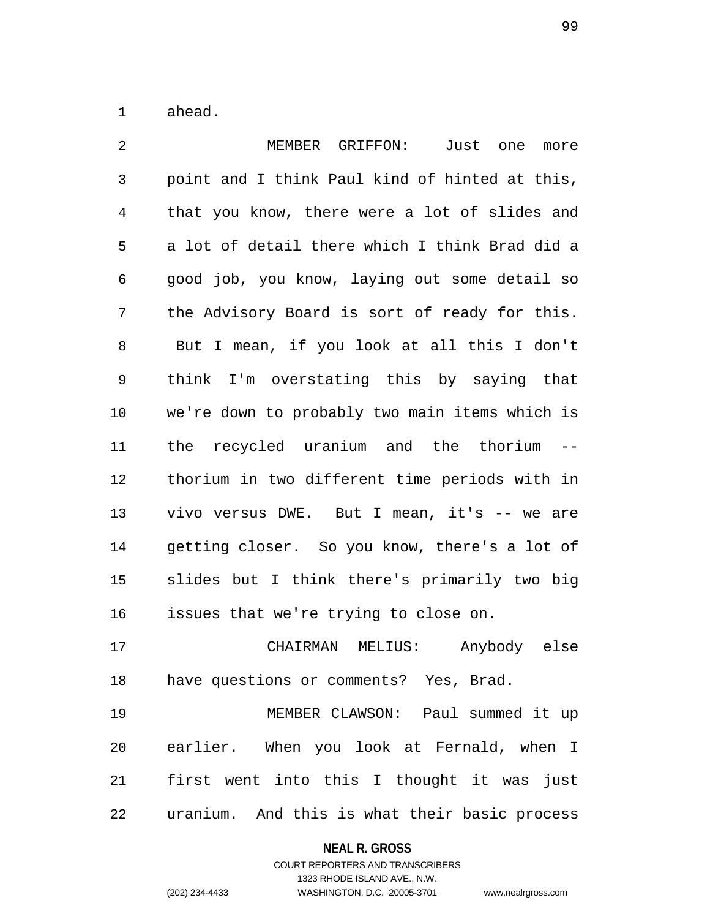1 ahead.

| 2              | MEMBER GRIFFON: Just<br>one<br>more            |
|----------------|------------------------------------------------|
| $\mathsf{3}$   | point and I think Paul kind of hinted at this, |
| $\overline{4}$ | that you know, there were a lot of slides and  |
| 5              | a lot of detail there which I think Brad did a |
| 6              | good job, you know, laying out some detail so  |
| 7              | the Advisory Board is sort of ready for this.  |
| 8              | But I mean, if you look at all this I don't    |
| 9              | think I'm overstating this by saying that      |
| 10             | we're down to probably two main items which is |
| 11             | the recycled uranium and the thorium --        |
| 12             | thorium in two different time periods with in  |
| 13             | vivo versus DWE. But I mean, it's -- we are    |
| 14             | getting closer. So you know, there's a lot of  |
| 15             | slides but I think there's primarily two big   |
| 16             | issues that we're trying to close on.          |
| 17             | CHAIRMAN MELIUS: Anybody else                  |
| 18             | have questions or comments? Yes, Brad.         |
| 19             | MEMBER CLAWSON: Paul summed it up              |
| 20             | earlier. When you look at Fernald, when I      |
| 21             | first went into this I thought it was just     |
| 22             | uranium. And this is what their basic process  |

# **NEAL R. GROSS**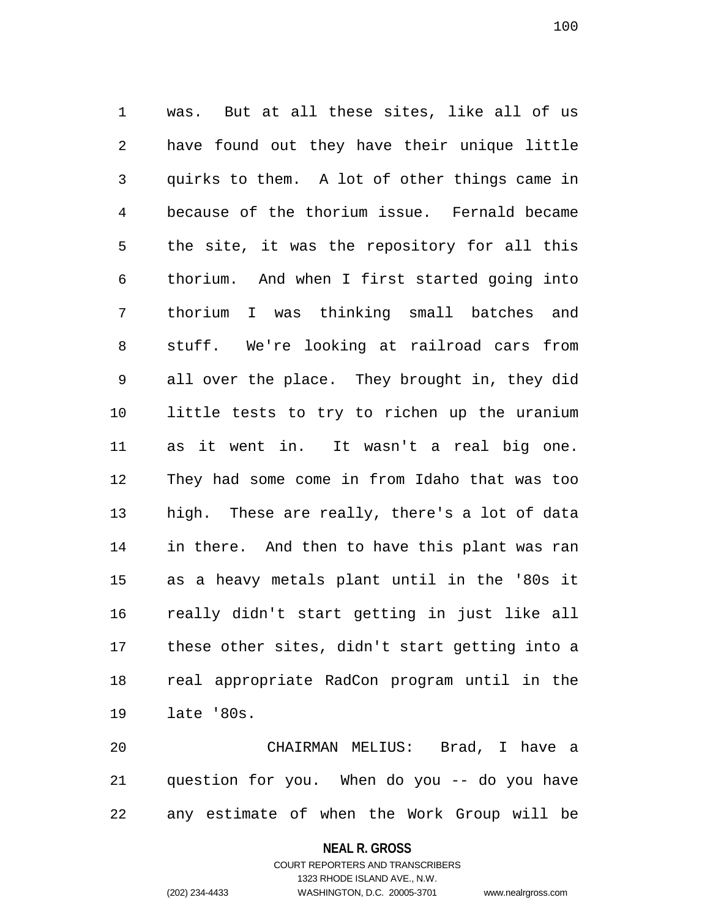1 was. But at all these sites, like all of us 2 have found out they have their unique little 3 quirks to them. A lot of other things came in 4 because of the thorium issue. Fernald became 5 the site, it was the repository for all this 6 thorium. And when I first started going into 7 thorium I was thinking small batches and 8 stuff. We're looking at railroad cars from 9 all over the place. They brought in, they did 10 little tests to try to richen up the uranium 11 as it went in. It wasn't a real big one. 12 They had some come in from Idaho that was too 13 high. These are really, there's a lot of data 14 in there. And then to have this plant was ran 15 as a heavy metals plant until in the '80s it 16 really didn't start getting in just like all 17 these other sites, didn't start getting into a 18 real appropriate RadCon program until in the 19 late '80s.

20 CHAIRMAN MELIUS: Brad, I have a 21 question for you. When do you -- do you have 22 any estimate of when the Work Group will be

**NEAL R. GROSS**

COURT REPORTERS AND TRANSCRIBERS 1323 RHODE ISLAND AVE., N.W. (202) 234-4433 WASHINGTON, D.C. 20005-3701 www.nealrgross.com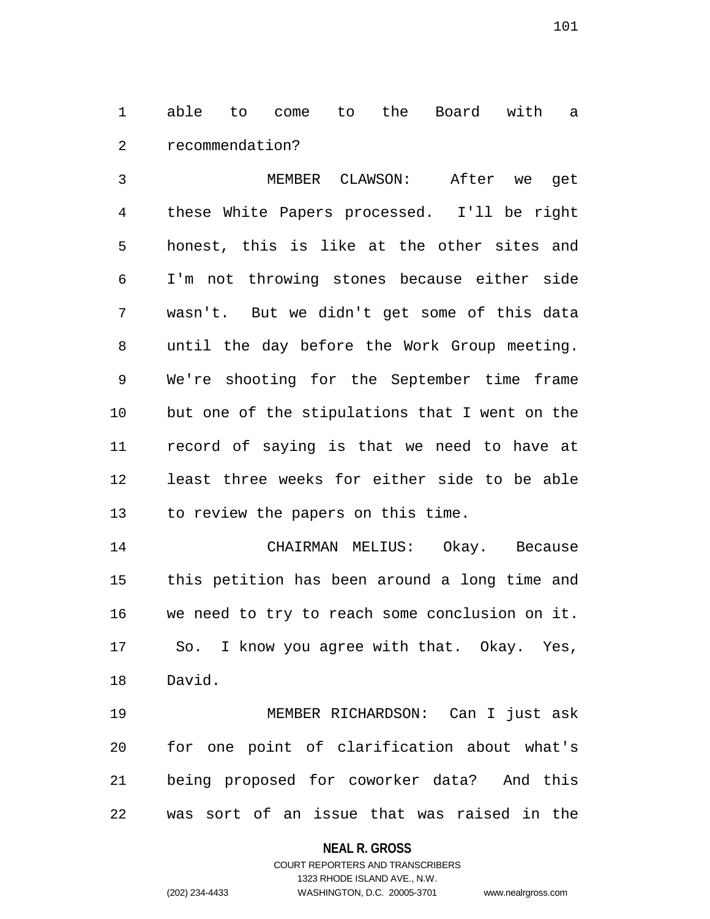1 able to come to the Board with a 2 recommendation?

3 MEMBER CLAWSON: After we get 4 these White Papers processed. I'll be right 5 honest, this is like at the other sites and 6 I'm not throwing stones because either side 7 wasn't. But we didn't get some of this data 8 until the day before the Work Group meeting. 9 We're shooting for the September time frame 10 but one of the stipulations that I went on the 11 record of saying is that we need to have at 12 least three weeks for either side to be able 13 to review the papers on this time.

14 CHAIRMAN MELIUS: Okay. Because 15 this petition has been around a long time and 16 we need to try to reach some conclusion on it. 17 So. I know you agree with that. Okay. Yes, 18 David.

19 MEMBER RICHARDSON: Can I just ask 20 for one point of clarification about what's 21 being proposed for coworker data? And this 22 was sort of an issue that was raised in the

## **NEAL R. GROSS**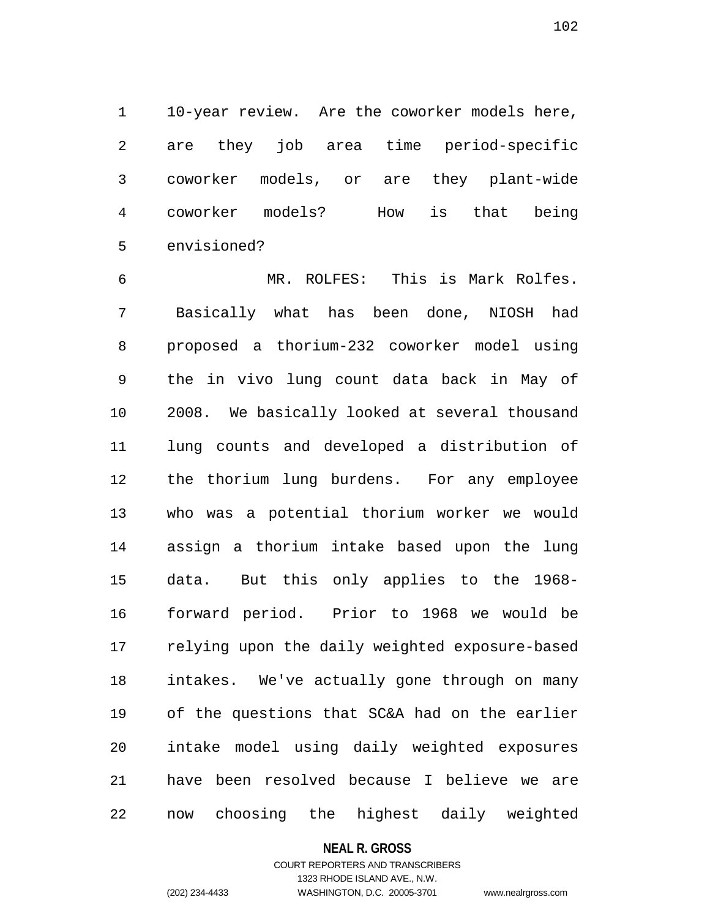1 10-year review. Are the coworker models here, 2 are they job area time period-specific 3 coworker models, or are they plant-wide 4 coworker models? How is that being 5 envisioned?

6 MR. ROLFES: This is Mark Rolfes. 7 Basically what has been done, NIOSH had 8 proposed a thorium-232 coworker model using 9 the in vivo lung count data back in May of 10 2008. We basically looked at several thousand 11 lung counts and developed a distribution of 12 the thorium lung burdens. For any employee 13 who was a potential thorium worker we would 14 assign a thorium intake based upon the lung 15 data. But this only applies to the 1968- 16 forward period. Prior to 1968 we would be 17 relying upon the daily weighted exposure-based 18 intakes. We've actually gone through on many 19 of the questions that SC&A had on the earlier 20 intake model using daily weighted exposures 21 have been resolved because I believe we are 22 now choosing the highest daily weighted

## **NEAL R. GROSS**

# COURT REPORTERS AND TRANSCRIBERS 1323 RHODE ISLAND AVE., N.W. (202) 234-4433 WASHINGTON, D.C. 20005-3701 www.nealrgross.com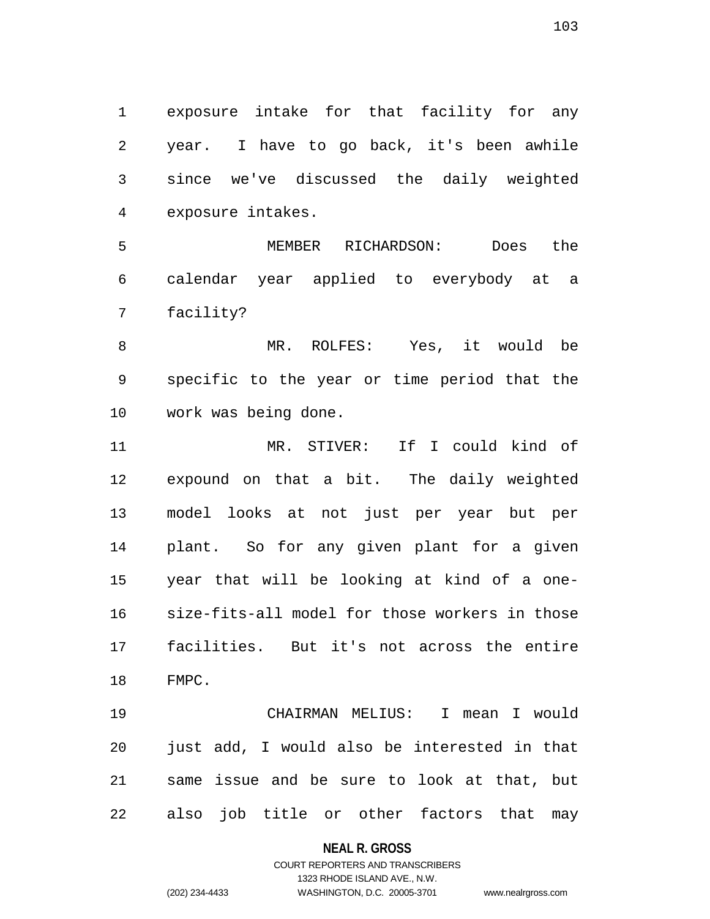1 exposure intake for that facility for any 2 year. I have to go back, it's been awhile 3 since we've discussed the daily weighted 4 exposure intakes.

5 MEMBER RICHARDSON: Does the 6 calendar year applied to everybody at a 7 facility?

8 MR. ROLFES: Yes, it would be 9 specific to the year or time period that the 10 work was being done.

11 MR. STIVER: If I could kind of 12 expound on that a bit. The daily weighted 13 model looks at not just per year but per 14 plant. So for any given plant for a given 15 year that will be looking at kind of a one-16 size-fits-all model for those workers in those 17 facilities. But it's not across the entire 18 FMPC.

19 CHAIRMAN MELIUS: I mean I would 20 just add, I would also be interested in that 21 same issue and be sure to look at that, but 22 also job title or other factors that may

## **NEAL R. GROSS**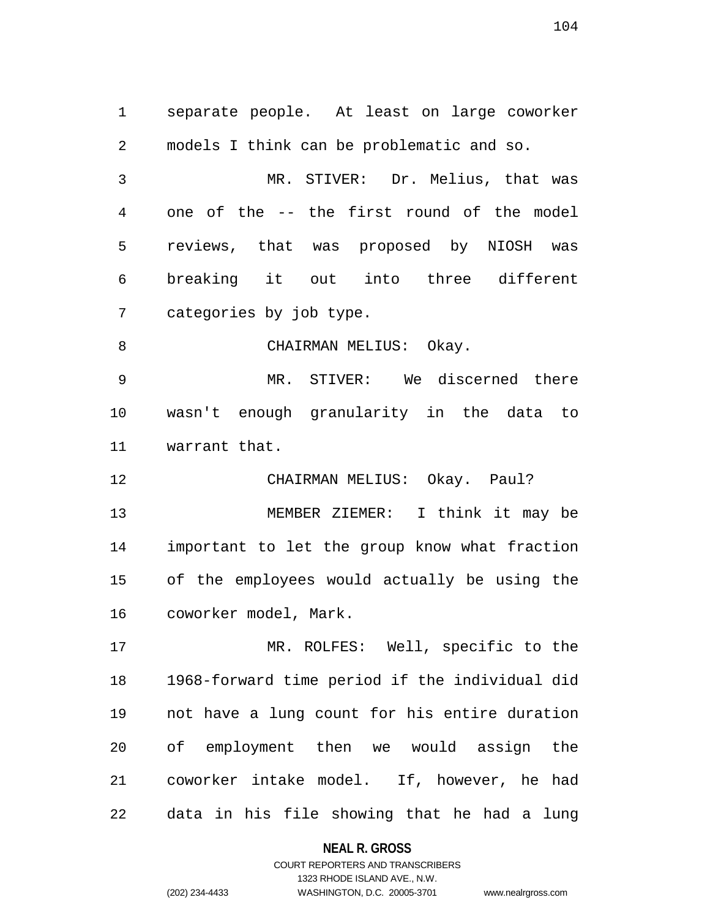1 separate people. At least on large coworker 2 models I think can be problematic and so. 3 MR. STIVER: Dr. Melius, that was 4 one of the -- the first round of the model 5 reviews, that was proposed by NIOSH was 6 breaking it out into three different 7 categories by job type. 8 CHAIRMAN MELIUS: Okay. 9 MR. STIVER: We discerned there 10 wasn't enough granularity in the data to 11 warrant that. 12 CHAIRMAN MELIUS: Okay. Paul? 13 MEMBER ZIEMER: I think it may be 14 important to let the group know what fraction 15 of the employees would actually be using the 16 coworker model, Mark. 17 MR. ROLFES: Well, specific to the 18 1968-forward time period if the individual did

19 not have a lung count for his entire duration 20 of employment then we would assign the 21 coworker intake model. If, however, he had 22 data in his file showing that he had a lung

> **NEAL R. GROSS** COURT REPORTERS AND TRANSCRIBERS 1323 RHODE ISLAND AVE., N.W. (202) 234-4433 WASHINGTON, D.C. 20005-3701 www.nealrgross.com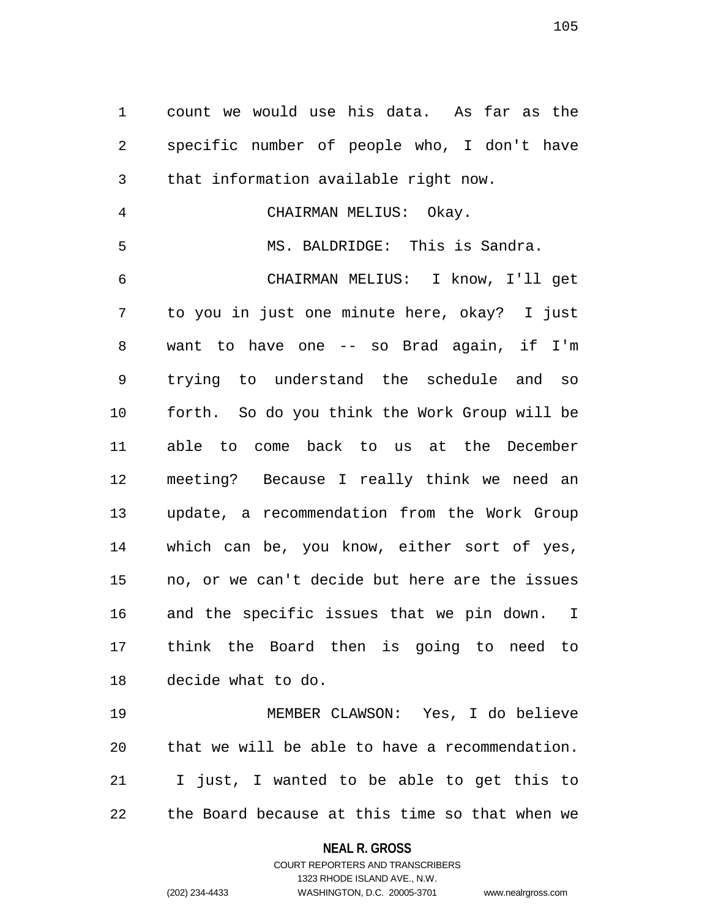1 count we would use his data. As far as the 2 specific number of people who, I don't have 3 that information available right now.

4 CHAIRMAN MELIUS: Okay.

5 MS. BALDRIDGE: This is Sandra.

6 CHAIRMAN MELIUS: I know, I'll get 7 to you in just one minute here, okay? I just 8 want to have one -- so Brad again, if I'm 9 trying to understand the schedule and so 10 forth. So do you think the Work Group will be 11 able to come back to us at the December 12 meeting? Because I really think we need an 13 update, a recommendation from the Work Group 14 which can be, you know, either sort of yes, 15 no, or we can't decide but here are the issues 16 and the specific issues that we pin down. I 17 think the Board then is going to need to 18 decide what to do.

19 MEMBER CLAWSON: Yes, I do believe 20 that we will be able to have a recommendation. 21 I just, I wanted to be able to get this to 22 the Board because at this time so that when we

> **NEAL R. GROSS** COURT REPORTERS AND TRANSCRIBERS

1323 RHODE ISLAND AVE., N.W. (202) 234-4433 WASHINGTON, D.C. 20005-3701 www.nealrgross.com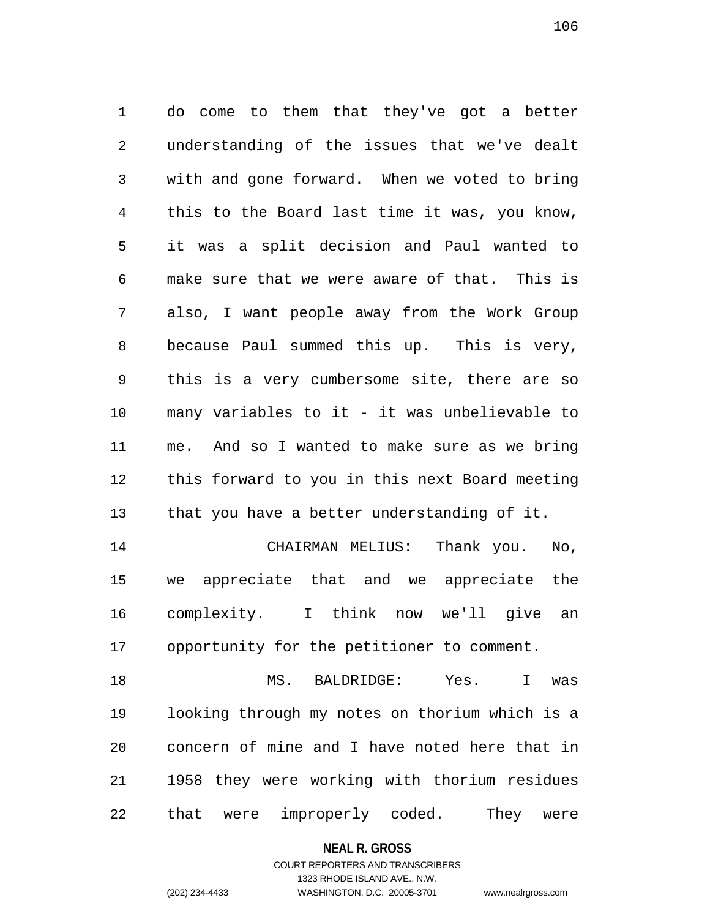1 do come to them that they've got a better 2 understanding of the issues that we've dealt 3 with and gone forward. When we voted to bring 4 this to the Board last time it was, you know, 5 it was a split decision and Paul wanted to 6 make sure that we were aware of that. This is 7 also, I want people away from the Work Group 8 because Paul summed this up. This is very, 9 this is a very cumbersome site, there are so 10 many variables to it - it was unbelievable to 11 me. And so I wanted to make sure as we bring 12 this forward to you in this next Board meeting 13 that you have a better understanding of it. 14 CHAIRMAN MELIUS: Thank you. No, 15 we appreciate that and we appreciate the 16 complexity. I think now we'll give an 17 opportunity for the petitioner to comment. 18 MS. BALDRIDGE: Yes. I was 19 looking through my notes on thorium which is a

20 concern of mine and I have noted here that in 21 1958 they were working with thorium residues 22 that were improperly coded. They were

## **NEAL R. GROSS**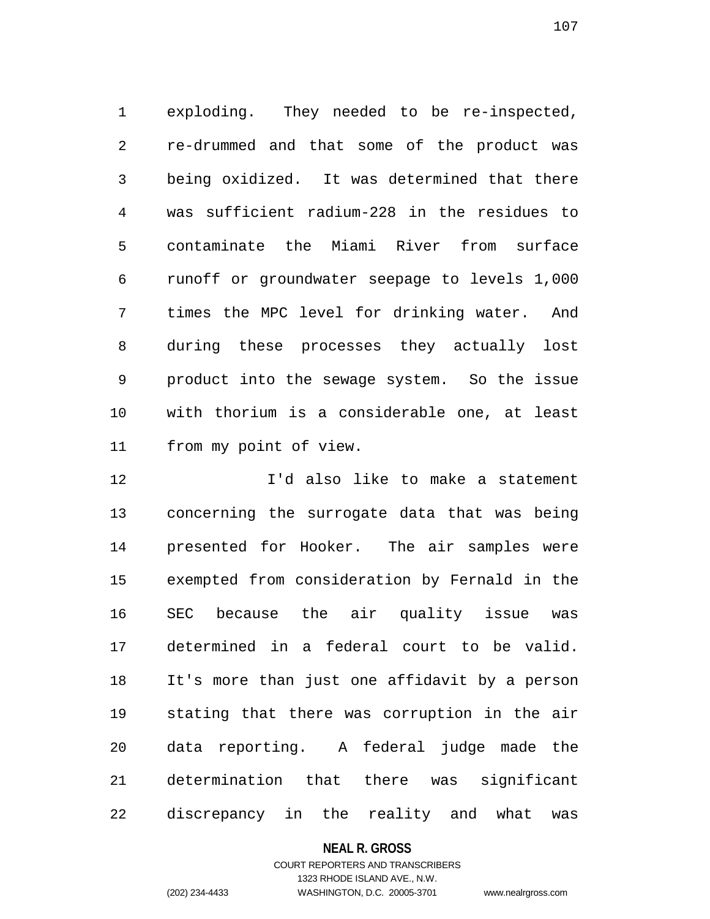1 exploding. They needed to be re-inspected, 2 re-drummed and that some of the product was 3 being oxidized. It was determined that there 4 was sufficient radium-228 in the residues to 5 contaminate the Miami River from surface 6 runoff or groundwater seepage to levels 1,000 7 times the MPC level for drinking water. And 8 during these processes they actually lost 9 product into the sewage system. So the issue 10 with thorium is a considerable one, at least 11 from my point of view.

12 I'd also like to make a statement 13 concerning the surrogate data that was being 14 presented for Hooker. The air samples were 15 exempted from consideration by Fernald in the 16 SEC because the air quality issue was 17 determined in a federal court to be valid. 18 It's more than just one affidavit by a person 19 stating that there was corruption in the air 20 data reporting. A federal judge made the 21 determination that there was significant 22 discrepancy in the reality and what was

## **NEAL R. GROSS**

# COURT REPORTERS AND TRANSCRIBERS 1323 RHODE ISLAND AVE., N.W. (202) 234-4433 WASHINGTON, D.C. 20005-3701 www.nealrgross.com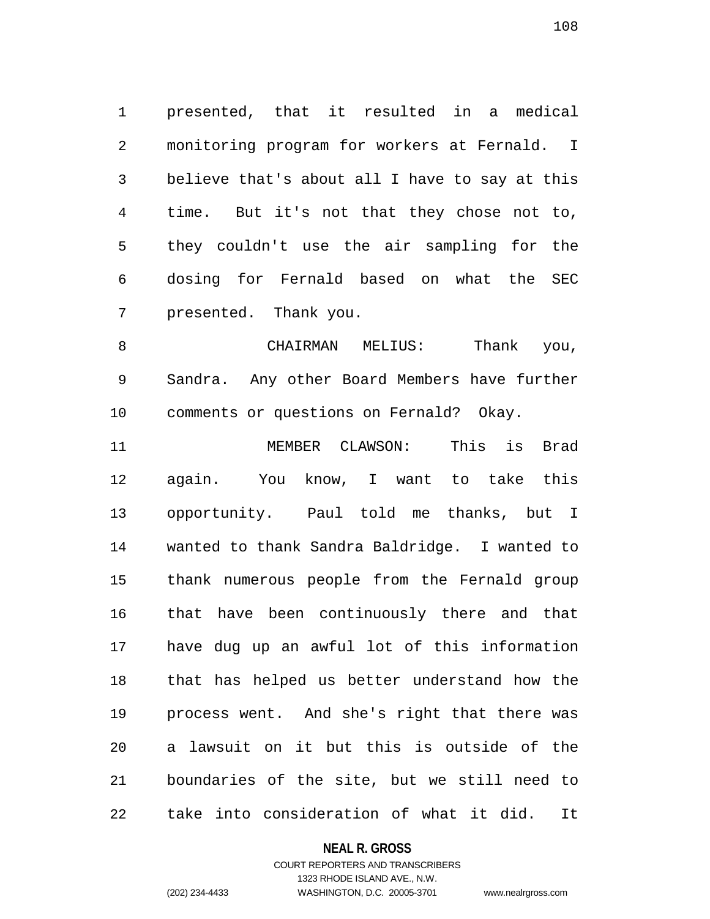1 presented, that it resulted in a medical 2 monitoring program for workers at Fernald. I 3 believe that's about all I have to say at this 4 time. But it's not that they chose not to, 5 they couldn't use the air sampling for the 6 dosing for Fernald based on what the SEC 7 presented. Thank you.

8 CHAIRMAN MELIUS: Thank you, 9 Sandra. Any other Board Members have further 10 comments or questions on Fernald? Okay.

11 MEMBER CLAWSON: This is Brad 12 again. You know, I want to take this 13 opportunity. Paul told me thanks, but I 14 wanted to thank Sandra Baldridge. I wanted to 15 thank numerous people from the Fernald group 16 that have been continuously there and that 17 have dug up an awful lot of this information 18 that has helped us better understand how the 19 process went. And she's right that there was 20 a lawsuit on it but this is outside of the 21 boundaries of the site, but we still need to 22 take into consideration of what it did. It

## **NEAL R. GROSS**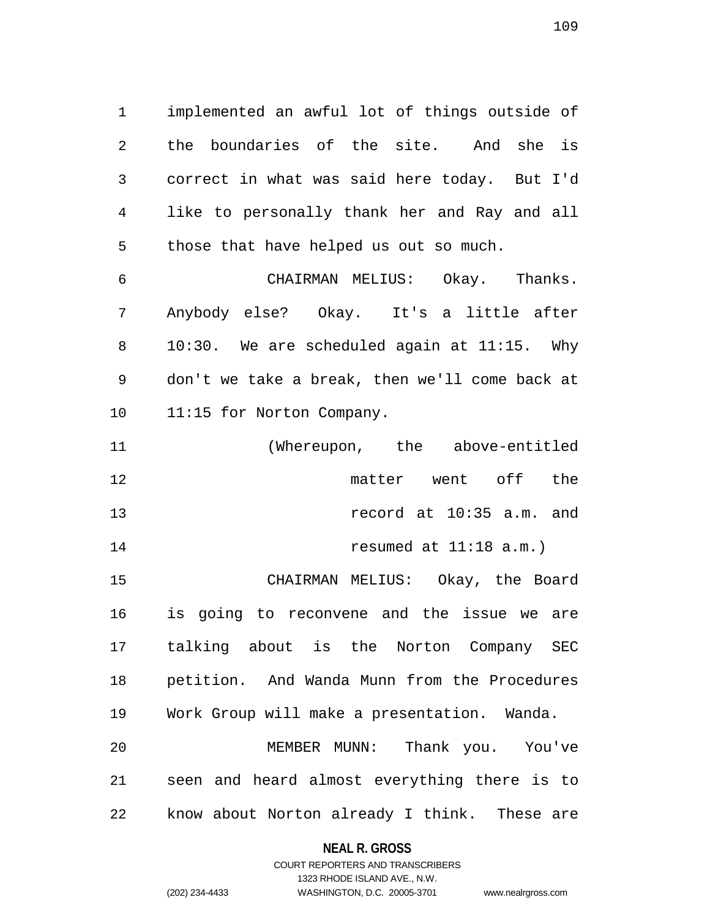1 implemented an awful lot of things outside of 2 the boundaries of the site. And she is 3 correct in what was said here today. But I'd 4 like to personally thank her and Ray and all 5 those that have helped us out so much.

6 CHAIRMAN MELIUS: Okay. Thanks. 7 Anybody else? Okay. It's a little after 8 10:30. We are scheduled again at 11:15. Why 9 don't we take a break, then we'll come back at 10 11:15 for Norton Company.

11 (Whereupon, the above-entitled 12 matter went off the 13 record at 10:35 a.m. and 14 resumed at 11:18 a.m.)

15 CHAIRMAN MELIUS: Okay, the Board 16 is going to reconvene and the issue we are 17 talking about is the Norton Company SEC 18 petition. And Wanda Munn from the Procedures 19 Work Group will make a presentation. Wanda. 20 MEMBER MUNN: Thank you. You've 21 seen and heard almost everything there is to 22 know about Norton already I think. These are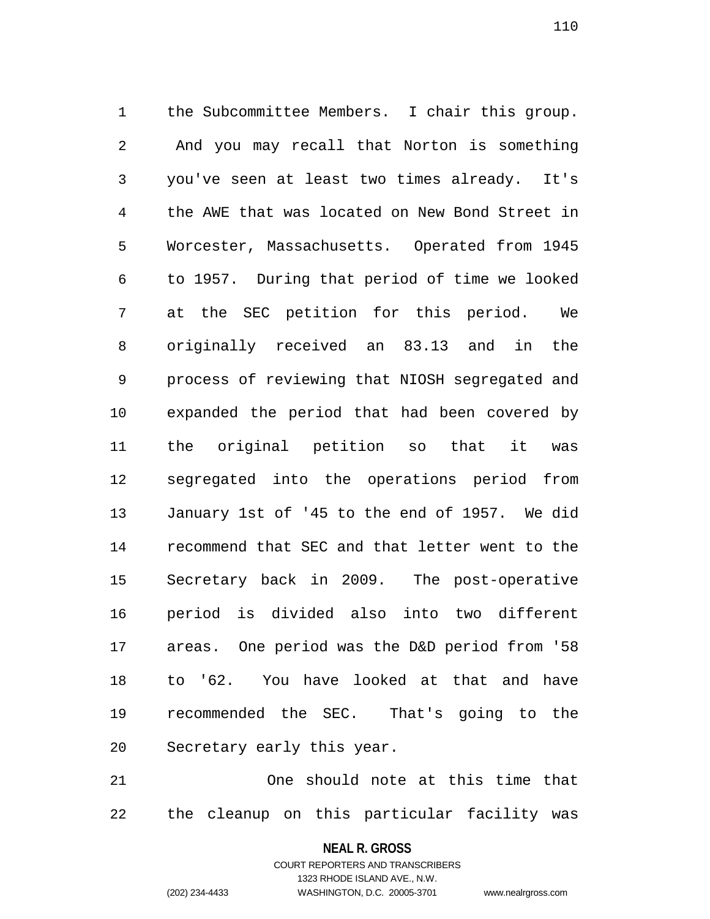1 the Subcommittee Members. I chair this group. 2 And you may recall that Norton is something 3 you've seen at least two times already. It's 4 the AWE that was located on New Bond Street in 5 Worcester, Massachusetts. Operated from 1945 6 to 1957. During that period of time we looked 7 at the SEC petition for this period. We 8 originally received an 83.13 and in the 9 process of reviewing that NIOSH segregated and 10 expanded the period that had been covered by 11 the original petition so that it was 12 segregated into the operations period from 13 January 1st of '45 to the end of 1957. We did 14 recommend that SEC and that letter went to the 15 Secretary back in 2009. The post-operative 16 period is divided also into two different 17 areas. One period was the D&D period from '58 18 to '62. You have looked at that and have 19 recommended the SEC. That's going to the 20 Secretary early this year.

21 One should note at this time that 22 the cleanup on this particular facility was

> **NEAL R. GROSS** COURT REPORTERS AND TRANSCRIBERS

> > 1323 RHODE ISLAND AVE., N.W.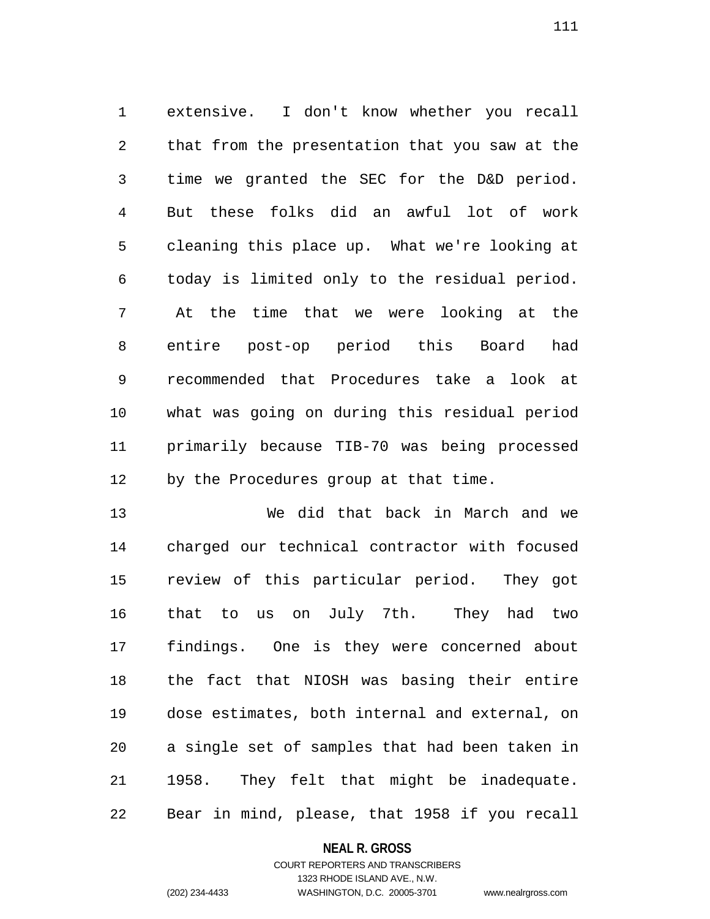1 extensive. I don't know whether you recall 2 that from the presentation that you saw at the 3 time we granted the SEC for the D&D period. 4 But these folks did an awful lot of work 5 cleaning this place up. What we're looking at 6 today is limited only to the residual period. 7 At the time that we were looking at the 8 entire post-op period this Board had 9 recommended that Procedures take a look at 10 what was going on during this residual period 11 primarily because TIB-70 was being processed 12 by the Procedures group at that time.

13 We did that back in March and we 14 charged our technical contractor with focused 15 review of this particular period. They got 16 that to us on July 7th. They had two 17 findings. One is they were concerned about 18 the fact that NIOSH was basing their entire 19 dose estimates, both internal and external, on 20 a single set of samples that had been taken in 21 1958. They felt that might be inadequate. 22 Bear in mind, please, that 1958 if you recall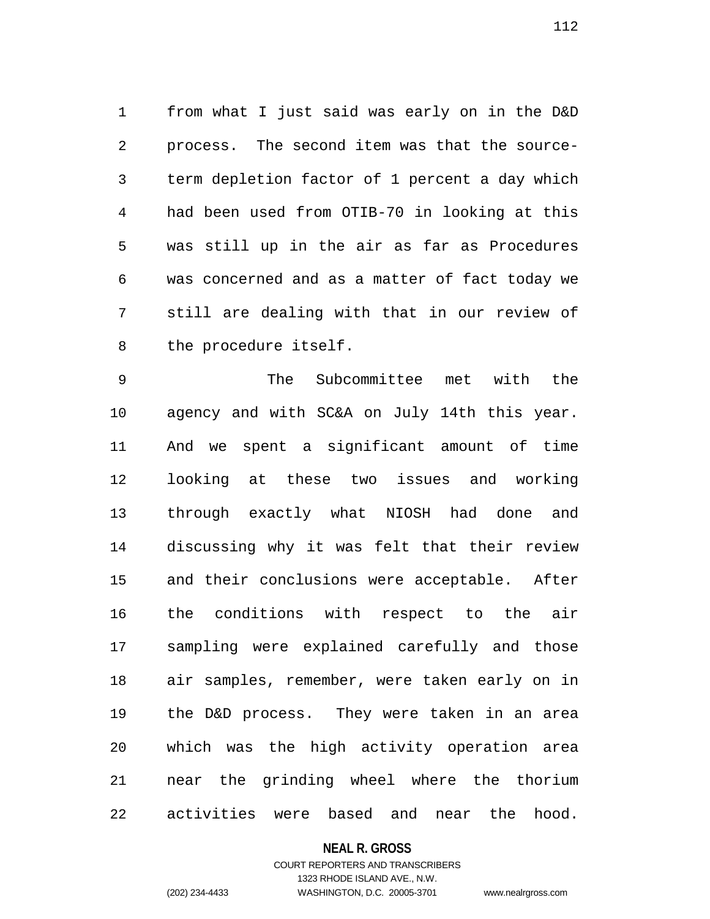1 from what I just said was early on in the D&D 2 process. The second item was that the source-3 term depletion factor of 1 percent a day which 4 had been used from OTIB-70 in looking at this 5 was still up in the air as far as Procedures 6 was concerned and as a matter of fact today we 7 still are dealing with that in our review of 8 the procedure itself.

9 The Subcommittee met with the 10 agency and with SC&A on July 14th this year. 11 And we spent a significant amount of time 12 looking at these two issues and working 13 through exactly what NIOSH had done and 14 discussing why it was felt that their review 15 and their conclusions were acceptable. After 16 the conditions with respect to the air 17 sampling were explained carefully and those 18 air samples, remember, were taken early on in 19 the D&D process. They were taken in an area 20 which was the high activity operation area 21 near the grinding wheel where the thorium 22 activities were based and near the hood.

### **NEAL R. GROSS**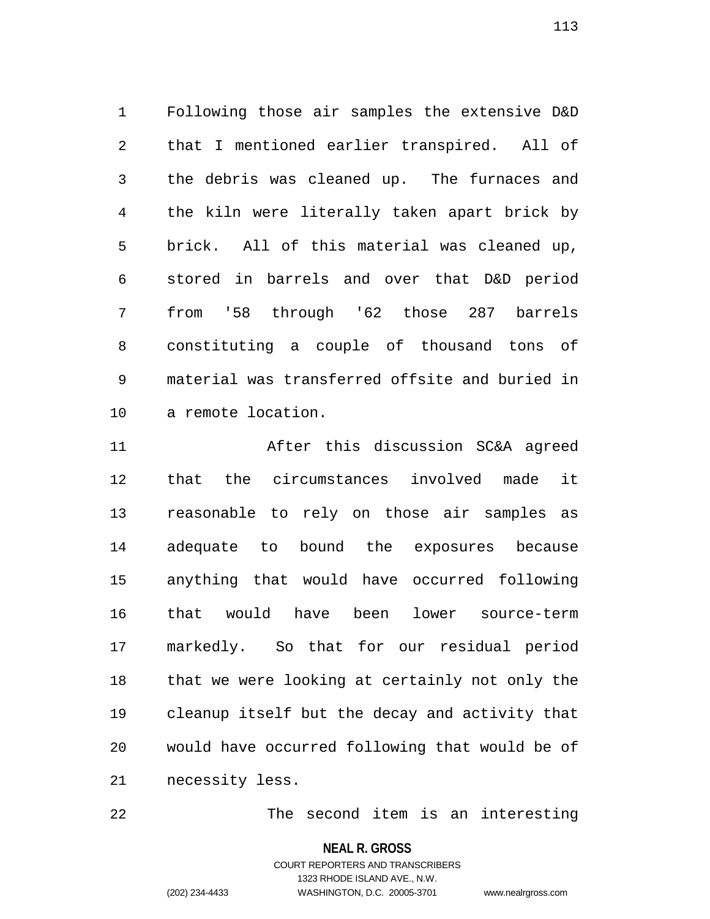1 Following those air samples the extensive D&D 2 that I mentioned earlier transpired. All of 3 the debris was cleaned up. The furnaces and 4 the kiln were literally taken apart brick by 5 brick. All of this material was cleaned up, 6 stored in barrels and over that D&D period 7 from '58 through '62 those 287 barrels 8 constituting a couple of thousand tons of 9 material was transferred offsite and buried in 10 a remote location.

11 After this discussion SC&A agreed 12 that the circumstances involved made it 13 reasonable to rely on those air samples as 14 adequate to bound the exposures because 15 anything that would have occurred following 16 that would have been lower source-term 17 markedly. So that for our residual period 18 that we were looking at certainly not only the 19 cleanup itself but the decay and activity that 20 would have occurred following that would be of 21 necessity less.

22 The second item is an interesting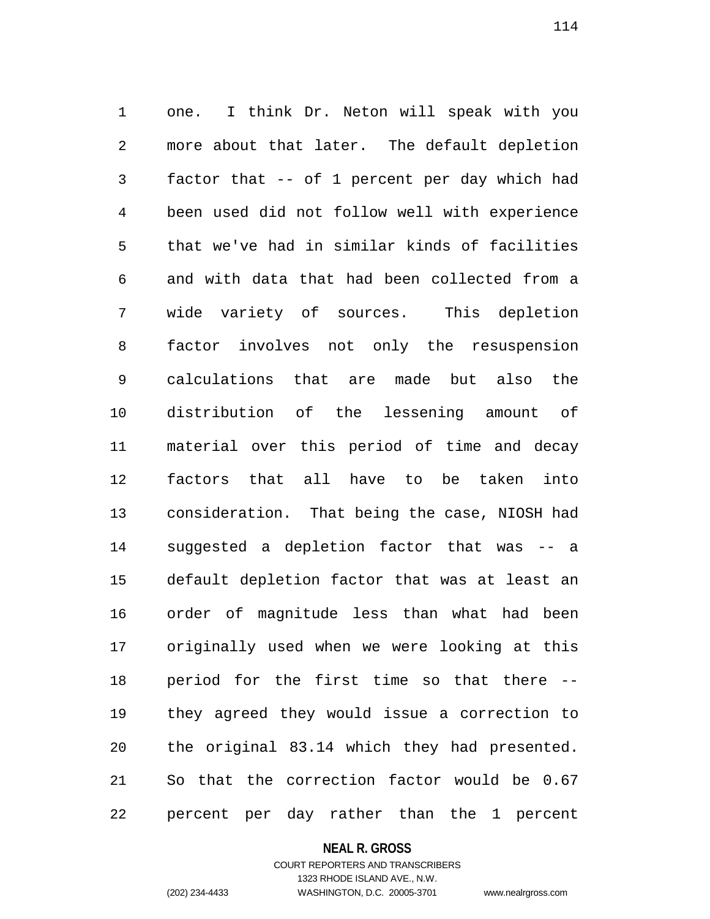1 one. I think Dr. Neton will speak with you 2 more about that later. The default depletion 3 factor that -- of 1 percent per day which had 4 been used did not follow well with experience 5 that we've had in similar kinds of facilities 6 and with data that had been collected from a 7 wide variety of sources. This depletion 8 factor involves not only the resuspension 9 calculations that are made but also the 10 distribution of the lessening amount of 11 material over this period of time and decay 12 factors that all have to be taken into 13 consideration. That being the case, NIOSH had 14 suggested a depletion factor that was -- a 15 default depletion factor that was at least an 16 order of magnitude less than what had been 17 originally used when we were looking at this 18 period for the first time so that there -- 19 they agreed they would issue a correction to 20 the original 83.14 which they had presented. 21 So that the correction factor would be 0.67 22 percent per day rather than the 1 percent

#### **NEAL R. GROSS**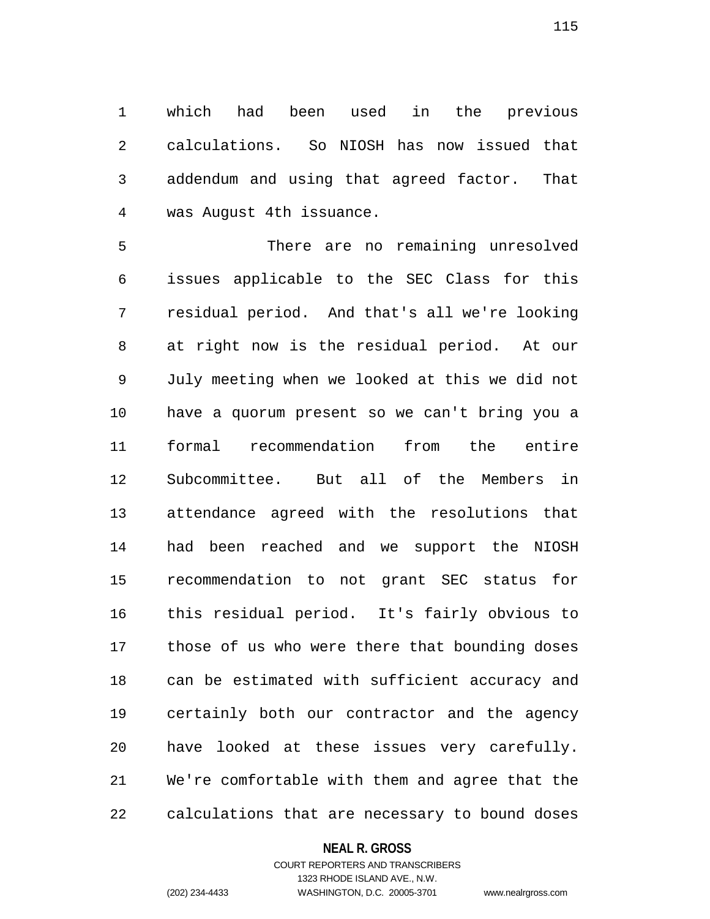1 which had been used in the previous 2 calculations. So NIOSH has now issued that 3 addendum and using that agreed factor. That 4 was August 4th issuance.

5 There are no remaining unresolved 6 issues applicable to the SEC Class for this 7 residual period. And that's all we're looking 8 at right now is the residual period. At our 9 July meeting when we looked at this we did not 10 have a quorum present so we can't bring you a 11 formal recommendation from the entire 12 Subcommittee. But all of the Members in 13 attendance agreed with the resolutions that 14 had been reached and we support the NIOSH 15 recommendation to not grant SEC status for 16 this residual period. It's fairly obvious to 17 those of us who were there that bounding doses 18 can be estimated with sufficient accuracy and 19 certainly both our contractor and the agency 20 have looked at these issues very carefully. 21 We're comfortable with them and agree that the 22 calculations that are necessary to bound doses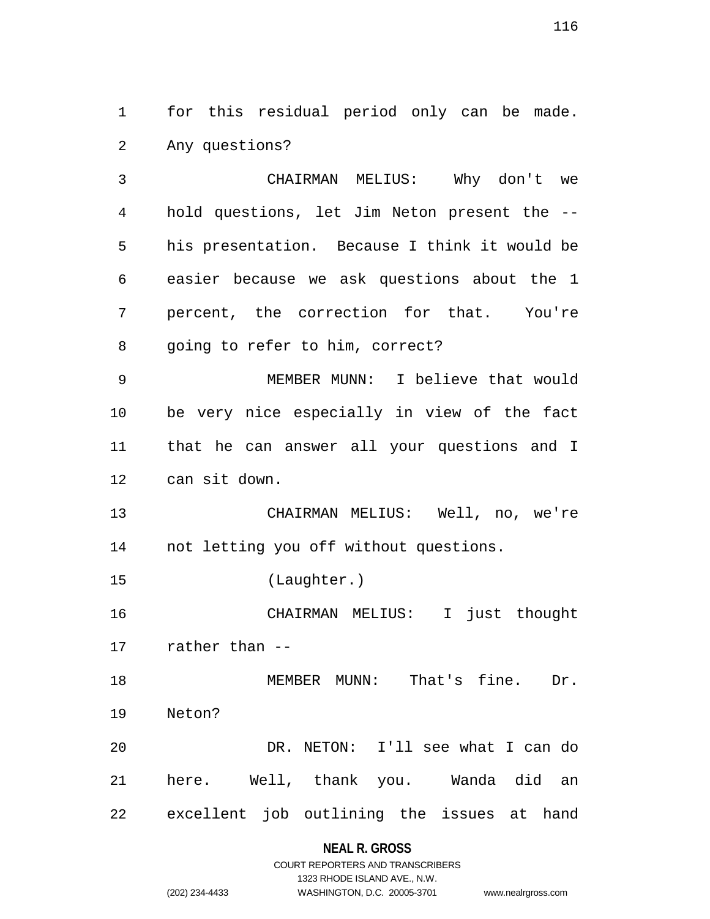1 for this residual period only can be made. 2 Any questions?

3 CHAIRMAN MELIUS: Why don't we 4 hold questions, let Jim Neton present the -- 5 his presentation. Because I think it would be 6 easier because we ask questions about the 1 7 percent, the correction for that. You're 8 going to refer to him, correct?

9 MEMBER MUNN: I believe that would 10 be very nice especially in view of the fact 11 that he can answer all your questions and I 12 can sit down.

13 CHAIRMAN MELIUS: Well, no, we're 14 not letting you off without questions.

15 (Laughter.)

16 CHAIRMAN MELIUS: I just thought 17 rather than --

18 MEMBER MUNN: That's fine. Dr. 19 Neton? 20 DR. NETON: I'll see what I can do 21 here. Well, thank you. Wanda did an

22 excellent job outlining the issues at hand

## **NEAL R. GROSS**

|                | COURT REPORTERS AND TRANSCRIBERS |                    |
|----------------|----------------------------------|--------------------|
|                | 1323 RHODE ISLAND AVE N.W.       |                    |
| (202) 234-4433 | WASHINGTON, D.C. 20005-3701      | www.nealrgross.com |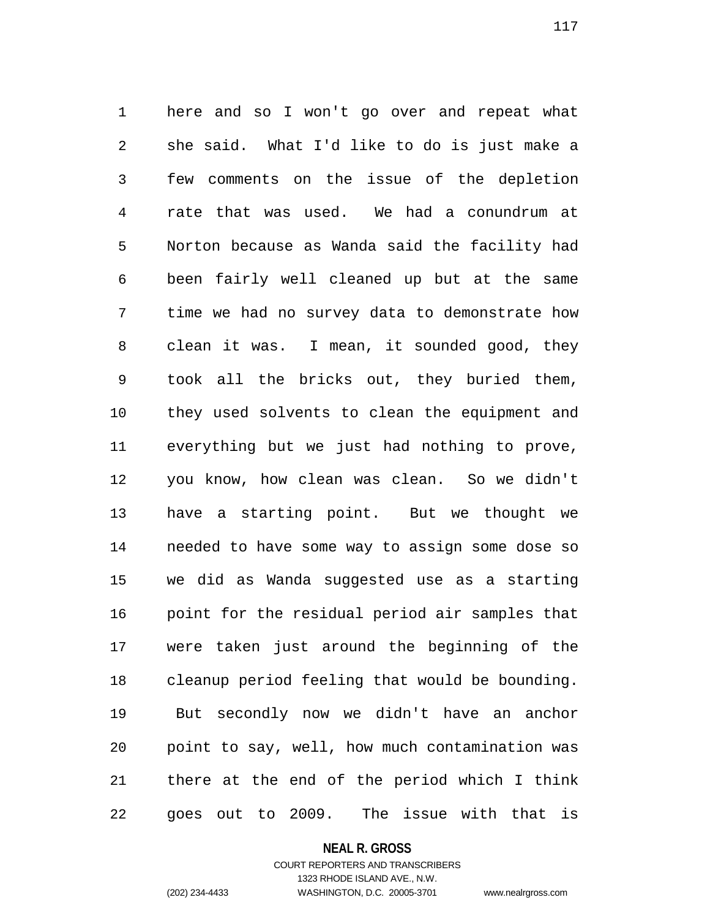1 here and so I won't go over and repeat what 2 she said. What I'd like to do is just make a 3 few comments on the issue of the depletion 4 rate that was used. We had a conundrum at 5 Norton because as Wanda said the facility had 6 been fairly well cleaned up but at the same 7 time we had no survey data to demonstrate how 8 clean it was. I mean, it sounded good, they 9 took all the bricks out, they buried them, 10 they used solvents to clean the equipment and 11 everything but we just had nothing to prove, 12 you know, how clean was clean. So we didn't 13 have a starting point. But we thought we 14 needed to have some way to assign some dose so 15 we did as Wanda suggested use as a starting 16 point for the residual period air samples that 17 were taken just around the beginning of the 18 cleanup period feeling that would be bounding. 19 But secondly now we didn't have an anchor 20 point to say, well, how much contamination was 21 there at the end of the period which I think 22 goes out to 2009. The issue with that is

### **NEAL R. GROSS**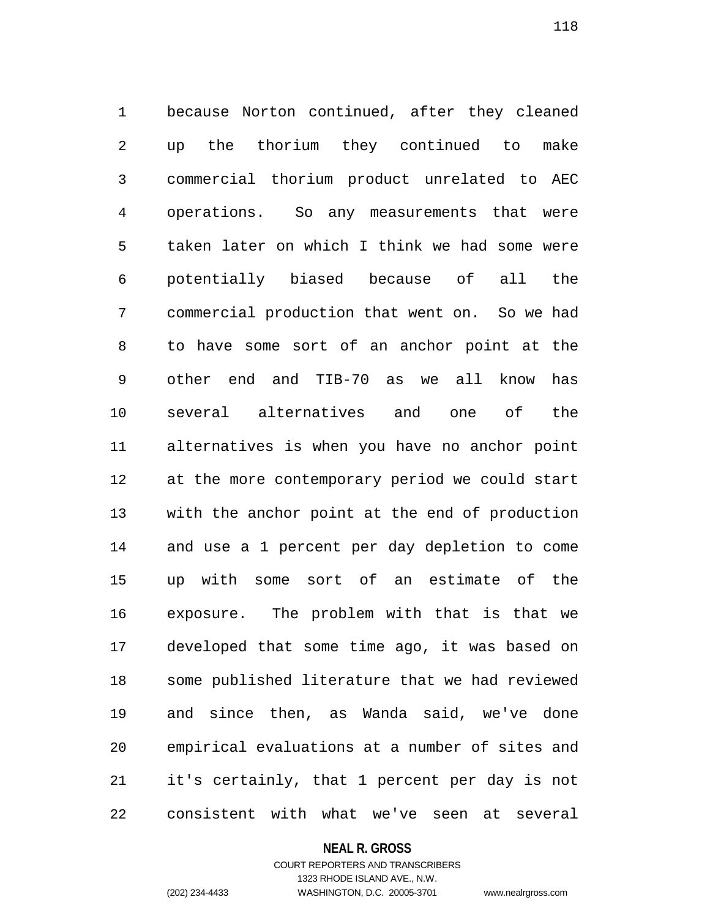1 because Norton continued, after they cleaned 2 up the thorium they continued to make 3 commercial thorium product unrelated to AEC 4 operations. So any measurements that were 5 taken later on which I think we had some were 6 potentially biased because of all the 7 commercial production that went on. So we had 8 to have some sort of an anchor point at the 9 other end and TIB-70 as we all know has 10 several alternatives and one of the 11 alternatives is when you have no anchor point 12 at the more contemporary period we could start 13 with the anchor point at the end of production 14 and use a 1 percent per day depletion to come 15 up with some sort of an estimate of the 16 exposure. The problem with that is that we 17 developed that some time ago, it was based on 18 some published literature that we had reviewed 19 and since then, as Wanda said, we've done 20 empirical evaluations at a number of sites and 21 it's certainly, that 1 percent per day is not 22 consistent with what we've seen at several

### **NEAL R. GROSS**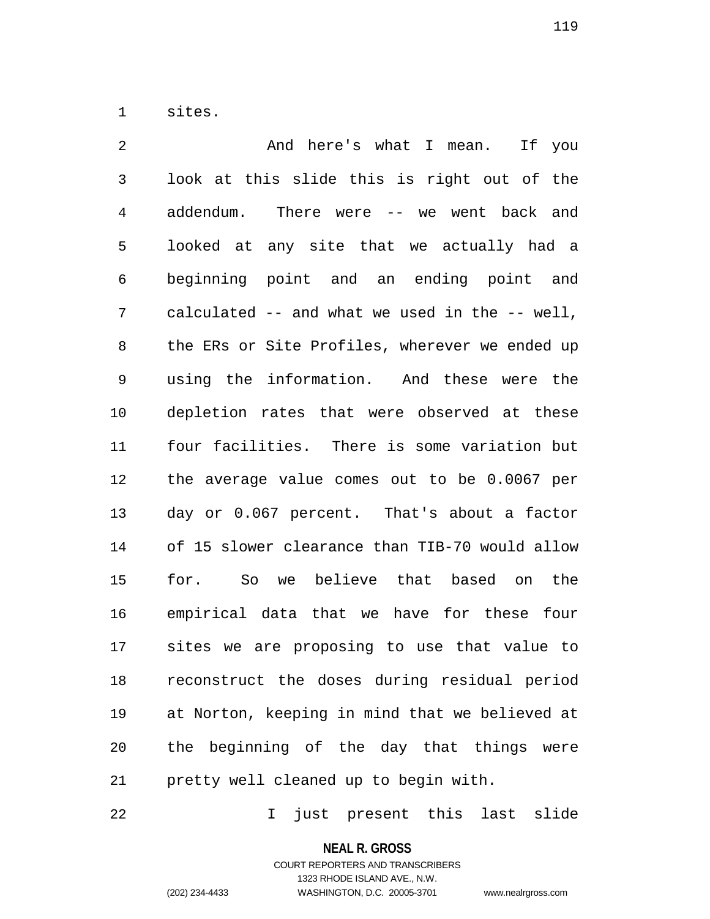1 sites.

2 And here's what I mean. If you 3 look at this slide this is right out of the 4 addendum. There were -- we went back and 5 looked at any site that we actually had a 6 beginning point and an ending point and 7 calculated -- and what we used in the -- well, 8 the ERs or Site Profiles, wherever we ended up 9 using the information. And these were the 10 depletion rates that were observed at these 11 four facilities. There is some variation but 12 the average value comes out to be 0.0067 per 13 day or 0.067 percent. That's about a factor 14 of 15 slower clearance than TIB-70 would allow 15 for. So we believe that based on the 16 empirical data that we have for these four 17 sites we are proposing to use that value to 18 reconstruct the doses during residual period 19 at Norton, keeping in mind that we believed at 20 the beginning of the day that things were 21 pretty well cleaned up to begin with.

22 I just present this last slide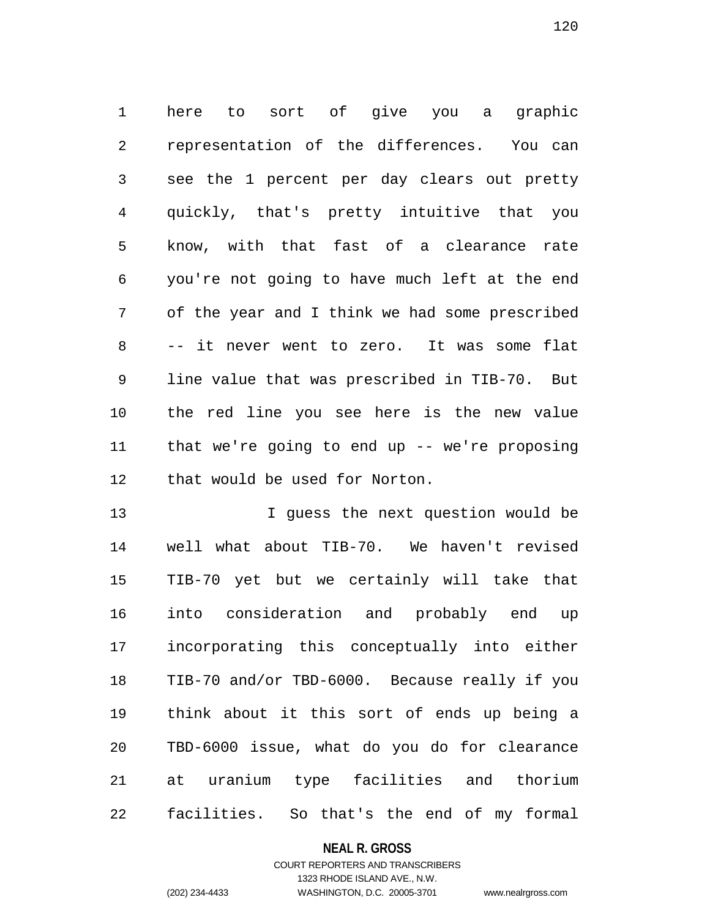1 here to sort of give you a graphic 2 representation of the differences. You can 3 see the 1 percent per day clears out pretty 4 quickly, that's pretty intuitive that you 5 know, with that fast of a clearance rate 6 you're not going to have much left at the end 7 of the year and I think we had some prescribed 8 -- it never went to zero. It was some flat 9 line value that was prescribed in TIB-70. But 10 the red line you see here is the new value 11 that we're going to end up -- we're proposing 12 that would be used for Norton.

13 **I** guess the next question would be 14 well what about TIB-70. We haven't revised 15 TIB-70 yet but we certainly will take that 16 into consideration and probably end up 17 incorporating this conceptually into either 18 TIB-70 and/or TBD-6000. Because really if you 19 think about it this sort of ends up being a 20 TBD-6000 issue, what do you do for clearance 21 at uranium type facilities and thorium 22 facilities. So that's the end of my formal

### **NEAL R. GROSS**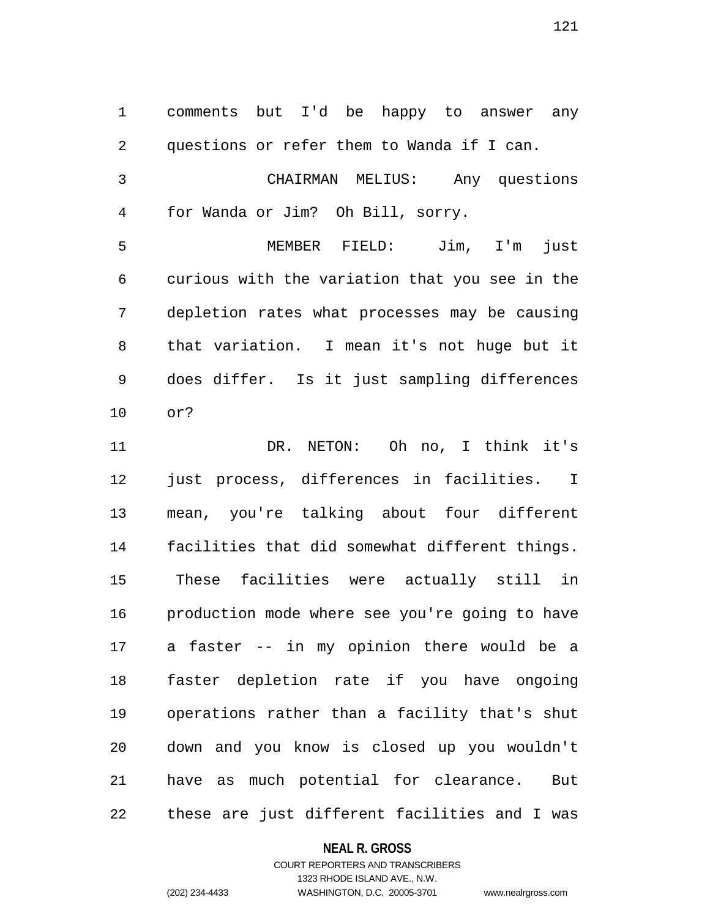1 comments but I'd be happy to answer any 2 questions or refer them to Wanda if I can. 3 CHAIRMAN MELIUS: Any questions 4 for Wanda or Jim? Oh Bill, sorry. 5 MEMBER FIELD: Jim, I'm just 6 curious with the variation that you see in the 7 depletion rates what processes may be causing 8 that variation. I mean it's not huge but it 9 does differ. Is it just sampling differences 10 or? 11 DR. NETON: Oh no, I think it's 12 just process, differences in facilities. I 13 mean, you're talking about four different 14 facilities that did somewhat different things. 15 These facilities were actually still in 16 production mode where see you're going to have 17 a faster -- in my opinion there would be a 18 faster depletion rate if you have ongoing 19 operations rather than a facility that's shut 20 down and you know is closed up you wouldn't 21 have as much potential for clearance. But 22 these are just different facilities and I was

**NEAL R. GROSS**

COURT REPORTERS AND TRANSCRIBERS 1323 RHODE ISLAND AVE., N.W. (202) 234-4433 WASHINGTON, D.C. 20005-3701 www.nealrgross.com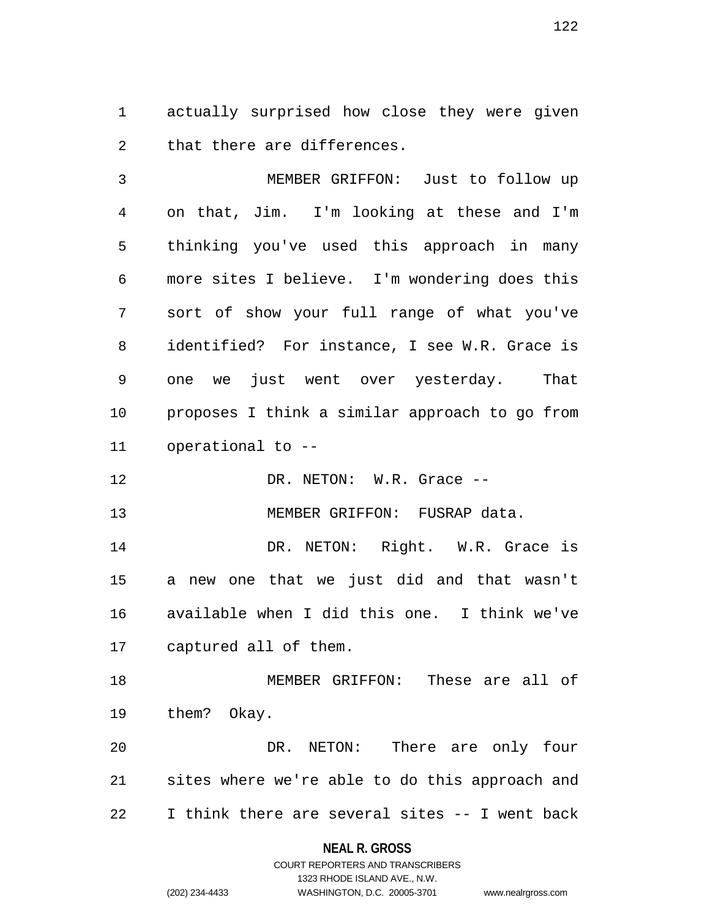1 actually surprised how close they were given 2 that there are differences.

3 MEMBER GRIFFON: Just to follow up 4 on that, Jim. I'm looking at these and I'm 5 thinking you've used this approach in many 6 more sites I believe. I'm wondering does this 7 sort of show your full range of what you've 8 identified? For instance, I see W.R. Grace is 9 one we just went over yesterday. That 10 proposes I think a similar approach to go from 11 operational to --

12 DR. NETON: W.R. Grace --

13 MEMBER GRIFFON: FUSRAP data.

14 DR. NETON: Right. W.R. Grace is 15 a new one that we just did and that wasn't 16 available when I did this one. I think we've 17 captured all of them.

18 MEMBER GRIFFON: These are all of 19 them? Okay.

20 DR. NETON: There are only four 21 sites where we're able to do this approach and 22 I think there are several sites -- I went back

## **NEAL R. GROSS**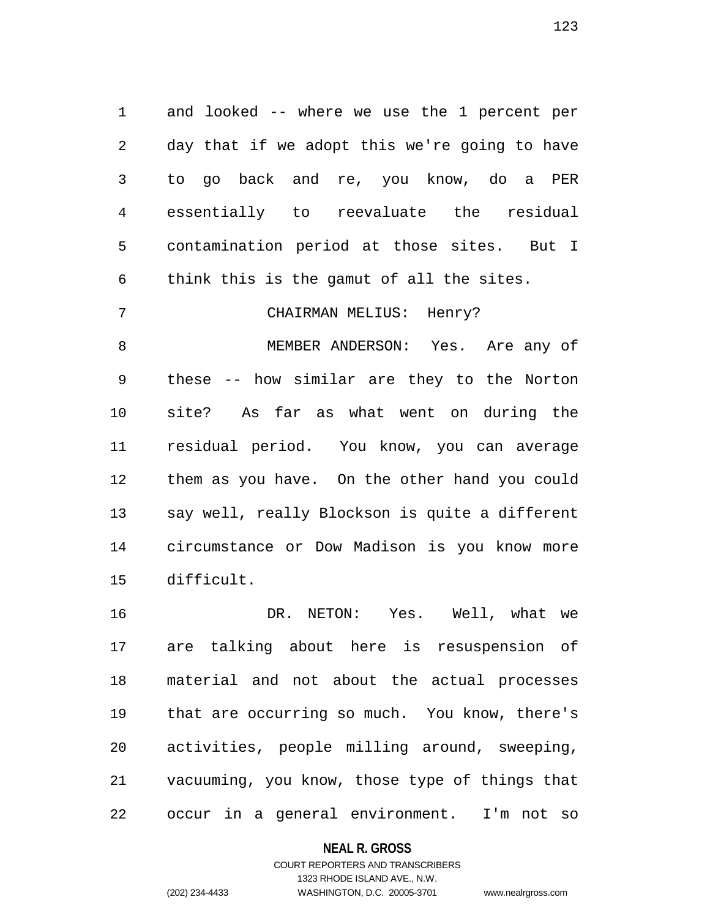1 and looked -- where we use the 1 percent per 2 day that if we adopt this we're going to have 3 to go back and re, you know, do a PER 4 essentially to reevaluate the residual 5 contamination period at those sites. But I 6 think this is the gamut of all the sites.

7 CHAIRMAN MELIUS: Henry?

8 MEMBER ANDERSON: Yes. Are any of 9 these -- how similar are they to the Norton 10 site? As far as what went on during the 11 residual period. You know, you can average 12 them as you have. On the other hand you could 13 say well, really Blockson is quite a different 14 circumstance or Dow Madison is you know more 15 difficult.

16 DR. NETON: Yes. Well, what we 17 are talking about here is resuspension of 18 material and not about the actual processes 19 that are occurring so much. You know, there's 20 activities, people milling around, sweeping, 21 vacuuming, you know, those type of things that 22 occur in a general environment. I'm not so

### **NEAL R. GROSS**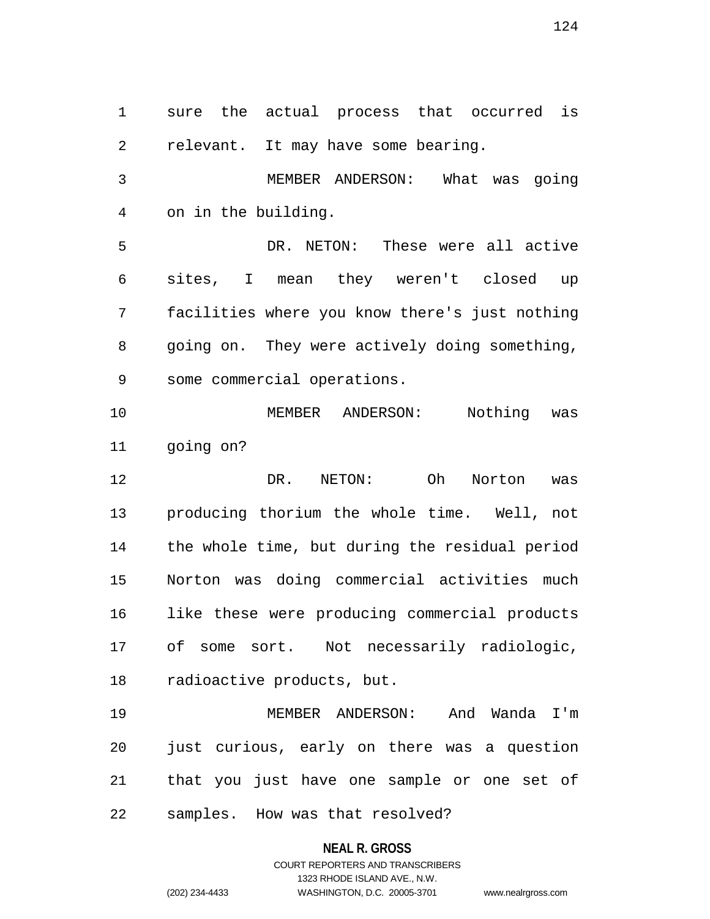1 sure the actual process that occurred is 2 relevant. It may have some bearing. 3 MEMBER ANDERSON: What was going 4 on in the building. 5 DR. NETON: These were all active 6 sites, I mean they weren't closed up 7 facilities where you know there's just nothing 8 going on. They were actively doing something, 9 some commercial operations. 10 MEMBER ANDERSON: Nothing was 11 going on? 12 DR. NETON: Oh Norton was 13 producing thorium the whole time. Well, not 14 the whole time, but during the residual period 15 Norton was doing commercial activities much 16 like these were producing commercial products 17 of some sort. Not necessarily radiologic, 18 radioactive products, but. 19 MEMBER ANDERSON: And Wanda I'm 20 just curious, early on there was a question 21 that you just have one sample or one set of 22 samples. How was that resolved?

**NEAL R. GROSS**

COURT REPORTERS AND TRANSCRIBERS 1323 RHODE ISLAND AVE., N.W. (202) 234-4433 WASHINGTON, D.C. 20005-3701 www.nealrgross.com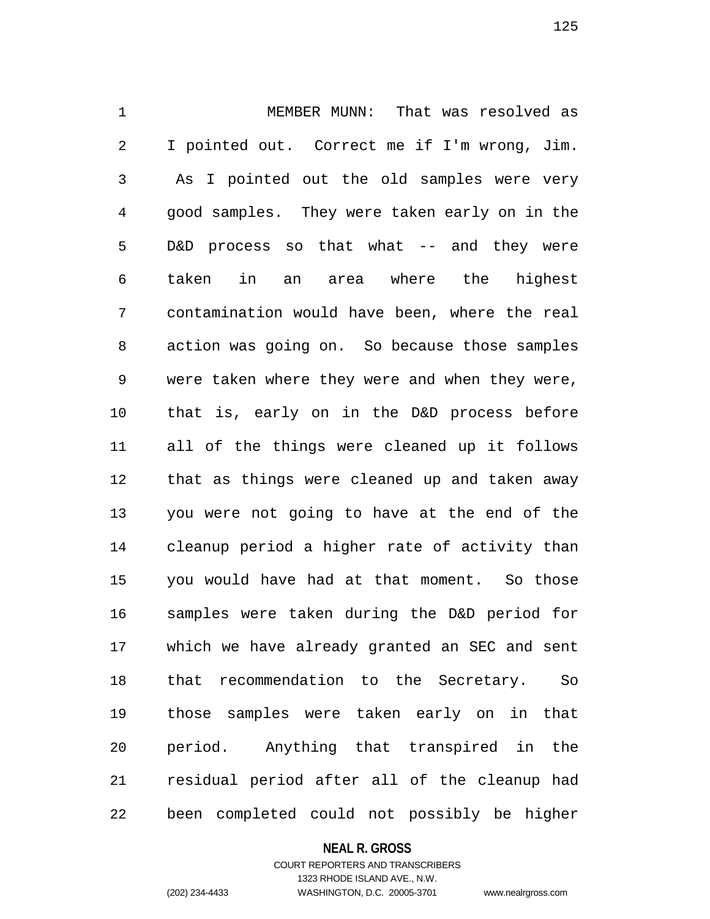1 MEMBER MUNN: That was resolved as 2 I pointed out. Correct me if I'm wrong, Jim. 3 As I pointed out the old samples were very 4 good samples. They were taken early on in the 5 D&D process so that what -- and they were 6 taken in an area where the highest 7 contamination would have been, where the real 8 action was going on. So because those samples 9 were taken where they were and when they were, 10 that is, early on in the D&D process before 11 all of the things were cleaned up it follows 12 that as things were cleaned up and taken away 13 you were not going to have at the end of the 14 cleanup period a higher rate of activity than 15 you would have had at that moment. So those 16 samples were taken during the D&D period for 17 which we have already granted an SEC and sent 18 that recommendation to the Secretary. So 19 those samples were taken early on in that 20 period. Anything that transpired in the 21 residual period after all of the cleanup had 22 been completed could not possibly be higher

#### **NEAL R. GROSS**

## COURT REPORTERS AND TRANSCRIBERS 1323 RHODE ISLAND AVE., N.W. (202) 234-4433 WASHINGTON, D.C. 20005-3701 www.nealrgross.com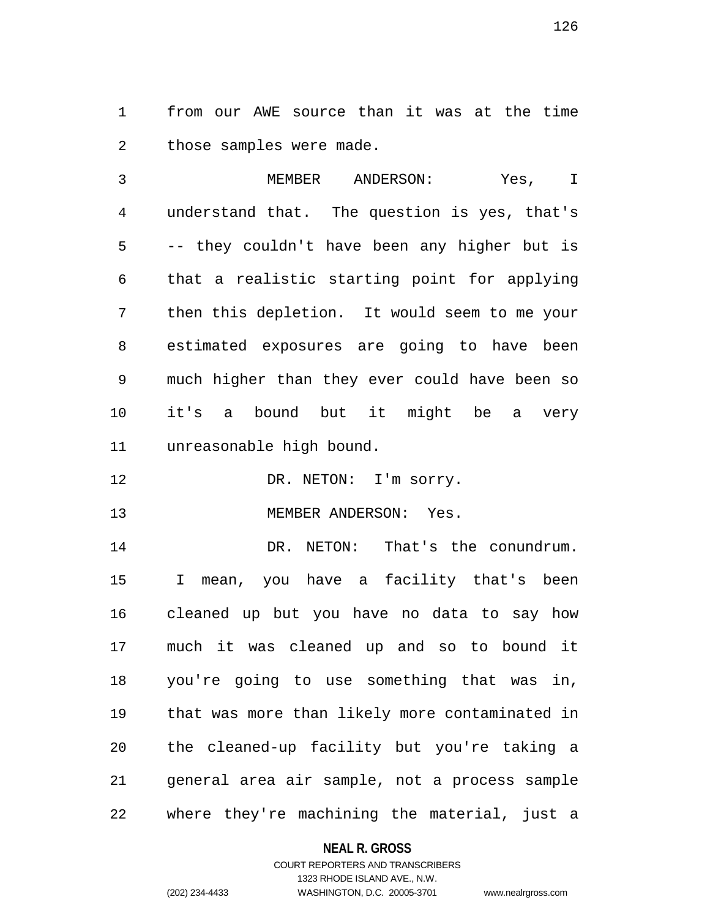1 from our AWE source than it was at the time 2 those samples were made.

3 MEMBER ANDERSON: Yes, I 4 understand that. The question is yes, that's 5 -- they couldn't have been any higher but is 6 that a realistic starting point for applying 7 then this depletion. It would seem to me your 8 estimated exposures are going to have been 9 much higher than they ever could have been so 10 it's a bound but it might be a very 11 unreasonable high bound.

12 DR. NETON: I'm sorry.

13 MEMBER ANDERSON: Yes.

14 DR. NETON: That's the conundrum. 15 I mean, you have a facility that's been 16 cleaned up but you have no data to say how 17 much it was cleaned up and so to bound it 18 you're going to use something that was in, 19 that was more than likely more contaminated in 20 the cleaned-up facility but you're taking a 21 general area air sample, not a process sample 22 where they're machining the material, just a

## **NEAL R. GROSS**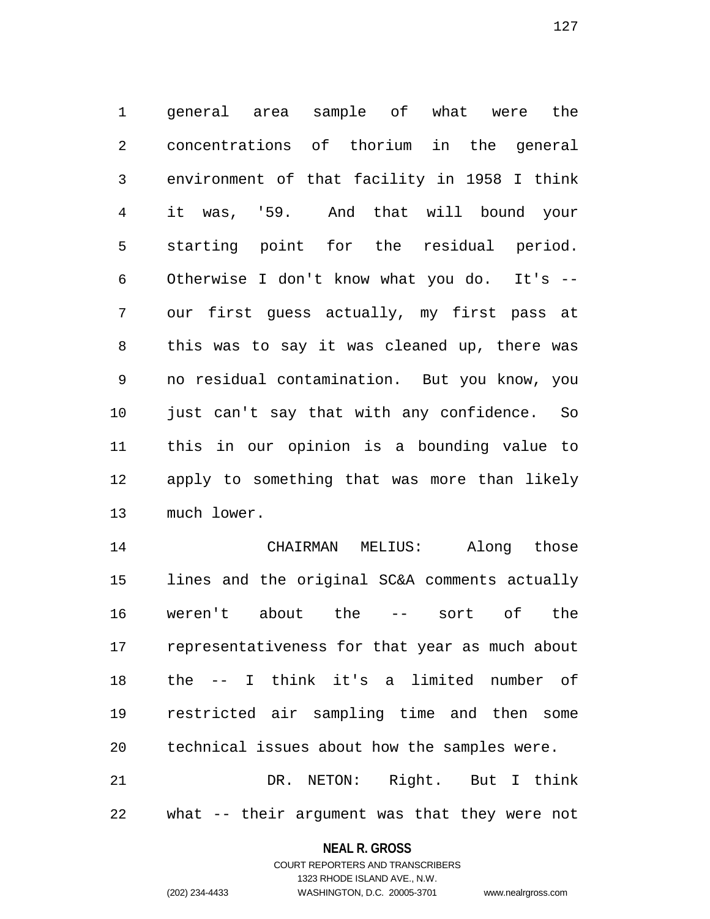1 general area sample of what were the 2 concentrations of thorium in the general 3 environment of that facility in 1958 I think 4 it was, '59. And that will bound your 5 starting point for the residual period. 6 Otherwise I don't know what you do. It's -- 7 our first guess actually, my first pass at 8 this was to say it was cleaned up, there was 9 no residual contamination. But you know, you 10 just can't say that with any confidence. So 11 this in our opinion is a bounding value to 12 apply to something that was more than likely 13 much lower.

14 CHAIRMAN MELIUS: Along those 15 lines and the original SC&A comments actually 16 weren't about the -- sort of the 17 representativeness for that year as much about 18 the -- I think it's a limited number of 19 restricted air sampling time and then some 20 technical issues about how the samples were. 21 DR. NETON: Right. But I think

22 what -- their argument was that they were not

## **NEAL R. GROSS** COURT REPORTERS AND TRANSCRIBERS

1323 RHODE ISLAND AVE., N.W.

(202) 234-4433 WASHINGTON, D.C. 20005-3701 www.nealrgross.com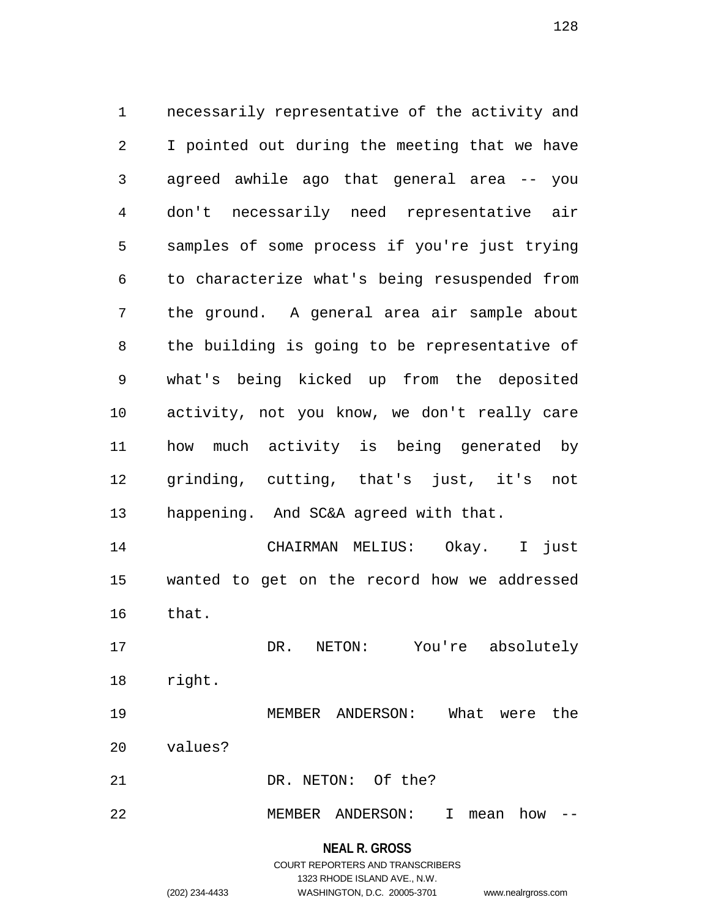1 necessarily representative of the activity and 2 I pointed out during the meeting that we have 3 agreed awhile ago that general area -- you 4 don't necessarily need representative air 5 samples of some process if you're just trying 6 to characterize what's being resuspended from 7 the ground. A general area air sample about 8 the building is going to be representative of 9 what's being kicked up from the deposited 10 activity, not you know, we don't really care 11 how much activity is being generated by 12 grinding, cutting, that's just, it's not 13 happening. And SC&A agreed with that. 14 CHAIRMAN MELIUS: Okay. I just 15 wanted to get on the record how we addressed 16 that. 17 DR. NETON: You're absolutely 18 right. 19 MEMBER ANDERSON: What were the

- 20 values?
- 21 DR. NETON: Of the?
- 22 MEMBER ANDERSON: I mean how --

# **NEAL R. GROSS**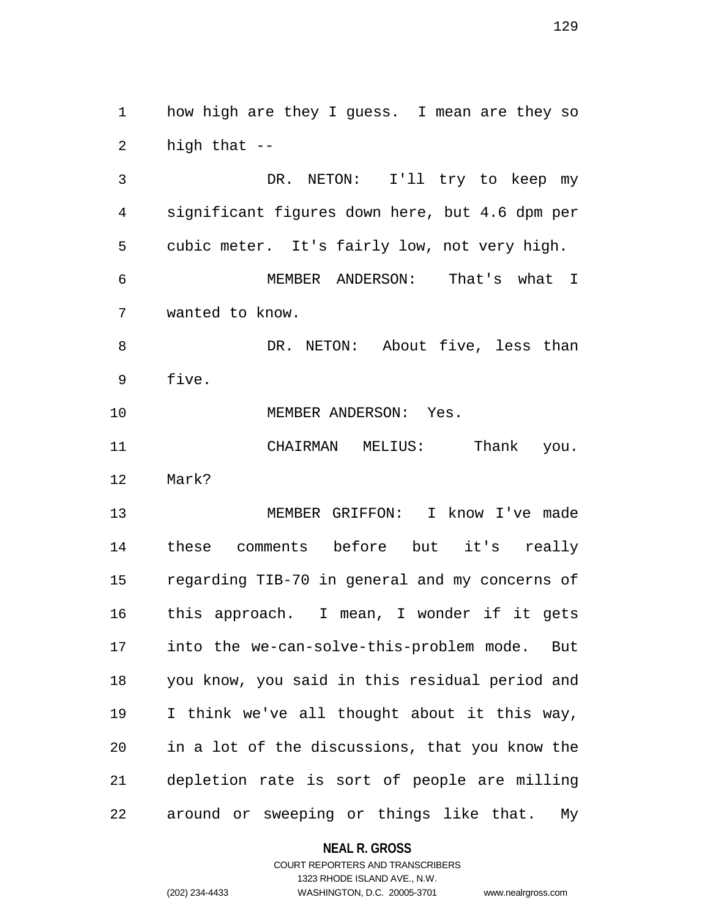1 how high are they I guess. I mean are they so 2 high that --

3 DR. NETON: I'll try to keep my 4 significant figures down here, but 4.6 dpm per 5 cubic meter. It's fairly low, not very high. 6 MEMBER ANDERSON: That's what I 7 wanted to know.

8 DR. NETON: About five, less than 9 five.

10 MEMBER ANDERSON: Yes.

11 CHAIRMAN MELIUS: Thank you. 12 Mark?

13 MEMBER GRIFFON: I know I've made 14 these comments before but it's really 15 regarding TIB-70 in general and my concerns of 16 this approach. I mean, I wonder if it gets 17 into the we-can-solve-this-problem mode. But 18 you know, you said in this residual period and 19 I think we've all thought about it this way, 20 in a lot of the discussions, that you know the 21 depletion rate is sort of people are milling 22 around or sweeping or things like that. My

### **NEAL R. GROSS**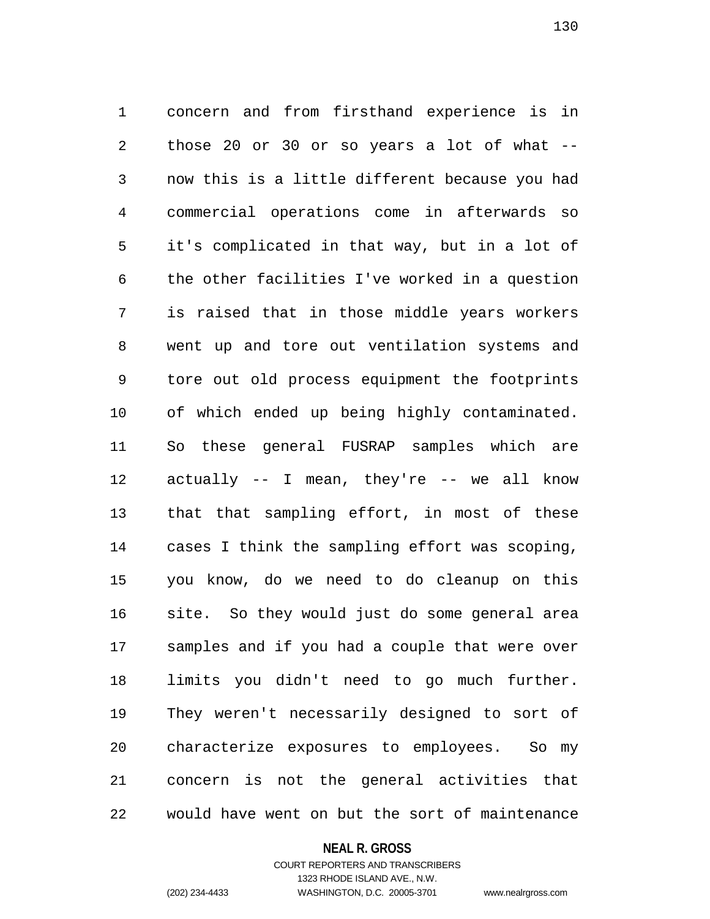1 concern and from firsthand experience is in 2 those 20 or 30 or so years a lot of what -- 3 now this is a little different because you had 4 commercial operations come in afterwards so 5 it's complicated in that way, but in a lot of 6 the other facilities I've worked in a question 7 is raised that in those middle years workers 8 went up and tore out ventilation systems and 9 tore out old process equipment the footprints 10 of which ended up being highly contaminated. 11 So these general FUSRAP samples which are 12 actually -- I mean, they're -- we all know 13 that that sampling effort, in most of these 14 cases I think the sampling effort was scoping, 15 you know, do we need to do cleanup on this 16 site. So they would just do some general area 17 samples and if you had a couple that were over 18 limits you didn't need to go much further. 19 They weren't necessarily designed to sort of 20 characterize exposures to employees. So my 21 concern is not the general activities that 22 would have went on but the sort of maintenance

#### **NEAL R. GROSS**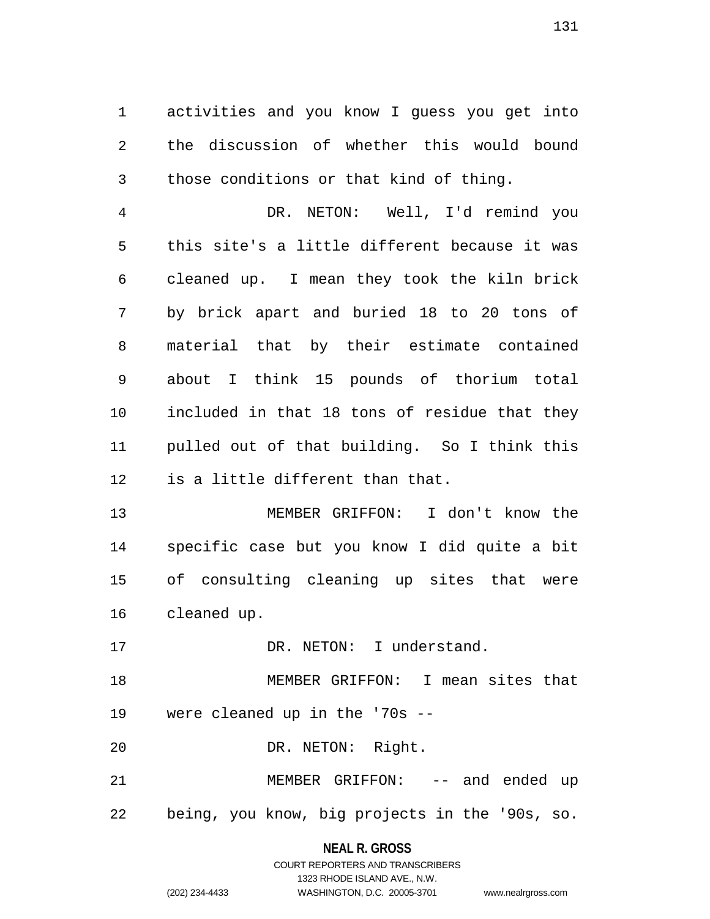1 activities and you know I guess you get into 2 the discussion of whether this would bound 3 those conditions or that kind of thing.

4 DR. NETON: Well, I'd remind you 5 this site's a little different because it was 6 cleaned up. I mean they took the kiln brick 7 by brick apart and buried 18 to 20 tons of 8 material that by their estimate contained 9 about I think 15 pounds of thorium total 10 included in that 18 tons of residue that they 11 pulled out of that building. So I think this 12 is a little different than that.

13 MEMBER GRIFFON: I don't know the 14 specific case but you know I did quite a bit 15 of consulting cleaning up sites that were 16 cleaned up.

17 DR. NETON: I understand.

18 MEMBER GRIFFON: I mean sites that 19 were cleaned up in the '70s --

20 DR. NETON: Right.

21 MEMBER GRIFFON: -- and ended up 22 being, you know, big projects in the '90s, so.

**NEAL R. GROSS**

|                | COURT REPORTERS AND TRANSCRIBERS |                    |
|----------------|----------------------------------|--------------------|
|                | 1323 RHODE ISLAND AVE N.W.       |                    |
| (202) 234-4433 | WASHINGTON, D.C. 20005-3701      | www.nealrgross.com |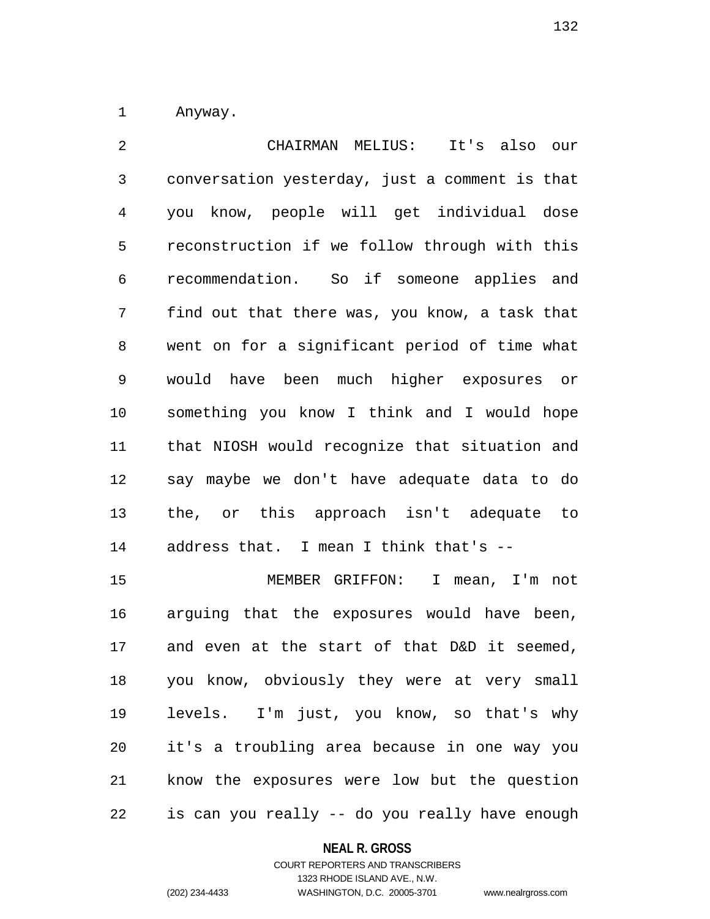1 Anyway.

2 CHAIRMAN MELIUS: It's also our 3 conversation yesterday, just a comment is that 4 you know, people will get individual dose 5 reconstruction if we follow through with this 6 recommendation. So if someone applies and 7 find out that there was, you know, a task that 8 went on for a significant period of time what 9 would have been much higher exposures or 10 something you know I think and I would hope 11 that NIOSH would recognize that situation and 12 say maybe we don't have adequate data to do 13 the, or this approach isn't adequate to 14 address that. I mean I think that's --

15 MEMBER GRIFFON: I mean, I'm not 16 arguing that the exposures would have been, 17 and even at the start of that D&D it seemed, 18 you know, obviously they were at very small 19 levels. I'm just, you know, so that's why 20 it's a troubling area because in one way you 21 know the exposures were low but the question 22 is can you really -- do you really have enough

### **NEAL R. GROSS**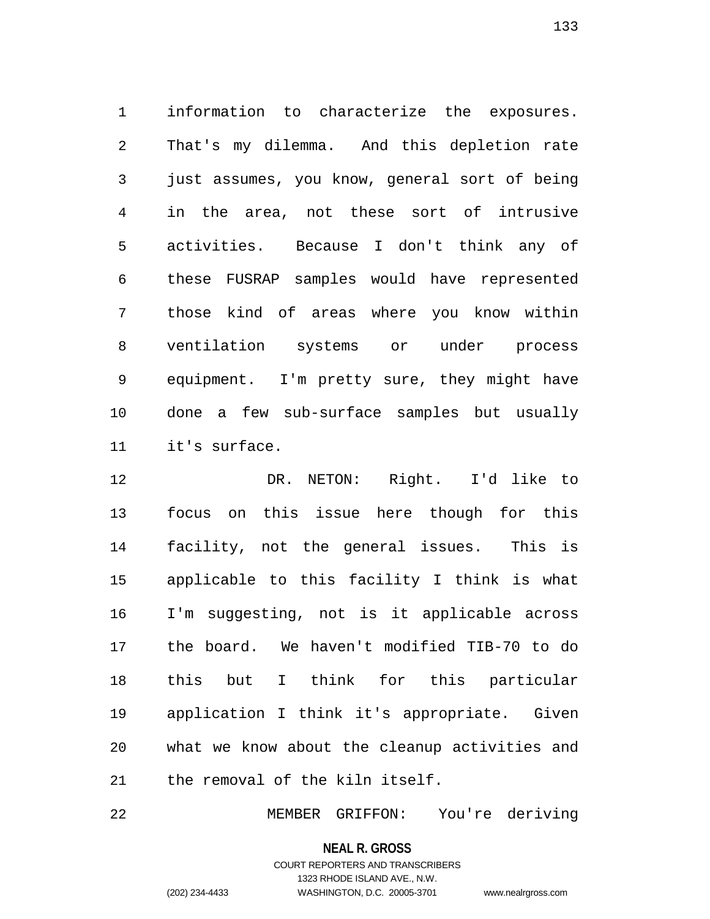1 information to characterize the exposures. 2 That's my dilemma. And this depletion rate 3 just assumes, you know, general sort of being 4 in the area, not these sort of intrusive 5 activities. Because I don't think any of 6 these FUSRAP samples would have represented 7 those kind of areas where you know within 8 ventilation systems or under process 9 equipment. I'm pretty sure, they might have 10 done a few sub-surface samples but usually 11 it's surface.

12 DR. NETON: Right. I'd like to 13 focus on this issue here though for this 14 facility, not the general issues. This is 15 applicable to this facility I think is what 16 I'm suggesting, not is it applicable across 17 the board. We haven't modified TIB-70 to do 18 this but I think for this particular 19 application I think it's appropriate. Given 20 what we know about the cleanup activities and 21 the removal of the kiln itself.

22 MEMBER GRIFFON: You're deriving

**NEAL R. GROSS**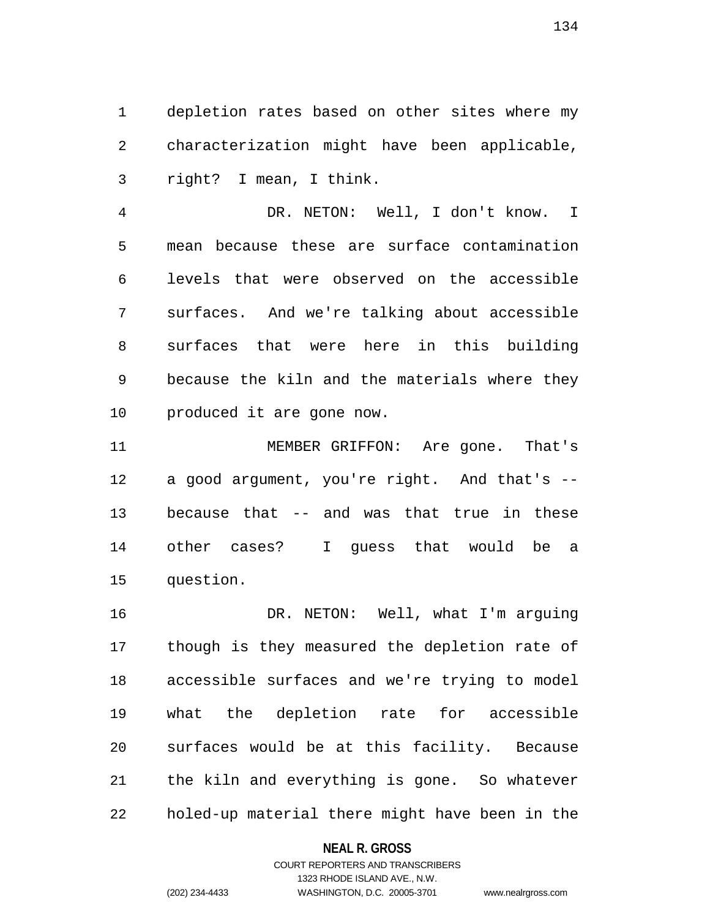1 depletion rates based on other sites where my 2 characterization might have been applicable, 3 right? I mean, I think.

4 DR. NETON: Well, I don't know. I 5 mean because these are surface contamination 6 levels that were observed on the accessible 7 surfaces. And we're talking about accessible 8 surfaces that were here in this building 9 because the kiln and the materials where they 10 produced it are gone now.

11 MEMBER GRIFFON: Are gone. That's 12 a good argument, you're right. And that's -- 13 because that -- and was that true in these 14 other cases? I guess that would be a 15 question.

16 DR. NETON: Well, what I'm arguing 17 though is they measured the depletion rate of 18 accessible surfaces and we're trying to model 19 what the depletion rate for accessible 20 surfaces would be at this facility. Because 21 the kiln and everything is gone. So whatever 22 holed-up material there might have been in the

### **NEAL R. GROSS**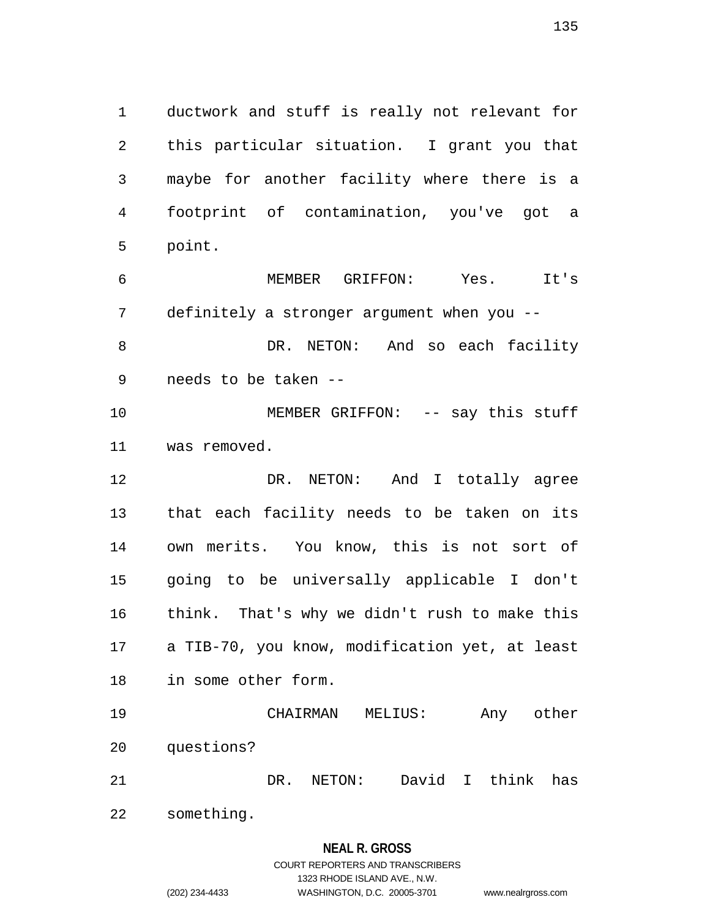1 ductwork and stuff is really not relevant for 2 this particular situation. I grant you that 3 maybe for another facility where there is a 4 footprint of contamination, you've got a 5 point.

6 MEMBER GRIFFON: Yes. It's 7 definitely a stronger argument when you -- 8 DR. NETON: And so each facility 9 needs to be taken --

10 MEMBER GRIFFON: -- say this stuff 11 was removed.

12 DR. NETON: And I totally agree 13 that each facility needs to be taken on its 14 own merits. You know, this is not sort of 15 going to be universally applicable I don't 16 think. That's why we didn't rush to make this 17 a TIB-70, you know, modification yet, at least 18 in some other form.

19 CHAIRMAN MELIUS: Any other 20 questions? 21 DR. NETON: David I think has

22 something.

### **NEAL R. GROSS**

## COURT REPORTERS AND TRANSCRIBERS 1323 RHODE ISLAND AVE., N.W. (202) 234-4433 WASHINGTON, D.C. 20005-3701 www.nealrgross.com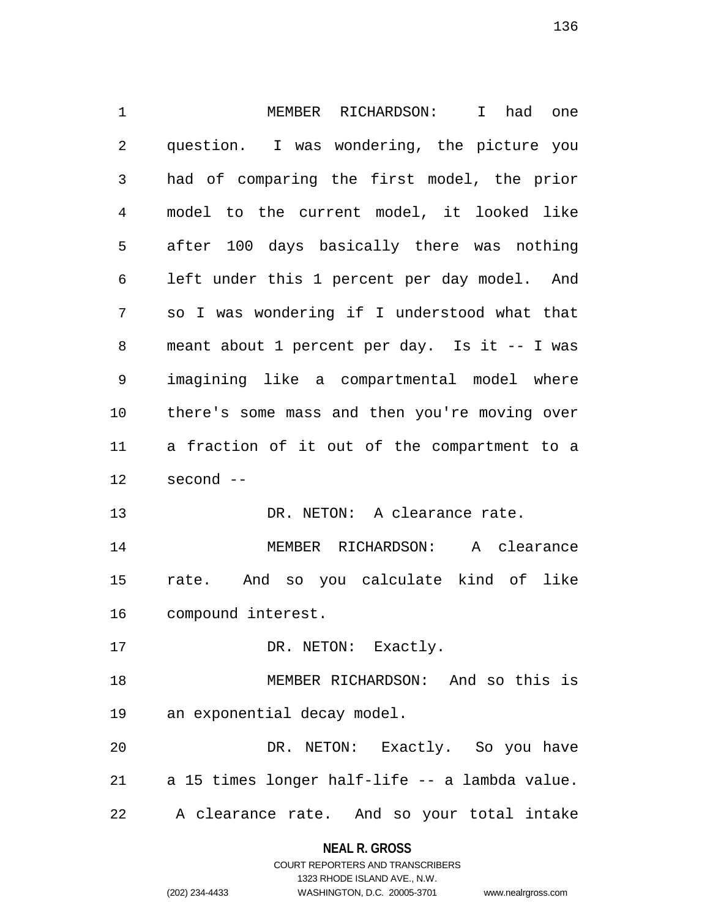1 MEMBER RICHARDSON: I had one 2 question. I was wondering, the picture you 3 had of comparing the first model, the prior 4 model to the current model, it looked like 5 after 100 days basically there was nothing 6 left under this 1 percent per day model. And 7 so I was wondering if I understood what that 8 meant about 1 percent per day. Is it -- I was 9 imagining like a compartmental model where 10 there's some mass and then you're moving over 11 a fraction of it out of the compartment to a 12 second -- 13 DR. NETON: A clearance rate. 14 MEMBER RICHARDSON: A clearance 15 rate. And so you calculate kind of like 16 compound interest. 17 DR. NETON: Exactly. 18 MEMBER RICHARDSON: And so this is 19 an exponential decay model. 20 DR. NETON: Exactly. So you have 21 a 15 times longer half-life -- a lambda value. 22 A clearance rate. And so your total intake

> **NEAL R. GROSS** COURT REPORTERS AND TRANSCRIBERS

> > 1323 RHODE ISLAND AVE., N.W.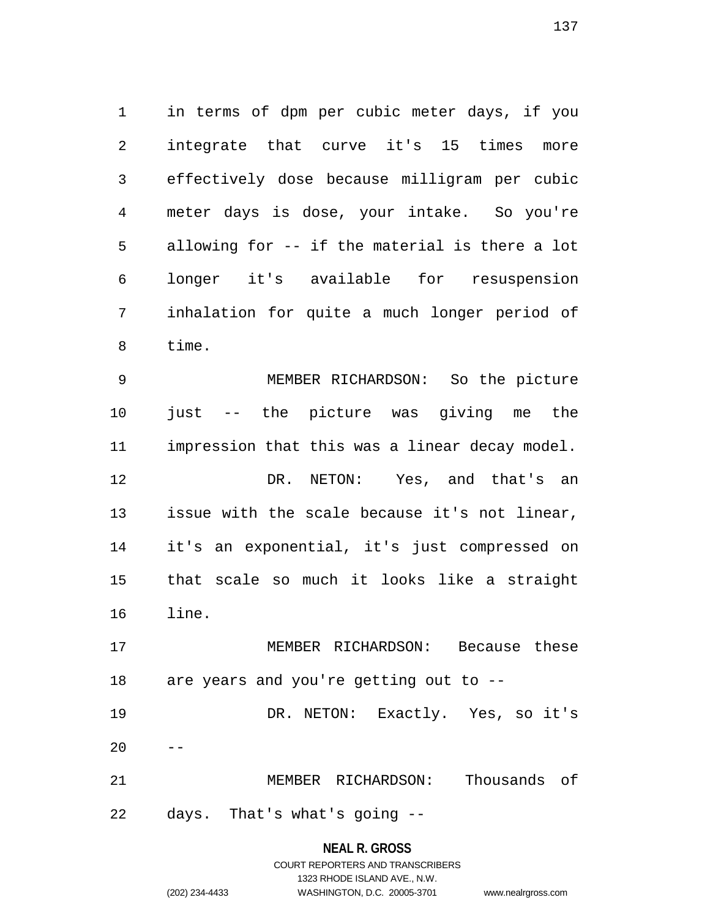1 in terms of dpm per cubic meter days, if you 2 integrate that curve it's 15 times more 3 effectively dose because milligram per cubic 4 meter days is dose, your intake. So you're 5 allowing for -- if the material is there a lot 6 longer it's available for resuspension 7 inhalation for quite a much longer period of 8 time.

9 MEMBER RICHARDSON: So the picture 10 just -- the picture was giving me the 11 impression that this was a linear decay model. 12 DR. NETON: Yes, and that's an 13 issue with the scale because it's not linear, 14 it's an exponential, it's just compressed on 15 that scale so much it looks like a straight 16 line.

17 MEMBER RICHARDSON: Because these 18 are years and you're getting out to -- 19 DR. NETON: Exactly. Yes, so it's

21 MEMBER RICHARDSON: Thousands of 22 days. That's what's going --

 $20$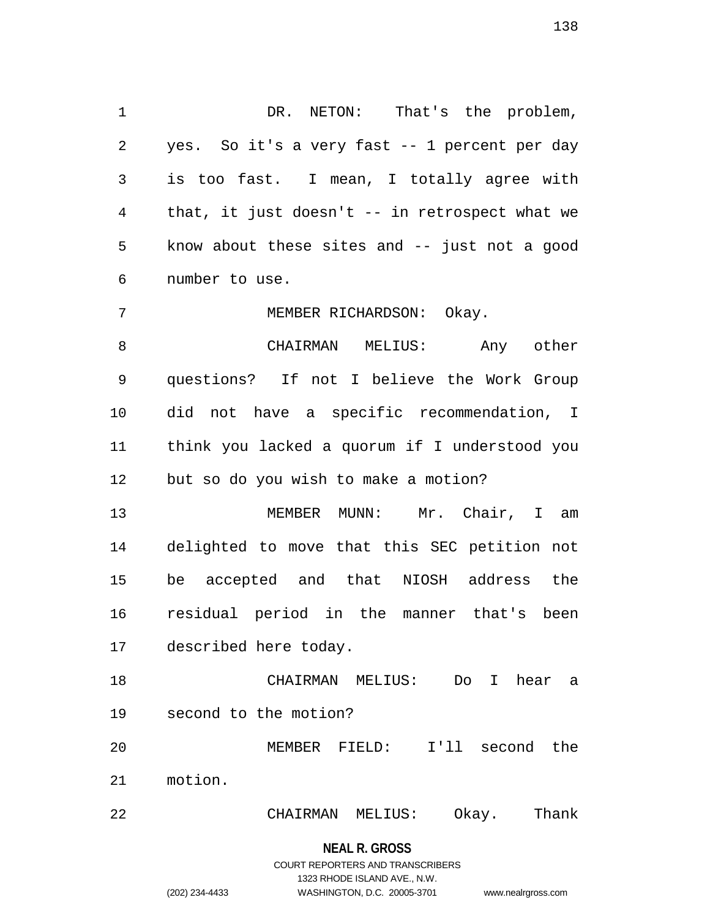1 DR. NETON: That's the problem, 2 yes. So it's a very fast -- 1 percent per day 3 is too fast. I mean, I totally agree with 4 that, it just doesn't -- in retrospect what we 5 know about these sites and -- just not a good 6 number to use.

7 MEMBER RICHARDSON: Okay.

8 CHAIRMAN MELIUS: Any other 9 questions? If not I believe the Work Group 10 did not have a specific recommendation, I 11 think you lacked a quorum if I understood you 12 but so do you wish to make a motion?

13 MEMBER MUNN: Mr. Chair, I am 14 delighted to move that this SEC petition not 15 be accepted and that NIOSH address the 16 residual period in the manner that's been 17 described here today.

18 CHAIRMAN MELIUS: Do I hear a 19 second to the motion?

20 MEMBER FIELD: I'll second the 21 motion.

22 CHAIRMAN MELIUS: Okay. Thank

**NEAL R. GROSS**

## COURT REPORTERS AND TRANSCRIBERS 1323 RHODE ISLAND AVE., N.W. (202) 234-4433 WASHINGTON, D.C. 20005-3701 www.nealrgross.com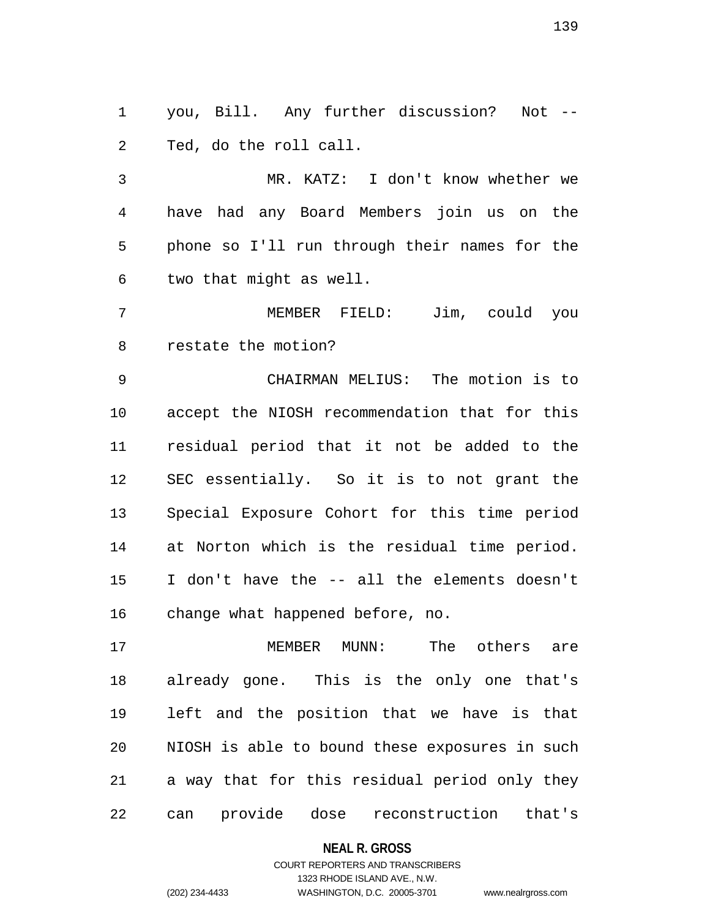1 you, Bill. Any further discussion? Not -- 2 Ted, do the roll call.

3 MR. KATZ: I don't know whether we 4 have had any Board Members join us on the 5 phone so I'll run through their names for the 6 two that might as well.

7 MEMBER FIELD: Jim, could you 8 restate the motion?

9 CHAIRMAN MELIUS: The motion is to 10 accept the NIOSH recommendation that for this 11 residual period that it not be added to the 12 SEC essentially. So it is to not grant the 13 Special Exposure Cohort for this time period 14 at Norton which is the residual time period. 15 I don't have the -- all the elements doesn't 16 change what happened before, no.

17 MEMBER MUNN: The others are 18 already gone. This is the only one that's 19 left and the position that we have is that 20 NIOSH is able to bound these exposures in such 21 a way that for this residual period only they 22 can provide dose reconstruction that's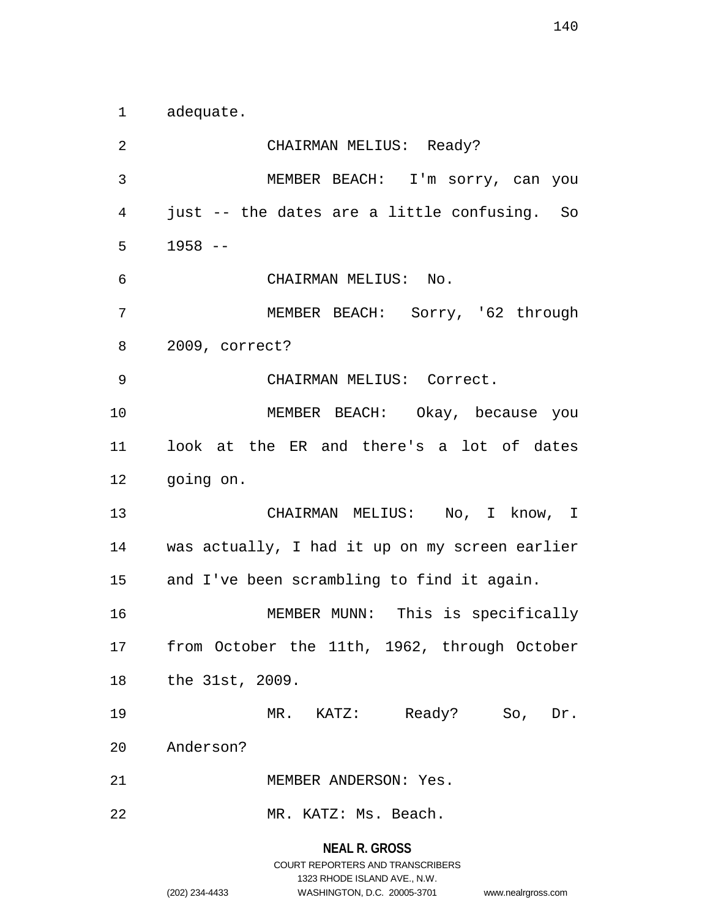1 adequate.

**NEAL R. GROSS** 2 CHAIRMAN MELIUS: Ready? 3 MEMBER BEACH: I'm sorry, can you 4 just -- the dates are a little confusing. So 5 1958 -- 6 CHAIRMAN MELIUS: No. 7 MEMBER BEACH: Sorry, '62 through 8 2009, correct? 9 CHAIRMAN MELIUS: Correct. 10 MEMBER BEACH: Okay, because you 11 look at the ER and there's a lot of dates 12 going on. 13 CHAIRMAN MELIUS: No, I know, I 14 was actually, I had it up on my screen earlier 15 and I've been scrambling to find it again. 16 MEMBER MUNN: This is specifically 17 from October the 11th, 1962, through October 18 the 31st, 2009. 19 MR. KATZ: Ready? So, Dr. 20 Anderson? 21 MEMBER ANDERSON: Yes. 22 MR. KATZ: Ms. Beach.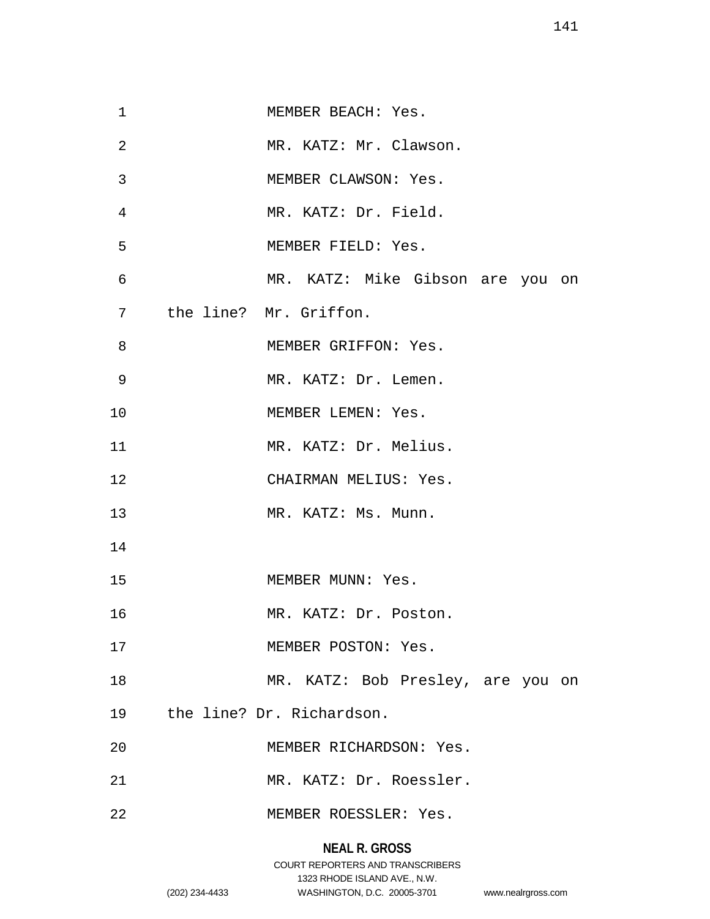| $\mathbf 1$    | MEMBER BEACH: Yes.                |
|----------------|-----------------------------------|
| $\overline{2}$ | MR. KATZ: Mr. Clawson.            |
| 3              | MEMBER CLAWSON: Yes.              |
| 4              | MR. KATZ: Dr. Field.              |
| 5              | MEMBER FIELD: Yes.                |
| 6              | MR. KATZ: Mike Gibson are you on  |
| 7              | the line? Mr. Griffon.            |
| 8              | MEMBER GRIFFON: Yes.              |
| 9              | MR. KATZ: Dr. Lemen.              |
| 10             | MEMBER LEMEN: Yes.                |
| 11             | MR. KATZ: Dr. Melius.             |
| 12             | CHAIRMAN MELIUS: Yes.             |
| 13             | MR. KATZ: Ms. Munn.               |
| 14             |                                   |
| 15             | MEMBER MUNN: Yes.                 |
| 16             | MR. KATZ: Dr. Poston.             |
| 17             | MEMBER POSTON: Yes.               |
| 18             | MR. KATZ: Bob Presley, are you on |
| 19             | the line? Dr. Richardson.         |
| 20             | MEMBER RICHARDSON: Yes.           |
| 21             | MR. KATZ: Dr. Roessler.           |
| 22             | MEMBER ROESSLER: Yes.             |
|                |                                   |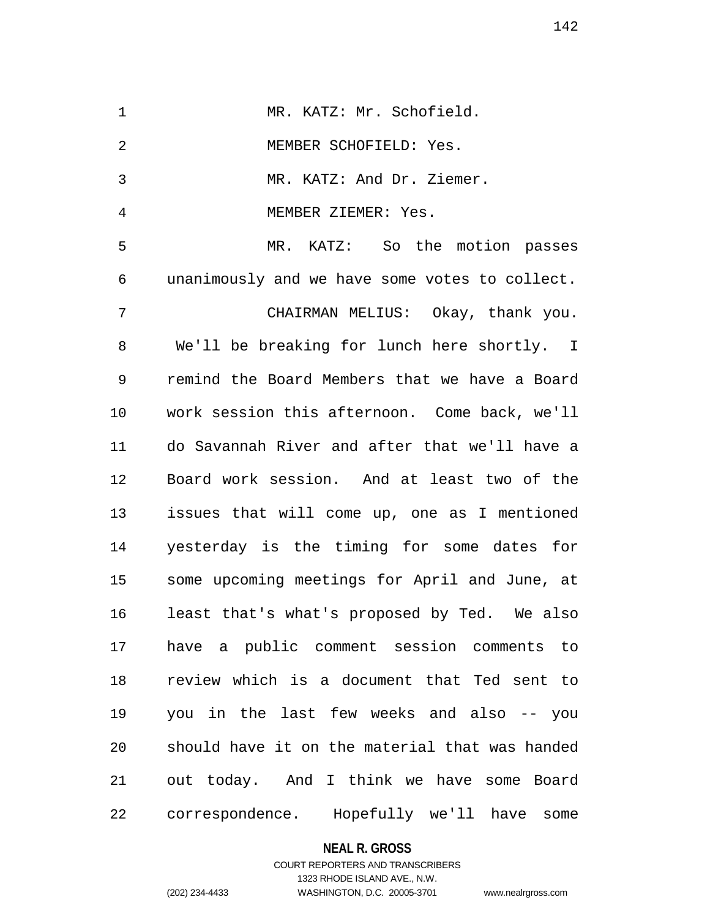| $\mathbf 1$ | MR. KATZ: Mr. Schofield.                       |
|-------------|------------------------------------------------|
| 2           | MEMBER SCHOFIELD: Yes.                         |
| 3           | MR. KATZ: And Dr. Ziemer.                      |
| 4           | MEMBER ZIEMER: Yes.                            |
| 5           | MR. KATZ: So the motion passes                 |
| 6           | unanimously and we have some votes to collect. |
| 7           | CHAIRMAN MELIUS: Okay, thank you.              |
| 8           | We'll be breaking for lunch here shortly. I    |
| 9           | remind the Board Members that we have a Board  |
| 10          | work session this afternoon. Come back, we'll  |
| 11          | do Savannah River and after that we'll have a  |
| 12          | Board work session. And at least two of the    |
| 13          | issues that will come up, one as I mentioned   |
| 14          | yesterday is the timing for some dates for     |
| 15          | some upcoming meetings for April and June, at  |
| 16          | least that's what's proposed by Ted. We also   |
| 17          | have a public comment session comments to      |
| 18          | review which is a document that Ted sent to    |
| 19          | you in the last few weeks and also -- you      |
| 20          | should have it on the material that was handed |
| 21          | out today. And I think we have some Board      |
| 22          | correspondence. Hopefully we'll have<br>some   |

**NEAL R. GROSS**

## COURT REPORTERS AND TRANSCRIBERS 1323 RHODE ISLAND AVE., N.W. (202) 234-4433 WASHINGTON, D.C. 20005-3701 www.nealrgross.com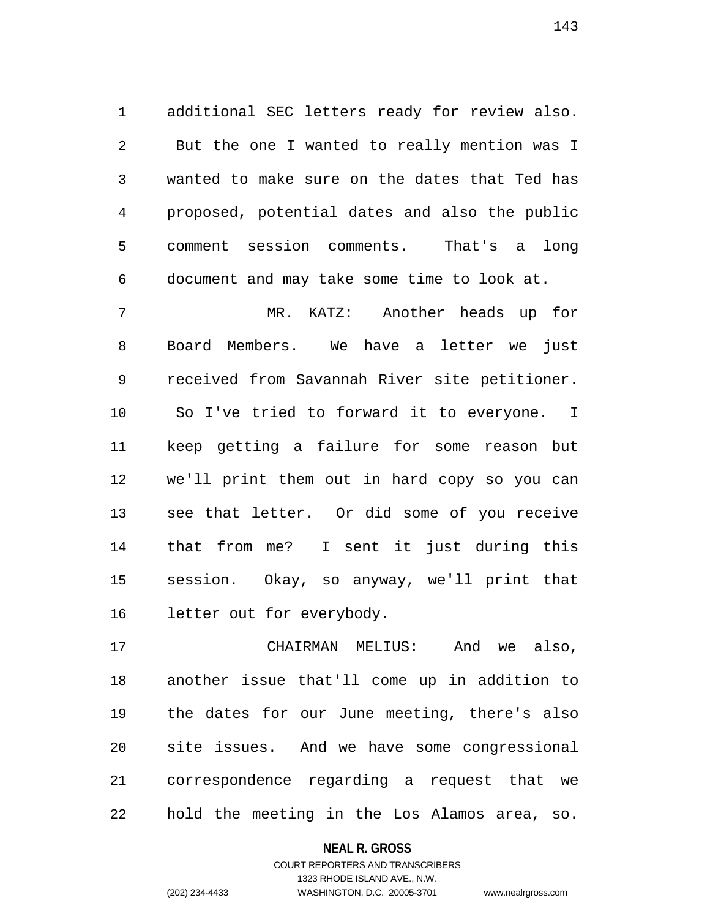1 additional SEC letters ready for review also. 2 But the one I wanted to really mention was I 3 wanted to make sure on the dates that Ted has 4 proposed, potential dates and also the public 5 comment session comments. That's a long 6 document and may take some time to look at.

7 MR. KATZ: Another heads up for 8 Board Members. We have a letter we just 9 received from Savannah River site petitioner. 10 So I've tried to forward it to everyone. I 11 keep getting a failure for some reason but 12 we'll print them out in hard copy so you can 13 see that letter. Or did some of you receive 14 that from me? I sent it just during this 15 session. Okay, so anyway, we'll print that 16 letter out for everybody.

17 CHAIRMAN MELIUS: And we also, 18 another issue that'll come up in addition to 19 the dates for our June meeting, there's also 20 site issues. And we have some congressional 21 correspondence regarding a request that we 22 hold the meeting in the Los Alamos area, so.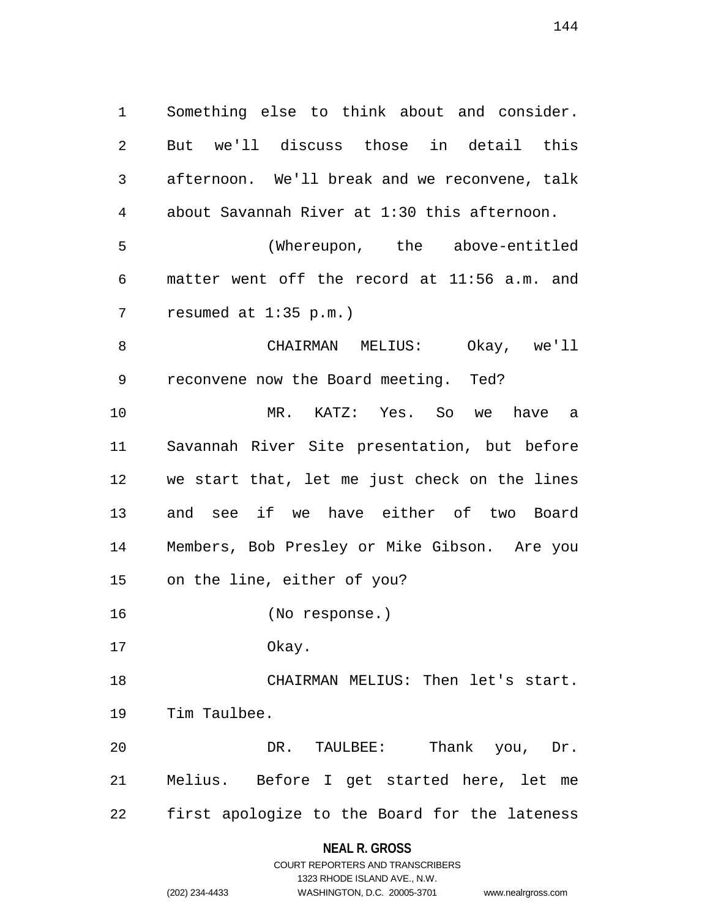1 Something else to think about and consider. 2 But we'll discuss those in detail this 3 afternoon. We'll break and we reconvene, talk 4 about Savannah River at 1:30 this afternoon. 5 (Whereupon, the above-entitled 6 matter went off the record at 11:56 a.m. and 7 resumed at 1:35 p.m.)

8 CHAIRMAN MELIUS: Okay, we'll 9 reconvene now the Board meeting. Ted? 10 MR. KATZ: Yes. So we have a 11 Savannah River Site presentation, but before 12 we start that, let me just check on the lines 13 and see if we have either of two Board 14 Members, Bob Presley or Mike Gibson. Are you 15 on the line, either of you?

16 (No response.)

17 Okay.

18 CHAIRMAN MELIUS: Then let's start. 19 Tim Taulbee.

20 DR. TAULBEE: Thank you, Dr. 21 Melius. Before I get started here, let me 22 first apologize to the Board for the lateness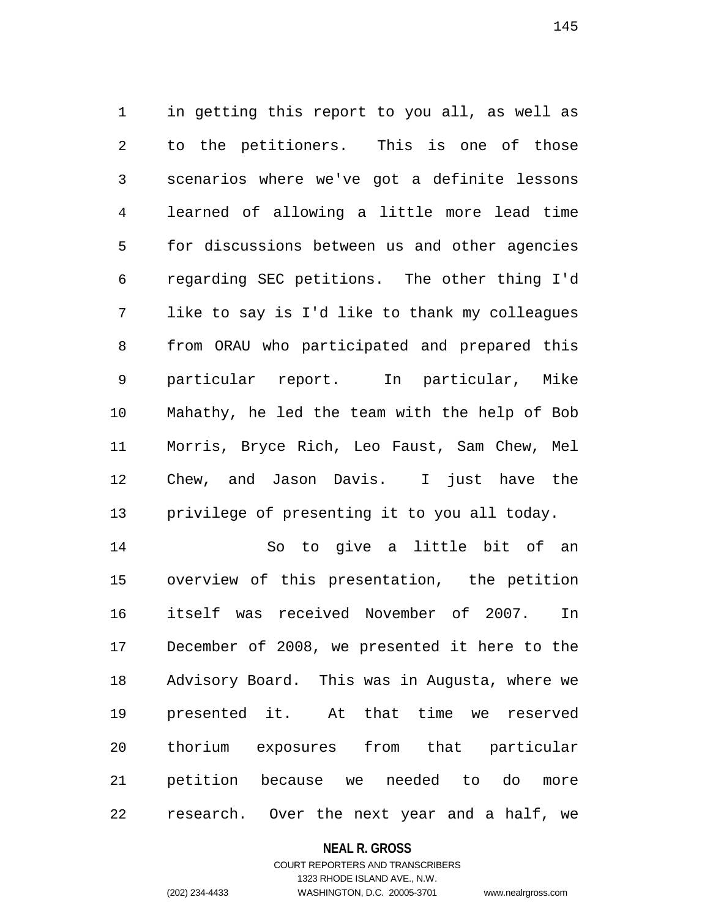1 in getting this report to you all, as well as 2 to the petitioners. This is one of those 3 scenarios where we've got a definite lessons 4 learned of allowing a little more lead time 5 for discussions between us and other agencies 6 regarding SEC petitions. The other thing I'd 7 like to say is I'd like to thank my colleagues 8 from ORAU who participated and prepared this 9 particular report. In particular, Mike 10 Mahathy, he led the team with the help of Bob 11 Morris, Bryce Rich, Leo Faust, Sam Chew, Mel 12 Chew, and Jason Davis. I just have the 13 privilege of presenting it to you all today.

14 So to give a little bit of an 15 overview of this presentation, the petition 16 itself was received November of 2007. In 17 December of 2008, we presented it here to the 18 Advisory Board. This was in Augusta, where we 19 presented it. At that time we reserved 20 thorium exposures from that particular 21 petition because we needed to do more 22 research. Over the next year and a half, we

#### **NEAL R. GROSS**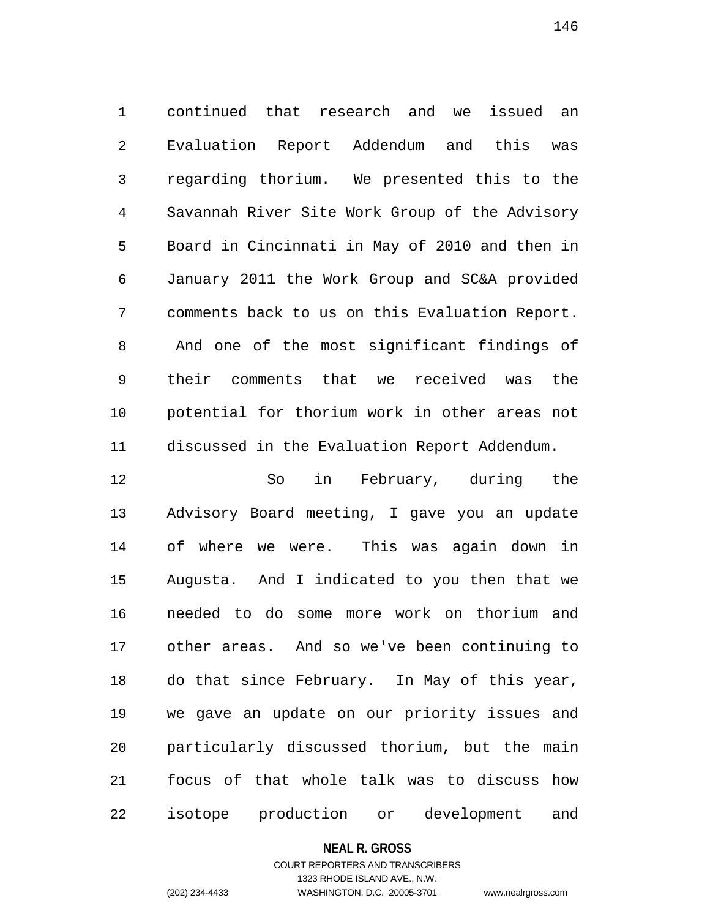1 continued that research and we issued an 2 Evaluation Report Addendum and this was 3 regarding thorium. We presented this to the 4 Savannah River Site Work Group of the Advisory 5 Board in Cincinnati in May of 2010 and then in 6 January 2011 the Work Group and SC&A provided 7 comments back to us on this Evaluation Report. 8 And one of the most significant findings of 9 their comments that we received was the 10 potential for thorium work in other areas not 11 discussed in the Evaluation Report Addendum.

12 So in February, during the 13 Advisory Board meeting, I gave you an update 14 of where we were. This was again down in 15 Augusta. And I indicated to you then that we 16 needed to do some more work on thorium and 17 other areas. And so we've been continuing to 18 do that since February. In May of this year, 19 we gave an update on our priority issues and 20 particularly discussed thorium, but the main 21 focus of that whole talk was to discuss how 22 isotope production or development and

## **NEAL R. GROSS**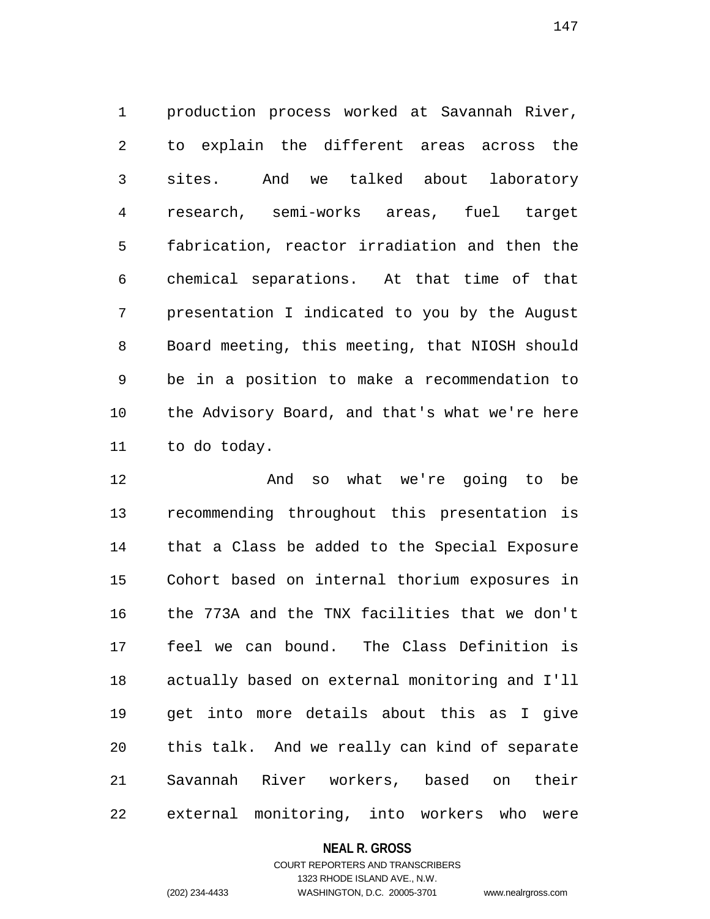1 production process worked at Savannah River, 2 to explain the different areas across the 3 sites. And we talked about laboratory 4 research, semi-works areas, fuel target 5 fabrication, reactor irradiation and then the 6 chemical separations. At that time of that 7 presentation I indicated to you by the August 8 Board meeting, this meeting, that NIOSH should 9 be in a position to make a recommendation to 10 the Advisory Board, and that's what we're here 11 to do today.

12 And so what we're going to be 13 recommending throughout this presentation is 14 that a Class be added to the Special Exposure 15 Cohort based on internal thorium exposures in 16 the 773A and the TNX facilities that we don't 17 feel we can bound. The Class Definition is 18 actually based on external monitoring and I'll 19 get into more details about this as I give 20 this talk. And we really can kind of separate 21 Savannah River workers, based on their 22 external monitoring, into workers who were

## **NEAL R. GROSS**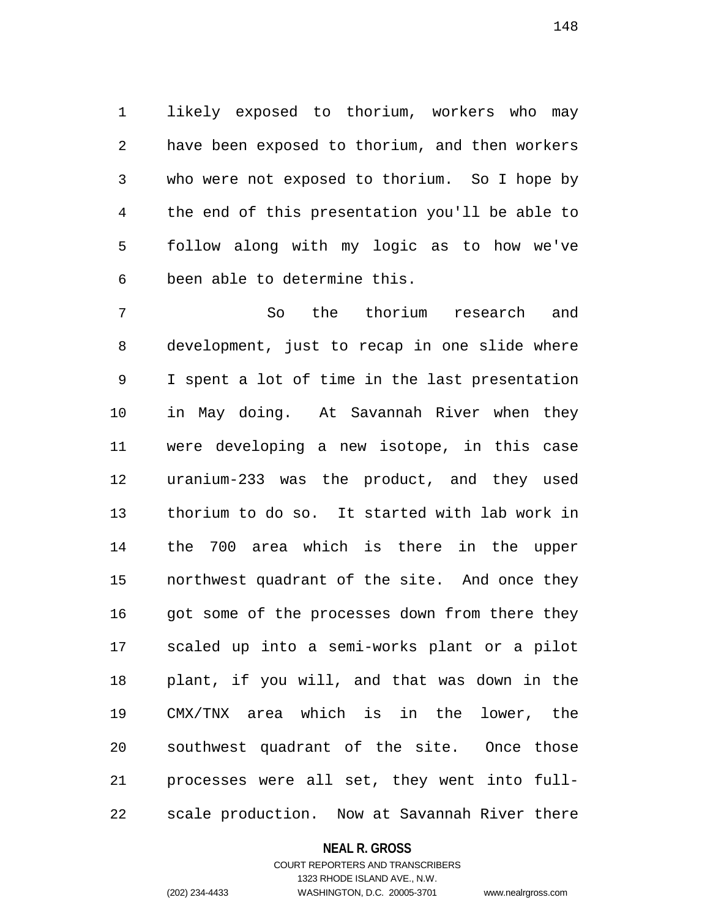1 likely exposed to thorium, workers who may 2 have been exposed to thorium, and then workers 3 who were not exposed to thorium. So I hope by 4 the end of this presentation you'll be able to 5 follow along with my logic as to how we've 6 been able to determine this.

7 So the thorium research and 8 development, just to recap in one slide where 9 I spent a lot of time in the last presentation 10 in May doing. At Savannah River when they 11 were developing a new isotope, in this case 12 uranium-233 was the product, and they used 13 thorium to do so. It started with lab work in 14 the 700 area which is there in the upper 15 northwest quadrant of the site. And once they 16 got some of the processes down from there they 17 scaled up into a semi-works plant or a pilot 18 plant, if you will, and that was down in the 19 CMX/TNX area which is in the lower, the 20 southwest quadrant of the site. Once those 21 processes were all set, they went into full-22 scale production. Now at Savannah River there

### **NEAL R. GROSS**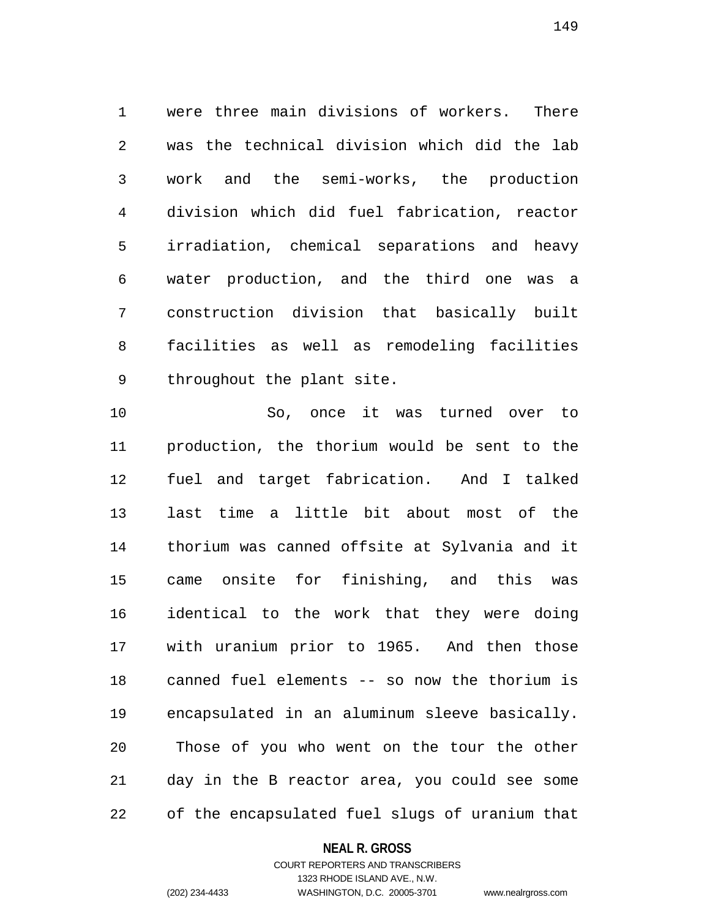1 were three main divisions of workers. There 2 was the technical division which did the lab 3 work and the semi-works, the production 4 division which did fuel fabrication, reactor 5 irradiation, chemical separations and heavy 6 water production, and the third one was a 7 construction division that basically built 8 facilities as well as remodeling facilities 9 throughout the plant site.

10 So, once it was turned over to 11 production, the thorium would be sent to the 12 fuel and target fabrication. And I talked 13 last time a little bit about most of the 14 thorium was canned offsite at Sylvania and it 15 came onsite for finishing, and this was 16 identical to the work that they were doing 17 with uranium prior to 1965. And then those 18 canned fuel elements -- so now the thorium is 19 encapsulated in an aluminum sleeve basically. 20 Those of you who went on the tour the other 21 day in the B reactor area, you could see some 22 of the encapsulated fuel slugs of uranium that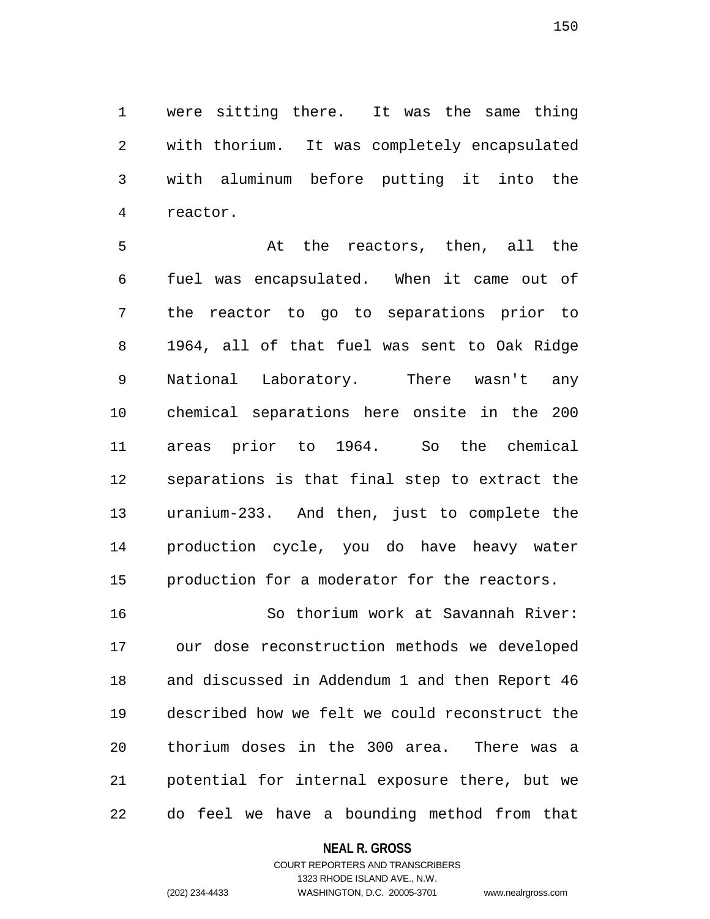1 were sitting there. It was the same thing 2 with thorium. It was completely encapsulated 3 with aluminum before putting it into the 4 reactor.

5 At the reactors, then, all the 6 fuel was encapsulated. When it came out of 7 the reactor to go to separations prior to 8 1964, all of that fuel was sent to Oak Ridge 9 National Laboratory. There wasn't any 10 chemical separations here onsite in the 200 11 areas prior to 1964. So the chemical 12 separations is that final step to extract the 13 uranium-233. And then, just to complete the 14 production cycle, you do have heavy water 15 production for a moderator for the reactors.

16 So thorium work at Savannah River: 17 our dose reconstruction methods we developed 18 and discussed in Addendum 1 and then Report 46 19 described how we felt we could reconstruct the 20 thorium doses in the 300 area. There was a 21 potential for internal exposure there, but we 22 do feel we have a bounding method from that

#### **NEAL R. GROSS**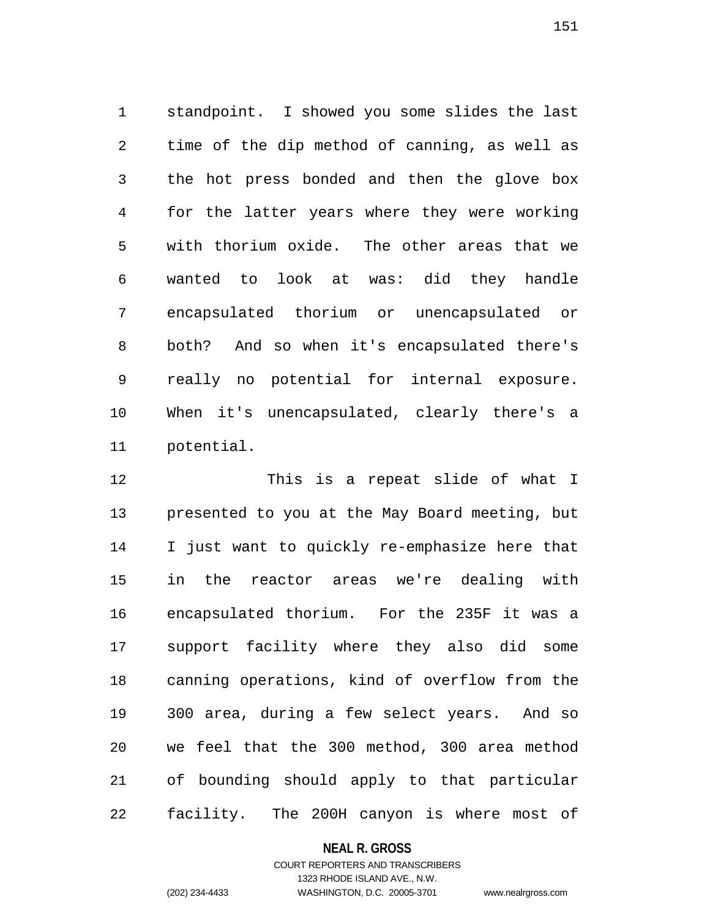1 standpoint. I showed you some slides the last 2 time of the dip method of canning, as well as 3 the hot press bonded and then the glove box 4 for the latter years where they were working 5 with thorium oxide. The other areas that we 6 wanted to look at was: did they handle 7 encapsulated thorium or unencapsulated or 8 both? And so when it's encapsulated there's 9 really no potential for internal exposure. 10 When it's unencapsulated, clearly there's a 11 potential.

12 This is a repeat slide of what I 13 presented to you at the May Board meeting, but 14 I just want to quickly re-emphasize here that 15 in the reactor areas we're dealing with 16 encapsulated thorium. For the 235F it was a 17 support facility where they also did some 18 canning operations, kind of overflow from the 19 300 area, during a few select years. And so 20 we feel that the 300 method, 300 area method 21 of bounding should apply to that particular 22 facility. The 200H canyon is where most of

## **NEAL R. GROSS**

COURT REPORTERS AND TRANSCRIBERS 1323 RHODE ISLAND AVE., N.W. (202) 234-4433 WASHINGTON, D.C. 20005-3701 www.nealrgross.com

151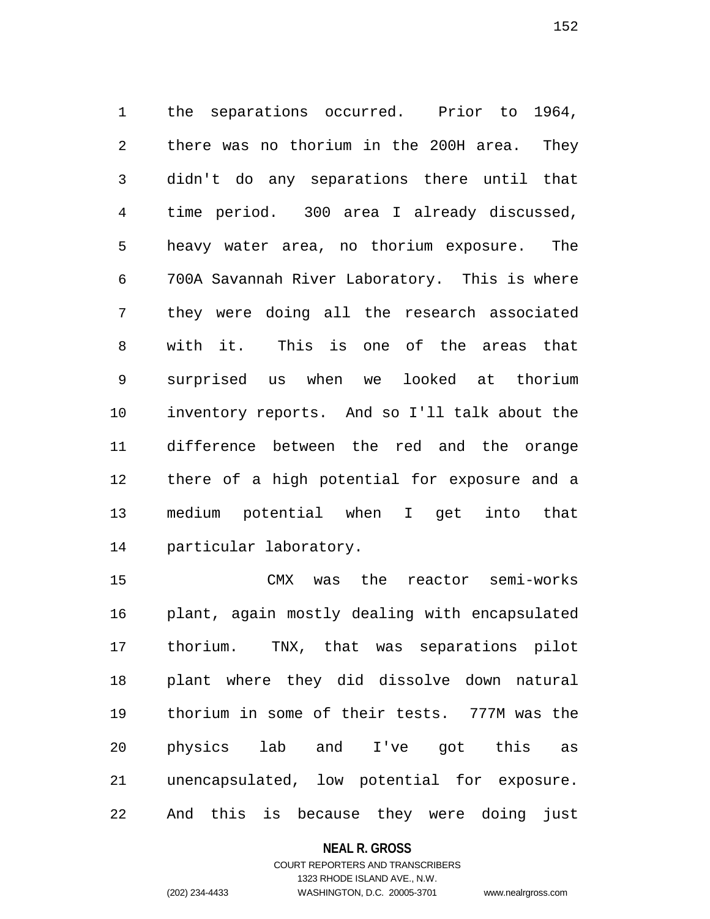1 the separations occurred. Prior to 1964, 2 there was no thorium in the 200H area. They 3 didn't do any separations there until that 4 time period. 300 area I already discussed, 5 heavy water area, no thorium exposure. The 6 700A Savannah River Laboratory. This is where 7 they were doing all the research associated 8 with it. This is one of the areas that 9 surprised us when we looked at thorium 10 inventory reports. And so I'll talk about the 11 difference between the red and the orange 12 there of a high potential for exposure and a 13 medium potential when I get into that 14 particular laboratory.

15 CMX was the reactor semi-works 16 plant, again mostly dealing with encapsulated 17 thorium. TNX, that was separations pilot 18 plant where they did dissolve down natural 19 thorium in some of their tests. 777M was the 20 physics lab and I've got this as 21 unencapsulated, low potential for exposure. 22 And this is because they were doing just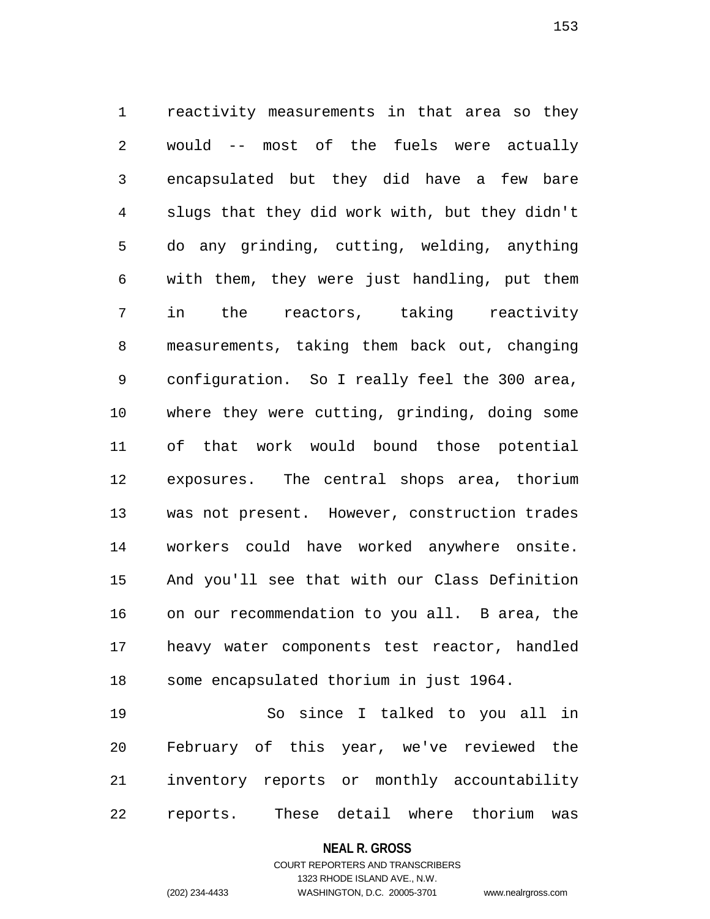1 reactivity measurements in that area so they 2 would -- most of the fuels were actually 3 encapsulated but they did have a few bare 4 slugs that they did work with, but they didn't 5 do any grinding, cutting, welding, anything 6 with them, they were just handling, put them 7 in the reactors, taking reactivity 8 measurements, taking them back out, changing 9 configuration. So I really feel the 300 area, 10 where they were cutting, grinding, doing some 11 of that work would bound those potential 12 exposures. The central shops area, thorium 13 was not present. However, construction trades 14 workers could have worked anywhere onsite. 15 And you'll see that with our Class Definition 16 on our recommendation to you all. B area, the 17 heavy water components test reactor, handled 18 some encapsulated thorium in just 1964.

19 So since I talked to you all in 20 February of this year, we've reviewed the 21 inventory reports or monthly accountability 22 reports. These detail where thorium was

**NEAL R. GROSS**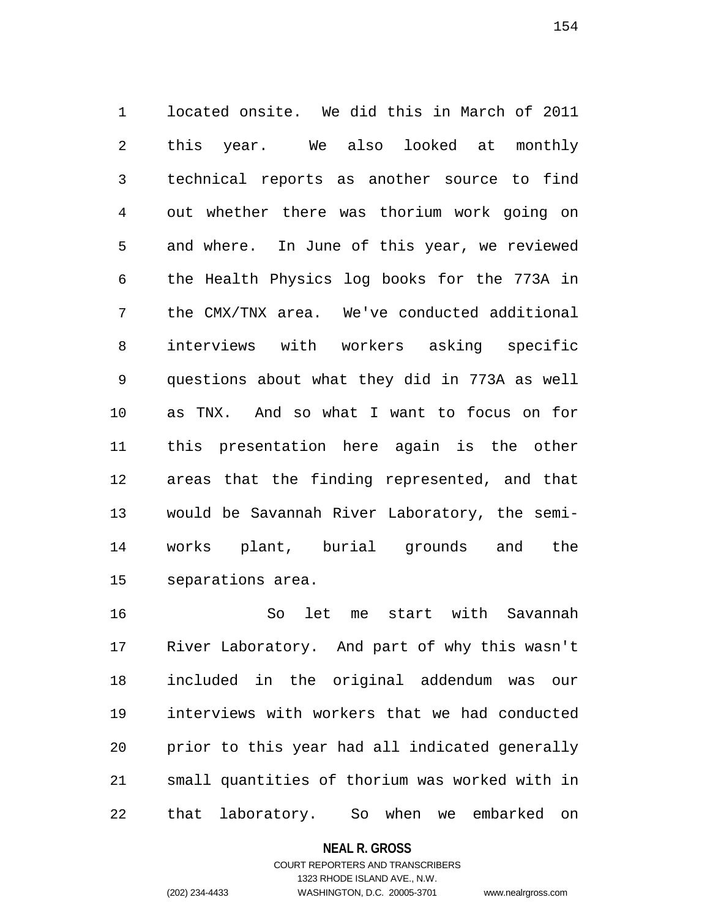1 located onsite. We did this in March of 2011 2 this year. We also looked at monthly 3 technical reports as another source to find 4 out whether there was thorium work going on 5 and where. In June of this year, we reviewed 6 the Health Physics log books for the 773A in 7 the CMX/TNX area. We've conducted additional 8 interviews with workers asking specific 9 questions about what they did in 773A as well 10 as TNX. And so what I want to focus on for 11 this presentation here again is the other 12 areas that the finding represented, and that 13 would be Savannah River Laboratory, the semi-14 works plant, burial grounds and the 15 separations area.

16 So let me start with Savannah 17 River Laboratory. And part of why this wasn't 18 included in the original addendum was our 19 interviews with workers that we had conducted 20 prior to this year had all indicated generally 21 small quantities of thorium was worked with in 22 that laboratory. So when we embarked on

**NEAL R. GROSS**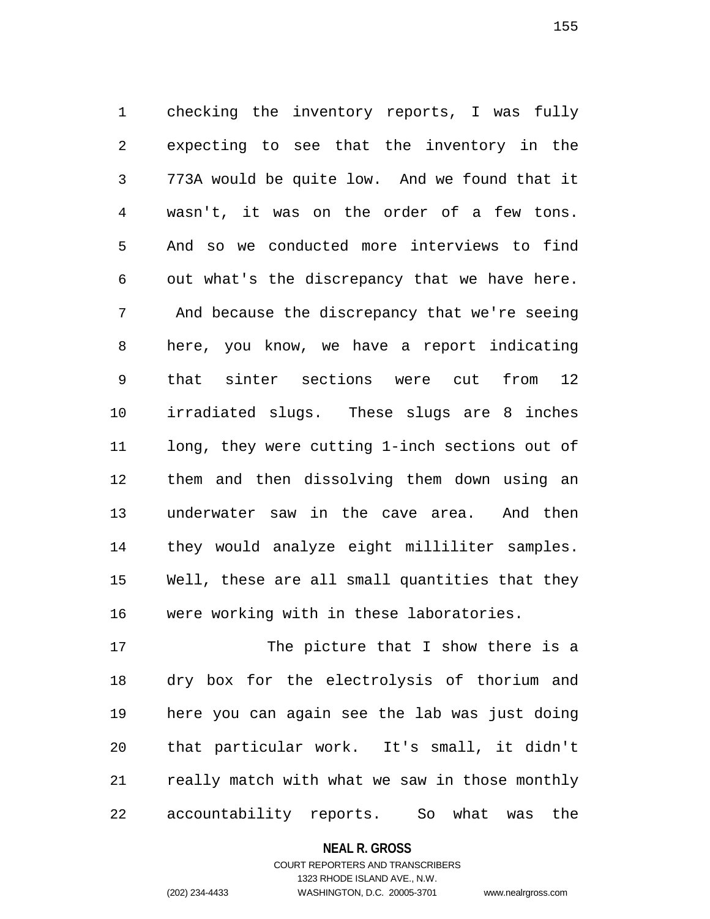1 checking the inventory reports, I was fully 2 expecting to see that the inventory in the 3 773A would be quite low. And we found that it 4 wasn't, it was on the order of a few tons. 5 And so we conducted more interviews to find 6 out what's the discrepancy that we have here. 7 And because the discrepancy that we're seeing 8 here, you know, we have a report indicating 9 that sinter sections were cut from 12 10 irradiated slugs. These slugs are 8 inches 11 long, they were cutting 1-inch sections out of 12 them and then dissolving them down using an 13 underwater saw in the cave area. And then 14 they would analyze eight milliliter samples. 15 Well, these are all small quantities that they 16 were working with in these laboratories.

17 The picture that I show there is a 18 dry box for the electrolysis of thorium and 19 here you can again see the lab was just doing 20 that particular work. It's small, it didn't 21 really match with what we saw in those monthly 22 accountability reports. So what was the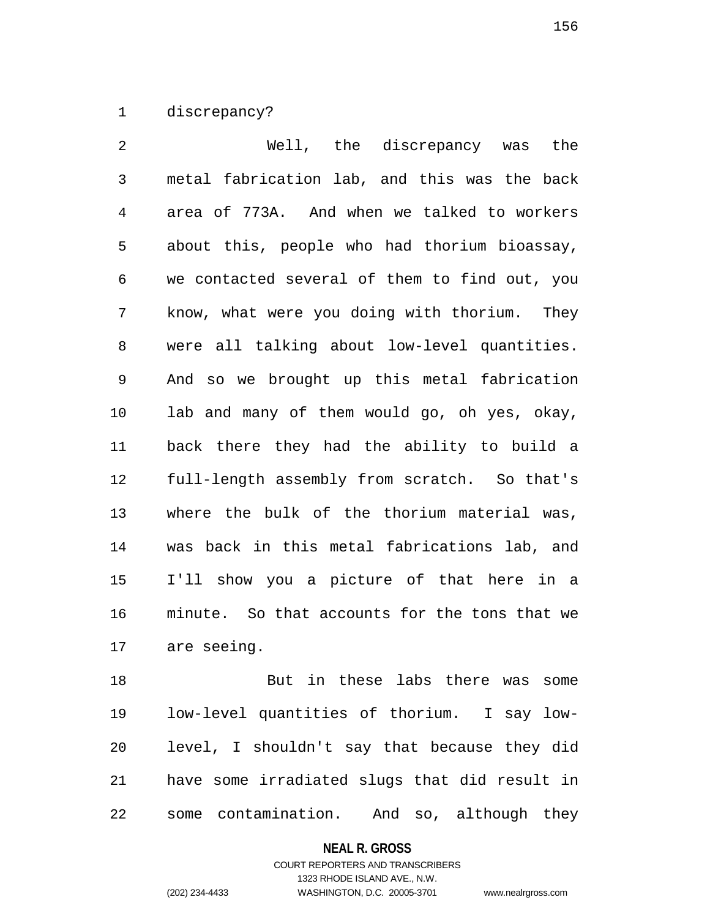1 discrepancy?

2 Well, the discrepancy was the 3 metal fabrication lab, and this was the back 4 area of 773A. And when we talked to workers 5 about this, people who had thorium bioassay, 6 we contacted several of them to find out, you 7 know, what were you doing with thorium. They 8 were all talking about low-level quantities. 9 And so we brought up this metal fabrication 10 lab and many of them would go, oh yes, okay, 11 back there they had the ability to build a 12 full-length assembly from scratch. So that's 13 where the bulk of the thorium material was, 14 was back in this metal fabrications lab, and 15 I'll show you a picture of that here in a 16 minute. So that accounts for the tons that we 17 are seeing.

18 But in these labs there was some 19 low-level quantities of thorium. I say low-20 level, I shouldn't say that because they did 21 have some irradiated slugs that did result in 22 some contamination. And so, although they

## **NEAL R. GROSS**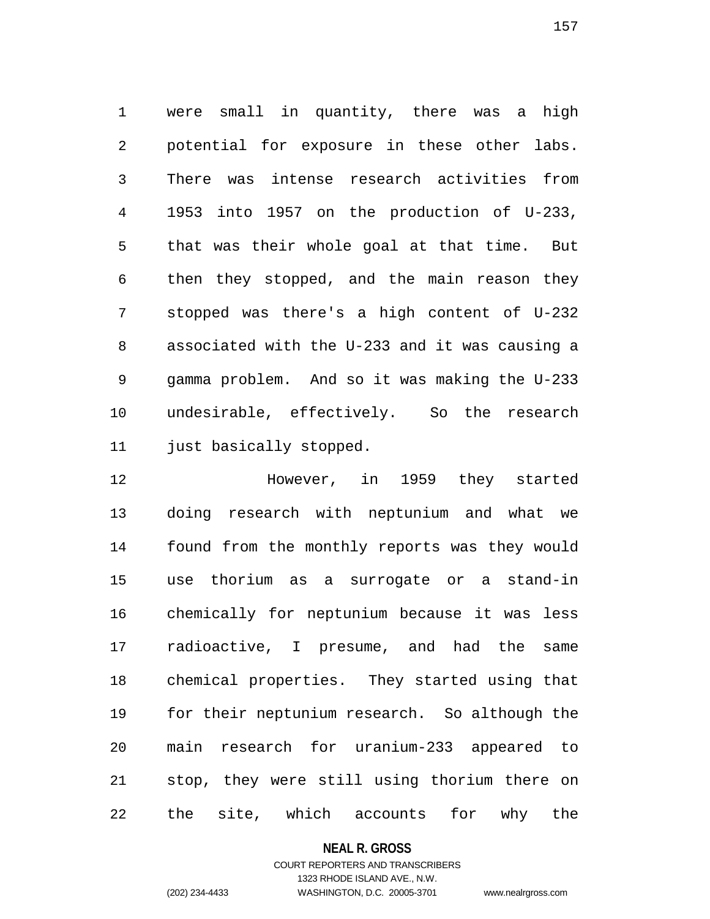1 were small in quantity, there was a high 2 potential for exposure in these other labs. 3 There was intense research activities from 4 1953 into 1957 on the production of U-233, 5 that was their whole goal at that time. But 6 then they stopped, and the main reason they 7 stopped was there's a high content of U-232 8 associated with the U-233 and it was causing a 9 gamma problem. And so it was making the U-233 10 undesirable, effectively. So the research 11 just basically stopped.

12 However, in 1959 they started 13 doing research with neptunium and what we 14 found from the monthly reports was they would 15 use thorium as a surrogate or a stand-in 16 chemically for neptunium because it was less 17 radioactive, I presume, and had the same 18 chemical properties. They started using that 19 for their neptunium research. So although the 20 main research for uranium-233 appeared to 21 stop, they were still using thorium there on 22 the site, which accounts for why the

## **NEAL R. GROSS**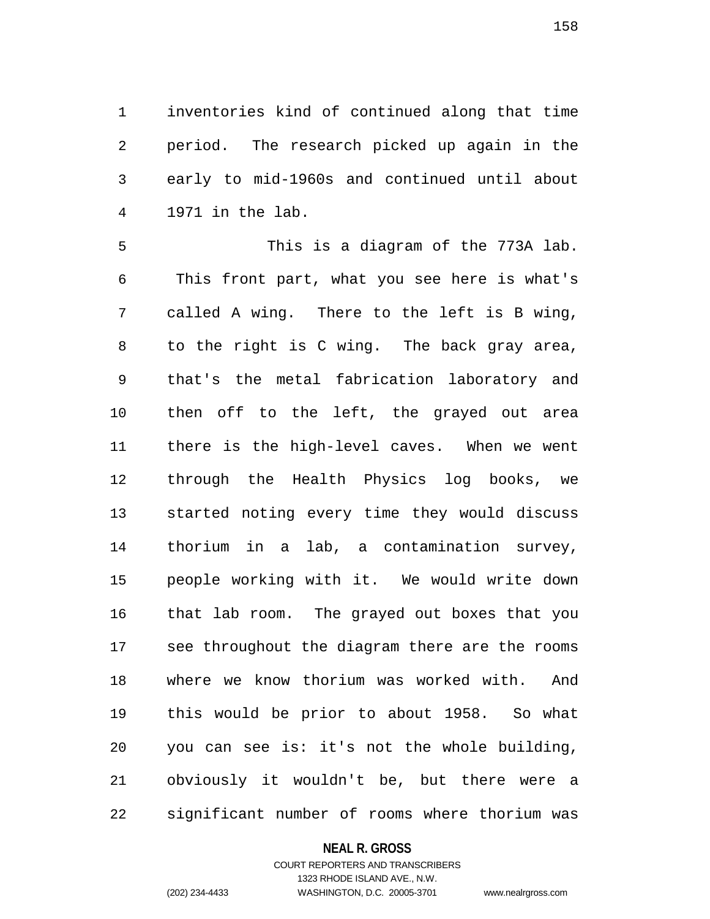1 inventories kind of continued along that time 2 period. The research picked up again in the 3 early to mid-1960s and continued until about 4 1971 in the lab.

5 This is a diagram of the 773A lab. 6 This front part, what you see here is what's 7 called A wing. There to the left is B wing, 8 to the right is C wing. The back gray area, 9 that's the metal fabrication laboratory and 10 then off to the left, the grayed out area 11 there is the high-level caves. When we went 12 through the Health Physics log books, we 13 started noting every time they would discuss 14 thorium in a lab, a contamination survey, 15 people working with it. We would write down 16 that lab room. The grayed out boxes that you 17 see throughout the diagram there are the rooms 18 where we know thorium was worked with. And 19 this would be prior to about 1958. So what 20 you can see is: it's not the whole building, 21 obviously it wouldn't be, but there were a 22 significant number of rooms where thorium was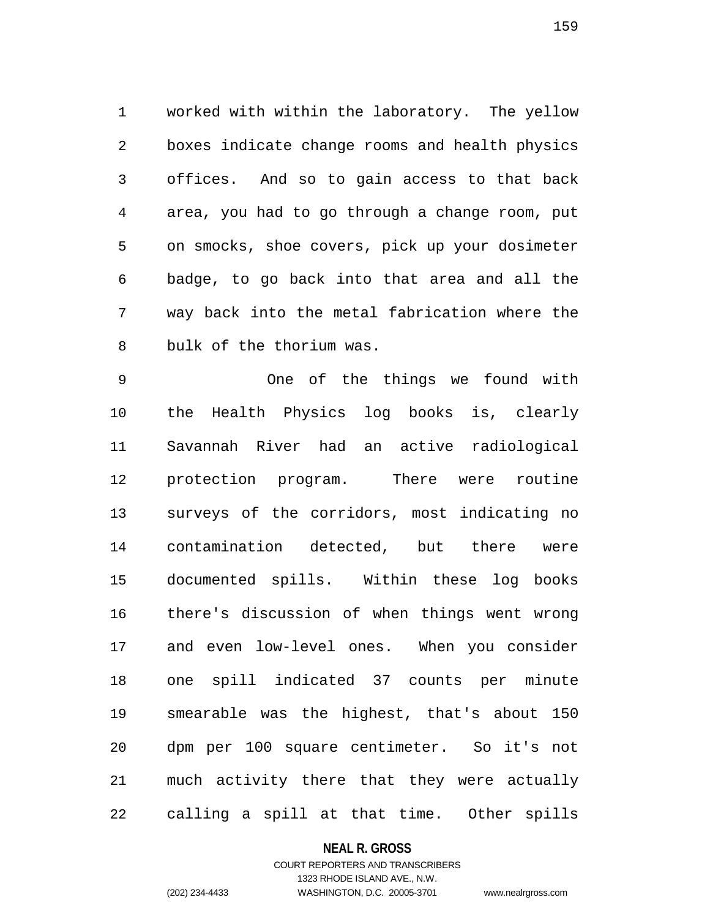1 worked with within the laboratory. The yellow 2 boxes indicate change rooms and health physics 3 offices. And so to gain access to that back 4 area, you had to go through a change room, put 5 on smocks, shoe covers, pick up your dosimeter 6 badge, to go back into that area and all the 7 way back into the metal fabrication where the 8 bulk of the thorium was.

9 One of the things we found with 10 the Health Physics log books is, clearly 11 Savannah River had an active radiological 12 protection program. There were routine 13 surveys of the corridors, most indicating no 14 contamination detected, but there were 15 documented spills. Within these log books 16 there's discussion of when things went wrong 17 and even low-level ones. When you consider 18 one spill indicated 37 counts per minute 19 smearable was the highest, that's about 150 20 dpm per 100 square centimeter. So it's not 21 much activity there that they were actually 22 calling a spill at that time. Other spills

### **NEAL R. GROSS**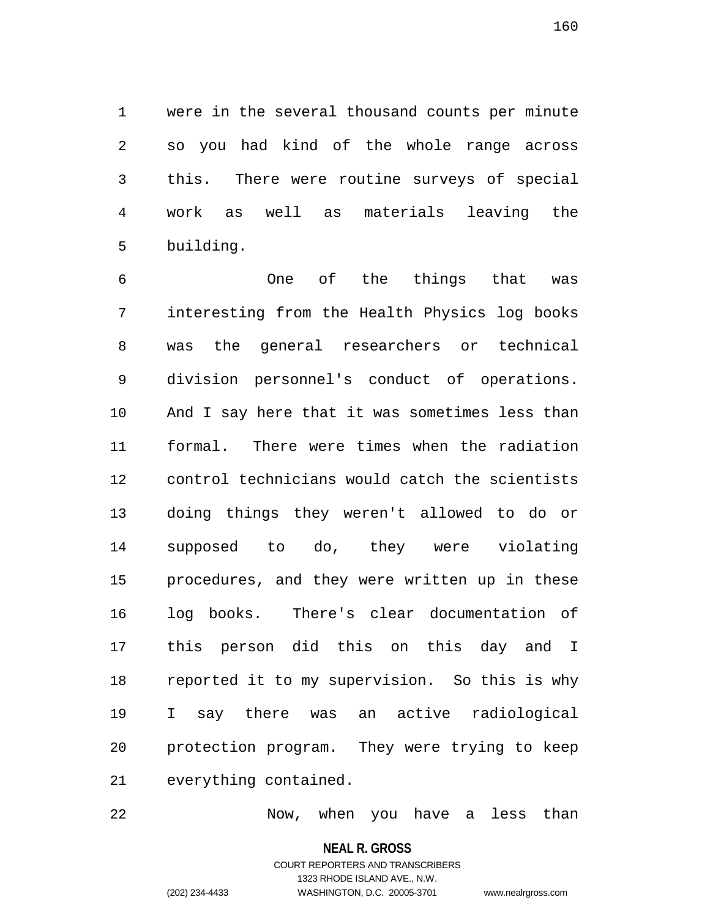1 were in the several thousand counts per minute 2 so you had kind of the whole range across 3 this. There were routine surveys of special 4 work as well as materials leaving the 5 building.

6 One of the things that was 7 interesting from the Health Physics log books 8 was the general researchers or technical 9 division personnel's conduct of operations. 10 And I say here that it was sometimes less than 11 formal. There were times when the radiation 12 control technicians would catch the scientists 13 doing things they weren't allowed to do or 14 supposed to do, they were violating 15 procedures, and they were written up in these 16 log books. There's clear documentation of 17 this person did this on this day and I 18 reported it to my supervision. So this is why 19 I say there was an active radiological 20 protection program. They were trying to keep 21 everything contained.

22 Now, when you have a less than

**NEAL R. GROSS**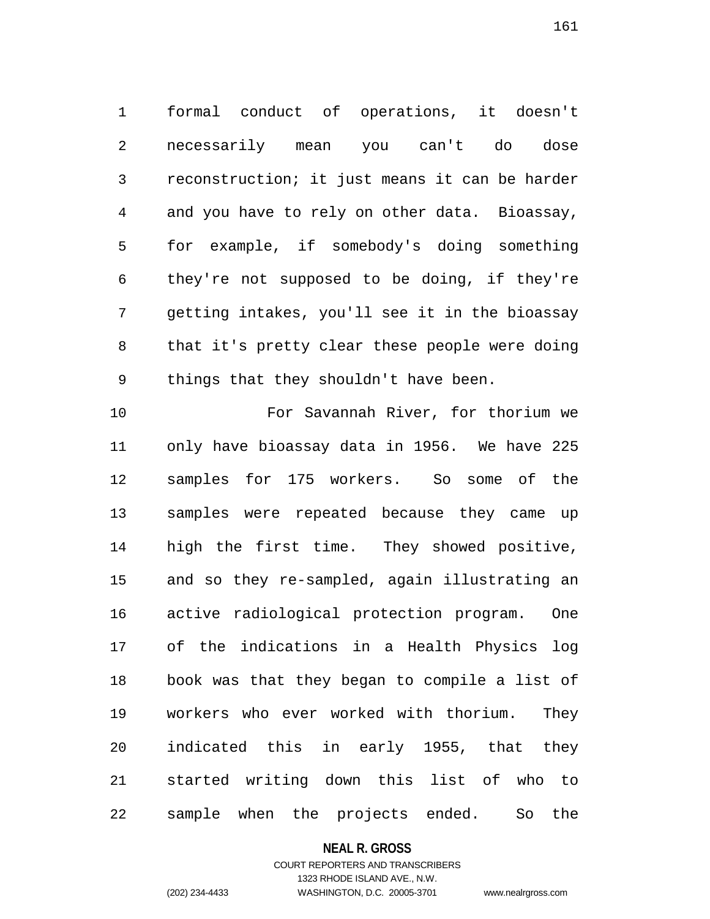1 formal conduct of operations, it doesn't 2 necessarily mean you can't do dose 3 reconstruction; it just means it can be harder 4 and you have to rely on other data. Bioassay, 5 for example, if somebody's doing something 6 they're not supposed to be doing, if they're 7 getting intakes, you'll see it in the bioassay 8 that it's pretty clear these people were doing 9 things that they shouldn't have been.

10 For Savannah River, for thorium we 11 only have bioassay data in 1956. We have 225 12 samples for 175 workers. So some of the 13 samples were repeated because they came up 14 high the first time. They showed positive, 15 and so they re-sampled, again illustrating an 16 active radiological protection program. One 17 of the indications in a Health Physics log 18 book was that they began to compile a list of 19 workers who ever worked with thorium. They 20 indicated this in early 1955, that they 21 started writing down this list of who to 22 sample when the projects ended. So the

### **NEAL R. GROSS**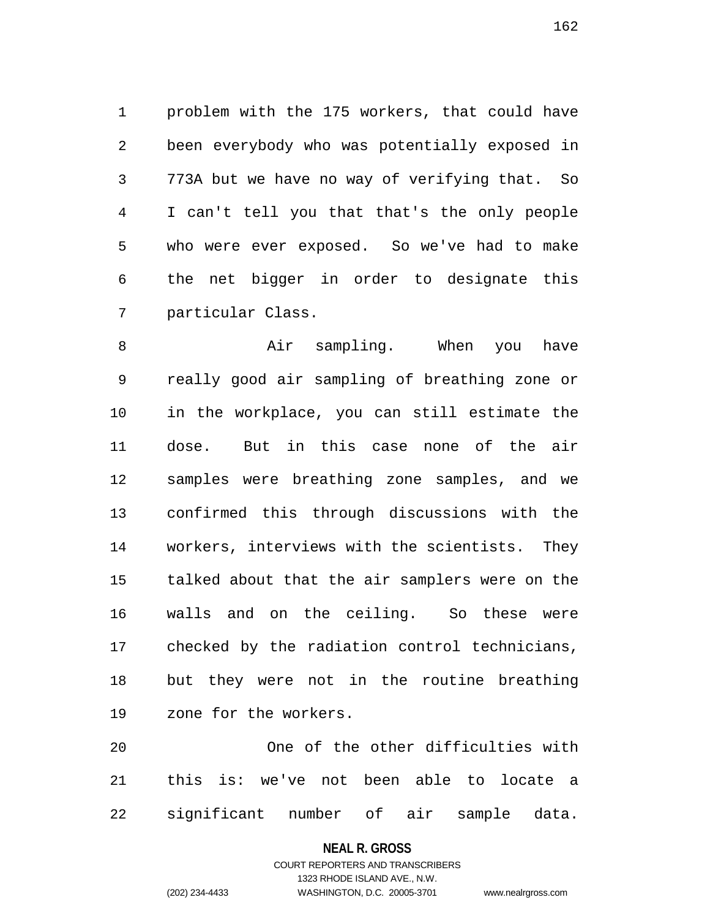1 problem with the 175 workers, that could have 2 been everybody who was potentially exposed in 3 773A but we have no way of verifying that. So 4 I can't tell you that that's the only people 5 who were ever exposed. So we've had to make 6 the net bigger in order to designate this 7 particular Class.

8 Air sampling. When you have 9 really good air sampling of breathing zone or 10 in the workplace, you can still estimate the 11 dose. But in this case none of the air 12 samples were breathing zone samples, and we 13 confirmed this through discussions with the 14 workers, interviews with the scientists. They 15 talked about that the air samplers were on the 16 walls and on the ceiling. So these were 17 checked by the radiation control technicians, 18 but they were not in the routine breathing 19 zone for the workers.

20 One of the other difficulties with 21 this is: we've not been able to locate a 22 significant number of air sample data.

## **NEAL R. GROSS**

## COURT REPORTERS AND TRANSCRIBERS 1323 RHODE ISLAND AVE., N.W. (202) 234-4433 WASHINGTON, D.C. 20005-3701 www.nealrgross.com

162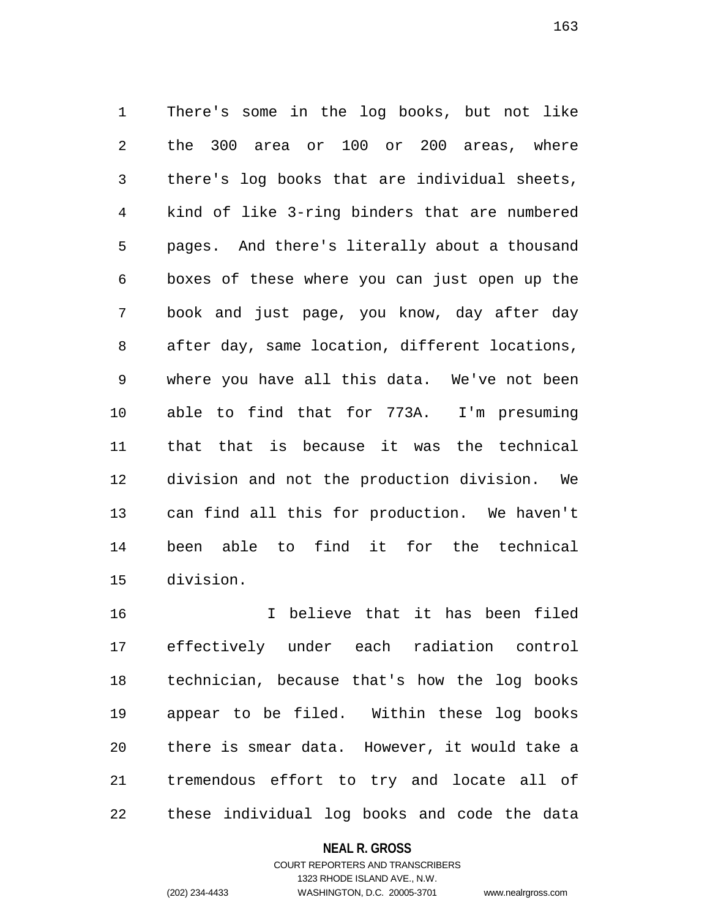1 There's some in the log books, but not like 2 the 300 area or 100 or 200 areas, where 3 there's log books that are individual sheets, 4 kind of like 3-ring binders that are numbered 5 pages. And there's literally about a thousand 6 boxes of these where you can just open up the 7 book and just page, you know, day after day 8 after day, same location, different locations, 9 where you have all this data. We've not been 10 able to find that for 773A. I'm presuming 11 that that is because it was the technical 12 division and not the production division. We 13 can find all this for production. We haven't 14 been able to find it for the technical 15 division.

16 I believe that it has been filed 17 effectively under each radiation control 18 technician, because that's how the log books 19 appear to be filed. Within these log books 20 there is smear data. However, it would take a 21 tremendous effort to try and locate all of 22 these individual log books and code the data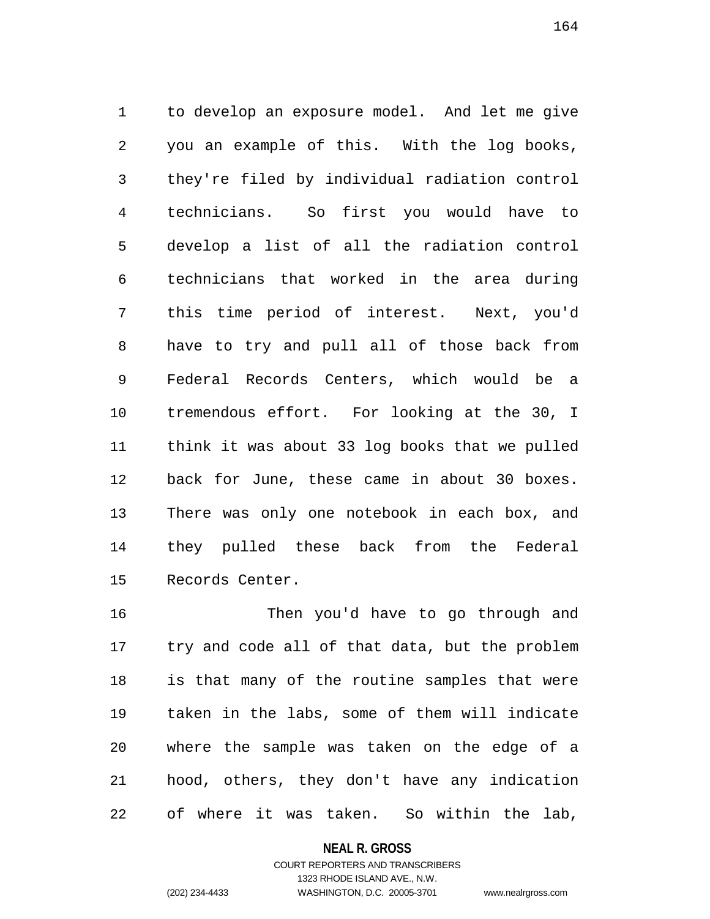1 to develop an exposure model. And let me give 2 you an example of this. With the log books, 3 they're filed by individual radiation control 4 technicians. So first you would have to 5 develop a list of all the radiation control 6 technicians that worked in the area during 7 this time period of interest. Next, you'd 8 have to try and pull all of those back from 9 Federal Records Centers, which would be a 10 tremendous effort. For looking at the 30, I 11 think it was about 33 log books that we pulled 12 back for June, these came in about 30 boxes. 13 There was only one notebook in each box, and 14 they pulled these back from the Federal 15 Records Center.

16 Then you'd have to go through and 17 try and code all of that data, but the problem 18 is that many of the routine samples that were 19 taken in the labs, some of them will indicate 20 where the sample was taken on the edge of a 21 hood, others, they don't have any indication 22 of where it was taken. So within the lab,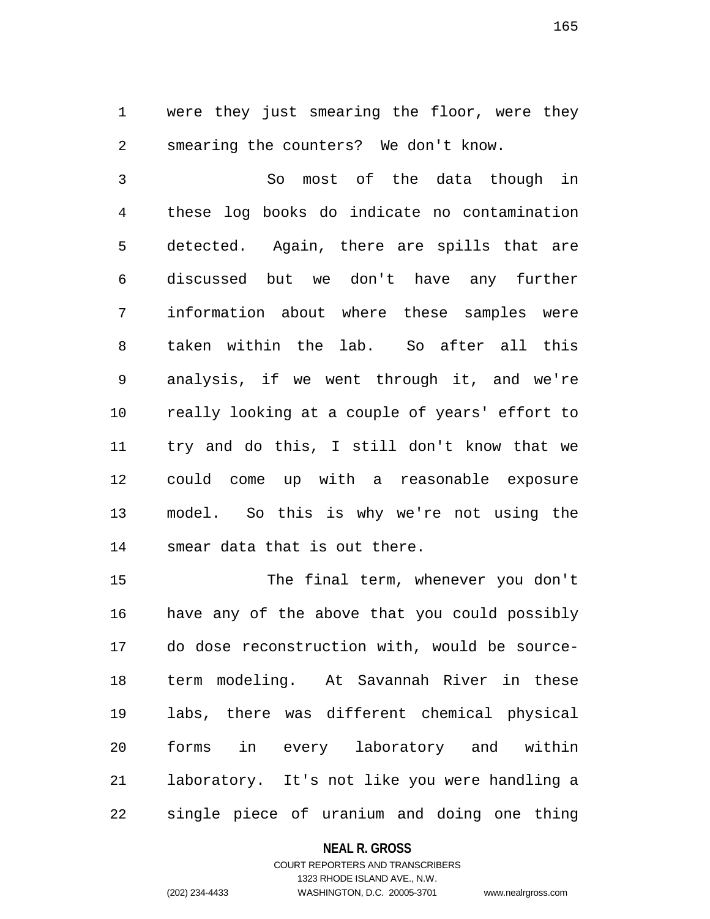1 were they just smearing the floor, were they 2 smearing the counters? We don't know.

3 So most of the data though in 4 these log books do indicate no contamination 5 detected. Again, there are spills that are 6 discussed but we don't have any further 7 information about where these samples were 8 taken within the lab. So after all this 9 analysis, if we went through it, and we're 10 really looking at a couple of years' effort to 11 try and do this, I still don't know that we 12 could come up with a reasonable exposure 13 model. So this is why we're not using the 14 smear data that is out there.

15 The final term, whenever you don't 16 have any of the above that you could possibly 17 do dose reconstruction with, would be source-18 term modeling. At Savannah River in these 19 labs, there was different chemical physical 20 forms in every laboratory and within 21 laboratory. It's not like you were handling a 22 single piece of uranium and doing one thing

## **NEAL R. GROSS**

# COURT REPORTERS AND TRANSCRIBERS 1323 RHODE ISLAND AVE., N.W. (202) 234-4433 WASHINGTON, D.C. 20005-3701 www.nealrgross.com

165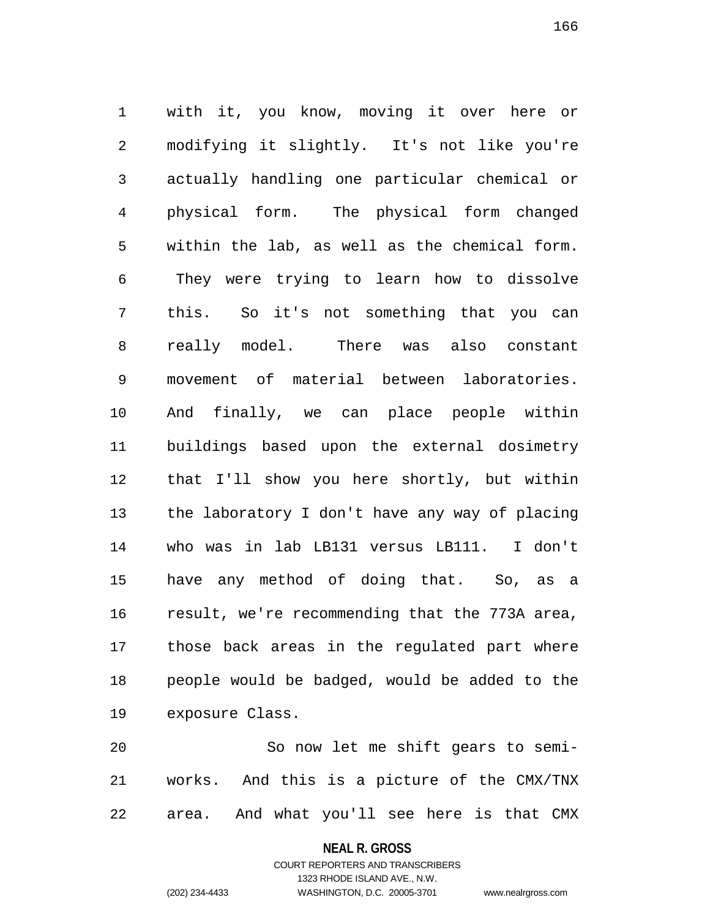1 with it, you know, moving it over here or 2 modifying it slightly. It's not like you're 3 actually handling one particular chemical or 4 physical form. The physical form changed 5 within the lab, as well as the chemical form. 6 They were trying to learn how to dissolve 7 this. So it's not something that you can 8 really model. There was also constant 9 movement of material between laboratories. 10 And finally, we can place people within 11 buildings based upon the external dosimetry 12 that I'll show you here shortly, but within 13 the laboratory I don't have any way of placing 14 who was in lab LB131 versus LB111. I don't 15 have any method of doing that. So, as a 16 result, we're recommending that the 773A area, 17 those back areas in the regulated part where 18 people would be badged, would be added to the 19 exposure Class.

20 So now let me shift gears to semi-21 works. And this is a picture of the CMX/TNX 22 area. And what you'll see here is that CMX

#### **NEAL R. GROSS**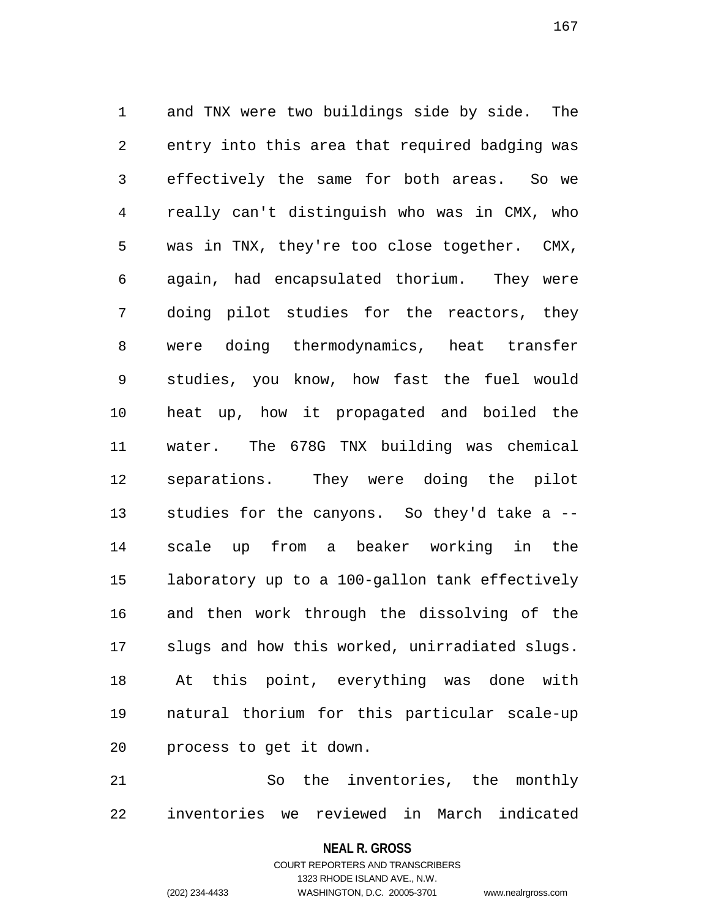1 and TNX were two buildings side by side. The 2 entry into this area that required badging was 3 effectively the same for both areas. So we 4 really can't distinguish who was in CMX, who 5 was in TNX, they're too close together. CMX, 6 again, had encapsulated thorium. They were 7 doing pilot studies for the reactors, they 8 were doing thermodynamics, heat transfer 9 studies, you know, how fast the fuel would 10 heat up, how it propagated and boiled the 11 water. The 678G TNX building was chemical 12 separations. They were doing the pilot 13 studies for the canyons. So they'd take a -- 14 scale up from a beaker working in the 15 laboratory up to a 100-gallon tank effectively 16 and then work through the dissolving of the 17 slugs and how this worked, unirradiated slugs. 18 At this point, everything was done with 19 natural thorium for this particular scale-up 20 process to get it down.

21 So the inventories, the monthly 22 inventories we reviewed in March indicated

**NEAL R. GROSS**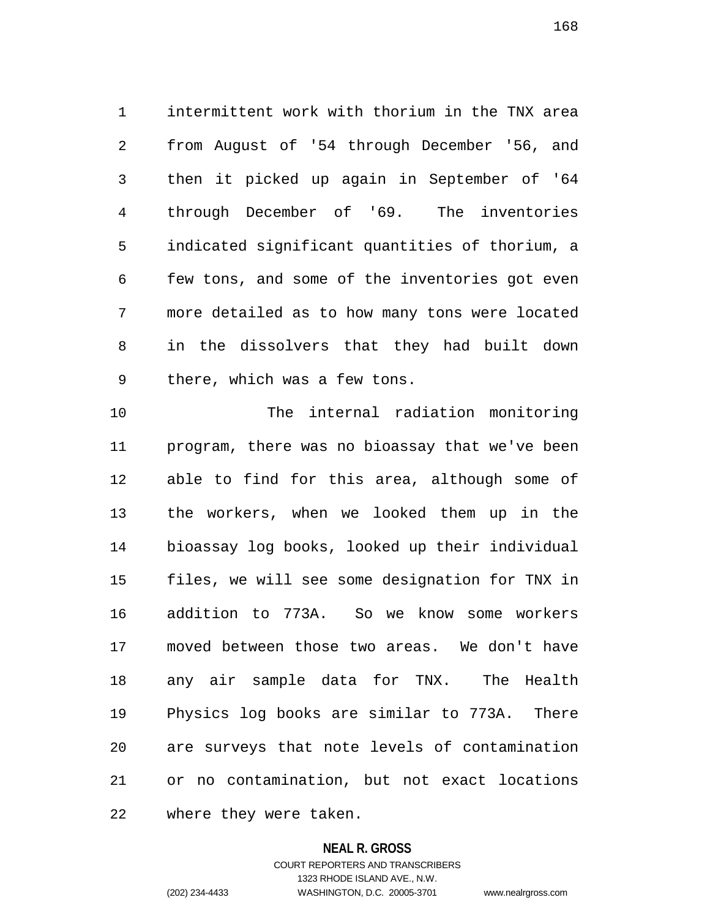1 intermittent work with thorium in the TNX area 2 from August of '54 through December '56, and 3 then it picked up again in September of '64 4 through December of '69. The inventories 5 indicated significant quantities of thorium, a 6 few tons, and some of the inventories got even 7 more detailed as to how many tons were located 8 in the dissolvers that they had built down 9 there, which was a few tons.

10 The internal radiation monitoring 11 program, there was no bioassay that we've been 12 able to find for this area, although some of 13 the workers, when we looked them up in the 14 bioassay log books, looked up their individual 15 files, we will see some designation for TNX in 16 addition to 773A. So we know some workers 17 moved between those two areas. We don't have 18 any air sample data for TNX. The Health 19 Physics log books are similar to 773A. There 20 are surveys that note levels of contamination 21 or no contamination, but not exact locations 22 where they were taken.

### **NEAL R. GROSS**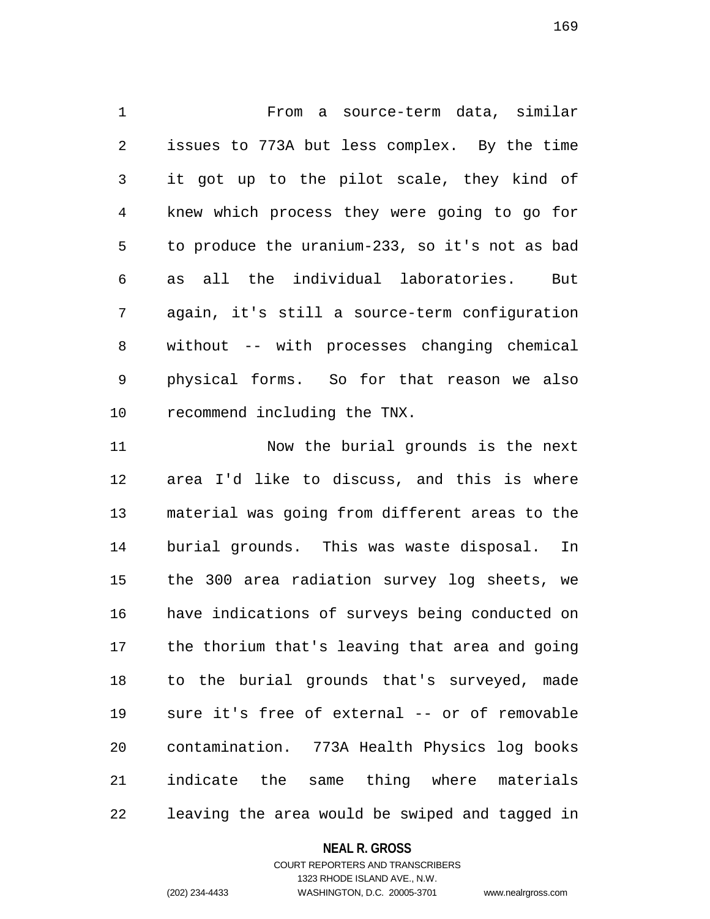1 From a source-term data, similar 2 issues to 773A but less complex. By the time 3 it got up to the pilot scale, they kind of 4 knew which process they were going to go for 5 to produce the uranium-233, so it's not as bad 6 as all the individual laboratories. But 7 again, it's still a source-term configuration 8 without -- with processes changing chemical 9 physical forms. So for that reason we also 10 recommend including the TNX.

11 Now the burial grounds is the next 12 area I'd like to discuss, and this is where 13 material was going from different areas to the 14 burial grounds. This was waste disposal. In 15 the 300 area radiation survey log sheets, we 16 have indications of surveys being conducted on 17 the thorium that's leaving that area and going 18 to the burial grounds that's surveyed, made 19 sure it's free of external -- or of removable 20 contamination. 773A Health Physics log books 21 indicate the same thing where materials 22 leaving the area would be swiped and tagged in

## **NEAL R. GROSS**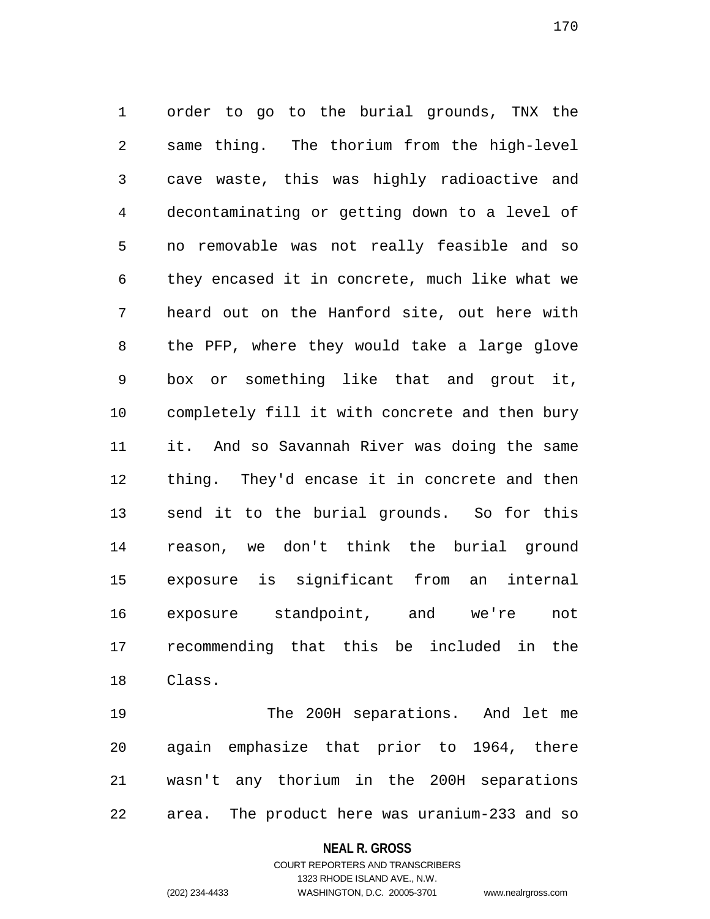1 order to go to the burial grounds, TNX the 2 same thing. The thorium from the high-level 3 cave waste, this was highly radioactive and 4 decontaminating or getting down to a level of 5 no removable was not really feasible and so 6 they encased it in concrete, much like what we 7 heard out on the Hanford site, out here with 8 the PFP, where they would take a large glove 9 box or something like that and grout it, 10 completely fill it with concrete and then bury 11 it. And so Savannah River was doing the same 12 thing. They'd encase it in concrete and then 13 send it to the burial grounds. So for this 14 reason, we don't think the burial ground 15 exposure is significant from an internal 16 exposure standpoint, and we're not 17 recommending that this be included in the 18 Class.

19 The 200H separations. And let me 20 again emphasize that prior to 1964, there 21 wasn't any thorium in the 200H separations 22 area. The product here was uranium-233 and so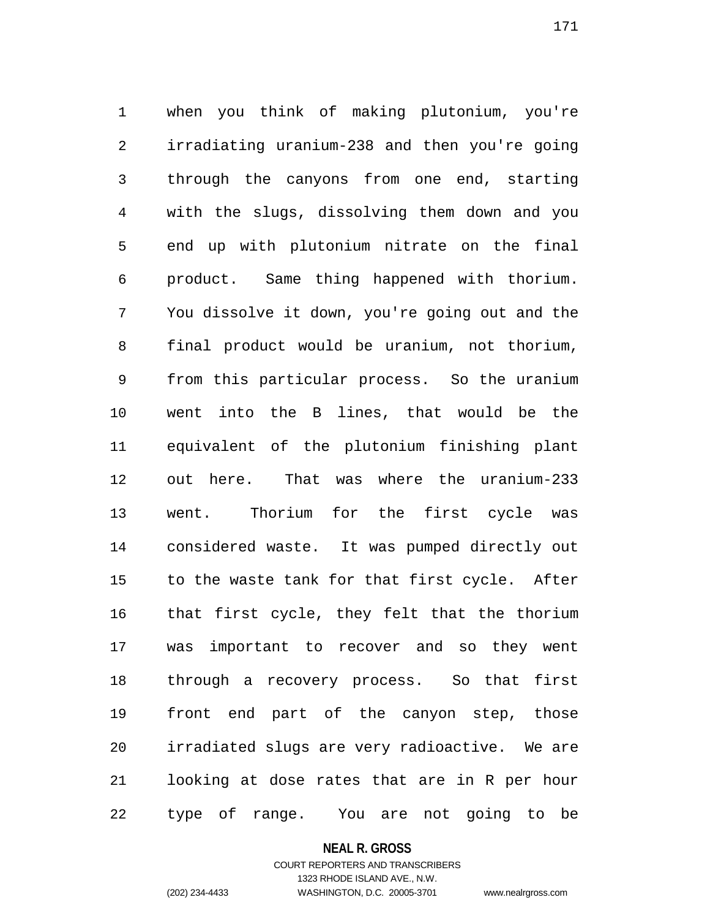1 when you think of making plutonium, you're 2 irradiating uranium-238 and then you're going 3 through the canyons from one end, starting 4 with the slugs, dissolving them down and you 5 end up with plutonium nitrate on the final 6 product. Same thing happened with thorium. 7 You dissolve it down, you're going out and the 8 final product would be uranium, not thorium, 9 from this particular process. So the uranium 10 went into the B lines, that would be the 11 equivalent of the plutonium finishing plant 12 out here. That was where the uranium-233 13 went. Thorium for the first cycle was 14 considered waste. It was pumped directly out 15 to the waste tank for that first cycle. After 16 that first cycle, they felt that the thorium 17 was important to recover and so they went 18 through a recovery process. So that first 19 front end part of the canyon step, those 20 irradiated slugs are very radioactive. We are 21 looking at dose rates that are in R per hour 22 type of range. You are not going to be

#### **NEAL R. GROSS**

## COURT REPORTERS AND TRANSCRIBERS 1323 RHODE ISLAND AVE., N.W. (202) 234-4433 WASHINGTON, D.C. 20005-3701 www.nealrgross.com

171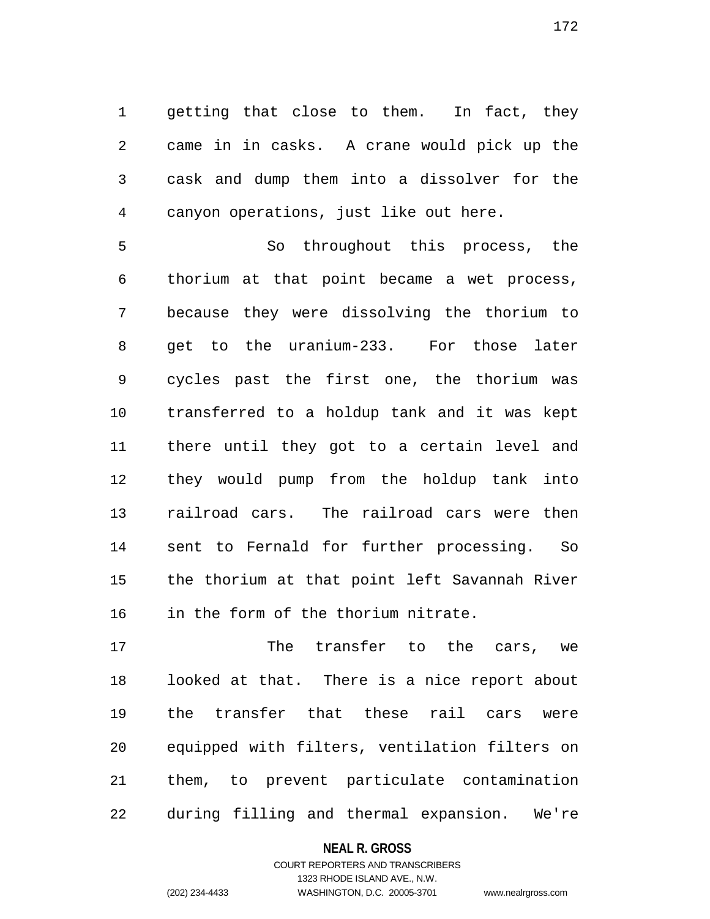1 getting that close to them. In fact, they 2 came in in casks. A crane would pick up the 3 cask and dump them into a dissolver for the 4 canyon operations, just like out here.

5 So throughout this process, the 6 thorium at that point became a wet process, 7 because they were dissolving the thorium to 8 get to the uranium-233. For those later 9 cycles past the first one, the thorium was 10 transferred to a holdup tank and it was kept 11 there until they got to a certain level and 12 they would pump from the holdup tank into 13 railroad cars. The railroad cars were then 14 sent to Fernald for further processing. So 15 the thorium at that point left Savannah River 16 in the form of the thorium nitrate.

17 The transfer to the cars, we 18 looked at that. There is a nice report about 19 the transfer that these rail cars were 20 equipped with filters, ventilation filters on 21 them, to prevent particulate contamination 22 during filling and thermal expansion. We're

## **NEAL R. GROSS**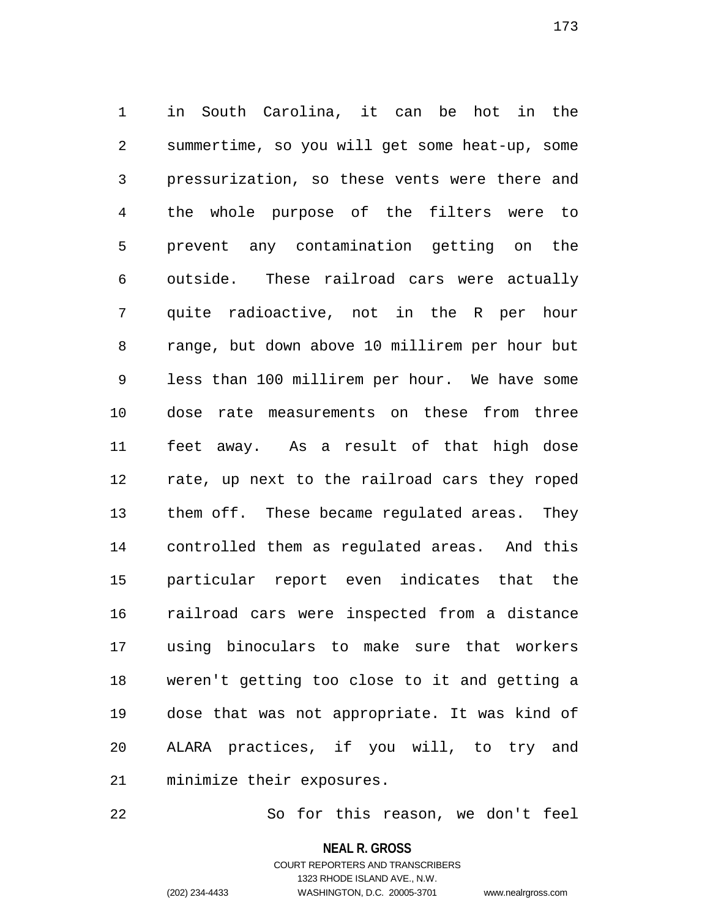1 in South Carolina, it can be hot in the 2 summertime, so you will get some heat-up, some 3 pressurization, so these vents were there and 4 the whole purpose of the filters were to 5 prevent any contamination getting on the 6 outside. These railroad cars were actually 7 quite radioactive, not in the R per hour 8 range, but down above 10 millirem per hour but 9 less than 100 millirem per hour. We have some 10 dose rate measurements on these from three 11 feet away. As a result of that high dose 12 rate, up next to the railroad cars they roped 13 them off. These became regulated areas. They 14 controlled them as regulated areas. And this 15 particular report even indicates that the 16 railroad cars were inspected from a distance 17 using binoculars to make sure that workers 18 weren't getting too close to it and getting a 19 dose that was not appropriate. It was kind of 20 ALARA practices, if you will, to try and 21 minimize their exposures.

22 So for this reason, we don't feel

**NEAL R. GROSS**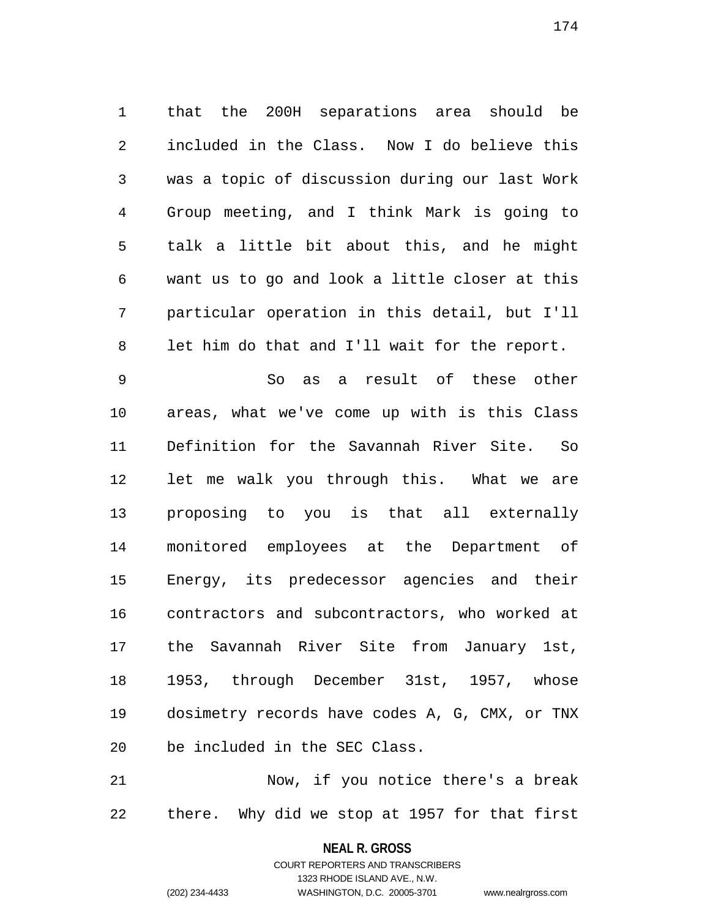1 that the 200H separations area should be 2 included in the Class. Now I do believe this 3 was a topic of discussion during our last Work 4 Group meeting, and I think Mark is going to 5 talk a little bit about this, and he might 6 want us to go and look a little closer at this 7 particular operation in this detail, but I'll 8 let him do that and I'll wait for the report.

9 So as a result of these other 10 areas, what we've come up with is this Class 11 Definition for the Savannah River Site. So 12 let me walk you through this. What we are 13 proposing to you is that all externally 14 monitored employees at the Department of 15 Energy, its predecessor agencies and their 16 contractors and subcontractors, who worked at 17 the Savannah River Site from January 1st, 18 1953, through December 31st, 1957, whose 19 dosimetry records have codes A, G, CMX, or TNX 20 be included in the SEC Class.

21 Now, if you notice there's a break 22 there. Why did we stop at 1957 for that first

# **NEAL R. GROSS** COURT REPORTERS AND TRANSCRIBERS

1323 RHODE ISLAND AVE., N.W.

(202) 234-4433 WASHINGTON, D.C. 20005-3701 www.nealrgross.com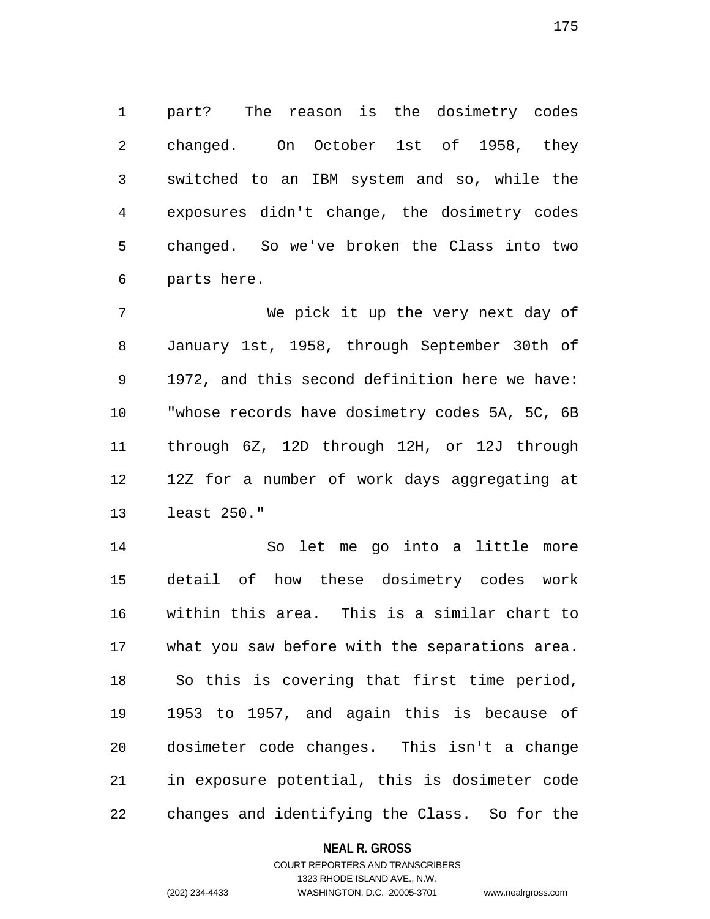1 part? The reason is the dosimetry codes 2 changed. On October 1st of 1958, they 3 switched to an IBM system and so, while the 4 exposures didn't change, the dosimetry codes 5 changed. So we've broken the Class into two 6 parts here.

7 We pick it up the very next day of 8 January 1st, 1958, through September 30th of 9 1972, and this second definition here we have: 10 "whose records have dosimetry codes 5A, 5C, 6B 11 through 6Z, 12D through 12H, or 12J through 12 12Z for a number of work days aggregating at 13 least 250."

14 So let me go into a little more 15 detail of how these dosimetry codes work 16 within this area. This is a similar chart to 17 what you saw before with the separations area. 18 So this is covering that first time period, 19 1953 to 1957, and again this is because of 20 dosimeter code changes. This isn't a change 21 in exposure potential, this is dosimeter code 22 changes and identifying the Class. So for the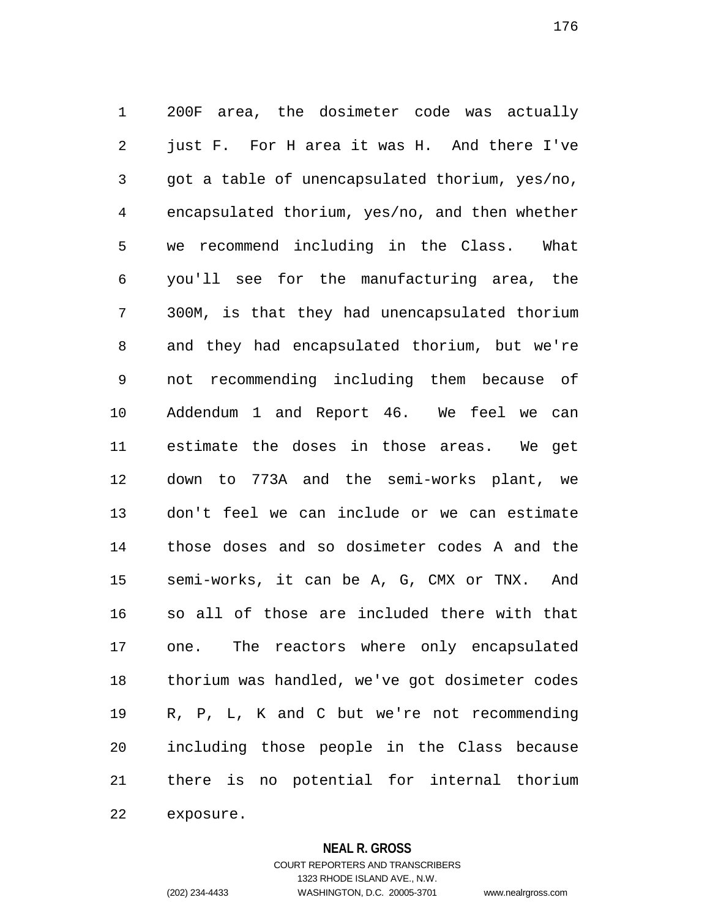1 200F area, the dosimeter code was actually 2 just F. For H area it was H. And there I've 3 got a table of unencapsulated thorium, yes/no, 4 encapsulated thorium, yes/no, and then whether 5 we recommend including in the Class. What 6 you'll see for the manufacturing area, the 7 300M, is that they had unencapsulated thorium 8 and they had encapsulated thorium, but we're 9 not recommending including them because of 10 Addendum 1 and Report 46. We feel we can 11 estimate the doses in those areas. We get 12 down to 773A and the semi-works plant, we 13 don't feel we can include or we can estimate 14 those doses and so dosimeter codes A and the 15 semi-works, it can be A, G, CMX or TNX. And 16 so all of those are included there with that 17 one. The reactors where only encapsulated 18 thorium was handled, we've got dosimeter codes 19 R, P, L, K and C but we're not recommending 20 including those people in the Class because 21 there is no potential for internal thorium 22 exposure.

**NEAL R. GROSS**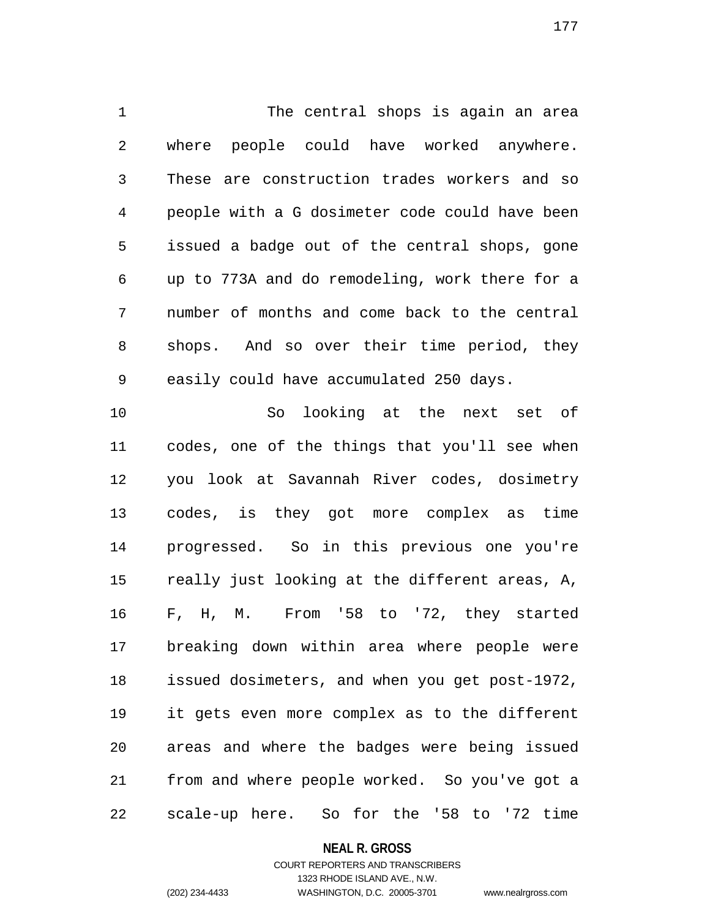1 The central shops is again an area 2 where people could have worked anywhere. 3 These are construction trades workers and so 4 people with a G dosimeter code could have been 5 issued a badge out of the central shops, gone 6 up to 773A and do remodeling, work there for a 7 number of months and come back to the central 8 shops. And so over their time period, they 9 easily could have accumulated 250 days.

10 So looking at the next set of 11 codes, one of the things that you'll see when 12 you look at Savannah River codes, dosimetry 13 codes, is they got more complex as time 14 progressed. So in this previous one you're 15 really just looking at the different areas, A, 16 F, H, M. From '58 to '72, they started 17 breaking down within area where people were 18 issued dosimeters, and when you get post-1972, 19 it gets even more complex as to the different 20 areas and where the badges were being issued 21 from and where people worked. So you've got a 22 scale-up here. So for the '58 to '72 time

### **NEAL R. GROSS**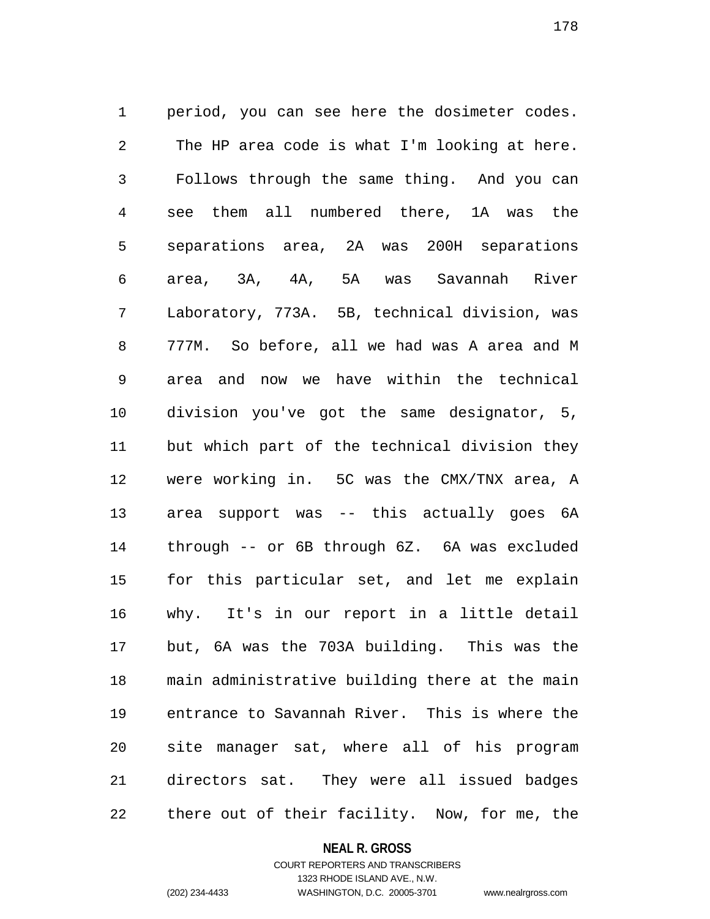1 period, you can see here the dosimeter codes. 2 The HP area code is what I'm looking at here. 3 Follows through the same thing. And you can 4 see them all numbered there, 1A was the 5 separations area, 2A was 200H separations 6 area, 3A, 4A, 5A was Savannah River 7 Laboratory, 773A. 5B, technical division, was 8 777M. So before, all we had was A area and M 9 area and now we have within the technical 10 division you've got the same designator, 5, 11 but which part of the technical division they 12 were working in. 5C was the CMX/TNX area, A 13 area support was -- this actually goes 6A 14 through -- or 6B through 6Z. 6A was excluded 15 for this particular set, and let me explain 16 why. It's in our report in a little detail 17 but, 6A was the 703A building. This was the 18 main administrative building there at the main 19 entrance to Savannah River. This is where the 20 site manager sat, where all of his program 21 directors sat. They were all issued badges 22 there out of their facility. Now, for me, the

#### **NEAL R. GROSS**

COURT REPORTERS AND TRANSCRIBERS 1323 RHODE ISLAND AVE., N.W. (202) 234-4433 WASHINGTON, D.C. 20005-3701 www.nealrgross.com

178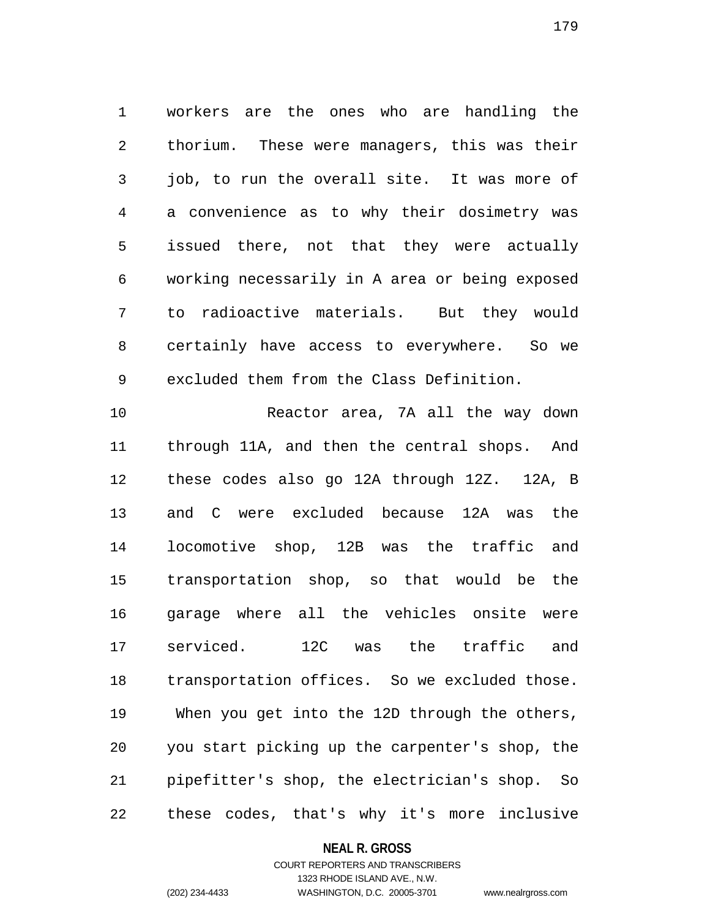1 workers are the ones who are handling the 2 thorium. These were managers, this was their 3 job, to run the overall site. It was more of 4 a convenience as to why their dosimetry was 5 issued there, not that they were actually 6 working necessarily in A area or being exposed 7 to radioactive materials. But they would 8 certainly have access to everywhere. So we 9 excluded them from the Class Definition.

10 Reactor area, 7A all the way down 11 through 11A, and then the central shops. And 12 these codes also go 12A through 12Z. 12A, B 13 and C were excluded because 12A was the 14 locomotive shop, 12B was the traffic and 15 transportation shop, so that would be the 16 garage where all the vehicles onsite were 17 serviced. 12C was the traffic and 18 transportation offices. So we excluded those. 19 When you get into the 12D through the others, 20 you start picking up the carpenter's shop, the 21 pipefitter's shop, the electrician's shop. So 22 these codes, that's why it's more inclusive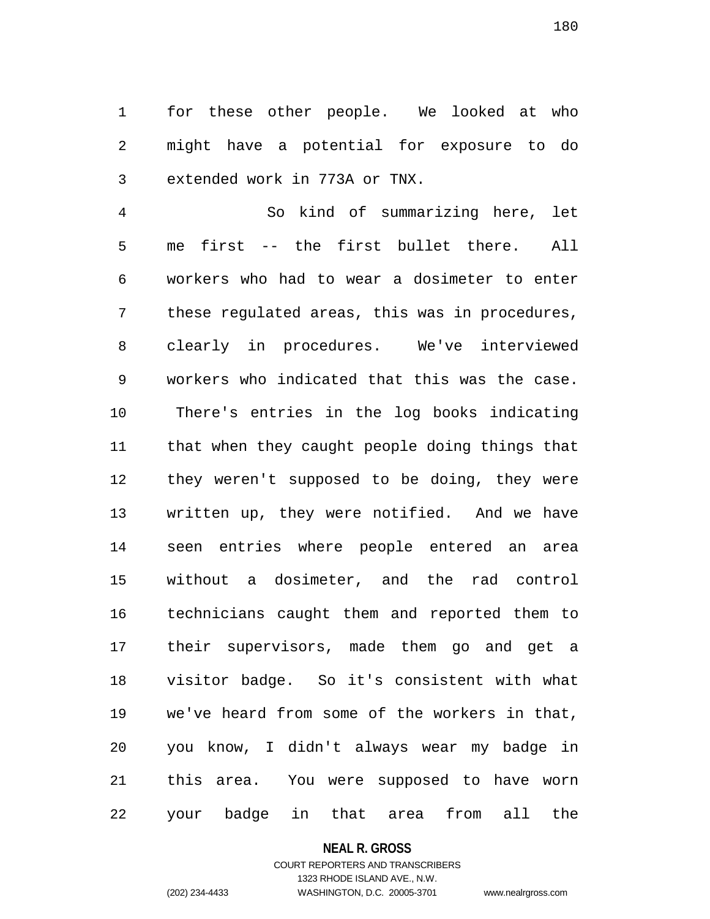1 for these other people. We looked at who 2 might have a potential for exposure to do 3 extended work in 773A or TNX.

4 So kind of summarizing here, let 5 me first -- the first bullet there. All 6 workers who had to wear a dosimeter to enter 7 these regulated areas, this was in procedures, 8 clearly in procedures. We've interviewed 9 workers who indicated that this was the case. 10 There's entries in the log books indicating 11 that when they caught people doing things that 12 they weren't supposed to be doing, they were 13 written up, they were notified. And we have 14 seen entries where people entered an area 15 without a dosimeter, and the rad control 16 technicians caught them and reported them to 17 their supervisors, made them go and get a 18 visitor badge. So it's consistent with what 19 we've heard from some of the workers in that, 20 you know, I didn't always wear my badge in 21 this area. You were supposed to have worn 22 your badge in that area from all the

#### **NEAL R. GROSS**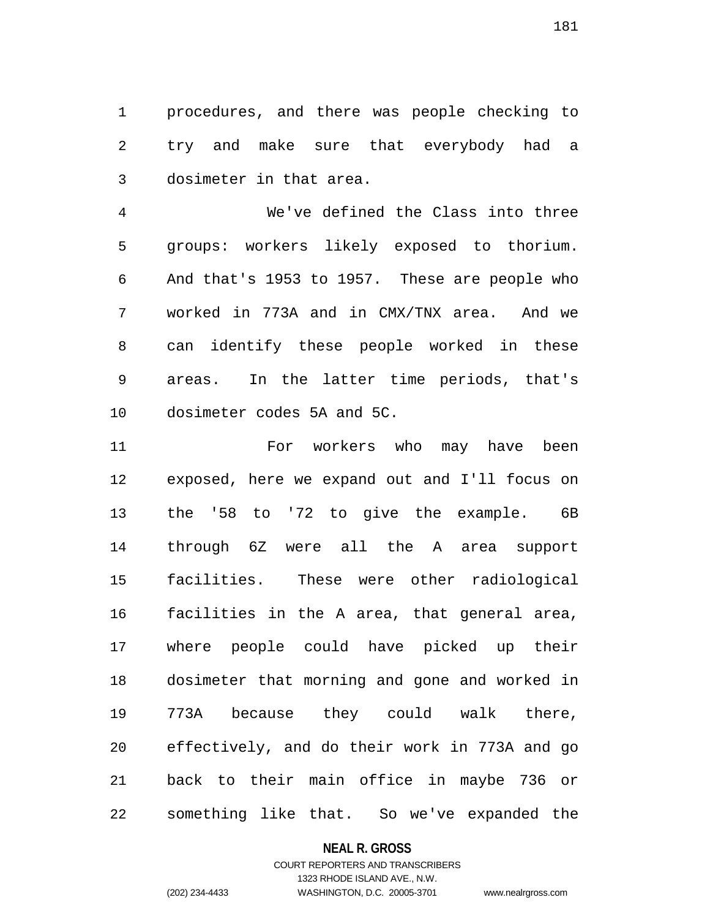1 procedures, and there was people checking to 2 try and make sure that everybody had a 3 dosimeter in that area.

4 We've defined the Class into three 5 groups: workers likely exposed to thorium. 6 And that's 1953 to 1957. These are people who 7 worked in 773A and in CMX/TNX area. And we 8 can identify these people worked in these 9 areas. In the latter time periods, that's 10 dosimeter codes 5A and 5C.

11 For workers who may have been 12 exposed, here we expand out and I'll focus on 13 the '58 to '72 to give the example. 6B 14 through 6Z were all the A area support 15 facilities. These were other radiological 16 facilities in the A area, that general area, 17 where people could have picked up their 18 dosimeter that morning and gone and worked in 19 773A because they could walk there, 20 effectively, and do their work in 773A and go 21 back to their main office in maybe 736 or 22 something like that. So we've expanded the

## **NEAL R. GROSS**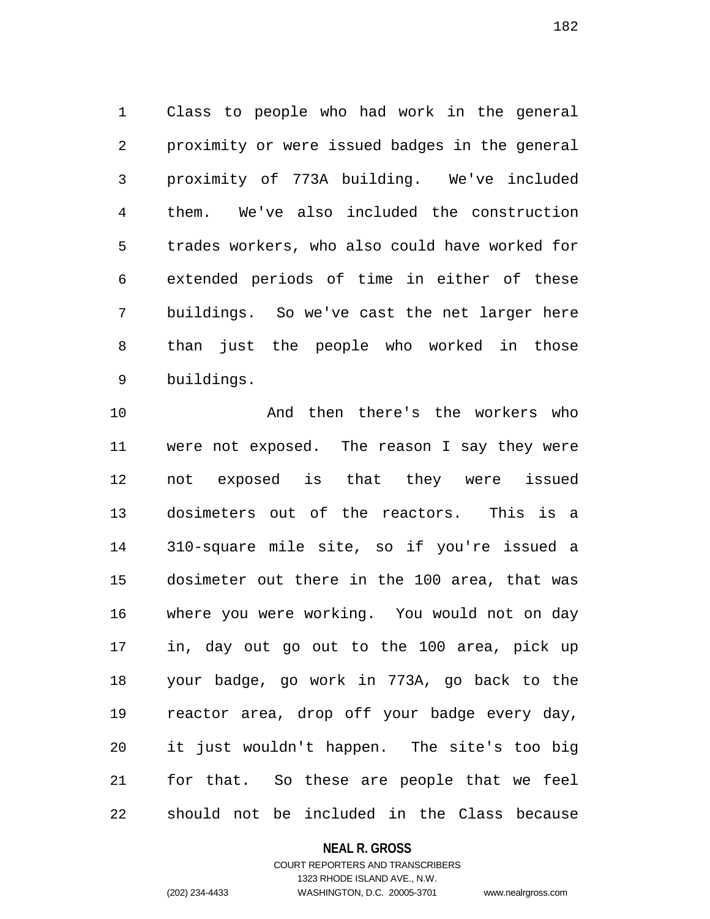1 Class to people who had work in the general 2 proximity or were issued badges in the general 3 proximity of 773A building. We've included 4 them. We've also included the construction 5 trades workers, who also could have worked for 6 extended periods of time in either of these 7 buildings. So we've cast the net larger here 8 than just the people who worked in those 9 buildings.

10 And then there's the workers who 11 were not exposed. The reason I say they were 12 not exposed is that they were issued 13 dosimeters out of the reactors. This is a 14 310-square mile site, so if you're issued a 15 dosimeter out there in the 100 area, that was 16 where you were working. You would not on day 17 in, day out go out to the 100 area, pick up 18 your badge, go work in 773A, go back to the 19 reactor area, drop off your badge every day, 20 it just wouldn't happen. The site's too big 21 for that. So these are people that we feel 22 should not be included in the Class because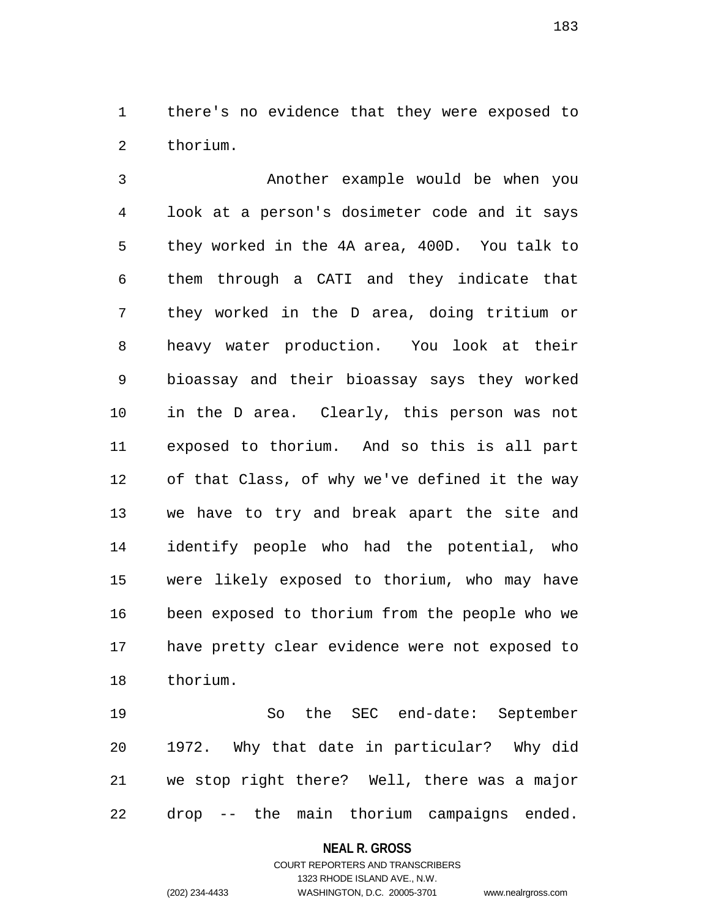1 there's no evidence that they were exposed to 2 thorium.

3 Another example would be when you 4 look at a person's dosimeter code and it says 5 they worked in the 4A area, 400D. You talk to 6 them through a CATI and they indicate that 7 they worked in the D area, doing tritium or 8 heavy water production. You look at their 9 bioassay and their bioassay says they worked 10 in the D area. Clearly, this person was not 11 exposed to thorium. And so this is all part 12 of that Class, of why we've defined it the way 13 we have to try and break apart the site and 14 identify people who had the potential, who 15 were likely exposed to thorium, who may have 16 been exposed to thorium from the people who we 17 have pretty clear evidence were not exposed to 18 thorium.

19 So the SEC end-date: September 20 1972. Why that date in particular? Why did 21 we stop right there? Well, there was a major 22 drop -- the main thorium campaigns ended.

#### **NEAL R. GROSS**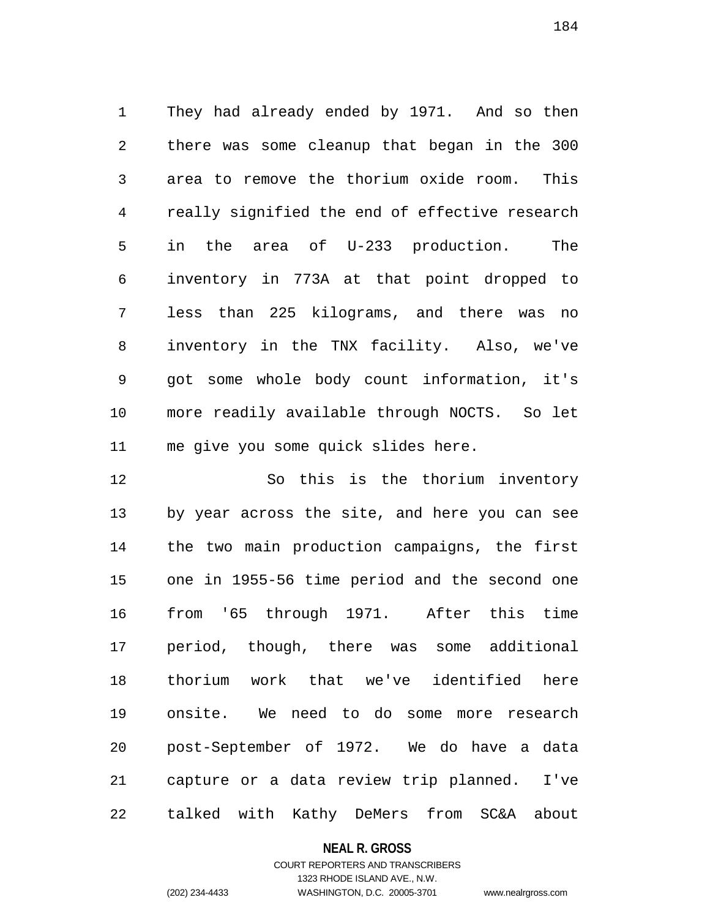1 They had already ended by 1971. And so then 2 there was some cleanup that began in the 300 3 area to remove the thorium oxide room. This 4 really signified the end of effective research 5 in the area of U-233 production. The 6 inventory in 773A at that point dropped to 7 less than 225 kilograms, and there was no 8 inventory in the TNX facility. Also, we've 9 got some whole body count information, it's 10 more readily available through NOCTS. So let 11 me give you some quick slides here.

12 So this is the thorium inventory 13 by year across the site, and here you can see 14 the two main production campaigns, the first 15 one in 1955-56 time period and the second one 16 from '65 through 1971. After this time 17 period, though, there was some additional 18 thorium work that we've identified here 19 onsite. We need to do some more research 20 post-September of 1972. We do have a data 21 capture or a data review trip planned. I've 22 talked with Kathy DeMers from SC&A about

#### **NEAL R. GROSS**

## COURT REPORTERS AND TRANSCRIBERS 1323 RHODE ISLAND AVE., N.W. (202) 234-4433 WASHINGTON, D.C. 20005-3701 www.nealrgross.com

184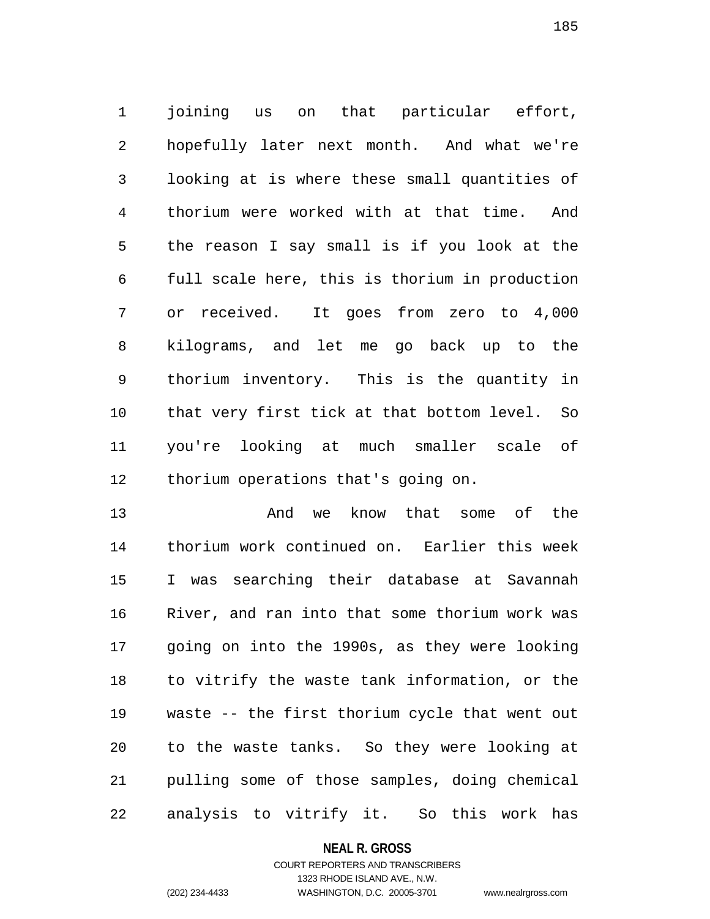1 joining us on that particular effort, 2 hopefully later next month. And what we're 3 looking at is where these small quantities of 4 thorium were worked with at that time. And 5 the reason I say small is if you look at the 6 full scale here, this is thorium in production 7 or received. It goes from zero to 4,000 8 kilograms, and let me go back up to the 9 thorium inventory. This is the quantity in 10 that very first tick at that bottom level. So 11 you're looking at much smaller scale of 12 thorium operations that's going on.

13 And we know that some of the 14 thorium work continued on. Earlier this week 15 I was searching their database at Savannah 16 River, and ran into that some thorium work was 17 going on into the 1990s, as they were looking 18 to vitrify the waste tank information, or the 19 waste -- the first thorium cycle that went out 20 to the waste tanks. So they were looking at 21 pulling some of those samples, doing chemical 22 analysis to vitrify it. So this work has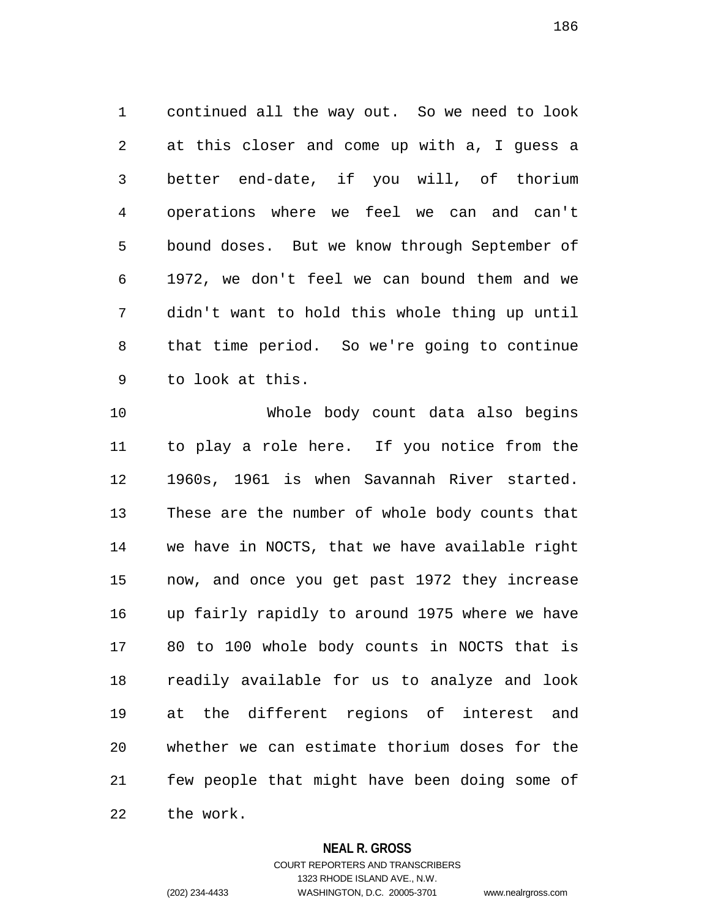1 continued all the way out. So we need to look 2 at this closer and come up with a, I guess a 3 better end-date, if you will, of thorium 4 operations where we feel we can and can't 5 bound doses. But we know through September of 6 1972, we don't feel we can bound them and we 7 didn't want to hold this whole thing up until 8 that time period. So we're going to continue 9 to look at this.

10 Whole body count data also begins 11 to play a role here. If you notice from the 12 1960s, 1961 is when Savannah River started. 13 These are the number of whole body counts that 14 we have in NOCTS, that we have available right 15 now, and once you get past 1972 they increase 16 up fairly rapidly to around 1975 where we have 17 80 to 100 whole body counts in NOCTS that is 18 readily available for us to analyze and look 19 at the different regions of interest and 20 whether we can estimate thorium doses for the 21 few people that might have been doing some of 22 the work.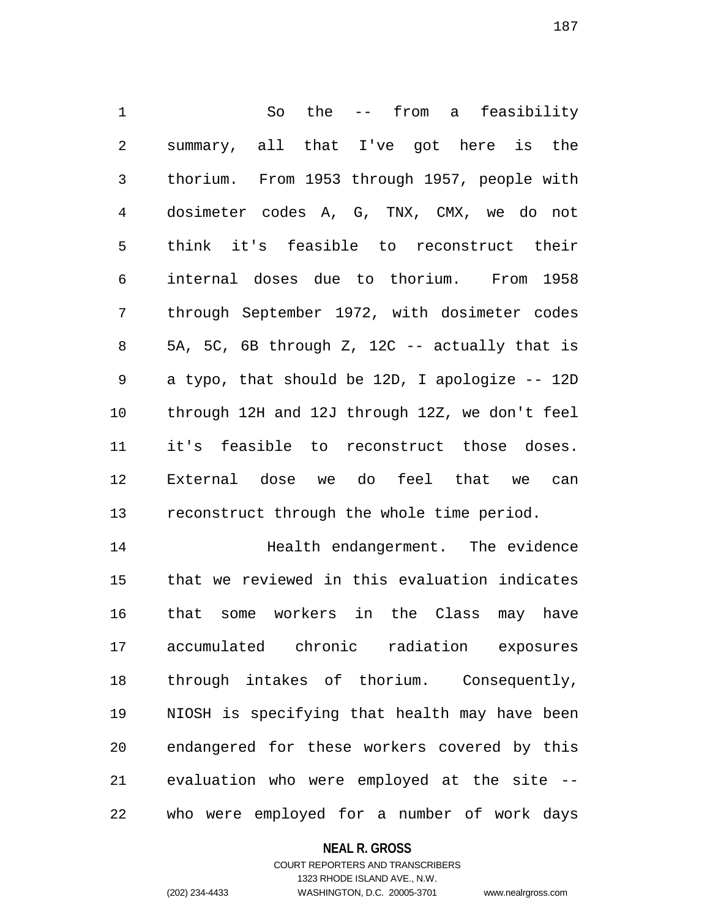1 So the -- from a feasibility 2 summary, all that I've got here is the 3 thorium. From 1953 through 1957, people with 4 dosimeter codes A, G, TNX, CMX, we do not 5 think it's feasible to reconstruct their 6 internal doses due to thorium. From 1958 7 through September 1972, with dosimeter codes 8 5A, 5C, 6B through Z, 12C -- actually that is 9 a typo, that should be 12D, I apologize -- 12D 10 through 12H and 12J through 12Z, we don't feel 11 it's feasible to reconstruct those doses. 12 External dose we do feel that we can 13 reconstruct through the whole time period.

14 Health endangerment. The evidence 15 that we reviewed in this evaluation indicates 16 that some workers in the Class may have 17 accumulated chronic radiation exposures 18 through intakes of thorium. Consequently, 19 NIOSH is specifying that health may have been 20 endangered for these workers covered by this 21 evaluation who were employed at the site -- 22 who were employed for a number of work days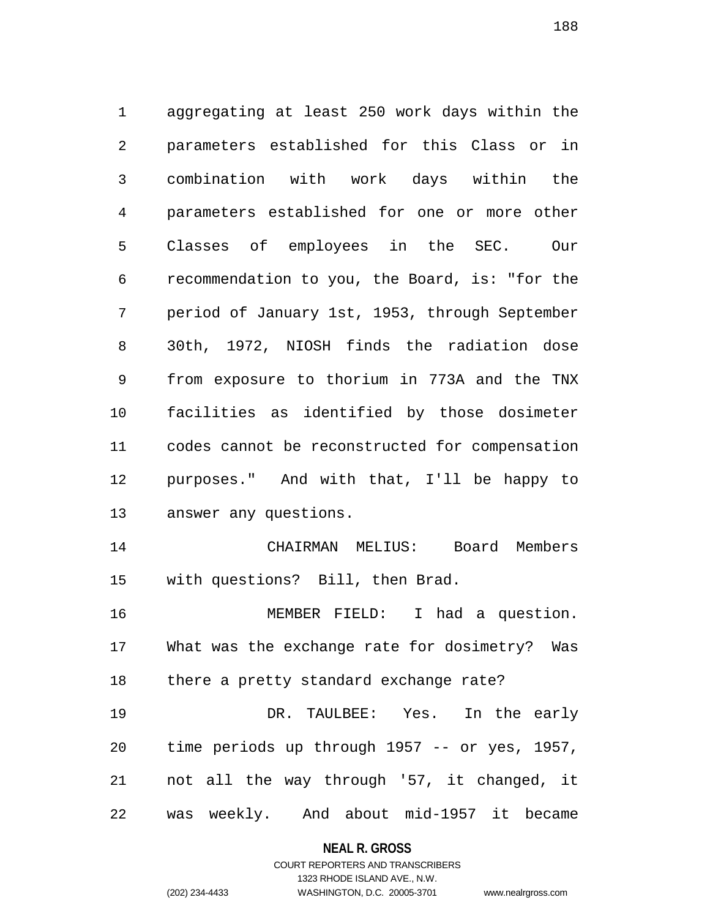1 aggregating at least 250 work days within the 2 parameters established for this Class or in 3 combination with work days within the 4 parameters established for one or more other 5 Classes of employees in the SEC. Our 6 recommendation to you, the Board, is: "for the 7 period of January 1st, 1953, through September 8 30th, 1972, NIOSH finds the radiation dose 9 from exposure to thorium in 773A and the TNX 10 facilities as identified by those dosimeter 11 codes cannot be reconstructed for compensation 12 purposes." And with that, I'll be happy to 13 answer any questions. 14 CHAIRMAN MELIUS: Board Members 15 with questions? Bill, then Brad. 16 MEMBER FIELD: I had a question. 17 What was the exchange rate for dosimetry? Was 18 there a pretty standard exchange rate?

19 DR. TAULBEE: Yes. In the early 20 time periods up through 1957 -- or yes, 1957, 21 not all the way through '57, it changed, it 22 was weekly. And about mid-1957 it became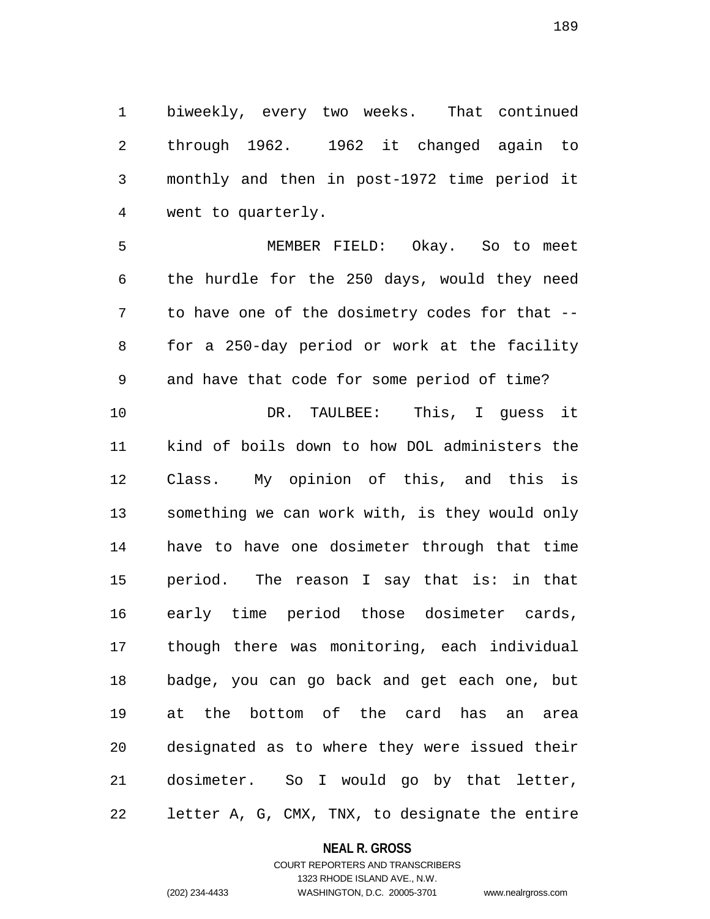1 biweekly, every two weeks. That continued 2 through 1962. 1962 it changed again to 3 monthly and then in post-1972 time period it 4 went to quarterly.

5 MEMBER FIELD: Okay. So to meet 6 the hurdle for the 250 days, would they need 7 to have one of the dosimetry codes for that -- 8 for a 250-day period or work at the facility 9 and have that code for some period of time?

10 DR. TAULBEE: This, I quess it 11 kind of boils down to how DOL administers the 12 Class. My opinion of this, and this is 13 something we can work with, is they would only 14 have to have one dosimeter through that time 15 period. The reason I say that is: in that 16 early time period those dosimeter cards, 17 though there was monitoring, each individual 18 badge, you can go back and get each one, but 19 at the bottom of the card has an area 20 designated as to where they were issued their 21 dosimeter. So I would go by that letter, 22 letter A, G, CMX, TNX, to designate the entire

#### **NEAL R. GROSS**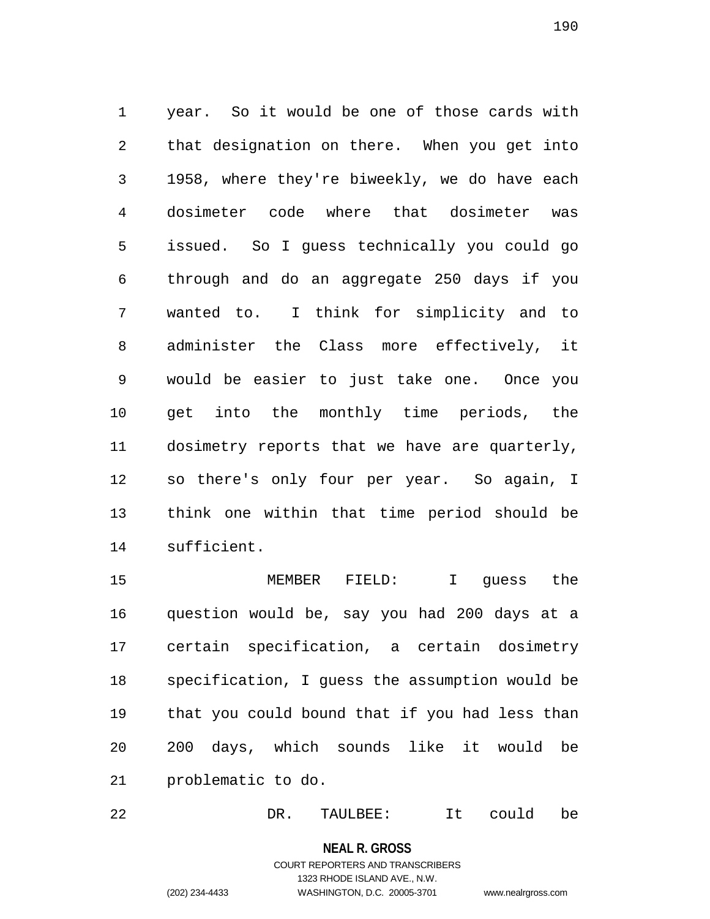1 year. So it would be one of those cards with 2 that designation on there. When you get into 3 1958, where they're biweekly, we do have each 4 dosimeter code where that dosimeter was 5 issued. So I guess technically you could go 6 through and do an aggregate 250 days if you 7 wanted to. I think for simplicity and to 8 administer the Class more effectively, it 9 would be easier to just take one. Once you 10 get into the monthly time periods, the 11 dosimetry reports that we have are quarterly, 12 so there's only four per year. So again, I 13 think one within that time period should be 14 sufficient.

15 MEMBER FIELD: I guess the 16 question would be, say you had 200 days at a 17 certain specification, a certain dosimetry 18 specification, I guess the assumption would be 19 that you could bound that if you had less than 20 200 days, which sounds like it would be 21 problematic to do.

22 DR. TAULBEE: It could be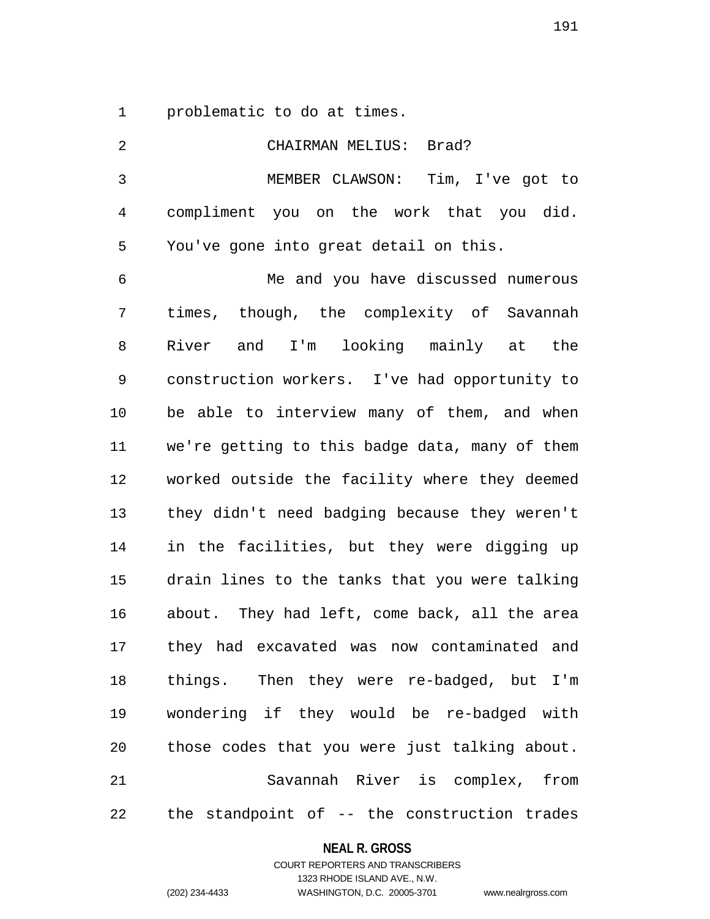1 problematic to do at times.

| 2            | CHAIRMAN MELIUS: Brad?                         |
|--------------|------------------------------------------------|
| $\mathbf{3}$ | MEMBER CLAWSON: Tim, I've got to               |
| 4            | compliment you on the work that you did.       |
| 5            | You've gone into great detail on this.         |
| 6            | Me and you have discussed numerous             |
| 7            | times, though, the complexity of Savannah      |
| 8            | and I'm looking mainly at the<br>River         |
| 9            | construction workers. I've had opportunity to  |
| 10           | be able to interview many of them, and when    |
| 11           | we're getting to this badge data, many of them |
| 12           | worked outside the facility where they deemed  |
| 13           | they didn't need badging because they weren't  |
| 14           | in the facilities, but they were digging up    |
| 15           | drain lines to the tanks that you were talking |
| 16           | about. They had left, come back, all the area  |
| 17           | they had excavated was now contaminated and    |
| 18           | things. Then they were re-badged, but I'm      |
| 19           | wondering if they would be re-badged with      |
| 20           | those codes that you were just talking about.  |
| 21           | Savannah River is complex, from                |
| 22           | the standpoint of -- the construction trades   |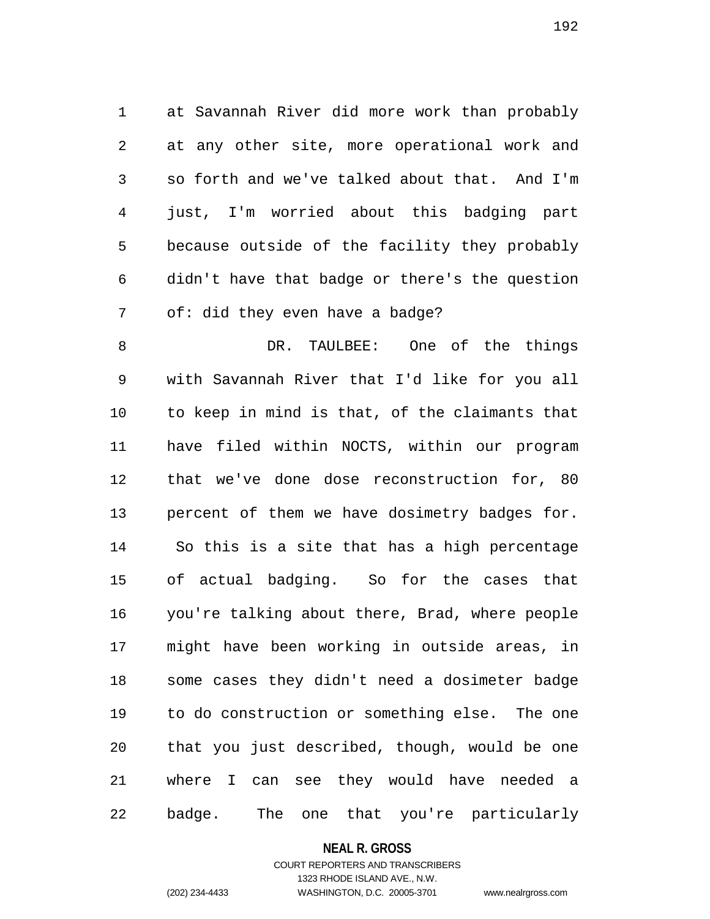1 at Savannah River did more work than probably 2 at any other site, more operational work and 3 so forth and we've talked about that. And I'm 4 just, I'm worried about this badging part 5 because outside of the facility they probably 6 didn't have that badge or there's the question 7 of: did they even have a badge?

8 DR. TAULBEE: One of the things 9 with Savannah River that I'd like for you all 10 to keep in mind is that, of the claimants that 11 have filed within NOCTS, within our program 12 that we've done dose reconstruction for, 80 13 percent of them we have dosimetry badges for. 14 So this is a site that has a high percentage 15 of actual badging. So for the cases that 16 you're talking about there, Brad, where people 17 might have been working in outside areas, in 18 some cases they didn't need a dosimeter badge 19 to do construction or something else. The one 20 that you just described, though, would be one 21 where I can see they would have needed a 22 badge. The one that you're particularly

#### **NEAL R. GROSS**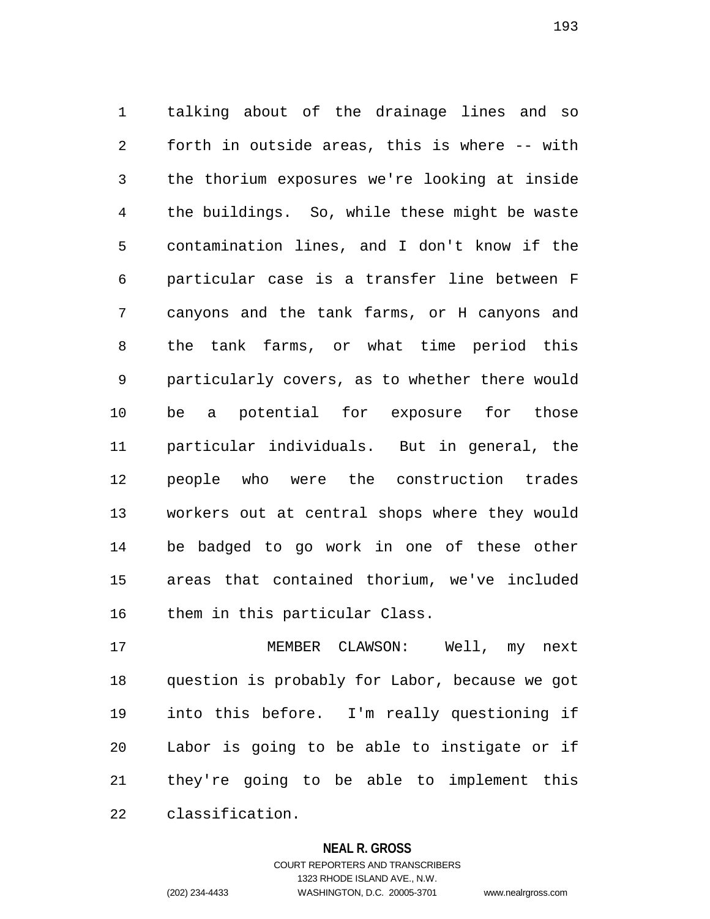1 talking about of the drainage lines and so 2 forth in outside areas, this is where -- with 3 the thorium exposures we're looking at inside 4 the buildings. So, while these might be waste 5 contamination lines, and I don't know if the 6 particular case is a transfer line between F 7 canyons and the tank farms, or H canyons and 8 the tank farms, or what time period this 9 particularly covers, as to whether there would 10 be a potential for exposure for those 11 particular individuals. But in general, the 12 people who were the construction trades 13 workers out at central shops where they would 14 be badged to go work in one of these other 15 areas that contained thorium, we've included 16 them in this particular Class.

17 MEMBER CLAWSON: Well, my next 18 question is probably for Labor, because we got 19 into this before. I'm really questioning if 20 Labor is going to be able to instigate or if 21 they're going to be able to implement this 22 classification.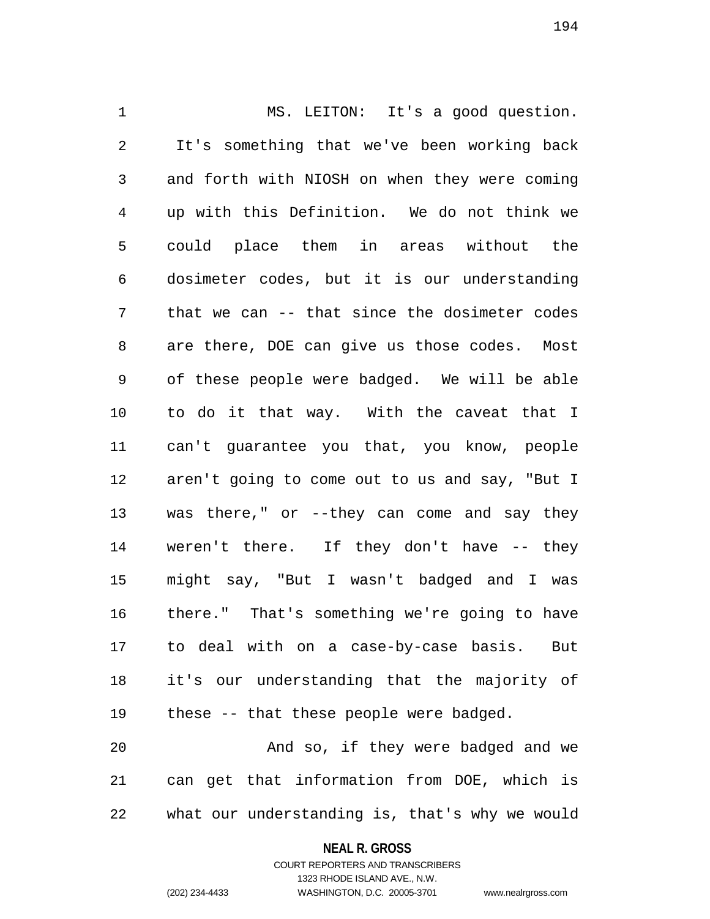1 MS. LEITON: It's a good question. 2 It's something that we've been working back 3 and forth with NIOSH on when they were coming 4 up with this Definition. We do not think we 5 could place them in areas without the 6 dosimeter codes, but it is our understanding 7 that we can -- that since the dosimeter codes 8 are there, DOE can give us those codes. Most 9 of these people were badged. We will be able 10 to do it that way. With the caveat that I 11 can't guarantee you that, you know, people 12 aren't going to come out to us and say, "But I 13 was there," or --they can come and say they 14 weren't there. If they don't have -- they 15 might say, "But I wasn't badged and I was 16 there." That's something we're going to have 17 to deal with on a case-by-case basis. But 18 it's our understanding that the majority of 19 these -- that these people were badged.

20 And so, if they were badged and we 21 can get that information from DOE, which is 22 what our understanding is, that's why we would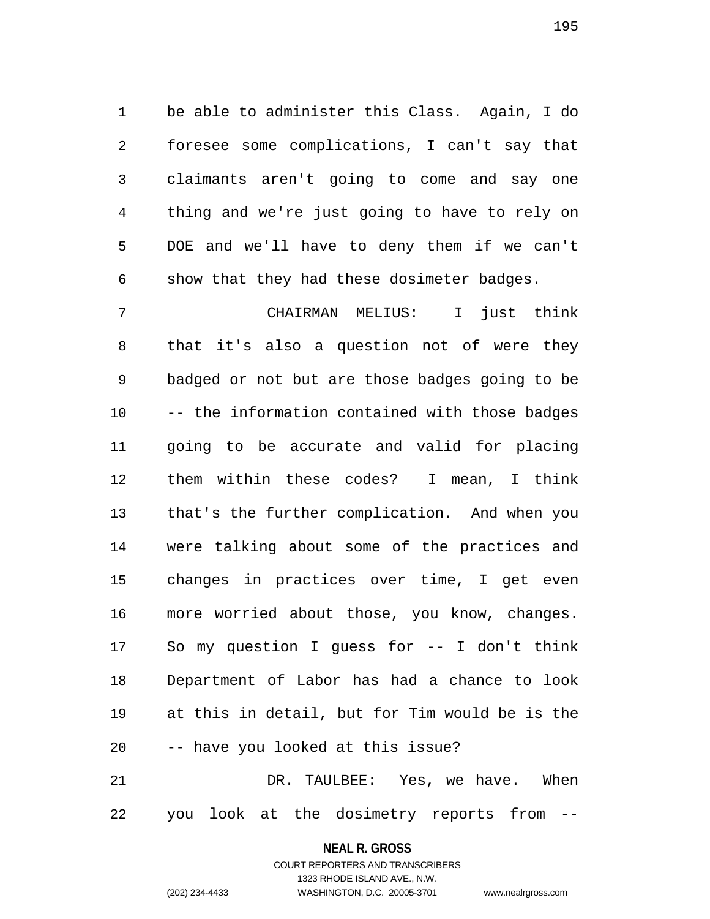1 be able to administer this Class. Again, I do 2 foresee some complications, I can't say that 3 claimants aren't going to come and say one 4 thing and we're just going to have to rely on 5 DOE and we'll have to deny them if we can't 6 show that they had these dosimeter badges.

7 CHAIRMAN MELIUS: I just think 8 that it's also a question not of were they 9 badged or not but are those badges going to be 10 -- the information contained with those badges 11 going to be accurate and valid for placing 12 them within these codes? I mean, I think 13 that's the further complication. And when you 14 were talking about some of the practices and 15 changes in practices over time, I get even 16 more worried about those, you know, changes. 17 So my question I guess for -- I don't think 18 Department of Labor has had a chance to look 19 at this in detail, but for Tim would be is the 20 -- have you looked at this issue? 21 DR. TAULBEE: Yes, we have. When

22 you look at the dosimetry reports from --

**NEAL R. GROSS** COURT REPORTERS AND TRANSCRIBERS

1323 RHODE ISLAND AVE., N.W.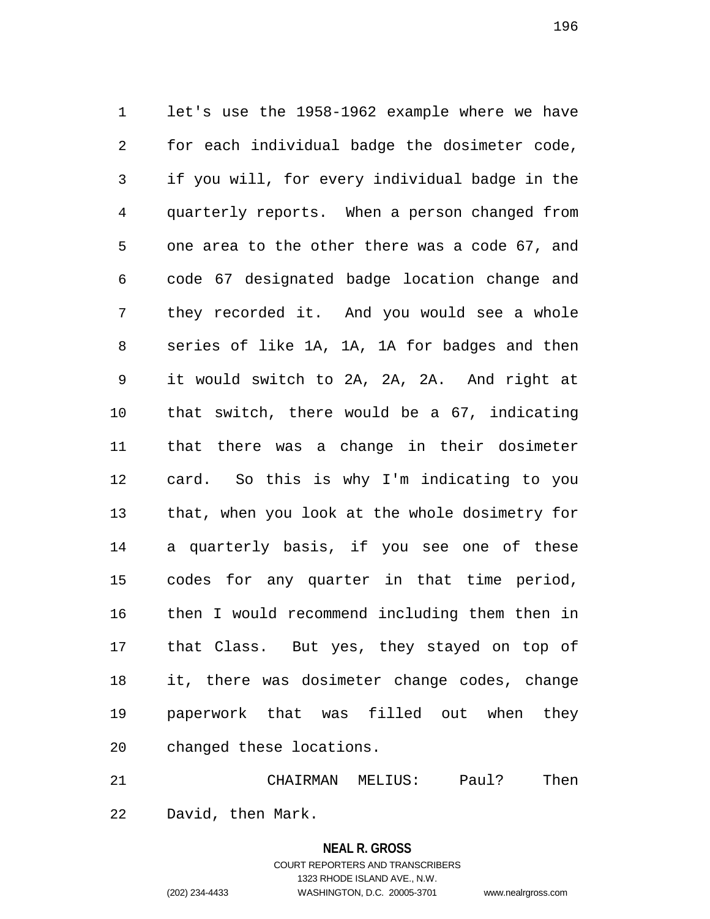1 let's use the 1958-1962 example where we have 2 for each individual badge the dosimeter code, 3 if you will, for every individual badge in the 4 quarterly reports. When a person changed from 5 one area to the other there was a code 67, and 6 code 67 designated badge location change and 7 they recorded it. And you would see a whole 8 series of like 1A, 1A, 1A for badges and then 9 it would switch to 2A, 2A, 2A. And right at 10 that switch, there would be a 67, indicating 11 that there was a change in their dosimeter 12 card. So this is why I'm indicating to you 13 that, when you look at the whole dosimetry for 14 a quarterly basis, if you see one of these 15 codes for any quarter in that time period, 16 then I would recommend including them then in 17 that Class. But yes, they stayed on top of 18 it, there was dosimeter change codes, change 19 paperwork that was filled out when they 20 changed these locations.

21 CHAIRMAN MELIUS: Paul? Then 22 David, then Mark.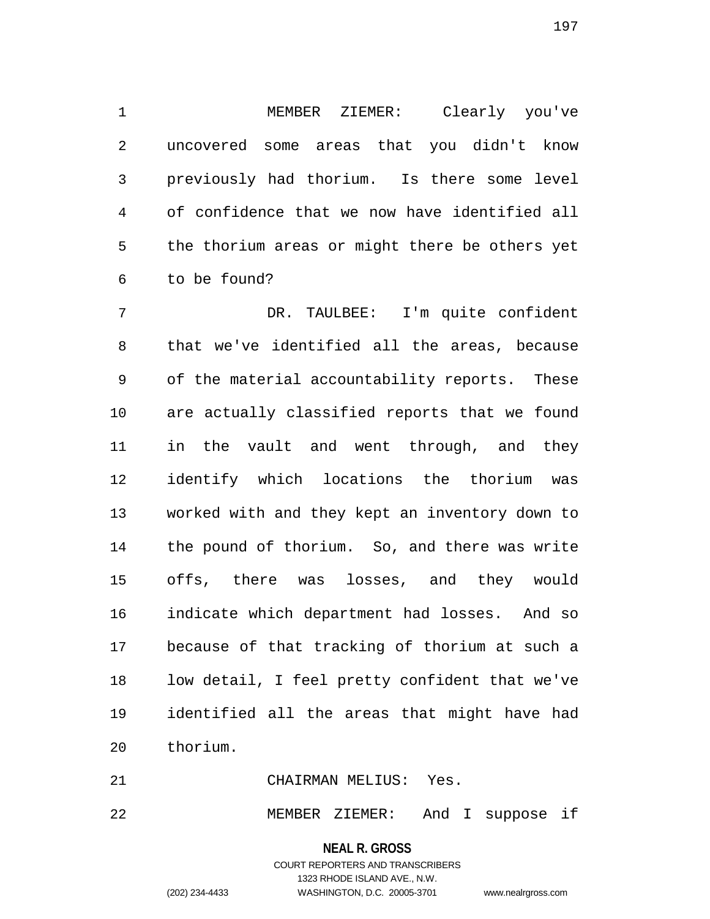1 MEMBER ZIEMER: Clearly you've 2 uncovered some areas that you didn't know 3 previously had thorium. Is there some level 4 of confidence that we now have identified all 5 the thorium areas or might there be others yet 6 to be found?

7 DR. TAULBEE: I'm quite confident 8 that we've identified all the areas, because 9 of the material accountability reports. These 10 are actually classified reports that we found 11 in the vault and went through, and they 12 identify which locations the thorium was 13 worked with and they kept an inventory down to 14 the pound of thorium. So, and there was write 15 offs, there was losses, and they would 16 indicate which department had losses. And so 17 because of that tracking of thorium at such a 18 low detail, I feel pretty confident that we've 19 identified all the areas that might have had 20 thorium.

21 CHAIRMAN MELIUS: Yes.

22 MEMBER ZIEMER: And I suppose if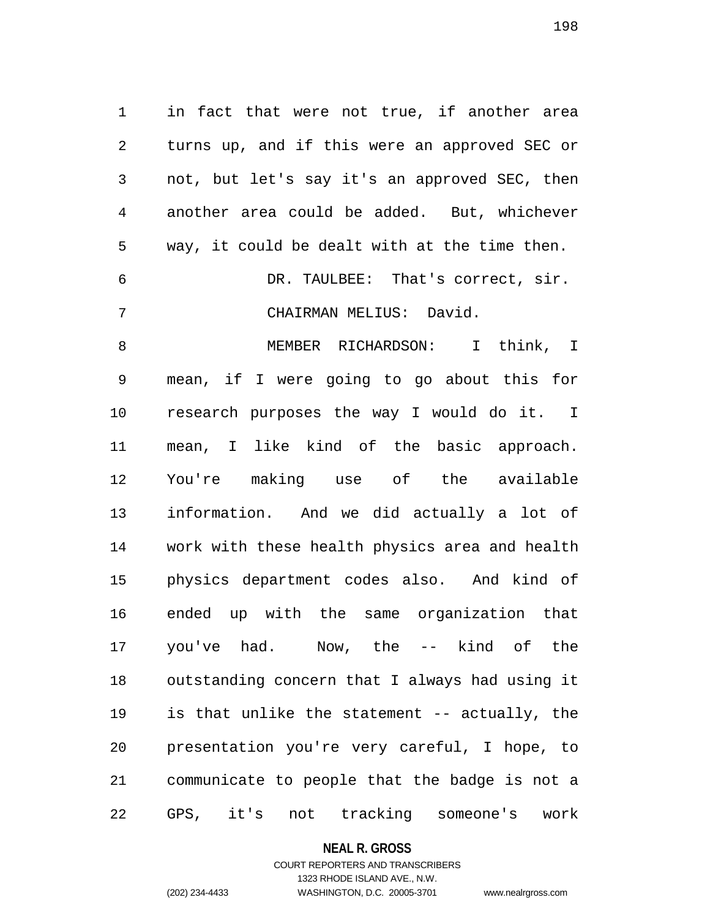1 in fact that were not true, if another area 2 turns up, and if this were an approved SEC or 3 not, but let's say it's an approved SEC, then 4 another area could be added. But, whichever 5 way, it could be dealt with at the time then. 6 DR. TAULBEE: That's correct, sir. 7 CHAIRMAN MELIUS: David. 8 MEMBER RICHARDSON: I think, I 9 mean, if I were going to go about this for 10 research purposes the way I would do it. I 11 mean, I like kind of the basic approach. 12 You're making use of the available 13 information. And we did actually a lot of 14 work with these health physics area and health 15 physics department codes also. And kind of 16 ended up with the same organization that 17 you've had. Now, the -- kind of the 18 outstanding concern that I always had using it 19 is that unlike the statement -- actually, the 20 presentation you're very careful, I hope, to 21 communicate to people that the badge is not a 22 GPS, it's not tracking someone's work

#### **NEAL R. GROSS**

## COURT REPORTERS AND TRANSCRIBERS 1323 RHODE ISLAND AVE., N.W. (202) 234-4433 WASHINGTON, D.C. 20005-3701 www.nealrgross.com

198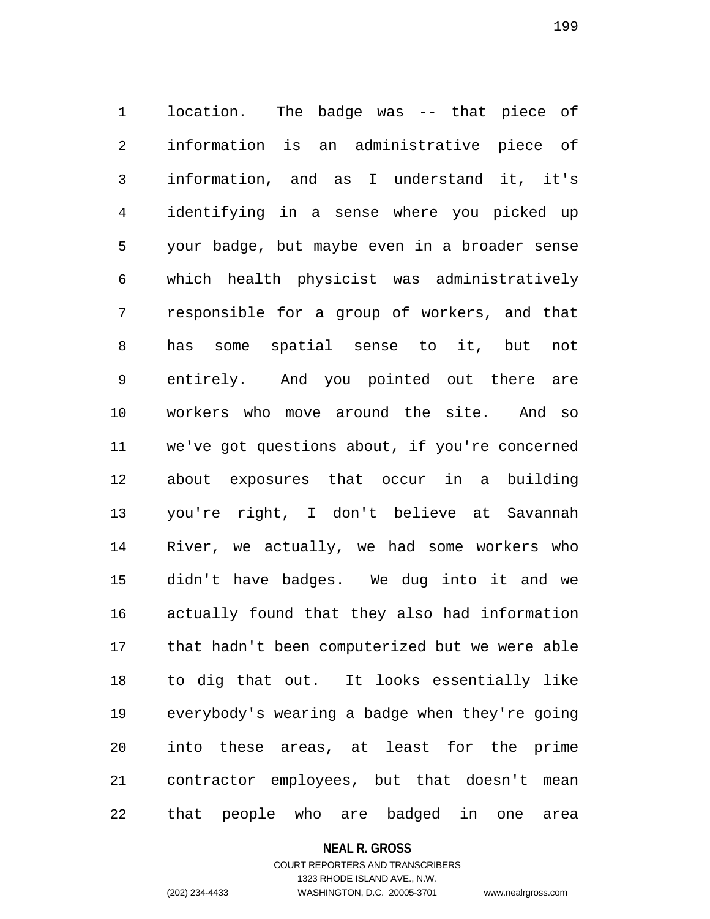1 location. The badge was -- that piece of 2 information is an administrative piece of 3 information, and as I understand it, it's 4 identifying in a sense where you picked up 5 your badge, but maybe even in a broader sense 6 which health physicist was administratively 7 responsible for a group of workers, and that 8 has some spatial sense to it, but not 9 entirely. And you pointed out there are 10 workers who move around the site. And so 11 we've got questions about, if you're concerned 12 about exposures that occur in a building 13 you're right, I don't believe at Savannah 14 River, we actually, we had some workers who 15 didn't have badges. We dug into it and we 16 actually found that they also had information 17 that hadn't been computerized but we were able 18 to dig that out. It looks essentially like 19 everybody's wearing a badge when they're going 20 into these areas, at least for the prime 21 contractor employees, but that doesn't mean 22 that people who are badged in one area

#### **NEAL R. GROSS**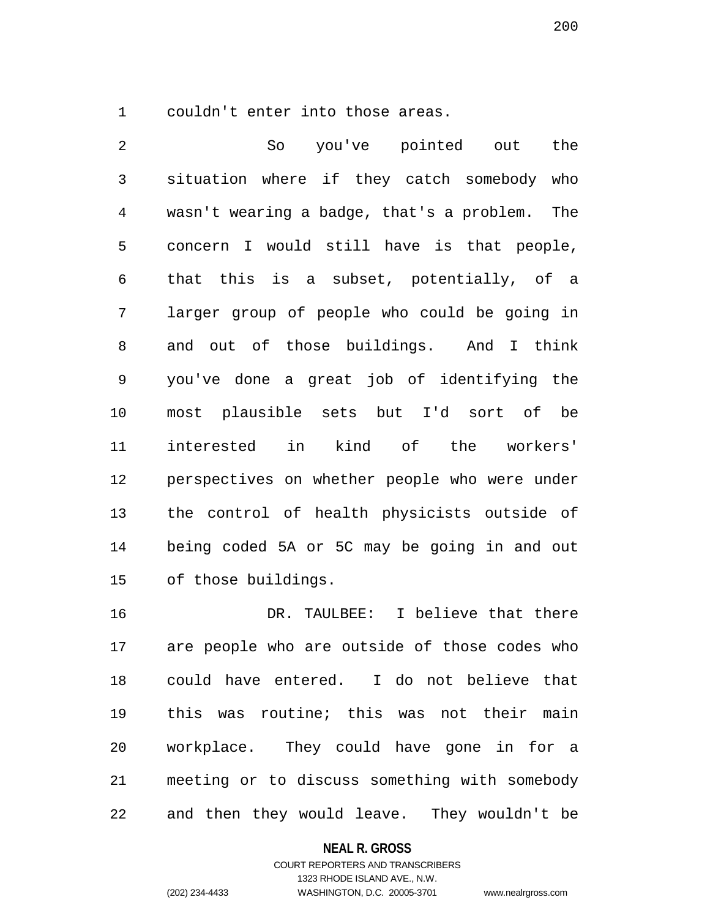1 couldn't enter into those areas.

2 So you've pointed out the 3 situation where if they catch somebody who 4 wasn't wearing a badge, that's a problem. The 5 concern I would still have is that people, 6 that this is a subset, potentially, of a 7 larger group of people who could be going in 8 and out of those buildings. And I think 9 you've done a great job of identifying the 10 most plausible sets but I'd sort of be 11 interested in kind of the workers' 12 perspectives on whether people who were under 13 the control of health physicists outside of 14 being coded 5A or 5C may be going in and out 15 of those buildings.

16 DR. TAULBEE: I believe that there 17 are people who are outside of those codes who 18 could have entered. I do not believe that 19 this was routine; this was not their main 20 workplace. They could have gone in for a 21 meeting or to discuss something with somebody 22 and then they would leave. They wouldn't be

#### **NEAL R. GROSS**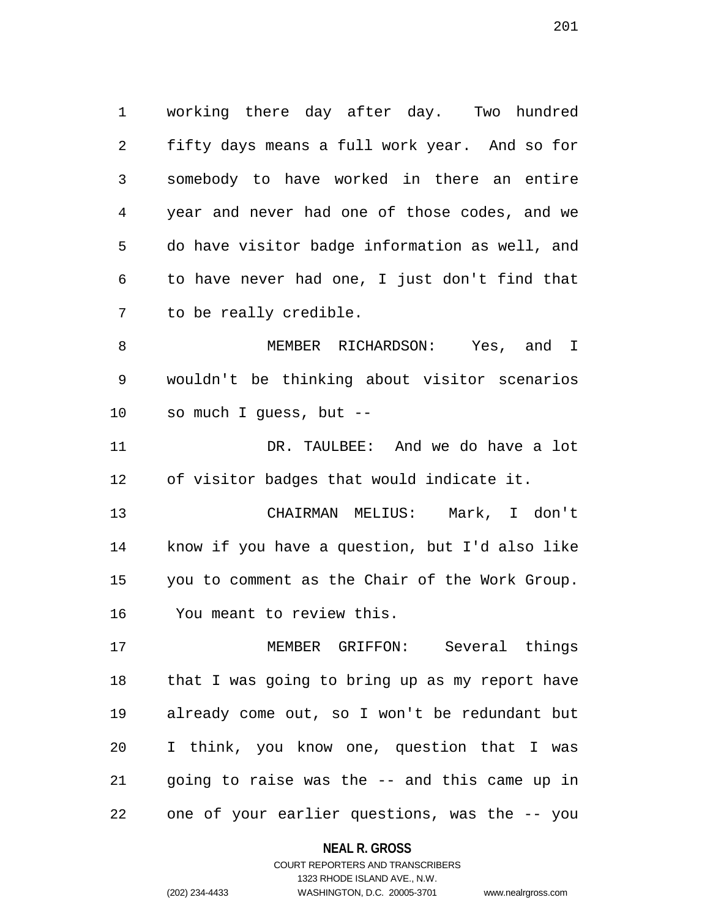1 working there day after day. Two hundred 2 fifty days means a full work year. And so for 3 somebody to have worked in there an entire 4 year and never had one of those codes, and we 5 do have visitor badge information as well, and 6 to have never had one, I just don't find that 7 to be really credible.

8 MEMBER RICHARDSON: Yes, and I 9 wouldn't be thinking about visitor scenarios 10 so much I guess, but --

11 DR. TAULBEE: And we do have a lot 12 of visitor badges that would indicate it.

13 CHAIRMAN MELIUS: Mark, I don't 14 know if you have a question, but I'd also like 15 you to comment as the Chair of the Work Group. 16 You meant to review this.

17 MEMBER GRIFFON: Several things 18 that I was going to bring up as my report have 19 already come out, so I won't be redundant but 20 I think, you know one, question that I was 21 going to raise was the -- and this came up in 22 one of your earlier questions, was the -- you

#### **NEAL R. GROSS**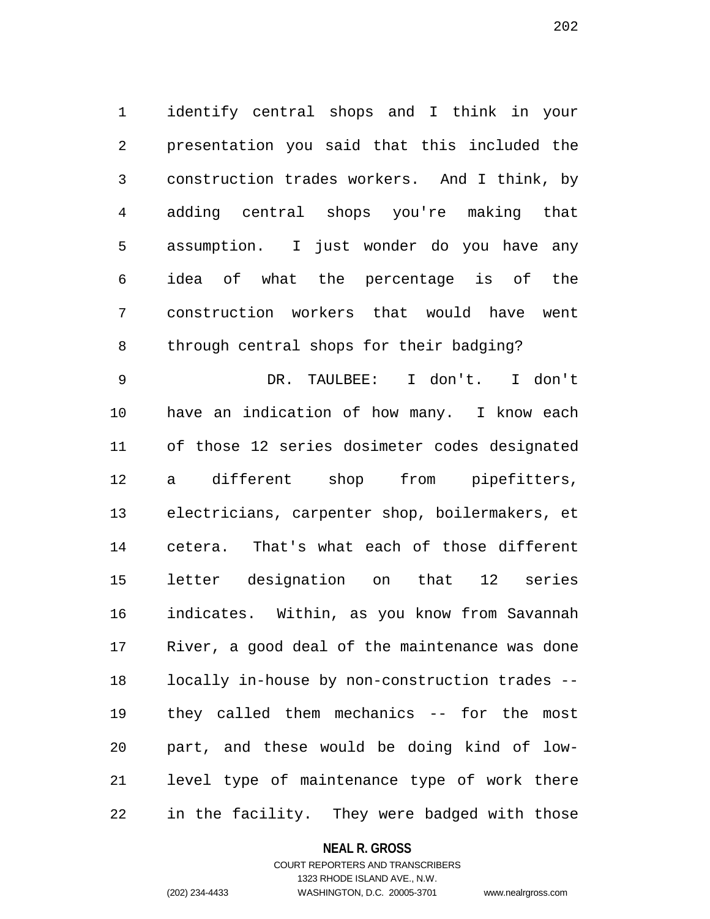1 identify central shops and I think in your 2 presentation you said that this included the 3 construction trades workers. And I think, by 4 adding central shops you're making that 5 assumption. I just wonder do you have any 6 idea of what the percentage is of the 7 construction workers that would have went 8 through central shops for their badging?

9 DR. TAULBEE: I don't. I don't 10 have an indication of how many. I know each 11 of those 12 series dosimeter codes designated 12 a different shop from pipefitters, 13 electricians, carpenter shop, boilermakers, et 14 cetera. That's what each of those different 15 letter designation on that 12 series 16 indicates. Within, as you know from Savannah 17 River, a good deal of the maintenance was done 18 locally in-house by non-construction trades -- 19 they called them mechanics -- for the most 20 part, and these would be doing kind of low-21 level type of maintenance type of work there 22 in the facility. They were badged with those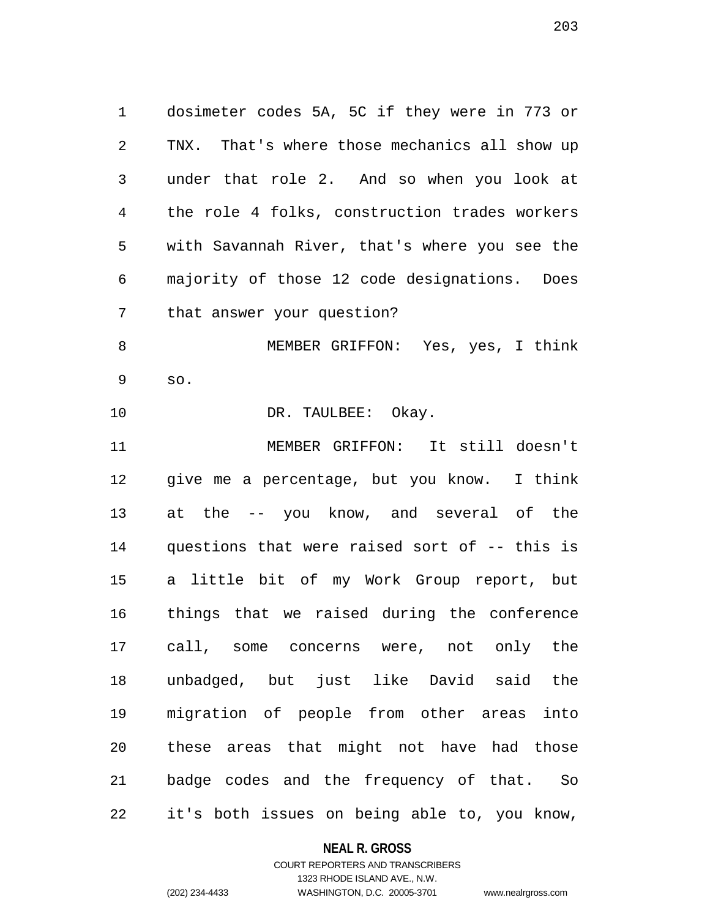1 dosimeter codes 5A, 5C if they were in 773 or 2 TNX. That's where those mechanics all show up 3 under that role 2. And so when you look at 4 the role 4 folks, construction trades workers 5 with Savannah River, that's where you see the 6 majority of those 12 code designations. Does 7 that answer your question? 8 MEMBER GRIFFON: Yes, yes, I think 9 so. 10 DR. TAULBEE: Okay. 11 MEMBER GRIFFON: It still doesn't

12 give me a percentage, but you know. I think 13 at the -- you know, and several of the 14 questions that were raised sort of -- this is 15 a little bit of my Work Group report, but 16 things that we raised during the conference 17 call, some concerns were, not only the 18 unbadged, but just like David said the 19 migration of people from other areas into 20 these areas that might not have had those 21 badge codes and the frequency of that. So 22 it's both issues on being able to, you know,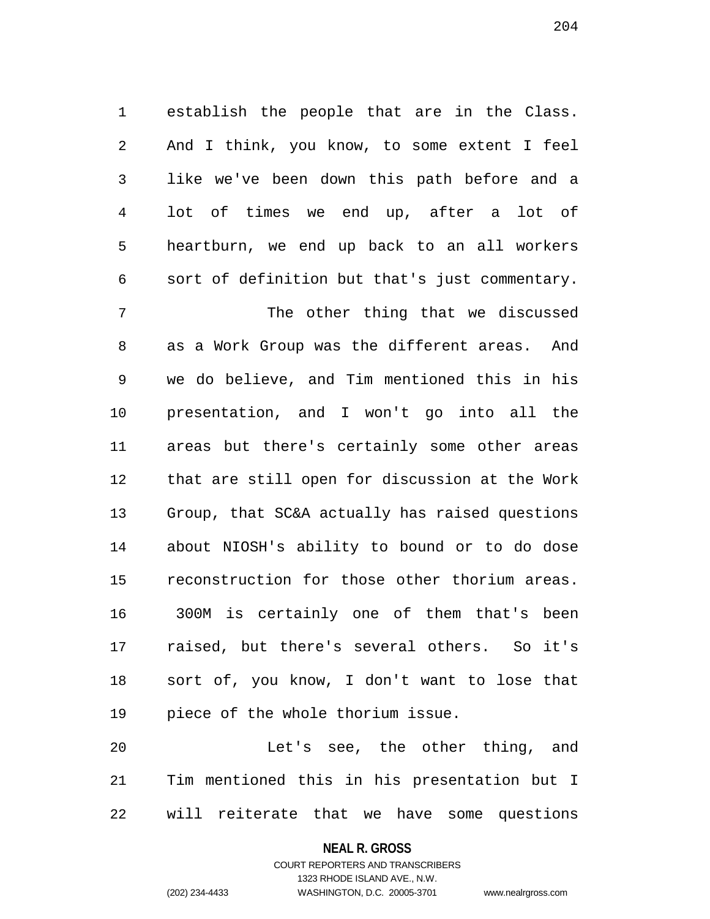1 establish the people that are in the Class. 2 And I think, you know, to some extent I feel 3 like we've been down this path before and a 4 lot of times we end up, after a lot of 5 heartburn, we end up back to an all workers 6 sort of definition but that's just commentary.

7 The other thing that we discussed 8 as a Work Group was the different areas. And 9 we do believe, and Tim mentioned this in his 10 presentation, and I won't go into all the 11 areas but there's certainly some other areas 12 that are still open for discussion at the Work 13 Group, that SC&A actually has raised questions 14 about NIOSH's ability to bound or to do dose 15 reconstruction for those other thorium areas. 16 300M is certainly one of them that's been 17 raised, but there's several others. So it's 18 sort of, you know, I don't want to lose that 19 piece of the whole thorium issue.

20 Let's see, the other thing, and 21 Tim mentioned this in his presentation but I 22 will reiterate that we have some questions

**NEAL R. GROSS**

COURT REPORTERS AND TRANSCRIBERS 1323 RHODE ISLAND AVE., N.W. (202) 234-4433 WASHINGTON, D.C. 20005-3701 www.nealrgross.com

204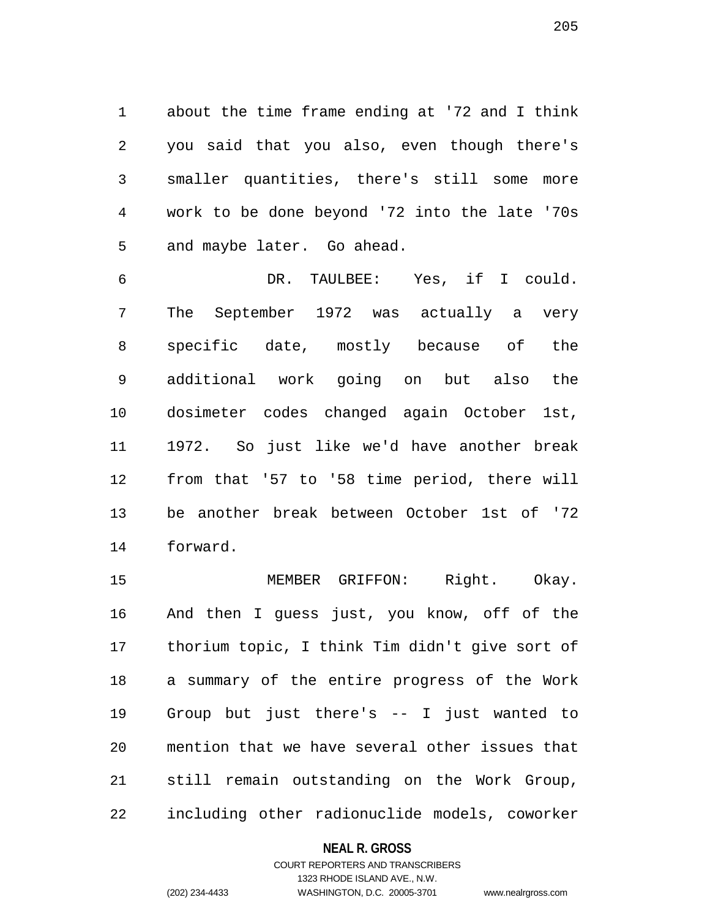1 about the time frame ending at '72 and I think 2 you said that you also, even though there's 3 smaller quantities, there's still some more 4 work to be done beyond '72 into the late '70s 5 and maybe later. Go ahead.

6 DR. TAULBEE: Yes, if I could. 7 The September 1972 was actually a very 8 specific date, mostly because of the 9 additional work going on but also the 10 dosimeter codes changed again October 1st, 11 1972. So just like we'd have another break 12 from that '57 to '58 time period, there will 13 be another break between October 1st of '72 14 forward.

15 MEMBER GRIFFON: Right. Okay. 16 And then I guess just, you know, off of the 17 thorium topic, I think Tim didn't give sort of 18 a summary of the entire progress of the Work 19 Group but just there's -- I just wanted to 20 mention that we have several other issues that 21 still remain outstanding on the Work Group, 22 including other radionuclide models, coworker

**NEAL R. GROSS**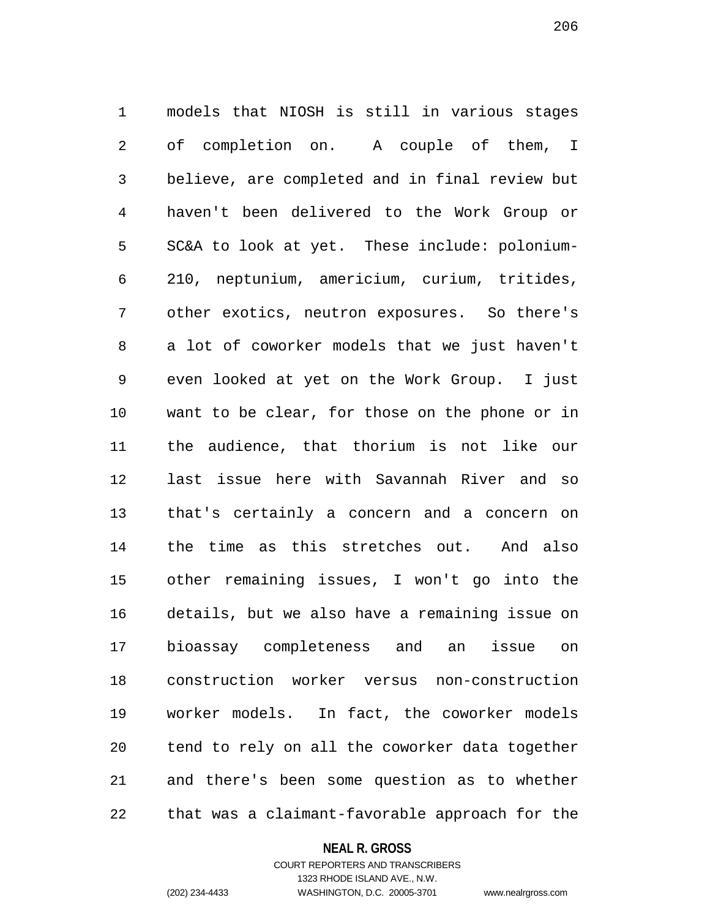1 models that NIOSH is still in various stages 2 of completion on. A couple of them, I 3 believe, are completed and in final review but 4 haven't been delivered to the Work Group or 5 SC&A to look at yet. These include: polonium-6 210, neptunium, americium, curium, tritides, 7 other exotics, neutron exposures. So there's 8 a lot of coworker models that we just haven't 9 even looked at yet on the Work Group. I just 10 want to be clear, for those on the phone or in 11 the audience, that thorium is not like our 12 last issue here with Savannah River and so 13 that's certainly a concern and a concern on 14 the time as this stretches out. And also 15 other remaining issues, I won't go into the 16 details, but we also have a remaining issue on 17 bioassay completeness and an issue on 18 construction worker versus non-construction 19 worker models. In fact, the coworker models 20 tend to rely on all the coworker data together 21 and there's been some question as to whether 22 that was a claimant-favorable approach for the

#### **NEAL R. GROSS**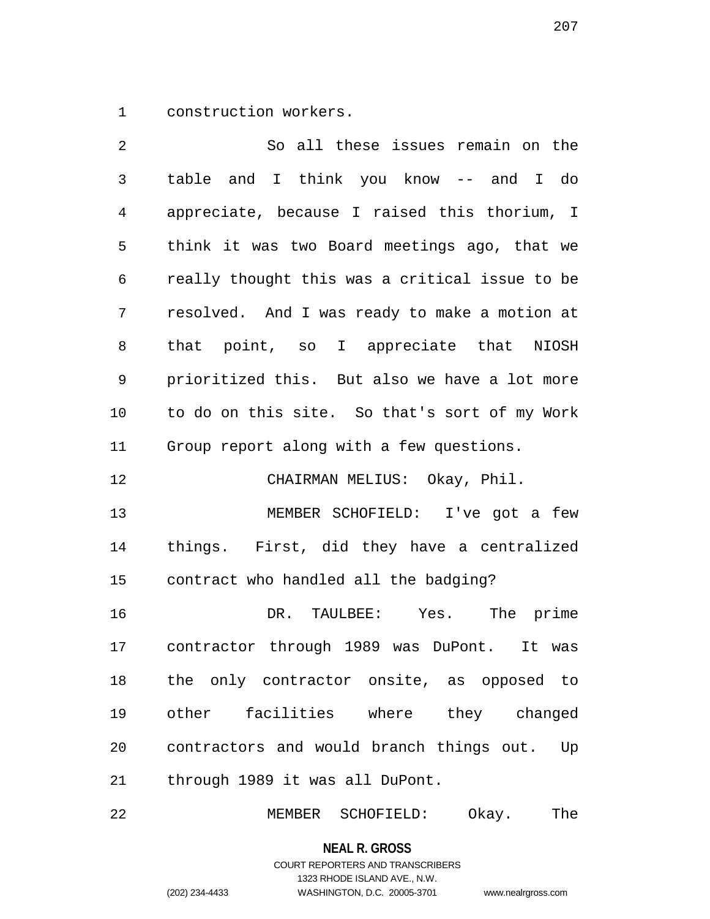1 construction workers.

2 So all these issues remain on the 3 table and I think you know -- and I do 4 appreciate, because I raised this thorium, I 5 think it was two Board meetings ago, that we 6 really thought this was a critical issue to be 7 resolved. And I was ready to make a motion at 8 that point, so I appreciate that NIOSH 9 prioritized this. But also we have a lot more 10 to do on this site. So that's sort of my Work 11 Group report along with a few questions. 12 CHAIRMAN MELIUS: Okay, Phil. 13 MEMBER SCHOFIELD: I've got a few 14 things. First, did they have a centralized 15 contract who handled all the badging? 16 DR. TAULBEE: Yes. The prime 17 contractor through 1989 was DuPont. It was 18 the only contractor onsite, as opposed to 19 other facilities where they changed 20 contractors and would branch things out. Up 21 through 1989 it was all DuPont.

22 MEMBER SCHOFIELD: Okay. The

**NEAL R. GROSS**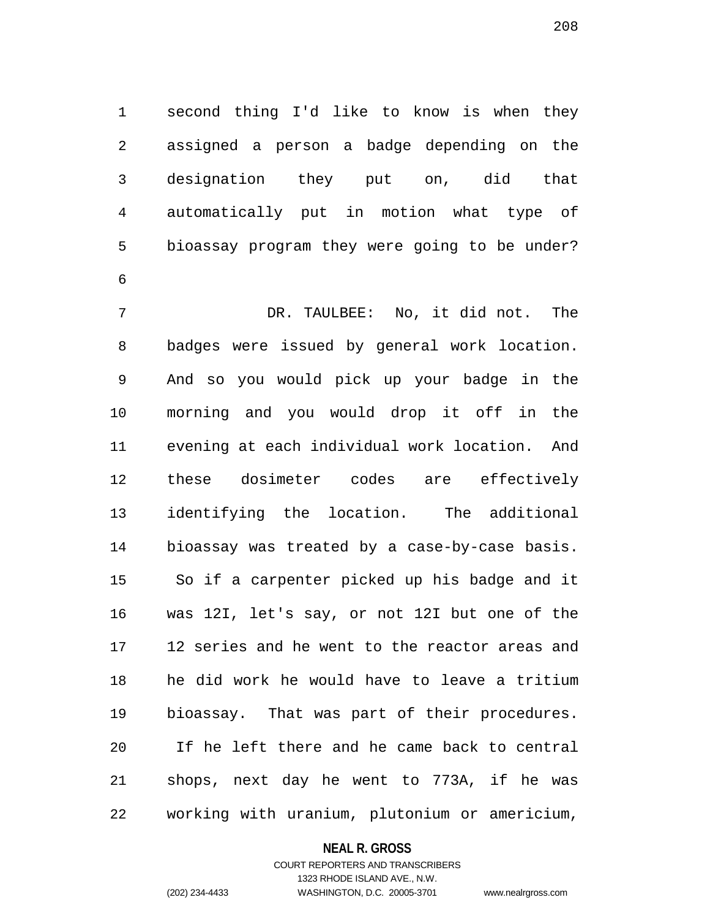1 second thing I'd like to know is when they 2 assigned a person a badge depending on the 3 designation they put on, did that 4 automatically put in motion what type of 5 bioassay program they were going to be under? 6

7 DR. TAULBEE: No, it did not. The 8 badges were issued by general work location. 9 And so you would pick up your badge in the 10 morning and you would drop it off in the 11 evening at each individual work location. And 12 these dosimeter codes are effectively 13 identifying the location. The additional 14 bioassay was treated by a case-by-case basis. 15 So if a carpenter picked up his badge and it 16 was 12I, let's say, or not 12I but one of the 17 12 series and he went to the reactor areas and 18 he did work he would have to leave a tritium 19 bioassay. That was part of their procedures. 20 If he left there and he came back to central 21 shops, next day he went to 773A, if he was 22 working with uranium, plutonium or americium,

#### **NEAL R. GROSS**

COURT REPORTERS AND TRANSCRIBERS 1323 RHODE ISLAND AVE., N.W. (202) 234-4433 WASHINGTON, D.C. 20005-3701 www.nealrgross.com

208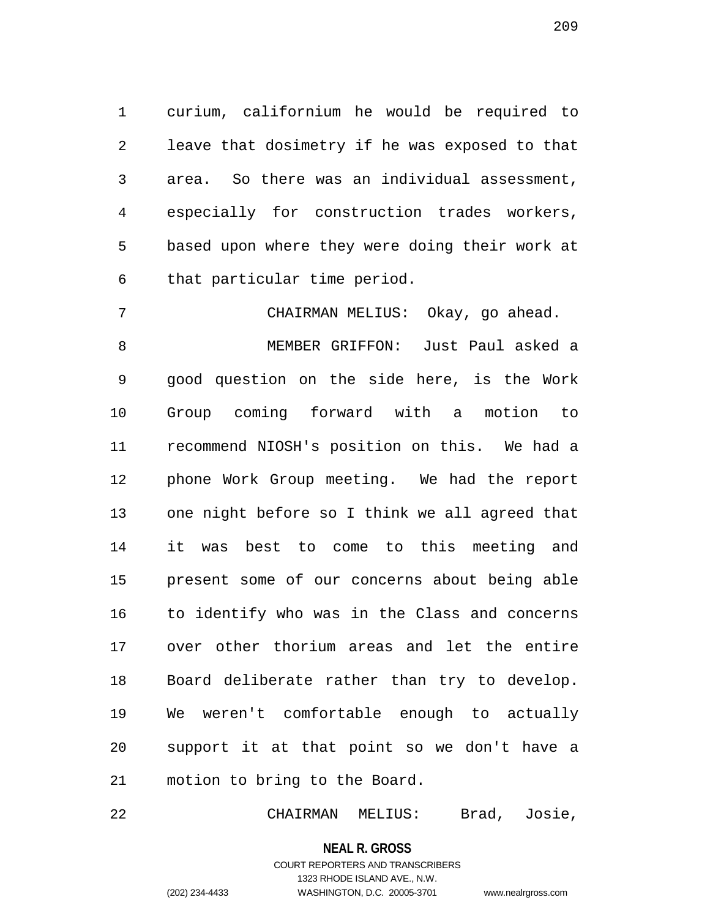1 curium, californium he would be required to 2 leave that dosimetry if he was exposed to that 3 area. So there was an individual assessment, 4 especially for construction trades workers, 5 based upon where they were doing their work at 6 that particular time period.

7 CHAIRMAN MELIUS: Okay, go ahead. 8 MEMBER GRIFFON: Just Paul asked a 9 good question on the side here, is the Work 10 Group coming forward with a motion to 11 recommend NIOSH's position on this. We had a 12 phone Work Group meeting. We had the report 13 one night before so I think we all agreed that 14 it was best to come to this meeting and 15 present some of our concerns about being able 16 to identify who was in the Class and concerns 17 over other thorium areas and let the entire 18 Board deliberate rather than try to develop. 19 We weren't comfortable enough to actually 20 support it at that point so we don't have a 21 motion to bring to the Board.

22 CHAIRMAN MELIUS: Brad, Josie,

**NEAL R. GROSS**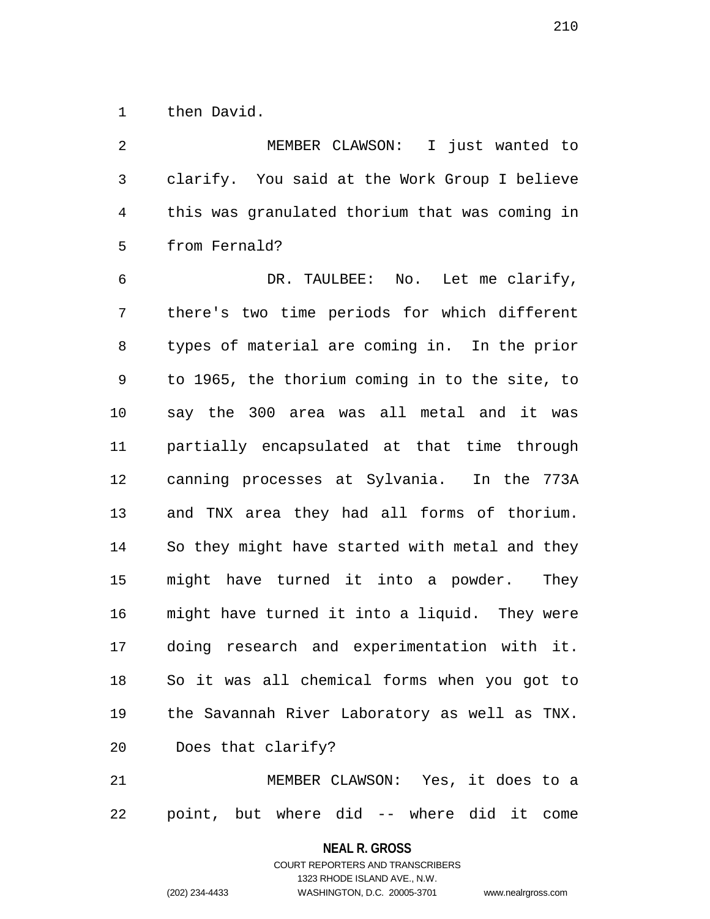1 then David.

2 MEMBER CLAWSON: I just wanted to 3 clarify. You said at the Work Group I believe 4 this was granulated thorium that was coming in 5 from Fernald? 6 DR. TAULBEE: No. Let me clarify, 7 there's two time periods for which different 8 types of material are coming in. In the prior 9 to 1965, the thorium coming in to the site, to 10 say the 300 area was all metal and it was 11 partially encapsulated at that time through 12 canning processes at Sylvania. In the 773A 13 and TNX area they had all forms of thorium. 14 So they might have started with metal and they 15 might have turned it into a powder. They 16 might have turned it into a liquid. They were 17 doing research and experimentation with it. 18 So it was all chemical forms when you got to 19 the Savannah River Laboratory as well as TNX. 20 Does that clarify? 21 MEMBER CLAWSON: Yes, it does to a

22 point, but where did -- where did it come

**NEAL R. GROSS** COURT REPORTERS AND TRANSCRIBERS

1323 RHODE ISLAND AVE., N.W. (202) 234-4433 WASHINGTON, D.C. 20005-3701 www.nealrgross.com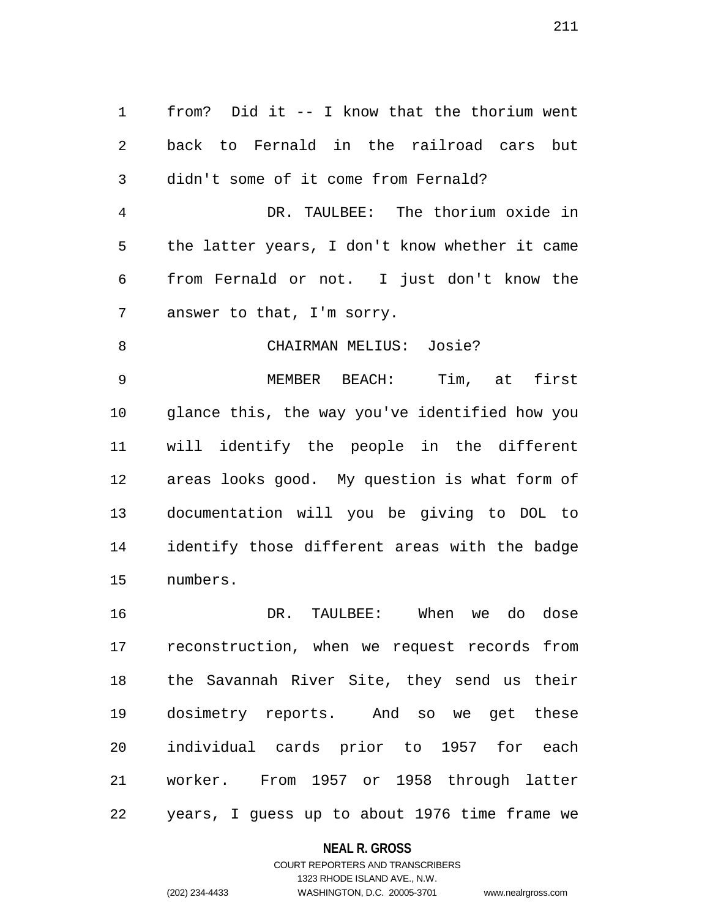1 from? Did it -- I know that the thorium went 2 back to Fernald in the railroad cars but 3 didn't some of it come from Fernald? 4 DR. TAULBEE: The thorium oxide in 5 the latter years, I don't know whether it came 6 from Fernald or not. I just don't know the 7 answer to that, I'm sorry. 8 CHAIRMAN MELIUS: Josie? 9 MEMBER BEACH: Tim, at first 10 glance this, the way you've identified how you 11 will identify the people in the different 12 areas looks good. My question is what form of 13 documentation will you be giving to DOL to

14 identify those different areas with the badge 15 numbers.

16 DR. TAULBEE: When we do dose 17 reconstruction, when we request records from 18 the Savannah River Site, they send us their 19 dosimetry reports. And so we get these 20 individual cards prior to 1957 for each 21 worker. From 1957 or 1958 through latter 22 years, I guess up to about 1976 time frame we

#### **NEAL R. GROSS**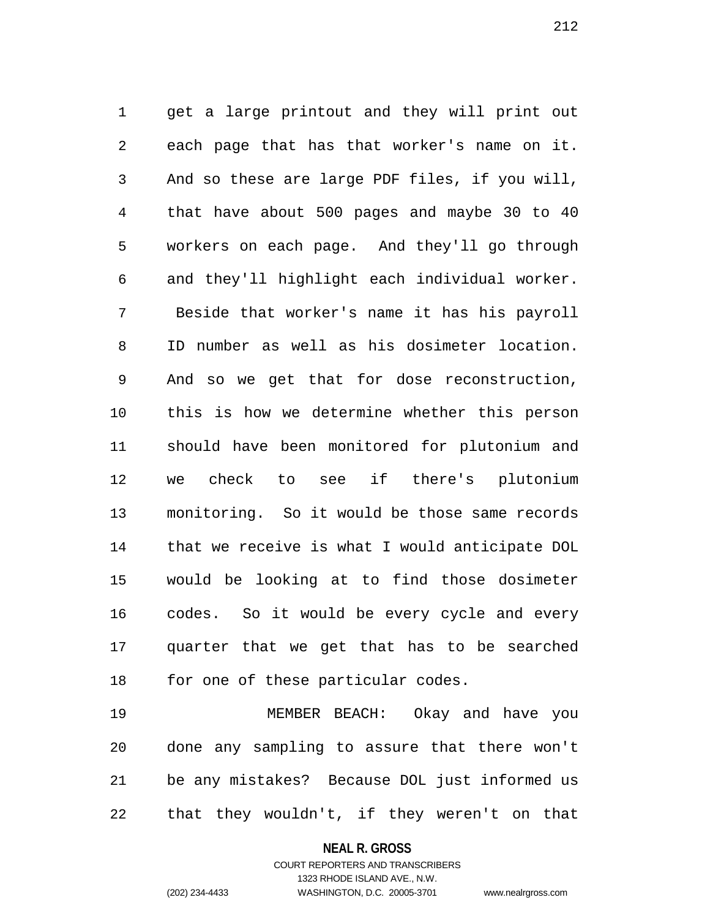1 get a large printout and they will print out 2 each page that has that worker's name on it. 3 And so these are large PDF files, if you will, 4 that have about 500 pages and maybe 30 to 40 5 workers on each page. And they'll go through 6 and they'll highlight each individual worker. 7 Beside that worker's name it has his payroll 8 ID number as well as his dosimeter location. 9 And so we get that for dose reconstruction, 10 this is how we determine whether this person 11 should have been monitored for plutonium and 12 we check to see if there's plutonium 13 monitoring. So it would be those same records 14 that we receive is what I would anticipate DOL 15 would be looking at to find those dosimeter 16 codes. So it would be every cycle and every 17 quarter that we get that has to be searched 18 for one of these particular codes.

19 MEMBER BEACH: Okay and have you 20 done any sampling to assure that there won't 21 be any mistakes? Because DOL just informed us 22 that they wouldn't, if they weren't on that

> **NEAL R. GROSS** COURT REPORTERS AND TRANSCRIBERS

> > 1323 RHODE ISLAND AVE., N.W.

(202) 234-4433 WASHINGTON, D.C. 20005-3701 www.nealrgross.com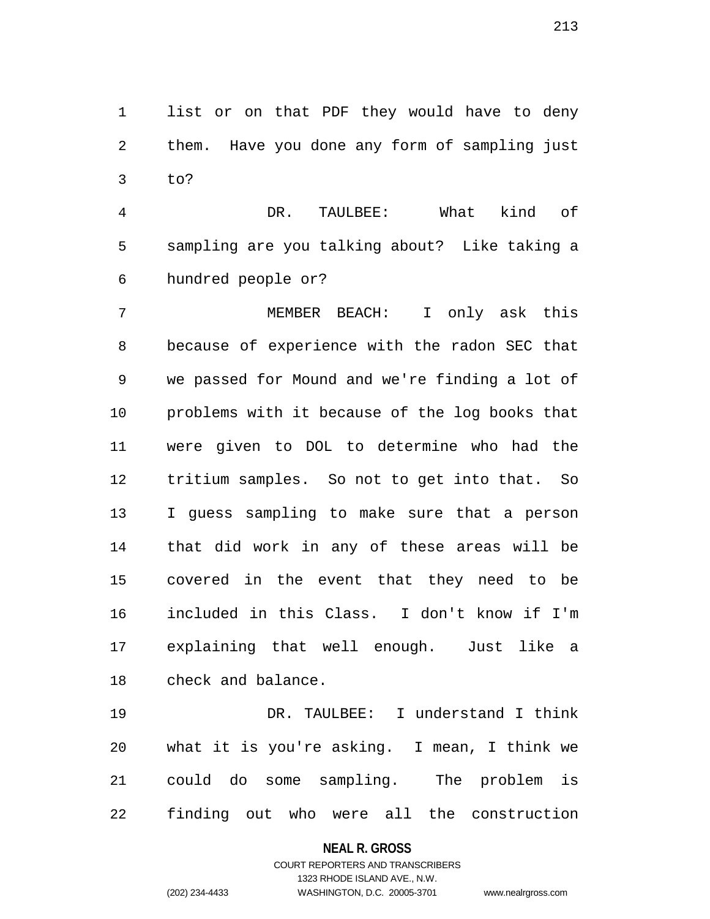1 list or on that PDF they would have to deny 2 them. Have you done any form of sampling just 3 to?

4 DR. TAULBEE: What kind of 5 sampling are you talking about? Like taking a 6 hundred people or?

7 MEMBER BEACH: I only ask this 8 because of experience with the radon SEC that 9 we passed for Mound and we're finding a lot of 10 problems with it because of the log books that 11 were given to DOL to determine who had the 12 tritium samples. So not to get into that. So 13 I guess sampling to make sure that a person 14 that did work in any of these areas will be 15 covered in the event that they need to be 16 included in this Class. I don't know if I'm 17 explaining that well enough. Just like a 18 check and balance.

19 DR. TAULBEE: I understand I think 20 what it is you're asking. I mean, I think we 21 could do some sampling. The problem is 22 finding out who were all the construction

#### **NEAL R. GROSS**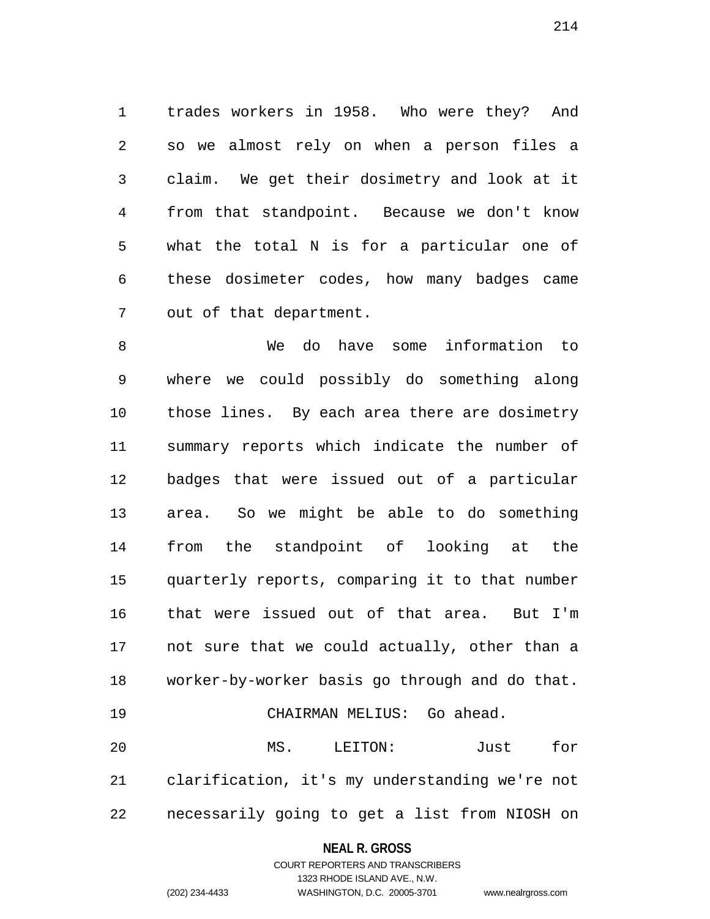1 trades workers in 1958. Who were they? And 2 so we almost rely on when a person files a 3 claim. We get their dosimetry and look at it 4 from that standpoint. Because we don't know 5 what the total N is for a particular one of 6 these dosimeter codes, how many badges came 7 out of that department.

8 We do have some information to 9 where we could possibly do something along 10 those lines. By each area there are dosimetry 11 summary reports which indicate the number of 12 badges that were issued out of a particular 13 area. So we might be able to do something 14 from the standpoint of looking at the 15 quarterly reports, comparing it to that number 16 that were issued out of that area. But I'm 17 not sure that we could actually, other than a 18 worker-by-worker basis go through and do that. 19 CHAIRMAN MELIUS: Go ahead.

20 MS. LEITON: Just for 21 clarification, it's my understanding we're not 22 necessarily going to get a list from NIOSH on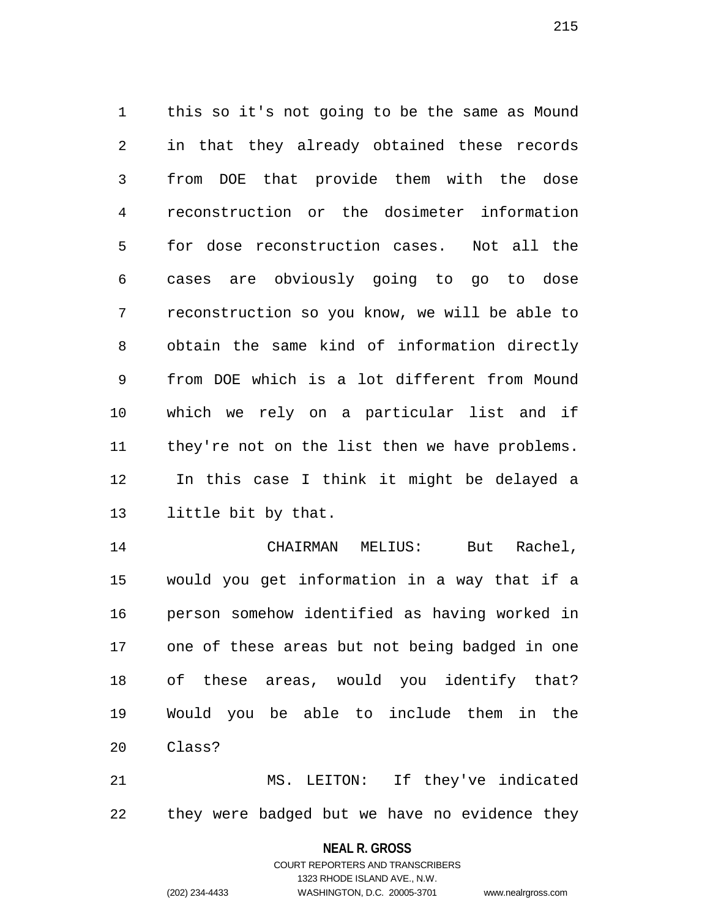1 this so it's not going to be the same as Mound 2 in that they already obtained these records 3 from DOE that provide them with the dose 4 reconstruction or the dosimeter information 5 for dose reconstruction cases. Not all the 6 cases are obviously going to go to dose 7 reconstruction so you know, we will be able to 8 obtain the same kind of information directly 9 from DOE which is a lot different from Mound 10 which we rely on a particular list and if 11 they're not on the list then we have problems. 12 In this case I think it might be delayed a 13 little bit by that.

14 CHAIRMAN MELIUS: But Rachel, 15 would you get information in a way that if a 16 person somehow identified as having worked in 17 one of these areas but not being badged in one 18 of these areas, would you identify that? 19 Would you be able to include them in the 20 Class?

21 MS. LEITON: If they've indicated 22 they were badged but we have no evidence they

**NEAL R. GROSS**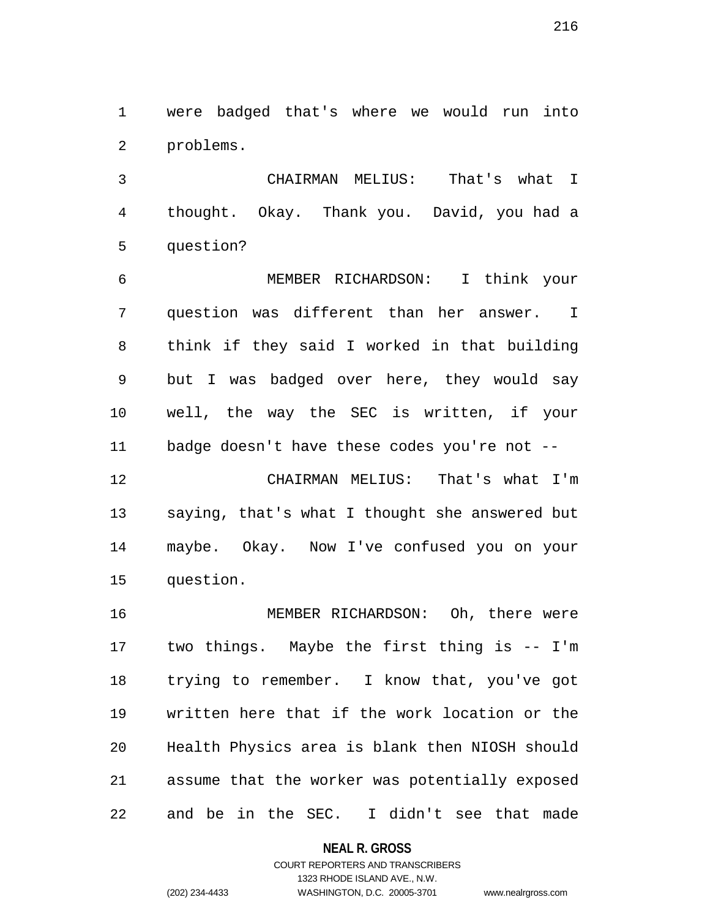1 were badged that's where we would run into 2 problems.

3 CHAIRMAN MELIUS: That's what I 4 thought. Okay. Thank you. David, you had a 5 question?

6 MEMBER RICHARDSON: I think your 7 question was different than her answer. I 8 think if they said I worked in that building 9 but I was badged over here, they would say 10 well, the way the SEC is written, if your 11 badge doesn't have these codes you're not --

12 CHAIRMAN MELIUS: That's what I'm 13 saying, that's what I thought she answered but 14 maybe. Okay. Now I've confused you on your 15 question.

16 MEMBER RICHARDSON: Oh, there were 17 two things. Maybe the first thing is -- I'm 18 trying to remember. I know that, you've got 19 written here that if the work location or the 20 Health Physics area is blank then NIOSH should 21 assume that the worker was potentially exposed 22 and be in the SEC. I didn't see that made

**NEAL R. GROSS**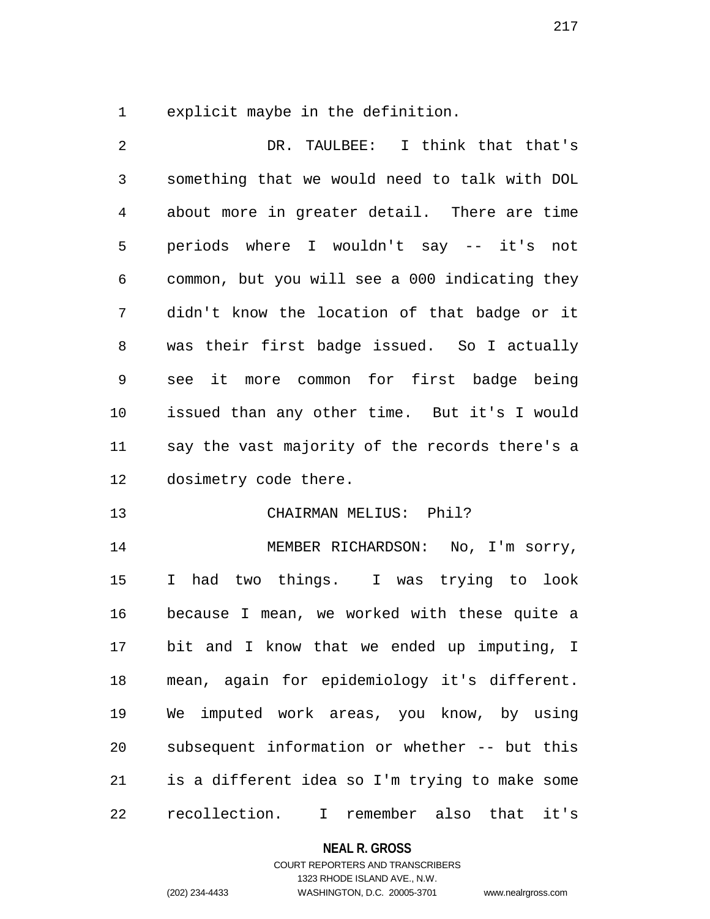1 explicit maybe in the definition.

2 DR. TAULBEE: I think that that's 3 something that we would need to talk with DOL 4 about more in greater detail. There are time 5 periods where I wouldn't say -- it's not 6 common, but you will see a 000 indicating they 7 didn't know the location of that badge or it 8 was their first badge issued. So I actually 9 see it more common for first badge being 10 issued than any other time. But it's I would 11 say the vast majority of the records there's a 12 dosimetry code there. 13 CHAIRMAN MELIUS: Phil? 14 MEMBER RICHARDSON: No, I'm sorry, 15 I had two things. I was trying to look 16 because I mean, we worked with these quite a 17 bit and I know that we ended up imputing, I 18 mean, again for epidemiology it's different. 19 We imputed work areas, you know, by using 20 subsequent information or whether -- but this 21 is a different idea so I'm trying to make some 22 recollection. I remember also that it's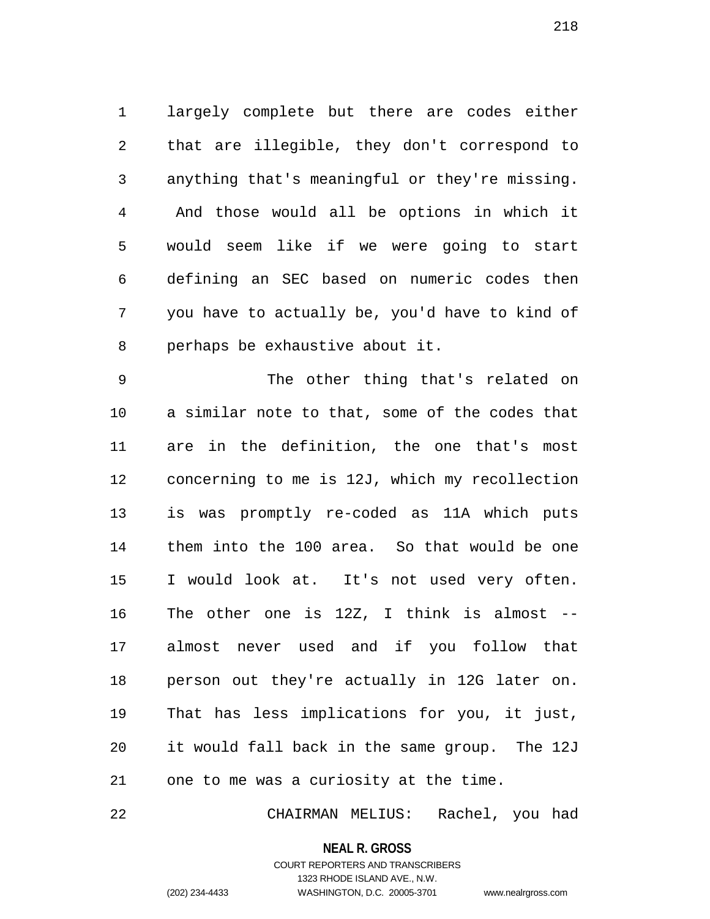1 largely complete but there are codes either 2 that are illegible, they don't correspond to 3 anything that's meaningful or they're missing. 4 And those would all be options in which it 5 would seem like if we were going to start 6 defining an SEC based on numeric codes then 7 you have to actually be, you'd have to kind of 8 perhaps be exhaustive about it.

9 The other thing that's related on 10 a similar note to that, some of the codes that 11 are in the definition, the one that's most 12 concerning to me is 12J, which my recollection 13 is was promptly re-coded as 11A which puts 14 them into the 100 area. So that would be one 15 I would look at. It's not used very often. 16 The other one is 12Z, I think is almost -- 17 almost never used and if you follow that 18 person out they're actually in 12G later on. 19 That has less implications for you, it just, 20 it would fall back in the same group. The 12J 21 one to me was a curiosity at the time.

22 CHAIRMAN MELIUS: Rachel, you had

**NEAL R. GROSS** COURT REPORTERS AND TRANSCRIBERS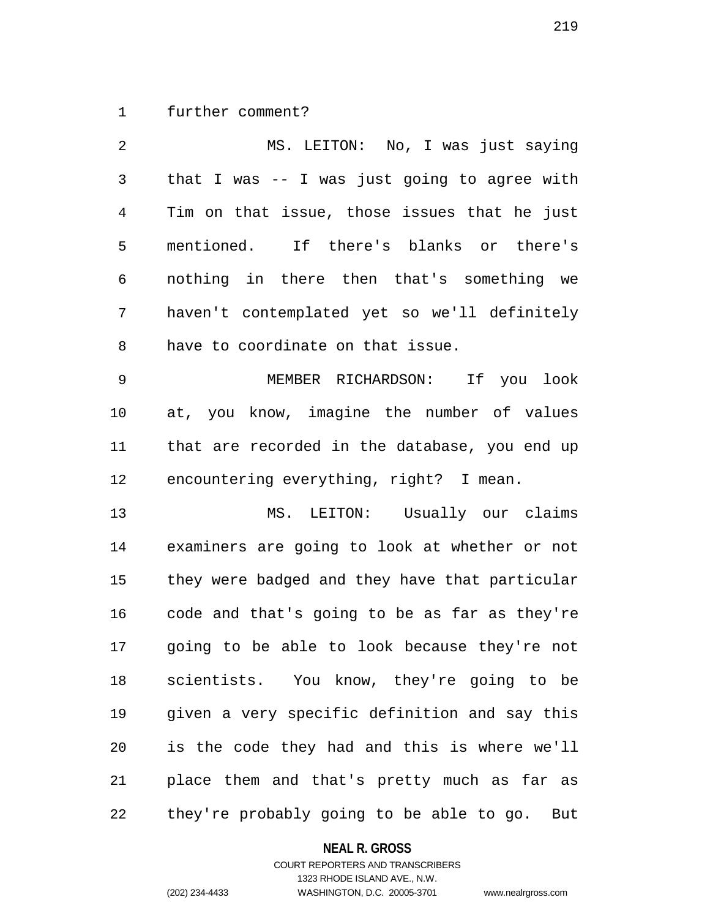1 further comment?

| 2            | MS. LEITON: No, I was just saying              |
|--------------|------------------------------------------------|
| $\mathsf{3}$ | that I was -- I was just going to agree with   |
| 4            | Tim on that issue, those issues that he just   |
| 5            | mentioned. If there's blanks or there's        |
| 6            | nothing in there then that's something we      |
| 7            | haven't contemplated yet so we'll definitely   |
| 8            | have to coordinate on that issue.              |
| 9            | MEMBER RICHARDSON: If you look                 |
| 10           | at, you know, imagine the number of values     |
| 11           | that are recorded in the database, you end up  |
| 12           | encountering everything, right? I mean.        |
| 13           | MS. LEITON: Usually our claims                 |
| 14           | examiners are going to look at whether or not  |
| 15           | they were badged and they have that particular |
| 16           | code and that's going to be as far as they're  |
| 17           | going to be able to look because they're not   |
| 18           | scientists. You know, they're going to be      |
| 19           | given a very specific definition and say this  |
| 20           | is the code they had and this is where we'll   |

21 place them and that's pretty much as far as 22 they're probably going to be able to go. But

## **NEAL R. GROSS**

## COURT REPORTERS AND TRANSCRIBERS 1323 RHODE ISLAND AVE., N.W. (202) 234-4433 WASHINGTON, D.C. 20005-3701 www.nealrgross.com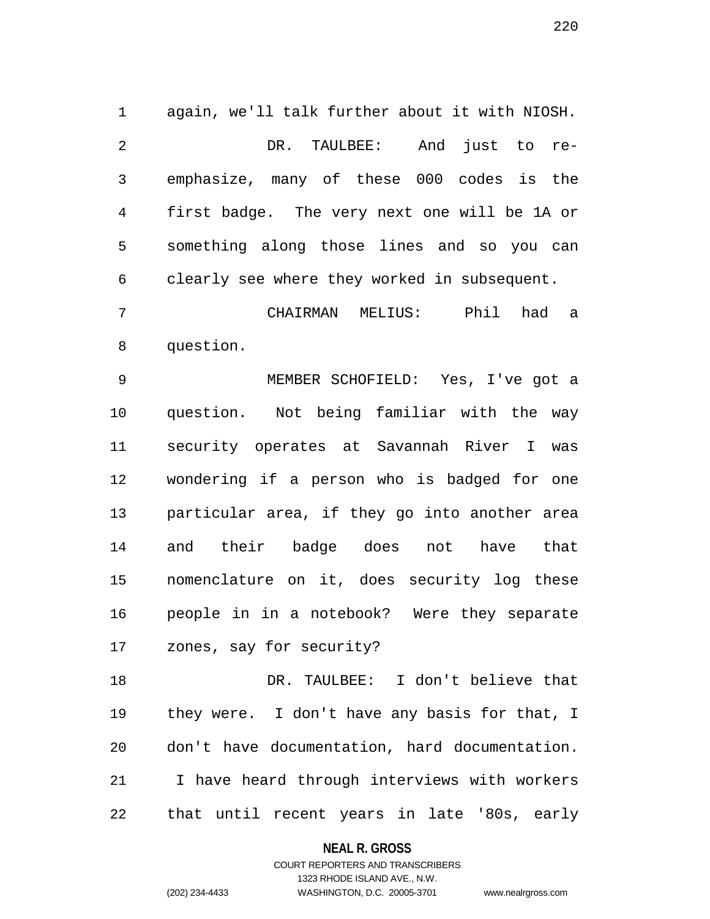1 again, we'll talk further about it with NIOSH. 2 DR. TAULBEE: And just to re-3 emphasize, many of these 000 codes is the 4 first badge. The very next one will be 1A or 5 something along those lines and so you can 6 clearly see where they worked in subsequent.

7 CHAIRMAN MELIUS: Phil had a 8 question.

9 MEMBER SCHOFIELD: Yes, I've got a 10 question. Not being familiar with the way 11 security operates at Savannah River I was 12 wondering if a person who is badged for one 13 particular area, if they go into another area 14 and their badge does not have that 15 nomenclature on it, does security log these 16 people in in a notebook? Were they separate 17 zones, say for security?

18 DR. TAULBEE: I don't believe that 19 they were. I don't have any basis for that, I 20 don't have documentation, hard documentation. 21 I have heard through interviews with workers 22 that until recent years in late '80s, early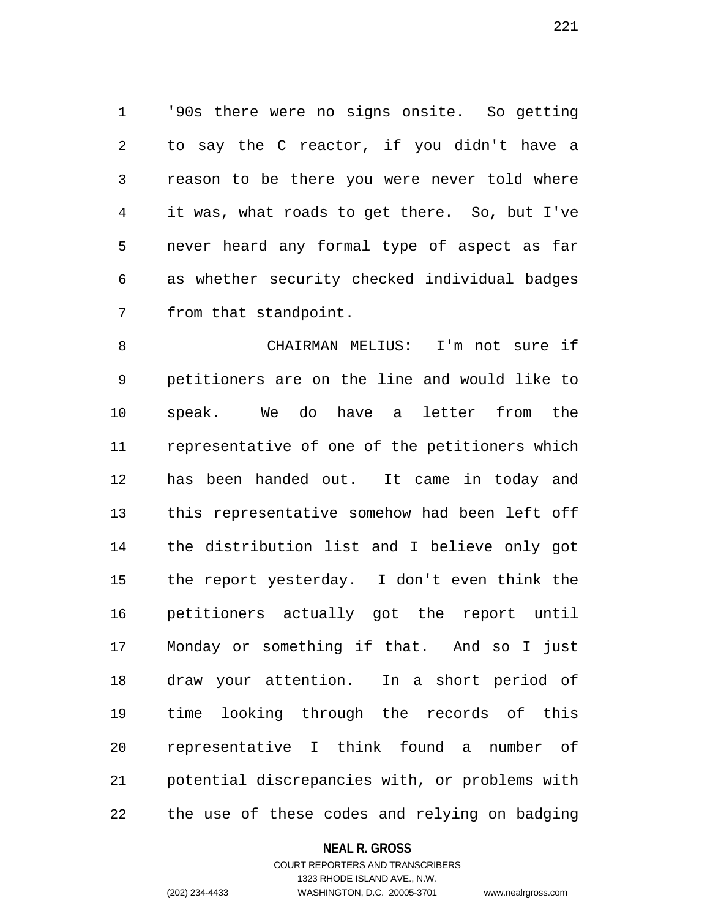1 '90s there were no signs onsite. So getting 2 to say the C reactor, if you didn't have a 3 reason to be there you were never told where 4 it was, what roads to get there. So, but I've 5 never heard any formal type of aspect as far 6 as whether security checked individual badges 7 from that standpoint.

8 CHAIRMAN MELIUS: I'm not sure if 9 petitioners are on the line and would like to 10 speak. We do have a letter from the 11 representative of one of the petitioners which 12 has been handed out. It came in today and 13 this representative somehow had been left off 14 the distribution list and I believe only got 15 the report yesterday. I don't even think the 16 petitioners actually got the report until 17 Monday or something if that. And so I just 18 draw your attention. In a short period of 19 time looking through the records of this 20 representative I think found a number of 21 potential discrepancies with, or problems with 22 the use of these codes and relying on badging

#### **NEAL R. GROSS**

### COURT REPORTERS AND TRANSCRIBERS 1323 RHODE ISLAND AVE., N.W. (202) 234-4433 WASHINGTON, D.C. 20005-3701 www.nealrgross.com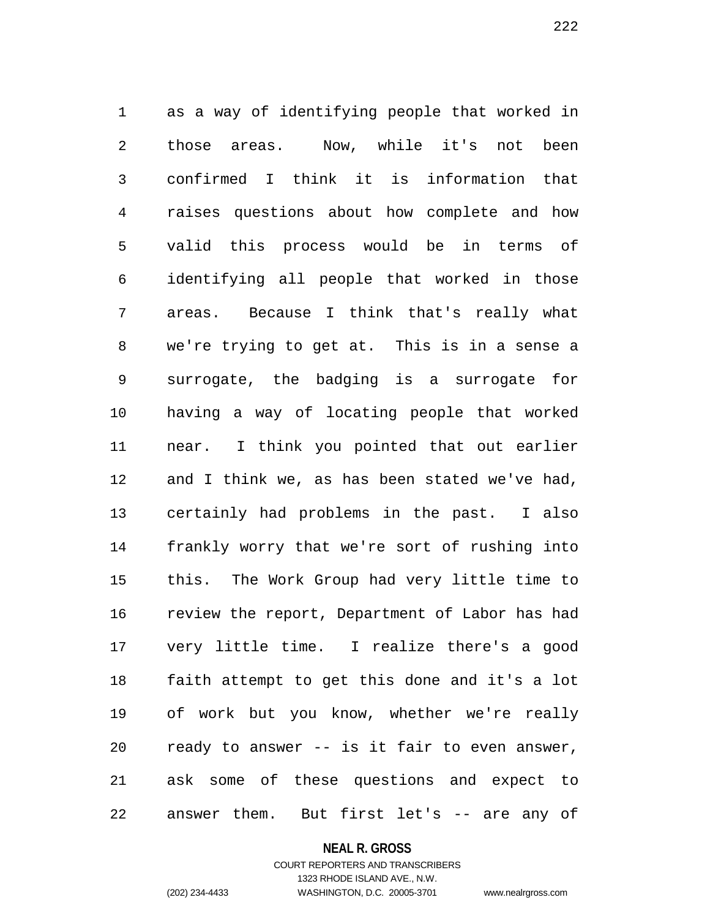1 as a way of identifying people that worked in 2 those areas. Now, while it's not been 3 confirmed I think it is information that 4 raises questions about how complete and how 5 valid this process would be in terms of 6 identifying all people that worked in those 7 areas. Because I think that's really what 8 we're trying to get at. This is in a sense a 9 surrogate, the badging is a surrogate for 10 having a way of locating people that worked 11 near. I think you pointed that out earlier 12 and I think we, as has been stated we've had, 13 certainly had problems in the past. I also 14 frankly worry that we're sort of rushing into 15 this. The Work Group had very little time to 16 review the report, Department of Labor has had 17 very little time. I realize there's a good 18 faith attempt to get this done and it's a lot 19 of work but you know, whether we're really 20 ready to answer -- is it fair to even answer, 21 ask some of these questions and expect to 22 answer them. But first let's -- are any of

#### **NEAL R. GROSS**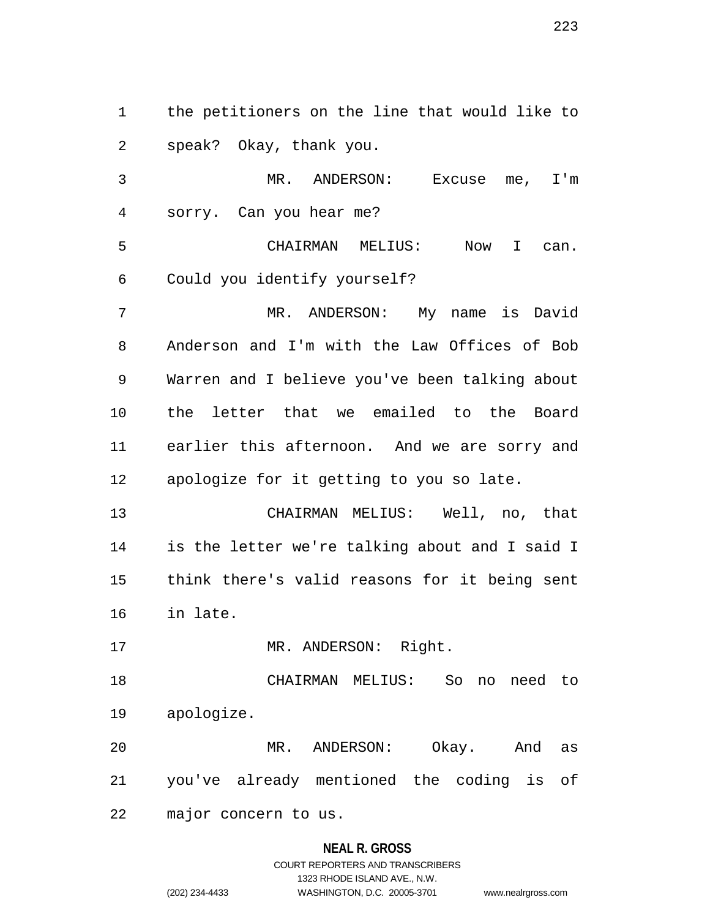1 the petitioners on the line that would like to 2 speak? Okay, thank you.

3 MR. ANDERSON: Excuse me, I'm 4 sorry. Can you hear me?

5 CHAIRMAN MELIUS: Now I can. 6 Could you identify yourself?

7 MR. ANDERSON: My name is David 8 Anderson and I'm with the Law Offices of Bob 9 Warren and I believe you've been talking about 10 the letter that we emailed to the Board 11 earlier this afternoon. And we are sorry and 12 apologize for it getting to you so late.

13 CHAIRMAN MELIUS: Well, no, that 14 is the letter we're talking about and I said I 15 think there's valid reasons for it being sent 16 in late.

17 MR. ANDERSON: Right.

18 CHAIRMAN MELIUS: So no need to 19 apologize.

20 MR. ANDERSON: Okay. And as 21 you've already mentioned the coding is of

22 major concern to us.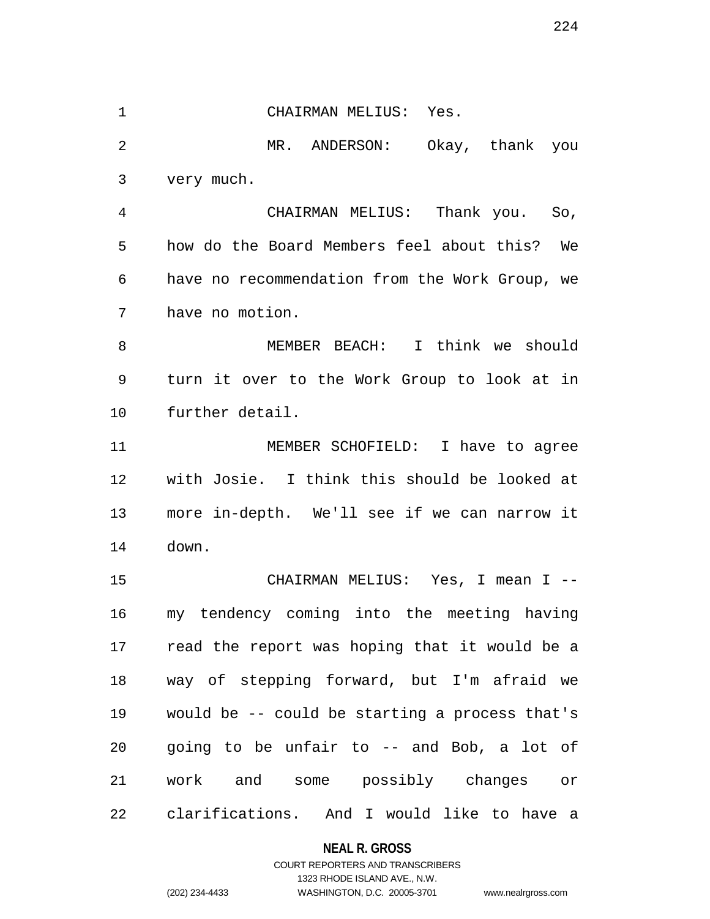1 CHAIRMAN MELIUS: Yes. 2 MR. ANDERSON: Okay, thank you 3 very much. 4 CHAIRMAN MELIUS: Thank you. So, 5 how do the Board Members feel about this? We 6 have no recommendation from the Work Group, we 7 have no motion. 8 MEMBER BEACH: I think we should 9 turn it over to the Work Group to look at in 10 further detail. 11 MEMBER SCHOFIELD: I have to agree 12 with Josie. I think this should be looked at 13 more in-depth. We'll see if we can narrow it 14 down. 15 CHAIRMAN MELIUS: Yes, I mean I -- 16 my tendency coming into the meeting having 17 read the report was hoping that it would be a 18 way of stepping forward, but I'm afraid we 19 would be -- could be starting a process that's 20 going to be unfair to -- and Bob, a lot of 21 work and some possibly changes or 22 clarifications. And I would like to have a

## **NEAL R. GROSS**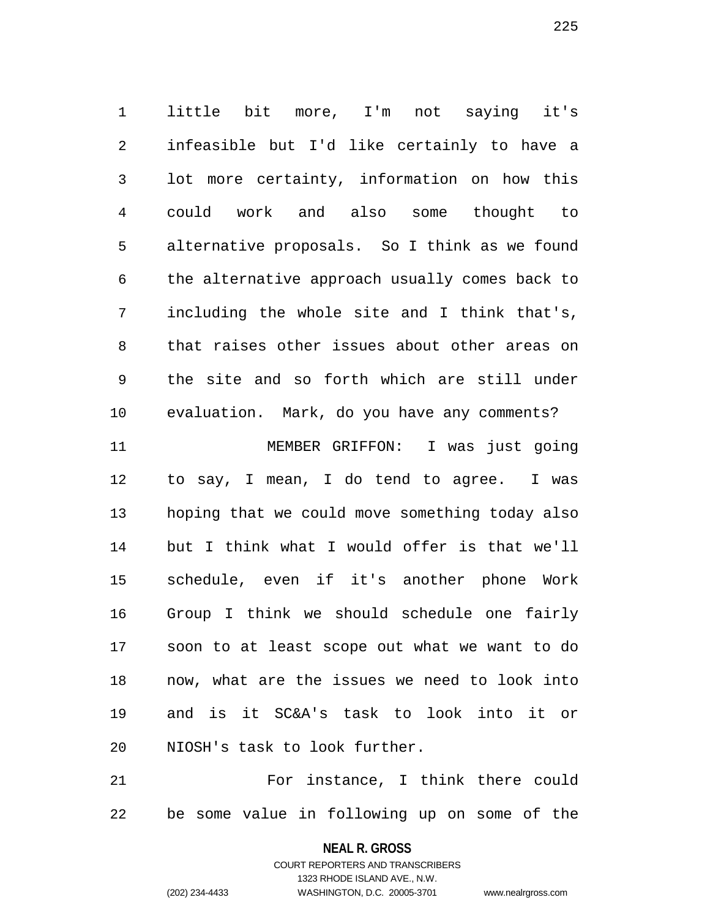1 little bit more, I'm not saying it's 2 infeasible but I'd like certainly to have a 3 lot more certainty, information on how this 4 could work and also some thought to 5 alternative proposals. So I think as we found 6 the alternative approach usually comes back to 7 including the whole site and I think that's, 8 that raises other issues about other areas on 9 the site and so forth which are still under 10 evaluation. Mark, do you have any comments?

11 MEMBER GRIFFON: I was just going 12 to say, I mean, I do tend to agree. I was 13 hoping that we could move something today also 14 but I think what I would offer is that we'll 15 schedule, even if it's another phone Work 16 Group I think we should schedule one fairly 17 soon to at least scope out what we want to do 18 now, what are the issues we need to look into 19 and is it SC&A's task to look into it or 20 NIOSH's task to look further.

21 For instance, I think there could 22 be some value in following up on some of the

> **NEAL R. GROSS** COURT REPORTERS AND TRANSCRIBERS

1323 RHODE ISLAND AVE., N.W. (202) 234-4433 WASHINGTON, D.C. 20005-3701 www.nealrgross.com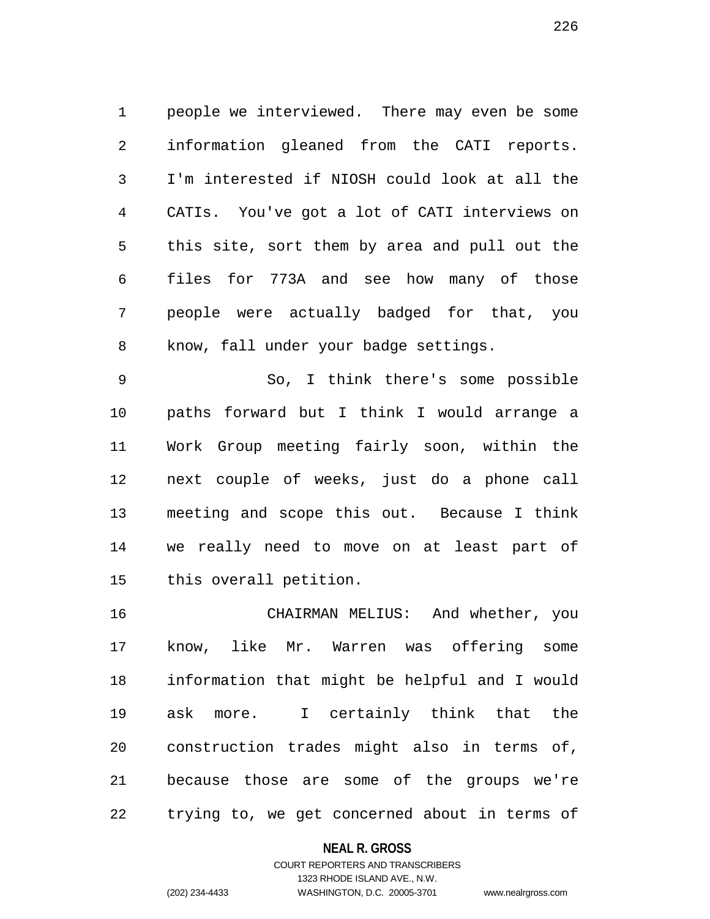1 people we interviewed. There may even be some 2 information gleaned from the CATI reports. 3 I'm interested if NIOSH could look at all the 4 CATIs. You've got a lot of CATI interviews on 5 this site, sort them by area and pull out the 6 files for 773A and see how many of those 7 people were actually badged for that, you 8 know, fall under your badge settings.

9 So, I think there's some possible 10 paths forward but I think I would arrange a 11 Work Group meeting fairly soon, within the 12 next couple of weeks, just do a phone call 13 meeting and scope this out. Because I think 14 we really need to move on at least part of 15 this overall petition.

16 CHAIRMAN MELIUS: And whether, you 17 know, like Mr. Warren was offering some 18 information that might be helpful and I would 19 ask more. I certainly think that the 20 construction trades might also in terms of, 21 because those are some of the groups we're 22 trying to, we get concerned about in terms of

### **NEAL R. GROSS**

## COURT REPORTERS AND TRANSCRIBERS 1323 RHODE ISLAND AVE., N.W. (202) 234-4433 WASHINGTON, D.C. 20005-3701 www.nealrgross.com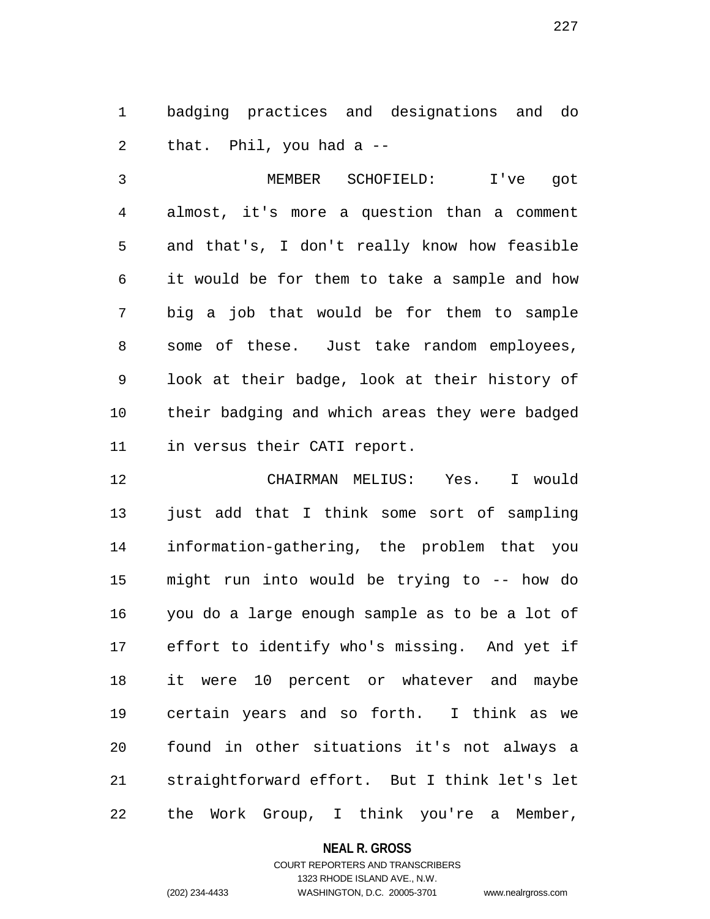1 badging practices and designations and do 2 that. Phil, you had a --

3 MEMBER SCHOFIELD: I've got 4 almost, it's more a question than a comment 5 and that's, I don't really know how feasible 6 it would be for them to take a sample and how 7 big a job that would be for them to sample 8 some of these. Just take random employees, 9 look at their badge, look at their history of 10 their badging and which areas they were badged 11 in versus their CATI report.

12 CHAIRMAN MELIUS: Yes. I would 13 just add that I think some sort of sampling 14 information-gathering, the problem that you 15 might run into would be trying to -- how do 16 you do a large enough sample as to be a lot of 17 effort to identify who's missing. And yet if 18 it were 10 percent or whatever and maybe 19 certain years and so forth. I think as we 20 found in other situations it's not always a 21 straightforward effort. But I think let's let 22 the Work Group, I think you're a Member,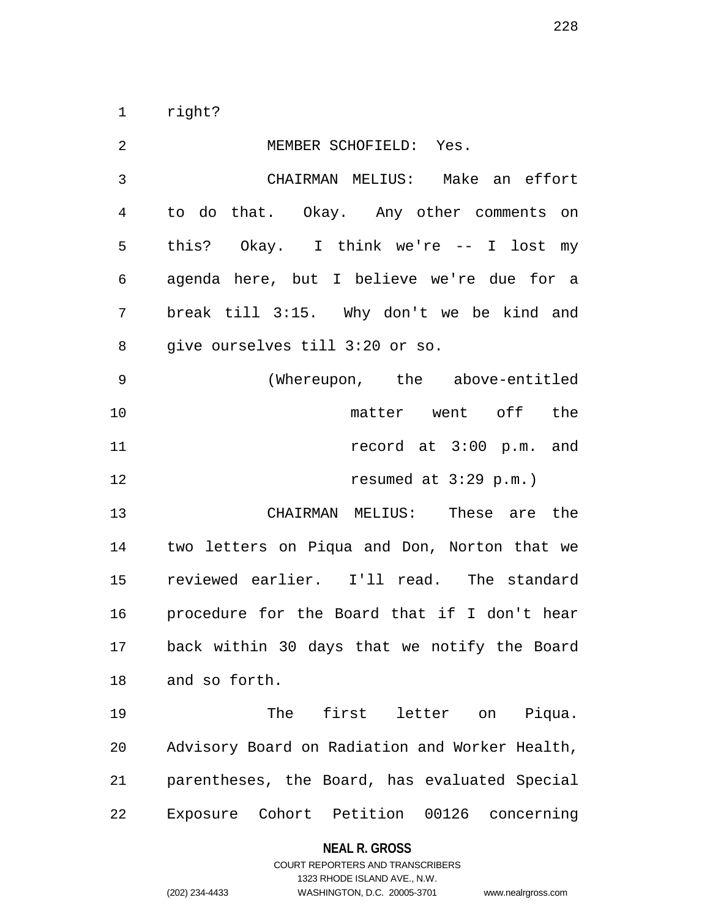1 right?

| 2  | MEMBER SCHOFIELD: Yes.                          |
|----|-------------------------------------------------|
| 3  | CHAIRMAN MELIUS: Make an effort                 |
| 4  | to do that. Okay. Any other comments on         |
| 5  | this? Okay. I think we're -- I lost my          |
| 6  | agenda here, but I believe we're due for a      |
| 7  | break till 3:15. Why don't we be kind and       |
| 8  | give ourselves till 3:20 or so.                 |
| 9  | (Whereupon, the above-entitled                  |
| 10 | matter went off the                             |
| 11 | record at 3:00 p.m. and                         |
| 12 | resumed at $3:29$ p.m.)                         |
| 13 | CHAIRMAN MELIUS: These are the                  |
| 14 | two letters on Piqua and Don, Norton that we    |
| 15 | reviewed earlier. I'll read. The standard       |
| 16 | procedure for the Board that if I don't hear    |
| 17 | back within 30 days that we notify the Board    |
| 18 | and so forth.                                   |
| 19 | first letter on<br>The<br>Piqua.                |
| 20 | Advisory Board on Radiation and Worker Health,  |
| 21 | parentheses, the Board, has evaluated Special   |
| 22 | Exposure Cohort Petition<br>00126<br>concerning |

**NEAL R. GROSS**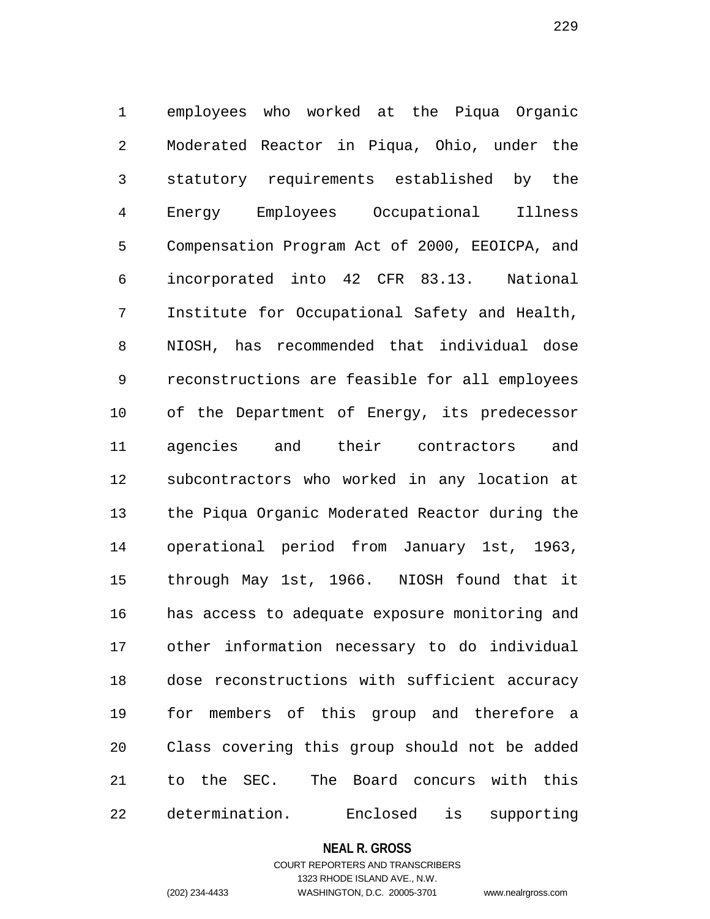1 employees who worked at the Piqua Organic 2 Moderated Reactor in Piqua, Ohio, under the 3 statutory requirements established by the 4 Energy Employees Occupational Illness 5 Compensation Program Act of 2000, EEOICPA, and 6 incorporated into 42 CFR 83.13. National 7 Institute for Occupational Safety and Health, 8 NIOSH, has recommended that individual dose 9 reconstructions are feasible for all employees 10 of the Department of Energy, its predecessor 11 agencies and their contractors and 12 subcontractors who worked in any location at 13 the Piqua Organic Moderated Reactor during the 14 operational period from January 1st, 1963, 15 through May 1st, 1966. NIOSH found that it 16 has access to adequate exposure monitoring and 17 other information necessary to do individual 18 dose reconstructions with sufficient accuracy 19 for members of this group and therefore a 20 Class covering this group should not be added 21 to the SEC. The Board concurs with this 22 determination. Enclosed is supporting

#### **NEAL R. GROSS**

### COURT REPORTERS AND TRANSCRIBERS 1323 RHODE ISLAND AVE., N.W. (202) 234-4433 WASHINGTON, D.C. 20005-3701 www.nealrgross.com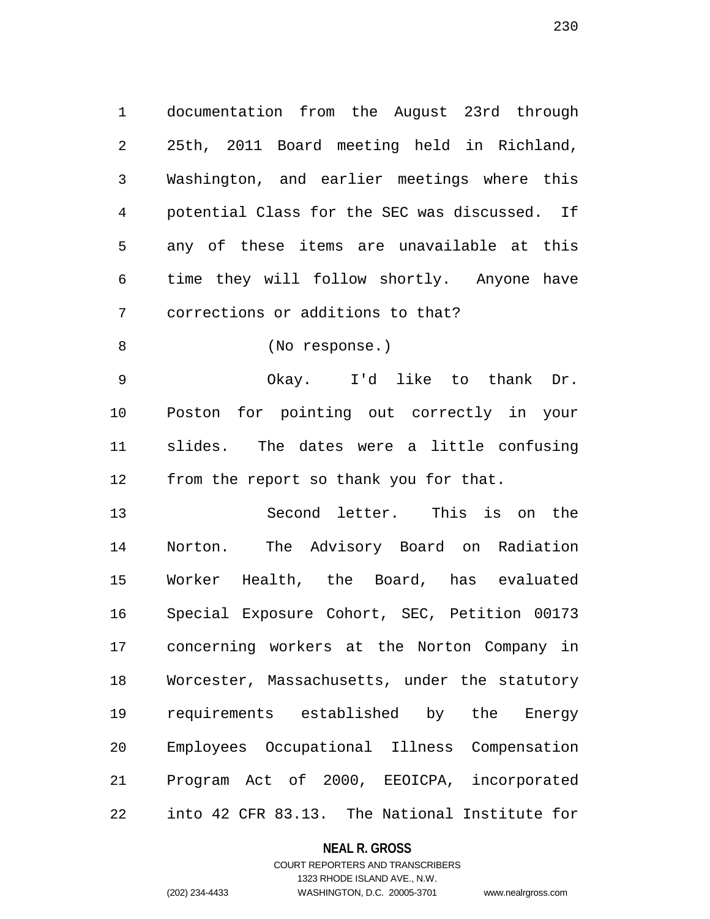1 documentation from the August 23rd through 2 25th, 2011 Board meeting held in Richland, 3 Washington, and earlier meetings where this 4 potential Class for the SEC was discussed. If 5 any of these items are unavailable at this 6 time they will follow shortly. Anyone have 7 corrections or additions to that?

8 (No response.)

9 Okay. I'd like to thank Dr. 10 Poston for pointing out correctly in your 11 slides. The dates were a little confusing 12 from the report so thank you for that.

13 Second letter. This is on the 14 Norton. The Advisory Board on Radiation 15 Worker Health, the Board, has evaluated 16 Special Exposure Cohort, SEC, Petition 00173 17 concerning workers at the Norton Company in 18 Worcester, Massachusetts, under the statutory 19 requirements established by the Energy 20 Employees Occupational Illness Compensation 21 Program Act of 2000, EEOICPA, incorporated 22 into 42 CFR 83.13. The National Institute for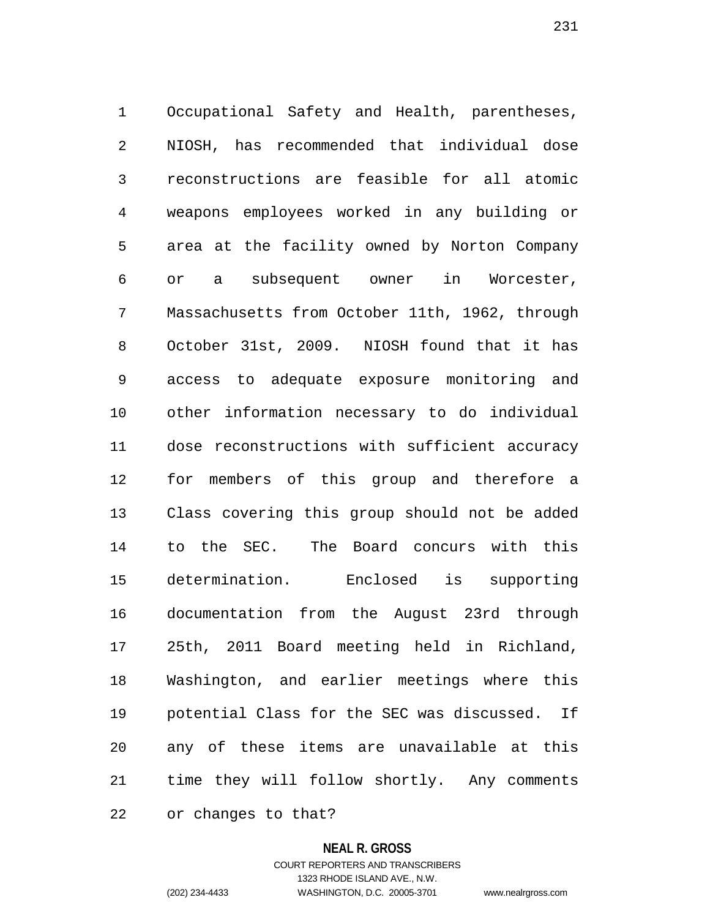1 Occupational Safety and Health, parentheses, 2 NIOSH, has recommended that individual dose 3 reconstructions are feasible for all atomic 4 weapons employees worked in any building or 5 area at the facility owned by Norton Company 6 or a subsequent owner in Worcester, 7 Massachusetts from October 11th, 1962, through 8 October 31st, 2009. NIOSH found that it has 9 access to adequate exposure monitoring and 10 other information necessary to do individual 11 dose reconstructions with sufficient accuracy 12 for members of this group and therefore a 13 Class covering this group should not be added 14 to the SEC. The Board concurs with this 15 determination. Enclosed is supporting 16 documentation from the August 23rd through 17 25th, 2011 Board meeting held in Richland, 18 Washington, and earlier meetings where this 19 potential Class for the SEC was discussed. If 20 any of these items are unavailable at this 21 time they will follow shortly. Any comments

22 or changes to that?

#### **NEAL R. GROSS**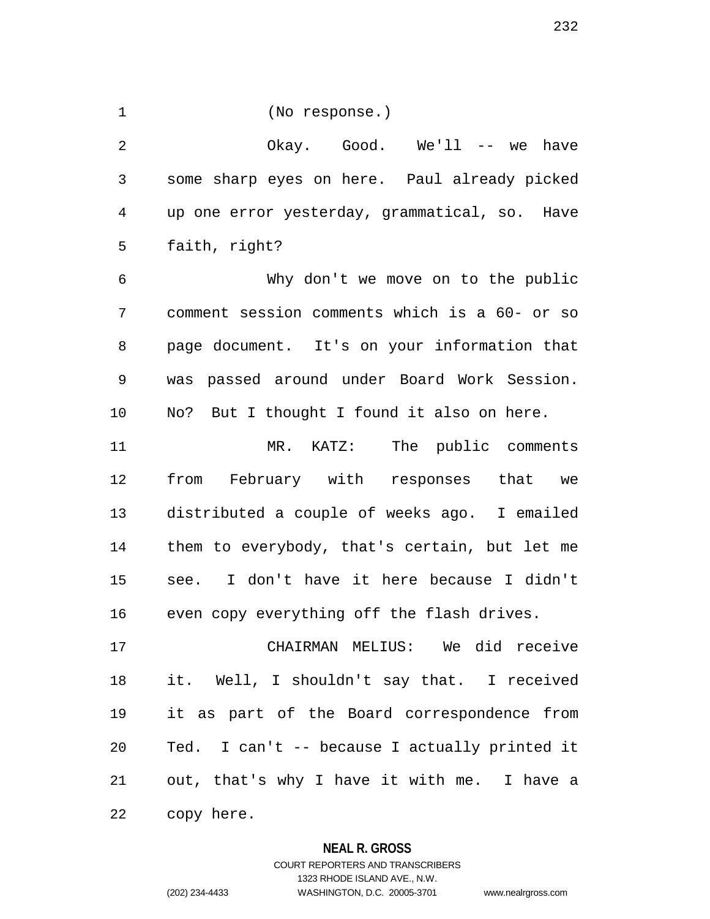1 (No response.)

2 Okay. Good. We'll -- we have 3 some sharp eyes on here. Paul already picked 4 up one error yesterday, grammatical, so. Have 5 faith, right?

6 Why don't we move on to the public 7 comment session comments which is a 60- or so 8 page document. It's on your information that 9 was passed around under Board Work Session. 10 No? But I thought I found it also on here.

11 MR. KATZ: The public comments 12 from February with responses that we 13 distributed a couple of weeks ago. I emailed 14 them to everybody, that's certain, but let me 15 see. I don't have it here because I didn't 16 even copy everything off the flash drives.

17 CHAIRMAN MELIUS: We did receive 18 it. Well, I shouldn't say that. I received 19 it as part of the Board correspondence from 20 Ted. I can't -- because I actually printed it 21 out, that's why I have it with me. I have a 22 copy here.

### **NEAL R. GROSS**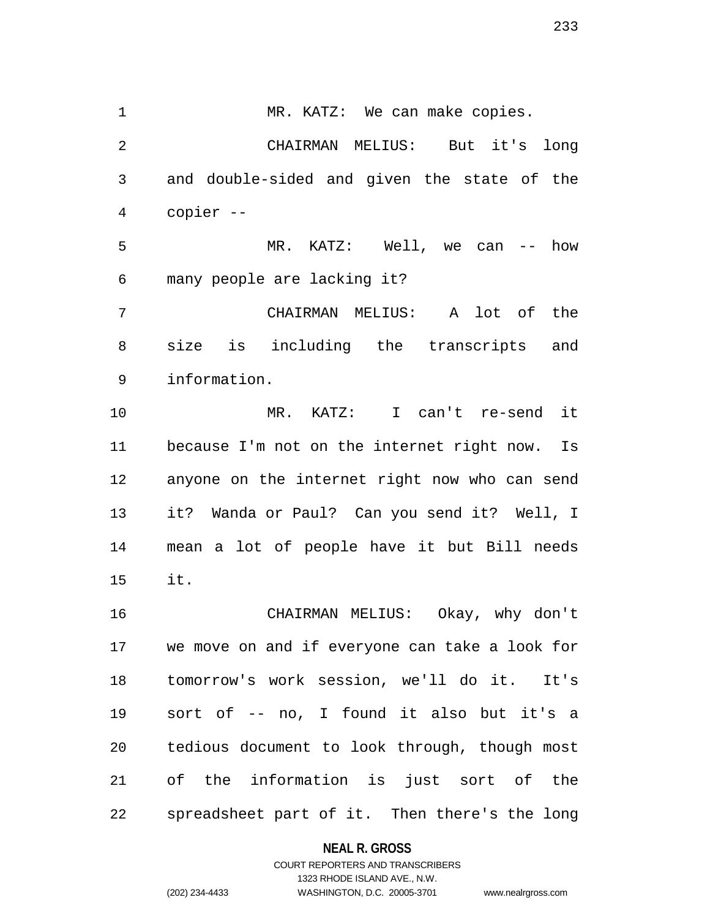1 MR. KATZ: We can make copies. 2 CHAIRMAN MELIUS: But it's long 3 and double-sided and given the state of the 4 copier -- 5 MR. KATZ: Well, we can -- how 6 many people are lacking it? 7 CHAIRMAN MELIUS: A lot of the 8 size is including the transcripts and 9 information. 10 MR. KATZ: I can't re-send it

11 because I'm not on the internet right now. Is 12 anyone on the internet right now who can send 13 it? Wanda or Paul? Can you send it? Well, I 14 mean a lot of people have it but Bill needs 15 it.

16 CHAIRMAN MELIUS: Okay, why don't 17 we move on and if everyone can take a look for 18 tomorrow's work session, we'll do it. It's 19 sort of -- no, I found it also but it's a 20 tedious document to look through, though most 21 of the information is just sort of the 22 spreadsheet part of it. Then there's the long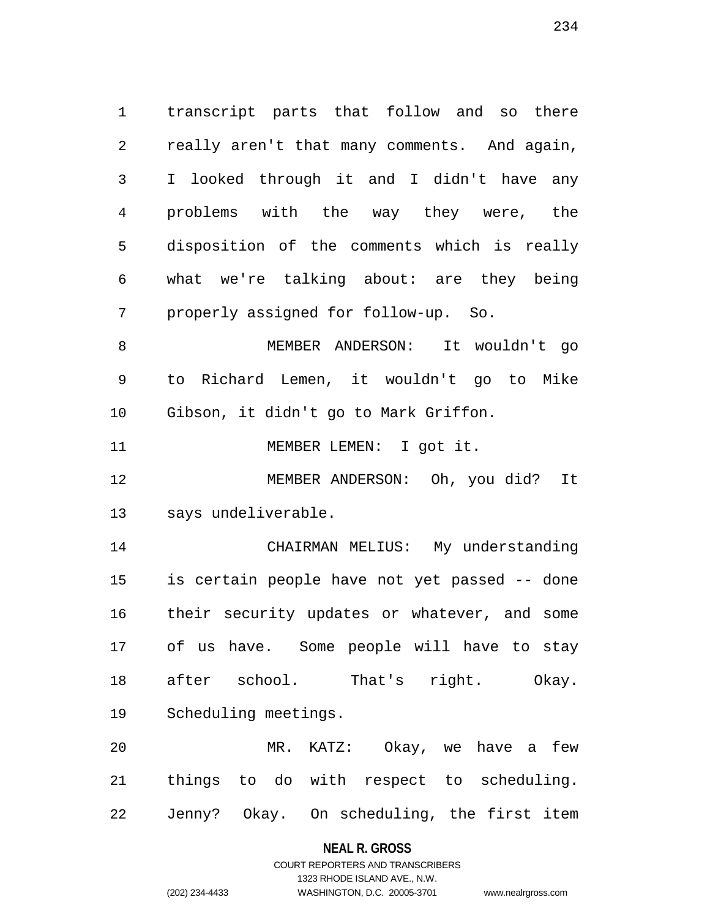1 transcript parts that follow and so there 2 really aren't that many comments. And again, 3 I looked through it and I didn't have any 4 problems with the way they were, the 5 disposition of the comments which is really 6 what we're talking about: are they being 7 properly assigned for follow-up. So.

8 MEMBER ANDERSON: It wouldn't go 9 to Richard Lemen, it wouldn't go to Mike 10 Gibson, it didn't go to Mark Griffon.

11 MEMBER LEMEN: I got it.

12 MEMBER ANDERSON: Oh, you did? It 13 says undeliverable.

14 CHAIRMAN MELIUS: My understanding 15 is certain people have not yet passed -- done 16 their security updates or whatever, and some 17 of us have. Some people will have to stay 18 after school. That's right. Okay. 19 Scheduling meetings.

20 MR. KATZ: Okay, we have a few 21 things to do with respect to scheduling. 22 Jenny? Okay. On scheduling, the first item

### **NEAL R. GROSS**

### COURT REPORTERS AND TRANSCRIBERS 1323 RHODE ISLAND AVE., N.W. (202) 234-4433 WASHINGTON, D.C. 20005-3701 www.nealrgross.com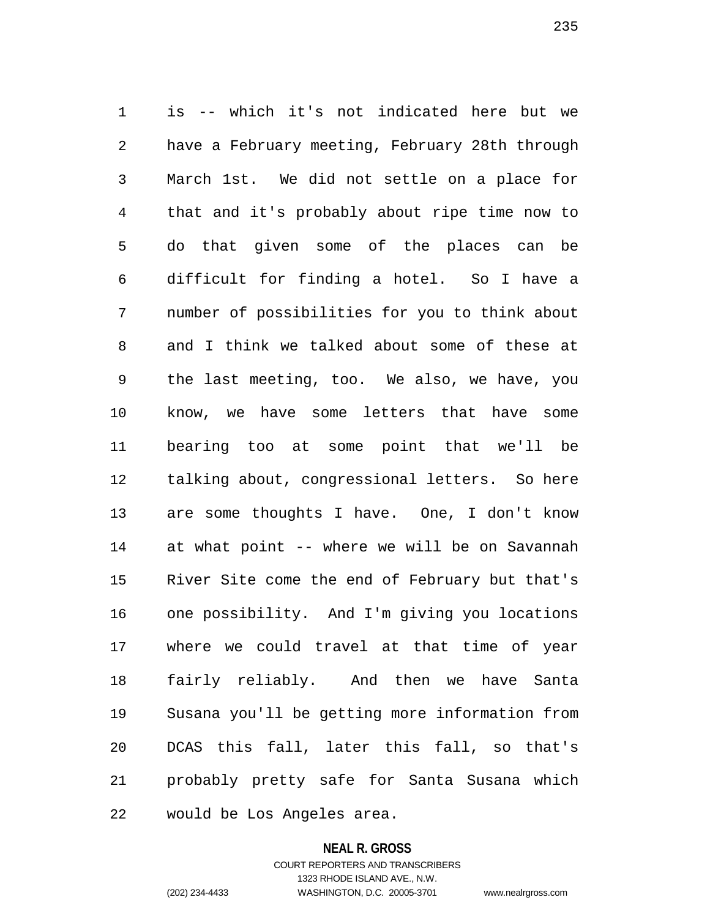1 is -- which it's not indicated here but we 2 have a February meeting, February 28th through 3 March 1st. We did not settle on a place for 4 that and it's probably about ripe time now to 5 do that given some of the places can be 6 difficult for finding a hotel. So I have a 7 number of possibilities for you to think about 8 and I think we talked about some of these at 9 the last meeting, too. We also, we have, you 10 know, we have some letters that have some 11 bearing too at some point that we'll be 12 talking about, congressional letters. So here 13 are some thoughts I have. One, I don't know 14 at what point -- where we will be on Savannah 15 River Site come the end of February but that's 16 one possibility. And I'm giving you locations 17 where we could travel at that time of year 18 fairly reliably. And then we have Santa 19 Susana you'll be getting more information from 20 DCAS this fall, later this fall, so that's 21 probably pretty safe for Santa Susana which 22 would be Los Angeles area.

#### **NEAL R. GROSS**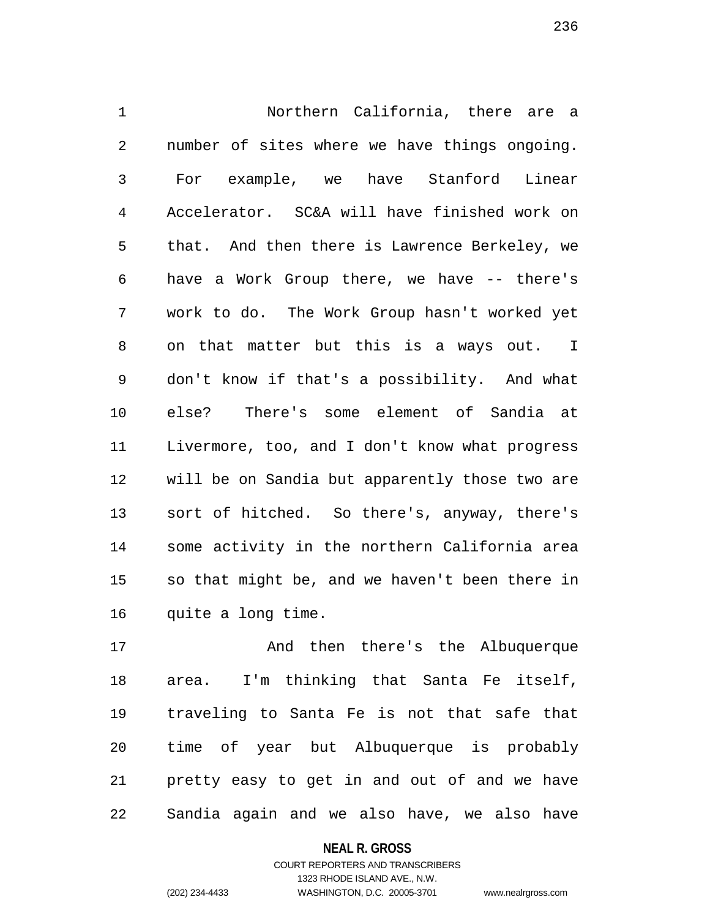1 Northern California, there are a 2 number of sites where we have things ongoing. 3 For example, we have Stanford Linear 4 Accelerator. SC&A will have finished work on 5 that. And then there is Lawrence Berkeley, we 6 have a Work Group there, we have -- there's 7 work to do. The Work Group hasn't worked yet 8 on that matter but this is a ways out. I 9 don't know if that's a possibility. And what 10 else? There's some element of Sandia at 11 Livermore, too, and I don't know what progress 12 will be on Sandia but apparently those two are 13 sort of hitched. So there's, anyway, there's 14 some activity in the northern California area 15 so that might be, and we haven't been there in 16 quite a long time.

17 And then there's the Albuquerque 18 area. I'm thinking that Santa Fe itself, 19 traveling to Santa Fe is not that safe that 20 time of year but Albuquerque is probably 21 pretty easy to get in and out of and we have 22 Sandia again and we also have, we also have

**NEAL R. GROSS**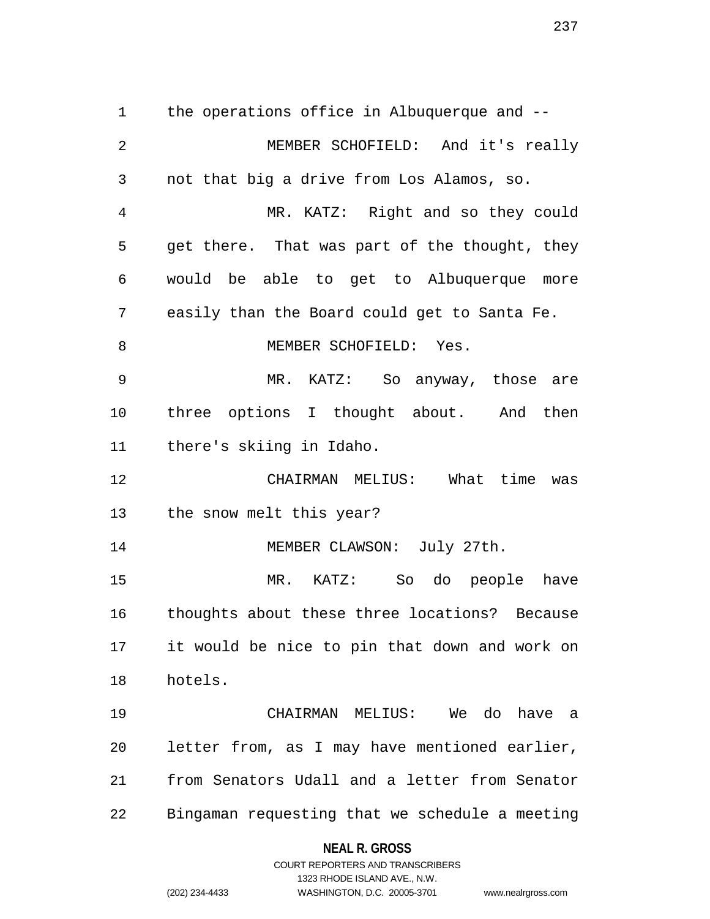1 the operations office in Albuquerque and -- 2 MEMBER SCHOFIELD: And it's really 3 not that big a drive from Los Alamos, so. 4 MR. KATZ: Right and so they could 5 get there. That was part of the thought, they 6 would be able to get to Albuquerque more 7 easily than the Board could get to Santa Fe. 8 MEMBER SCHOFIELD: Yes. 9 MR. KATZ: So anyway, those are 10 three options I thought about. And then 11 there's skiing in Idaho. 12 CHAIRMAN MELIUS: What time was 13 the snow melt this year? 14 MEMBER CLAWSON: July 27th. 15 MR. KATZ: So do people have 16 thoughts about these three locations? Because 17 it would be nice to pin that down and work on 18 hotels. 19 CHAIRMAN MELIUS: We do have a 20 letter from, as I may have mentioned earlier, 21 from Senators Udall and a letter from Senator 22 Bingaman requesting that we schedule a meeting

## **NEAL R. GROSS**

COURT REPORTERS AND TRANSCRIBERS 1323 RHODE ISLAND AVE., N.W. (202) 234-4433 WASHINGTON, D.C. 20005-3701 www.nealrgross.com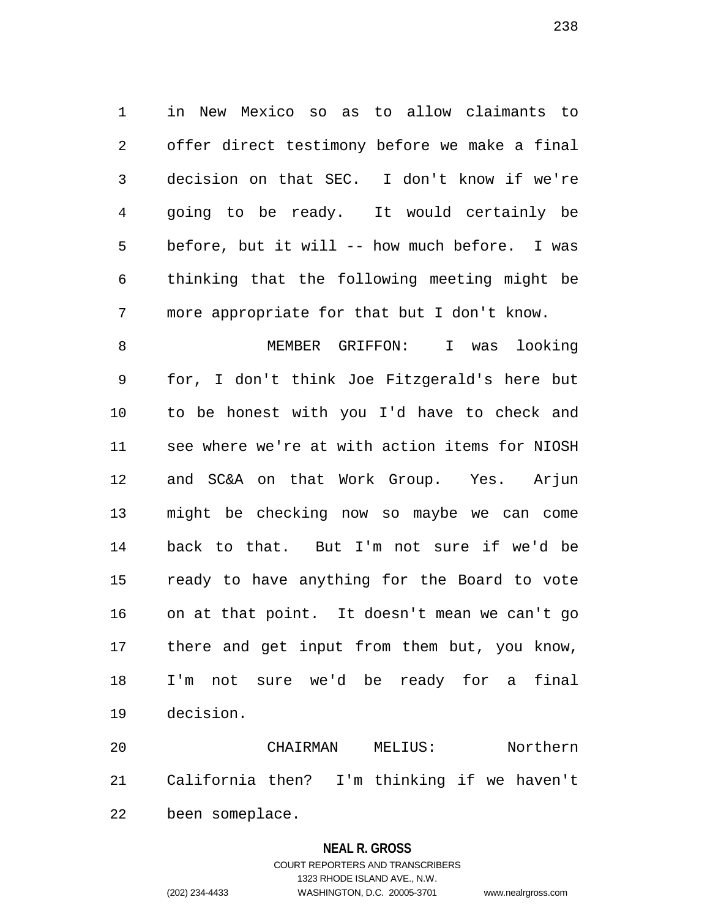1 in New Mexico so as to allow claimants to 2 offer direct testimony before we make a final 3 decision on that SEC. I don't know if we're 4 going to be ready. It would certainly be 5 before, but it will -- how much before. I was 6 thinking that the following meeting might be 7 more appropriate for that but I don't know.

8 MEMBER GRIFFON: I was looking 9 for, I don't think Joe Fitzgerald's here but 10 to be honest with you I'd have to check and 11 see where we're at with action items for NIOSH 12 and SC&A on that Work Group. Yes. Arjun 13 might be checking now so maybe we can come 14 back to that. But I'm not sure if we'd be 15 ready to have anything for the Board to vote 16 on at that point. It doesn't mean we can't go 17 there and get input from them but, you know, 18 I'm not sure we'd be ready for a final 19 decision.

20 CHAIRMAN MELIUS: Northern 21 California then? I'm thinking if we haven't 22 been someplace.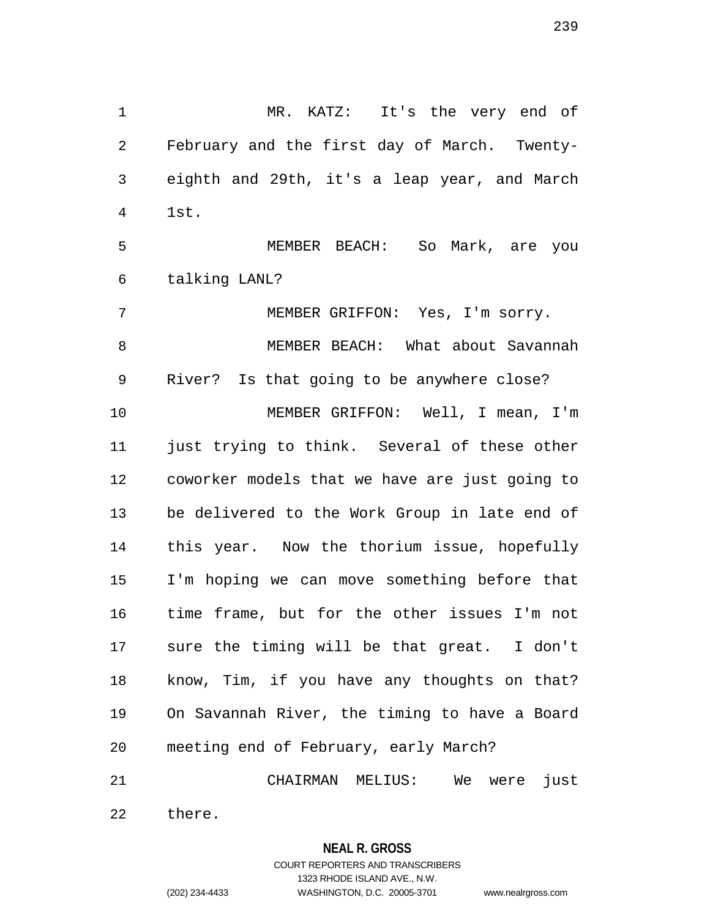1 MR. KATZ: It's the very end of 2 February and the first day of March. Twenty-3 eighth and 29th, it's a leap year, and March 4 1st. 5 MEMBER BEACH: So Mark, are you 6 talking LANL? 7 MEMBER GRIFFON: Yes, I'm sorry. 8 MEMBER BEACH: What about Savannah 9 River? Is that going to be anywhere close? 10 MEMBER GRIFFON: Well, I mean, I'm 11 just trying to think. Several of these other 12 coworker models that we have are just going to

13 be delivered to the Work Group in late end of 14 this year. Now the thorium issue, hopefully 15 I'm hoping we can move something before that 16 time frame, but for the other issues I'm not 17 sure the timing will be that great. I don't 18 know, Tim, if you have any thoughts on that? 19 On Savannah River, the timing to have a Board 20 meeting end of February, early March?

21 CHAIRMAN MELIUS: We were just 22 there.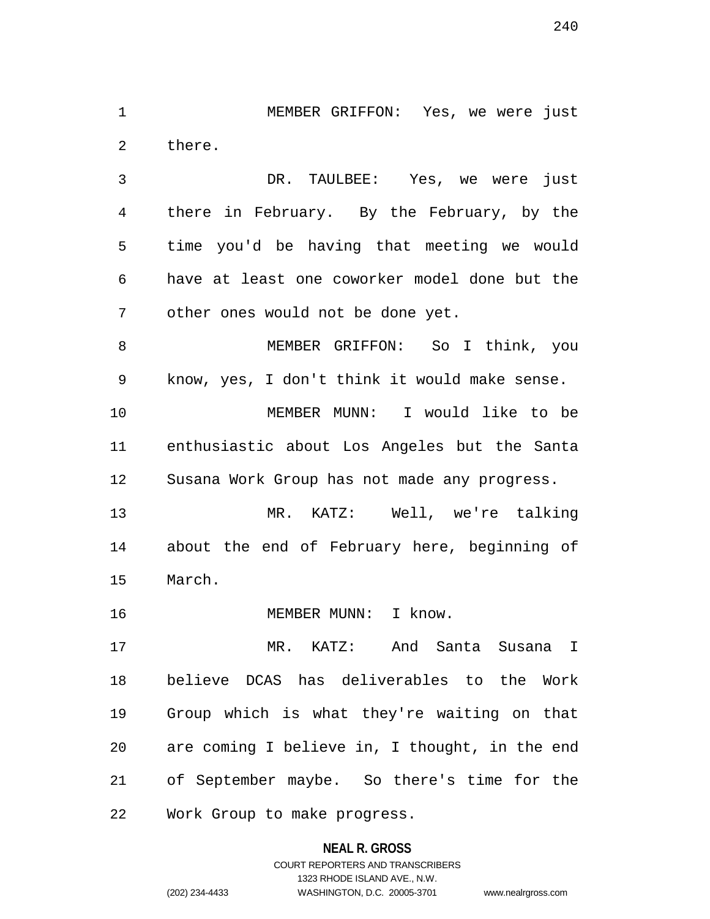1 MEMBER GRIFFON: Yes, we were just 2 there.

3 DR. TAULBEE: Yes, we were just 4 there in February. By the February, by the 5 time you'd be having that meeting we would 6 have at least one coworker model done but the 7 other ones would not be done yet.

8 MEMBER GRIFFON: So I think, you 9 know, yes, I don't think it would make sense. 10 MEMBER MUNN: I would like to be 11 enthusiastic about Los Angeles but the Santa 12 Susana Work Group has not made any progress.

13 MR. KATZ: Well, we're talking 14 about the end of February here, beginning of 15 March.

16 MEMBER MUNN: I know.

17 MR. KATZ: And Santa Susana I 18 believe DCAS has deliverables to the Work 19 Group which is what they're waiting on that 20 are coming I believe in, I thought, in the end 21 of September maybe. So there's time for the 22 Work Group to make progress.

> **NEAL R. GROSS** COURT REPORTERS AND TRANSCRIBERS 1323 RHODE ISLAND AVE., N.W. (202) 234-4433 WASHINGTON, D.C. 20005-3701 www.nealrgross.com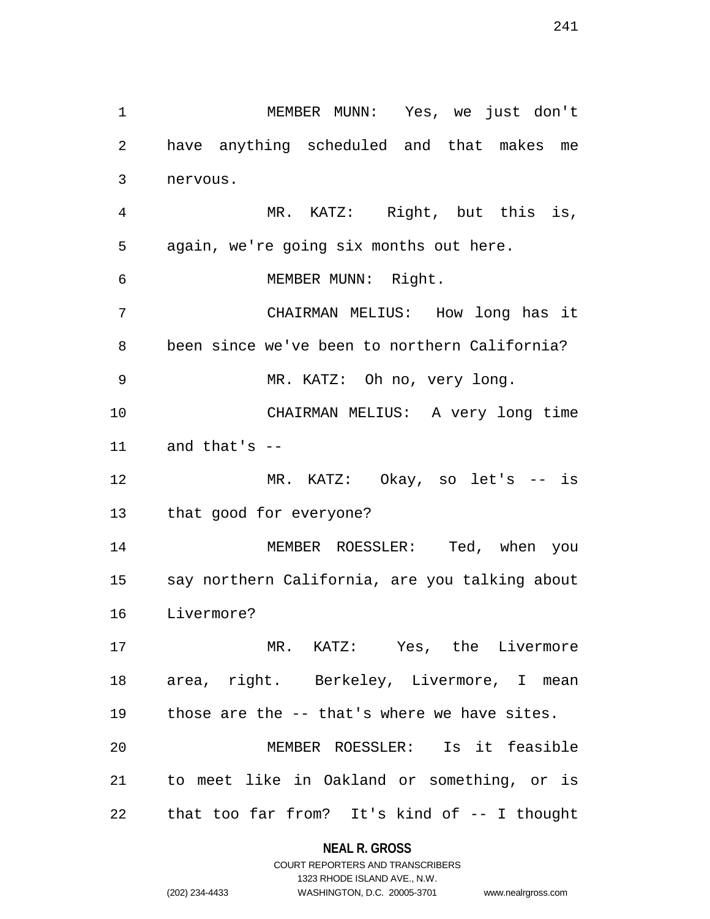1 MEMBER MUNN: Yes, we just don't

241

2 have anything scheduled and that makes me 3 nervous. 4 MR. KATZ: Right, but this is, 5 again, we're going six months out here. 6 MEMBER MUNN: Right. 7 CHAIRMAN MELIUS: How long has it 8 been since we've been to northern California? 9 MR. KATZ: Oh no, very long. 10 CHAIRMAN MELIUS: A very long time 11 and that's -- 12 MR. KATZ: Okay, so let's -- is 13 that good for everyone? 14 MEMBER ROESSLER: Ted, when you 15 say northern California, are you talking about 16 Livermore? 17 MR. KATZ: Yes, the Livermore 18 area, right. Berkeley, Livermore, I mean 19 those are the -- that's where we have sites. 20 MEMBER ROESSLER: Is it feasible 21 to meet like in Oakland or something, or is 22 that too far from? It's kind of -- I thought

## **NEAL R. GROSS**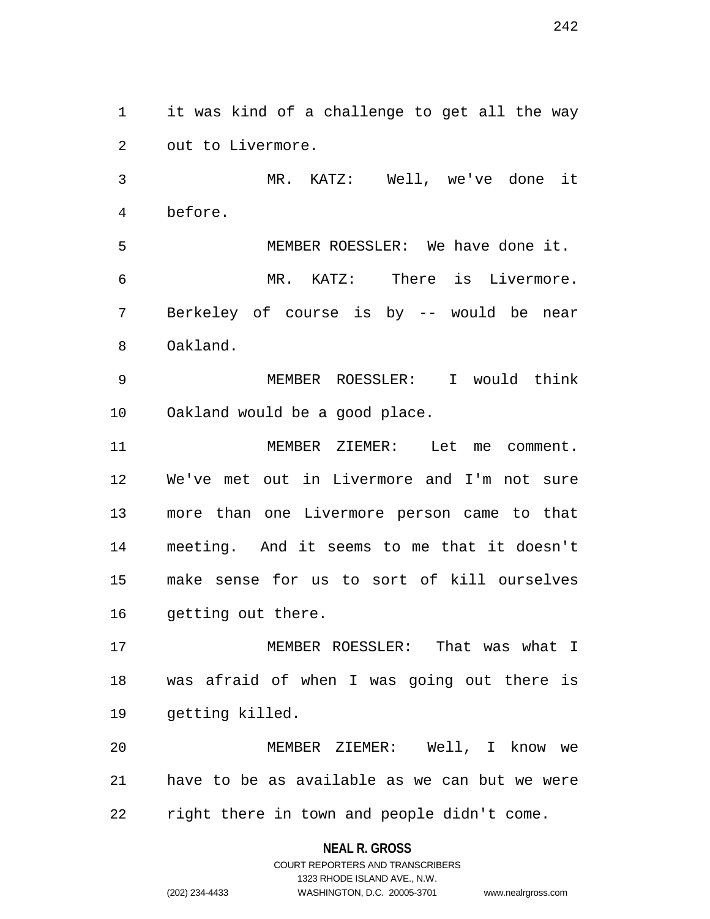1 it was kind of a challenge to get all the way 2 out to Livermore.

3 MR. KATZ: Well, we've done it 4 before.

5 MEMBER ROESSLER: We have done it. 6 MR. KATZ: There is Livermore. 7 Berkeley of course is by -- would be near 8 Oakland.

9 MEMBER ROESSLER: I would think 10 Oakland would be a good place.

11 MEMBER ZIEMER: Let me comment. 12 We've met out in Livermore and I'm not sure 13 more than one Livermore person came to that 14 meeting. And it seems to me that it doesn't 15 make sense for us to sort of kill ourselves 16 getting out there.

17 MEMBER ROESSLER: That was what I 18 was afraid of when I was going out there is 19 getting killed.

20 MEMBER ZIEMER: Well, I know we 21 have to be as available as we can but we were 22 right there in town and people didn't come.

#### **NEAL R. GROSS**

# COURT REPORTERS AND TRANSCRIBERS 1323 RHODE ISLAND AVE., N.W. (202) 234-4433 WASHINGTON, D.C. 20005-3701 www.nealrgross.com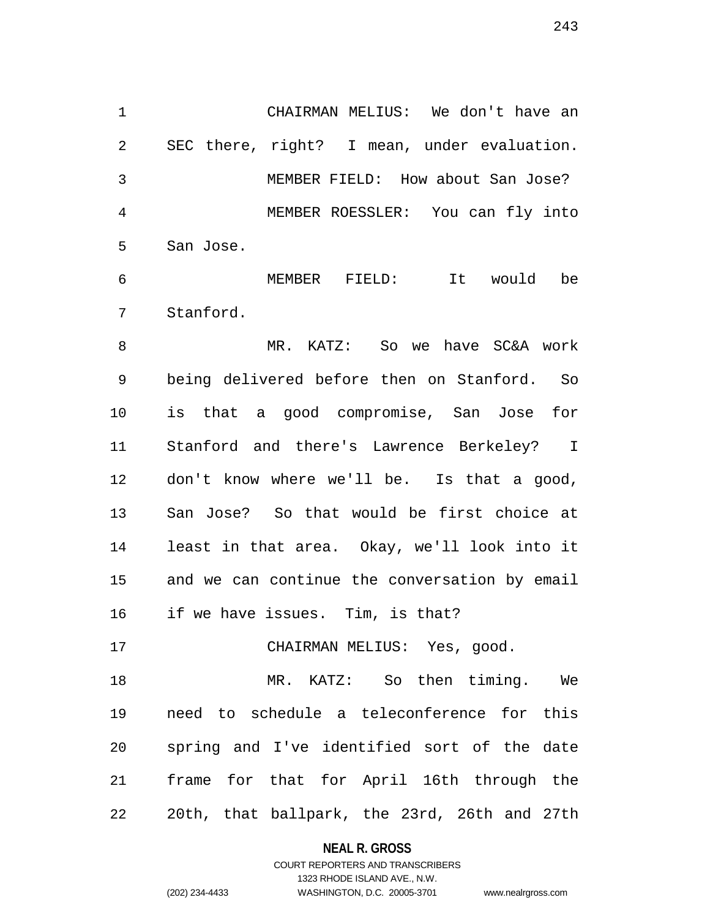1 CHAIRMAN MELIUS: We don't have an 2 SEC there, right? I mean, under evaluation. 3 MEMBER FIELD: How about San Jose? 4 MEMBER ROESSLER: You can fly into 5 San Jose.

6 MEMBER FIELD: It would be 7 Stanford.

8 MR. KATZ: So we have SC&A work 9 being delivered before then on Stanford. So 10 is that a good compromise, San Jose for 11 Stanford and there's Lawrence Berkeley? I 12 don't know where we'll be. Is that a good, 13 San Jose? So that would be first choice at 14 least in that area. Okay, we'll look into it 15 and we can continue the conversation by email 16 if we have issues. Tim, is that?

17 CHAIRMAN MELIUS: Yes, good.

18 MR. KATZ: So then timing. We 19 need to schedule a teleconference for this 20 spring and I've identified sort of the date 21 frame for that for April 16th through the 22 20th, that ballpark, the 23rd, 26th and 27th

**NEAL R. GROSS**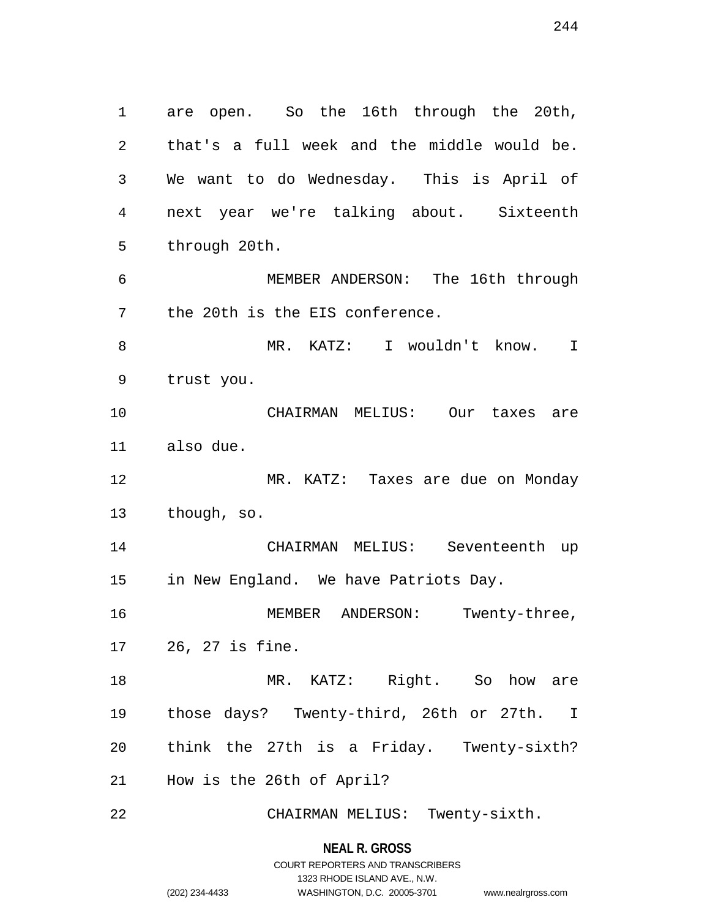1 are open. So the 16th through the 20th, 2 that's a full week and the middle would be. 3 We want to do Wednesday. This is April of 4 next year we're talking about. Sixteenth 5 through 20th. 6 MEMBER ANDERSON: The 16th through 7 the 20th is the EIS conference. 8 MR. KATZ: I wouldn't know. I 9 trust you. 10 CHAIRMAN MELIUS: Our taxes are 11 also due. 12 MR. KATZ: Taxes are due on Monday 13 though, so. 14 CHAIRMAN MELIUS: Seventeenth up 15 in New England. We have Patriots Day. 16 MEMBER ANDERSON: Twenty-three, 17 26, 27 is fine.

18 MR. KATZ: Right. So how are 19 those days? Twenty-third, 26th or 27th. I 20 think the 27th is a Friday. Twenty-sixth? 21 How is the 26th of April?

22 CHAIRMAN MELIUS: Twenty-sixth.

## **NEAL R. GROSS** COURT REPORTERS AND TRANSCRIBERS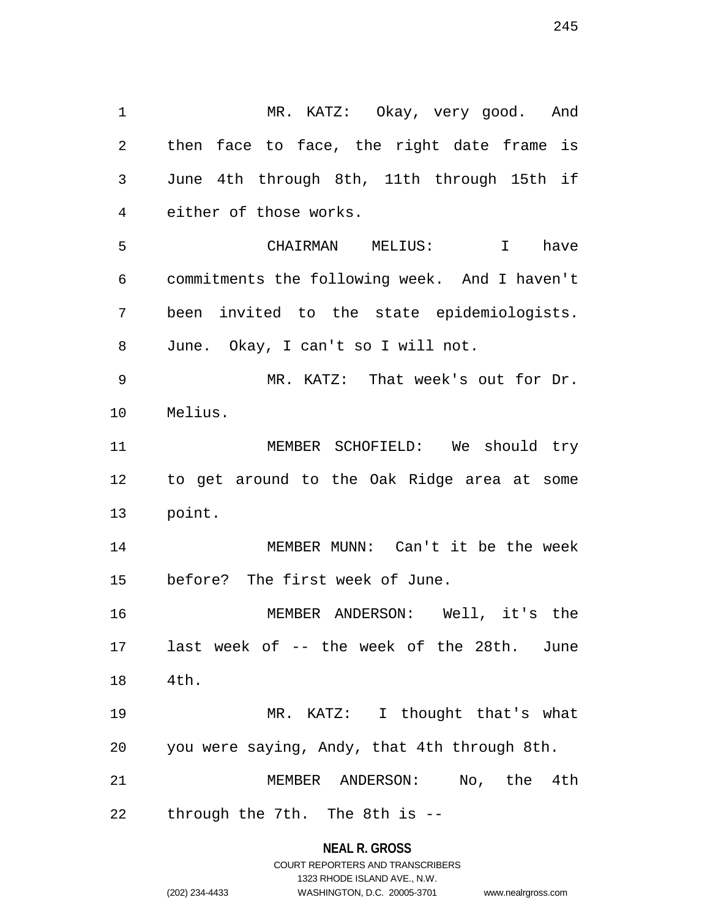1 MR. KATZ: Okay, very good. And 2 then face to face, the right date frame is 3 June 4th through 8th, 11th through 15th if 4 either of those works. 5 CHAIRMAN MELIUS: I have 6 commitments the following week. And I haven't 7 been invited to the state epidemiologists. 8 June. Okay, I can't so I will not. 9 MR. KATZ: That week's out for Dr. 10 Melius. 11 MEMBER SCHOFIELD: We should try 12 to get around to the Oak Ridge area at some 13 point. 14 MEMBER MUNN: Can't it be the week 15 before? The first week of June. 16 MEMBER ANDERSON: Well, it's the 17 last week of -- the week of the 28th. June 18 4th. 19 MR. KATZ: I thought that's what 20 you were saying, Andy, that 4th through 8th. 21 MEMBER ANDERSON: No, the 4th 22 through the 7th. The 8th is --

> **NEAL R. GROSS** COURT REPORTERS AND TRANSCRIBERS

1323 RHODE ISLAND AVE., N.W. (202) 234-4433 WASHINGTON, D.C. 20005-3701 www.nealrgross.com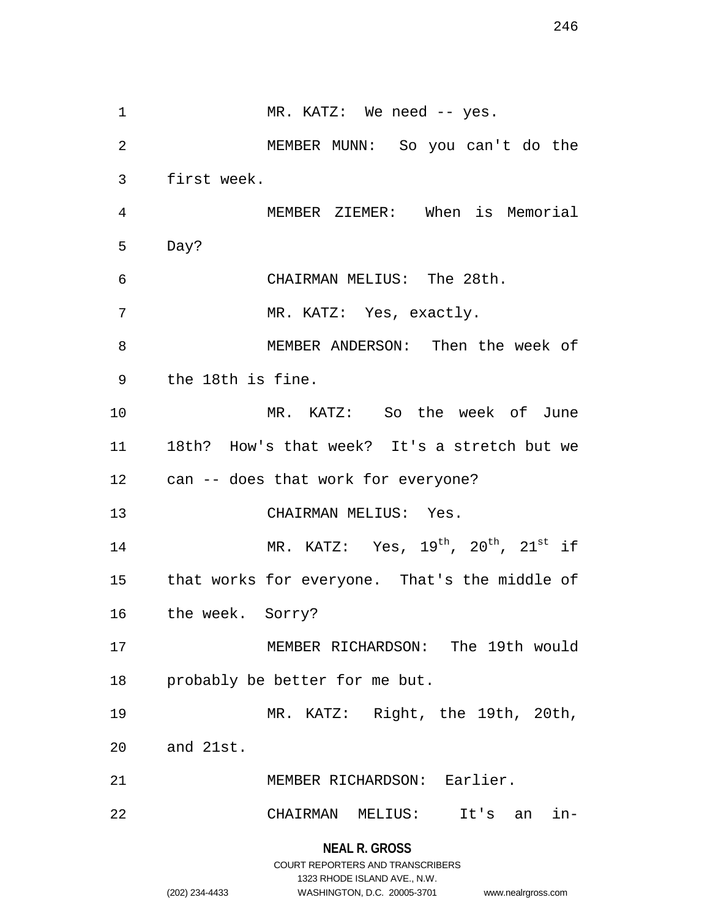**NEAL R. GROSS** 1 MR. KATZ: We need -- yes. 2 MEMBER MUNN: So you can't do the 3 first week. 4 MEMBER ZIEMER: When is Memorial 5 Day? 6 CHAIRMAN MELIUS: The 28th. 7 MR. KATZ: Yes, exactly. 8 MEMBER ANDERSON: Then the week of 9 the 18th is fine. 10 MR. KATZ: So the week of June 11 18th? How's that week? It's a stretch but we 12 can -- does that work for everyone? 13 CHAIRMAN MELIUS: Yes. 14 MR. KATZ: Yes,  $19<sup>th</sup>$ ,  $20<sup>th</sup>$ ,  $21<sup>st</sup>$  if 15 that works for everyone. That's the middle of 16 the week. Sorry? 17 MEMBER RICHARDSON: The 19th would 18 probably be better for me but. 19 MR. KATZ: Right, the 19th, 20th, 20 and 21st. 21 MEMBER RICHARDSON: Earlier. 22 CHAIRMAN MELIUS: It's an in-

> COURT REPORTERS AND TRANSCRIBERS 1323 RHODE ISLAND AVE., N.W.

(202) 234-4433 WASHINGTON, D.C. 20005-3701 www.nealrgross.com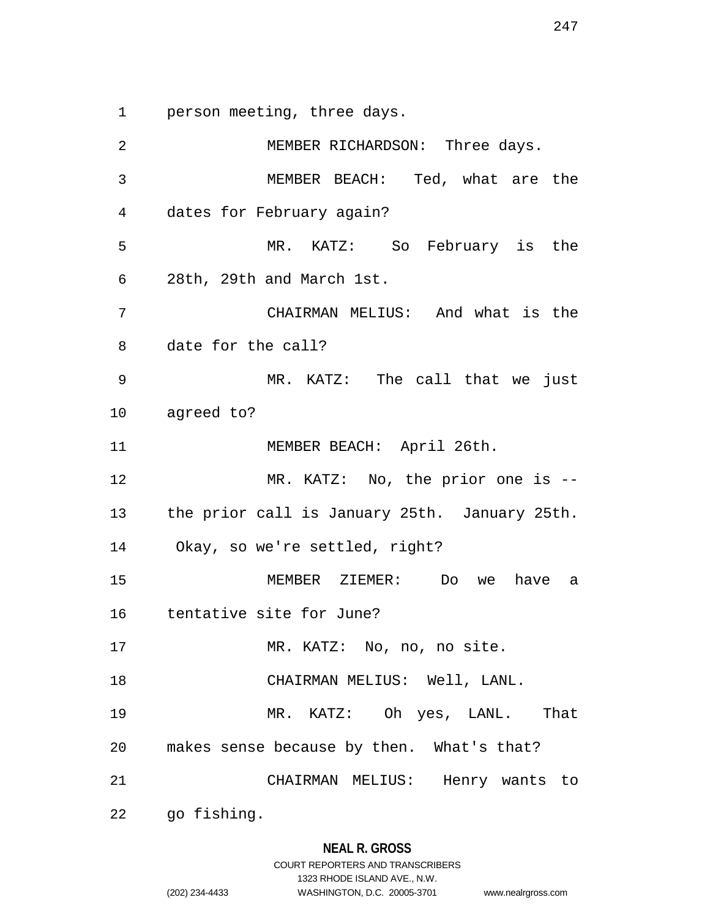1 person meeting, three days.

2 MEMBER RICHARDSON: Three days. 3 MEMBER BEACH: Ted, what are the 4 dates for February again? 5 MR. KATZ: So February is the 6 28th, 29th and March 1st. 7 CHAIRMAN MELIUS: And what is the 8 date for the call? 9 MR. KATZ: The call that we just 10 agreed to? 11 MEMBER BEACH: April 26th. 12 MR. KATZ: No, the prior one is --13 the prior call is January 25th. January 25th. 14 Okay, so we're settled, right? 15 MEMBER ZIEMER: Do we have a 16 tentative site for June? 17 MR. KATZ: No, no, no site. 18 CHAIRMAN MELIUS: Well, LANL. 19 MR. KATZ: Oh yes, LANL. That 20 makes sense because by then. What's that? 21 CHAIRMAN MELIUS: Henry wants to 22 go fishing.

1323 RHODE ISLAND AVE., N.W. (202) 234-4433 WASHINGTON, D.C. 20005-3701 www.nealrgross.com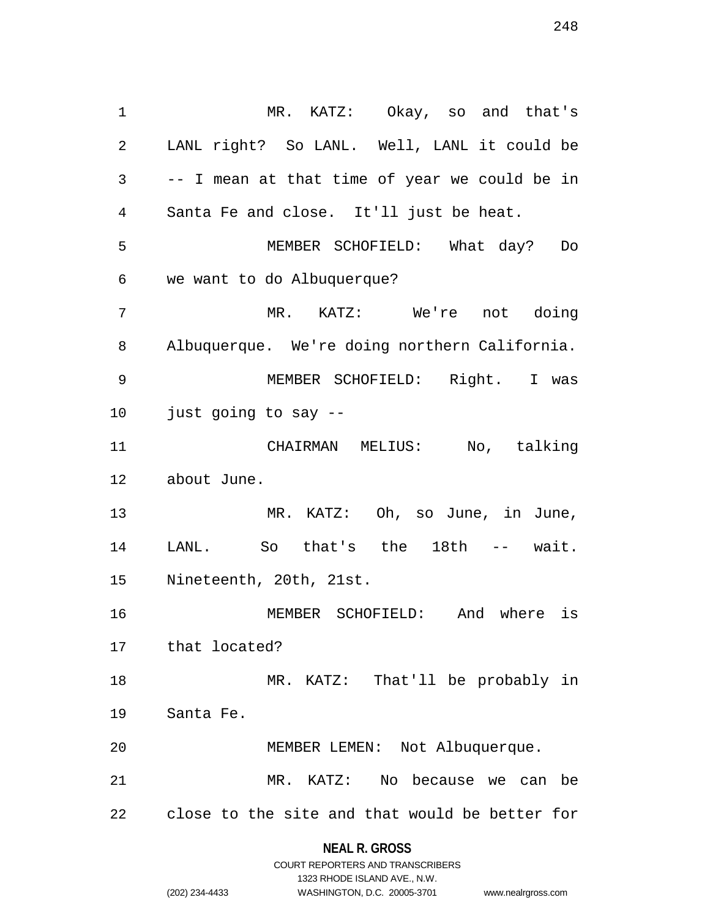1 MR. KATZ: Okay, so and that's 2 LANL right? So LANL. Well, LANL it could be 3 -- I mean at that time of year we could be in 4 Santa Fe and close. It'll just be heat. 5 MEMBER SCHOFIELD: What day? Do 6 we want to do Albuquerque? 7 MR. KATZ: We're not doing 8 Albuquerque. We're doing northern California. 9 MEMBER SCHOFIELD: Right. I was 10 just going to say -- 11 CHAIRMAN MELIUS: No, talking 12 about June. 13 MR. KATZ: Oh, so June, in June, 14 LANL. So that's the 18th -- wait. 15 Nineteenth, 20th, 21st. 16 MEMBER SCHOFIELD: And where is 17 that located? 18 MR. KATZ: That'll be probably in 19 Santa Fe. 20 MEMBER LEMEN: Not Albuquerque. 21 MR. KATZ: No because we can be 22 close to the site and that would be better for

## **NEAL R. GROSS** COURT REPORTERS AND TRANSCRIBERS

1323 RHODE ISLAND AVE., N.W.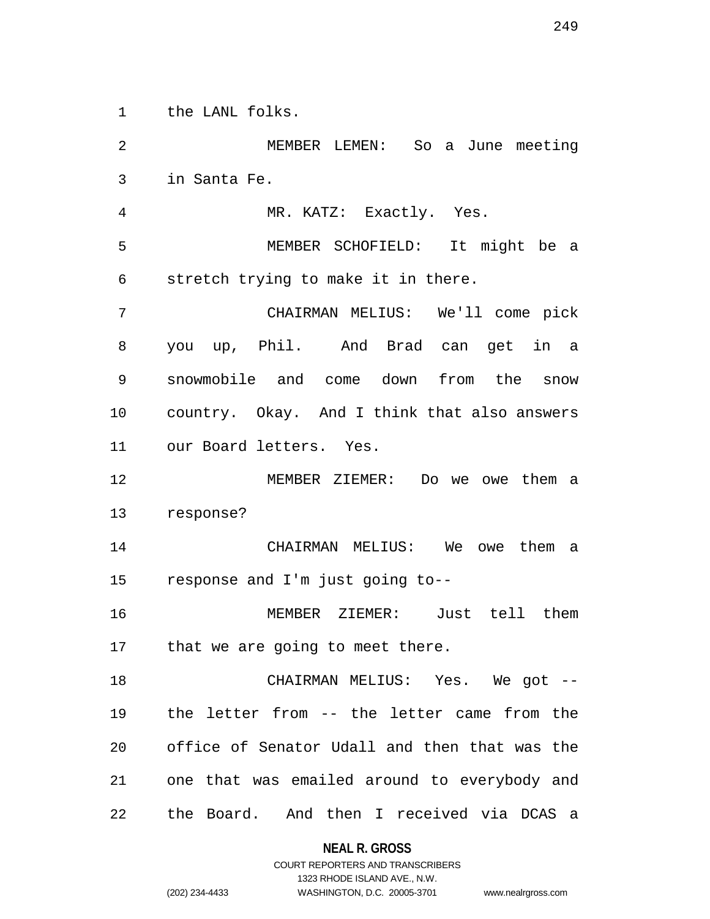1 the LANL folks.

2 MEMBER LEMEN: So a June meeting 3 in Santa Fe. 4 MR. KATZ: Exactly. Yes. 5 MEMBER SCHOFIELD: It might be a 6 stretch trying to make it in there. 7 CHAIRMAN MELIUS: We'll come pick 8 you up, Phil. And Brad can get in a 9 snowmobile and come down from the snow 10 country. Okay. And I think that also answers 11 our Board letters. Yes. 12 MEMBER ZIEMER: Do we owe them a 13 response? 14 CHAIRMAN MELIUS: We owe them a 15 response and I'm just going to-- 16 MEMBER ZIEMER: Just tell them 17 that we are going to meet there. 18 CHAIRMAN MELIUS: Yes. We got -- 19 the letter from -- the letter came from the 20 office of Senator Udall and then that was the 21 one that was emailed around to everybody and 22 the Board. And then I received via DCAS a

**NEAL R. GROSS**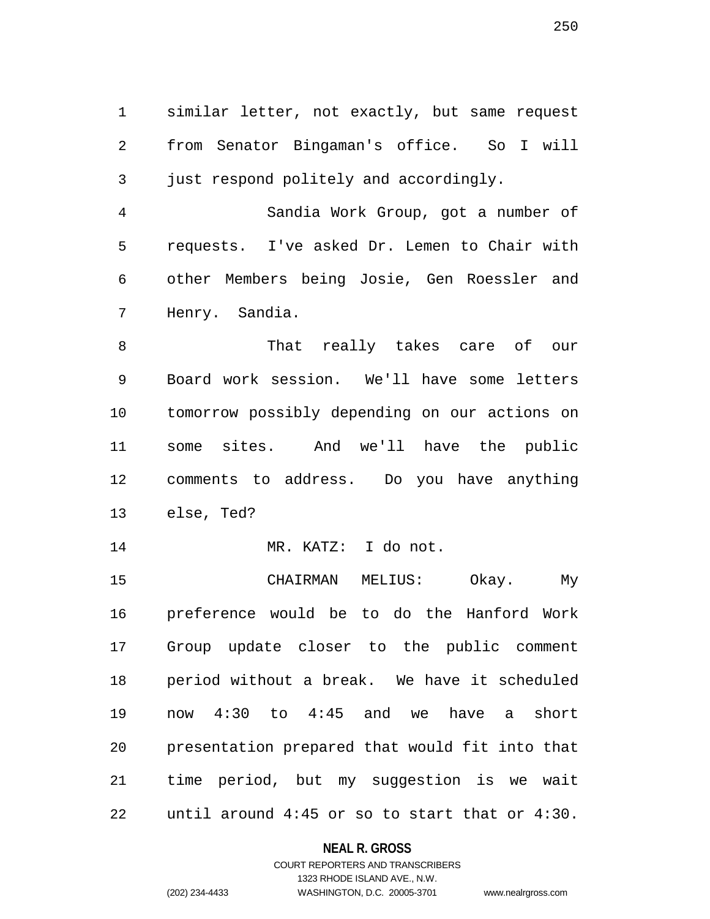1 similar letter, not exactly, but same request 2 from Senator Bingaman's office. So I will 3 just respond politely and accordingly.

4 Sandia Work Group, got a number of 5 requests. I've asked Dr. Lemen to Chair with 6 other Members being Josie, Gen Roessler and 7 Henry. Sandia.

8 That really takes care of our 9 Board work session. We'll have some letters 10 tomorrow possibly depending on our actions on 11 some sites. And we'll have the public 12 comments to address. Do you have anything 13 else, Ted?

14 MR. KATZ: I do not.

15 CHAIRMAN MELIUS: Okay. My 16 preference would be to do the Hanford Work 17 Group update closer to the public comment 18 period without a break. We have it scheduled 19 now 4:30 to 4:45 and we have a short 20 presentation prepared that would fit into that 21 time period, but my suggestion is we wait 22 until around 4:45 or so to start that or 4:30.

## **NEAL R. GROSS**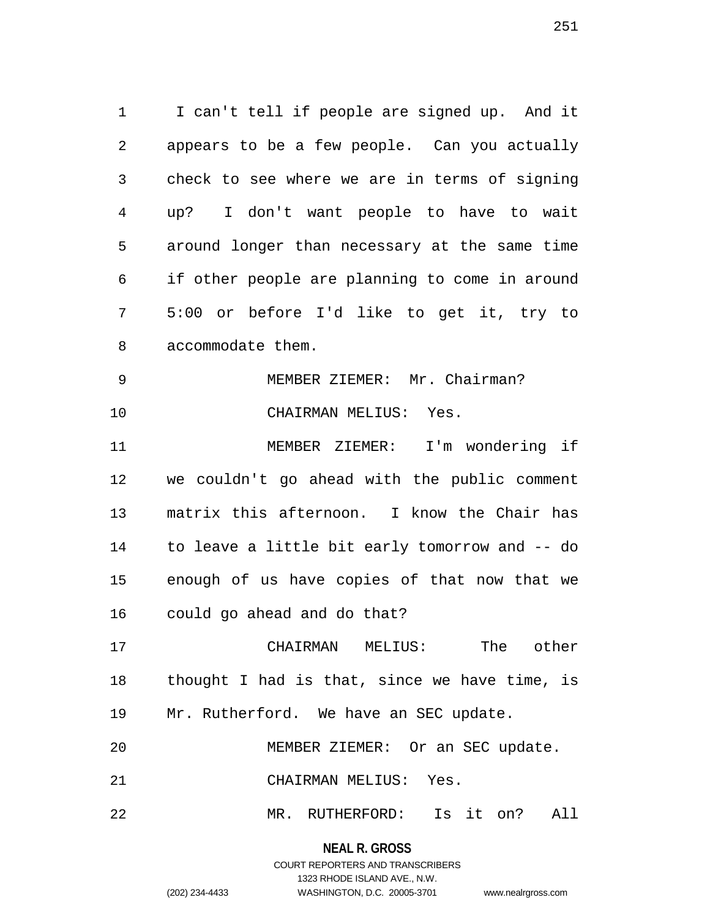1 I can't tell if people are signed up. And it 2 appears to be a few people. Can you actually 3 check to see where we are in terms of signing 4 up? I don't want people to have to wait 5 around longer than necessary at the same time 6 if other people are planning to come in around 7 5:00 or before I'd like to get it, try to 8 accommodate them. 9 MEMBER ZIEMER: Mr. Chairman?

10 CHAIRMAN MELIUS: Yes.

11 MEMBER ZIEMER: I'm wondering if 12 we couldn't go ahead with the public comment 13 matrix this afternoon. I know the Chair has 14 to leave a little bit early tomorrow and -- do 15 enough of us have copies of that now that we 16 could go ahead and do that?

17 CHAIRMAN MELIUS: The other 18 thought I had is that, since we have time, is 19 Mr. Rutherford. We have an SEC update.

20 MEMBER ZIEMER: Or an SEC update.

21 CHAIRMAN MELIUS: Yes.

22 MR. RUTHERFORD: Is it on? All

**NEAL R. GROSS** COURT REPORTERS AND TRANSCRIBERS

1323 RHODE ISLAND AVE., N.W.

(202) 234-4433 WASHINGTON, D.C. 20005-3701 www.nealrgross.com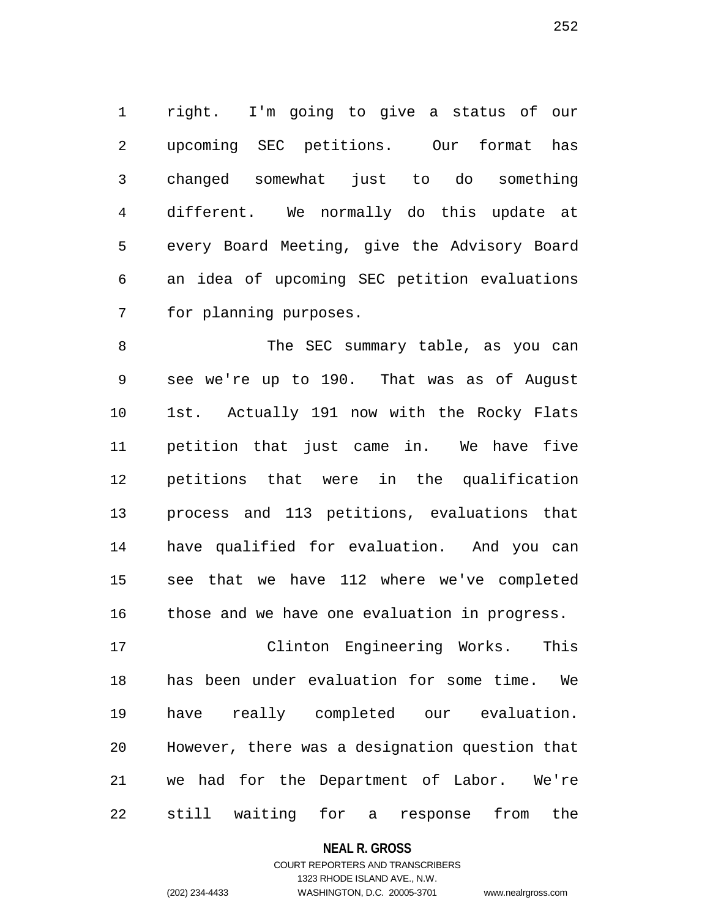1 right. I'm going to give a status of our 2 upcoming SEC petitions. Our format has 3 changed somewhat just to do something 4 different. We normally do this update at 5 every Board Meeting, give the Advisory Board 6 an idea of upcoming SEC petition evaluations 7 for planning purposes.

8 The SEC summary table, as you can 9 see we're up to 190. That was as of August 10 1st. Actually 191 now with the Rocky Flats 11 petition that just came in. We have five 12 petitions that were in the qualification 13 process and 113 petitions, evaluations that 14 have qualified for evaluation. And you can 15 see that we have 112 where we've completed 16 those and we have one evaluation in progress.

17 Clinton Engineering Works. This 18 has been under evaluation for some time. We 19 have really completed our evaluation. 20 However, there was a designation question that 21 we had for the Department of Labor. We're 22 still waiting for a response from the

#### **NEAL R. GROSS**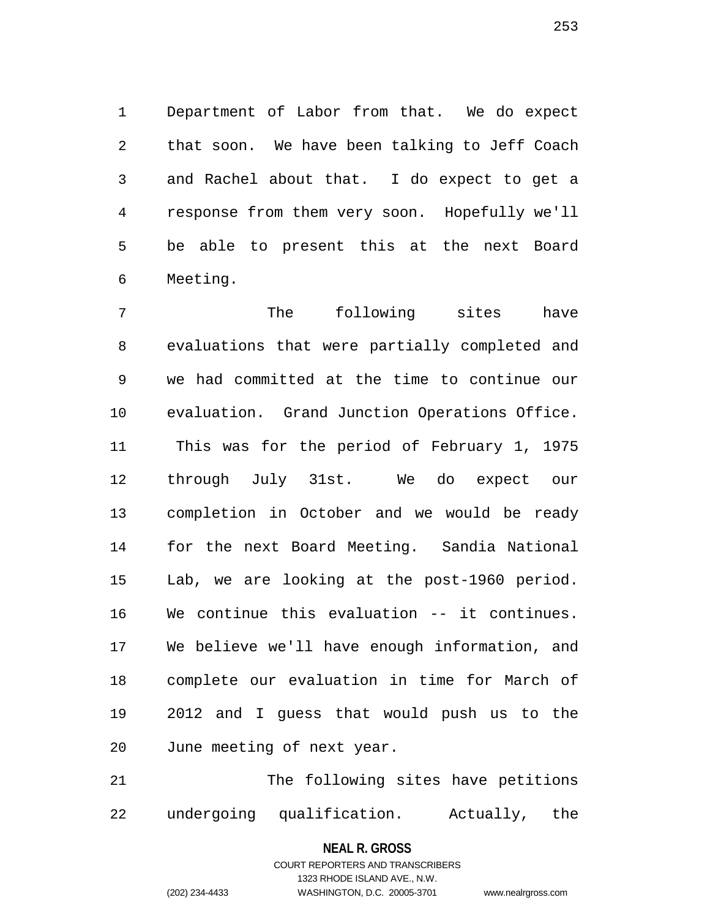1 Department of Labor from that. We do expect 2 that soon. We have been talking to Jeff Coach 3 and Rachel about that. I do expect to get a 4 response from them very soon. Hopefully we'll 5 be able to present this at the next Board 6 Meeting.

7 The following sites have 8 evaluations that were partially completed and 9 we had committed at the time to continue our 10 evaluation. Grand Junction Operations Office. 11 This was for the period of February 1, 1975 12 through July 31st. We do expect our 13 completion in October and we would be ready 14 for the next Board Meeting. Sandia National 15 Lab, we are looking at the post-1960 period. 16 We continue this evaluation -- it continues. 17 We believe we'll have enough information, and 18 complete our evaluation in time for March of 19 2012 and I guess that would push us to the 20 June meeting of next year.

21 The following sites have petitions 22 undergoing qualification. Actually, the

## **NEAL R. GROSS** COURT REPORTERS AND TRANSCRIBERS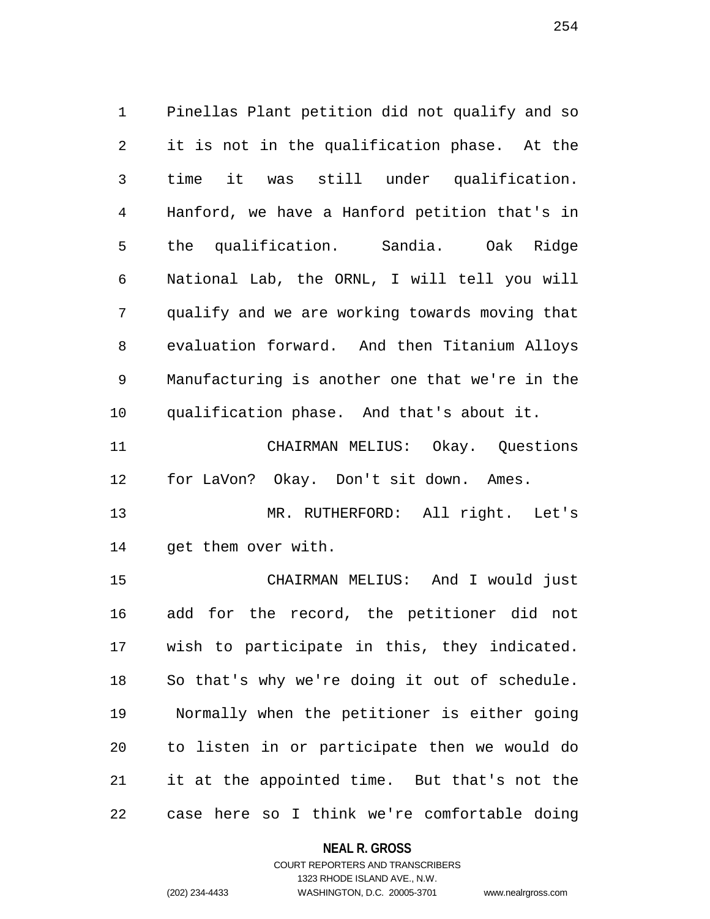1 Pinellas Plant petition did not qualify and so 2 it is not in the qualification phase. At the 3 time it was still under qualification. 4 Hanford, we have a Hanford petition that's in 5 the qualification. Sandia. Oak Ridge 6 National Lab, the ORNL, I will tell you will 7 qualify and we are working towards moving that 8 evaluation forward. And then Titanium Alloys 9 Manufacturing is another one that we're in the 10 qualification phase. And that's about it.

11 CHAIRMAN MELIUS: Okay. Questions 12 for LaVon? Okay. Don't sit down. Ames.

13 MR. RUTHERFORD: All right. Let's 14 get them over with.

15 CHAIRMAN MELIUS: And I would just 16 add for the record, the petitioner did not 17 wish to participate in this, they indicated. 18 So that's why we're doing it out of schedule. 19 Normally when the petitioner is either going 20 to listen in or participate then we would do 21 it at the appointed time. But that's not the 22 case here so I think we're comfortable doing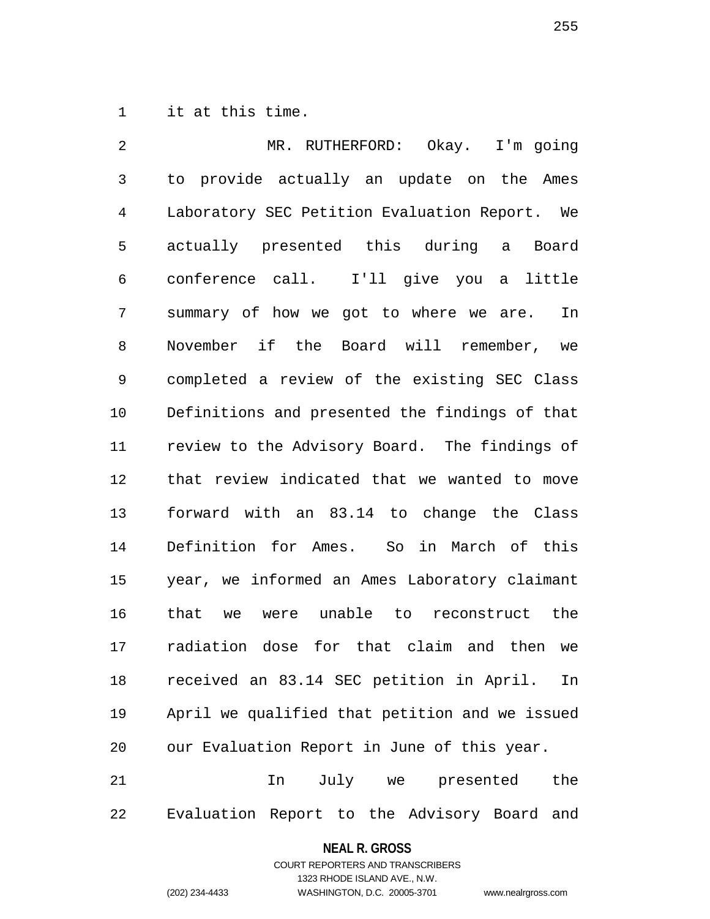1 it at this time.

2 MR. RUTHERFORD: Okay. I'm going 3 to provide actually an update on the Ames 4 Laboratory SEC Petition Evaluation Report. We 5 actually presented this during a Board 6 conference call. I'll give you a little 7 summary of how we got to where we are. In 8 November if the Board will remember, we 9 completed a review of the existing SEC Class 10 Definitions and presented the findings of that 11 review to the Advisory Board. The findings of 12 that review indicated that we wanted to move 13 forward with an 83.14 to change the Class 14 Definition for Ames. So in March of this 15 year, we informed an Ames Laboratory claimant 16 that we were unable to reconstruct the 17 radiation dose for that claim and then we 18 received an 83.14 SEC petition in April. In 19 April we qualified that petition and we issued 20 our Evaluation Report in June of this year. 21 In July we presented the

22 Evaluation Report to the Advisory Board and

### **NEAL R. GROSS**

COURT REPORTERS AND TRANSCRIBERS 1323 RHODE ISLAND AVE., N.W. (202) 234-4433 WASHINGTON, D.C. 20005-3701 www.nealrgross.com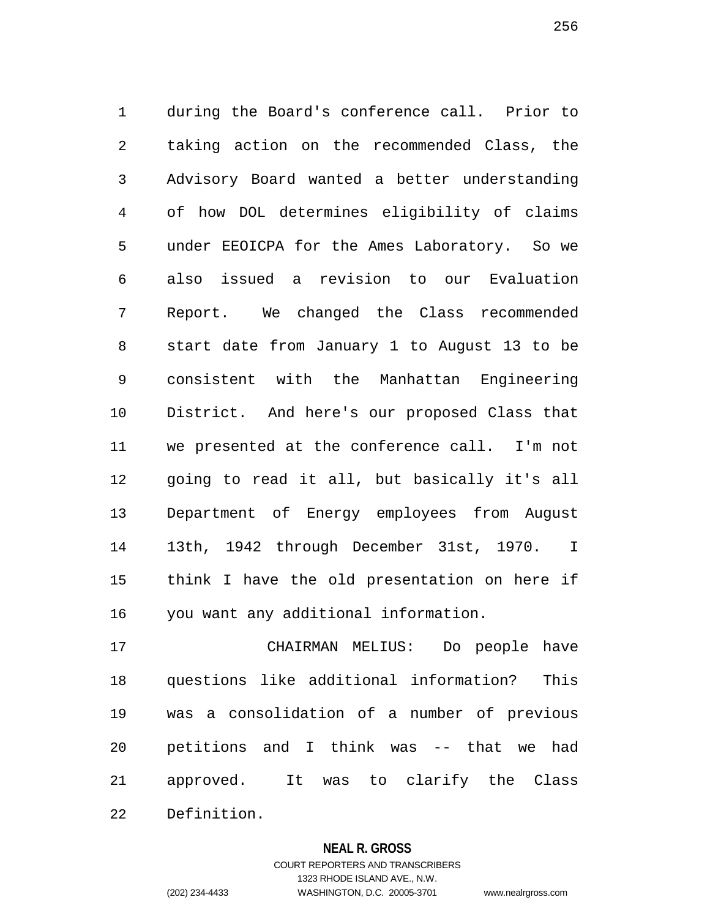1 during the Board's conference call. Prior to 2 taking action on the recommended Class, the 3 Advisory Board wanted a better understanding 4 of how DOL determines eligibility of claims 5 under EEOICPA for the Ames Laboratory. So we 6 also issued a revision to our Evaluation 7 Report. We changed the Class recommended 8 start date from January 1 to August 13 to be 9 consistent with the Manhattan Engineering 10 District. And here's our proposed Class that 11 we presented at the conference call. I'm not 12 going to read it all, but basically it's all 13 Department of Energy employees from August 14 13th, 1942 through December 31st, 1970. I 15 think I have the old presentation on here if 16 you want any additional information.

17 CHAIRMAN MELIUS: Do people have 18 questions like additional information? This 19 was a consolidation of a number of previous 20 petitions and I think was -- that we had 21 approved. It was to clarify the Class

22 Definition.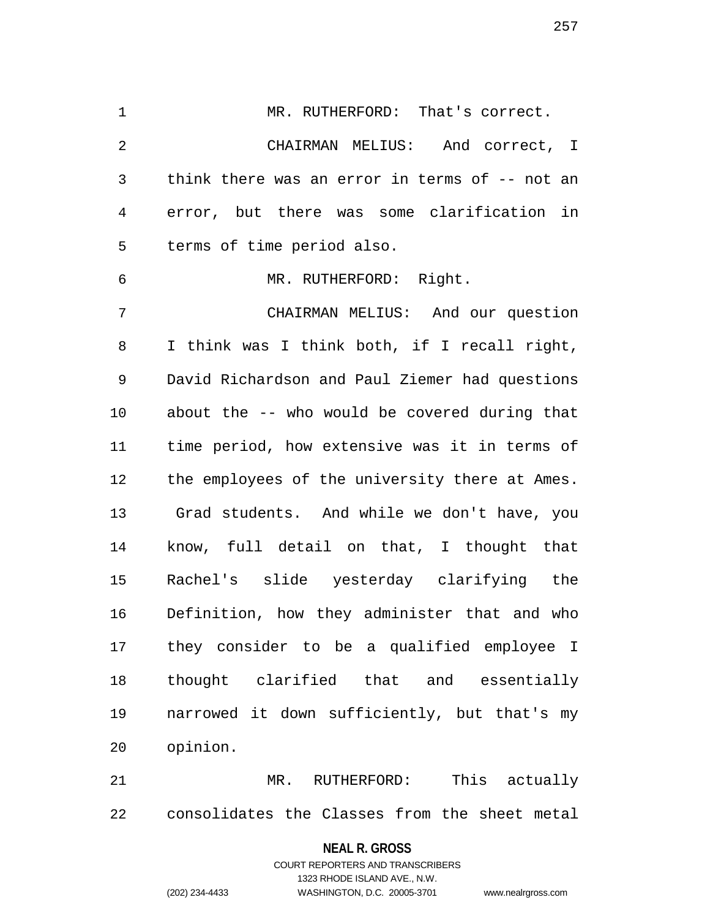1 MR. RUTHERFORD: That's correct. 2 CHAIRMAN MELIUS: And correct, I 3 think there was an error in terms of -- not an 4 error, but there was some clarification in 5 terms of time period also. 6 MR. RUTHERFORD: Right. 7 CHAIRMAN MELIUS: And our question 8 I think was I think both, if I recall right, 9 David Richardson and Paul Ziemer had questions 10 about the -- who would be covered during that 11 time period, how extensive was it in terms of 12 the employees of the university there at Ames. 13 Grad students. And while we don't have, you 14 know, full detail on that, I thought that 15 Rachel's slide yesterday clarifying the 16 Definition, how they administer that and who 17 they consider to be a qualified employee I 18 thought clarified that and essentially 19 narrowed it down sufficiently, but that's my 20 opinion.

21 MR. RUTHERFORD: This actually 22 consolidates the Classes from the sheet metal

### **NEAL R. GROSS**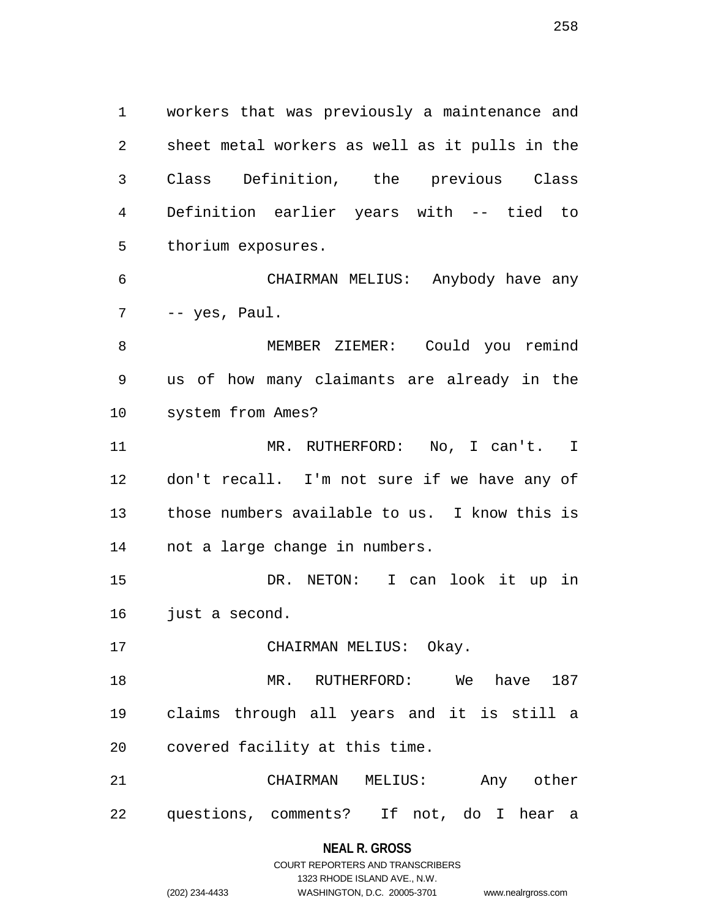1 workers that was previously a maintenance and 2 sheet metal workers as well as it pulls in the 3 Class Definition, the previous Class 4 Definition earlier years with -- tied to 5 thorium exposures.

6 CHAIRMAN MELIUS: Anybody have any 7 -- yes, Paul.

8 MEMBER ZIEMER: Could you remind 9 us of how many claimants are already in the 10 system from Ames?

11 MR. RUTHERFORD: No, I can't. I 12 don't recall. I'm not sure if we have any of 13 those numbers available to us. I know this is 14 not a large change in numbers.

15 DR. NETON: I can look it up in 16 just a second.

17 CHAIRMAN MELIUS: Okay.

18 MR. RUTHERFORD: We have 187 19 claims through all years and it is still a 20 covered facility at this time.

21 CHAIRMAN MELIUS: Any other 22 questions, comments? If not, do I hear a

### **NEAL R. GROSS**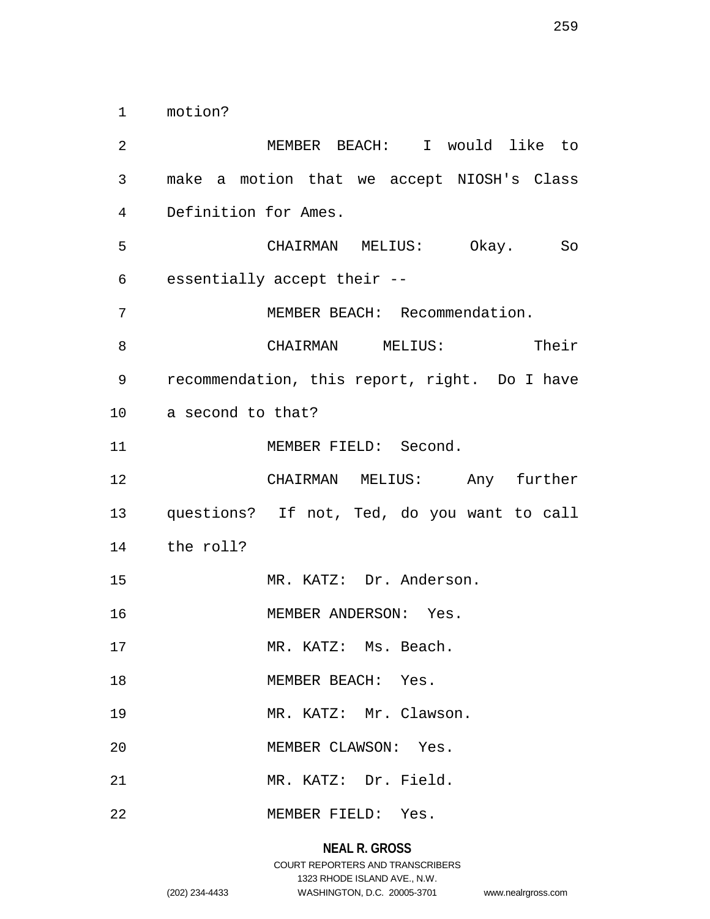1 motion?

2 MEMBER BEACH: I would like to 3 make a motion that we accept NIOSH's Class 4 Definition for Ames. 5 CHAIRMAN MELIUS: Okay. So 6 essentially accept their -- 7 MEMBER BEACH: Recommendation. 8 CHAIRMAN MELIUS: Their 9 recommendation, this report, right. Do I have 10 a second to that? 11 MEMBER FIELD: Second. 12 CHAIRMAN MELIUS: Any further 13 questions? If not, Ted, do you want to call 14 the roll? 15 MR. KATZ: Dr. Anderson. 16 MEMBER ANDERSON: Yes. 17 MR. KATZ: Ms. Beach. 18 MEMBER BEACH: Yes. 19 MR. KATZ: Mr. Clawson. 20 MEMBER CLAWSON: Yes. 21 MR. KATZ: Dr. Field. 22 MEMBER FIELD: Yes.

# **NEAL R. GROSS**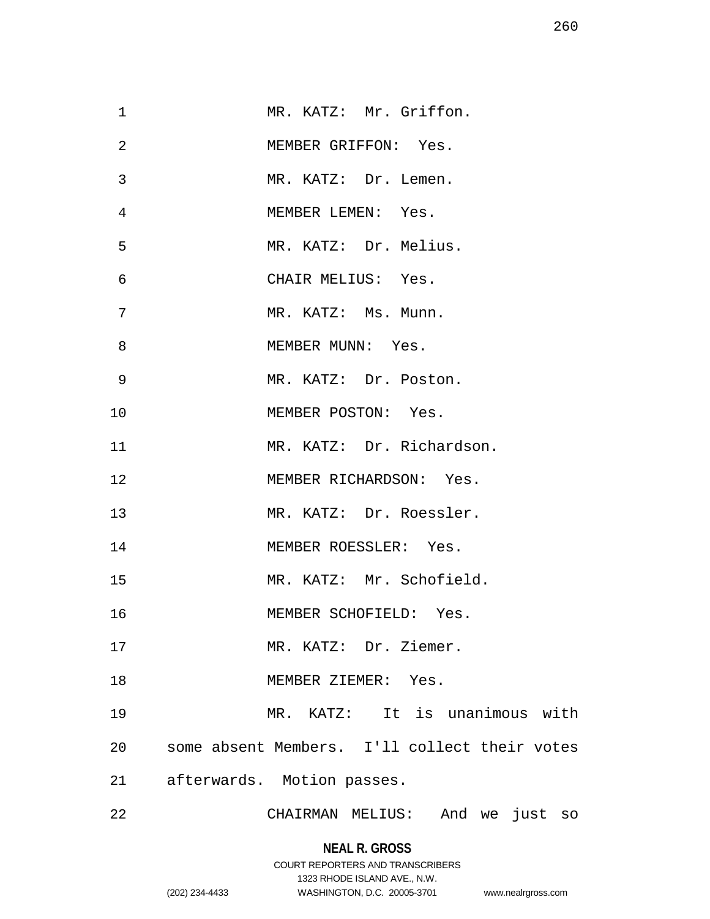| $\mathbf 1$ | MR. KATZ: Mr. Griffon.                        |
|-------------|-----------------------------------------------|
| 2           | MEMBER GRIFFON: Yes.                          |
| 3           | MR. KATZ: Dr. Lemen.                          |
| 4           | MEMBER LEMEN: Yes.                            |
| 5           | MR. KATZ: Dr. Melius.                         |
| 6           | CHAIR MELIUS: Yes.                            |
| 7           | MR. KATZ: Ms. Munn.                           |
| 8           | MEMBER MUNN: Yes.                             |
| 9           | MR. KATZ: Dr. Poston.                         |
| 10          | MEMBER POSTON: Yes.                           |
| 11          | MR. KATZ: Dr. Richardson.                     |
| 12          | MEMBER RICHARDSON: Yes.                       |
| 13          | MR. KATZ: Dr. Roessler.                       |
| 14          | MEMBER ROESSLER: Yes.                         |
| 15          | MR. KATZ: Mr. Schofield.                      |
| 16          | MEMBER SCHOFIELD: Yes.                        |
| 17          | MR. KATZ: Dr. Ziemer.                         |
| 18          | MEMBER ZIEMER: Yes.                           |
| 19          | MR. KATZ: It is unanimous with                |
| 20          | some absent Members. I'll collect their votes |
| 21          | afterwards. Motion passes.                    |
| 22          | CHAIRMAN MELIUS:<br>And we just<br>SO         |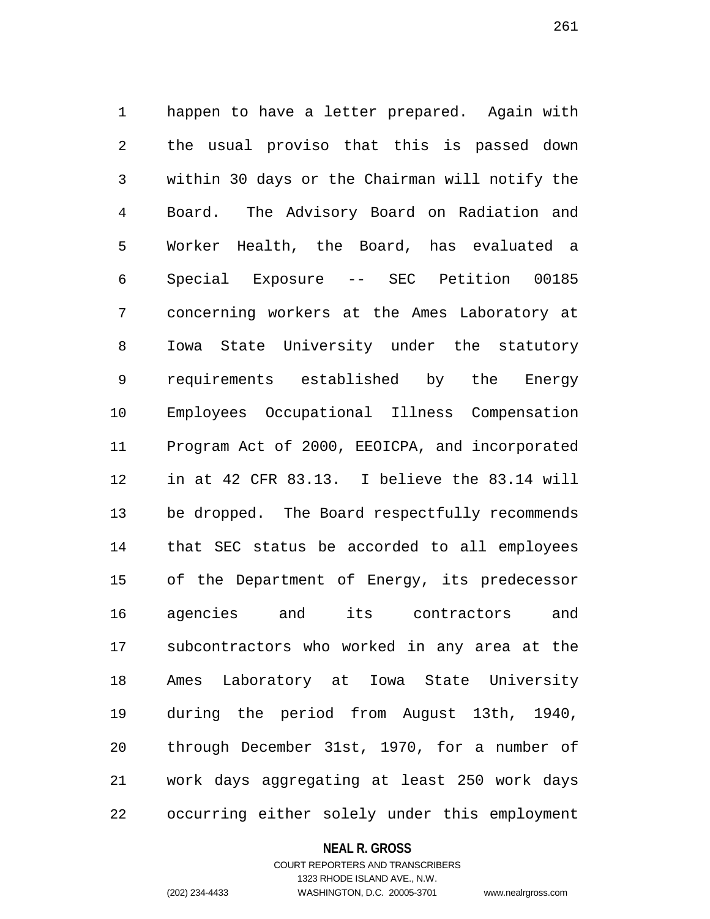1 happen to have a letter prepared. Again with 2 the usual proviso that this is passed down 3 within 30 days or the Chairman will notify the 4 Board. The Advisory Board on Radiation and 5 Worker Health, the Board, has evaluated a 6 Special Exposure -- SEC Petition 00185 7 concerning workers at the Ames Laboratory at 8 Iowa State University under the statutory 9 requirements established by the Energy 10 Employees Occupational Illness Compensation 11 Program Act of 2000, EEOICPA, and incorporated 12 in at 42 CFR 83.13. I believe the 83.14 will 13 be dropped. The Board respectfully recommends 14 that SEC status be accorded to all employees 15 of the Department of Energy, its predecessor 16 agencies and its contractors and 17 subcontractors who worked in any area at the 18 Ames Laboratory at Iowa State University 19 during the period from August 13th, 1940, 20 through December 31st, 1970, for a number of 21 work days aggregating at least 250 work days 22 occurring either solely under this employment

#### **NEAL R. GROSS**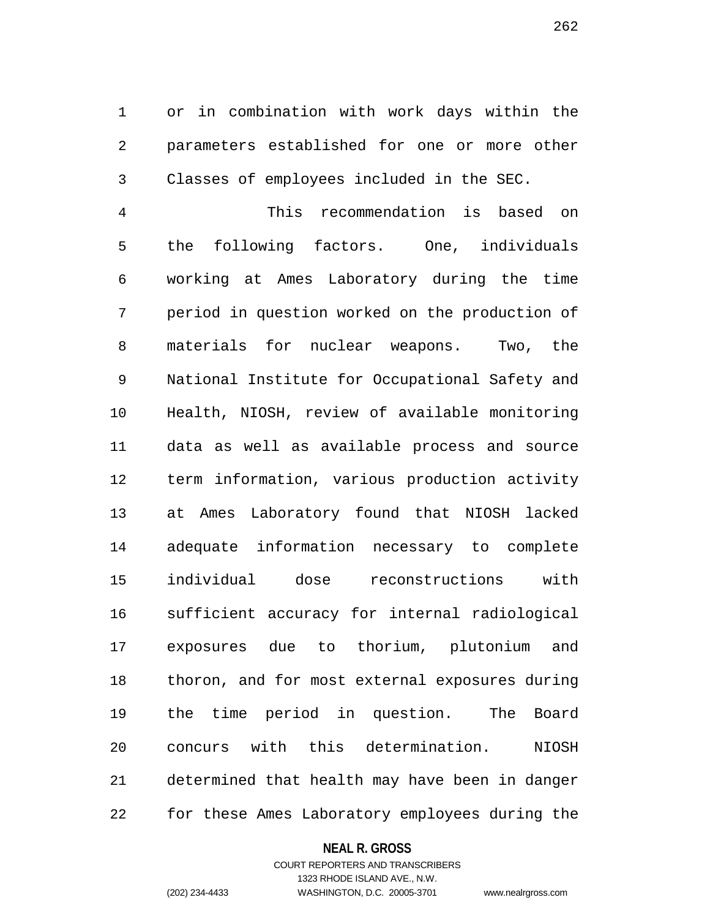1 or in combination with work days within the 2 parameters established for one or more other 3 Classes of employees included in the SEC.

4 This recommendation is based on 5 the following factors. One, individuals 6 working at Ames Laboratory during the time 7 period in question worked on the production of 8 materials for nuclear weapons. Two, the 9 National Institute for Occupational Safety and 10 Health, NIOSH, review of available monitoring 11 data as well as available process and source 12 term information, various production activity 13 at Ames Laboratory found that NIOSH lacked 14 adequate information necessary to complete 15 individual dose reconstructions with 16 sufficient accuracy for internal radiological 17 exposures due to thorium, plutonium and 18 thoron, and for most external exposures during 19 the time period in question. The Board 20 concurs with this determination. NIOSH 21 determined that health may have been in danger 22 for these Ames Laboratory employees during the

#### **NEAL R. GROSS**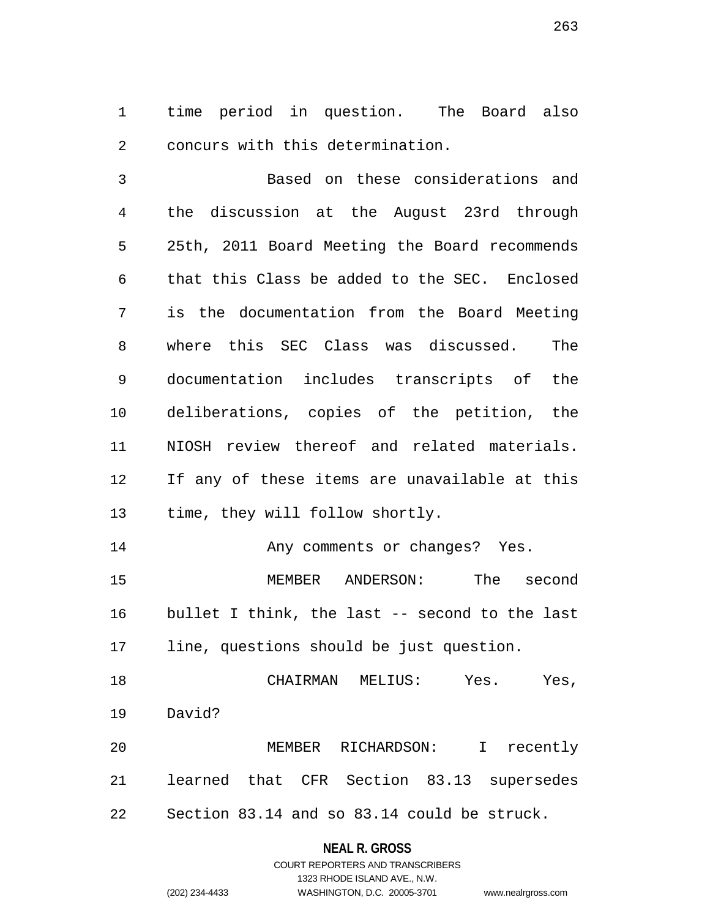1 time period in question. The Board also 2 concurs with this determination.

3 Based on these considerations and 4 the discussion at the August 23rd through 5 25th, 2011 Board Meeting the Board recommends 6 that this Class be added to the SEC. Enclosed 7 is the documentation from the Board Meeting 8 where this SEC Class was discussed. The 9 documentation includes transcripts of the 10 deliberations, copies of the petition, the 11 NIOSH review thereof and related materials. 12 If any of these items are unavailable at this 13 time, they will follow shortly. 14 Any comments or changes? Yes.

15 MEMBER ANDERSON: The second 16 bullet I think, the last -- second to the last 17 line, questions should be just question.

18 CHAIRMAN MELIUS: Yes. Yes, 19 David? 20 MEMBER RICHARDSON: I recently

21 learned that CFR Section 83.13 supersedes 22 Section 83.14 and so 83.14 could be struck.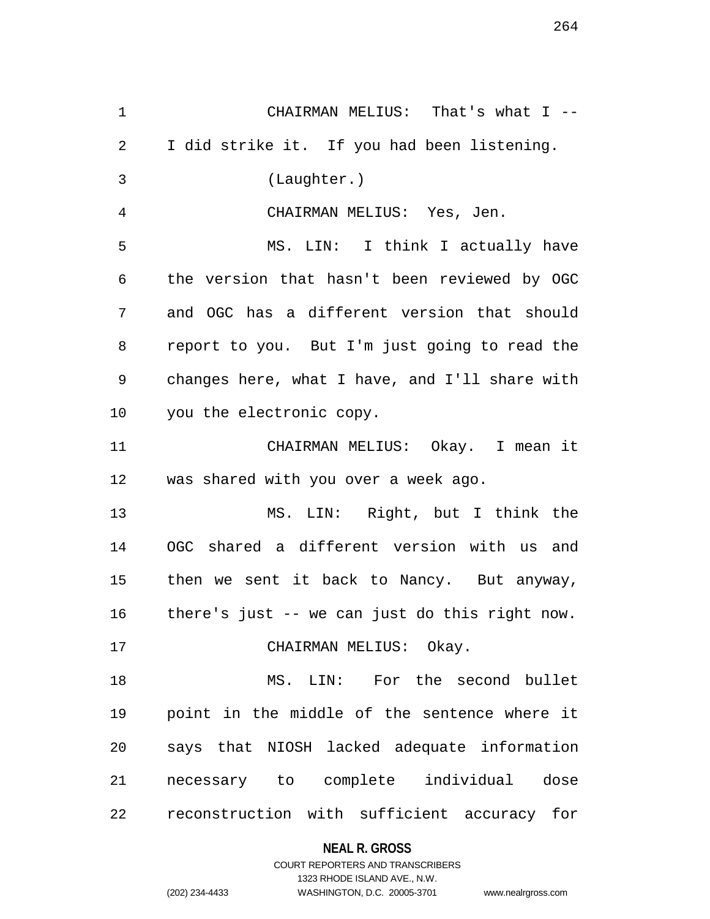1 CHAIRMAN MELIUS: That's what I -- 2 I did strike it. If you had been listening. 3 (Laughter.) 4 CHAIRMAN MELIUS: Yes, Jen. 5 MS. LIN: I think I actually have 6 the version that hasn't been reviewed by OGC 7 and OGC has a different version that should 8 report to you. But I'm just going to read the 9 changes here, what I have, and I'll share with 10 you the electronic copy. 11 CHAIRMAN MELIUS: Okay. I mean it 12 was shared with you over a week ago. 13 MS. LIN: Right, but I think the 14 OGC shared a different version with us and 15 then we sent it back to Nancy. But anyway, 16 there's just -- we can just do this right now. 17 CHAIRMAN MELIUS: Okay. 18 MS. LIN: For the second bullet 19 point in the middle of the sentence where it 20 says that NIOSH lacked adequate information 21 necessary to complete individual dose 22 reconstruction with sufficient accuracy for

**NEAL R. GROSS**

COURT REPORTERS AND TRANSCRIBERS 1323 RHODE ISLAND AVE., N.W. (202) 234-4433 WASHINGTON, D.C. 20005-3701 www.nealrgross.com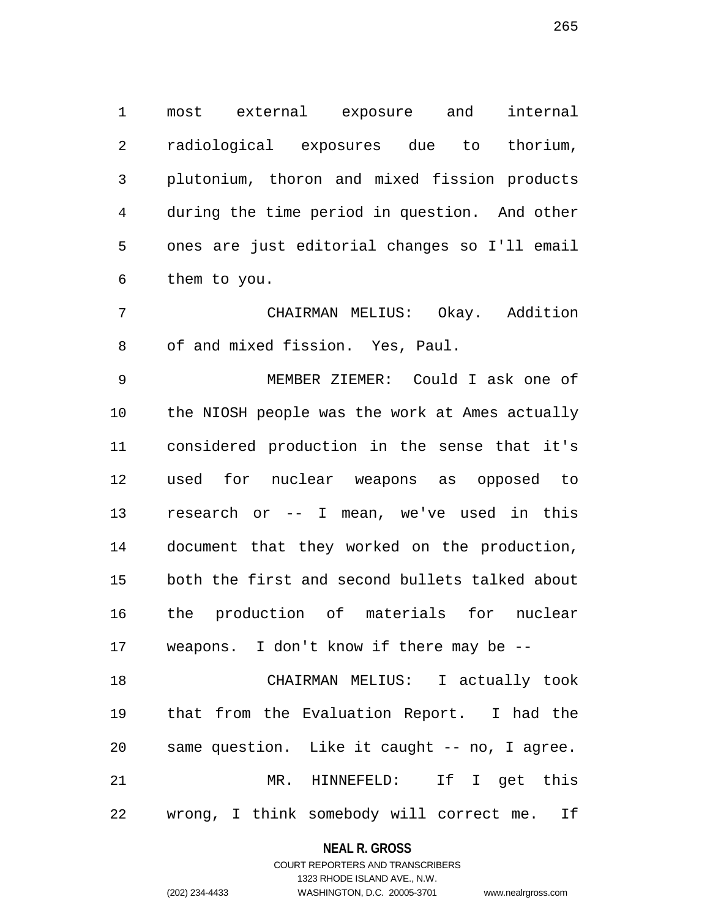1 most external exposure and internal 2 radiological exposures due to thorium, 3 plutonium, thoron and mixed fission products 4 during the time period in question. And other 5 ones are just editorial changes so I'll email 6 them to you.

7 CHAIRMAN MELIUS: Okay. Addition 8 of and mixed fission. Yes, Paul.

9 MEMBER ZIEMER: Could I ask one of 10 the NIOSH people was the work at Ames actually 11 considered production in the sense that it's 12 used for nuclear weapons as opposed to 13 research or -- I mean, we've used in this 14 document that they worked on the production, 15 both the first and second bullets talked about 16 the production of materials for nuclear 17 weapons. I don't know if there may be --

18 CHAIRMAN MELIUS: I actually took 19 that from the Evaluation Report. I had the 20 same question. Like it caught -- no, I agree. 21 MR. HINNEFELD: If I get this 22 wrong, I think somebody will correct me. If

#### **NEAL R. GROSS**

COURT REPORTERS AND TRANSCRIBERS 1323 RHODE ISLAND AVE., N.W. (202) 234-4433 WASHINGTON, D.C. 20005-3701 www.nealrgross.com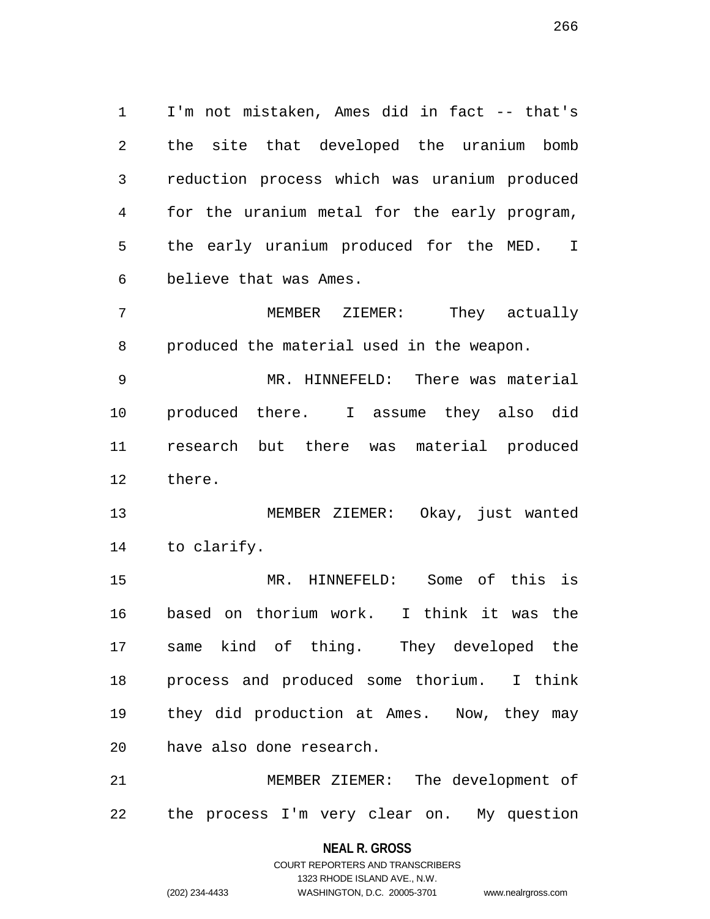1 I'm not mistaken, Ames did in fact -- that's 2 the site that developed the uranium bomb 3 reduction process which was uranium produced 4 for the uranium metal for the early program, 5 the early uranium produced for the MED. I 6 believe that was Ames.

7 MEMBER ZIEMER: They actually 8 produced the material used in the weapon.

9 MR. HINNEFELD: There was material 10 produced there. I assume they also did 11 research but there was material produced 12 there.

13 MEMBER ZIEMER: Okay, just wanted 14 to clarify.

15 MR. HINNEFELD: Some of this is 16 based on thorium work. I think it was the 17 same kind of thing. They developed the 18 process and produced some thorium. I think 19 they did production at Ames. Now, they may 20 have also done research.

21 MEMBER ZIEMER: The development of 22 the process I'm very clear on. My question

> **NEAL R. GROSS** COURT REPORTERS AND TRANSCRIBERS 1323 RHODE ISLAND AVE., N.W. (202) 234-4433 WASHINGTON, D.C. 20005-3701 www.nealrgross.com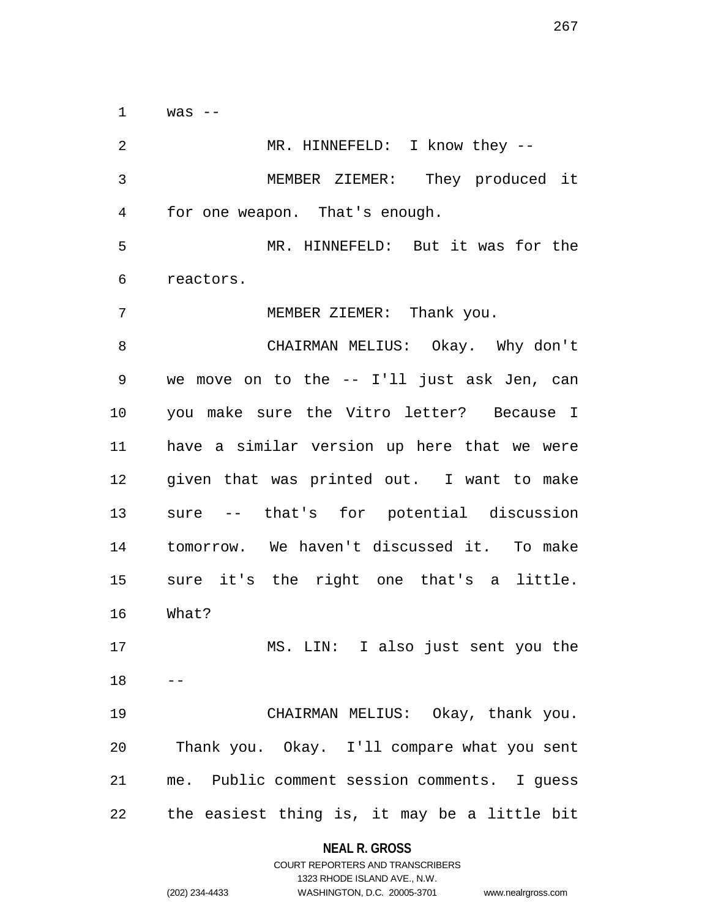$1$  was  $-$ 

2 MR. HINNEFELD: I know they --3 MEMBER ZIEMER: They produced it 4 for one weapon. That's enough. 5 MR. HINNEFELD: But it was for the 6 reactors. 7 MEMBER ZIEMER: Thank you. 8 CHAIRMAN MELIUS: Okay. Why don't 9 we move on to the -- I'll just ask Jen, can 10 you make sure the Vitro letter? Because I 11 have a similar version up here that we were 12 given that was printed out. I want to make 13 sure -- that's for potential discussion 14 tomorrow. We haven't discussed it. To make 15 sure it's the right one that's a little. 16 What? 17 MS. LIN: I also just sent you the  $18$ 19 CHAIRMAN MELIUS: Okay, thank you. 20 Thank you. Okay. I'll compare what you sent 21 me. Public comment session comments. I guess 22 the easiest thing is, it may be a little bit

#### **NEAL R. GROSS**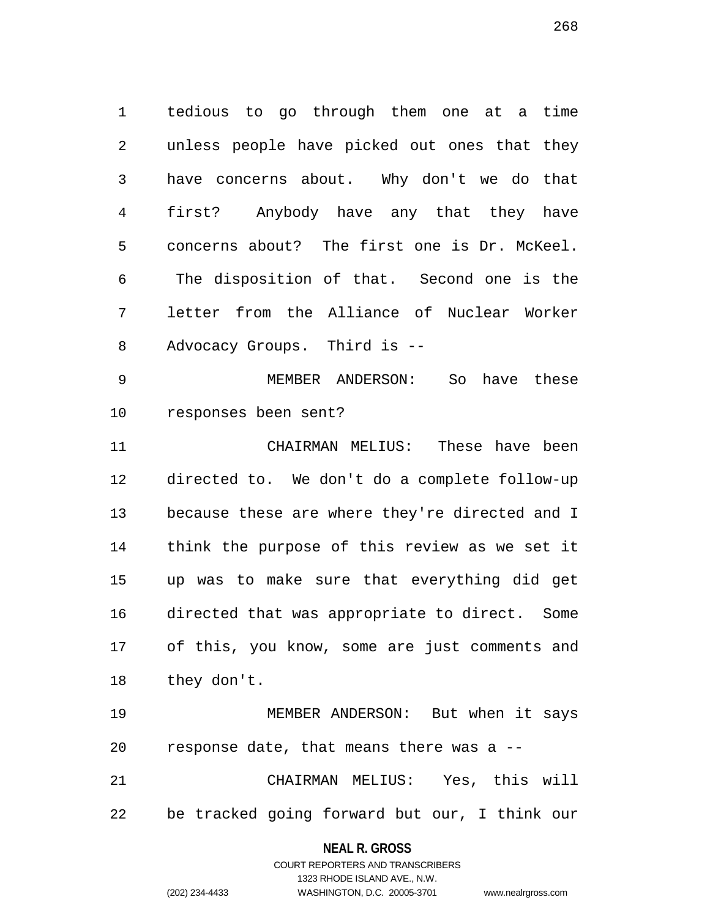1 tedious to go through them one at a time 2 unless people have picked out ones that they 3 have concerns about. Why don't we do that 4 first? Anybody have any that they have 5 concerns about? The first one is Dr. McKeel. 6 The disposition of that. Second one is the 7 letter from the Alliance of Nuclear Worker 8 Advocacy Groups. Third is --

9 MEMBER ANDERSON: So have these 10 responses been sent?

11 CHAIRMAN MELIUS: These have been 12 directed to. We don't do a complete follow-up 13 because these are where they're directed and I 14 think the purpose of this review as we set it 15 up was to make sure that everything did get 16 directed that was appropriate to direct. Some 17 of this, you know, some are just comments and 18 they don't.

19 MEMBER ANDERSON: But when it says 20 response date, that means there was a --

21 CHAIRMAN MELIUS: Yes, this will 22 be tracked going forward but our, I think our

### **NEAL R. GROSS**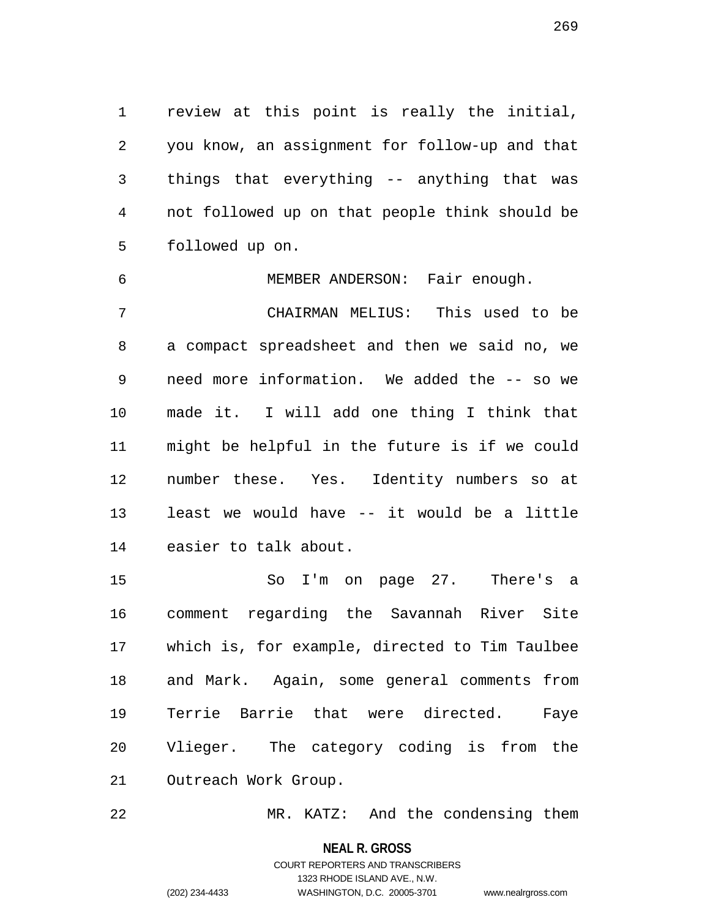1 review at this point is really the initial, 2 you know, an assignment for follow-up and that 3 things that everything -- anything that was 4 not followed up on that people think should be 5 followed up on.

6 MEMBER ANDERSON: Fair enough. 7 CHAIRMAN MELIUS: This used to be 8 a compact spreadsheet and then we said no, we 9 need more information. We added the -- so we 10 made it. I will add one thing I think that 11 might be helpful in the future is if we could 12 number these. Yes. Identity numbers so at 13 least we would have -- it would be a little 14 easier to talk about.

15 So I'm on page 27. There's a 16 comment regarding the Savannah River Site 17 which is, for example, directed to Tim Taulbee 18 and Mark. Again, some general comments from 19 Terrie Barrie that were directed. Faye 20 Vlieger. The category coding is from the 21 Outreach Work Group.

22 MR. KATZ: And the condensing them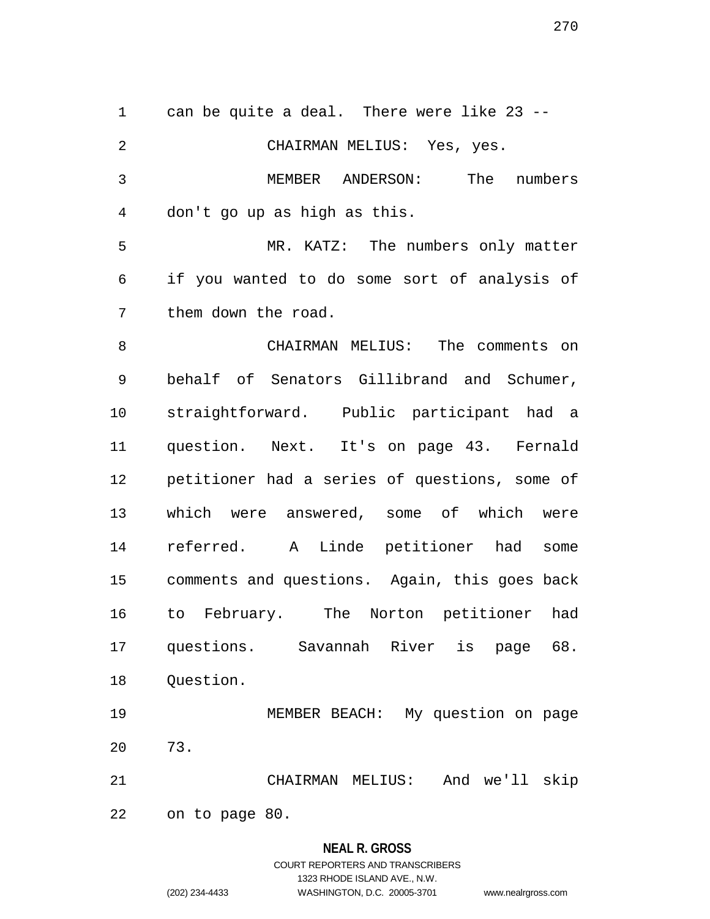1 can be quite a deal. There were like 23 -- 2 CHAIRMAN MELIUS: Yes, yes. 3 MEMBER ANDERSON: The numbers 4 don't go up as high as this. 5 MR. KATZ: The numbers only matter 6 if you wanted to do some sort of analysis of 7 them down the road. 8 CHAIRMAN MELIUS: The comments on 9 behalf of Senators Gillibrand and Schumer, 10 straightforward. Public participant had a 11 question. Next. It's on page 43. Fernald 12 petitioner had a series of questions, some of 13 which were answered, some of which were 14 referred. A Linde petitioner had some 15 comments and questions. Again, this goes back 16 to February. The Norton petitioner had 17 questions. Savannah River is page 68. 18 Question. 19 MEMBER BEACH: My question on page 20 73. 21 CHAIRMAN MELIUS: And we'll skip 22 on to page 80.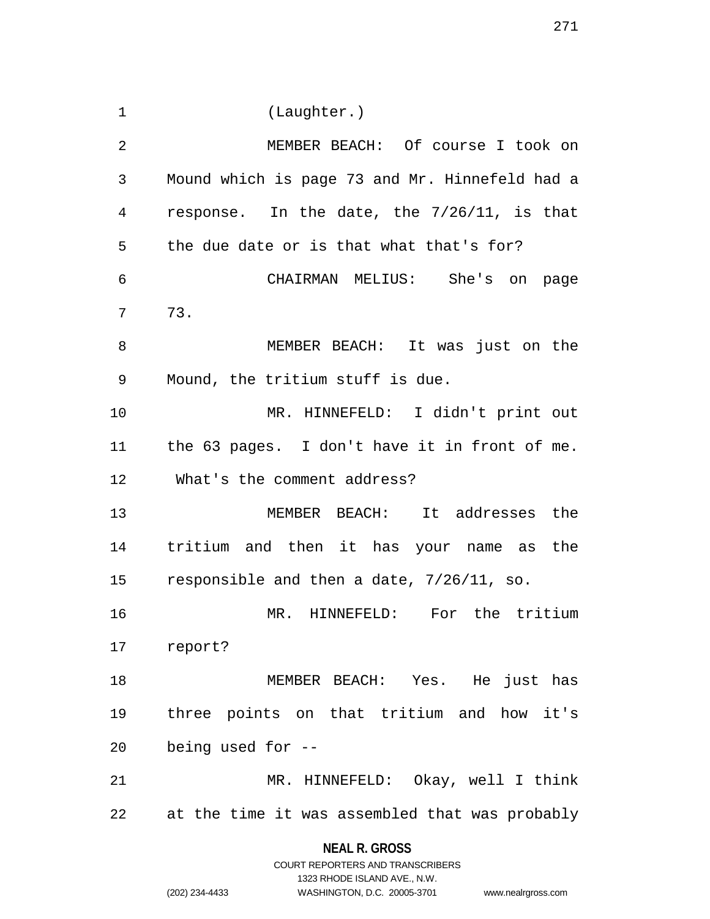1 (Laughter.) 2 MEMBER BEACH: Of course I took on 3 Mound which is page 73 and Mr. Hinnefeld had a 4 response. In the date, the 7/26/11, is that 5 the due date or is that what that's for? 6 CHAIRMAN MELIUS: She's on page 7 73. 8 MEMBER BEACH: It was just on the 9 Mound, the tritium stuff is due. 10 MR. HINNEFELD: I didn't print out 11 the 63 pages. I don't have it in front of me. 12 What's the comment address? 13 MEMBER BEACH: It addresses the 14 tritium and then it has your name as the 15 responsible and then a date, 7/26/11, so. 16 MR. HINNEFELD: For the tritium 17 report? 18 MEMBER BEACH: Yes. He just has 19 three points on that tritium and how it's 20 being used for -- 21 MR. HINNEFELD: Okay, well I think 22 at the time it was assembled that was probably

> **NEAL R. GROSS** COURT REPORTERS AND TRANSCRIBERS

> > 1323 RHODE ISLAND AVE., N.W.

(202) 234-4433 WASHINGTON, D.C. 20005-3701 www.nealrgross.com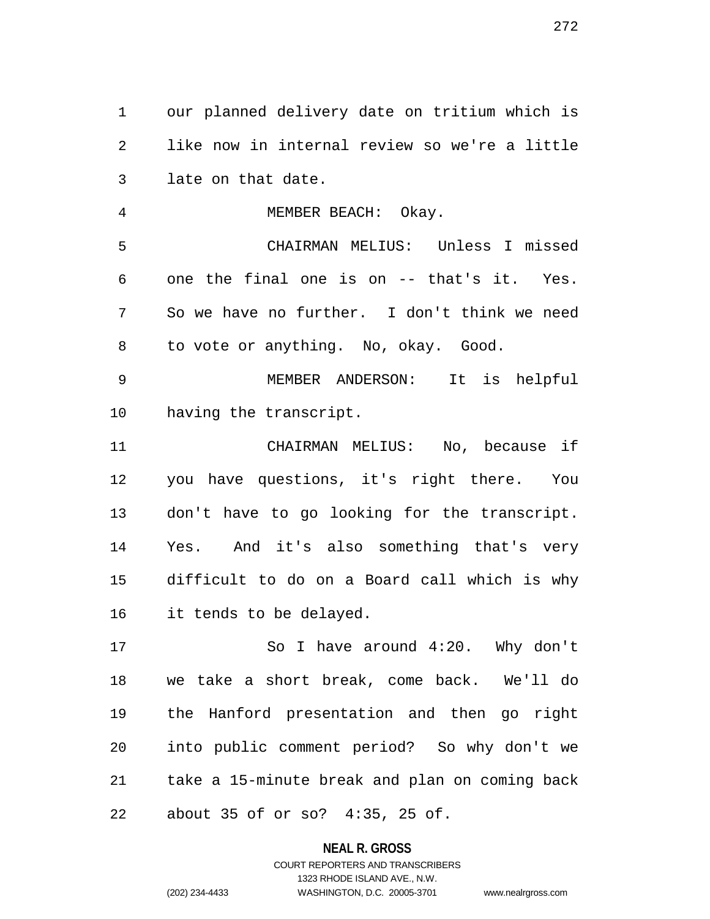1 our planned delivery date on tritium which is 2 like now in internal review so we're a little 3 late on that date.

4 MEMBER BEACH: Okay. 5 CHAIRMAN MELIUS: Unless I missed 6 one the final one is on -- that's it. Yes. 7 So we have no further. I don't think we need 8 to vote or anything. No, okay. Good. 9 MEMBER ANDERSON: It is helpful

10 having the transcript.

11 CHAIRMAN MELIUS: No, because if 12 you have questions, it's right there. You 13 don't have to go looking for the transcript. 14 Yes. And it's also something that's very 15 difficult to do on a Board call which is why 16 it tends to be delayed.

17 So I have around 4:20. Why don't 18 we take a short break, come back. We'll do 19 the Hanford presentation and then go right 20 into public comment period? So why don't we 21 take a 15-minute break and plan on coming back 22 about 35 of or so? 4:35, 25 of.

**NEAL R. GROSS**

# COURT REPORTERS AND TRANSCRIBERS 1323 RHODE ISLAND AVE., N.W. (202) 234-4433 WASHINGTON, D.C. 20005-3701 www.nealrgross.com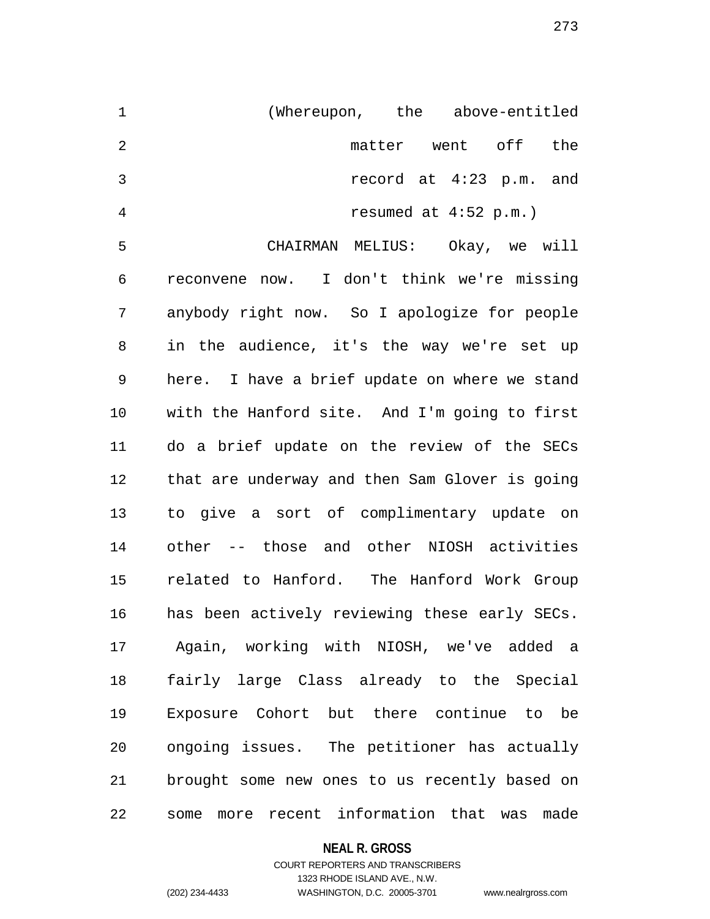| 1              | (Whereupon, the above-entitled |                         |  |                         |     |
|----------------|--------------------------------|-------------------------|--|-------------------------|-----|
| $\mathcal{L}$  |                                | matter went off         |  |                         | the |
| 3              |                                |                         |  | record at 4:23 p.m. and |     |
| $\overline{4}$ |                                | resumed at $4:52$ p.m.) |  |                         |     |

5 CHAIRMAN MELIUS: Okay, we will 6 reconvene now. I don't think we're missing 7 anybody right now. So I apologize for people 8 in the audience, it's the way we're set up 9 here. I have a brief update on where we stand 10 with the Hanford site. And I'm going to first 11 do a brief update on the review of the SECs 12 that are underway and then Sam Glover is going 13 to give a sort of complimentary update on 14 other -- those and other NIOSH activities 15 related to Hanford. The Hanford Work Group 16 has been actively reviewing these early SECs. 17 Again, working with NIOSH, we've added a 18 fairly large Class already to the Special 19 Exposure Cohort but there continue to be 20 ongoing issues. The petitioner has actually 21 brought some new ones to us recently based on 22 some more recent information that was made

#### **NEAL R. GROSS**

## COURT REPORTERS AND TRANSCRIBERS 1323 RHODE ISLAND AVE., N.W. (202) 234-4433 WASHINGTON, D.C. 20005-3701 www.nealrgross.com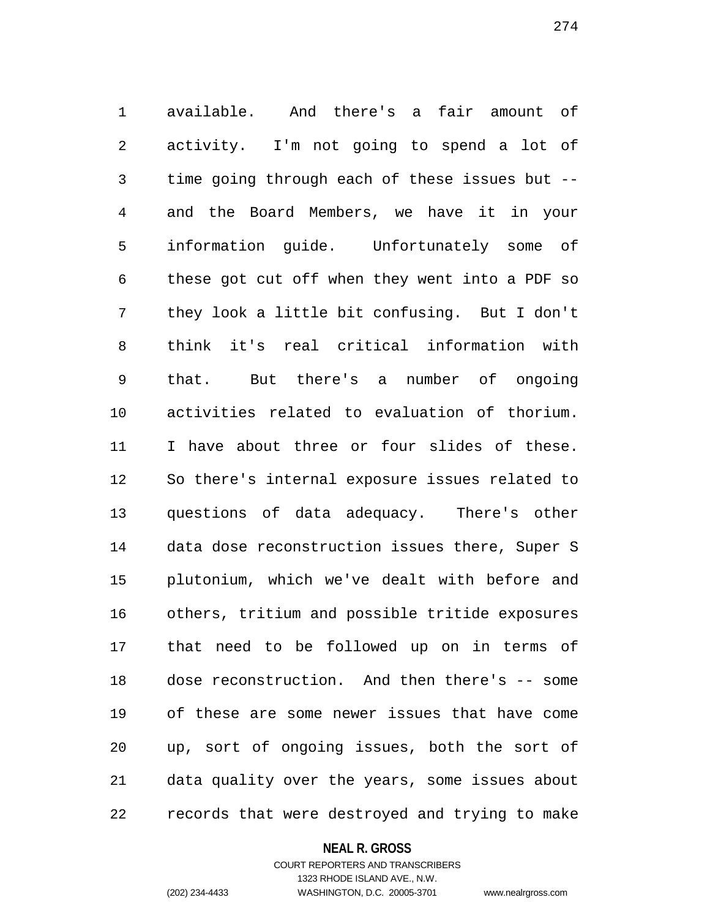1 available. And there's a fair amount of 2 activity. I'm not going to spend a lot of 3 time going through each of these issues but -- 4 and the Board Members, we have it in your 5 information guide. Unfortunately some of 6 these got cut off when they went into a PDF so 7 they look a little bit confusing. But I don't 8 think it's real critical information with 9 that. But there's a number of ongoing 10 activities related to evaluation of thorium. 11 I have about three or four slides of these. 12 So there's internal exposure issues related to 13 questions of data adequacy. There's other 14 data dose reconstruction issues there, Super S 15 plutonium, which we've dealt with before and 16 others, tritium and possible tritide exposures 17 that need to be followed up on in terms of 18 dose reconstruction. And then there's -- some 19 of these are some newer issues that have come 20 up, sort of ongoing issues, both the sort of 21 data quality over the years, some issues about 22 records that were destroyed and trying to make

#### **NEAL R. GROSS**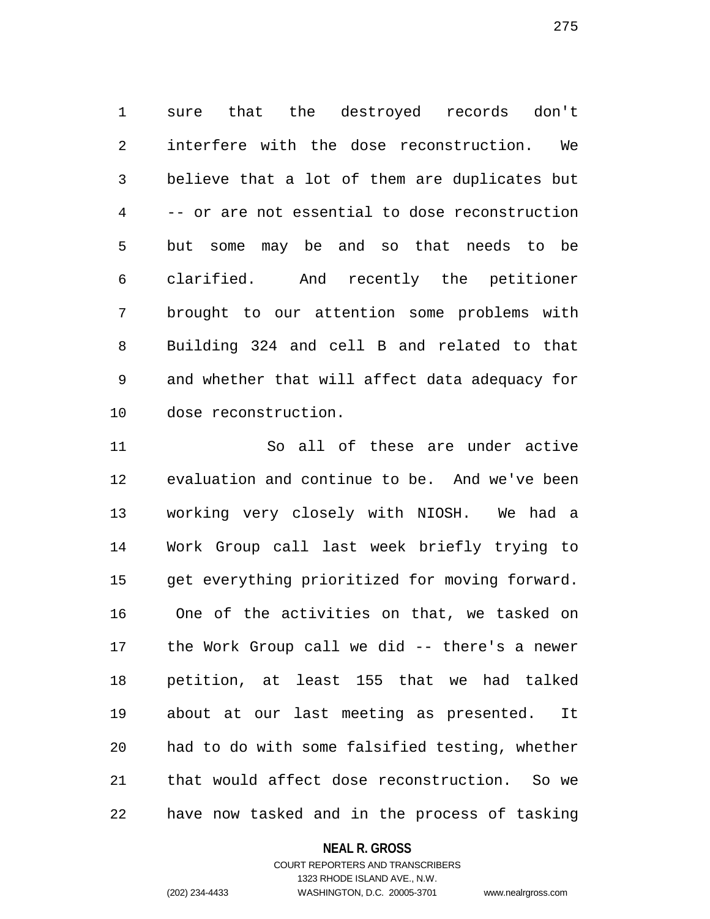1 sure that the destroyed records don't 2 interfere with the dose reconstruction. We 3 believe that a lot of them are duplicates but 4 -- or are not essential to dose reconstruction 5 but some may be and so that needs to be 6 clarified. And recently the petitioner 7 brought to our attention some problems with 8 Building 324 and cell B and related to that 9 and whether that will affect data adequacy for 10 dose reconstruction.

11 So all of these are under active 12 evaluation and continue to be. And we've been 13 working very closely with NIOSH. We had a 14 Work Group call last week briefly trying to 15 get everything prioritized for moving forward. 16 One of the activities on that, we tasked on 17 the Work Group call we did -- there's a newer 18 petition, at least 155 that we had talked 19 about at our last meeting as presented. It 20 had to do with some falsified testing, whether 21 that would affect dose reconstruction. So we 22 have now tasked and in the process of tasking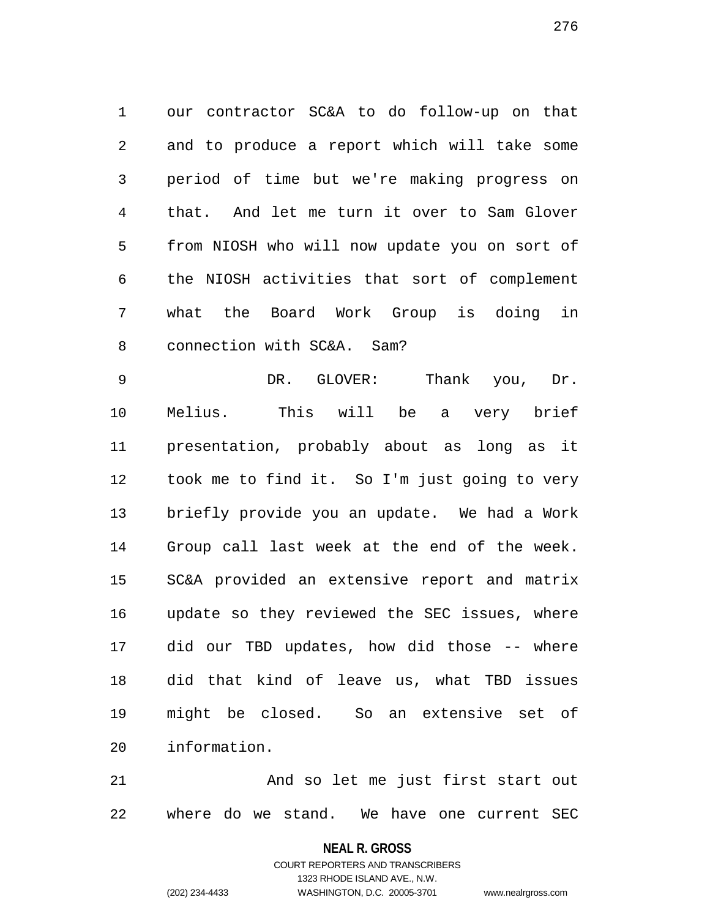1 our contractor SC&A to do follow-up on that 2 and to produce a report which will take some 3 period of time but we're making progress on 4 that. And let me turn it over to Sam Glover 5 from NIOSH who will now update you on sort of 6 the NIOSH activities that sort of complement 7 what the Board Work Group is doing in 8 connection with SC&A. Sam?

9 DR. GLOVER: Thank you, Dr. 10 Melius. This will be a very brief 11 presentation, probably about as long as it 12 took me to find it. So I'm just going to very 13 briefly provide you an update. We had a Work 14 Group call last week at the end of the week. 15 SC&A provided an extensive report and matrix 16 update so they reviewed the SEC issues, where 17 did our TBD updates, how did those -- where 18 did that kind of leave us, what TBD issues 19 might be closed. So an extensive set of 20 information.

21 And so let me just first start out 22 where do we stand. We have one current SEC

**NEAL R. GROSS**

COURT REPORTERS AND TRANSCRIBERS 1323 RHODE ISLAND AVE., N.W. (202) 234-4433 WASHINGTON, D.C. 20005-3701 www.nealrgross.com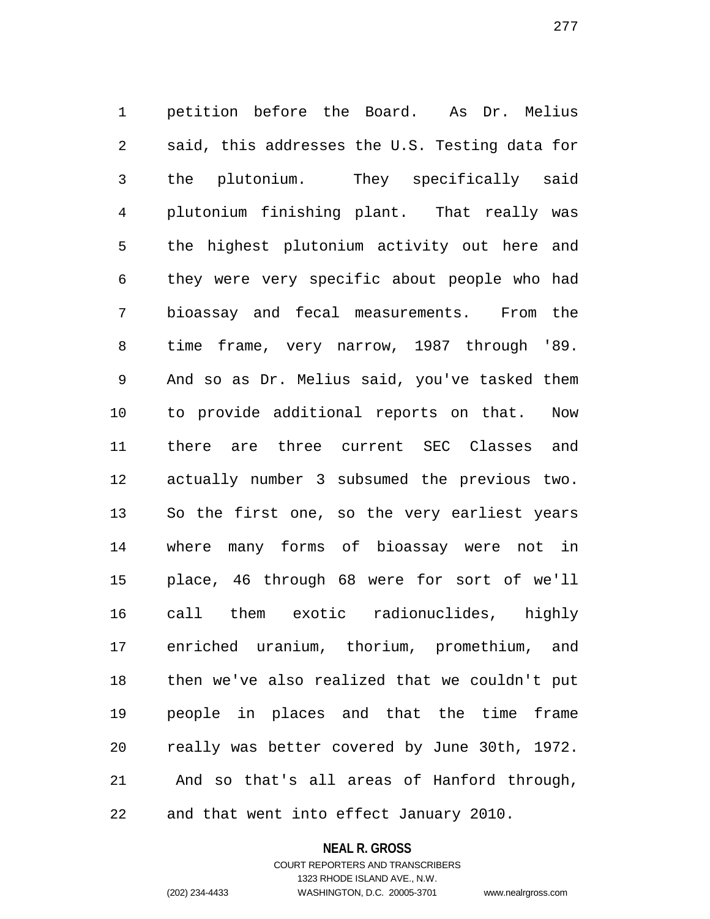1 petition before the Board. As Dr. Melius 2 said, this addresses the U.S. Testing data for 3 the plutonium. They specifically said 4 plutonium finishing plant. That really was 5 the highest plutonium activity out here and 6 they were very specific about people who had 7 bioassay and fecal measurements. From the 8 time frame, very narrow, 1987 through '89. 9 And so as Dr. Melius said, you've tasked them 10 to provide additional reports on that. Now 11 there are three current SEC Classes and 12 actually number 3 subsumed the previous two. 13 So the first one, so the very earliest years 14 where many forms of bioassay were not in 15 place, 46 through 68 were for sort of we'll 16 call them exotic radionuclides, highly 17 enriched uranium, thorium, promethium, and 18 then we've also realized that we couldn't put 19 people in places and that the time frame 20 really was better covered by June 30th, 1972. 21 And so that's all areas of Hanford through, 22 and that went into effect January 2010.

**NEAL R. GROSS**

COURT REPORTERS AND TRANSCRIBERS 1323 RHODE ISLAND AVE., N.W. (202) 234-4433 WASHINGTON, D.C. 20005-3701 www.nealrgross.com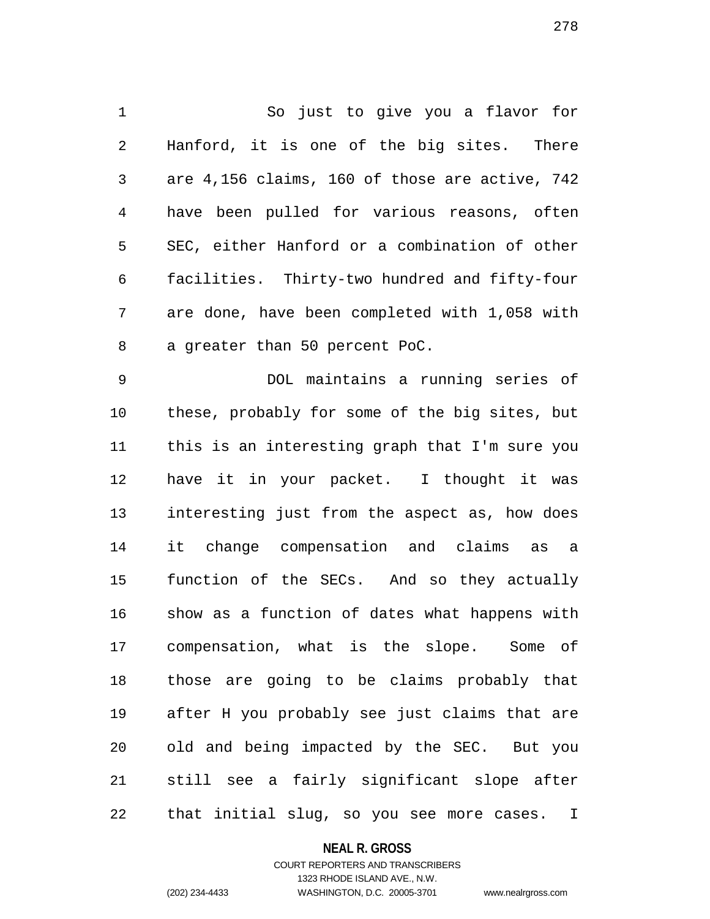1 So just to give you a flavor for 2 Hanford, it is one of the big sites. There 3 are 4,156 claims, 160 of those are active, 742 4 have been pulled for various reasons, often 5 SEC, either Hanford or a combination of other 6 facilities. Thirty-two hundred and fifty-four 7 are done, have been completed with 1,058 with 8 a greater than 50 percent PoC.

9 DOL maintains a running series of 10 these, probably for some of the big sites, but 11 this is an interesting graph that I'm sure you 12 have it in your packet. I thought it was 13 interesting just from the aspect as, how does 14 it change compensation and claims as a 15 function of the SECs. And so they actually 16 show as a function of dates what happens with 17 compensation, what is the slope. Some of 18 those are going to be claims probably that 19 after H you probably see just claims that are 20 old and being impacted by the SEC. But you 21 still see a fairly significant slope after 22 that initial slug, so you see more cases. I

### **NEAL R. GROSS**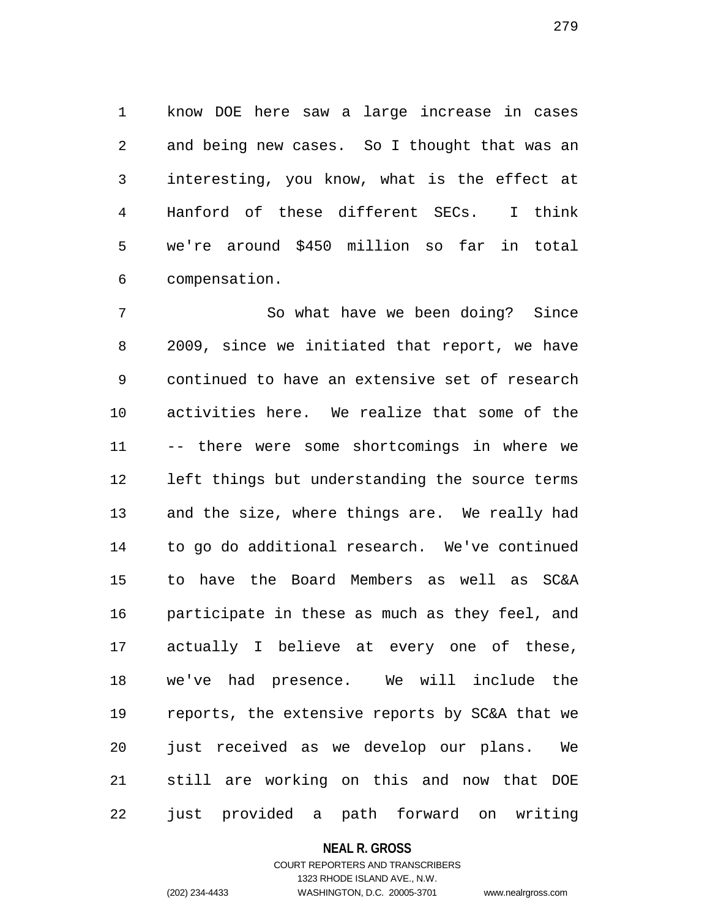1 know DOE here saw a large increase in cases 2 and being new cases. So I thought that was an 3 interesting, you know, what is the effect at 4 Hanford of these different SECs. I think 5 we're around \$450 million so far in total 6 compensation.

7 So what have we been doing? Since 8 2009, since we initiated that report, we have 9 continued to have an extensive set of research 10 activities here. We realize that some of the 11 -- there were some shortcomings in where we 12 left things but understanding the source terms 13 and the size, where things are. We really had 14 to go do additional research. We've continued 15 to have the Board Members as well as SC&A 16 participate in these as much as they feel, and 17 actually I believe at every one of these, 18 we've had presence. We will include the 19 reports, the extensive reports by SC&A that we 20 just received as we develop our plans. We 21 still are working on this and now that DOE 22 just provided a path forward on writing

#### **NEAL R. GROSS**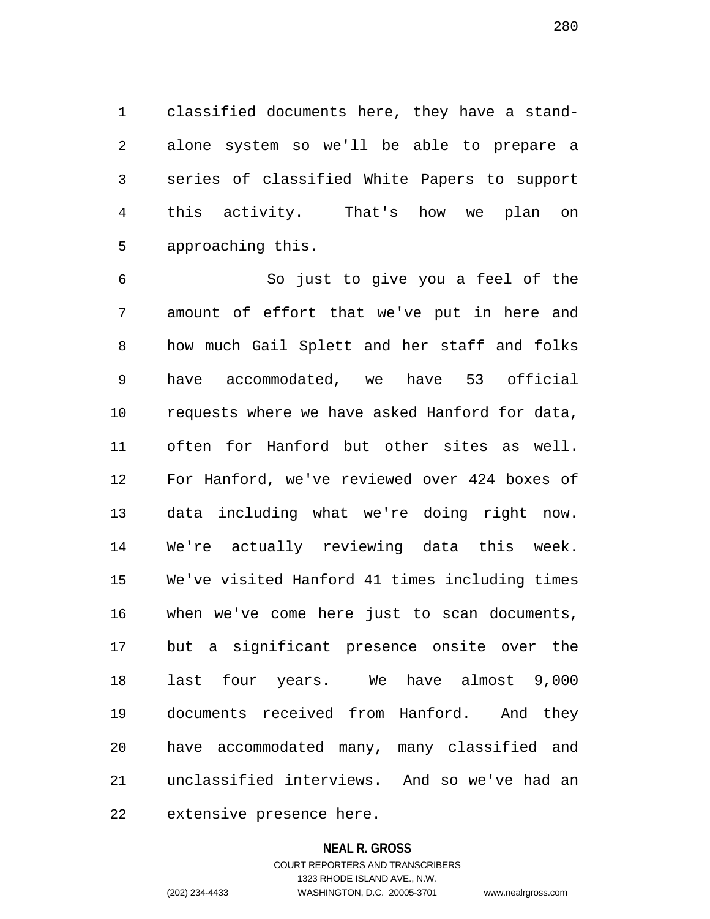1 classified documents here, they have a stand-2 alone system so we'll be able to prepare a 3 series of classified White Papers to support 4 this activity. That's how we plan on 5 approaching this.

6 So just to give you a feel of the 7 amount of effort that we've put in here and 8 how much Gail Splett and her staff and folks 9 have accommodated, we have 53 official 10 requests where we have asked Hanford for data, 11 often for Hanford but other sites as well. 12 For Hanford, we've reviewed over 424 boxes of 13 data including what we're doing right now. 14 We're actually reviewing data this week. 15 We've visited Hanford 41 times including times 16 when we've come here just to scan documents, 17 but a significant presence onsite over the 18 last four years. We have almost 9,000 19 documents received from Hanford. And they 20 have accommodated many, many classified and 21 unclassified interviews. And so we've had an

22 extensive presence here.

#### **NEAL R. GROSS**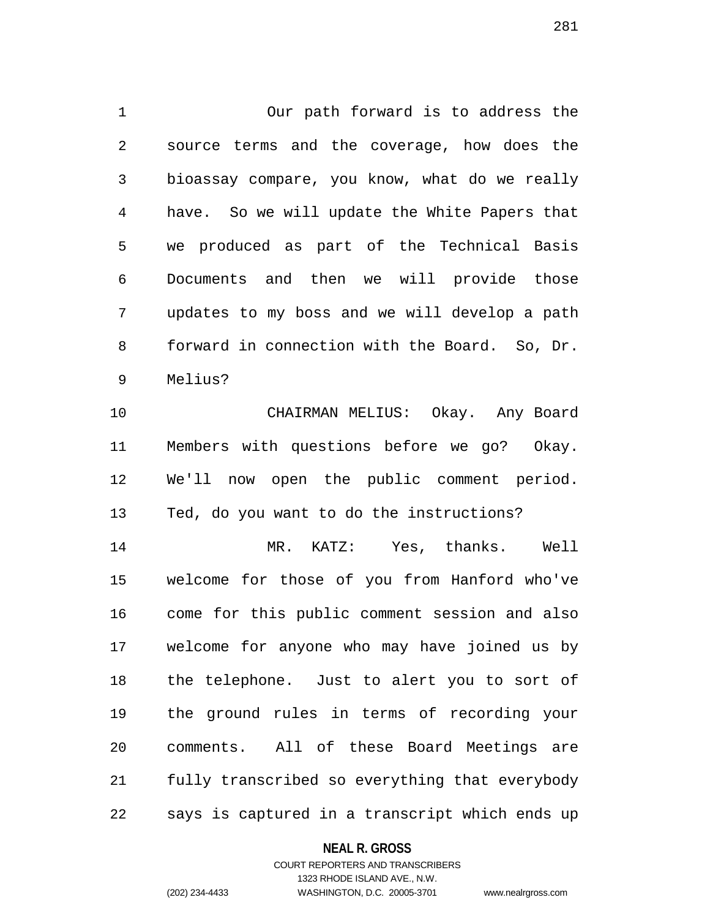1 Our path forward is to address the 2 source terms and the coverage, how does the 3 bioassay compare, you know, what do we really 4 have. So we will update the White Papers that 5 we produced as part of the Technical Basis 6 Documents and then we will provide those 7 updates to my boss and we will develop a path 8 forward in connection with the Board. So, Dr. 9 Melius?

10 CHAIRMAN MELIUS: Okay. Any Board 11 Members with questions before we go? Okay. 12 We'll now open the public comment period. 13 Ted, do you want to do the instructions?

14 MR. KATZ: Yes, thanks. Well 15 welcome for those of you from Hanford who've 16 come for this public comment session and also 17 welcome for anyone who may have joined us by 18 the telephone. Just to alert you to sort of 19 the ground rules in terms of recording your 20 comments. All of these Board Meetings are 21 fully transcribed so everything that everybody 22 says is captured in a transcript which ends up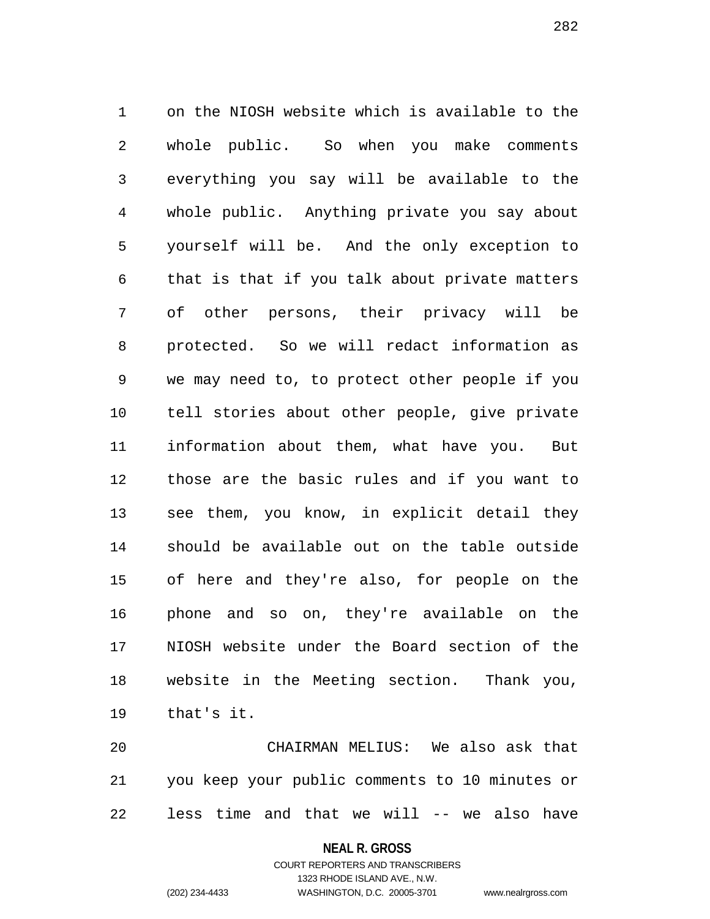1 on the NIOSH website which is available to the 2 whole public. So when you make comments 3 everything you say will be available to the 4 whole public. Anything private you say about 5 yourself will be. And the only exception to 6 that is that if you talk about private matters 7 of other persons, their privacy will be 8 protected. So we will redact information as 9 we may need to, to protect other people if you 10 tell stories about other people, give private 11 information about them, what have you. But 12 those are the basic rules and if you want to 13 see them, you know, in explicit detail they 14 should be available out on the table outside 15 of here and they're also, for people on the 16 phone and so on, they're available on the 17 NIOSH website under the Board section of the 18 website in the Meeting section. Thank you, 19 that's it.

20 CHAIRMAN MELIUS: We also ask that 21 you keep your public comments to 10 minutes or 22 less time and that we will -- we also have

**NEAL R. GROSS**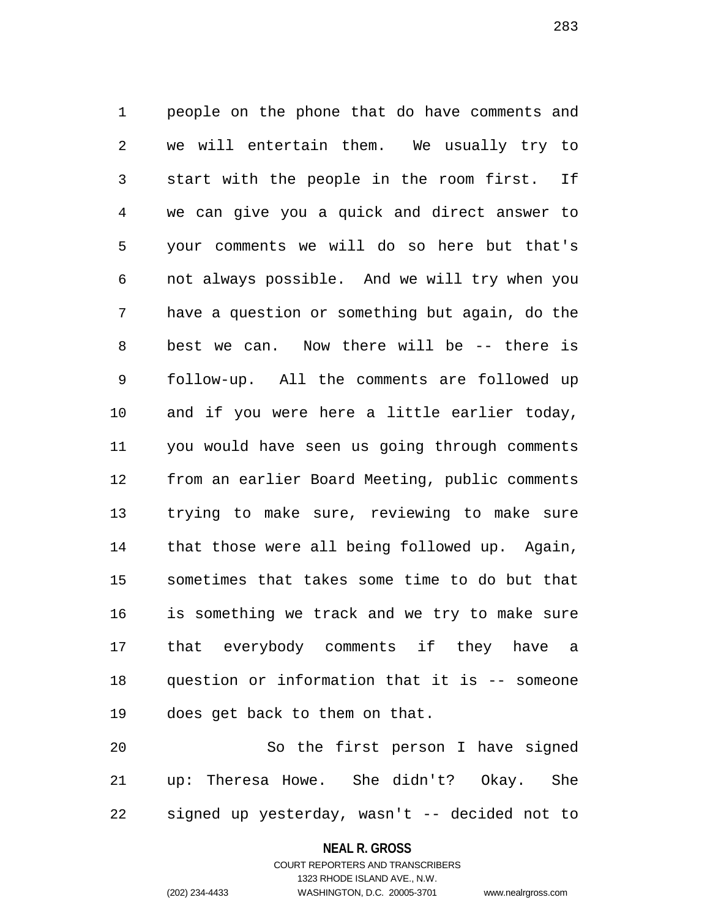1 people on the phone that do have comments and 2 we will entertain them. We usually try to 3 start with the people in the room first. If 4 we can give you a quick and direct answer to 5 your comments we will do so here but that's 6 not always possible. And we will try when you 7 have a question or something but again, do the 8 best we can. Now there will be -- there is 9 follow-up. All the comments are followed up 10 and if you were here a little earlier today, 11 you would have seen us going through comments 12 from an earlier Board Meeting, public comments 13 trying to make sure, reviewing to make sure 14 that those were all being followed up. Again, 15 sometimes that takes some time to do but that 16 is something we track and we try to make sure 17 that everybody comments if they have a 18 question or information that it is -- someone 19 does get back to them on that.

20 So the first person I have signed 21 up: Theresa Howe. She didn't? Okay. She 22 signed up yesterday, wasn't -- decided not to

#### **NEAL R. GROSS**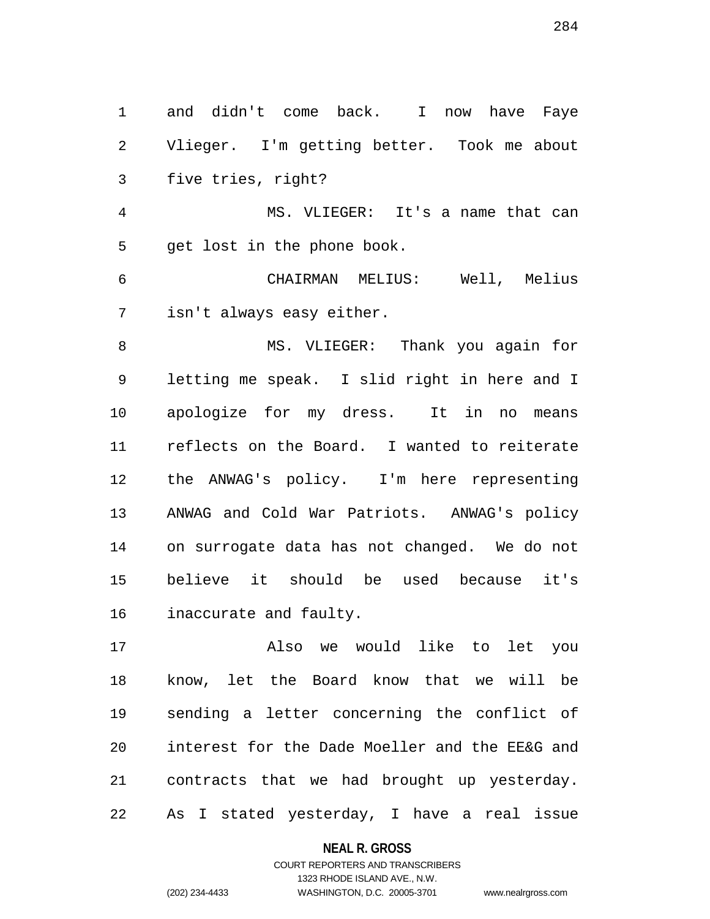1 and didn't come back. I now have Faye 2 Vlieger. I'm getting better. Took me about 3 five tries, right?

4 MS. VLIEGER: It's a name that can 5 get lost in the phone book.

6 CHAIRMAN MELIUS: Well, Melius 7 isn't always easy either.

8 MS. VLIEGER: Thank you again for 9 letting me speak. I slid right in here and I 10 apologize for my dress. It in no means 11 reflects on the Board. I wanted to reiterate 12 the ANWAG's policy. I'm here representing 13 ANWAG and Cold War Patriots. ANWAG's policy 14 on surrogate data has not changed. We do not 15 believe it should be used because it's 16 inaccurate and faulty.

17 Also we would like to let you 18 know, let the Board know that we will be 19 sending a letter concerning the conflict of 20 interest for the Dade Moeller and the EE&G and 21 contracts that we had brought up yesterday. 22 As I stated yesterday, I have a real issue

#### **NEAL R. GROSS**

## COURT REPORTERS AND TRANSCRIBERS 1323 RHODE ISLAND AVE., N.W. (202) 234-4433 WASHINGTON, D.C. 20005-3701 www.nealrgross.com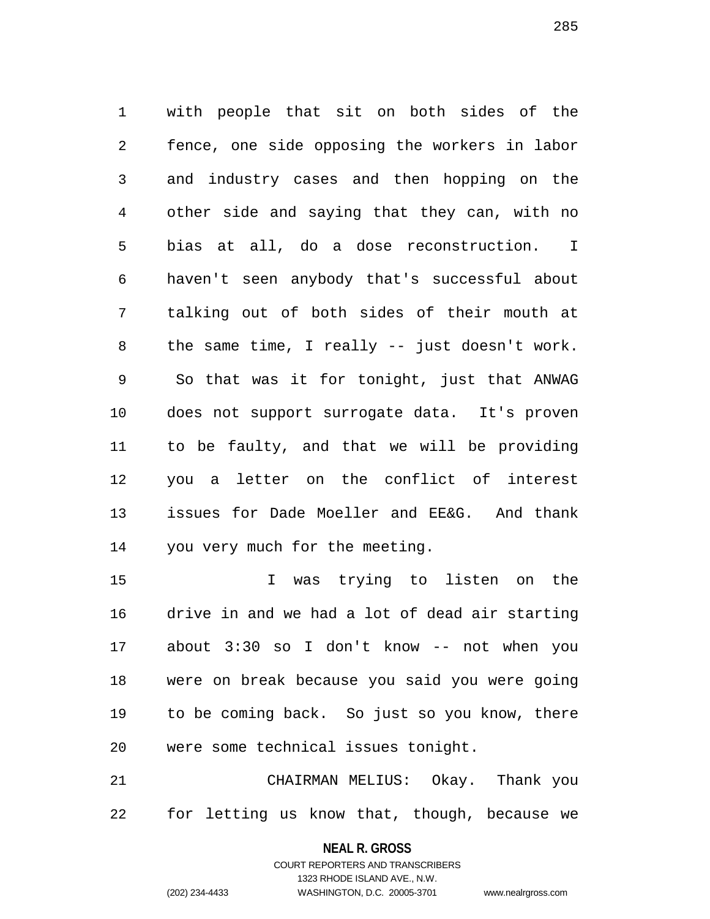1 with people that sit on both sides of the 2 fence, one side opposing the workers in labor 3 and industry cases and then hopping on the 4 other side and saying that they can, with no 5 bias at all, do a dose reconstruction. I 6 haven't seen anybody that's successful about 7 talking out of both sides of their mouth at 8 the same time, I really -- just doesn't work. 9 So that was it for tonight, just that ANWAG 10 does not support surrogate data. It's proven 11 to be faulty, and that we will be providing 12 you a letter on the conflict of interest 13 issues for Dade Moeller and EE&G. And thank 14 you very much for the meeting.

15 I was trying to listen on the 16 drive in and we had a lot of dead air starting 17 about 3:30 so I don't know -- not when you 18 were on break because you said you were going 19 to be coming back. So just so you know, there 20 were some technical issues tonight.

21 CHAIRMAN MELIUS: Okay. Thank you 22 for letting us know that, though, because we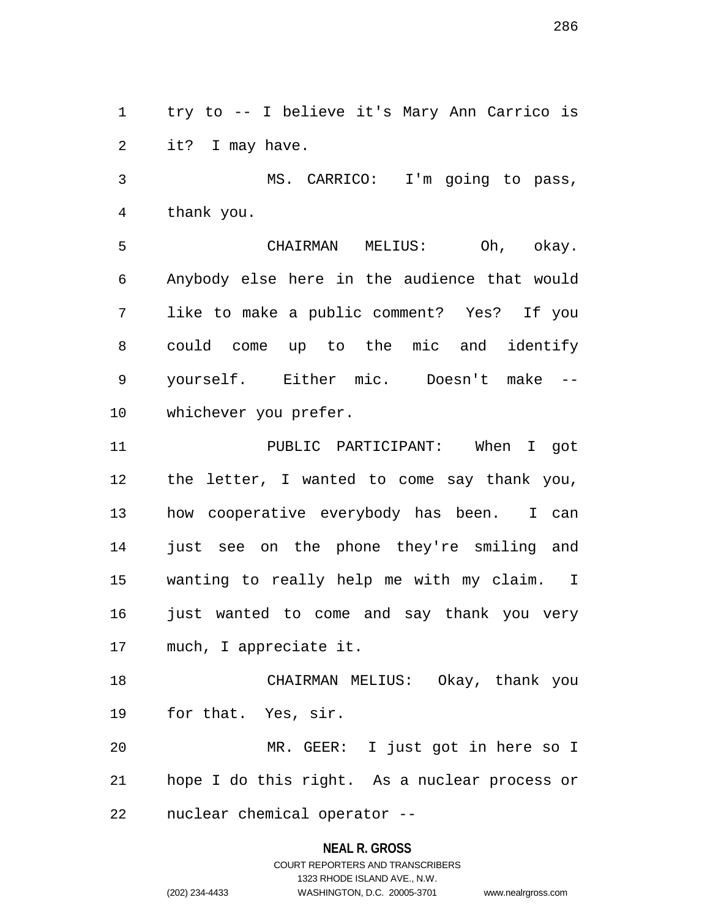1 try to -- I believe it's Mary Ann Carrico is 2 it? I may have.

3 MS. CARRICO: I'm going to pass, 4 thank you.

5 CHAIRMAN MELIUS: Oh, okay. 6 Anybody else here in the audience that would 7 like to make a public comment? Yes? If you 8 could come up to the mic and identify 9 yourself. Either mic. Doesn't make -- 10 whichever you prefer.

11 PUBLIC PARTICIPANT: When I got 12 the letter, I wanted to come say thank you, 13 how cooperative everybody has been. I can 14 just see on the phone they're smiling and 15 wanting to really help me with my claim. I 16 just wanted to come and say thank you very 17 much, I appreciate it.

18 CHAIRMAN MELIUS: Okay, thank you 19 for that. Yes, sir.

20 MR. GEER: I just got in here so I 21 hope I do this right. As a nuclear process or 22 nuclear chemical operator --

### **NEAL R. GROSS**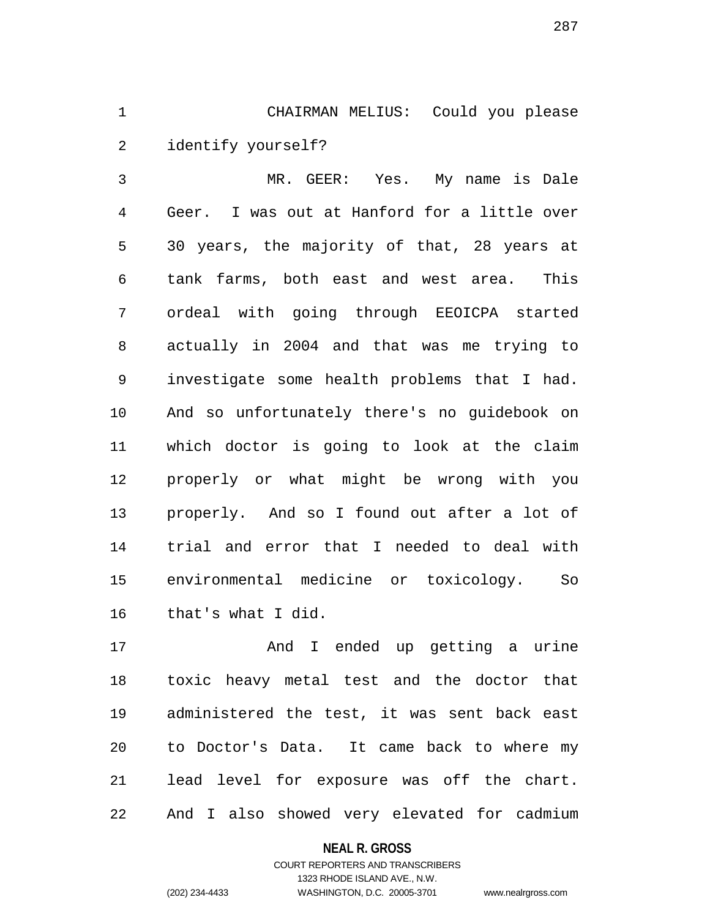1 CHAIRMAN MELIUS: Could you please 2 identify yourself?

3 MR. GEER: Yes. My name is Dale 4 Geer. I was out at Hanford for a little over 5 30 years, the majority of that, 28 years at 6 tank farms, both east and west area. This 7 ordeal with going through EEOICPA started 8 actually in 2004 and that was me trying to 9 investigate some health problems that I had. 10 And so unfortunately there's no guidebook on 11 which doctor is going to look at the claim 12 properly or what might be wrong with you 13 properly. And so I found out after a lot of 14 trial and error that I needed to deal with 15 environmental medicine or toxicology. So 16 that's what I did.

17 and I ended up getting a urine 18 toxic heavy metal test and the doctor that 19 administered the test, it was sent back east 20 to Doctor's Data. It came back to where my 21 lead level for exposure was off the chart. 22 And I also showed very elevated for cadmium

### **NEAL R. GROSS**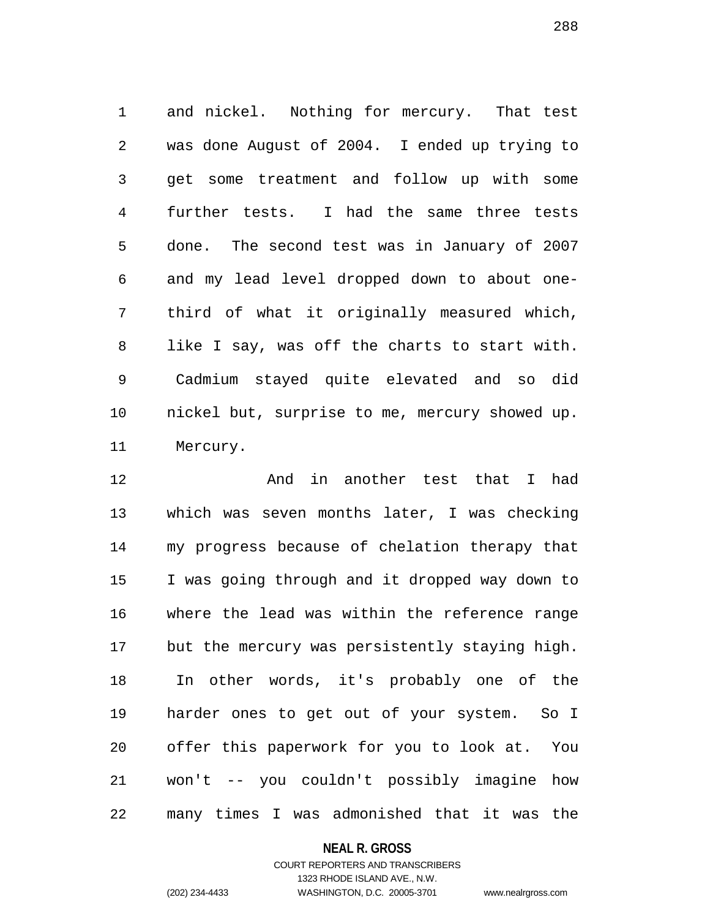1 and nickel. Nothing for mercury. That test 2 was done August of 2004. I ended up trying to 3 get some treatment and follow up with some 4 further tests. I had the same three tests 5 done. The second test was in January of 2007 6 and my lead level dropped down to about one-7 third of what it originally measured which, 8 like I say, was off the charts to start with. 9 Cadmium stayed quite elevated and so did 10 nickel but, surprise to me, mercury showed up. 11 Mercury.

12 And in another test that I had 13 which was seven months later, I was checking 14 my progress because of chelation therapy that 15 I was going through and it dropped way down to 16 where the lead was within the reference range 17 but the mercury was persistently staying high. 18 In other words, it's probably one of the 19 harder ones to get out of your system. So I 20 offer this paperwork for you to look at. You 21 won't -- you couldn't possibly imagine how 22 many times I was admonished that it was the

### **NEAL R. GROSS**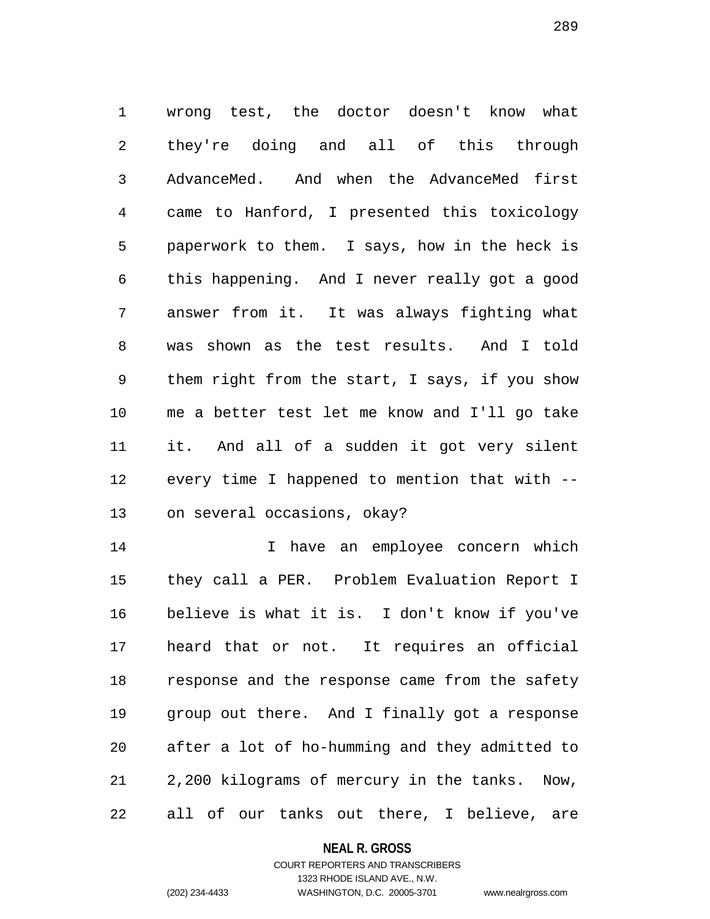1 wrong test, the doctor doesn't know what 2 they're doing and all of this through 3 AdvanceMed. And when the AdvanceMed first 4 came to Hanford, I presented this toxicology 5 paperwork to them. I says, how in the heck is 6 this happening. And I never really got a good 7 answer from it. It was always fighting what 8 was shown as the test results. And I told 9 them right from the start, I says, if you show 10 me a better test let me know and I'll go take 11 it. And all of a sudden it got very silent 12 every time I happened to mention that with -- 13 on several occasions, okay?

14 I have an employee concern which 15 they call a PER. Problem Evaluation Report I 16 believe is what it is. I don't know if you've 17 heard that or not. It requires an official 18 response and the response came from the safety 19 group out there. And I finally got a response 20 after a lot of ho-humming and they admitted to 21 2,200 kilograms of mercury in the tanks. Now, 22 all of our tanks out there, I believe, are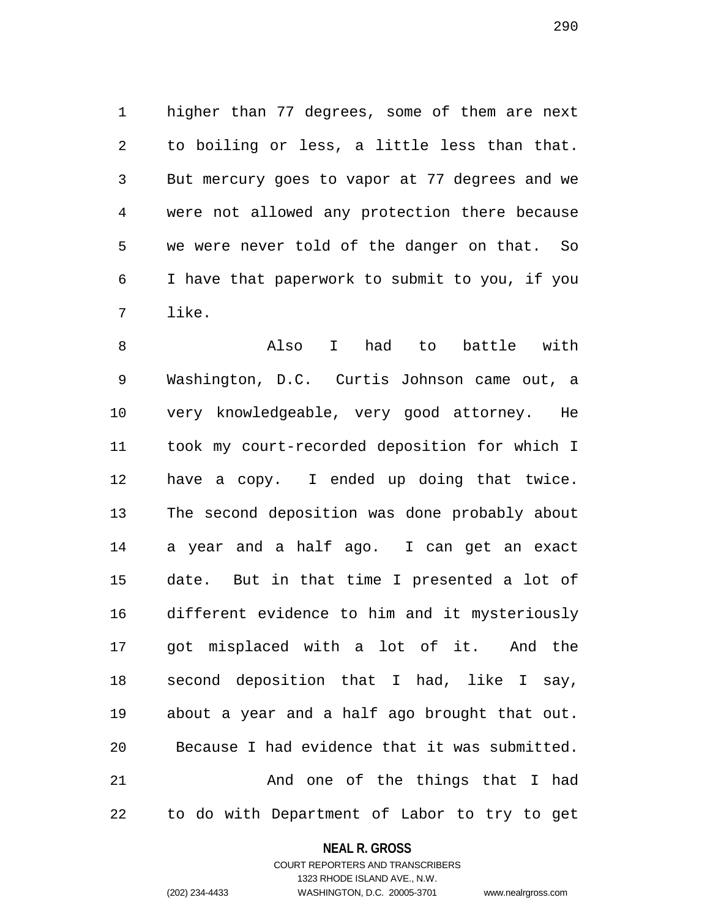1 higher than 77 degrees, some of them are next 2 to boiling or less, a little less than that. 3 But mercury goes to vapor at 77 degrees and we 4 were not allowed any protection there because 5 we were never told of the danger on that. So 6 I have that paperwork to submit to you, if you 7 like.

8 Also I had to battle with 9 Washington, D.C. Curtis Johnson came out, a 10 very knowledgeable, very good attorney. He 11 took my court-recorded deposition for which I 12 have a copy. I ended up doing that twice. 13 The second deposition was done probably about 14 a year and a half ago. I can get an exact 15 date. But in that time I presented a lot of 16 different evidence to him and it mysteriously 17 got misplaced with a lot of it. And the 18 second deposition that I had, like I say, 19 about a year and a half ago brought that out. 20 Because I had evidence that it was submitted. 21 And one of the things that I had 22 to do with Department of Labor to try to get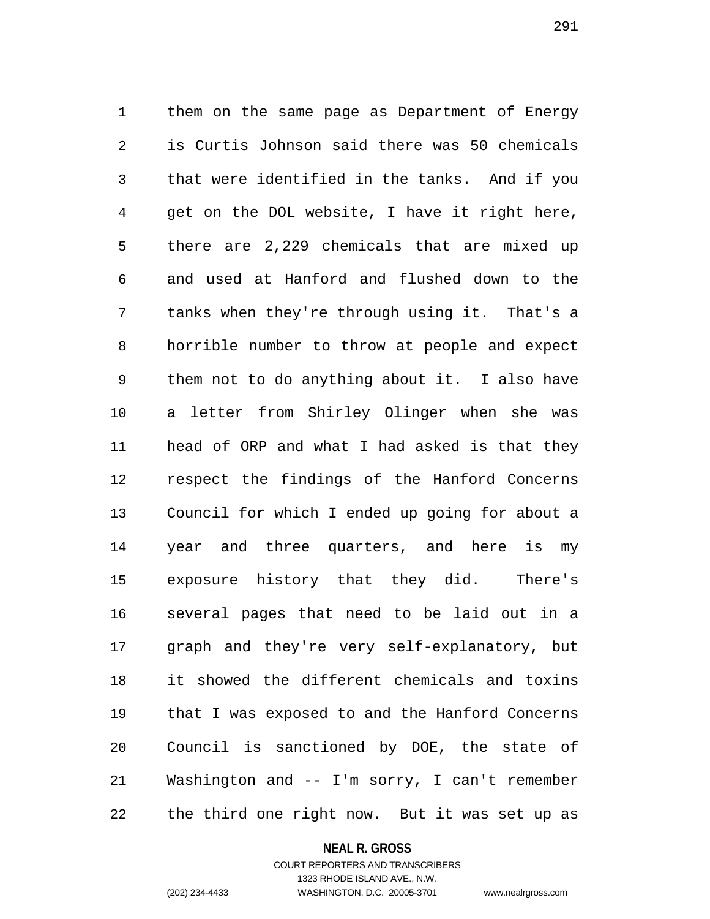1 them on the same page as Department of Energy 2 is Curtis Johnson said there was 50 chemicals 3 that were identified in the tanks. And if you 4 get on the DOL website, I have it right here, 5 there are 2,229 chemicals that are mixed up 6 and used at Hanford and flushed down to the 7 tanks when they're through using it. That's a 8 horrible number to throw at people and expect 9 them not to do anything about it. I also have 10 a letter from Shirley Olinger when she was 11 head of ORP and what I had asked is that they 12 respect the findings of the Hanford Concerns 13 Council for which I ended up going for about a 14 year and three quarters, and here is my 15 exposure history that they did. There's 16 several pages that need to be laid out in a 17 graph and they're very self-explanatory, but 18 it showed the different chemicals and toxins 19 that I was exposed to and the Hanford Concerns 20 Council is sanctioned by DOE, the state of 21 Washington and -- I'm sorry, I can't remember 22 the third one right now. But it was set up as

**NEAL R. GROSS**

COURT REPORTERS AND TRANSCRIBERS 1323 RHODE ISLAND AVE., N.W. (202) 234-4433 WASHINGTON, D.C. 20005-3701 www.nealrgross.com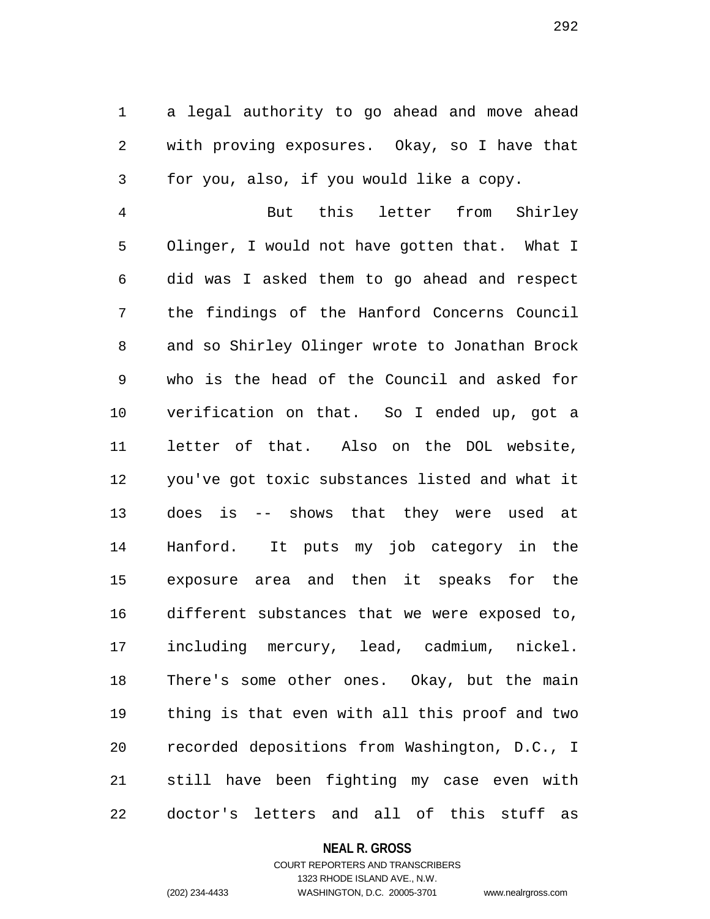1 a legal authority to go ahead and move ahead 2 with proving exposures. Okay, so I have that 3 for you, also, if you would like a copy.

4 But this letter from Shirley 5 Olinger, I would not have gotten that. What I 6 did was I asked them to go ahead and respect 7 the findings of the Hanford Concerns Council 8 and so Shirley Olinger wrote to Jonathan Brock 9 who is the head of the Council and asked for 10 verification on that. So I ended up, got a 11 letter of that. Also on the DOL website, 12 you've got toxic substances listed and what it 13 does is -- shows that they were used at 14 Hanford. It puts my job category in the 15 exposure area and then it speaks for the 16 different substances that we were exposed to, 17 including mercury, lead, cadmium, nickel. 18 There's some other ones. Okay, but the main 19 thing is that even with all this proof and two 20 recorded depositions from Washington, D.C., I 21 still have been fighting my case even with 22 doctor's letters and all of this stuff as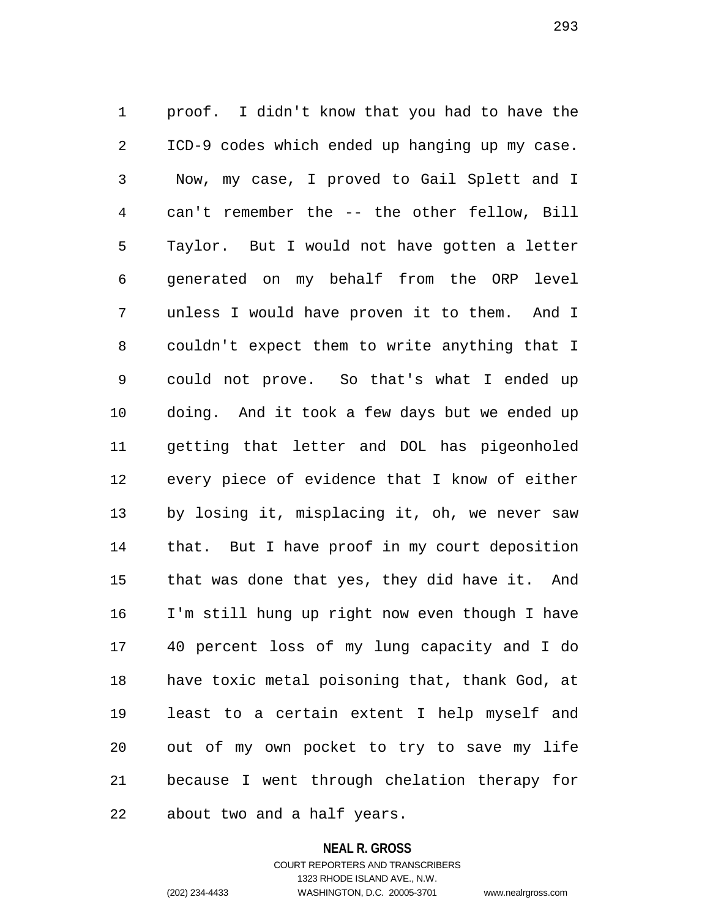1 proof. I didn't know that you had to have the 2 ICD-9 codes which ended up hanging up my case. 3 Now, my case, I proved to Gail Splett and I 4 can't remember the -- the other fellow, Bill 5 Taylor. But I would not have gotten a letter 6 generated on my behalf from the ORP level 7 unless I would have proven it to them. And I 8 couldn't expect them to write anything that I 9 could not prove. So that's what I ended up 10 doing. And it took a few days but we ended up 11 getting that letter and DOL has pigeonholed 12 every piece of evidence that I know of either 13 by losing it, misplacing it, oh, we never saw 14 that. But I have proof in my court deposition 15 that was done that yes, they did have it. And 16 I'm still hung up right now even though I have 17 40 percent loss of my lung capacity and I do 18 have toxic metal poisoning that, thank God, at 19 least to a certain extent I help myself and 20 out of my own pocket to try to save my life 21 because I went through chelation therapy for 22 about two and a half years.

#### **NEAL R. GROSS**

# COURT REPORTERS AND TRANSCRIBERS 1323 RHODE ISLAND AVE., N.W. (202) 234-4433 WASHINGTON, D.C. 20005-3701 www.nealrgross.com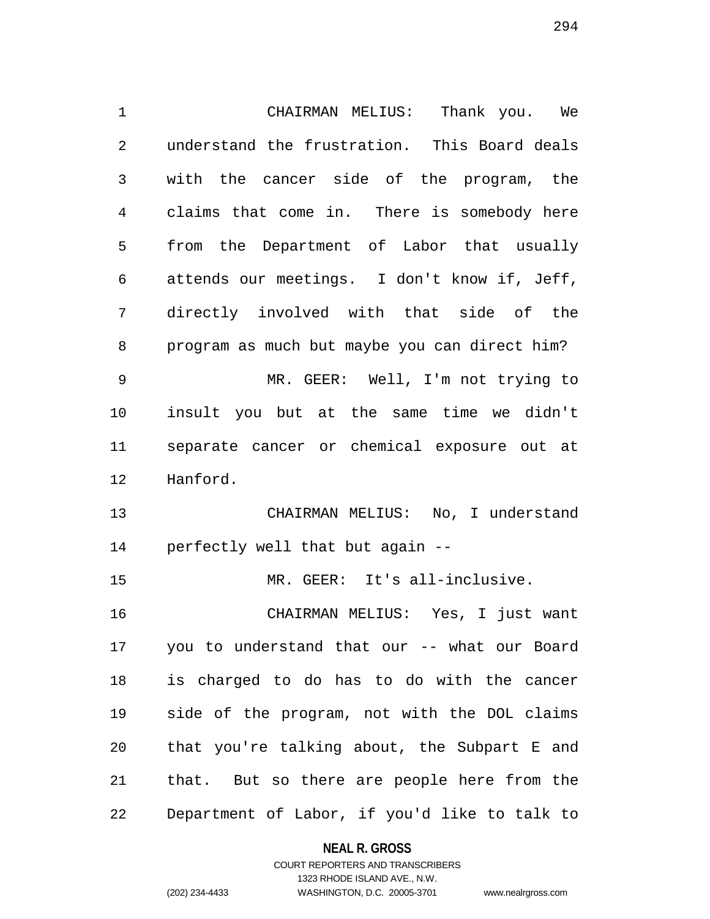1 CHAIRMAN MELIUS: Thank you. We 2 understand the frustration. This Board deals 3 with the cancer side of the program, the 4 claims that come in. There is somebody here 5 from the Department of Labor that usually 6 attends our meetings. I don't know if, Jeff, 7 directly involved with that side of the 8 program as much but maybe you can direct him? 9 MR. GEER: Well, I'm not trying to 10 insult you but at the same time we didn't 11 separate cancer or chemical exposure out at 12 Hanford. 13 CHAIRMAN MELIUS: No, I understand 14 perfectly well that but again -- 15 MR. GEER: It's all-inclusive. 16 CHAIRMAN MELIUS: Yes, I just want 17 you to understand that our -- what our Board 18 is charged to do has to do with the cancer 19 side of the program, not with the DOL claims 20 that you're talking about, the Subpart E and 21 that. But so there are people here from the 22 Department of Labor, if you'd like to talk to

> **NEAL R. GROSS** COURT REPORTERS AND TRANSCRIBERS

1323 RHODE ISLAND AVE., N.W. (202) 234-4433 WASHINGTON, D.C. 20005-3701 www.nealrgross.com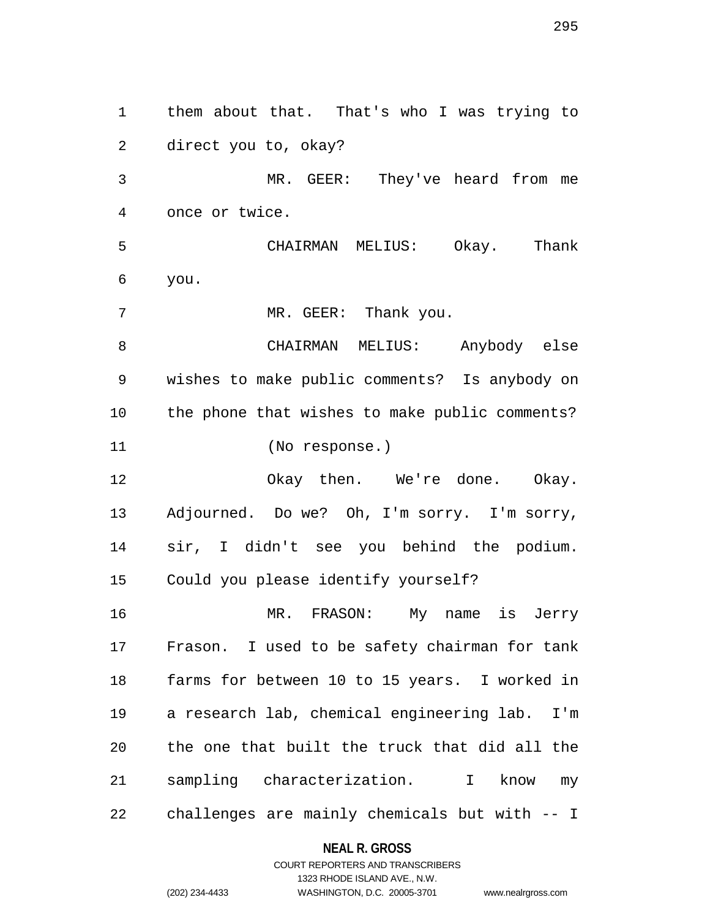1 them about that. That's who I was trying to 2 direct you to, okay? 3 MR. GEER: They've heard from me 4 once or twice. 5 CHAIRMAN MELIUS: Okay. Thank 6 you. 7 MR. GEER: Thank you. 8 CHAIRMAN MELIUS: Anybody else 9 wishes to make public comments? Is anybody on 10 the phone that wishes to make public comments? 11 (No response.) 12 Okay then. We're done. Okay. 13 Adjourned. Do we? Oh, I'm sorry. I'm sorry, 14 sir, I didn't see you behind the podium. 15 Could you please identify yourself? 16 MR. FRASON: My name is Jerry 17 Frason. I used to be safety chairman for tank 18 farms for between 10 to 15 years. I worked in 19 a research lab, chemical engineering lab. I'm 20 the one that built the truck that did all the 21 sampling characterization. I know my 22 challenges are mainly chemicals but with -- I

#### **NEAL R. GROSS**

# COURT REPORTERS AND TRANSCRIBERS 1323 RHODE ISLAND AVE., N.W. (202) 234-4433 WASHINGTON, D.C. 20005-3701 www.nealrgross.com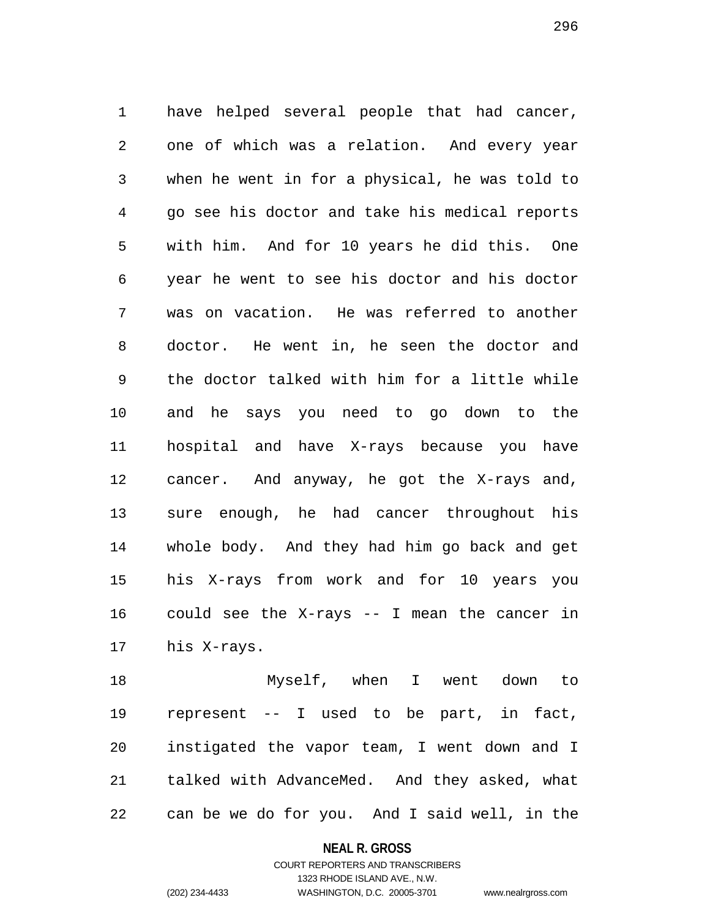1 have helped several people that had cancer, 2 one of which was a relation. And every year 3 when he went in for a physical, he was told to 4 go see his doctor and take his medical reports 5 with him. And for 10 years he did this. One 6 year he went to see his doctor and his doctor 7 was on vacation. He was referred to another 8 doctor. He went in, he seen the doctor and 9 the doctor talked with him for a little while 10 and he says you need to go down to the 11 hospital and have X-rays because you have 12 cancer. And anyway, he got the X-rays and, 13 sure enough, he had cancer throughout his 14 whole body. And they had him go back and get 15 his X-rays from work and for 10 years you 16 could see the X-rays -- I mean the cancer in 17 his X-rays.

18 Myself, when I went down to 19 represent -- I used to be part, in fact, 20 instigated the vapor team, I went down and I 21 talked with AdvanceMed. And they asked, what 22 can be we do for you. And I said well, in the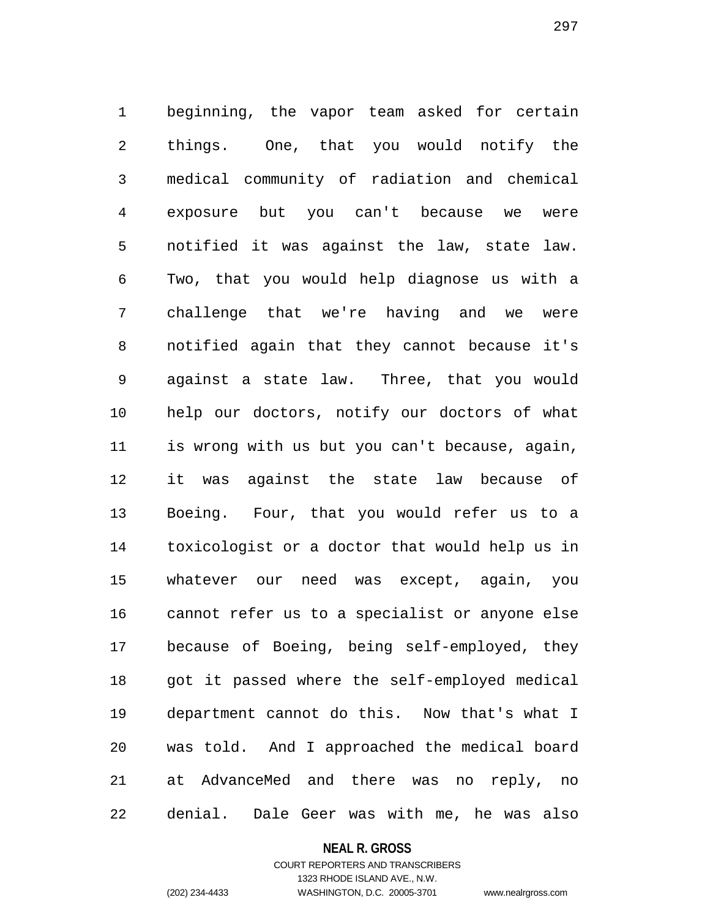1 beginning, the vapor team asked for certain 2 things. One, that you would notify the 3 medical community of radiation and chemical 4 exposure but you can't because we were 5 notified it was against the law, state law. 6 Two, that you would help diagnose us with a 7 challenge that we're having and we were 8 notified again that they cannot because it's 9 against a state law. Three, that you would 10 help our doctors, notify our doctors of what 11 is wrong with us but you can't because, again, 12 it was against the state law because of 13 Boeing. Four, that you would refer us to a 14 toxicologist or a doctor that would help us in 15 whatever our need was except, again, you 16 cannot refer us to a specialist or anyone else 17 because of Boeing, being self-employed, they 18 got it passed where the self-employed medical 19 department cannot do this. Now that's what I 20 was told. And I approached the medical board 21 at AdvanceMed and there was no reply, no 22 denial. Dale Geer was with me, he was also

**NEAL R. GROSS**

COURT REPORTERS AND TRANSCRIBERS 1323 RHODE ISLAND AVE., N.W. (202) 234-4433 WASHINGTON, D.C. 20005-3701 www.nealrgross.com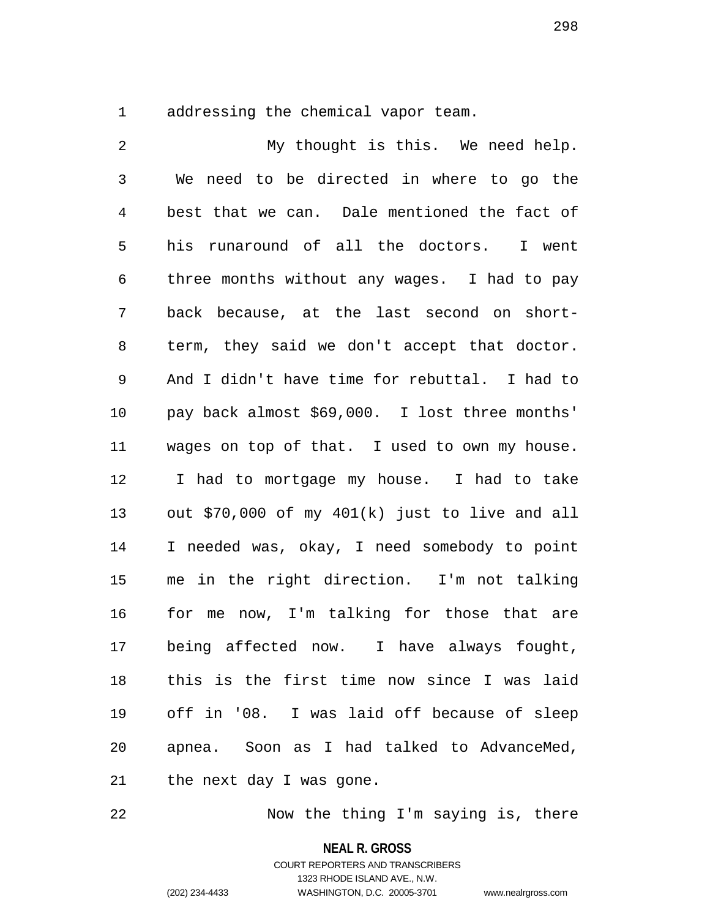1 addressing the chemical vapor team.

2 My thought is this. We need help. 3 We need to be directed in where to go the 4 best that we can. Dale mentioned the fact of 5 his runaround of all the doctors. I went 6 three months without any wages. I had to pay 7 back because, at the last second on short-8 term, they said we don't accept that doctor. 9 And I didn't have time for rebuttal. I had to 10 pay back almost \$69,000. I lost three months' 11 wages on top of that. I used to own my house. 12 I had to mortgage my house. I had to take 13 out \$70,000 of my 401(k) just to live and all 14 I needed was, okay, I need somebody to point 15 me in the right direction. I'm not talking 16 for me now, I'm talking for those that are 17 being affected now. I have always fought, 18 this is the first time now since I was laid 19 off in '08. I was laid off because of sleep 20 apnea. Soon as I had talked to AdvanceMed, 21 the next day I was gone.

22 Now the thing I'm saying is, there

**NEAL R. GROSS**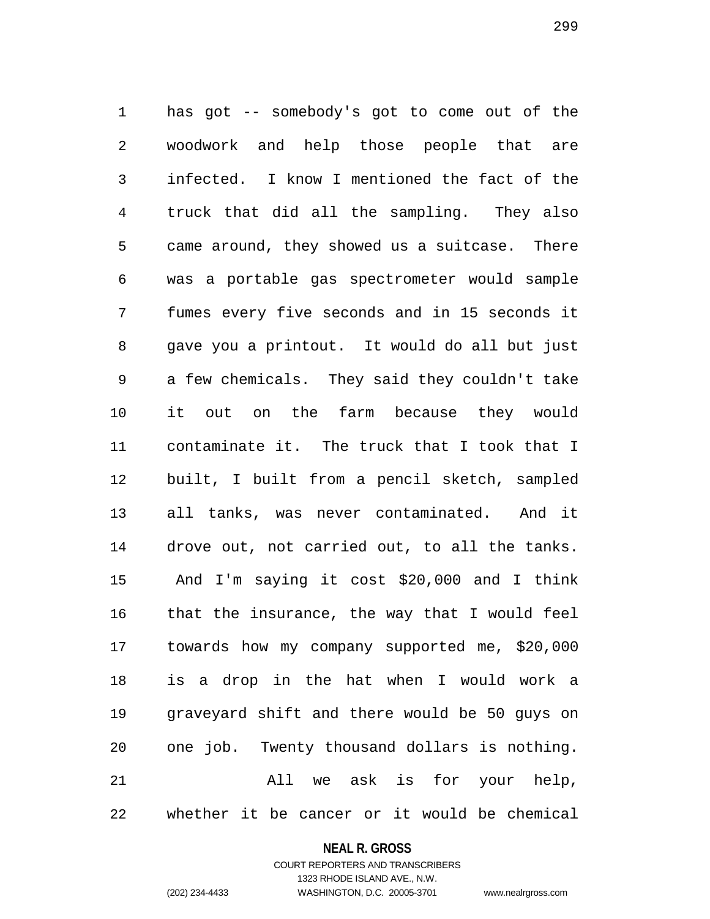1 has got -- somebody's got to come out of the 2 woodwork and help those people that are 3 infected. I know I mentioned the fact of the 4 truck that did all the sampling. They also 5 came around, they showed us a suitcase. There 6 was a portable gas spectrometer would sample 7 fumes every five seconds and in 15 seconds it 8 gave you a printout. It would do all but just 9 a few chemicals. They said they couldn't take 10 it out on the farm because they would 11 contaminate it. The truck that I took that I 12 built, I built from a pencil sketch, sampled 13 all tanks, was never contaminated. And it 14 drove out, not carried out, to all the tanks. 15 And I'm saying it cost \$20,000 and I think 16 that the insurance, the way that I would feel 17 towards how my company supported me, \$20,000 18 is a drop in the hat when I would work a 19 graveyard shift and there would be 50 guys on 20 one job. Twenty thousand dollars is nothing. 21 All we ask is for your help, 22 whether it be cancer or it would be chemical

# **NEAL R. GROSS** COURT REPORTERS AND TRANSCRIBERS

1323 RHODE ISLAND AVE., N.W.

(202) 234-4433 WASHINGTON, D.C. 20005-3701 www.nealrgross.com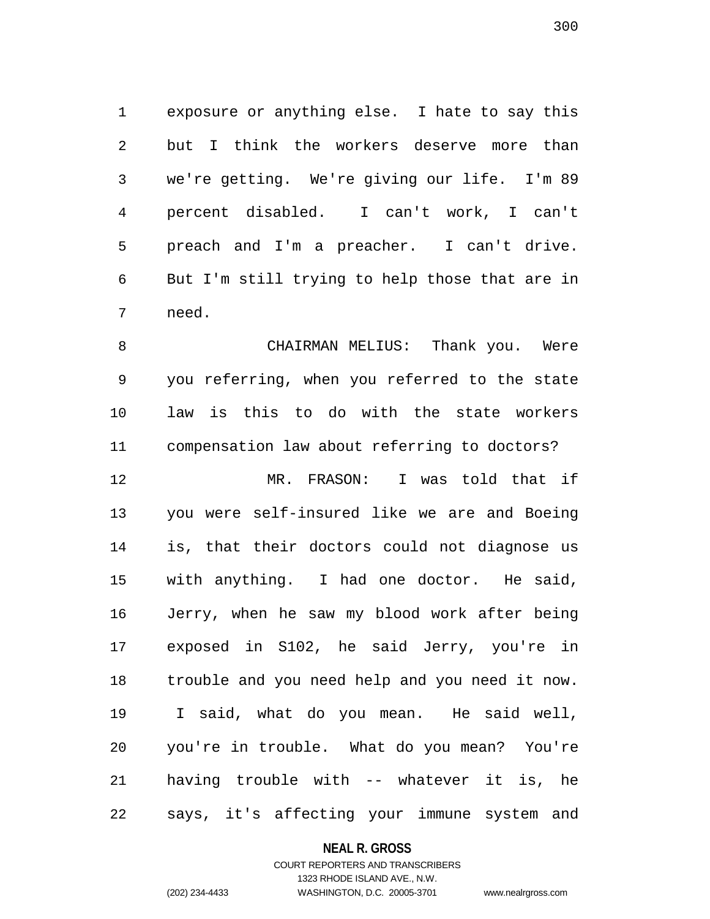1 exposure or anything else. I hate to say this 2 but I think the workers deserve more than 3 we're getting. We're giving our life. I'm 89 4 percent disabled. I can't work, I can't 5 preach and I'm a preacher. I can't drive. 6 But I'm still trying to help those that are in 7 need.

8 CHAIRMAN MELIUS: Thank you. Were 9 you referring, when you referred to the state 10 law is this to do with the state workers 11 compensation law about referring to doctors? 12 MR. FRASON: I was told that if 13 you were self-insured like we are and Boeing 14 is, that their doctors could not diagnose us 15 with anything. I had one doctor. He said, 16 Jerry, when he saw my blood work after being 17 exposed in S102, he said Jerry, you're in 18 trouble and you need help and you need it now. 19 I said, what do you mean. He said well, 20 you're in trouble. What do you mean? You're 21 having trouble with -- whatever it is, he 22 says, it's affecting your immune system and

# **NEAL R. GROSS**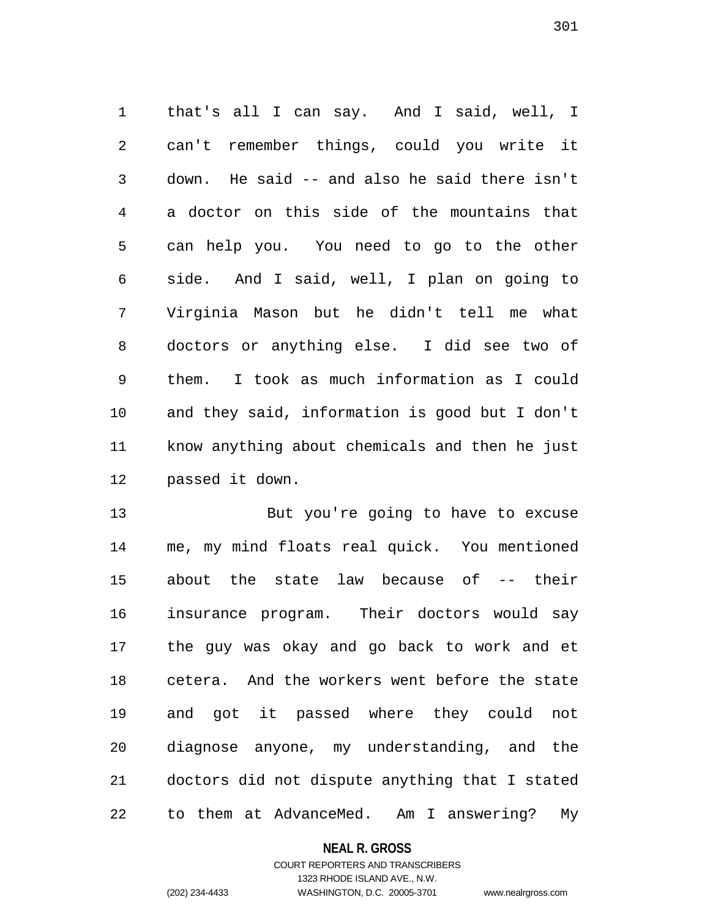1 that's all I can say. And I said, well, I 2 can't remember things, could you write it 3 down. He said -- and also he said there isn't 4 a doctor on this side of the mountains that 5 can help you. You need to go to the other 6 side. And I said, well, I plan on going to 7 Virginia Mason but he didn't tell me what 8 doctors or anything else. I did see two of 9 them. I took as much information as I could 10 and they said, information is good but I don't 11 know anything about chemicals and then he just 12 passed it down.

13 But you're going to have to excuse 14 me, my mind floats real quick. You mentioned 15 about the state law because of -- their 16 insurance program. Their doctors would say 17 the guy was okay and go back to work and et 18 cetera. And the workers went before the state 19 and got it passed where they could not 20 diagnose anyone, my understanding, and the 21 doctors did not dispute anything that I stated 22 to them at AdvanceMed. Am I answering? My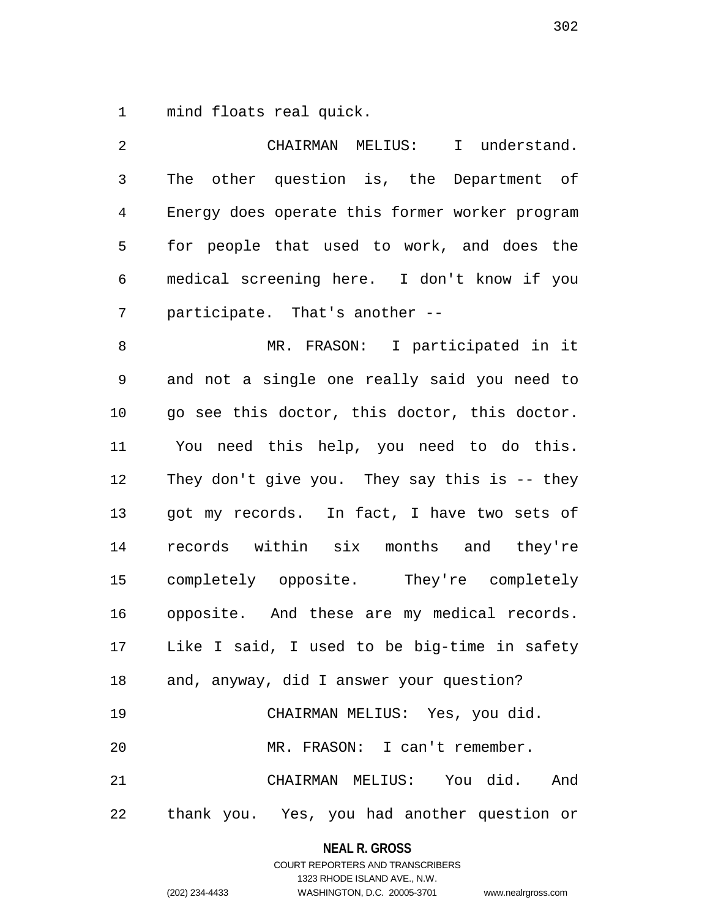1 mind floats real quick.

2 CHAIRMAN MELIUS: I understand. 3 The other question is, the Department of 4 Energy does operate this former worker program 5 for people that used to work, and does the 6 medical screening here. I don't know if you 7 participate. That's another -- 8 MR. FRASON: I participated in it 9 and not a single one really said you need to 10 go see this doctor, this doctor, this doctor. 11 You need this help, you need to do this. 12 They don't give you. They say this is -- they 13 got my records. In fact, I have two sets of 14 records within six months and they're 15 completely opposite. They're completely 16 opposite. And these are my medical records. 17 Like I said, I used to be big-time in safety 18 and, anyway, did I answer your question? 19 CHAIRMAN MELIUS: Yes, you did. 20 MR. FRASON: I can't remember. 21 CHAIRMAN MELIUS: You did. And 22 thank you. Yes, you had another question or

> **NEAL R. GROSS** COURT REPORTERS AND TRANSCRIBERS

> > 1323 RHODE ISLAND AVE., N.W.

(202) 234-4433 WASHINGTON, D.C. 20005-3701 www.nealrgross.com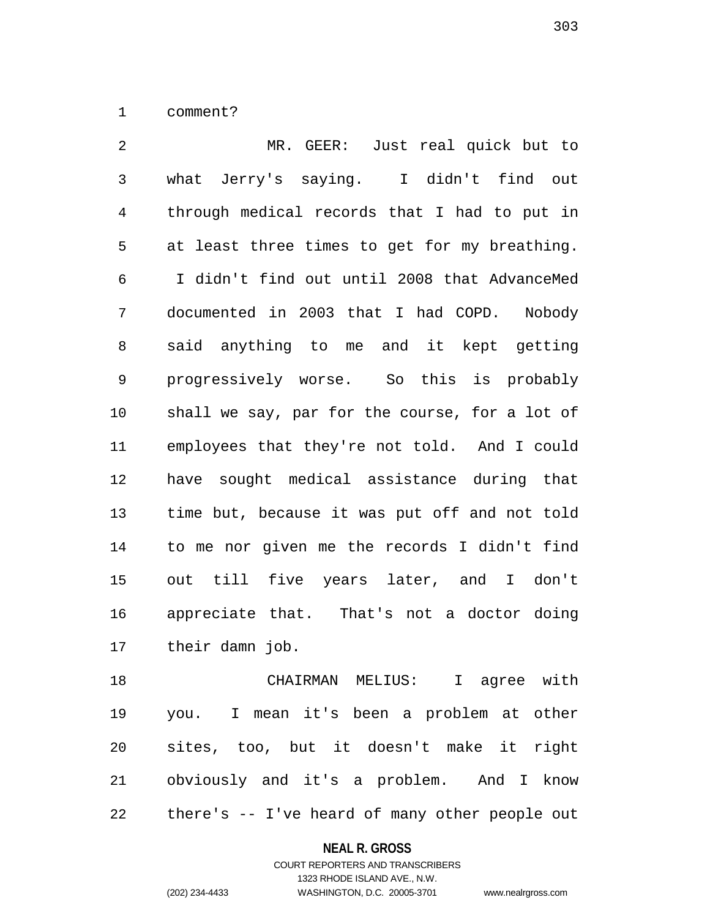1 comment?

2 MR. GEER: Just real quick but to 3 what Jerry's saying. I didn't find out 4 through medical records that I had to put in 5 at least three times to get for my breathing. 6 I didn't find out until 2008 that AdvanceMed 7 documented in 2003 that I had COPD. Nobody 8 said anything to me and it kept getting 9 progressively worse. So this is probably 10 shall we say, par for the course, for a lot of 11 employees that they're not told. And I could 12 have sought medical assistance during that 13 time but, because it was put off and not told 14 to me nor given me the records I didn't find 15 out till five years later, and I don't 16 appreciate that. That's not a doctor doing 17 their damn job.

18 CHAIRMAN MELIUS: I agree with 19 you. I mean it's been a problem at other 20 sites, too, but it doesn't make it right 21 obviously and it's a problem. And I know 22 there's -- I've heard of many other people out

#### **NEAL R. GROSS**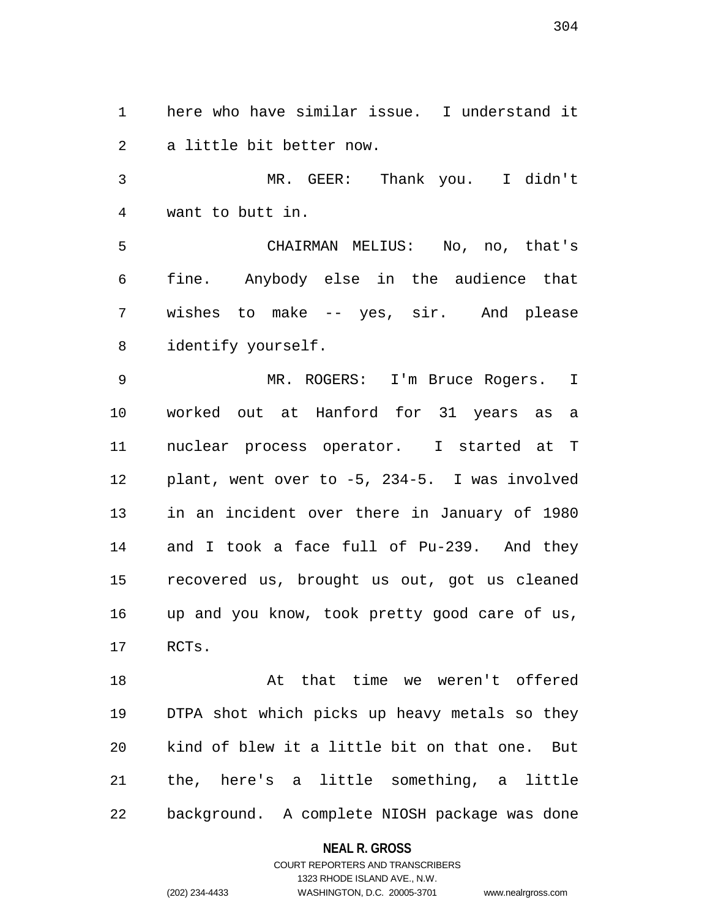1 here who have similar issue. I understand it 2 a little bit better now.

3 MR. GEER: Thank you. I didn't 4 want to butt in.

5 CHAIRMAN MELIUS: No, no, that's 6 fine. Anybody else in the audience that 7 wishes to make -- yes, sir. And please 8 identify yourself.

9 MR. ROGERS: I'm Bruce Rogers. I 10 worked out at Hanford for 31 years as a 11 nuclear process operator. I started at T 12 plant, went over to -5, 234-5. I was involved 13 in an incident over there in January of 1980 14 and I took a face full of Pu-239. And they 15 recovered us, brought us out, got us cleaned 16 up and you know, took pretty good care of us, 17 RCTs.

18 At that time we weren't offered 19 DTPA shot which picks up heavy metals so they 20 kind of blew it a little bit on that one. But 21 the, here's a little something, a little 22 background. A complete NIOSH package was done

# **NEAL R. GROSS**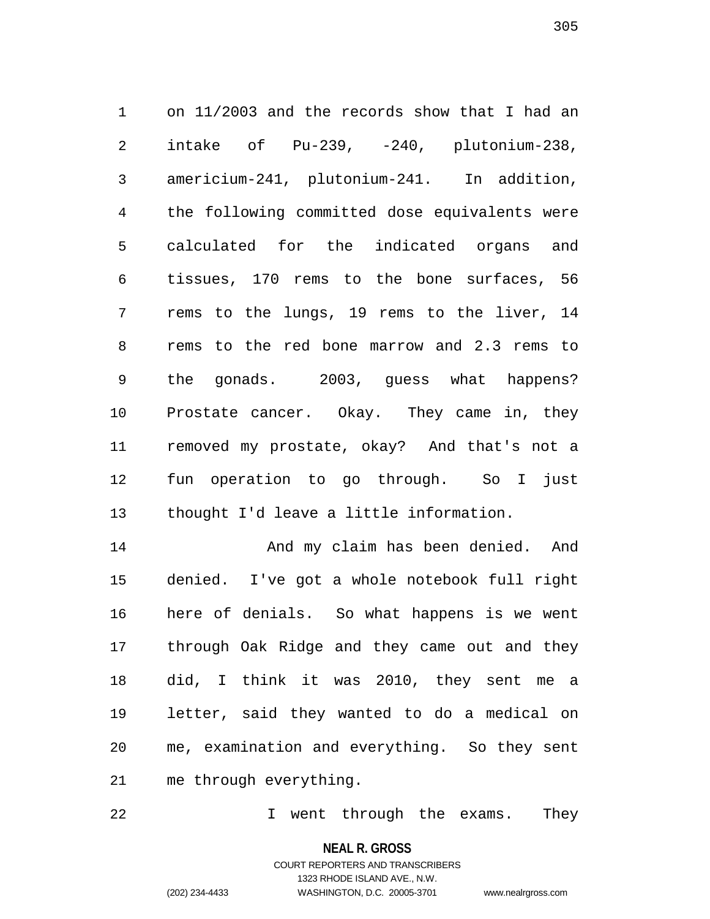1 on 11/2003 and the records show that I had an 2 intake of Pu-239, -240, plutonium-238, 3 americium-241, plutonium-241. In addition, 4 the following committed dose equivalents were 5 calculated for the indicated organs and 6 tissues, 170 rems to the bone surfaces, 56 7 rems to the lungs, 19 rems to the liver, 14 8 rems to the red bone marrow and 2.3 rems to 9 the gonads. 2003, guess what happens? 10 Prostate cancer. Okay. They came in, they 11 removed my prostate, okay? And that's not a 12 fun operation to go through. So I just 13 thought I'd leave a little information.

14 And my claim has been denied. And 15 denied. I've got a whole notebook full right 16 here of denials. So what happens is we went 17 through Oak Ridge and they came out and they 18 did, I think it was 2010, they sent me a 19 letter, said they wanted to do a medical on 20 me, examination and everything. So they sent 21 me through everything.

22 I went through the exams. They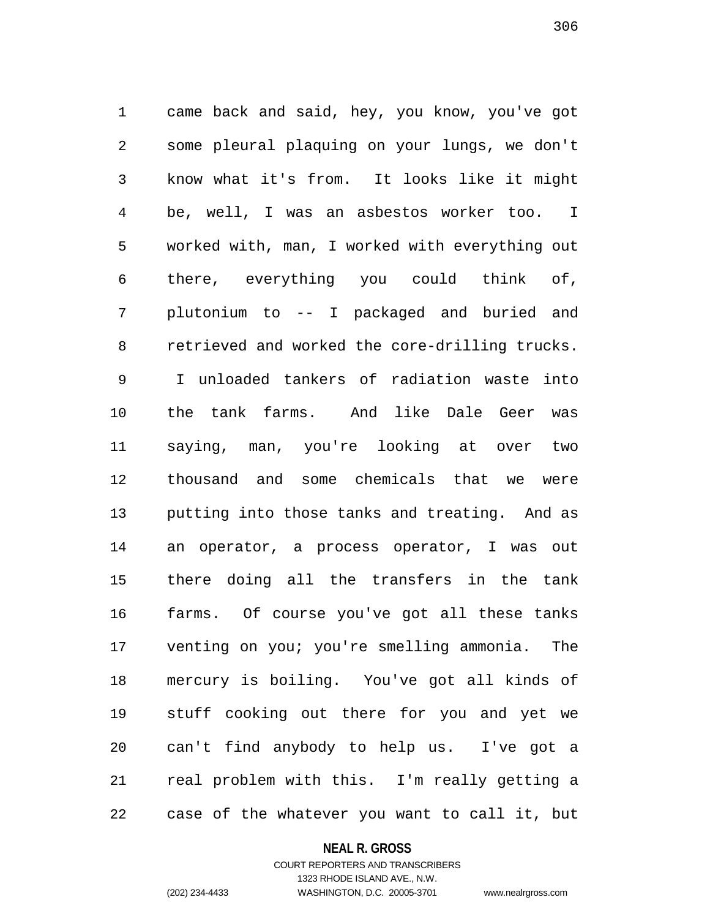1 came back and said, hey, you know, you've got 2 some pleural plaquing on your lungs, we don't 3 know what it's from. It looks like it might 4 be, well, I was an asbestos worker too. I 5 worked with, man, I worked with everything out 6 there, everything you could think of, 7 plutonium to -- I packaged and buried and 8 retrieved and worked the core-drilling trucks. 9 I unloaded tankers of radiation waste into 10 the tank farms. And like Dale Geer was 11 saying, man, you're looking at over two 12 thousand and some chemicals that we were 13 putting into those tanks and treating. And as 14 an operator, a process operator, I was out 15 there doing all the transfers in the tank 16 farms. Of course you've got all these tanks 17 venting on you; you're smelling ammonia. The 18 mercury is boiling. You've got all kinds of 19 stuff cooking out there for you and yet we 20 can't find anybody to help us. I've got a 21 real problem with this. I'm really getting a 22 case of the whatever you want to call it, but

#### **NEAL R. GROSS**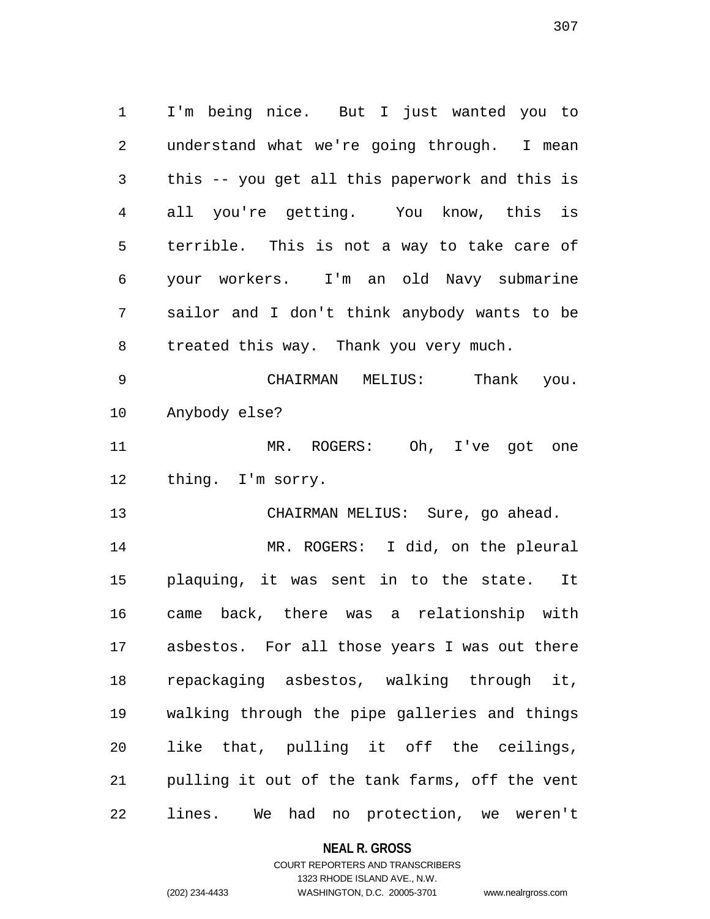1 I'm being nice. But I just wanted you to 2 understand what we're going through. I mean 3 this -- you get all this paperwork and this is 4 all you're getting. You know, this is 5 terrible. This is not a way to take care of 6 your workers. I'm an old Navy submarine 7 sailor and I don't think anybody wants to be 8 treated this way. Thank you very much.

9 CHAIRMAN MELIUS: Thank you. 10 Anybody else?

11 MR. ROGERS: Oh, I've got one 12 thing. I'm sorry.

13 CHAIRMAN MELIUS: Sure, go ahead.

14 MR. ROGERS: I did, on the pleural 15 plaquing, it was sent in to the state. It 16 came back, there was a relationship with 17 asbestos. For all those years I was out there 18 repackaging asbestos, walking through it, 19 walking through the pipe galleries and things 20 like that, pulling it off the ceilings, 21 pulling it out of the tank farms, off the vent 22 lines. We had no protection, we weren't

### **NEAL R. GROSS**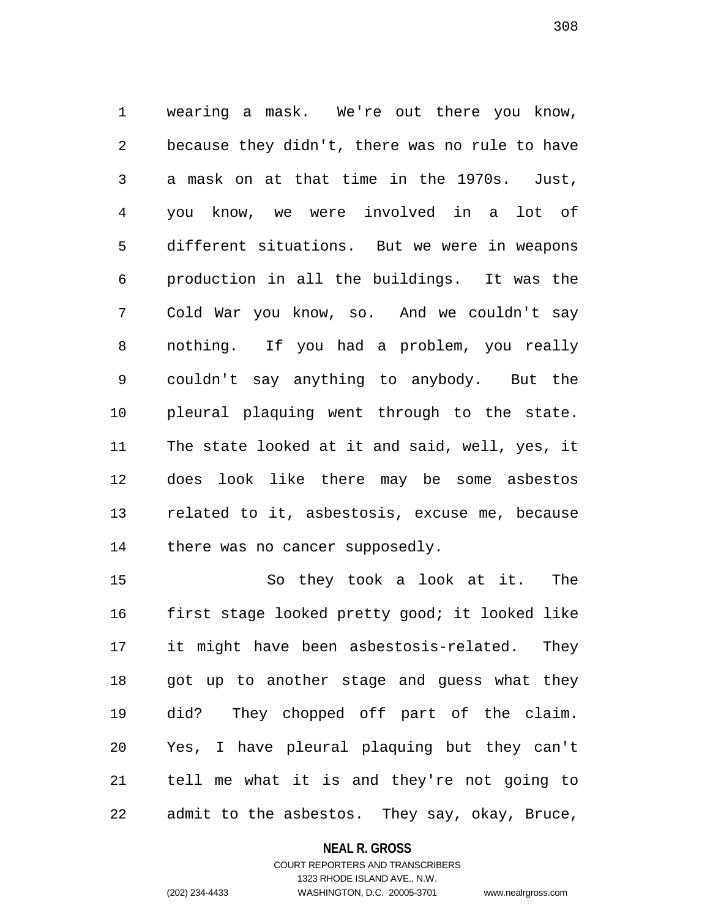1 wearing a mask. We're out there you know, 2 because they didn't, there was no rule to have 3 a mask on at that time in the 1970s. Just, 4 you know, we were involved in a lot of 5 different situations. But we were in weapons 6 production in all the buildings. It was the 7 Cold War you know, so. And we couldn't say 8 nothing. If you had a problem, you really 9 couldn't say anything to anybody. But the 10 pleural plaquing went through to the state. 11 The state looked at it and said, well, yes, it 12 does look like there may be some asbestos 13 related to it, asbestosis, excuse me, because 14 there was no cancer supposedly.

15 So they took a look at it. The 16 first stage looked pretty good; it looked like 17 it might have been asbestosis-related. They 18 got up to another stage and guess what they 19 did? They chopped off part of the claim. 20 Yes, I have pleural plaquing but they can't 21 tell me what it is and they're not going to 22 admit to the asbestos. They say, okay, Bruce,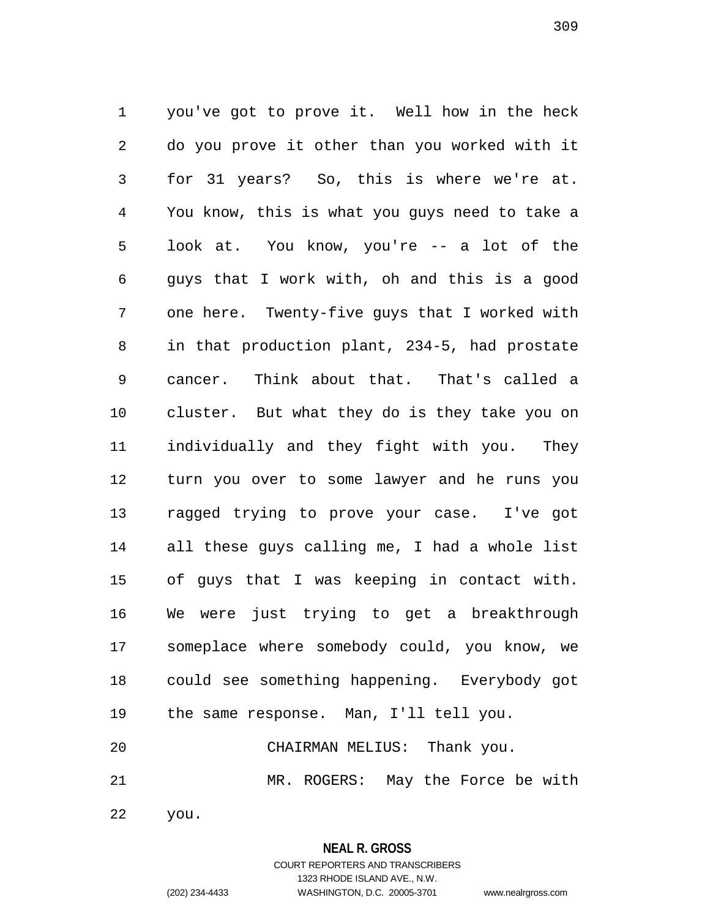1 you've got to prove it. Well how in the heck 2 do you prove it other than you worked with it 3 for 31 years? So, this is where we're at. 4 You know, this is what you guys need to take a 5 look at. You know, you're -- a lot of the 6 guys that I work with, oh and this is a good 7 one here. Twenty-five guys that I worked with 8 in that production plant, 234-5, had prostate 9 cancer. Think about that. That's called a 10 cluster. But what they do is they take you on 11 individually and they fight with you. They 12 turn you over to some lawyer and he runs you 13 ragged trying to prove your case. I've got 14 all these guys calling me, I had a whole list 15 of guys that I was keeping in contact with. 16 We were just trying to get a breakthrough 17 someplace where somebody could, you know, we 18 could see something happening. Everybody got 19 the same response. Man, I'll tell you. 20 CHAIRMAN MELIUS: Thank you. 21 MR. ROGERS: May the Force be with

22 you.

# **NEAL R. GROSS**